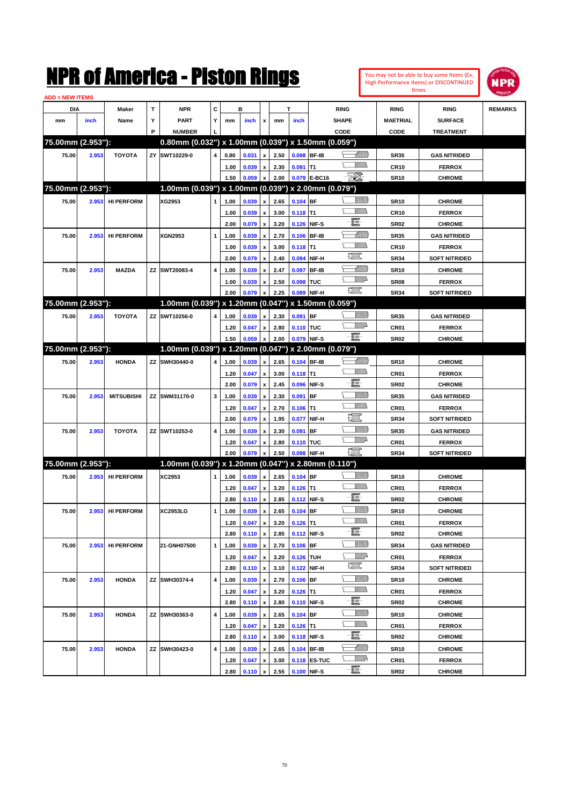|                        |       |                   |        | NMK OT AINCrica - Miston Kings                                       |              |              |                |                           |              |                  |                   |                         |                          |                  | You may not be able to buy some Items (Ex.<br><b>High Performance Items) or DISCONTINUED</b><br>Itmes. | NPR            |
|------------------------|-------|-------------------|--------|----------------------------------------------------------------------|--------------|--------------|----------------|---------------------------|--------------|------------------|-------------------|-------------------------|--------------------------|------------------|--------------------------------------------------------------------------------------------------------|----------------|
| <b>ADD = NEW ITEMS</b> |       |                   |        |                                                                      | C            |              | в              |                           |              | т                |                   |                         |                          |                  |                                                                                                        |                |
| DIA                    |       | Maker             | T<br>Υ | <b>NPR</b>                                                           | Y            |              |                |                           |              |                  |                   | <b>RING</b>             |                          | <b>RING</b>      | <b>RING</b>                                                                                            | <b>REMARKS</b> |
| mm                     | inch  | Name              | P      | PART                                                                 |              | mm           | inch           | x                         | mm           | inch             |                   | SHAPE                   |                          | <b>MAETRIAL</b>  | <b>SURFACE</b>                                                                                         |                |
| 75.00mm (2.953"):      |       |                   |        | <b>NUMBER</b><br>0.80mm (0.032") x 1.00mm (0.039") x 1.50mm (0.059") |              |              |                |                           |              |                  |                   | CODE                    |                          | CODE             | <b>TREATMENT</b>                                                                                       |                |
| 75.00                  | 2.953 | <b>TOYOTA</b>     |        | ZY SWT10229-0                                                        | 4            | 0.80         | 0.031          | x                         | 2.50         |                  | 0.098 BF-IB       |                         | <u> UMM</u>              | <b>SR35</b>      | <b>GAS NITRIDED</b>                                                                                    |                |
|                        |       |                   |        |                                                                      |              | 1.00         | 0.039          | x                         | 2.30         | $0.091$ T1       |                   |                         | <br>Mar                  | <b>CR10</b>      | <b>FERROX</b>                                                                                          |                |
|                        |       |                   |        |                                                                      |              | 1.50         | 0.059          | $\pmb{\mathsf{x}}$        | 2.00         |                  | 0.079 E-BC16      | FØ.                     |                          | <b>SR10</b>      | <b>CHROME</b>                                                                                          |                |
| 75.00mm (2.953"):      |       |                   |        | 1.00mm (0.039") x 1.00mm (0.039") x 2.00mm (0.079")                  |              |              |                |                           |              |                  |                   |                         |                          |                  |                                                                                                        |                |
| 75.00                  | 2.953 | <b>HI PERFORM</b> |        | XG2953                                                               | 1            | 1.00         | 0.039          | x                         | 2.65         | $0.104$ BF       |                   |                         | <u>Sillilli</u>          | <b>SR10</b>      | <b>CHROME</b>                                                                                          |                |
|                        |       |                   |        |                                                                      |              | 1.00         | 0.039          | $\pmb{\mathsf{x}}$        | 3.00         | $0.118$ T1       |                   | .<br>VMD                |                          | <b>CR10</b>      | <b>FERROX</b>                                                                                          |                |
|                        |       |                   |        |                                                                      |              | 2.00         | 0.079          | $\pmb{\mathsf{x}}$        | 3.20         |                  | 0.126 NIF-S       | E                       |                          | <b>SR02</b>      | <b>CHROME</b>                                                                                          |                |
| 75.00                  | 2.953 | <b>HI PERFORM</b> |        | <b>XGN2953</b>                                                       | 1            | 1.00         | 0.039          | x                         | 2.70         |                  | 0.106 BF-IB       |                         | <u> Milli</u> lli        | <b>SR35</b>      | <b>GAS NITRIDED</b>                                                                                    |                |
|                        |       |                   |        |                                                                      |              | 1.00         | 0.039          | X                         | 3.00         | $0.118$ T1       |                   | .<br>VMD                |                          | <b>CR10</b>      | <b>FERROX</b>                                                                                          |                |
|                        |       |                   |        |                                                                      |              | 2.00         | 0.079          | $\boldsymbol{\mathsf{x}}$ | 2.40         | 0.094            | NIF-H             | <b>DESCRIPTION</b>      |                          | <b>SR34</b>      | <b>SOFT NITRIDED</b>                                                                                   |                |
| 75.00                  | 2.953 | <b>MAZDA</b>      |        | ZZ SWT20083-4                                                        | 4            | 1.00         | 0.039          | x                         | 2.47         | 0.097            | <b>BF-IB</b>      |                         | Millill                  | <b>SR10</b>      | <b>CHROME</b>                                                                                          |                |
|                        |       |                   |        |                                                                      |              | 1.00         | 0.039          | x                         | 2.50         | 0.098            | TUC               | <u>VMD</u>              |                          | SR <sub>08</sub> | <b>FERROX</b>                                                                                          |                |
|                        |       |                   |        |                                                                      |              | 2.00         | 0.079          | x                         | 2.25         |                  | 0.089 NIF-H       | 讓                       |                          | <b>SR34</b>      | <b>SOFT NITRIDED</b>                                                                                   |                |
| 75.00mm (2.953"):      |       |                   |        | 1.00mm (0.039") x 1.20mm (0.047")                                    |              |              |                |                           |              |                  | x 1.50mm (0.059") |                         |                          |                  |                                                                                                        |                |
| 75.00                  | 2.953 | <b>TOYOTA</b>     |        | ZZ SWT10256-0                                                        | 4            | 1.00         | 0.039          | x                         | 2.30         | $0.091$ BF       |                   |                         | <u>Sillilli</u>          | <b>SR35</b>      | <b>GAS NITRIDED</b>                                                                                    |                |
|                        |       |                   |        |                                                                      |              |              |                |                           |              |                  |                   | <u>VIII</u> D           |                          |                  |                                                                                                        |                |
|                        |       |                   |        |                                                                      |              | 1.20<br>1.50 | 0.047<br>0.059 | x                         | 2.80<br>2.00 | 0.110 TUC        | 0.079 NIF-S       | $-\mathbf{H}$           |                          | CR01             | <b>FERROX</b>                                                                                          |                |
| 75.00mm (2.953"):      |       |                   |        | 1.00mm (0.039") x 1.20mm (0.047") x 2.00mm (0.079")                  |              |              |                | x                         |              |                  |                   |                         |                          | <b>SR02</b>      | <b>CHROME</b>                                                                                          |                |
|                        |       |                   |        |                                                                      |              |              |                |                           |              |                  |                   |                         |                          |                  |                                                                                                        |                |
| 75.00                  | 2.953 | <b>HONDA</b>      |        | ZZ SWH30440-0                                                        | 4            | 1.00         | 0.039          | x                         | 2.65         |                  | 0.104 BF-IB       | .<br>Villid             |                          | <b>SR10</b>      | <b>CHROME</b>                                                                                          |                |
|                        |       |                   |        |                                                                      |              | 1.20         | 0.047          | X                         | 3.00         | $0.118$ T1       |                   | E                       |                          | CR01             | <b>FERROX</b>                                                                                          |                |
|                        |       |                   |        |                                                                      |              | 2.00         | 0.079          | $\pmb{\mathsf{x}}$        | 2.45         | 0.096            | NIF-S             |                         |                          | <b>SR02</b>      | <b>CHROME</b>                                                                                          |                |
| 75.00                  | 2.953 | <b>MITSUBISHI</b> |        | ZZ SWM31170-0                                                        | 3            | 1.00         | 0.039          | $\pmb{\mathsf{x}}$        | 2.30         | 0.091            | IBF               |                         | <u>VIIII)</u><br><br>Mar | <b>SR35</b>      | <b>GAS NITRIDED</b>                                                                                    |                |
|                        |       |                   |        |                                                                      |              | 1.20         | 0.047          | $\pmb{\mathsf{x}}$        | 2.70         | 0.106            | lT1               |                         |                          | CR01             | <b>FERROX</b>                                                                                          |                |
|                        |       |                   |        |                                                                      |              | 2.00         | 0.079          | $\boldsymbol{\mathsf{x}}$ | 1.95         | 0.077            | NIF-H             | <u>tin</u>              |                          | <b>SR34</b>      | <b>SOFT NITRIDED</b>                                                                                   |                |
| 75.00                  | 2.953 | <b>TOYOTA</b>     |        | ZZ SWT10253-0                                                        | 4            | 1.00         | 0.039          | x                         | 2.30         | 0.091            | BF                |                         | <u>VIIII)</u>            | <b>SR35</b>      | <b>GAS NITRIDED</b>                                                                                    |                |
|                        |       |                   |        |                                                                      |              | 1.20         | 0.047          | x                         | 2.80         | 0.110 TUC        |                   |                         | <u>MM</u> D              | CR01             | <b>FERROX</b>                                                                                          |                |
|                        |       |                   |        |                                                                      |              | 2.00         | 0.079          | $\boldsymbol{\mathsf{x}}$ | 2.50         |                  | 0.098 NIF-H       | <b>POSSE</b>            |                          | <b>SR34</b>      | <b>SOFT NITRIDED</b>                                                                                   |                |
| 75.00mm (2.953"):      |       |                   |        | 1.00mm (0.039") x 1.20mm (0.047") x 2.80mm (0.110")                  |              |              |                |                           |              |                  |                   |                         |                          |                  |                                                                                                        |                |
| 75.00                  | 2.953 | <b>HI PERFORM</b> |        | XC2953                                                               | 1            | 1.00         | 0.039          | x                         | 2.65         | $0.104$ BF       |                   |                         | <u>VIIII)</u>            | <b>SR10</b>      | <b>CHROME</b>                                                                                          |                |
|                        |       |                   |        |                                                                      |              | 1.20         | 0.047          | $\pmb{\mathsf{x}}$        | 3.20         | $0.126$ T1       |                   |                         | <br>Mar                  | CR01             | <b>FERROX</b>                                                                                          |                |
|                        |       |                   |        |                                                                      |              | 2.80         | $0.110 \times$ |                           |              | 2.85 0.112 NIF-S |                   | e.                      |                          | <b>SR02</b>      | <b>CHROME</b>                                                                                          |                |
| 75.00                  | 2.953 | <b>HI PERFORM</b> |        | XC2953LG                                                             | $\mathbf{1}$ | 1.00         | 0.039          | $\pmb{\mathsf{x}}$        | 2.65         | $0.104$ BF       |                   |                         | <u>UMB</u>               | <b>SR10</b>      | <b>CHROME</b>                                                                                          |                |
|                        |       |                   |        |                                                                      |              | 1.20         | 0.047          | $\pmb{\mathsf{x}}$        | 3.20         | $0.126$ T1       |                   |                         | <u>Willibs</u>           | CR01             | <b>FERROX</b>                                                                                          |                |
|                        |       |                   |        |                                                                      |              | 2.80         | 0.110 x        |                           | 2.85         |                  | 0.112 NIF-S       | e.                      |                          | <b>SR02</b>      | <b>CHROME</b>                                                                                          |                |
| 75.00                  | 2.953 | <b>HI PERFORM</b> |        | 21-GNH07500                                                          | $\mathbf{1}$ | 1.00         | 0.039          | $\pmb{\mathsf{x}}$        | 2.70         | $0.106$ BF       |                   |                         | <u>Villitti</u>          | SR34             | <b>GAS NITRIDED</b>                                                                                    |                |
|                        |       |                   |        |                                                                      |              | 1.20         | 0.047          | $\pmb{\mathsf{x}}$        | 3.20         | 0.126 TUH        |                   |                         | <u>WW</u> A              | CR01             | <b>FERROX</b>                                                                                          |                |
|                        |       |                   |        |                                                                      |              | 2.80         | 0.110          | $\pmb{\mathsf{x}}$        | 3.10         |                  | 0.122 NIF-H       | $f_{\rm max}^{\rm exp}$ |                          | <b>SR34</b>      | <b>SOFT NITRIDED</b>                                                                                   |                |
| 75.00                  | 2.953 | <b>HONDA</b>      |        | ZZ SWH30374-4                                                        | 4            | 1.00         | 0.039          | $\pmb{\mathsf{x}}$        | 2.70         | $0.106$ BF       |                   |                         | <u>VIIII)</u>            | <b>SR10</b>      | <b>CHROME</b>                                                                                          |                |
|                        |       |                   |        |                                                                      |              | 1.20         | 0.047          | $\pmb{\mathsf{x}}$        | 3.20         | $0.126$ T1       |                   |                         | <u>Willib</u>            | CR01             | <b>FERROX</b>                                                                                          |                |
|                        |       |                   |        |                                                                      |              | 2.80         | 0.110          | $\pmb{\mathsf{x}}$        | 2.80         |                  | 0.110 NIF-S       | E                       |                          | SR02             | <b>CHROME</b>                                                                                          |                |
| 75.00                  | 2.953 | <b>HONDA</b>      |        | ZZ SWH30363-0                                                        | 4            | 1.00         | 0.039          | $\pmb{\mathsf{x}}$        | 2.65         | $0.104$ BF       |                   |                         | <u>Villitti</u>          | <b>SR10</b>      | <b>CHROME</b>                                                                                          |                |
|                        |       |                   |        |                                                                      |              | 1.20         | 0.047          | $\pmb{\mathsf{x}}$        | 3.20         | $0.126$ T1       |                   |                         | <u>Willib</u>            | CR01             | <b>FERROX</b>                                                                                          |                |
|                        |       |                   |        |                                                                      |              | 2.80         | 0.110          | $\boldsymbol{\mathsf{x}}$ | 3.00         |                  | 0.118 NIF-S       | E                       |                          | <b>SR02</b>      | <b>CHROME</b>                                                                                          |                |
| 75.00                  | 2.953 | <b>HONDA</b>      |        | ZZ SWH30423-0                                                        | 4            | 1.00         | 0.039          | $\pmb{\mathsf{x}}$        | 2.65         |                  | 0.104 BF-IB       |                         | <u> Millill</u>          | <b>SR10</b>      | <b>CHROME</b>                                                                                          |                |
|                        |       |                   |        |                                                                      |              | 1.20         | 0.047          | $\pmb{\mathsf{x}}$        | 3.00         |                  | 0.118 ES-TUC      |                         | <u>W//A</u>              | CR01             | <b>FERROX</b>                                                                                          |                |
|                        |       |                   |        |                                                                      |              | 2.80         | $0.110 \, x$   |                           | 2.55         |                  | 0.100 NIF-S       | e.                      |                          | <b>SR02</b>      | <b>CHROME</b>                                                                                          |                |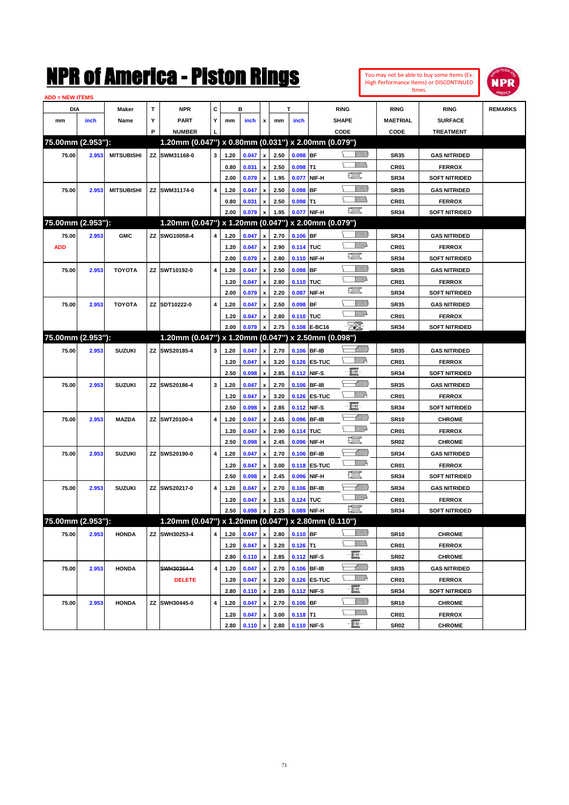| You may not be able to buy some Items (Ex. |
|--------------------------------------------|
| High Performance Items) or DISCONTINUED    |
| Itmes.                                     |



| <b>ADD = NEW ITEMS</b> |       |                   |   |                                                     |   |              |       |                    |              |            |                             |                                                                                                                                                                                                                                                                                                                                                                                                                          |                  |                                       |                |
|------------------------|-------|-------------------|---|-----------------------------------------------------|---|--------------|-------|--------------------|--------------|------------|-----------------------------|--------------------------------------------------------------------------------------------------------------------------------------------------------------------------------------------------------------------------------------------------------------------------------------------------------------------------------------------------------------------------------------------------------------------------|------------------|---------------------------------------|----------------|
| DIA                    |       | Maker             | Т | <b>NPR</b>                                          | С |              | в     |                    |              | T          |                             | <b>RING</b>                                                                                                                                                                                                                                                                                                                                                                                                              | <b>RING</b>      | <b>RING</b>                           | <b>REMARKS</b> |
| mm                     | inch  | Name              | Υ | <b>PART</b>                                         | Y | mm           | inch  | x                  | mm           | inch       |                             | <b>SHAPE</b>                                                                                                                                                                                                                                                                                                                                                                                                             | <b>MAETRIAL</b>  | <b>SURFACE</b>                        |                |
|                        |       |                   | P | <b>NUMBER</b>                                       |   |              |       |                    |              |            |                             | CODE                                                                                                                                                                                                                                                                                                                                                                                                                     | CODE             | <b>TREATMENT</b>                      |                |
| 75.00mm (2.953"):      |       |                   |   | 1.20mm (0.047") x 0.80mm (0.031") x 2.00mm (0.079") |   |              |       |                    |              |            |                             |                                                                                                                                                                                                                                                                                                                                                                                                                          |                  |                                       |                |
| 75.00                  | 2.953 | <b>MITSUBISHI</b> |   | ZZ SWM31168-0                                       | 3 | 1.20         | 0.047 | x                  | 2.50         | $0.098$ BF |                             | <u>Sillilli</u>                                                                                                                                                                                                                                                                                                                                                                                                          | <b>SR35</b>      | <b>GAS NITRIDED</b>                   |                |
|                        |       |                   |   |                                                     |   | 0.80         | 0.031 | x                  | 2.50         | $0.098$ T1 |                             |                                                                                                                                                                                                                                                                                                                                                                                                                          | CR <sub>01</sub> | <b>FERROX</b>                         |                |
|                        |       |                   |   |                                                     |   | 2.00         | 0.079 | x                  | 1.95         | 0.077      | NIF-H                       | H                                                                                                                                                                                                                                                                                                                                                                                                                        | <b>SR34</b>      | <b>SOFT NITRIDED</b>                  |                |
| 75.00                  | 2.953 | <b>MITSUBISHI</b> |   | ZZ SWM31174-0                                       | 4 | 1.20         | 0.047 | x                  | 2.50         | 0.098      | <b>BF</b>                   | <u>Sillilli</u>                                                                                                                                                                                                                                                                                                                                                                                                          | <b>SR35</b>      | <b>GAS NITRIDED</b>                   |                |
|                        |       |                   |   |                                                     |   | 0.80         | 0.031 | x                  | 2.50         | $0.098$ T1 |                             | VM))                                                                                                                                                                                                                                                                                                                                                                                                                     | CR01             | <b>FERROX</b>                         |                |
|                        |       |                   |   |                                                     |   | 2.00         | 0.079 | x                  | 1.95         |            | 0.077 NIF-H                 | <b>The Control</b>                                                                                                                                                                                                                                                                                                                                                                                                       | <b>SR34</b>      | <b>SOFT NITRIDED</b>                  |                |
| 75.00mm (2.953"):      |       |                   |   | 1.20mm (0.047") x 1.20mm (0.047") x 2.00mm (0.079") |   |              |       |                    |              |            |                             |                                                                                                                                                                                                                                                                                                                                                                                                                          |                  |                                       |                |
| 75.00                  | 2.953 | <b>GMC</b>        |   | ZZ SWG10058-4                                       | 4 | 1.20         | 0.047 | x                  | 2.70         | $0.106$ BF |                             | <u> UMB</u>                                                                                                                                                                                                                                                                                                                                                                                                              | <b>SR34</b>      | <b>GAS NITRIDED</b>                   |                |
| <b>ADD</b>             |       |                   |   |                                                     |   | 1.20         | 0.047 | x                  | 2.90         | 0.114 TUC  |                             | .<br>Willia                                                                                                                                                                                                                                                                                                                                                                                                              | CR01             | <b>FERROX</b>                         |                |
|                        |       |                   |   |                                                     |   | 2.00         | 0.079 | $\pmb{\mathsf{x}}$ | 2.80         |            | 0.110 NIF-H                 | H                                                                                                                                                                                                                                                                                                                                                                                                                        | <b>SR34</b>      | <b>SOFT NITRIDED</b>                  |                |
| 75.00                  | 2.953 | <b>TOYOTA</b>     |   | ZZ SWT10192-0                                       | 4 | 1.20         | 0.047 | x                  | 2.50         | 0.098      | <b>BF</b>                   | <u>Sillilli</u>                                                                                                                                                                                                                                                                                                                                                                                                          | <b>SR35</b>      | <b>GAS NITRIDED</b>                   |                |
|                        |       |                   |   |                                                     |   | 1.20         | 0.047 |                    | 2.80         | 0.110 TUC  |                             | <u>VMD</u>                                                                                                                                                                                                                                                                                                                                                                                                               | CR <sub>01</sub> | <b>FERROX</b>                         |                |
|                        |       |                   |   |                                                     |   | 2.00         | 0.079 | x<br>x             | 2.20         | 0.087      | NIF-H                       | <b>The Control</b>                                                                                                                                                                                                                                                                                                                                                                                                       | <b>SR34</b>      | <b>SOFT NITRIDED</b>                  |                |
| 75.00                  | 2.953 | <b>TOYOTA</b>     |   | ZZ SDT10222-0                                       | 4 | 1.20         | 0.047 | x                  | 2.50         | $0.098$ BF |                             | <u>Sillilli</u>                                                                                                                                                                                                                                                                                                                                                                                                          | <b>SR35</b>      | <b>GAS NITRIDED</b>                   |                |
|                        |       |                   |   |                                                     |   | 1.20         | 0.047 | x                  | 2.80         | 0.110 TUC  |                             | <u>VMD</u>                                                                                                                                                                                                                                                                                                                                                                                                               | CR01             | <b>FERROX</b>                         |                |
|                        |       |                   |   |                                                     |   | 2.00         | 0.079 | x                  | 2.75         |            | 0.108 E-BC16                | EO)                                                                                                                                                                                                                                                                                                                                                                                                                      | <b>SR34</b>      | <b>SOFT NITRIDED</b>                  |                |
| 75.00mm (2.953"):      |       |                   |   | 1.20mm (0.047") x 1.20mm (0.047") x 2.50mm (0.098") |   |              |       |                    |              |            |                             |                                                                                                                                                                                                                                                                                                                                                                                                                          |                  |                                       |                |
| 75.00                  | 2.953 | <b>SUZUKI</b>     |   | ZZ SWS20185-4                                       | 3 | 1.20         | 0.047 |                    | 2.70         |            | 0.106 BF-IB                 | <u> Millitt</u>                                                                                                                                                                                                                                                                                                                                                                                                          | <b>SR35</b>      | <b>GAS NITRIDED</b>                   |                |
|                        |       |                   |   |                                                     |   |              |       | x                  |              |            |                             | ₩₩                                                                                                                                                                                                                                                                                                                                                                                                                       |                  |                                       |                |
|                        |       |                   |   |                                                     |   | 1.20<br>2.50 | 0.047 | x                  | 3.20<br>2.85 |            | 0.126 ES-TUC<br>0.112 NIF-S | 量                                                                                                                                                                                                                                                                                                                                                                                                                        | CR <sub>01</sub> | <b>FERROX</b><br><b>SOFT NITRIDED</b> |                |
|                        |       |                   |   |                                                     |   |              | 0.098 | x                  |              |            |                             | <u> UMM</u>                                                                                                                                                                                                                                                                                                                                                                                                              | <b>SR34</b>      |                                       |                |
| 75.00                  | 2.953 | <b>SUZUKI</b>     |   | ZZ SWS20186-4                                       | 3 | 1.20         | 0.047 | x                  | 2.70         |            | 0.106 BF-IB                 | <u>Willik</u>                                                                                                                                                                                                                                                                                                                                                                                                            | <b>SR35</b>      | <b>GAS NITRIDED</b>                   |                |
|                        |       |                   |   |                                                     |   | 1.20         | 0.047 | x                  | 3.20         |            | 0.126 ES-TUC                | E                                                                                                                                                                                                                                                                                                                                                                                                                        | CR <sub>01</sub> | <b>FERROX</b>                         |                |
|                        |       |                   |   |                                                     |   | 2.50         | 0.098 | x                  | 2.85         |            | 0.112 NIF-S                 | <u> UMM</u>                                                                                                                                                                                                                                                                                                                                                                                                              | <b>SR34</b>      | <b>SOFT NITRIDED</b>                  |                |
| 75.00                  | 2.953 | <b>MAZDA</b>      |   | ZZ SWT20100-4                                       | 4 | 1.20         | 0.047 | x                  | 2.45         |            | 0.096 BF-IB                 | <u>Willi</u> da                                                                                                                                                                                                                                                                                                                                                                                                          | <b>SR10</b>      | <b>CHROME</b>                         |                |
|                        |       |                   |   |                                                     |   | 1.20         | 0.047 | x                  | 2.90         | 0.114 TUC  |                             | 鱱                                                                                                                                                                                                                                                                                                                                                                                                                        | CR <sub>01</sub> | <b>FERROX</b>                         |                |
|                        |       |                   |   |                                                     |   | 2.50         | 0.098 | x                  | 2.45         | 0.096      | NIF-H                       |                                                                                                                                                                                                                                                                                                                                                                                                                          | <b>SR02</b>      | <b>CHROME</b>                         |                |
| 75.00                  | 2.953 | <b>SUZUKI</b>     |   | ZZ SWS20190-0                                       | 4 | 1.20         | 0.047 | x                  | 2.70         |            | 0.106 BF-IB                 | <u>UMB</u><br><u>MM</u>                                                                                                                                                                                                                                                                                                                                                                                                  | <b>SR34</b>      | <b>GAS NITRIDED</b>                   |                |
|                        |       |                   |   |                                                     |   | 1.20         | 0.047 | x                  | 3.00         |            | <b>0.118 ES-TUC</b>         | 鱱                                                                                                                                                                                                                                                                                                                                                                                                                        | CR01             | <b>FERROX</b>                         |                |
|                        |       |                   |   |                                                     |   | 2.50         | 0.098 | x                  | 2.45         | 0.096      | NIF-H                       |                                                                                                                                                                                                                                                                                                                                                                                                                          | <b>SR34</b>      | <b>SOFT NITRIDED</b>                  |                |
| 75.00                  | 2.953 | <b>SUZUKI</b>     |   | ZZ SWS20217-0                                       | 4 | 1.20         | 0.047 | x                  | 2.70         |            | 0.106 BF-IB                 | <u>UMB</u>                                                                                                                                                                                                                                                                                                                                                                                                               | <b>SR34</b>      | <b>GAS NITRIDED</b>                   |                |
|                        |       |                   |   |                                                     |   | 1.20         | 0.047 | x                  | 3.15         | 0.124 TUC  |                             | <u>Willia</u>                                                                                                                                                                                                                                                                                                                                                                                                            | CR01             | <b>FERROX</b>                         |                |
|                        |       |                   |   |                                                     |   | 2.50         | 0.098 | x                  | 2.25         |            | 0.089 NIF-H                 | $\begin{picture}(20,20) \put(0,0){\dashbox{0.5}(20,0){ }} \thicklines \put(0,0){\dashbox{0.5}(20,0){ }} \thicklines \put(0,0){\dashbox{0.5}(20,0){ }} \thicklines \put(0,0){\dashbox{0.5}(20,0){ }} \thicklines \put(0,0){\dashbox{0.5}(20,0){ }} \thicklines \put(0,0){\dashbox{0.5}(20,0){ }} \thicklines \put(0,0){\dashbox{0.5}(20,0){ }} \thicklines \put(0,0){\dashbox{0.5}(20,0){ }} \thicklines \put(0,0){\dash$ | <b>SR34</b>      | <b>SOFT NITRIDED</b>                  |                |
| 75.00mm (2.953"):      |       |                   |   | 1.20mm (0.047") x 1.20mm (0.047") x 2.80mm (0.110") |   |              |       |                    |              |            |                             |                                                                                                                                                                                                                                                                                                                                                                                                                          |                  |                                       |                |
| 75.00                  | 2.953 | <b>HONDA</b>      |   | ZZ SWH30253-4                                       | 4 | 1.20         | 0.047 | $\pmb{\mathsf{x}}$ | 2.80         | $0.110$ BF |                             | <u>Sillilli</u>                                                                                                                                                                                                                                                                                                                                                                                                          | <b>SR10</b>      | <b>CHROME</b>                         |                |
|                        |       |                   |   |                                                     |   | 1.20         | 0.047 | x                  | 3.20         | $0.126$ T1 |                             | <u>Villida</u>                                                                                                                                                                                                                                                                                                                                                                                                           | CR01             | <b>FERROX</b>                         |                |
|                        |       |                   |   |                                                     |   | 2.80         | 0.110 | $\pmb{\mathsf{x}}$ | 2.85         |            | 0.112 NIF-S                 | E                                                                                                                                                                                                                                                                                                                                                                                                                        | <b>SR02</b>      | <b>CHROME</b>                         |                |
| 75.00                  | 2.953 | <b>HONDA</b>      |   | SWH30364-4                                          | 4 | 1.20         | 0.047 | x                  | 2.70         |            | 0.106 BF-IB                 |                                                                                                                                                                                                                                                                                                                                                                                                                          | <b>SR35</b>      | <b>GAS NITRIDED</b>                   |                |
|                        |       |                   |   | <b>DELETE</b>                                       |   | 1.20         | 0.047 | x                  | 3.20         |            | 0.126 ES-TUC                | W/IP                                                                                                                                                                                                                                                                                                                                                                                                                     | CR01             | <b>FERROX</b>                         |                |
|                        |       |                   |   |                                                     |   | 2.80         | 0.110 | $\pmb{\mathsf{x}}$ | 2.85         |            | 0.112 NIF-S                 | e                                                                                                                                                                                                                                                                                                                                                                                                                        | <b>SR34</b>      | <b>SOFT NITRIDED</b>                  |                |
| 75.00                  | 2.953 | <b>HONDA</b>      |   | ZZ SWH30445-0                                       | 4 | 1.20         | 0.047 | x                  | 2.70         | $0.106$ BF |                             | <u> UMB</u>                                                                                                                                                                                                                                                                                                                                                                                                              | <b>SR10</b>      | <b>CHROME</b>                         |                |
|                        |       |                   |   |                                                     |   | 1.20         | 0.047 | x                  | 3.00         | $0.118$ T1 |                             | <u>WMW</u>                                                                                                                                                                                                                                                                                                                                                                                                               | CR01             | <b>FERROX</b>                         |                |
|                        |       |                   |   |                                                     |   | 2.80         | 0.110 | $\pmb{\mathsf{x}}$ | 2.80         |            | 0.110 NIF-S                 | $-\Xi$ -                                                                                                                                                                                                                                                                                                                                                                                                                 | SR <sub>02</sub> | <b>CHROME</b>                         |                |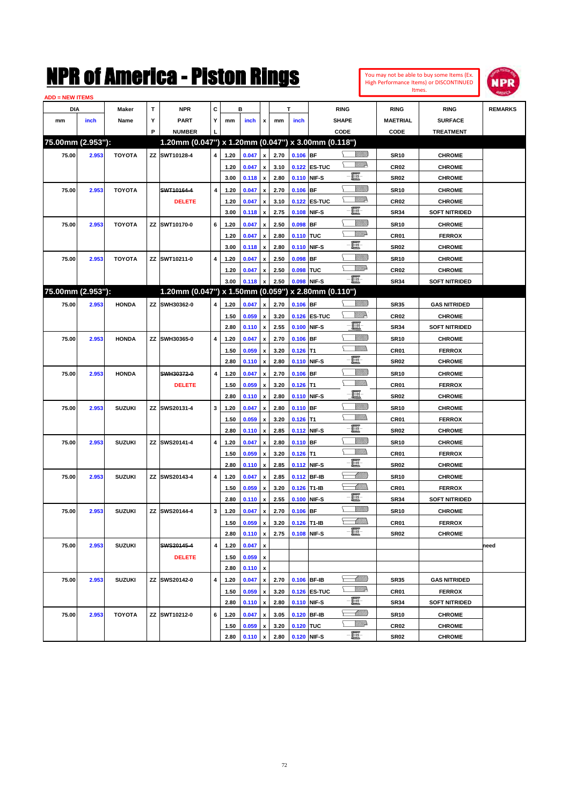

| <b>ADD = NEW ITEMS</b> |       |               |   |                                                     |   |              |       |                           |              |               |              |                               |                  |                      |                |
|------------------------|-------|---------------|---|-----------------------------------------------------|---|--------------|-------|---------------------------|--------------|---------------|--------------|-------------------------------|------------------|----------------------|----------------|
| DIA                    |       | <b>Maker</b>  | т | <b>NPR</b>                                          | С |              | в     |                           |              | т             |              | <b>RING</b>                   | <b>RING</b>      | <b>RING</b>          | <b>REMARKS</b> |
| mm                     | inch  | Name          | Υ | <b>PART</b>                                         | Y | mm           | inch  | x                         | mm           | inch          |              | <b>SHAPE</b>                  | <b>MAETRIAL</b>  | <b>SURFACE</b>       |                |
|                        |       |               | P | <b>NUMBER</b>                                       |   |              |       |                           |              |               |              | CODE                          | <b>CODE</b>      | <b>TREATMENT</b>     |                |
| 75.00mm (2.953"):      |       |               |   | 1.20mm (0.047") x 1.20mm (0.047") x 3.00mm (0.118") |   |              |       |                           |              |               |              |                               |                  |                      |                |
| 75.00                  | 2.953 | <b>TOYOTA</b> |   | ZZ SWT10128-4                                       | 4 | 1.20         | 0.047 | x                         | 2.70         | $0.106$ BF    |              | <u>Villida</u>                | <b>SR10</b>      | <b>CHROME</b>        |                |
|                        |       |               |   |                                                     |   | 1.20         | 0.047 | x                         | 3.10         |               | 0.122 ES-TUC | <u>MM</u>                     | CR <sub>02</sub> | <b>CHROME</b>        |                |
|                        |       |               |   |                                                     |   | 3.00         | 0.118 | $\pmb{\mathsf{x}}$        | 2.80         |               | 0.110 NIF-S  | e                             | <b>SR02</b>      | <b>CHROME</b>        |                |
| 75.00                  | 2.953 | <b>TOYOTA</b> |   | SWT10164-4                                          | 4 | 1.20         | 0.047 | x                         | 2.70         | $0.106$ BF    |              | <u>Villitti</u>               | <b>SR10</b>      | <b>CHROME</b>        |                |
|                        |       |               |   | <b>DELETE</b>                                       |   | 1.20         | 0.047 |                           | 3.10         |               | 0.122 ES-TUC | <u>VM</u> D                   | <b>CR02</b>      | <b>CHROME</b>        |                |
|                        |       |               |   |                                                     |   | 3.00         | 0.118 | x<br>x                    | 2.75         |               | 0.108 NIF-S  | e                             | <b>SR34</b>      | <b>SOFT NITRIDED</b> |                |
|                        |       |               |   |                                                     |   |              |       |                           |              |               |              | <u>Villitti</u>               |                  |                      |                |
| 75.00                  | 2.953 | <b>TOYOTA</b> |   | ZZ SWT10170-0                                       | 6 | 1.20         | 0.047 | x                         | 2.50         | $0.098$ BF    |              | <u>VMD</u>                    | <b>SR10</b>      | <b>CHROME</b>        |                |
|                        |       |               |   |                                                     |   | 1.20         | 0.047 | x                         | 2.80         | 0.110 TUC     |              | e                             | CR <sub>01</sub> | <b>FERROX</b>        |                |
|                        |       |               |   |                                                     |   | 3.00         | 0.118 | x                         | 2.80         |               | 0.110 NIF-S  |                               | <b>SR02</b>      | <b>CHROME</b>        |                |
| 75.00                  | 2.953 | <b>TOYOTA</b> |   | ZZ SWT10211-0                                       | 4 | 1.20         | 0.047 |                           | 2.50         | $0.098$ BF    |              | <u>Villitti</u><br><u>VMD</u> | <b>SR10</b>      | <b>CHROME</b>        |                |
|                        |       |               |   |                                                     |   | 1.20         | 0.047 | x                         | 2.50         | 0.098 TUC     |              |                               | <b>CR02</b>      | <b>CHROME</b>        |                |
|                        |       |               |   |                                                     |   | 3.00         | 0.118 | x                         | 2.50         |               | 0.098 NIF-S  | -日                            | <b>SR34</b>      | <b>SOFT NITRIDED</b> |                |
| 75.00mm (2.953"):      |       |               |   | 1.20mm (0.047") x 1.50mm (0.059") x 2.80mm (0.110") |   |              |       |                           |              |               |              |                               |                  |                      |                |
| 75.00                  | 2.953 | <b>HONDA</b>  |   | ZZ SWH30362-0                                       | 4 | 1.20         | 0.047 | x                         | 2.70         | $0.106$ BF    |              | <u>Villida</u>                | <b>SR35</b>      | <b>GAS NITRIDED</b>  |                |
|                        |       |               |   |                                                     |   | 1.50         | 0.059 | $\boldsymbol{\mathsf{x}}$ | 3.20         |               | 0.126 ES-TUC | <u>VIIID</u>                  | <b>CR02</b>      | <b>CHROME</b>        |                |
|                        |       |               |   |                                                     |   | 2.80         | 0.110 | $\pmb{\mathsf{x}}$        | 2.55         |               | 0.100 NIF-S  | E.                            | <b>SR34</b>      | <b>SOFT NITRIDED</b> |                |
| 75.00                  | 2.953 | <b>HONDA</b>  |   | ZZ SWH30365-0                                       | 4 | 1.20         | 0.047 | x                         | 2.70         | $0.106$ BF    |              | <u>VIIII)</u>                 | <b>SR10</b>      | <b>CHROME</b>        |                |
|                        |       |               |   |                                                     |   | 1.50         | 0.059 | x                         | 3.20         | $0.126$ T1    |              | <br>Mad                       | CR <sub>01</sub> | <b>FERROX</b>        |                |
|                        |       |               |   |                                                     |   | 2.80         | 0.110 | x                         | 2.80         |               | 0.110 NIF-S  | e.                            | <b>SR02</b>      | <b>CHROME</b>        |                |
| 75.00                  | 2.953 | <b>HONDA</b>  |   | SWH30372-0                                          | 4 | 1.20         | 0.047 | x                         | 2.70         | $0.106$ BF    |              | <u>Villitti</u>               | <b>SR10</b>      | <b>CHROME</b>        |                |
|                        |       |               |   | <b>DELETE</b>                                       |   | 1.50         | 0.059 |                           | 3.20         | $0.126$ T1    |              | .<br>VMD                      | CR <sub>01</sub> | <b>FERROX</b>        |                |
|                        |       |               |   |                                                     |   | 2.80         | 0.110 | x                         | 2.80         |               | 0.110 NIF-S  | L.                            | <b>SR02</b>      | <b>CHROME</b>        |                |
| 75.00                  | 2.953 | <b>SUZUKI</b> |   | ZZ SWS20131-4                                       | 3 | 1.20         | 0.047 | x                         | 2.80         | $0.110$ BF    |              | <u>VIIII)</u>                 | <b>SR10</b>      | <b>CHROME</b>        |                |
|                        |       |               |   |                                                     |   | 1.50         | 0.059 | x                         | 3.20         | $0.126$ T1    |              | .<br>VMD                      | CR <sub>01</sub> | <b>FERROX</b>        |                |
|                        |       |               |   |                                                     |   | 2.80         | 0.110 | x                         | 2.85         |               | 0.112 NIF-S  | 圓                             | <b>SR02</b>      | <b>CHROME</b>        |                |
| 75.00                  | 2.953 | <b>SUZUKI</b> |   | ZZ SWS20141-4                                       | 4 | 1.20         | 0.047 |                           | 2.80         | $0.110$ BF    |              | <u>Villitti</u>               | <b>SR10</b>      | <b>CHROME</b>        |                |
|                        |       |               |   |                                                     |   | 1.50         | 0.059 | x                         | 3.20         | $0.126$ T1    |              | .<br>VMD                      | CR <sub>01</sub> | <b>FERROX</b>        |                |
|                        |       |               |   |                                                     |   | 2.80         | 0.110 | x                         | 2.85         |               | 0.112 NIF-S  | 圓                             | <b>SR02</b>      | <b>CHROME</b>        |                |
| 75.00                  | 2.953 | <b>SUZUKI</b> |   | ZZ SWS20143-4                                       | 4 | 1.20         | 0.047 |                           | 2.85         |               | 0.112 BF-IB  | <u> Millil</u>                | <b>SR10</b>      | <b>CHROME</b>        |                |
|                        |       |               |   |                                                     |   | 1.50         | 0.059 | x                         | 3.20         | $0.126$ T1-IB |              | <u> Millitt</u>               | <b>CR01</b>      | <b>FERROX</b>        |                |
|                        |       |               |   |                                                     |   | 2.80         | 0.110 | x                         | 2.55         |               | 0.100 NIF-S  | E                             | <b>SR34</b>      | <b>SOFT NITRIDED</b> |                |
| 75.00                  | 2.953 | <b>SUZUKI</b> |   | ZZ SWS20144-4                                       | 3 | 1.20         | 0.047 | x                         | 2.70         | $0.106$ BF    |              | <u>Villida</u>                | <b>SR10</b>      | <b>CHROME</b>        |                |
|                        |       |               |   |                                                     |   | 1.50         | 0.059 | $\pmb{\mathsf{x}}$        | 3.20         | 0.126 T1-IB   |              | MMM                           | CR01             | <b>FERROX</b>        |                |
|                        |       |               |   |                                                     |   | 2.80         | 0.110 | $\pmb{\mathsf{x}}$        | 2.75         |               | 0.108 NIF-S  | e                             | SR02             | <b>CHROME</b>        |                |
| 75.00                  | 2.953 | <b>SUZUKI</b> |   | SWS20145-4                                          | 4 | 1.20         | 0.047 | x                         |              |               |              |                               |                  |                      | need           |
|                        |       |               |   | <b>DELETE</b>                                       |   | 1.50         | 0.059 | $\pmb{\mathsf{x}}$        |              |               |              |                               |                  |                      |                |
|                        |       |               |   |                                                     |   | 2.80         | 0.110 | $\pmb{\mathsf{x}}$        |              |               |              |                               |                  |                      |                |
| 75.00                  | 2.953 | <b>SUZUKI</b> |   | ZZ SWS20142-0                                       | 4 | 1.20         | 0.047 |                           | 2.70         |               | 0.106 BF-IB  | <u>UMB</u>                    | SR35             | <b>GAS NITRIDED</b>  |                |
|                        |       |               |   |                                                     |   |              | 0.059 | x                         |              |               |              | <u>W//P</u>                   |                  | <b>FERROX</b>        |                |
|                        |       |               |   |                                                     |   | 1.50<br>2.80 |       | x<br>$\pmb{\mathsf{x}}$   | 3.20<br>2.80 |               | 0.126 ES-TUC | e.                            | CR01<br>SR34     | <b>SOFT NITRIDED</b> |                |
|                        |       |               |   |                                                     |   |              | 0.110 |                           |              |               | 0.110 NIF-S  | <u> Millitto</u>              |                  |                      |                |
| 75.00                  | 2.953 | TOYOTA        |   | ZZ SWT10212-0                                       | 6 | 1.20         | 0.047 | x                         | 3.05         |               | 0.120 BF-IB  | <u>VM</u> A                   | <b>SR10</b>      | <b>CHROME</b>        |                |
|                        |       |               |   |                                                     |   | 1.50         | 0.059 | x                         | 3.20         | 0.120 TUC     |              | $-\blacksquare$               | CR02             | <b>CHROME</b>        |                |
|                        |       |               |   |                                                     |   | 2.80         | 0.110 | $\pmb{\mathsf{x}}$        | 2.80         |               | 0.120 NIF-S  |                               | <b>SR02</b>      | <b>CHROME</b>        |                |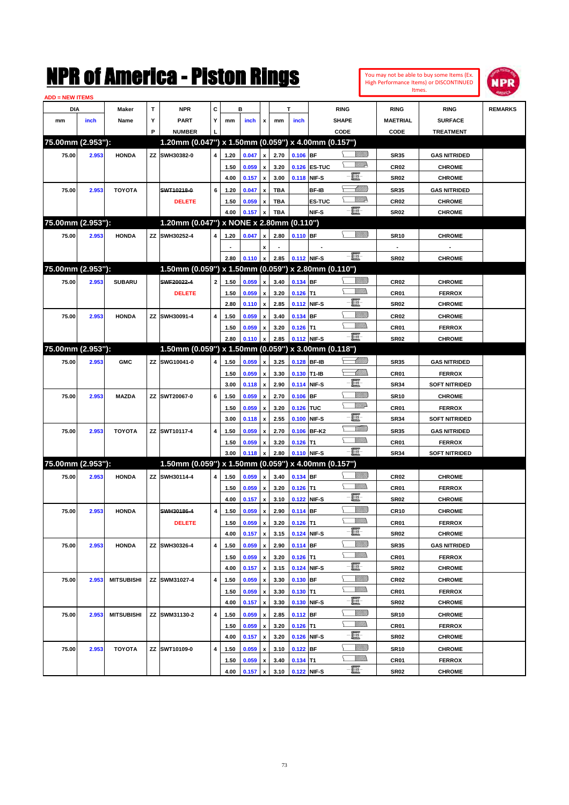| You may not be able to buy some Items (Ex. |
|--------------------------------------------|
| High Performance Items) or DISCONTINUED    |
| Itmes.                                     |



| <b>ADD = NEW ITEMS</b> |       |                   |   |                                                     |                         |      |       |                    |            |             |               |                 |                  |                                |                |
|------------------------|-------|-------------------|---|-----------------------------------------------------|-------------------------|------|-------|--------------------|------------|-------------|---------------|-----------------|------------------|--------------------------------|----------------|
| DIA                    |       | Maker             | T | <b>NPR</b>                                          | С                       |      | в     |                    |            | T           |               | <b>RING</b>     | <b>RING</b>      | <b>RING</b>                    | <b>REMARKS</b> |
| mm                     | inch  | Name              | Υ | <b>PART</b>                                         | Y                       | mm   | inch  | x                  | mm         | inch        |               | <b>SHAPE</b>    | <b>MAETRIAL</b>  | <b>SURFACE</b>                 |                |
|                        |       |                   | P | <b>NUMBER</b>                                       |                         |      |       |                    |            |             |               | CODE            | CODE             | <b>TREATMENT</b>               |                |
| 75.00mm (2.953"):      |       |                   |   | 1.20mm (0.047") x 1.50mm (0.059") x 4.00mm (0.157") |                         |      |       |                    |            |             |               |                 |                  |                                |                |
| 75.00                  | 2.953 | <b>HONDA</b>      |   | ZZ SWH30382-0                                       | 4                       | 1.20 | 0.047 | $\pmb{\mathsf{x}}$ | 2.70       | $0.106$ BF  |               | <u>Villida</u>  | <b>SR35</b>      | <b>GAS NITRIDED</b>            |                |
|                        |       |                   |   |                                                     |                         | 1.50 | 0.059 | $\pmb{\mathsf{x}}$ | 3.20       |             | 0.126 ES-TUC  | <u>MM</u>       | CR <sub>02</sub> | <b>CHROME</b>                  |                |
|                        |       |                   |   |                                                     |                         | 4.00 | 0.157 | $\pmb{\mathsf{x}}$ | 3.00       |             | 0.118 NIF-S   | e               | <b>SR02</b>      | <b>CHROME</b>                  |                |
| 75.00                  | 2.953 | <b>TOYOTA</b>     |   | SWT10218-0                                          | 6                       | 1.20 | 0.047 | x                  | TBA        |             | BF-IB         | <u> Milli</u>   | <b>SR35</b>      | <b>GAS NITRIDED</b>            |                |
|                        |       |                   |   | <b>DELETE</b>                                       |                         | 1.50 | 0.059 | x                  | <b>TBA</b> |             | <b>ES-TUC</b> | <u>Ma</u>       | CR <sub>02</sub> | <b>CHROME</b>                  |                |
|                        |       |                   |   |                                                     |                         | 4.00 | 0.157 | $\pmb{\mathsf{x}}$ | <b>TBA</b> |             | NIF-S         | -日              | SR <sub>02</sub> | <b>CHROME</b>                  |                |
| 75.00mm (2.953"):      |       |                   |   | 1.20mm (0.047") x NONE x 2.80mm (0.110")            |                         |      |       |                    |            |             |               |                 |                  |                                |                |
| 75.00                  | 2.953 | <b>HONDA</b>      |   | ZZ SWH30252-4                                       | 4                       | 1.20 | 0.047 | x                  | 2.80       | 0.110 BF    |               | <u> UMB</u>     | <b>SR10</b>      | <b>CHROME</b>                  |                |
|                        |       |                   |   |                                                     |                         |      |       | x                  |            |             |               |                 |                  |                                |                |
|                        |       |                   |   |                                                     |                         | 2.80 | 0.110 | $\pmb{\mathsf{x}}$ | 2.85       |             | 0.112 NIF-S   | $-\Xi$          | <b>SR02</b>      | <b>CHROME</b>                  |                |
| 75.00mm (2.953"):      |       |                   |   | 1.50mm (0.059") x 1.50mm (0.059") x 2.80mm (0.110") |                         |      |       |                    |            |             |               |                 |                  |                                |                |
| 75.00                  | 2.953 | <b>SUBARU</b>     |   | SWF20022-4                                          | $\overline{2}$          | 1.50 | 0.059 | $\pmb{\mathsf{x}}$ | 3.40       | 0.134 BF    |               | <u>Villida</u>  | CR <sub>02</sub> | <b>CHROME</b>                  |                |
|                        |       |                   |   | <b>DELETE</b>                                       |                         | 1.50 | 0.059 | $\pmb{\mathsf{x}}$ | 3.20       | $0.126$ T1  |               | <br>Militar     | CR01             | <b>FERROX</b>                  |                |
|                        |       |                   |   |                                                     |                         | 2.80 | 0.110 | $\pmb{\mathsf{x}}$ | 2.85       |             | 0.112 NIF-S   | e               | <b>SR02</b>      | <b>CHROME</b>                  |                |
| 75.00                  | 2.953 | <b>HONDA</b>      |   | ZZ SWH30091-4                                       | 4                       | 1.50 | 0.059 | x                  | 3.40       | 0.134 BF    |               | <u>Sillilli</u> | CR <sub>02</sub> | <b>CHROME</b>                  |                |
|                        |       |                   |   |                                                     |                         | 1.50 | 0.059 | x                  | 3.20       | $0.126$ T1  |               | <u>MMS</u>      | CR01             | <b>FERROX</b>                  |                |
|                        |       |                   |   |                                                     |                         | 2.80 | 0.110 | x                  | 2.85       |             | 0.112 NIF-S   | -8              | <b>SR02</b>      | <b>CHROME</b>                  |                |
| 75.00mm (2.953"):      |       |                   |   | 1.50mm (0.059") x 1.50mm (0.059") x 3.00mm (0.118") |                         |      |       |                    |            |             |               |                 |                  |                                |                |
| 75.00                  | 2.953 | <b>GMC</b>        |   | ZZ SWG10041-0                                       | 4                       | 1.50 | 0.059 | x                  | 3.25       |             | 0.128 BF-IB   | <u> Milli</u>   | <b>SR35</b>      | <b>GAS NITRIDED</b>            |                |
|                        |       |                   |   |                                                     |                         | 1.50 | 0.059 | $\pmb{\mathsf{x}}$ | 3.30       | 0.130 T1-IB |               | <u>UMM</u>      | CR01             | <b>FERROX</b>                  |                |
|                        |       |                   |   |                                                     |                         | 3.00 | 0.118 | $\pmb{\mathsf{x}}$ | 2.90       |             | 0.114 NIF-S   | E               | <b>SR34</b>      | <b>SOFT NITRIDED</b>           |                |
| 75.00                  | 2.953 | <b>MAZDA</b>      |   | ZZ SWT20067-0                                       | 6                       | 1.50 | 0.059 | x                  | 2.70       | $0.106$ BF  |               | <u>Sillilli</u> | <b>SR10</b>      | <b>CHROME</b>                  |                |
|                        |       |                   |   |                                                     |                         | 1.50 | 0.059 | x                  | 3.20       | 0.126 TUC   |               | <u>VMD</u>      | CR01             | <b>FERROX</b>                  |                |
|                        |       |                   |   |                                                     |                         | 3.00 | 0.118 | x                  | 2.55       |             | 0.100 NIF-S   | e               | <b>SR34</b>      | <b>SOFT NITRIDED</b>           |                |
| 75.00                  | 2.953 | <b>TOYOTA</b>     |   | ZZ SWT10117-4                                       | 4                       | 1.50 | 0.059 | x                  | 2.70       |             | 0.106 BF-K2   | <u>MM</u>       | <b>SR35</b>      | <b>GAS NITRIDED</b>            |                |
|                        |       |                   |   |                                                     |                         | 1.50 | 0.059 | x                  | 3.20       | $0.126$ T1  |               | <u>Millid</u>   | CR01             | <b>FERROX</b>                  |                |
|                        |       |                   |   |                                                     |                         | 3.00 | 0.118 | x                  | 2.80       |             | 0.110 NIF-S   | -8              | <b>SR34</b>      | <b>SOFT NITRIDED</b>           |                |
| 75.00mm (2.953"):      |       |                   |   | 1.50mm (0.059") x 1.50mm (0.059") x 4.00mm (0.157") |                         |      |       |                    |            |             |               |                 |                  |                                |                |
| 75.00                  | 2.953 | <b>HONDA</b>      |   | ZZ SWH30114-4                                       | 4                       | 1.50 | 0.059 | x                  | 3.40       | 0.134 BF    |               | <u>Villida</u>  | CR <sub>02</sub> | <b>CHROME</b>                  |                |
|                        |       |                   |   |                                                     |                         | 1.50 | 0.059 | $\pmb{\mathsf{x}}$ | 3.20       | $0.126$ T1  |               | <br>Militar     | CR01             | <b>FERROX</b>                  |                |
|                        |       |                   |   |                                                     |                         | 4.00 | 0.157 | $\pmb{\mathsf{x}}$ | 3.10       |             | 0.122 NIF-S   | e               | <b>SR02</b>      | <b>CHROME</b>                  |                |
| 75.00                  | 2.953 | <b>HONDA</b>      |   | SWH30186-4                                          | 4                       | 1.50 | 0.059 | $\pmb{\mathsf{x}}$ | 2.90       | $0.114$ BF  |               | <u>Sillilli</u> | CR <sub>10</sub> | <b>CHROME</b>                  |                |
|                        |       |                   |   | <b>DELETE</b>                                       |                         | 1.50 | 0.059 | $\pmb{\mathsf{x}}$ | 3.20       | $0.126$ T1  |               | <br>Mad         | CR01             | <b>FERROX</b>                  |                |
|                        |       |                   |   |                                                     |                         | 4.00 | 0.157 | $\pmb{\mathsf{x}}$ | 3.15       |             | 0.124 NIF-S   | e               | SR02             | <b>CHROME</b>                  |                |
|                        |       |                   |   |                                                     | $\overline{\mathbf{4}}$ |      |       |                    |            |             |               | <u>Villida</u>  |                  |                                |                |
| 75.00                  | 2.953 | <b>HONDA</b>      |   | ZZ SWH30326-4                                       |                         | 1.50 | 0.059 | x                  | 2.90       | $0.114$ BF  |               | <u>Willib</u>   | <b>SR35</b>      | <b>GAS NITRIDED</b>            |                |
|                        |       |                   |   |                                                     |                         | 1.50 | 0.059 | $\pmb{\mathsf{x}}$ | 3.20       | $0.126$ T1  |               | e.              | CR01             | <b>FERROX</b><br><b>CHROME</b> |                |
|                        |       |                   |   |                                                     |                         | 4.00 | 0.157 | $\pmb{\mathsf{x}}$ | 3.15       |             | 0.124 NIF-S   | <u>Villida</u>  | SR02             |                                |                |
| 75.00                  | 2.953 | <b>MITSUBISHI</b> |   | ZZ SWM31027-4                                       | $\pmb{4}$               | 1.50 | 0.059 | x                  | 3.30       | $0.130$ BF  |               | <u>MM)</u>      | CR02             | <b>CHROME</b>                  |                |
|                        |       |                   |   |                                                     |                         | 1.50 | 0.059 | x                  | 3.30       | $0.130$ T1  |               | e               | CR01             | <b>FERROX</b>                  |                |
|                        |       |                   |   |                                                     |                         | 4.00 | 0.157 | $\pmb{\mathsf{x}}$ | 3.30       |             | 0.130 NIF-S   | <u>Villida</u>  | SR02             | <b>CHROME</b>                  |                |
| 75.00                  | 2.953 | <b>MITSUBISHI</b> |   | ZZ SWM31130-2                                       | $\overline{\mathbf{4}}$ | 1.50 | 0.059 | x                  | 2.85       | $0.112$ BF  |               | <u>Willib</u>   | <b>SR10</b>      | <b>CHROME</b>                  |                |
|                        |       |                   |   |                                                     |                         | 1.50 | 0.059 | x                  | 3.20       | $0.126$ T1  |               | e               | CR01             | <b>FERROX</b>                  |                |
|                        |       |                   |   |                                                     |                         | 4.00 | 0.157 | $\pmb{\mathsf{x}}$ | 3.20       |             | 0.126 NIF-S   | <u>Villida</u>  | SR02             | <b>CHROME</b>                  |                |
| 75.00                  | 2.953 | <b>TOYOTA</b>     |   | ZZ SWT10109-0                                       | $\overline{\mathbf{4}}$ | 1.50 | 0.059 | x                  | 3.10       | $0.122$ BF  |               | <u>Willib</u>   | <b>SR10</b>      | <b>CHROME</b>                  |                |
|                        |       |                   |   |                                                     |                         | 1.50 | 0.059 | x                  | 3.40       | $0.134$ T1  |               | -8              | CR01             | <b>FERROX</b>                  |                |
|                        |       |                   |   |                                                     |                         | 4.00 | 0.157 | $\pmb{\mathsf{x}}$ | 3.10       |             | 0.122 NIF-S   |                 | SR02             | <b>CHROME</b>                  |                |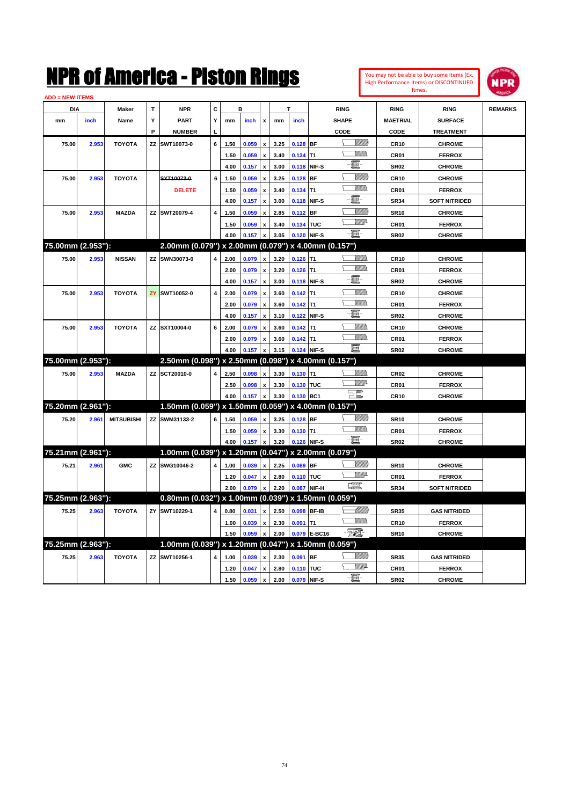| You may not be able to buy some Items (Ex. |
|--------------------------------------------|
| High Performance Items) or DISCONTINUED    |
| Itmes.                                     |



| <b>ADD = NEW ITEMS</b> |       |                   |    |                                                     |                         |      |       |                           |      |             |              |                    |                  |                      |                |
|------------------------|-------|-------------------|----|-----------------------------------------------------|-------------------------|------|-------|---------------------------|------|-------------|--------------|--------------------|------------------|----------------------|----------------|
| <b>DIA</b>             |       | <b>Maker</b>      | T  | <b>NPR</b>                                          | C                       |      | B     |                           |      |             |              | <b>RING</b>        | <b>RING</b>      | <b>RING</b>          | <b>REMARKS</b> |
| mm                     | inch  | Name              | Υ  | <b>PART</b>                                         | Y                       | mm   | inch  | $\boldsymbol{\mathsf{x}}$ | mm   | inch        |              | <b>SHAPE</b>       | <b>MAETRIAL</b>  | <b>SURFACE</b>       |                |
|                        |       |                   | P  | <b>NUMBER</b>                                       |                         |      |       |                           |      |             |              | CODE               | CODE             | <b>TREATMENT</b>     |                |
| 75.00                  | 2.953 | <b>TOYOTA</b>     | ΖZ | SWT10073-0                                          | 6                       | 1.50 | 0.059 | $\boldsymbol{\mathsf{x}}$ | 3.25 | $0.128$ BF  |              | <u>Sillilli</u>    | <b>CR10</b>      | <b>CHROME</b>        |                |
|                        |       |                   |    |                                                     |                         | 1.50 | 0.059 | $\pmb{\mathsf{x}}$        | 3.40 | $0.134$ T1  |              | .<br>VMDo          | CR <sub>01</sub> | <b>FERROX</b>        |                |
|                        |       |                   |    |                                                     |                         | 4.00 | 0.157 | $\pmb{\mathsf{x}}$        | 3.00 | 0.118 NIF-S |              | E                  | <b>SR02</b>      | <b>CHROME</b>        |                |
| 75.00                  | 2.953 | <b>TOYOTA</b>     |    | SXT10073-0                                          | 6                       | 1.50 | 0.059 | $\boldsymbol{x}$          | 3.25 | $0.128$ BF  |              | VMM)               | <b>CR10</b>      | <b>CHROME</b>        |                |
|                        |       |                   |    | <b>DELETE</b>                                       |                         | 1.50 | 0.059 | $\boldsymbol{\mathsf{x}}$ | 3.40 | $0.134$ T1  |              | <u>MMs</u><br>ኒ    | CR <sub>01</sub> | <b>FERROX</b>        |                |
|                        |       |                   |    |                                                     |                         | 4.00 | 0.157 | $\pmb{\mathsf{x}}$        | 3.00 | 0.118 NIF-S |              | 圓                  | <b>SR34</b>      | <b>SOFT NITRIDED</b> |                |
| 75.00                  | 2.953 | <b>MAZDA</b>      |    | ZZ SWT20079-4                                       | 4                       | 1.50 | 0.059 | $\boldsymbol{\mathsf{x}}$ | 2.85 | 0.112 BF    |              | <u>Sillilli</u>    | <b>SR10</b>      | <b>CHROME</b>        |                |
|                        |       |                   |    |                                                     |                         | 1.50 | 0.059 | $\mathbf{x}$              | 3.40 | 0.134 TUC   |              | <b>WWA</b>         | CR01             | <b>FERROX</b>        |                |
|                        |       |                   |    |                                                     |                         | 4.00 | 0.157 |                           | 3.05 | 0.120 NIF-S |              | $-\blacksquare$    | <b>SR02</b>      | <b>CHROME</b>        |                |
| 75.00mm (2.953"):      |       |                   |    | 2.00mm (0.079") x 2.00mm (0.079") x 4.00mm (0.157") |                         |      |       |                           |      |             |              |                    |                  |                      |                |
| 75.00                  | 2.953 | <b>NISSAN</b>     |    | <b>ZZ SWN30073-0</b>                                | 4                       | 2.00 | 0.079 | $\boldsymbol{\mathsf{x}}$ | 3.20 | $0.126$ T1  |              | .<br>Villida       | <b>CR10</b>      | <b>CHROME</b>        |                |
|                        |       |                   |    |                                                     |                         | 2.00 | 0.079 | $\boldsymbol{x}$          | 3.20 | $0.126$ T1  |              | WMD 2              | CR01             | <b>FERROX</b>        |                |
|                        |       |                   |    |                                                     |                         | 4.00 | 0.157 | <b>x</b>                  | 3.00 | 0.118 NIF-S |              | 圓                  | <b>SR02</b>      | <b>CHROME</b>        |                |
| 75.00                  | 2.953 | <b>TOYOTA</b>     |    | <b>ZY SWT10052-0</b>                                | $\overline{\mathbf{4}}$ | 2.00 | 0.079 | $\pmb{\mathsf{x}}$        | 3.60 | $0.142$ T1  |              | <u>MMs</u>         | <b>CR10</b>      | <b>CHROME</b>        |                |
|                        |       |                   |    |                                                     |                         | 2.00 | 0.079 | $\pmb{\mathsf{x}}$        | 3.60 | $0.142$ T1  |              | VM).               | <b>CR01</b>      | <b>FERROX</b>        |                |
|                        |       |                   |    |                                                     |                         | 4.00 | 0.157 | $\boldsymbol{\mathsf{x}}$ | 3.10 | 0.122 NIF-S |              | đ.                 | <b>SR02</b>      | <b>CHROME</b>        |                |
| 75.00                  | 2.953 | <b>TOYOTA</b>     |    | ZZ SXT10004-0                                       | 6                       | 2.00 | 0.079 | $\pmb{\mathsf{x}}$        | 3.60 | $0.142$ T1  |              |                    | <b>CR10</b>      | <b>CHROME</b>        |                |
|                        |       |                   |    |                                                     |                         | 2.00 | 0.079 | $\boldsymbol{\mathsf{x}}$ | 3.60 | $0.142$ T1  |              |                    | CR01             | <b>FERROX</b>        |                |
|                        |       |                   |    |                                                     |                         | 4.00 | 0.157 | $\pmb{\mathsf{x}}$        | 3.15 | 0.124 NIF-S |              | $-\blacksquare$    | <b>SR02</b>      | <b>CHROME</b>        |                |
| 75.00mm (2.953"):      |       |                   |    | 2.50mm (0.098") x 2.50mm (0.098") x 4.00mm (0.157") |                         |      |       |                           |      |             |              |                    |                  |                      |                |
| 75.00                  | 2.953 | <b>MAZDA</b>      |    | ZZ SCT20010-0                                       |                         | 2.50 | 0.098 | $\mathbf{x}$              | 3.30 | $0.130$ T1  |              | VM).               | <b>CR02</b>      | <b>CHROME</b>        |                |
|                        |       |                   |    |                                                     |                         | 2.50 | 0.098 | $\boldsymbol{\mathsf{x}}$ | 3.30 | 0.130 TUC   |              | <u>WW</u> A        | CR01             | <b>FERROX</b>        |                |
|                        |       |                   |    |                                                     |                         | 4.00 | 0.157 | $\pmb{\mathsf{x}}$        | 3.30 | 0.130 BC1   |              | $\Xi^{\mathbb{Z}}$ | <b>CR10</b>      | <b>CHROME</b>        |                |
| 75.20mm (2.961"):      |       |                   |    | 1.50mm (0.059") x 1.50mm (0.059") x 4.00mm (0.157") |                         |      |       |                           |      |             |              |                    |                  |                      |                |
| 75.20                  | 2.961 | <b>MITSUBISHI</b> |    | ZZ SWM31133-2                                       | 6                       | 1.50 | 0.059 |                           | 3.25 | $0.128$ BF  |              | VIII B             | <b>SR10</b>      | <b>CHROME</b>        |                |
|                        |       |                   |    |                                                     |                         | 1.50 | 0.059 | $\pmb{\mathsf{x}}$        | 3.30 | $0.130$ T1  |              | <b>The Company</b> | <b>CR01</b>      | <b>FERROX</b>        |                |
|                        |       |                   |    |                                                     |                         | 4.00 | 0.157 | $\boldsymbol{\mathsf{x}}$ | 3.20 | 0.126 NIF-S |              | -日                 | <b>SR02</b>      | <b>CHROME</b>        |                |
| 75.21mm (2.961"):      |       |                   |    | 1.00mm (0.039") x 1.20mm (0.047") x 2.00mm (0.079") |                         |      |       |                           |      |             |              |                    |                  |                      |                |
| 75.21                  | 2.961 | <b>GMC</b>        |    | ZZ SWG10046-2                                       |                         | 1.00 | 0.039 | $\boldsymbol{\mathsf{x}}$ | 2.25 | $0.089$ BF  |              | .<br>Viitikk       | <b>SR10</b>      | <b>CHROME</b>        |                |
|                        |       |                   |    |                                                     |                         | 1.20 | 0.047 | $\boldsymbol{\mathsf{x}}$ | 2.80 | 0.110 TUC   |              | .<br>WWA           | CR01             | <b>FERROX</b>        |                |
|                        |       |                   |    |                                                     |                         | 2.00 | 0.079 | $\pmb{\mathsf{x}}$        | 2.20 | 0.087 NIF-H |              | 環                  | <b>SR34</b>      | <b>SOFT NITRIDED</b> |                |
| 75.25mm (2.963"):      |       |                   |    | 0.80mm (0.032") x 1.00mm (0.039") x 1.50mm (0.059") |                         |      |       |                           |      |             |              |                    |                  |                      |                |
| 75.25                  | 2.963 | <b>TOYOTA</b>     |    | ZY SWT10229-1                                       | 4                       | 0.80 | 0.031 | $\boldsymbol{x}$          | 2.50 | 0.098 BF-IB |              | -977778            | <b>SR35</b>      | <b>GAS NITRIDED</b>  |                |
|                        |       |                   |    |                                                     |                         | 1.00 | 0.039 | $\mathbf{x}$              | 2.30 | $0.091$ T1  |              | <u>Willib</u><br>ኒ | <b>CR10</b>      | <b>FERROX</b>        |                |
|                        |       |                   |    |                                                     |                         | 1.50 | 0.059 | $\boldsymbol{\mathsf{x}}$ | 2.00 |             | 0.079 E-BC16 | - 50).             | <b>SR10</b>      | <b>CHROME</b>        |                |
| 75.25mm (2.963"):      |       |                   |    | 1.00mm (0.039") x 1.20mm (0.047") x 1.50mm (0.059") |                         |      |       |                           |      |             |              |                    |                  |                      |                |
| 75.25                  | 2.963 | <b>TOYOTA</b>     |    | ZZ SWT10256-1                                       | 4                       | 1.00 | 0.039 | $\pmb{\mathsf{x}}$        | 2.30 | $0.091$ BF  |              |                    | <b>SR35</b>      | <b>GAS NITRIDED</b>  |                |
|                        |       |                   |    |                                                     |                         | 1.20 | 0.047 | $\pmb{\mathsf{x}}$        | 2.80 | 0.110 TUC   |              | <u>VM</u> D        | CR01             | <b>FERROX</b>        |                |
|                        |       |                   |    |                                                     |                         | 1.50 | 0.059 | $\mathbf{x}$              | 2.00 | 0.079 NIF-S |              | - 8                | <b>SR02</b>      | <b>CHROME</b>        |                |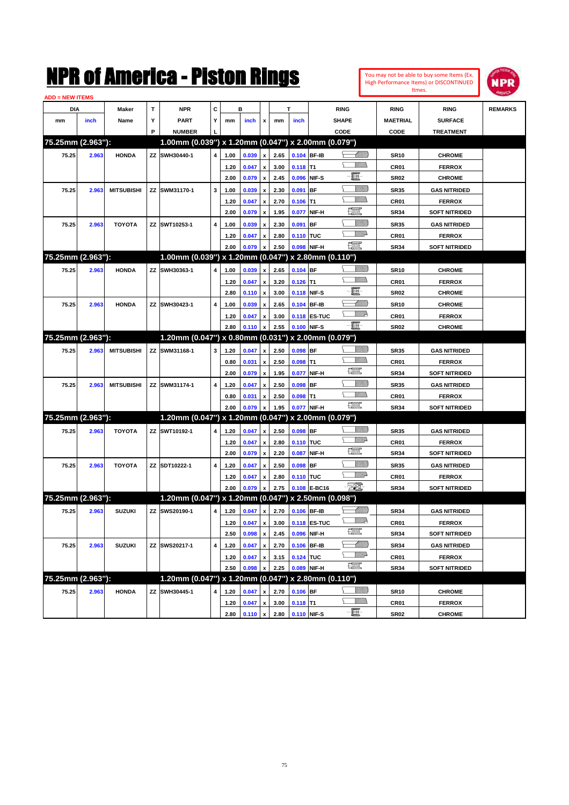| You may not be able to buy some Items (Ex. |
|--------------------------------------------|
| High Performance Items) or DISCONTINUED    |
| Itmes.                                     |



| <b>ADD = NEW ITEMS</b> |       |                   |    |                                                     |   |      |       |                    |      |             |                   |                  |                  |                      |                |
|------------------------|-------|-------------------|----|-----------------------------------------------------|---|------|-------|--------------------|------|-------------|-------------------|------------------|------------------|----------------------|----------------|
| DIA                    |       | <b>Maker</b>      | т  | NPR                                                 | С |      | в     |                    |      | т           |                   | <b>RING</b>      | <b>RING</b>      | <b>RING</b>          | <b>REMARKS</b> |
| mm                     | inch  | Name              | Y  | <b>PART</b>                                         | Y | mm   | inch  | x                  | mm   | inch        |                   | <b>SHAPE</b>     | <b>MAETRIAL</b>  | <b>SURFACE</b>       |                |
|                        |       |                   | P  | <b>NUMBER</b>                                       |   |      |       |                    |      |             |                   | CODE             | CODE             | <b>TREATMENT</b>     |                |
| 75.25mm (2.963"):      |       |                   |    | 1.00mm (0.039") x 1.20mm (0.047") x 2.00mm (0.079") |   |      |       |                    |      |             |                   |                  |                  |                      |                |
| 75.25                  | 2.963 | <b>HONDA</b>      |    | ZZ SWH30440-1                                       | 4 | 1.00 | 0.039 | x                  | 2.65 |             | 0.104 BF-IB       | <u> Millilli</u> | <b>SR10</b>      | <b>CHROME</b>        |                |
|                        |       |                   |    |                                                     |   | 1.20 | 0.047 | x                  | 3.00 | $0.118$ T1  |                   |                  | CR01             | <b>FERROX</b>        |                |
|                        |       |                   |    |                                                     |   | 2.00 | 0.079 | x                  | 2.45 |             | 0.096 NIF-S       | e                | <b>SR02</b>      | <b>CHROME</b>        |                |
| 75.25                  | 2.963 | <b>MITSUBISHI</b> |    | ZZ SWM31170-1                                       | 3 | 1.00 | 0.039 | x                  | 2.30 | 0.091       | <b>BF</b>         | <u>VIIII)</u>    | <b>SR35</b>      | <b>GAS NITRIDED</b>  |                |
|                        |       |                   |    |                                                     |   | 1.20 | 0.047 | x                  | 2.70 | $0.106$ T1  |                   |                  | CR <sub>01</sub> | <b>FERROX</b>        |                |
|                        |       |                   |    |                                                     |   | 2.00 | 0.079 | x                  | 1.95 | 0.077       | NIF-H             | <u>fin</u>       | <b>SR34</b>      | <b>SOFT NITRIDED</b> |                |
| 75.25                  | 2.963 | <b>TOYOTA</b>     |    | ZZ SWT10253-1                                       | 4 | 1.00 | 0.039 |                    | 2.30 | 0.091       | <b>BF</b>         | <u> UMB</u>      | <b>SR35</b>      | <b>GAS NITRIDED</b>  |                |
|                        |       |                   |    |                                                     |   | 1.20 | 0.047 | x                  | 2.80 | 0.110 TUC   |                   | <u>VMD</u>       | CR <sub>01</sub> | <b>FERROX</b>        |                |
|                        |       |                   |    |                                                     |   | 2.00 | 0.079 |                    | 2.50 |             | 0.098 NIF-H       | æ                | <b>SR34</b>      | <b>SOFT NITRIDED</b> |                |
| 75.25mm (2.963"):      |       |                   |    | 1.00mm (0.039") x 1.20mm (0.047") x 2.80mm (0.110") |   |      |       |                    |      |             |                   |                  |                  |                      |                |
| 75.25                  | 2.963 | <b>HONDA</b>      |    | ZZ SWH30363-1                                       | 4 | 1.00 | 0.039 | x                  | 2.65 | 0.104 BF    |                   | <u> UMB</u>      | <b>SR10</b>      | <b>CHROME</b>        |                |
|                        |       |                   |    |                                                     |   | 1.20 | 0.047 | x                  | 3.20 | $0.126$ T1  |                   | UM)              | CR <sub>01</sub> | <b>FERROX</b>        |                |
|                        |       |                   |    |                                                     |   | 2.80 | 0.110 | x                  | 3.00 |             | 0.118 NIF-S       | E                | <b>SR02</b>      | <b>CHROME</b>        |                |
| 75.25                  | 2.963 | <b>HONDA</b>      |    | ZZ SWH30423-1                                       | 4 | 1.00 | 0.039 | x                  | 2.65 |             | 0.104 BF-IB       |                  | <b>SR10</b>      | <b>CHROME</b>        |                |
|                        |       |                   |    |                                                     |   | 1.20 | 0.047 | x                  | 3.00 |             | 0.118 ES-TUC      | <u>VM</u> D      | CR <sub>01</sub> | <b>FERROX</b>        |                |
|                        |       |                   |    |                                                     |   | 2.80 | 0.110 |                    | 2.55 |             | 0.100 NIF-S       | -8               | <b>SR02</b>      | <b>CHROME</b>        |                |
| 75.25mm (2.963"):      |       |                   |    | 1.20mm (0.047") x 0.80mm (0.031") x 2.00mm (0.079") |   |      |       |                    |      |             |                   |                  |                  |                      |                |
| 75.25                  | 2.963 | <b>MITSUBISHI</b> | ΖZ | SWM31168-1                                          | 3 | 1.20 | 0.047 | x                  | 2.50 | 0.098 BF    |                   | <u>Villida</u>   | <b>SR35</b>      | <b>GAS NITRIDED</b>  |                |
|                        |       |                   |    |                                                     |   | 0.80 | 0.031 | x                  | 2.50 | $0.098$ T1  |                   |                  | CR <sub>01</sub> | <b>FERROX</b>        |                |
|                        |       |                   |    |                                                     |   | 2.00 | 0.079 | x                  | 1.95 | 0.077       | NIF-H             | 鱱                | <b>SR34</b>      | <b>SOFT NITRIDED</b> |                |
| 75.25                  | 2.963 | <b>MITSUBISHI</b> |    | ZZ SWM31174-1                                       | 4 | 1.20 | 0.047 |                    | 2.50 | $0.098$ BF  |                   | <u>UMB</u>       | <b>SR35</b>      | <b>GAS NITRIDED</b>  |                |
|                        |       |                   |    |                                                     |   | 0.80 | 0.031 | x                  | 2.50 | $0.098$ T1  |                   |                  | CR <sub>01</sub> | <b>FERROX</b>        |                |
|                        |       |                   |    |                                                     |   | 2.00 | 0.079 |                    | 1.95 |             | 0.077 NIF-H       | 鱱                | <b>SR34</b>      | <b>SOFT NITRIDED</b> |                |
| 75.25mm (2.963"):      |       |                   |    | 1.20mm (0.047") x 1.20mm (0.047") x 2.00mm (0.079") |   |      |       |                    |      |             |                   |                  |                  |                      |                |
| 75.25                  | 2.963 | <b>TOYOTA</b>     |    | ZZ SWT10192-1                                       | 4 | 1.20 | 0.047 | x                  | 2.50 | 0.098 BF    |                   | <u> UMB</u>      | <b>SR35</b>      | <b>GAS NITRIDED</b>  |                |
|                        |       |                   |    |                                                     |   | 1.20 | 0.047 | x                  | 2.80 | 0.110 TUC   |                   | <u>MMP</u>       | CR <sub>01</sub> | <b>FERROX</b>        |                |
|                        |       |                   |    |                                                     |   | 2.00 | 0.079 | x                  | 2.20 | 0.087       | NIF-H             | 鱱                | <b>SR34</b>      | <b>SOFT NITRIDED</b> |                |
| 75.25                  | 2.963 | <b>TOYOTA</b>     |    | ZZ SDT10222-1                                       | 4 | 1.20 | 0.047 | x                  | 2.50 | $0.098$ BF  |                   | <u>Villitti</u>  | <b>SR35</b>      | <b>GAS NITRIDED</b>  |                |
|                        |       |                   |    |                                                     |   | 1.20 | 0.047 | x                  | 2.80 | 0.110 TUC   |                   | <u>MMP</u>       | CR <sub>01</sub> | <b>FERROX</b>        |                |
|                        |       |                   |    |                                                     |   | 2.00 | 0.079 | x                  | 2.75 |             | 0.108 E-BC16      | EO)              | <b>SR34</b>      | <b>SOFT NITRIDED</b> |                |
| 75.25mm (2.963"):      |       |                   |    | 1.20mm (0.047") x 1.20mm (0.047") x 2.50mm (0.098") |   |      |       |                    |      |             |                   |                  |                  |                      |                |
| 75.25                  | 2.963 | <b>SUZUKI</b>     |    | ZZ SWS20190-1                                       | 4 | 1.20 | 0.047 | x                  | 2.70 |             | 0.106 BF-IB       | <u> UMB</u>      | <b>SR34</b>      | <b>GAS NITRIDED</b>  |                |
|                        |       |                   |    |                                                     |   | 1.20 | 0.047 | $\pmb{\mathsf{x}}$ | 3.00 |             | 0.118 ES-TUC      | <u>MM</u>        | CR01             | <b>FERROX</b>        |                |
|                        |       |                   |    |                                                     |   | 2.50 | 0.098 | $\pmb{\mathsf{x}}$ | 2.45 | 0.096       | NIF-H             | R                | <b>SR34</b>      | <b>SOFT NITRIDED</b> |                |
| 75.25                  | 2.963 | <b>SUZUKI</b>     |    | ZZ SWS20217-1                                       | 4 | 1.20 | 0.047 | x                  | 2.70 |             | 0.106 BF-IB       | <u> UMB</u>      | <b>SR34</b>      | <b>GAS NITRIDED</b>  |                |
|                        |       |                   |    |                                                     |   | 1.20 | 0.047 | x                  | 3.15 | 0.124 TUC   |                   | ₩₩               | CR01             | <b>FERROX</b>        |                |
|                        |       |                   |    |                                                     |   | 2.50 | 0.098 |                    | 2.25 |             | 0.089 NIF-H       | R                | <b>SR34</b>      | <b>SOFT NITRIDED</b> |                |
| 75.25mm (2.963"):      |       |                   |    | 1.20mm (0.047") x 1.20mm (0.047")                   |   |      |       |                    |      |             | x 2.80mm (0.110") |                  |                  |                      |                |
| 75.25                  | 2.963 | <b>HONDA</b>      | ΖZ | SWH30445-1                                          | 4 | 1.20 | 0.047 | x                  | 2.70 | $0.106$ BF  |                   | <u>VIIII)</u>    | SR10             | <b>CHROME</b>        |                |
|                        |       |                   |    |                                                     |   | 1.20 | 0.047 | x                  | 3.00 | $0.118$ T1  |                   | <u>Willib</u>    | CR01             | <b>FERROX</b>        |                |
|                        |       |                   |    |                                                     |   | 2.80 | 0.110 | $\pmb{\mathsf{x}}$ | 2.80 | 0.110 NIF-S |                   | $-\Xi$ -         | <b>SR02</b>      | <b>CHROME</b>        |                |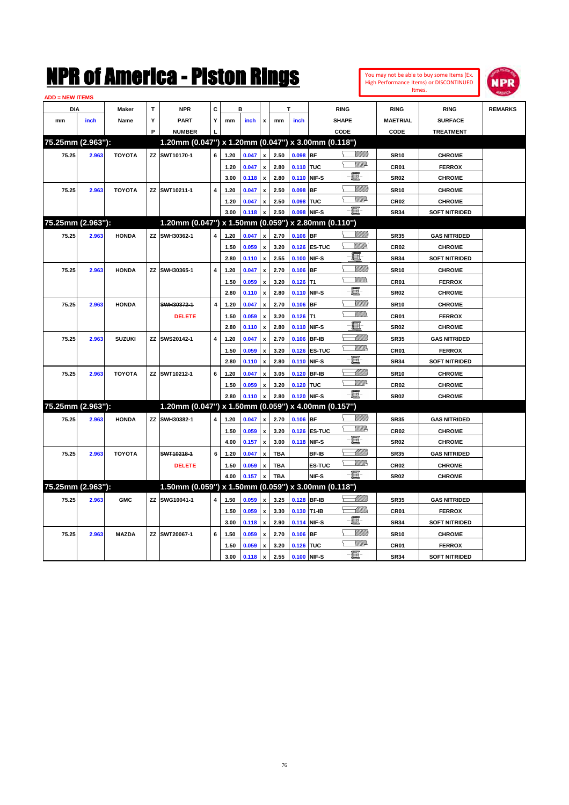|                   |       |               |             | NMK OI AINCTICA - MISTON KINGS                      |                         |                 |              |                           |            |             |                    |                 |                  | You may not be able to buy some Items (Ex.<br>High Performance Items) or DISCONTINUED | <b>NPR</b>     |
|-------------------|-------|---------------|-------------|-----------------------------------------------------|-------------------------|-----------------|--------------|---------------------------|------------|-------------|--------------------|-----------------|------------------|---------------------------------------------------------------------------------------|----------------|
| ADD = NEW ITEMS   |       |               |             |                                                     |                         |                 |              |                           |            |             |                    |                 | <b>Itmes</b>     |                                                                                       |                |
| <b>DIA</b>        |       | <b>Maker</b>  | $\mathbf T$ | <b>NPR</b>                                          | c                       |                 | в            |                           |            | т           | <b>RING</b>        |                 | <b>RING</b>      | <b>RING</b>                                                                           | <b>REMARKS</b> |
| mm                | inch  | Name          | Υ           | <b>PART</b>                                         | Y                       | mm              | inch         | $\pmb{\mathsf{x}}$        | mm         | inch        | <b>SHAPE</b>       |                 | <b>MAETRIAL</b>  | <b>SURFACE</b>                                                                        |                |
|                   |       |               | P           | <b>NUMBER</b>                                       |                         |                 |              |                           |            |             | CODE               |                 | CODE             | <b>TREATMENT</b>                                                                      |                |
| 75.25mm (2.963"): |       |               |             | 1.20mm (0.047") x 1.20mm (0.047") x 3.00mm (0.118") |                         |                 |              |                           |            |             |                    |                 |                  |                                                                                       |                |
| 75.25             | 2.963 | <b>TOYOTA</b> |             | ZZ SWT10170-1                                       | 6                       | 1.20            | 0.047        | $\pmb{\mathsf{x}}$        | 2.50       | $0.098$ BF  |                    | VMM)            | <b>SR10</b>      | <b>CHROME</b>                                                                         |                |
|                   |       |               |             |                                                     |                         | 1.20            | 0.047        | $\pmb{\mathsf{x}}$        | 2.80       | 0.110 TUC   |                    | <b>Willia</b>   | CR01             | <b>FERROX</b>                                                                         |                |
|                   |       |               |             |                                                     |                         | 3.00            | 0.118        | $\mathbf{x}$              | 2.80       |             | 0.110 NIF-S        | E               | <b>SR02</b>      | <b>CHROME</b>                                                                         |                |
| 75.25             | 2.963 | <b>TOYOTA</b> |             | ZZ SWT10211-1                                       | $\overline{\mathbf{4}}$ | 1.20            | 0.047        | $\pmb{\mathsf{x}}$        | 2.50       | $0.098$ BF  |                    | VIIII)          | <b>SR10</b>      | <b>CHROME</b>                                                                         |                |
|                   |       |               |             |                                                     |                         | 1.20            | 0.047        | $\mathbf{x}$              | 2.50       | 0.098 TUC   |                    | <b>Willi</b> b  | <b>CR02</b>      | <b>CHROME</b>                                                                         |                |
|                   |       |               |             |                                                     |                         | 3.00            | 0.118        | $\mathbf{x}$              | 2.50       | 0.098 NIF-S |                    | E               | <b>SR34</b>      | <b>SOFT NITRIDED</b>                                                                  |                |
| 75.25mm (2.963"): |       |               |             | 1.20mm (0.047") x 1.50mm (0.059")                   |                         |                 |              |                           |            |             | x 2.80mm (0.110")  |                 |                  |                                                                                       |                |
| 75.25             | 2.963 | <b>HONDA</b>  |             | ZZ SWH30362-1                                       | 4                       | 1.20            | 0.047        | X                         | 2.70       | $0.106$ BF  |                    | <u>VIIII)</u>   | <b>SR35</b>      | <b>GAS NITRIDED</b>                                                                   |                |
|                   |       |               |             |                                                     |                         | 1.50            | 0.059        | $\pmb{\mathsf{x}}$        | 3.20       |             | 0.126 ES-TUC       | <u>Willik</u>   | <b>CR02</b>      | <b>CHROME</b>                                                                         |                |
|                   |       |               |             |                                                     |                         | 2.80            | 0.110        | $\boldsymbol{\mathsf{x}}$ | 2.55       |             | 0.100 NIF-S        | E               | <b>SR34</b>      | <b>SOFT NITRIDED</b>                                                                  |                |
| 75.25             | 2.963 | <b>HONDA</b>  |             | ZZ SWH30365-1                                       | 4                       | 1.20            | 0.047        | $\boldsymbol{\mathsf{x}}$ | 2.70       | $0.106$ BF  |                    | VIIII)          | <b>SR10</b>      | <b>CHROME</b>                                                                         |                |
|                   |       |               |             |                                                     |                         | 1.50            | 0.059        | x                         | 3.20       | $0.126$ T1  |                    | VM)             | CR <sub>01</sub> | <b>FERROX</b>                                                                         |                |
|                   |       |               |             |                                                     |                         | 2.80            | 0.110        | x                         | 2.80       | 0.110 NIF-S |                    | E.              | <b>SR02</b>      | <b>CHROME</b>                                                                         |                |
| 75.25             | 2.963 | <b>HONDA</b>  |             | SWH30372-1                                          | $\overline{\mathbf{4}}$ | 1.20            | 0.047        | $\boldsymbol{\mathsf{x}}$ | 2.70       | $0.106$ BF  |                    | <u>Villitti</u> | <b>SR10</b>      | <b>CHROME</b>                                                                         |                |
|                   |       |               |             | <b>DELETE</b>                                       |                         | 1.50            | 0.059        | $\pmb{\mathsf{x}}$        | 3.20       | $0.126$ T1  |                    | VM))            | <b>CR01</b>      | <b>FERROX</b>                                                                         |                |
|                   |       |               |             |                                                     |                         | 2.80            | 0.110        | X                         | 2.80       | 0.110 NIF-S |                    | 圓               | <b>SR02</b>      | <b>CHROME</b>                                                                         |                |
| 75.25             | 2.963 | <b>SUZUKI</b> |             | ZZ SWS20142-1                                       | 4                       | 1.20            | 0.047        | $\boldsymbol{\mathsf{x}}$ | 2.70       |             | 0.106 BF-IB        | <u> UMM)</u>    | <b>SR35</b>      | <b>GAS NITRIDED</b>                                                                   |                |
|                   |       |               |             |                                                     |                         | 1.50            | 0.059        | $\pmb{\mathsf{x}}$        | 3.20       |             | 0.126 ES-TUC       | <u>VM2</u>      | CR <sub>01</sub> | <b>FERROX</b>                                                                         |                |
|                   |       |               |             |                                                     |                         | 2.80            | 0.110        | $\boldsymbol{\mathsf{x}}$ | 2.80       |             | 0.110 NIF-S        | E               | <b>SR34</b>      | <b>SOFT NITRIDED</b>                                                                  |                |
| 75.25             | 2.963 | <b>TOYOTA</b> |             | ZZ SWT10212-1                                       | 6                       | 1.20            | 0.047        | x                         | 3.05       |             | 0.120 BF-IB        | <u>UMM</u>      | <b>SR10</b>      | <b>CHROME</b>                                                                         |                |
|                   |       |               |             |                                                     |                         | 1.50            | 0.059        | x                         | 3.20       | 0.120 TUC   |                    | <u>VM</u> D     | <b>CR02</b>      | <b>CHROME</b>                                                                         |                |
|                   |       |               |             |                                                     |                         | 2.80            | 0.110        | $\mathbf{x}$              | 2.80       | 0.120 NIF-S |                    | E               | <b>SR02</b>      | <b>CHROME</b>                                                                         |                |
| 75.25mm (2.963"): |       |               |             | 1.20mm (0.047") x 1.50mm (0.059")                   |                         |                 |              |                           |            |             | x 4.00mm (0.157")  |                 |                  |                                                                                       |                |
| 75.25             | 2.963 | <b>HONDA</b>  |             | ZZ SWH30382-1                                       | 4                       | 1.20            | 0.047        | $\mathbf{x}$              | 2.70       | $0.106$ BF  |                    | VMM)            | <b>SR35</b>      | <b>GAS NITRIDED</b>                                                                   |                |
|                   |       |               |             |                                                     |                         | 1.50            | 0.059        | $\boldsymbol{\mathsf{x}}$ | 3.20       |             | 0.126 ES-TUC       | <u>Willia</u>   | <b>CR02</b>      | <b>CHROME</b>                                                                         |                |
|                   |       |               |             |                                                     |                         | 4.00            | 0.157        | $\mathbf{x}$              | 3.00       |             | 0.118 NIF-S        | E               | <b>SR02</b>      | <b>CHROME</b>                                                                         |                |
| 75.25             | 2.963 | <b>TOYOTA</b> |             | SWT10218-1                                          | 6                       | 1.20            | 0.047        | X                         | TBA        |             | BF-IB              | <u>UMM</u>      | <b>SR35</b>      | <b>GAS NITRIDED</b>                                                                   |                |
|                   |       |               |             | <b>DELETE</b>                                       |                         | 1.50            | 0.059        | $\pmb{\mathsf{x}}$        | <b>TBA</b> |             | Τ<br><b>ES-TUC</b> | <u>VM</u> D     | <b>CR02</b>      | <b>CHROME</b>                                                                         |                |
|                   |       |               |             |                                                     |                         | 4.00            | 0.157        | $\boldsymbol{x}$          | <b>TBA</b> |             | NIF-S              | $-\blacksquare$ | <b>SR02</b>      | <b>CHROME</b>                                                                         |                |
| 75.25mm (2.963"): |       |               |             | 1.50mm (0.059") x 1.50mm (0.059") x 3.00mm (0.118") |                         |                 |              |                           |            |             |                    |                 |                  |                                                                                       |                |
| 75.25             | 2.963 | <b>GMC</b>    |             | ZZ SWG10041-1                                       | 4                       | 1.50            | 0.059        | $\pmb{\mathsf{x}}$        | 3.25       |             | 0.128 BF-IB        | MMM             | <b>SR35</b>      | <b>GAS NITRIDED</b>                                                                   |                |
|                   |       |               |             |                                                     |                         | 1.50            | 0.059        | $\pmb{\mathsf{x}}$        | 3.30       | 0.130 T1-IB |                    | <u>UMB</u>      | CR <sub>01</sub> | <b>FERROX</b>                                                                         |                |
|                   |       |               |             |                                                     |                         | 3.00            | 0.118        | $\boldsymbol{\mathsf{x}}$ | 2.90       |             | 0.114 NIF-S        | E               | <b>SR34</b>      | <b>SOFT NITRIDED</b>                                                                  |                |
| 75.25             | 2.963 | <b>MAZDA</b>  |             | ZZ SWT20067-1                                       | 6                       | 1.50            | 0.059        | $\boldsymbol{\mathsf{x}}$ | 2.70       | $0.106$ BF  |                    | VIIII           | <b>SR10</b>      | <b>CHROME</b>                                                                         |                |
|                   |       |               |             |                                                     |                         | 4E <sub>0</sub> | <b>O OFO</b> |                           | 2.20       | 0.49c       | مسحا               | <u>MMs</u>      | CDO4             | CCDDAV                                                                                |                |

**1.50 0.059 x 3.20 0.126 TUC CR01 FERROX**<br> **1.50 0.118 x 2.55 0.100 NIF-S CRU CR01 CR01 CRD1 CRD1 CRD1 3.00 0.118 x 2.55 0.100 NIF-S SR34 SOFT NITRIDED**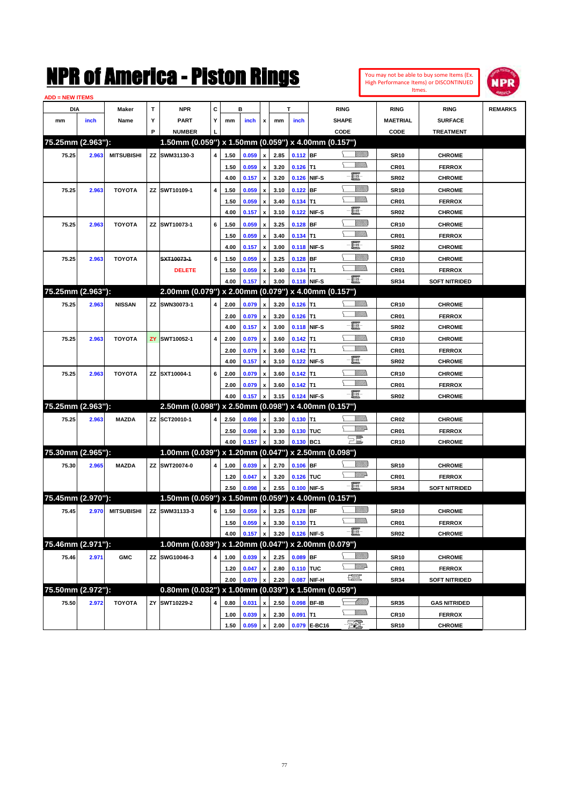|                        |       |                   |              | NMK OT AINCrica - Miston Kings                         |                |      |       |                    |      |             |                 |                                 | Itmes.           | You may not be able to buy some Items (Ex.<br>High Performance Items) or DISCONTINUED | <b>NPR</b>     |
|------------------------|-------|-------------------|--------------|--------------------------------------------------------|----------------|------|-------|--------------------|------|-------------|-----------------|---------------------------------|------------------|---------------------------------------------------------------------------------------|----------------|
| <b>ADD = NEW ITEMS</b> |       |                   |              |                                                        |                |      |       |                    |      |             |                 |                                 |                  |                                                                                       |                |
| DIA                    |       | Maker             | $\mathbf{T}$ | <b>NPR</b>                                             | С              |      | в     |                    |      | T           |                 | <b>RING</b>                     | <b>RING</b>      | <b>RING</b>                                                                           | <b>REMARKS</b> |
| mm                     | inch  | Name              | Y            | <b>PART</b>                                            | Υ              | mm   | inch  | x                  | mm   | inch        |                 | <b>SHAPE</b>                    | <b>MAETRIAL</b>  | <b>SURFACE</b>                                                                        |                |
|                        |       |                   | P            | <b>NUMBER</b>                                          |                |      |       |                    |      |             |                 | CODE                            | CODE             | <b>TREATMENT</b>                                                                      |                |
| 75.25mm (2.963"):      |       |                   |              | 1.50mm (0.059") x 1.50mm (0.059") x 4.00mm (0.157")    |                |      |       |                    |      |             |                 |                                 |                  |                                                                                       |                |
| 75.25                  | 2.963 | <b>MITSUBISHI</b> |              | ZZ SWM31130-3                                          | 4              | 1.50 | 0.059 | x                  | 2.85 | $0.112$ BF  |                 | <u>Sillilli</u>                 | <b>SR10</b>      | <b>CHROME</b>                                                                         |                |
|                        |       |                   |              |                                                        |                | 1.50 | 0.059 | x                  | 3.20 | 0.126       | IT <sub>1</sub> | .<br>VMD                        | CR <sub>01</sub> | <b>FERROX</b>                                                                         |                |
|                        |       |                   |              |                                                        |                | 4.00 | 0.157 | X                  | 3.20 | 0.126       | NIF-S           | E                               | <b>SR02</b>      | <b>CHROME</b>                                                                         |                |
| 75.25                  | 2.963 | <b>TOYOTA</b>     |              | ZZ SWT10109-1                                          | $\overline{4}$ | 1.50 | 0.059 | X                  | 3.10 | 0.122       | <b>BF</b>       | <u>Sillilli</u>                 | <b>SR10</b>      | <b>CHROME</b>                                                                         |                |
|                        |       |                   |              |                                                        |                | 1.50 | 0.059 | X                  | 3.40 | 0.134       | lT1             | <br>Mar                         | CR <sub>01</sub> | <b>FERROX</b>                                                                         |                |
|                        |       |                   |              |                                                        |                | 4.00 | 0.157 |                    | 3.10 | 0.122       | NIF-S           | E                               | <b>SR02</b>      | <b>CHROME</b>                                                                         |                |
| 75.25                  | 2.963 | <b>TOYOTA</b>     |              | ZZ SWT10073-1                                          | 6              | 1.50 | 0.059 | X                  | 3.25 | 0.128       | BF              | <u>Sillilli</u>                 | <b>CR10</b>      | <b>CHROME</b>                                                                         |                |
|                        |       |                   |              |                                                        |                | 1.50 | 0.059 | X                  | 3.40 | 0.134       | lT1             | <br>Mar                         | CR <sub>01</sub> | <b>FERROX</b>                                                                         |                |
|                        |       |                   |              |                                                        |                | 4.00 | 0.157 | x                  | 3.00 | 0.118       | NIF-S           | E                               | <b>SR02</b>      | <b>CHROME</b>                                                                         |                |
| 75.25                  | 2.963 | <b>TOYOTA</b>     |              | SXT10073-1                                             | 6              | 1.50 | 0.059 | X                  | 3.25 | 0.128       | BF              | <u>Sillilli</u>                 | <b>CR10</b>      | <b>CHROME</b>                                                                         |                |
|                        |       |                   |              | <b>DELETE</b>                                          |                | 1.50 | 0.059 | x                  | 3.40 | $0.134$ T1  |                 | .<br>VMD                        | CR01             | <b>FERROX</b>                                                                         |                |
|                        |       |                   |              |                                                        |                | 4.00 | 0.157 | $\pmb{\mathsf{x}}$ | 3.00 | 0.118 NIF-S |                 | ·ii                             | <b>SR34</b>      | <b>SOFT NITRIDED</b>                                                                  |                |
| 75.25mm (2.963"):      |       |                   |              | 2.00mm (0.079") x 2.00mm (0.079") x 4.00mm (0.157")    |                |      |       |                    |      |             |                 |                                 |                  |                                                                                       |                |
| 75.25                  | 2.963 | <b>NISSAN</b>     | ZZ           | SWN30073-1                                             | 4              | 2.00 | 0.079 | x                  | 3.20 | $0.126$ T1  |                 | <u>MM)</u>                      | <b>CR10</b>      | <b>CHROME</b>                                                                         |                |
|                        |       |                   |              |                                                        |                | 2.00 | 0.079 | x                  | 3.20 | 0.126       | T1              | VM))                            | CR <sub>01</sub> | <b>FERROX</b>                                                                         |                |
|                        |       |                   |              |                                                        |                | 4.00 | 0.157 | X                  | 3.00 | 0.118       | NIF-S           | E.                              | <b>SR02</b>      | <b>CHROME</b>                                                                         |                |
| 75.25                  | 2.963 | <b>TOYOTA</b>     | ZY           | SWT10052-1                                             | $\overline{4}$ | 2.00 | 0.079 | X                  | 3.60 | 0.142       | T1              | .<br>Milita                     | <b>CR10</b>      | <b>CHROME</b>                                                                         |                |
|                        |       |                   |              |                                                        |                | 2.00 | 0.079 | X                  | 3.60 | 0.142       | IT <sub>1</sub> | VM)                             | CR <sub>01</sub> | <b>FERROX</b>                                                                         |                |
|                        |       |                   |              |                                                        |                | 4.00 | 0.157 |                    | 3.10 | 0.122       | NIF-S           | E.                              | <b>SR02</b>      | <b>CHROME</b>                                                                         |                |
| 75.25                  | 2.963 | <b>TOYOTA</b>     |              | ZZ SXT10004-1                                          | 6              | 2.00 | 0.079 | X                  | 3.60 | 0.142       | T1              | <u>MM</u>                       | <b>CR10</b>      | <b>CHROME</b>                                                                         |                |
|                        |       |                   |              |                                                        |                | 2.00 | 0.079 | x                  | 3.60 | 0.142       | lT1             | VM))                            | CR01             | <b>FERROX</b>                                                                         |                |
|                        |       |                   |              |                                                        |                | 4.00 | 0.157 | X                  | 3.15 | 0.124       | NIF-S           | $-\mathbf{E}$                   | <b>SR02</b>      | <b>CHROME</b>                                                                         |                |
| 75.25mm (2.963"):      |       |                   |              | 2.50mm (0.098") x 2.50mm (0.098") x 4.00mm (0.157")    |                |      |       |                    |      |             |                 |                                 |                  |                                                                                       |                |
| 75.25                  | 2.963 | <b>MAZDA</b>      |              | ZZ SCT20010-1                                          | 4              | 2.50 | 0.098 | x                  | 3.30 | $0.130$ T1  |                 | .<br>Milita                     | CR <sub>02</sub> | <b>CHROME</b>                                                                         |                |
|                        |       |                   |              |                                                        |                | 2.50 | 0.098 | x                  | 3.30 | 0.130 TUC   |                 | <u>VM</u> D                     | CR01             | <b>FERROX</b>                                                                         |                |
|                        |       |                   |              |                                                        |                | 4.00 | 0.157 | x                  | 3.30 | 0.130       | BC <sub>1</sub> | $\Xi^{\mathbb{Z}}$              | <b>CR10</b>      | <b>CHROME</b>                                                                         |                |
| 75.30mm (2.965"):      |       |                   |              | 1.00mm (0.039") x 1.20mm (0.047") x 2.50mm (0.098")    |                |      |       |                    |      |             |                 |                                 |                  |                                                                                       |                |
|                        |       |                   | ZZ           | SWT20074-0                                             | 4              |      |       |                    |      | $0.106$ BF  |                 | <u>Milli</u> k                  |                  | <b>CHROME</b>                                                                         |                |
| 75.30                  | 2.965 | <b>MAZDA</b>      |              |                                                        |                | 1.00 | 0.039 | x                  | 2.70 |             |                 | <u>VMD</u>                      | <b>SR10</b>      |                                                                                       |                |
|                        |       |                   |              |                                                        |                | 1.20 | 0.047 | x                  | 3.20 | 0.126       | <b>TUC</b>      | Ð.                              | CR01             | <b>FERROX</b>                                                                         |                |
| 75.45mm (2.970"):      |       |                   |              | 1.50mm (0.059") x 1.50mm (0.059") x 4.00mm (0.157")    |                | 2.50 | 0.098 | x                  | 2.55 | 0.100       | NIF-S           |                                 | <b>SR34</b>      | <b>SOFT NITRIDED</b>                                                                  |                |
|                        |       |                   |              |                                                        |                |      |       |                    |      |             |                 |                                 |                  |                                                                                       |                |
| 75.45                  | 2.970 | <b>MITSUBISHI</b> |              | ZZ SWM31133-3                                          | 6              | 1.50 | 0.059 | x                  | 3.25 | $0.128$ BF  |                 | <u>VIIII)</u><br><u>Willibs</u> | <b>SR10</b>      | <b>CHROME</b>                                                                         |                |
|                        |       |                   |              |                                                        |                | 1.50 | 0.059 | x                  | 3.30 | $0.130$ T1  |                 | - H                             | CR01             | <b>FERROX</b>                                                                         |                |
|                        |       |                   |              |                                                        |                | 4.00 | 0.157 | $\pmb{\mathsf{x}}$ | 3.20 | 0.126 NIF-S |                 |                                 | <b>SR02</b>      | <b>CHROME</b>                                                                         |                |
| 75.46mm (2.971"):      |       |                   |              | 1.00mm (0.039") x 1.20mm (0.047") x 2.00mm (0.079")    |                |      |       |                    |      |             |                 |                                 |                  |                                                                                       |                |
| 75.46                  | 2.971 | <b>GMC</b>        | <b>ZZ</b>    | SWG10046-3                                             | 4              | 1.00 | 0.039 | x                  | 2.25 | 0.089 BF    |                 | <u>VIIII)</u>                   | <b>SR10</b>      | <b>CHROME</b>                                                                         |                |
|                        |       |                   |              |                                                        |                | 1.20 | 0.047 | $\pmb{\mathsf{x}}$ | 2.80 | 0.110 TUC   |                 | <u>WW</u>                       | CR01             | <b>FERROX</b>                                                                         |                |
|                        |       |                   |              |                                                        |                | 2.00 | 0.079 | x                  | 2.20 | 0.087       | NIF-H           | <b>The Second Second</b>        | <b>SR34</b>      | <b>SOFT NITRIDED</b>                                                                  |                |
| 75.50mm (2.972"):      |       |                   |              | $0.80$ mm (0.032") x 1.00mm (0.039") x 1.50mm (0.059") |                |      |       |                    |      |             |                 |                                 |                  |                                                                                       |                |
| 75.50                  | 2.972 | <b>TOYOTA</b>     | ΖY           | SWT10229-2                                             | 4              | 0.80 | 0.031 | x                  | 2.50 | 0.098 BF-IB |                 | <u> Milli</u> lli               | <b>SR35</b>      | <b>GAS NITRIDED</b>                                                                   |                |
|                        |       |                   |              |                                                        |                | 1.00 | 0.039 | $\pmb{\mathsf{x}}$ | 2.30 | $0.091$ T1  |                 | <u>Willib</u>                   | <b>CR10</b>      | <b>FERROX</b>                                                                         |                |
|                        |       |                   |              |                                                        |                | 1.50 | 0.059 | x                  | 2.00 |             | 0.079 E-BC16    | EQ)                             | <b>SR10</b>      | <b>CHROME</b>                                                                         |                |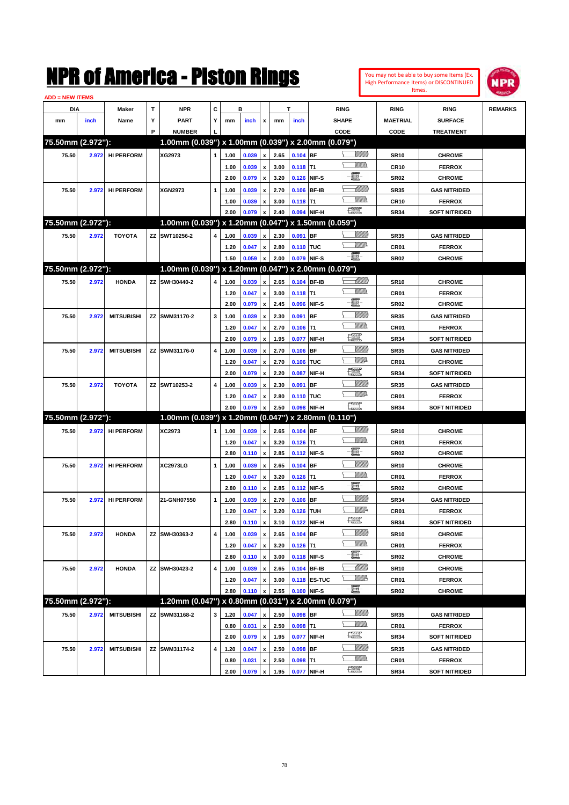| You may not be able to buy some Items (Ex.     |
|------------------------------------------------|
| <b>High Performance Items) or DISCONTINUED</b> |
| Itmes.                                         |



| <b>ADD = NEW ITEMS</b> |       |                   |   |                                                     |   |      |       |                    |      |             |              |                          |                  |                      |                |
|------------------------|-------|-------------------|---|-----------------------------------------------------|---|------|-------|--------------------|------|-------------|--------------|--------------------------|------------------|----------------------|----------------|
| DIA                    |       | Maker             | T | <b>NPR</b>                                          | C |      | в     |                    |      | T           |              | <b>RING</b>              | <b>RING</b>      | <b>RING</b>          | <b>REMARKS</b> |
| mm                     | inch  | Name              | Υ | <b>PART</b>                                         | Y | mm   | inch  | x                  | mm   | inch        |              | <b>SHAPE</b>             | <b>MAETRIAL</b>  | <b>SURFACE</b>       |                |
|                        |       |                   | P | <b>NUMBER</b>                                       |   |      |       |                    |      |             |              | CODE                     | CODE             | <b>TREATMENT</b>     |                |
| 75.50mm (2.972"):      |       |                   |   | 1.00mm (0.039") x 1.00mm (0.039") x 2.00mm (0.079") |   |      |       |                    |      |             |              |                          |                  |                      |                |
| 75.50                  | 2.972 | <b>HI PERFORM</b> |   | XG2973                                              | 1 | 1.00 | 0.039 | x                  | 2.65 | $0.104$ BF  |              | <u>Sillilli</u>          | <b>SR10</b>      | <b>CHROME</b>        |                |
|                        |       |                   |   |                                                     |   | 1.00 | 0.039 | x                  | 3.00 | $0.118$ T1  |              | VM))                     | <b>CR10</b>      | <b>FERROX</b>        |                |
|                        |       |                   |   |                                                     |   | 2.00 | 0.079 | x                  | 3.20 | 0.126 NIF-S |              | e                        | <b>SR02</b>      | <b>CHROME</b>        |                |
| 75.50                  | 2.972 | <b>HI PERFORM</b> |   | <b>XGN2973</b>                                      | 1 | 1.00 | 0.039 | x                  | 2.70 |             | 0.106 BF-IB  | <u>UMB</u>               | <b>SR35</b>      | <b>GAS NITRIDED</b>  |                |
|                        |       |                   |   |                                                     |   | 1.00 | 0.039 | x                  | 3.00 | $0.118$ T1  |              | VM))                     | <b>CR10</b>      | <b>FERROX</b>        |                |
|                        |       |                   |   |                                                     |   | 2.00 | 0.079 | x                  | 2.40 |             | 0.094 NIF-H  | <b>The Second Second</b> | <b>SR34</b>      | <b>SOFT NITRIDED</b> |                |
| 75.50mm (2.972"):      |       |                   |   | 1.00mm (0.039") x 1.20mm (0.047") x 1.50mm (0.059") |   |      |       |                    |      |             |              |                          |                  |                      |                |
| 75.50                  | 2.972 | <b>TOYOTA</b>     |   | ZZ SWT10256-2                                       | 4 | 1.00 | 0.039 | x                  | 2.30 | 0.091       | <b>BF</b>    | <u> UMB</u>              | <b>SR35</b>      | <b>GAS NITRIDED</b>  |                |
|                        |       |                   |   |                                                     |   | 1.20 | 0.047 | x                  | 2.80 | 0.110 TUC   |              | <u>WW</u> A              | CR01             | <b>FERROX</b>        |                |
|                        |       |                   |   |                                                     |   | 1.50 | 0.059 | x                  | 2.00 | 0.079 NIF-S |              | -8                       | <b>SR02</b>      | <b>CHROME</b>        |                |
| 75.50mm (2.972"):      |       |                   |   | 1.00mm (0.039") x 1.20mm (0.047") x 2.00mm (0.079") |   |      |       |                    |      |             |              |                          |                  |                      |                |
| 75.50                  |       | <b>HONDA</b>      |   | ZZ SWH30440-2                                       | 4 | 1.00 | 0.039 |                    | 2.65 | 0.104 BF-IB |              | <u>UMB</u>               |                  | <b>CHROME</b>        |                |
|                        | 2.972 |                   |   |                                                     |   |      |       | x                  |      |             |              | VM))                     | <b>SR10</b>      |                      |                |
|                        |       |                   |   |                                                     |   | 1.20 | 0.047 | x                  | 3.00 | $0.118$ T1  |              | e                        | CR01             | <b>FERROX</b>        |                |
|                        |       |                   |   |                                                     |   | 2.00 | 0.079 | x                  | 2.45 | 0.096       | NIF-S        | <u>Milli</u>             | <b>SR02</b>      | <b>CHROME</b>        |                |
| 75.50                  | 2.972 | <b>MITSUBISHI</b> |   | ZZ SWM31170-2                                       | 3 | 1.00 | 0.039 | x                  | 2.30 | 0.091       | BF           |                          | <b>SR35</b>      | <b>GAS NITRIDED</b>  |                |
|                        |       |                   |   |                                                     |   | 1.20 | 0.047 | x                  | 2.70 | $0.106$ T1  |              | $\frac{1}{2}$            | CR01             | <b>FERROX</b>        |                |
|                        |       |                   |   |                                                     |   | 2.00 | 0.079 | x                  | 1.95 | 0.077       | NIF-H        |                          | <b>SR34</b>      | <b>SOFT NITRIDED</b> |                |
| 75.50                  | 2.972 | <b>MITSUBISHI</b> |   | ZZ SWM31176-0                                       | 4 | 1.00 | 0.039 | x                  | 2.70 | $0.106$ BF  |              | VMD-                     | <b>SR35</b>      | <b>GAS NITRIDED</b>  |                |
|                        |       |                   |   |                                                     |   | 1.20 | 0.047 | x                  | 2.70 | 0.106 TUC   |              |                          | <b>CR01</b>      | <b>CHROME</b>        |                |
|                        |       |                   |   |                                                     |   | 2.00 | 0.079 | x                  | 2.20 | 0.087       | NIF-H        | $\frac{1}{2}$            | <b>SR34</b>      | <b>SOFT NITRIDED</b> |                |
| 75.50                  | 2.972 | <b>TOYOTA</b>     |   | ZZ SWT10253-2                                       | 4 | 1.00 | 0.039 | x                  | 2.30 | 0.091       | <b>BF</b>    |                          | <b>SR35</b>      | <b>GAS NITRIDED</b>  |                |
|                        |       |                   |   |                                                     |   | 1.20 | 0.047 | x                  | 2.80 | 0.110 TUC   |              | VMD-                     | CR01             | <b>FERROX</b>        |                |
|                        |       |                   |   |                                                     |   | 2.00 | 0.079 |                    | 2.50 |             | 0.098 NIF-H  | $\frac{1}{2}$            | <b>SR34</b>      | <b>SOFT NITRIDED</b> |                |
| 75.50mm (2.972"):      |       |                   |   | 1.00mm (0.039") x 1.20mm (0.047") x 2.80mm (0.110") |   |      |       |                    |      |             |              |                          |                  |                      |                |
| 75.50                  | 2.972 | <b>HI PERFORM</b> |   | XC2973                                              | 1 | 1.00 | 0.039 | x                  | 2.65 | $0.104$ BF  |              |                          | <b>SR10</b>      | <b>CHROME</b>        |                |
|                        |       |                   |   |                                                     |   | 1.20 | 0.047 | x                  | 3.20 | $0.126$ T1  |              | VM))                     | CR01             | <b>FERROX</b>        |                |
|                        |       |                   |   |                                                     |   | 2.80 | 0.110 | $\pmb{\mathsf{x}}$ | 2.85 | 0.112 NIF-S |              | e                        | <b>SR02</b>      | <b>CHROME</b>        |                |
| 75.50                  | 2.972 | <b>HI PERFORM</b> |   | <b>XC2973LG</b>                                     | 1 | 1.00 | 0.039 | x                  | 2.65 | $0.104$ BF  |              | <u>Sillilli</u>          | <b>SR10</b>      | <b>CHROME</b>        |                |
|                        |       |                   |   |                                                     |   | 1.20 | 0.047 | x                  | 3.20 | $0.126$ T1  |              | VM)                      | CR01             | <b>FERROX</b>        |                |
|                        |       |                   |   |                                                     |   | 2.80 | 0.110 | x                  | 2.85 |             | 0.112 NIF-S  | e                        | <b>SR02</b>      | <b>CHROME</b>        |                |
| 75.50                  | 2.972 | <b>HI PERFORM</b> |   | 21-GNH07550                                         | 1 | 1.00 | 0.039 | x                  | 2.70 | $0.106$ BF  |              | VIIII)                   | <b>SR34</b>      | <b>GAS NITRIDED</b>  |                |
|                        |       |                   |   |                                                     |   | 1.20 | 0.047 | x                  | 3.20 | 0.126 TUH   |              | <u>Mille</u>             | CR01             | <b>FERROX</b>        |                |
|                        |       |                   |   |                                                     |   | 2.80 | 0.110 | $\pmb{\mathsf{x}}$ | 3.10 | 0.122 NIF-H |              | <b>The Control</b>       | <b>SR34</b>      | <b>SOFT NITRIDED</b> |                |
| 75.50                  | 2.972 | <b>HONDA</b>      |   | ZZ SWH30363-2                                       | 4 | 1.00 | 0.039 | x                  | 2.65 | $0.104$ BF  |              | <u>Millitt</u>           | <b>SR10</b>      | <b>CHROME</b>        |                |
|                        |       |                   |   |                                                     |   | 1.20 | 0.047 | x                  | 3.20 | $0.126$ T1  |              | <br>Villida              | CR01             | <b>FERROX</b>        |                |
|                        |       |                   |   |                                                     |   | 2.80 | 0.110 | $\pmb{\mathsf{x}}$ | 3.00 |             | 0.118 NIF-S  | e.                       | <b>SR02</b>      | <b>CHROME</b>        |                |
| 75.50                  | 2.972 | <b>HONDA</b>      |   | ZZ SWH30423-2                                       | 4 | 1.00 | 0.039 | x                  | 2.65 |             | 0.104 BF-IB  | <u> MMM</u>              | <b>SR10</b>      | <b>CHROME</b>        |                |
|                        |       |                   |   |                                                     |   | 1.20 | 0.047 | x                  | 3.00 |             | 0.118 ES-TUC | <u>W//R</u>              | CR01             | <b>FERROX</b>        |                |
|                        |       |                   |   |                                                     |   | 2.80 | 0.110 | x                  | 2.55 |             | 0.100 NIF-S  | -E-                      | SR <sub>02</sub> | <b>CHROME</b>        |                |
| 75.50mm (2.972"):      |       |                   |   | 1.20mm (0.047") x 0.80mm (0.031") x 2.00mm (0.079") |   |      |       |                    |      |             |              |                          |                  |                      |                |
| 75.50                  | 2.972 | <b>MITSUBISHI</b> |   | ZZ SWM31168-2                                       | 3 | 1.20 | 0.047 | X                  | 2.50 | $0.098$ BF  |              | <u>Millit</u>            | <b>SR35</b>      | <b>GAS NITRIDED</b>  |                |
|                        |       |                   |   |                                                     |   | 0.80 | 0.031 | x                  | 2.50 | $0.098$ T1  |              | <u>Willia</u>            | CR01             | <b>FERROX</b>        |                |
|                        |       |                   |   |                                                     |   | 2.00 | 0.079 | $\pmb{\mathsf{x}}$ | 1.95 | 0.077       | NIF-H        | H                        | <b>SR34</b>      | <b>SOFT NITRIDED</b> |                |
| 75.50                  | 2.972 | <b>MITSUBISHI</b> |   | ZZ SWM31174-2                                       | 4 | 1.20 | 0.047 | x                  | 2.50 | $0.098$ BF  |              | <u>Millit</u>            | <b>SR35</b>      | <b>GAS NITRIDED</b>  |                |
|                        |       |                   |   |                                                     |   | 0.80 | 0.031 | x                  | 2.50 | $0.098$ T1  |              | <br>Milio                | CR01             | <b>FERROX</b>        |                |
|                        |       |                   |   |                                                     |   | 2.00 | 0.079 | $\pmb{\mathsf{x}}$ | 1.95 |             | 0.077 NIF-H  | <b>The Second</b>        | <b>SR34</b>      | <b>SOFT NITRIDED</b> |                |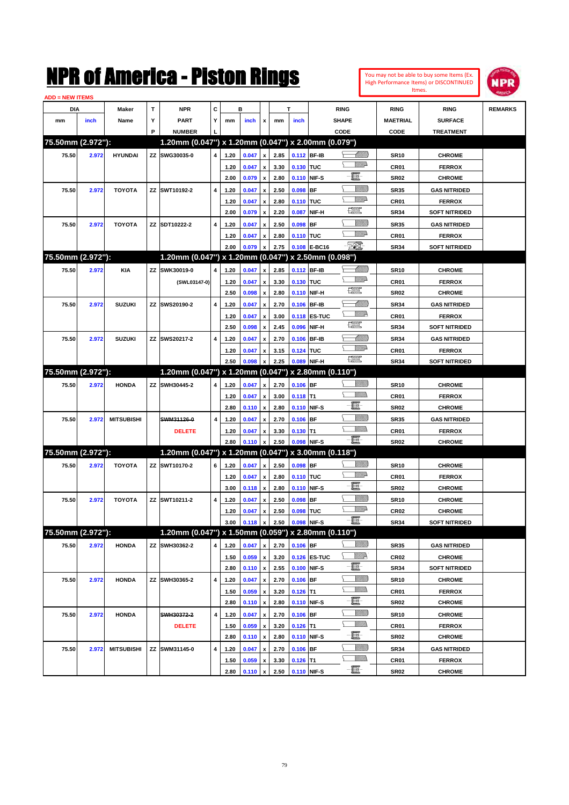| You may not be able to buy some Items (Ex. |
|--------------------------------------------|
| High Performance Items) or DISCONTINUED    |
| Itmes.                                     |



| <b>ADD = NEW ITEMS</b> |       |                   |    |                                                     |           |      |       |                    |      |             |                     |                  |                  |                      |                |
|------------------------|-------|-------------------|----|-----------------------------------------------------|-----------|------|-------|--------------------|------|-------------|---------------------|------------------|------------------|----------------------|----------------|
| <b>DIA</b>             |       | <b>Maker</b>      | T  | NPR                                                 | С         |      | в     |                    |      | т           |                     | <b>RING</b>      | <b>RING</b>      | <b>RING</b>          | <b>REMARKS</b> |
| mm                     | inch  | Name              | Υ  | <b>PART</b>                                         | Y         | mm   | inch  | x                  | mm   | inch        |                     | <b>SHAPE</b>     | <b>MAETRIAL</b>  | <b>SURFACE</b>       |                |
|                        |       |                   | P  | <b>NUMBER</b>                                       |           |      |       |                    |      |             |                     | CODE             | <b>CODE</b>      | <b>TREATMENT</b>     |                |
| 75.50mm (2.972"):      |       |                   |    | 1.20mm (0.047") x 1.20mm (0.047") x 2.00mm (0.079") |           |      |       |                    |      |             |                     |                  |                  |                      |                |
| 75.50                  | 2.972 | <b>HYUNDAI</b>    |    | ZZ SWG30035-0                                       | 4         | 1.20 | 0.047 | x                  | 2.85 |             | 0.112 BF-IB         | <u> Millilli</u> | <b>SR10</b>      | <b>CHROME</b>        |                |
|                        |       |                   |    |                                                     |           | 1.20 | 0.047 | x                  | 3.30 | 0.130 TUC   |                     | <u>VMD</u>       | CR <sub>01</sub> | <b>FERROX</b>        |                |
|                        |       |                   |    |                                                     |           | 2.00 | 0.079 | x                  | 2.80 |             | 0.110 NIF-S         | e                | <b>SR02</b>      | <b>CHROME</b>        |                |
| 75.50                  | 2.972 | <b>TOYOTA</b>     |    | ZZ SWT10192-2                                       | 4         | 1.20 | 0.047 | x                  | 2.50 | $0.098$ BF  |                     | <u>VIIII)</u>    | <b>SR35</b>      | <b>GAS NITRIDED</b>  |                |
|                        |       |                   |    |                                                     |           | 1.20 | 0.047 | x                  | 2.80 | 0.110 TUC   |                     | <u>VMD</u>       | CR <sub>01</sub> | <b>FERROX</b>        |                |
|                        |       |                   |    |                                                     |           | 2.00 | 0.079 | x                  | 2.20 | 0.087       | NIF-H               | R                | <b>SR34</b>      | <b>SOFT NITRIDED</b> |                |
| 75.50                  | 2.972 | <b>TOYOTA</b>     |    | ZZ SDT10222-2                                       | 4         | 1.20 | 0.047 | x                  | 2.50 | $0.098$ BF  |                     | <u> UMB</u>      | <b>SR35</b>      | <b>GAS NITRIDED</b>  |                |
|                        |       |                   |    |                                                     |           | 1.20 | 0.047 | x                  | 2.80 | 0.110 TUC   |                     | <u>MMP</u>       | CR <sub>01</sub> | <b>FERROX</b>        |                |
|                        |       |                   |    |                                                     |           | 2.00 | 0.079 | x                  | 2.75 |             | 0.108 E-BC16        | E                | <b>SR34</b>      | <b>SOFT NITRIDED</b> |                |
| 75.50mm (2.972"):      |       |                   |    | 1.20mm (0.047") x 1.20mm (0.047") x 2.50mm (0.098") |           |      |       |                    |      |             |                     |                  |                  |                      |                |
| 75.50                  | 2.972 | <b>KIA</b>        | ZZ | SWK30019-0                                          | 4         | 1.20 | 0.047 | x                  | 2.85 |             | 0.112 BF-IB         |                  | <b>SR10</b>      | <b>CHROME</b>        |                |
|                        |       |                   |    | (SWL03147-0)                                        |           | 1.20 | 0.047 | x                  | 3.30 | 0.130 TUC   |                     | <u>VMD</u>       | CR <sub>01</sub> | <b>FERROX</b>        |                |
|                        |       |                   |    |                                                     |           | 2.50 | 0.098 | x                  | 2.80 |             | 0.110 NIF-H         | 鱱                | <b>SR02</b>      | <b>CHROME</b>        |                |
| 75.50                  | 2.972 | <b>SUZUKI</b>     |    | ZZ SWS20190-2                                       | 4         | 1.20 | 0.047 | x                  | 2.70 |             | 0.106 BF-IB         | <u>UMB</u>       | <b>SR34</b>      | <b>GAS NITRIDED</b>  |                |
|                        |       |                   |    |                                                     |           | 1.20 | 0.047 | x                  | 3.00 |             | <b>0.118 ES-TUC</b> | <u>MM</u>        | CR <sub>01</sub> | <b>FERROX</b>        |                |
|                        |       |                   |    |                                                     |           | 2.50 | 0.098 | x                  | 2.45 |             | 0.096 NIF-H         | 鱱                | <b>SR34</b>      | <b>SOFT NITRIDED</b> |                |
| 75.50                  | 2.972 | <b>SUZUKI</b>     |    | ZZ SWS20217-2                                       | 4         | 1.20 | 0.047 | x                  | 2.70 |             | 0.106 BF-IB         | <u>UMB</u>       | <b>SR34</b>      | <b>GAS NITRIDED</b>  |                |
|                        |       |                   |    |                                                     |           | 1.20 | 0.047 | x                  | 3.15 | 0.124 TUC   |                     | <u>VMD</u>       | CR <sub>01</sub> | <b>FERROX</b>        |                |
|                        |       |                   |    |                                                     |           | 2.50 | 0.098 |                    | 2.25 |             | 0.089 NIF-H         | 鱱                | <b>SR34</b>      | <b>SOFT NITRIDED</b> |                |
| 75.50mm (2.972"):      |       |                   |    | 1.20mm (0.047") x 1.20mm (0.047") x 2.80mm (0.110") |           |      |       |                    |      |             |                     |                  |                  |                      |                |
| 75.50                  | 2.972 | <b>HONDA</b>      |    | ZZ SWH30445-2                                       | 4         | 1.20 | 0.047 | x                  | 2.70 | 0.106 BF    |                     | <u>Villida</u>   | <b>SR10</b>      | <b>CHROME</b>        |                |
|                        |       |                   |    |                                                     |           | 1.20 | 0.047 | x                  | 3.00 | $0.118$ T1  |                     | <br>Militar      | CR <sub>01</sub> | <b>FERROX</b>        |                |
|                        |       |                   |    |                                                     |           | 2.80 | 0.110 | x                  | 2.80 |             | 0.110 NIF-S         | E                | <b>SR02</b>      | <b>CHROME</b>        |                |
| 75.50                  | 2.972 | <b>MITSUBISHI</b> |    | SWM31126-0                                          | 4         | 1.20 | 0.047 |                    | 2.70 | $0.106$ BF  |                     | <u>VIIII)</u>    | <b>SR35</b>      | <b>GAS NITRIDED</b>  |                |
|                        |       |                   |    | <b>DELETE</b>                                       |           | 1.20 | 0.047 | x                  | 3.30 | $0.130$ T1  |                     | <br>Militar      | CR <sub>01</sub> | <b>FERROX</b>        |                |
|                        |       |                   |    |                                                     |           | 2.80 | 0.110 |                    | 2.50 |             | 0.098 NIF-S         | -8               | <b>SR02</b>      | <b>CHROME</b>        |                |
| 75.50mm (2.972"):      |       |                   |    | 1.20mm (0.047") x 1.20mm (0.047") x 3.00mm (0.118") |           |      |       |                    |      |             |                     |                  |                  |                      |                |
| 75.50                  | 2.972 | <b>TOYOTA</b>     |    | ZZ SWT10170-2                                       | 6         | 1.20 | 0.047 | x                  | 2.50 | 0.098 BF    |                     | <u>Villida</u>   | <b>SR10</b>      | <b>CHROME</b>        |                |
|                        |       |                   |    |                                                     |           | 1.20 | 0.047 | x                  | 2.80 | 0.110 TUC   |                     | <u>VMD</u>       | CR <sub>01</sub> | <b>FERROX</b>        |                |
|                        |       |                   |    |                                                     |           | 3.00 | 0.118 | $\pmb{\mathsf{x}}$ | 2.80 |             | 0.110 NIF-S         | e                | <b>SR02</b>      | <b>CHROME</b>        |                |
| 75.50                  | 2.972 | <b>TOYOTA</b>     |    | ZZ SWT10211-2                                       | 4         | 1.20 | 0.047 | x                  | 2.50 | $0.098$ BF  |                     | <u>Villitti</u>  | <b>SR10</b>      | <b>CHROME</b>        |                |
|                        |       |                   |    |                                                     |           | 1.20 | 0.047 | x                  | 2.50 | 0.098 TUC   |                     | <u>VMD</u>       | CR <sub>02</sub> | <b>CHROME</b>        |                |
|                        |       |                   |    |                                                     |           | 3.00 | 0.118 | $\pmb{\mathsf{x}}$ | 2.50 | 0.098 NIF-S |                     | - E              | SR34             | <b>SOFT NITRIDED</b> |                |
| 75.50mm (2.972"):      |       |                   |    | 1.20mm (0.047") x 1.50mm (0.059") x 2.80mm (0.110") |           |      |       |                    |      |             |                     |                  |                  |                      |                |
| 75.50                  | 2.972 | <b>HONDA</b>      |    | ZZ SWH30362-2                                       | 4         | 1.20 | 0.047 | x                  | 2.70 | 0.106 BF    |                     | <u>Milli</u> b   | SR35             | <b>GAS NITRIDED</b>  |                |
|                        |       |                   |    |                                                     |           | 1.50 | 0.059 | $\pmb{\mathsf{x}}$ | 3.20 |             | 0.126 ES-TUC        | <u>WW</u> A      | CR02             | <b>CHROME</b>        |                |
|                        |       |                   |    |                                                     |           | 2.80 | 0.110 | $\pmb{\mathsf{x}}$ | 2.55 |             | 0.100 NIF-S         | e.               | SR34             | <b>SOFT NITRIDED</b> |                |
| 75.50                  | 2.972 | <b>HONDA</b>      |    | ZZ SWH30365-2                                       | 4         | 1.20 | 0.047 | x                  | 2.70 | $0.106$ BF  |                     | <u>VIIII)</u>    | <b>SR10</b>      | <b>CHROME</b>        |                |
|                        |       |                   |    |                                                     |           | 1.50 | 0.059 | x                  | 3.20 | $0.126$ T1  |                     | <u>MMs</u>       | CR01             | <b>FERROX</b>        |                |
|                        |       |                   |    |                                                     |           | 2.80 | 0.110 | $\pmb{\mathsf{x}}$ | 2.80 |             | 0.110 NIF-S         | e.               | SR02             | <b>CHROME</b>        |                |
| 75.50                  | 2.972 | <b>HONDA</b>      |    | SWH30372-2                                          | $\pmb{4}$ | 1.20 | 0.047 | x                  | 2.70 | $0.106$ BF  |                     | <u>VIIII)</u>    | SR10             | <b>CHROME</b>        |                |
|                        |       |                   |    | <b>DELETE</b>                                       |           | 1.50 | 0.059 | x                  | 3.20 | $0.126$ T1  |                     | <u>WMWs</u>      | CR01             | <b>FERROX</b>        |                |
|                        |       |                   |    |                                                     |           | 2.80 | 0.110 | $\pmb{\mathsf{x}}$ | 2.80 |             | 0.110 NIF-S         | e                | SR02             | <b>CHROME</b>        |                |
| 75.50                  | 2.972 | <b>MITSUBISHI</b> |    | ZZ SWM31145-0                                       | 4         | 1.20 | 0.047 | x                  | 2.70 | $0.106$ BF  |                     | <u>VIIII)</u>    | SR34             | <b>GAS NITRIDED</b>  |                |
|                        |       |                   |    |                                                     |           | 1.50 | 0.059 |                    | 3.30 | $0.126$ T1  |                     | <u>Willib</u>    | CR01             | <b>FERROX</b>        |                |
|                        |       |                   |    |                                                     |           | 2.80 | 0.110 | $\pmb{\mathsf{x}}$ | 2.50 |             | 0.110 NIF-S         | -E-              | <b>SR02</b>      | <b>CHROME</b>        |                |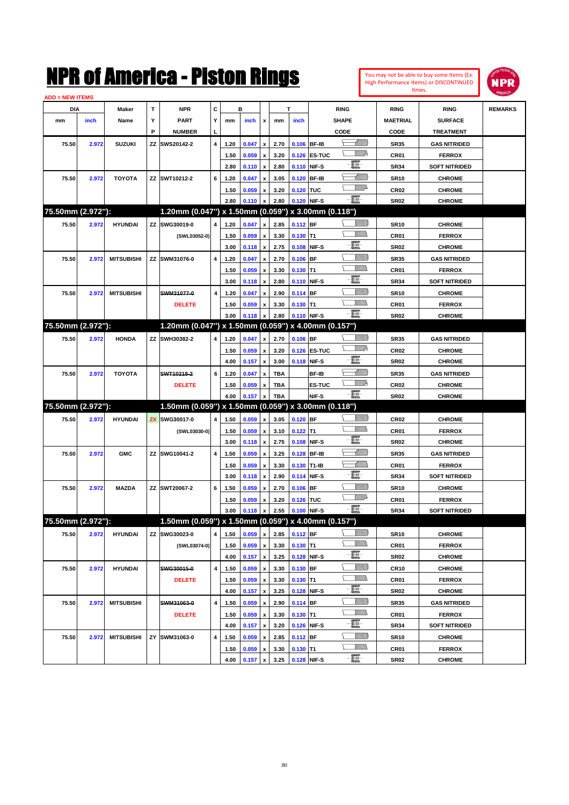|                        |       |                   |   | NMK OI AMCTICA - MISTON KINGS                       |   |              |                |                                          |              |                           |                   |               |                           |                     | You may not be able to buy some Items (Ex.<br>High Performance Items) or DISCONTINUED | NPR            |
|------------------------|-------|-------------------|---|-----------------------------------------------------|---|--------------|----------------|------------------------------------------|--------------|---------------------------|-------------------|---------------|---------------------------|---------------------|---------------------------------------------------------------------------------------|----------------|
| <b>ADD = NEW ITEMS</b> |       |                   |   |                                                     |   |              |                |                                          |              |                           |                   |               |                           |                     | Itmes.                                                                                |                |
| DIA                    |       | Maker             | T | <b>NPR</b>                                          | c |              | в              |                                          | т            |                           |                   | <b>RING</b>   |                           | <b>RING</b>         | <b>RING</b>                                                                           | <b>REMARKS</b> |
| mm                     | inch  | Name              | Υ | <b>PART</b>                                         | Y | mm           | inch           | x                                        | mm           | inch                      |                   | <b>SHAPE</b>  |                           | <b>MAETRIAL</b>     | <b>SURFACE</b>                                                                        |                |
|                        |       |                   | P | <b>NUMBER</b>                                       |   |              |                |                                          |              |                           |                   | CODE          |                           | CODE                | <b>TREATMENT</b>                                                                      |                |
| 75.50                  | 2.972 | <b>SUZUKI</b>     |   | ZZ SWS20142-2                                       | 4 | 1.20         | 0.047          | $\pmb{\mathsf{x}}$                       | 2.70         | 0.106 BF-IB               |                   |               | <u>UMM</u>                | <b>SR35</b>         | <b>GAS NITRIDED</b>                                                                   |                |
|                        |       |                   |   |                                                     |   | 1.50         | 0.059          | $\pmb{\mathsf{x}}$                       | 3.20         |                           | 0.126 ES-TUC      |               | <u>MM</u>                 | CR01                | <b>FERROX</b>                                                                         |                |
|                        |       |                   |   |                                                     |   | 2.80         | 0.110          | $\pmb{\mathsf{x}}$                       | 2.80         | 0.110 NIF-S               |                   | Ë-            |                           | <b>SR34</b>         | <b>SOFT NITRIDED</b>                                                                  |                |
| 75.50                  | 2.972 | <b>TOYOTA</b>     |   | ZZ SWT10212-2                                       | 6 | 1.20         | 0.047          | x                                        | 3.05         | 0.120 BF-IB               |                   |               | MMM                       | <b>SR10</b>         | <b>CHROME</b>                                                                         |                |
|                        |       |                   |   |                                                     |   | 1.50         | 0.059          | x                                        | 3.20         | 0.120 TUC                 |                   |               | <u>VIII</u> D             | CR <sub>02</sub>    | <b>CHROME</b>                                                                         |                |
|                        |       |                   |   |                                                     |   | 2.80         | 0.110          | x                                        | 2.80         | 0.120 NIF-S               |                   | $-\mathbf{H}$ |                           | <b>SR02</b>         | <b>CHROME</b>                                                                         |                |
| 75.50mm (2.972"):      |       |                   |   | 1.20mm (0.047") x 1.50mm (0.059")                   |   |              |                |                                          |              |                           | x 3.00mm (0.118") |               |                           |                     |                                                                                       |                |
| 75.50                  | 2.972 | <b>HYUNDAI</b>    |   | ZZ SWG30019-0                                       | 4 | 1.20         | 0.047          | $\pmb{\mathsf{x}}$                       | 2.85         | 0.112 BF                  |                   |               | <u>Millitti</u>           | <b>SR10</b>         | <b>CHROME</b>                                                                         |                |
|                        |       |                   |   | (SWL03052-0)                                        |   | 1.50         | 0.059          | $\pmb{\mathsf{x}}$                       | 3.30         | $0.130$ T1                |                   |               | <br>Mar                   | CR01                | <b>FERROX</b>                                                                         |                |
|                        |       |                   |   |                                                     |   | 3.00         | 0.118          | $\pmb{\mathsf{x}}$                       | 2.75         | 0.108                     | NIF-S             | E.            |                           | <b>SR02</b>         | <b>CHROME</b>                                                                         |                |
| 75.50                  | 2.972 | <b>MITSUBISHI</b> |   | ZZ SWM31076-0                                       | 4 | 1.20         | 0.047          | $\pmb{\mathsf{x}}$                       | 2.70         | 0.106                     | <b>IBF</b>        |               | <u>MMM</u>                | <b>SR35</b>         | <b>GAS NITRIDED</b>                                                                   |                |
|                        |       |                   |   |                                                     |   | 1.50         | 0.059          | $\pmb{\mathsf{x}}$                       | 3.30         | $0.130$ T1                |                   |               | <br>Mar                   | CR01                | <b>FERROX</b>                                                                         |                |
|                        |       |                   |   |                                                     |   | 3.00         | 0.118          | $\pmb{\mathsf{x}}$                       | 2.80         | 0.110 NIF-S               |                   | E             |                           | <b>SR34</b>         | <b>SOFT NITRIDED</b>                                                                  |                |
| 75.50                  | 2.972 | <b>MITSUBISHI</b> |   | SWM31077-0                                          | 4 | 1.20         | 0.047          | $\pmb{\mathsf{x}}$                       | 2.90         | 0.114 BF                  |                   |               | <u>MMM</u>                | <b>SR10</b>         | <b>CHROME</b>                                                                         |                |
|                        |       |                   |   | <b>DELETE</b>                                       |   | 1.50         | 0.059          | x                                        | 3.30         | $0.130$ T1                |                   |               | VM).                      | CR01                | <b>FERROX</b>                                                                         |                |
|                        |       |                   |   |                                                     |   | 3.00         | 0.118          | $\pmb{\mathsf{x}}$                       | 2.80         | 0.110 NIF-S               |                   | E.            |                           | <b>SR02</b>         | <b>CHROME</b>                                                                         |                |
| 75.50mm (2.972"):      |       |                   |   | 1.20mm (0.047") x 1.50mm (0.059")                   |   |              |                |                                          |              |                           | x 4.00mm (0.157") |               |                           |                     |                                                                                       |                |
| 75.50                  | 2.972 | <b>HONDA</b>      |   | ZZ SWH30382-2                                       | 4 | 1.20         | 0.047          | $\pmb{\mathsf{x}}$                       | 2.70         | $0.106$ BF                |                   |               | <u>Millitti</u>           | <b>SR35</b>         | <b>GAS NITRIDED</b>                                                                   |                |
|                        |       |                   |   |                                                     |   | 1.50         | 0.059          | $\pmb{\mathsf{x}}$                       | 3.20         |                           | 0.126 ES-TUC      |               | <u>MM</u> P               | <b>CR02</b>         | <b>CHROME</b>                                                                         |                |
|                        |       |                   |   |                                                     |   | 4.00         | 0.157          | $\pmb{\mathsf{x}}$                       | 3.00         | 0.118 NIF-S               |                   | E             |                           | <b>SR02</b>         | <b>CHROME</b>                                                                         |                |
| 75.50                  | 2.972 | <b>TOYOTA</b>     |   | SWT10218-2                                          | 6 | 1.20         | 0.047          | $\pmb{\mathsf{x}}$                       | <b>TBA</b>   |                           | BF-IB             |               | <u>MM</u>                 | <b>SR35</b>         | <b>GAS NITRIDED</b>                                                                   |                |
|                        |       |                   |   | <b>DELETE</b>                                       |   | 1.50         | 0.059          | x                                        | <b>TBA</b>   |                           | ES-TUC            |               | <u>WM</u>                 | <b>CR02</b>         | <b>CHROME</b>                                                                         |                |
|                        |       |                   |   |                                                     |   | 4.00         | 0.157          | $\boldsymbol{\mathsf{x}}$                | TBA          |                           | NIF-S             | E.            |                           | <b>SR02</b>         | <b>CHROME</b>                                                                         |                |
| 75.50mm (2.972"):      |       |                   |   | 1.50mm (0.059") x 1.50mm (0.059") x 3.00mm (0.118") |   |              |                |                                          |              |                           |                   |               |                           |                     |                                                                                       |                |
| 75.50                  | 2.972 | <b>HYUNDAI</b>    |   | <b>ZX SWG30017-0</b>                                | 4 | 1.50         | 0.059          | $\pmb{\mathsf{x}}$                       | 3.05         | $0.120$ BF                |                   |               | <u>Millitti</u>           | <b>CR02</b>         | <b>CHROME</b>                                                                         |                |
|                        |       |                   |   | (SWL03030-0)                                        |   | 1.50         | 0.059          | $\pmb{\mathsf{x}}$                       | 3.10         | $0.122$ T1                |                   | E             | .<br>VMD                  | CR01                | <b>FERROX</b>                                                                         |                |
|                        |       |                   |   |                                                     |   | 3.00         | 0.118          | $\pmb{\mathsf{x}}$                       | 2.75         | 0.108                     | NIF-S             |               |                           | <b>SR02</b>         | <b>CHROME</b>                                                                         |                |
| 75.50                  | 2.972 | <b>GMC</b>        |   | ZZ SWG10041-2                                       | 4 | 1.50         | 0.059          | $\pmb{\mathsf{x}}$                       | 3.25         | 0.128                     | <b>BF-IB</b>      |               | <u> UMM</u><br><u>UMM</u> | <b>SR35</b>         | <b>GAS NITRIDED</b>                                                                   |                |
|                        |       |                   |   |                                                     |   | 1.50         | 0.059          | x                                        | 3.30         | 0.130 T1-IB               |                   | E             |                           | CR01                | <b>FERROX</b>                                                                         |                |
|                        |       |                   |   |                                                     |   | 3.00         | 0.118          | $\pmb{\mathsf{x}}$                       | 2.90         | 0.114 NIF-S               |                   |               | <u>MMM</u>                | <b>SR34</b>         | <b>SOFT NITRIDED</b>                                                                  |                |
| 75.50                  | 2.972 | <b>MAZDA</b>      |   | ZZ SWT20067-2                                       | 6 | 1.50         | 0.059          | x                                        | 2.70         | $0.106$ BF                |                   |               | <u>WW</u> A               | <b>SR10</b>         | <b>CHROME</b>                                                                         |                |
|                        |       |                   |   |                                                     |   | 1.50         | 0.059          | $\pmb{\mathsf{x}}$                       | 3.20         | 0.126 TUC                 |                   | $-\Xi$        |                           | CR01                | <b>FERROX</b>                                                                         |                |
| 75.50mm (2.972"):      |       |                   |   | 1.50mm (0.059") x 1.50mm (0.059") x 4.00mm (0.157") |   | 3.00         | 0.118 x        |                                          | 2.55         | 0.100 NIF-S               |                   |               |                           | <b>SR34</b>         | <b>SOFT NITRIDED</b>                                                                  |                |
|                        |       |                   |   |                                                     |   |              |                |                                          |              |                           |                   |               | <u>UMB</u>                |                     |                                                                                       |                |
| 75.50                  | 2.972 | <b>HYUNDAI</b>    |   | ZZ SWG30023-0                                       | 4 | 1.50         | 0.059          | $\pmb{\mathsf{x}}$                       | 2.85         | $0.112$ BF                |                   |               | <u>MMs</u>                | <b>SR10</b>         | <b>CHROME</b>                                                                         |                |
|                        |       |                   |   | (SWL03074-0)                                        |   | 1.50         | 0.059          | $\pmb{\mathsf{x}}$                       | 3.30         | $0.130$ T1<br>0.128 NIF-S |                   | e-            |                           | CR01                | <b>FERROX</b>                                                                         |                |
|                        |       |                   |   | SWG30015-0                                          | 4 | 4.00         | 0.157          | $\pmb{\mathsf{x}}$                       | 3.25         | $0.130$ BF                |                   |               | <u>VIIII)</u>             | SR02<br><b>CR10</b> | <b>CHROME</b>                                                                         |                |
| 75.50                  | 2.972 | <b>HYUNDAI</b>    |   |                                                     |   | 1.50         | 0.059          | $\pmb{\mathsf{x}}$                       | 3.30         | $0.130$ T1                |                   |               | <u>Willib</u>             |                     | <b>CHROME</b>                                                                         |                |
|                        |       |                   |   | <b>DELETE</b>                                       |   | 1.50<br>4.00 | 0.059<br>0.157 | $\pmb{\mathsf{x}}$<br>$\pmb{\mathsf{x}}$ | 3.30<br>3.25 | 0.128 NIF-S               |                   | e-            |                           | CR01<br>SR02        | <b>FERROX</b><br><b>CHROME</b>                                                        |                |
| 75.50                  | 2.972 | <b>MITSUBISHI</b> |   | SWM31063-0                                          | 4 | 1.50         | 0.059          |                                          | 2.90         | $0.114$ BF                |                   |               | <u>VIIII)</u>             | <b>SR35</b>         | <b>GAS NITRIDED</b>                                                                   |                |
|                        |       |                   |   | <b>DELETE</b>                                       |   | 1.50         | 0.059          | $\pmb{\mathsf{x}}$                       | 3.30         | $0.130$ T1                |                   |               | <u>Willib</u>             | CR01                | <b>FERROX</b>                                                                         |                |
|                        |       |                   |   |                                                     |   | 4.00         | 0.157          | $\pmb{\mathsf{x}}$<br>$\pmb{\mathsf{x}}$ | 3.20         | 0.126 NIF-S               |                   | e-            |                           | SR34                | <b>SOFT NITRIDED</b>                                                                  |                |
| 75.50                  | 2.972 | <b>MITSUBISHI</b> |   | ZY SWM31063-0                                       | 4 | 1.50         | 0.059          | x                                        | 2.85         | $0.112$ BF                |                   |               | <u>Villida</u>            | <b>SR10</b>         | <b>CHROME</b>                                                                         |                |
|                        |       |                   |   |                                                     |   | 1.50         | 0.059          | x                                        | 3.30         | $0.130$ T1                |                   |               | <u>Willib</u>             | CR01                | <b>FERROX</b>                                                                         |                |
|                        |       |                   |   |                                                     |   | 4.00         | 0.157          | $\pmb{\mathsf{x}}$                       | 3.25         | 0.128 NIF-S               |                   | E             |                           | <b>SR02</b>         | <b>CHROME</b>                                                                         |                |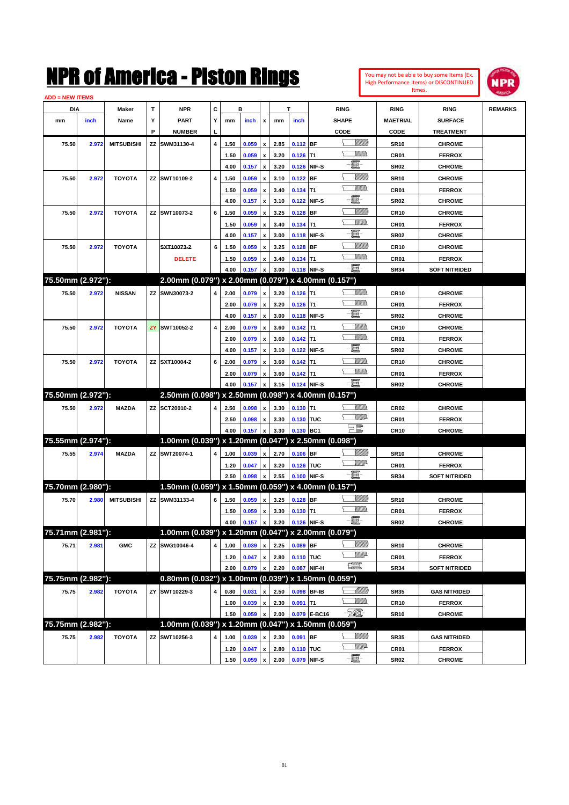| You may not be able to buy some Items (Ex.     |
|------------------------------------------------|
| <b>High Performance Items) or DISCONTINUED</b> |
| Itmes.                                         |



| <b>ADD = NEW ITEMS</b> |       |                   |   |                                                     |                |      |                |                           |              |                        |              |                                |                                 |                                       |                |
|------------------------|-------|-------------------|---|-----------------------------------------------------|----------------|------|----------------|---------------------------|--------------|------------------------|--------------|--------------------------------|---------------------------------|---------------------------------------|----------------|
| DIA                    |       | Maker             | т | <b>NPR</b>                                          | C              |      | в              |                           |              | т                      |              | <b>RING</b>                    | <b>RING</b>                     | <b>RING</b>                           | <b>REMARKS</b> |
| mm                     | inch  | Name              | Y | <b>PART</b>                                         | Υ              | mm   | inch           | $\boldsymbol{\mathsf{x}}$ | mm           | inch                   |              | <b>SHAPE</b>                   | <b>MAETRIAL</b>                 | <b>SURFACE</b>                        |                |
|                        |       |                   | P | <b>NUMBER</b>                                       |                |      |                |                           |              |                        |              | CODE                           | CODE                            | TREATMENT                             |                |
| 75.50                  | 2.972 | <b>MITSUBISHI</b> |   | ZZ SWM31130-4                                       | $\overline{4}$ | 1.50 | 0.059          | $\boldsymbol{\mathsf{x}}$ | 2.85         | $0.112$ BF             |              | <u>Siillin</u>                 | <b>SR10</b>                     | <b>CHROME</b>                         |                |
|                        |       |                   |   |                                                     |                | 1.50 | 0.059          | $\boldsymbol{\mathsf{x}}$ | 3.20         | $0.126$ T1             |              | <u>Willib</u>                  | CR <sub>01</sub>                | <b>FERROX</b>                         |                |
|                        |       |                   |   |                                                     |                | 4.00 | 0.157          | $\boldsymbol{\mathsf{x}}$ | 3.20         | 0.126 NIF-S            |              | EF-                            | <b>SR02</b>                     | <b>CHROME</b>                         |                |
| 75.50                  | 2.972 | <b>TOYOTA</b>     |   | ZZ SWT10109-2                                       | 4              | 1.50 | 0.059          | $\pmb{\mathsf{x}}$        | 3.10         | $0.122$ BF             |              | <u>Villitti</u>                | <b>SR10</b>                     | <b>CHROME</b>                         |                |
|                        |       |                   |   |                                                     |                | 1.50 | 0.059          | $\pmb{\mathsf{x}}$        | 3.40         | $0.134$ T1             |              | VM).                           | CR <sub>01</sub>                | <b>FERROX</b>                         |                |
|                        |       |                   |   |                                                     |                | 4.00 | 0.157          | $\boldsymbol{\mathsf{x}}$ | 3.10         | 0.122 NIF-S            |              | 圓                              | <b>SR02</b>                     | <b>CHROME</b>                         |                |
| 75.50                  | 2.972 | <b>TOYOTA</b>     |   | ZZ SWT10073-2                                       | 6              | 1.50 | 0.059          | $\pmb{\mathsf{x}}$        | 3.25         | $0.128$ BF             |              | <u>Villitti</u>                | <b>CR10</b>                     | <b>CHROME</b>                         |                |
|                        |       |                   |   |                                                     |                | 1.50 | 0.059          | $\boldsymbol{\mathsf{x}}$ | 3.40         | $0.134$ T1             |              | VM).                           | CR <sub>01</sub>                | <b>FERROX</b>                         |                |
|                        |       |                   |   |                                                     |                | 4.00 | 0.157          | $\pmb{\mathsf{x}}$        | 3.00         | 0.118 NIF-S            |              | ·b                             | <b>SR02</b>                     | <b>CHROME</b>                         |                |
| 75.50                  | 2.972 | <b>TOYOTA</b>     |   | SXT10073-2                                          | 6              | 1.50 | 0.059          | $\boldsymbol{x}$          | 3.25         | 0.128                  | <b>BF</b>    | <u>Villitti</u>                | <b>CR10</b>                     | <b>CHROME</b>                         |                |
|                        |       |                   |   | <b>DELETE</b>                                       |                | 1.50 |                |                           |              |                        |              | <u>Willib</u>                  |                                 |                                       |                |
|                        |       |                   |   |                                                     |                | 4.00 | 0.059<br>0.157 | $\pmb{\mathsf{x}}$        | 3.40<br>3.00 | $0.134$ T1<br>0.118    | NIF-S        | $-\Xi$ -                       | CR <sub>01</sub><br><b>SR34</b> | <b>FERROX</b><br><b>SOFT NITRIDED</b> |                |
| 75.50mm (2.972"):      |       |                   |   | 2.00mm (0.079") x 2.00mm (0.079") x 4.00mm (0.157") |                |      |                |                           |              |                        |              |                                |                                 |                                       |                |
|                        |       |                   |   |                                                     |                |      |                |                           |              |                        |              |                                |                                 |                                       |                |
| 75.50                  | 2.972 | <b>NISSAN</b>     |   | ZZ SWN30073-2                                       |                | 2.00 | 0.079          | $\boldsymbol{\mathsf{x}}$ | 3.20         | $0.126$ T1             |              | VM).                           | <b>CR10</b>                     | <b>CHROME</b>                         |                |
|                        |       |                   |   |                                                     |                | 2.00 | 0.079          | $\pmb{\mathsf{x}}$        | 3.20         | $0.126$ T1             |              | - 1                            | CR <sub>01</sub>                | <b>FERROX</b>                         |                |
|                        |       |                   |   |                                                     |                | 4.00 | 0.157          | $\boldsymbol{\mathsf{x}}$ | 3.00         | 0.118 NIF-S            |              |                                | <b>SR02</b>                     | <b>CHROME</b>                         |                |
| 75.50                  | 2.972 | <b>TOYOTA</b>     |   | <b>ZY SWT10052-2</b>                                | 4              | 2.00 | 0.079          | $\boldsymbol{\mathsf{x}}$ | 3.60         | $0.142$ T1             |              | .<br>Milita<br><u>Willib</u>   | <b>CR10</b>                     | <b>CHROME</b>                         |                |
|                        |       |                   |   |                                                     |                | 2.00 | 0.079          | $\pmb{\mathsf{x}}$        | 3.60         | $0.142$ T <sub>1</sub> |              | E.                             | CR <sub>01</sub>                | <b>FERROX</b>                         |                |
|                        |       |                   |   |                                                     |                | 4.00 | 0.157          | $\boldsymbol{\mathsf{x}}$ | 3.10         | 0.122                  | NIF-S        |                                | <b>SR02</b>                     | <b>CHROME</b>                         |                |
| 75.50                  | 2.972 | <b>TOYOTA</b>     |   | ZZ SXT10004-2                                       | 6              | 2.00 | 0.079          | $\pmb{\mathsf{x}}$        | 3.60         | $0.142$ T1             |              | .<br>William<br><u>Willib</u>  | <b>CR10</b>                     | <b>CHROME</b>                         |                |
|                        |       |                   |   |                                                     |                | 2.00 | 0.079          | $\pmb{\mathsf{x}}$        | 3.60         | $0.142$ T1             |              | $-\Xi$ -                       | CR <sub>01</sub>                | <b>FERROX</b>                         |                |
|                        |       |                   |   |                                                     |                | 4.00 | 0.157          |                           | 3.15         | 0.124                  | NIF-S        |                                | <b>SR02</b>                     | <b>CHROME</b>                         |                |
| 75.50mm (2.972"):      |       |                   |   | 2.50mm (0.098") x 2.50mm (0.098") x 4.00mm (0.157") |                |      |                |                           |              |                        |              |                                |                                 |                                       |                |
| 75.50                  | 2.972 | <b>MAZDA</b>      |   | ZZ SCT20010-2                                       |                | 2.50 | 0.098          | $\boldsymbol{\mathsf{x}}$ | 3.30         | $0.130$ T1             |              |                                | CR <sub>02</sub>                | <b>CHROME</b>                         |                |
|                        |       |                   |   |                                                     |                | 2.50 | 0.098          | $\pmb{\mathsf{x}}$        | 3.30         | 0.130 TUC              |              | <u>WW</u> A                    | CR <sub>01</sub>                | <b>FERROX</b>                         |                |
|                        |       |                   |   |                                                     |                | 4.00 | 0.157          |                           | 3.30         | 0.130                  | BC1          | $\Xi^{\text{max}}$             | <b>CR10</b>                     | <b>CHROME</b>                         |                |
| 75.55mm (2.974"):      |       |                   |   | 1.00mm (0.039") x 1.20mm (0.047") x 2.50mm (0.098") |                |      |                |                           |              |                        |              |                                |                                 |                                       |                |
| 75.55                  | 2.974 | <b>MAZDA</b>      |   | ZZ SWT20074-1                                       |                | 1.00 | 0.039          | $\pmb{\chi}$              | 2.70         | $0.106$ BF             |              | <u>MMB</u>                     | <b>SR10</b>                     | <b>CHROME</b>                         |                |
|                        |       |                   |   |                                                     |                | 1.20 | 0.047          | $\pmb{\mathsf{x}}$        | 3.20         | 0.126 TUC              |              | <u>WW</u> A                    | CR <sub>01</sub>                | <b>FERROX</b>                         |                |
|                        |       |                   |   |                                                     |                | 2.50 | 0.098          |                           | 2.55         | 0.100                  | NIF-S        | $-\Xi$ -                       | <b>SR34</b>                     | <b>SOFT NITRIDED</b>                  |                |
| 75.70mm (2.980"):      |       |                   |   | 1.50mm (0.059") x 1.50mm (0.059") x 4.00mm (0.157") |                |      |                |                           |              |                        |              |                                |                                 |                                       |                |
| 75.70                  | 2.980 | <b>MITSUBISHI</b> |   | ZZ SWM31133-4                                       | 6              | 1.50 | 0.059          | $\pmb{\mathsf{x}}$        | 3.25         | $0.128$ BF             |              | <u>Sillilli</u>                | <b>SR10</b>                     | <b>CHROME</b>                         |                |
|                        |       |                   |   |                                                     |                | 1.50 | 0.059          | $\pmb{\mathsf{x}}$        | 3.30         | $0.130$ T1             |              | <br>Villida                    | CR <sub>01</sub>                | <b>FERROX</b>                         |                |
|                        |       |                   |   |                                                     |                | 4.00 | 0.157          | $\mathbf{x}$              | 3.20         | 0.126 NIF-S            |              | - 8                            | <b>SR02</b>                     | <b>CHROME</b>                         |                |
| 75.71mm (2.981"):      |       |                   |   | 1.00mm (0.039") x 1.20mm (0.047") x 2.00mm (0.079") |                |      |                |                           |              |                        |              |                                |                                 |                                       |                |
| 75.71                  | 2.981 | <b>GMC</b>        |   | ZZ SWG10046-4                                       | $\overline{4}$ | 1.00 | 0.039          | $\pmb{\mathsf{x}}$        | 2.25         | 0.089 BF               |              | <u>Millito</u>                 | <b>SR10</b>                     | <b>CHROME</b>                         |                |
|                        |       |                   |   |                                                     |                | 1.20 | 0.047          | $\pmb{\mathsf{x}}$        | 2.80         | 0.110 TUC              |              | WMA                            | CR01                            | <b>FERROX</b>                         |                |
|                        |       |                   |   |                                                     |                | 2.00 | 0.079          |                           | 2.20         | 0.087                  | NIF-H        | $f_{\text{max}}^{\text{comp}}$ | <b>SR34</b>                     | <b>SOFT NITRIDED</b>                  |                |
| 75.75mm (2.982"):      |       |                   |   | 0.80mm (0.032") x 1.00mm (0.039") x 1.50mm (0.059") |                |      |                |                           |              |                        |              |                                |                                 |                                       |                |
| 75.75                  | 2.982 | <b>TOYOTA</b>     |   | ZY SWT10229-3                                       |                | 0.80 | 0.031          | $\pmb{\mathsf{x}}$        | 2.50         | 0.098 BF-IB            |              |                                | <b>SR35</b>                     | <b>GAS NITRIDED</b>                   |                |
|                        |       |                   |   |                                                     |                | 1.00 | 0.039          | $\pmb{\mathsf{x}}$        | 2.30         | $0.091$ T1             |              |                                | <b>CR10</b>                     | <b>FERROX</b>                         |                |
|                        |       |                   |   |                                                     |                | 1.50 | 0.059          |                           | 2.00         |                        | 0.079 E-BC16 | - TØ.                          | <b>SR10</b>                     | <b>CHROME</b>                         |                |
| 75.75mm (2.982"):      |       |                   |   | 1.00mm (0.039") x 1.20mm (0.047") x 1.50mm (0.059") |                |      |                |                           |              |                        |              |                                |                                 |                                       |                |
| 75.75                  | 2.982 | <b>TOYOTA</b>     |   | ZZ SWT10256-3                                       | 4              | 1.00 | 0.039          | $\pmb{\mathsf{x}}$        | 2.30         | 0.091 BF               |              | \__ <i>\\\\\\\\\</i> \         | <b>SR35</b>                     | <b>GAS NITRIDED</b>                   |                |
|                        |       |                   |   |                                                     |                | 1.20 | 0.047          | $\pmb{\mathsf{x}}$        | 2.80         | 0.110 TUC              |              | WMA                            | CR01                            | <b>FERROX</b>                         |                |
|                        |       |                   |   |                                                     |                | 1.50 | 0.059          | $\pmb{\mathsf{x}}$        | 2.00         |                        | 0.079 NIF-S  | -8                             | <b>SR02</b>                     | <b>CHROME</b>                         |                |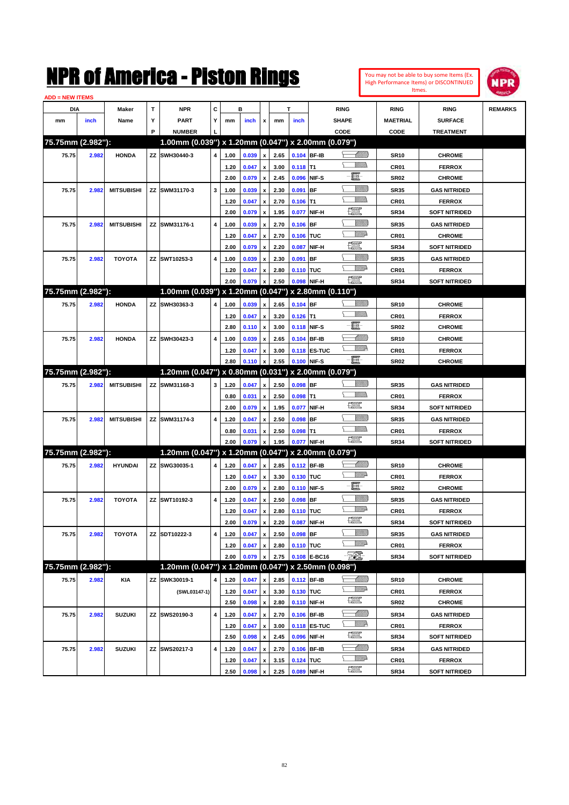| You may not be able to buy some Items (Ex. |
|--------------------------------------------|
| High Performance Items) or DISCONTINUED    |
| Itmes.                                     |



| <b>ADD = NEW ITEMS</b> |       |                   |    |                                                     |   |              |       |                    |      |            |                     |                               |                  |                                       |                |
|------------------------|-------|-------------------|----|-----------------------------------------------------|---|--------------|-------|--------------------|------|------------|---------------------|-------------------------------|------------------|---------------------------------------|----------------|
| DIA                    |       | <b>Maker</b>      | T  | NPR                                                 | С |              | в     |                    |      | т          |                     | <b>RING</b>                   | <b>RING</b>      | <b>RING</b>                           | <b>REMARKS</b> |
| mm                     | inch  | Name              | Υ  | <b>PART</b>                                         | Y | mm           | inch  | x                  | mm   | inch       |                     | <b>SHAPE</b>                  | <b>MAETRIAL</b>  | <b>SURFACE</b>                        |                |
|                        |       |                   | P  | <b>NUMBER</b>                                       |   |              |       |                    |      |            |                     | CODE                          | <b>CODE</b>      | <b>TREATMENT</b>                      |                |
| 75.75mm (2.982"):      |       |                   |    | 1.00mm (0.039") x 1.20mm (0.047") x 2.00mm (0.079") |   |              |       |                    |      |            |                     |                               |                  |                                       |                |
| 75.75                  | 2.982 | <b>HONDA</b>      |    | ZZ SWH30440-3                                       | 4 | 1.00         | 0.039 | x                  | 2.65 |            | 0.104 BF-IB         | <u> Millilli</u>              | <b>SR10</b>      | <b>CHROME</b>                         |                |
|                        |       |                   |    |                                                     |   | 1.20         | 0.047 | x                  | 3.00 | $0.118$ T1 |                     | <br>Mad                       | CR <sub>01</sub> | <b>FERROX</b>                         |                |
|                        |       |                   |    |                                                     |   | 2.00         | 0.079 | x                  | 2.45 |            | 0.096 NIF-S         | e                             | <b>SR02</b>      | <b>CHROME</b>                         |                |
| 75.75                  | 2.982 | <b>MITSUBISHI</b> |    | ZZ SWM31170-3                                       | 3 | 1.00         | 0.039 | x                  | 2.30 | 0.091      | <b>BF</b>           | <u>VIIII)</u>                 | <b>SR35</b>      | <b>GAS NITRIDED</b>                   |                |
|                        |       |                   |    |                                                     |   | 1.20         | 0.047 | x                  | 2.70 | $0.106$ T1 |                     | <br>Mad                       | CR <sub>01</sub> | <b>FERROX</b>                         |                |
|                        |       |                   |    |                                                     |   | 2.00         | 0.079 | x                  | 1.95 | 0.077      | NIF-H               | <u>fin</u>                    | <b>SR34</b>      | <b>SOFT NITRIDED</b>                  |                |
| 75.75                  | 2.982 | <b>MITSUBISHI</b> |    | ZZ SWM31176-1                                       | 4 | 1.00         | 0.039 | x                  | 2.70 | $0.106$ BF |                     | <u> UMB</u>                   | <b>SR35</b>      | <b>GAS NITRIDED</b>                   |                |
|                        |       |                   |    |                                                     |   | 1.20         | 0.047 | x                  | 2.70 | 0.106 TUC  |                     | <u>VMD</u>                    | CR <sub>01</sub> | <b>CHROME</b>                         |                |
|                        |       |                   |    |                                                     |   | 2.00         | 0.079 | x                  | 2.20 | 0.087      | NIF-H               | <u>fin</u>                    | <b>SR34</b>      | <b>SOFT NITRIDED</b>                  |                |
| 75.75                  | 2.982 | <b>TOYOTA</b>     |    | ZZ SWT10253-3                                       | 4 | 1.00         | 0.039 |                    | 2.30 | 0.091      | <b>BF</b>           | <u> UMB</u>                   | <b>SR35</b>      | <b>GAS NITRIDED</b>                   |                |
|                        |       |                   |    |                                                     |   | 1.20         | 0.047 | x                  | 2.80 | 0.110 TUC  |                     | <u>VMD</u>                    | CR <sub>01</sub> | <b>FERROX</b>                         |                |
|                        |       |                   |    |                                                     |   | 2.00         | 0.079 |                    | 2.50 |            | 0.098 NIF-H         | æ                             | <b>SR34</b>      | <b>SOFT NITRIDED</b>                  |                |
| 75.75mm (2.982"):      |       |                   |    | 1.00mm (0.039") x 1.20mm (0.047") x 2.80mm (0.110") |   |              |       |                    |      |            |                     |                               |                  |                                       |                |
| 75.75                  | 2.982 | <b>HONDA</b>      |    | ZZ SWH30363-3                                       | 4 | 1.00         | 0.039 | x                  | 2.65 | $0.104$ BF |                     | <u>Villida</u>                | <b>SR10</b>      | <b>CHROME</b>                         |                |
|                        |       |                   |    |                                                     |   | 1.20         | 0.047 | x                  | 3.20 | $0.126$ T1 |                     |                               | CR <sub>01</sub> | <b>FERROX</b>                         |                |
|                        |       |                   |    |                                                     |   | 2.80         | 0.110 | x                  | 3.00 |            | 0.118 NIF-S         | E                             | <b>SR02</b>      | <b>CHROME</b>                         |                |
| 75.75                  | 2.982 | <b>HONDA</b>      |    | ZZ SWH30423-3                                       | 4 | 1.00         | 0.039 | x                  | 2.65 |            | 0.104 BF-IB         | <u>UMM</u>                    | <b>SR10</b>      | <b>CHROME</b>                         |                |
|                        |       |                   |    |                                                     |   | 1.20         | 0.047 | x                  | 3.00 |            | 0.118 ES-TUC        | <u>VM</u> D                   | CR <sub>01</sub> | <b>FERROX</b>                         |                |
|                        |       |                   |    |                                                     |   | 2.80         | 0.110 | x                  | 2.55 |            | 0.100 NIF-S         | -8                            | SR <sub>02</sub> | <b>CHROME</b>                         |                |
| 75.75mm (2.982"):      |       |                   |    | 1.20mm (0.047") x 0.80mm (0.031") x 2.00mm (0.079") |   |              |       |                    |      |            |                     |                               |                  |                                       |                |
| 75.75                  | 2.982 | <b>MITSUBISHI</b> |    | ZZ SWM31168-3                                       | 3 | 1.20         | 0.047 | x                  | 2.50 | $0.098$ BF |                     | <u>Villida</u>                | <b>SR35</b>      | <b>GAS NITRIDED</b>                   |                |
|                        |       |                   |    |                                                     |   | 0.80         | 0.031 | x                  | 2.50 | $0.098$ T1 |                     |                               | CR <sub>01</sub> | <b>FERROX</b>                         |                |
|                        |       |                   |    |                                                     |   | 2.00         | 0.079 | x                  | 1.95 | 0.077      | NIF-H               | 鱱                             | <b>SR34</b>      | <b>SOFT NITRIDED</b>                  |                |
| 75.75                  | 2.982 | <b>MITSUBISHI</b> |    | ZZ SWM31174-3                                       | 4 | 1.20         | 0.047 |                    | 2.50 | $0.098$ BF |                     | <u>UMB</u>                    | <b>SR35</b>      | <b>GAS NITRIDED</b>                   |                |
|                        |       |                   |    |                                                     |   | 0.80         | 0.031 | x                  | 2.50 | $0.098$ T1 |                     |                               | CR <sub>01</sub> | <b>FERROX</b>                         |                |
|                        |       |                   |    |                                                     |   | 2.00         | 0.079 |                    | 1.95 |            | 0.077 NIF-H         | $f_{\text{max}}^{\text{max}}$ | <b>SR34</b>      | <b>SOFT NITRIDED</b>                  |                |
| 75.75mm (2.982"):      |       |                   |    | 1.20mm (0.047") x 1.20mm (0.047") x 2.00mm (0.079") |   |              |       |                    |      |            |                     |                               |                  |                                       |                |
| 75.75                  | 2.982 | <b>HYUNDAI</b>    |    | ZZ SWG30035-1                                       | 4 | 1.20         | 0.047 | x                  | 2.85 |            | 0.112 BF-IB         | <u> UMB</u>                   | <b>SR10</b>      | <b>CHROME</b>                         |                |
|                        |       |                   |    |                                                     |   | 1.20         | 0.047 | x                  | 3.30 | 0.130 TUC  |                     | <u>VMD</u>                    | CR <sub>01</sub> | <b>FERROX</b>                         |                |
|                        |       |                   |    |                                                     |   | 2.00         | 0.079 | x                  | 2.80 |            | 0.110 NIF-S         | e                             | <b>SR02</b>      | <b>CHROME</b>                         |                |
| 75.75                  | 2.982 | <b>TOYOTA</b>     |    | ZZ SWT10192-3                                       | 4 | 1.20         | 0.047 |                    | 2.50 | $0.098$ BF |                     | <u>VIIII)</u>                 | <b>SR35</b>      | <b>GAS NITRIDED</b>                   |                |
|                        |       |                   |    |                                                     |   |              | 0.047 |                    | 2.80 | 0.110 TUC  |                     | <u>MMP</u>                    |                  |                                       |                |
|                        |       |                   |    |                                                     |   | 1.20<br>2.00 | 0.079 | x                  | 2.20 |            | 0.087 NIF-H         | 鱱                             | CR01             | <b>FERROX</b><br><b>SOFT NITRIDED</b> |                |
|                        |       |                   |    |                                                     |   |              |       | $\pmb{\mathsf{x}}$ |      |            |                     | <u>VIIII)</u>                 | SR34             |                                       |                |
| 75.75                  | 2.982 | <b>TOYOTA</b>     | ΖZ | SDT10222-3                                          | 4 | 1.20         | 0.047 | $\pmb{\mathsf{x}}$ | 2.50 | $0.098$ BF |                     | <u>MMP</u>                    | <b>SR35</b>      | <b>GAS NITRIDED</b>                   |                |
|                        |       |                   |    |                                                     |   | 1.20         | 0.047 | x                  | 2.80 | 0.110 TUC  |                     | $\overline{E}$                | CR01             | <b>FERROX</b>                         |                |
| 75.75mm (2.982"):      |       |                   |    | 1.20mm (0.047") x 1.20mm (0.047") x 2.50mm (0.098") |   | 2.00         | 0.079 | x                  | 2.75 |            | 0.108 E-BC16        |                               | SR34             | <b>SOFT NITRIDED</b>                  |                |
|                        |       |                   |    |                                                     |   |              |       |                    |      |            |                     |                               |                  |                                       |                |
| 75.75                  | 2.982 | <b>KIA</b>        | ΖZ | SWK30019-1                                          | 4 | 1.20         | 0.047 | x                  | 2.85 |            | 0.112 BF-IB         | <u>-1777)</u><br>₩₩           | <b>SR10</b>      | <b>CHROME</b>                         |                |
|                        |       |                   |    | (SWL03147-1)                                        |   | 1.20         | 0.047 | x                  | 3.30 | 0.130 TUC  |                     | R                             | CR01             | <b>FERROX</b>                         |                |
|                        |       |                   |    |                                                     |   | 2.50         | 0.098 | $\pmb{\mathsf{x}}$ | 2.80 |            | 0.110 NIF-H         |                               | SR02             | <b>CHROME</b>                         |                |
| 75.75                  | 2.982 | <b>SUZUKI</b>     |    | ZZ SWS20190-3                                       | 4 | 1.20         | 0.047 | x                  | 2.70 |            | 0.106 BF-IB         | <u>-1777)</u><br><u>VMR</u>   | <b>SR34</b>      | <b>GAS NITRIDED</b>                   |                |
|                        |       |                   |    |                                                     |   | 1.20         | 0.047 | x                  | 3.00 |            | <b>0.118 ES-TUC</b> | R                             | CR01             | <b>FERROX</b>                         |                |
|                        |       |                   |    |                                                     |   | 2.50         | 0.098 | $\pmb{\mathsf{x}}$ | 2.45 |            | 0.096 NIF-H         |                               | SR34             | <b>SOFT NITRIDED</b>                  |                |
| 75.75                  | 2.982 | <b>SUZUKI</b>     |    | ZZ SWS20217-3                                       | 4 | 1.20         | 0.047 | x                  | 2.70 |            | 0.106 BF-IB         |                               | SR34             | <b>GAS NITRIDED</b>                   |                |
|                        |       |                   |    |                                                     |   | 1.20         | 0.047 |                    | 3.15 | 0.124 TUC  |                     | ₩₩                            | CR01             | <b>FERROX</b>                         |                |
|                        |       |                   |    |                                                     |   | 2.50         | 0.098 | $\pmb{\mathsf{x}}$ | 2.25 |            | 0.089 NIF-H         | R                             | SR34             | <b>SOFT NITRIDED</b>                  |                |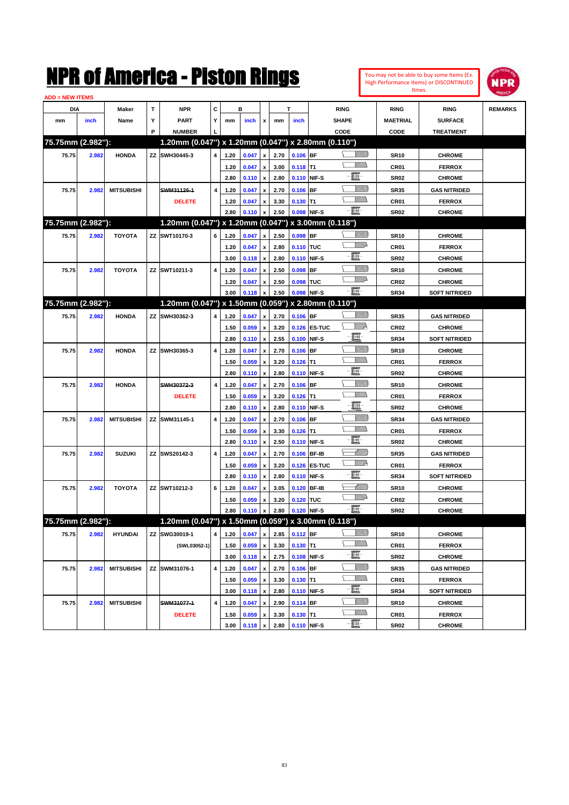| You may not be able to buy some Items (Ex. |
|--------------------------------------------|
| High Performance Items) or DISCONTINUED    |
| Itmes.                                     |



| <b>ADD = NEW ITEMS</b> |       |                   |    |                                                     |                         |      |       |                    |      |            |              |                 |                  |                      |                |
|------------------------|-------|-------------------|----|-----------------------------------------------------|-------------------------|------|-------|--------------------|------|------------|--------------|-----------------|------------------|----------------------|----------------|
| DIA                    |       | Maker             | T  | <b>NPR</b>                                          | С                       |      | в     |                    |      | т          |              | <b>RING</b>     | <b>RING</b>      | <b>RING</b>          | <b>REMARKS</b> |
| mm                     | inch  | Name              | Υ  | <b>PART</b>                                         | Y                       | mm   | inch  | x                  | mm   | inch       |              | <b>SHAPE</b>    | <b>MAETRIAL</b>  | <b>SURFACE</b>       |                |
|                        |       |                   | P  | <b>NUMBER</b>                                       |                         |      |       |                    |      |            |              | CODE            | CODE             | <b>TREATMENT</b>     |                |
| 75.75mm (2.982"):      |       |                   |    | 1.20mm (0.047") x 1.20mm (0.047") x 2.80mm (0.110") |                         |      |       |                    |      |            |              |                 |                  |                      |                |
| 75.75                  | 2.982 | <b>HONDA</b>      | ΖZ | SWH30445-3                                          | $\overline{\mathbf{4}}$ | 1.20 | 0.047 | $\pmb{\mathsf{x}}$ | 2.70 | $0.106$ BF |              | <u>Sillilli</u> | <b>SR10</b>      | <b>CHROME</b>        |                |
|                        |       |                   |    |                                                     |                         | 1.20 | 0.047 | x                  | 3.00 | $0.118$ T1 |              |                 | CR01             | <b>FERROX</b>        |                |
|                        |       |                   |    |                                                     |                         | 2.80 | 0.110 | $\pmb{\mathsf{x}}$ | 2.80 |            | 0.110 NIF-S  | e.              | <b>SR02</b>      | <b>CHROME</b>        |                |
| 75.75                  | 2.982 | <b>MITSUBISHI</b> |    | SWM31126-1                                          | $\overline{\mathbf{4}}$ | 1.20 | 0.047 | x                  | 2.70 | $0.106$ BF |              | <u>VIIII)</u>   | <b>SR35</b>      | <b>GAS NITRIDED</b>  |                |
|                        |       |                   |    | <b>DELETE</b>                                       |                         | 1.20 | 0.047 | x                  | 3.30 | $0.130$ T1 |              | UM)             | CR01             | <b>FERROX</b>        |                |
|                        |       |                   |    |                                                     |                         | 2.80 | 0.110 | x                  | 2.50 |            | 0.098 NIF-S  | -8              | <b>SR02</b>      | <b>CHROME</b>        |                |
| 75.75mm (2.982"):      |       |                   |    | 1.20mm (0.047") x 1.20mm (0.047") x 3.00mm (0.118") |                         |      |       |                    |      |            |              |                 |                  |                      |                |
| 75.75                  | 2.982 | <b>TOYOTA</b>     |    | ZZ SWT10170-3                                       | 6                       | 1.20 | 0.047 | $\pmb{\mathsf{x}}$ | 2.50 | $0.098$ BF |              | <u>Sillilli</u> | <b>SR10</b>      | <b>CHROME</b>        |                |
|                        |       |                   |    |                                                     |                         | 1.20 | 0.047 | $\pmb{\mathsf{x}}$ | 2.80 | 0.110 TUC  |              | <u>MMP</u>      | CR01             | <b>FERROX</b>        |                |
|                        |       |                   |    |                                                     |                         | 3.00 | 0.118 | $\pmb{\mathsf{x}}$ | 2.80 |            | 0.110 NIF-S  | e               | <b>SR02</b>      | <b>CHROME</b>        |                |
| 75.75                  | 2.982 | <b>TOYOTA</b>     |    | ZZ SWT10211-3                                       | 4                       | 1.20 | 0.047 | x                  | 2.50 | $0.098$ BF |              | <u>VIIII)</u>   | <b>SR10</b>      | <b>CHROME</b>        |                |
|                        |       |                   |    |                                                     |                         | 1.20 | 0.047 | x                  | 2.50 | 0.098 TUC  |              | <u>MMP</u>      | CR <sub>02</sub> | <b>CHROME</b>        |                |
|                        |       |                   |    |                                                     |                         | 3.00 | 0.118 | x                  | 2.50 |            | 0.098 NIF-S  | -8              | <b>SR34</b>      | SOFT NITRIDED        |                |
| 75.75mm (2.982"):      |       |                   |    | 1.20mm (0.047") x 1.50mm (0.059") x 2.80mm (0.110") |                         |      |       |                    |      |            |              |                 |                  |                      |                |
| 75.75                  | 2.982 | <b>HONDA</b>      | ΖZ | SWH30362-3                                          | 4                       | 1.20 | 0.047 | $\pmb{\mathsf{x}}$ | 2.70 | $0.106$ BF |              | <u>VIIII)</u>   | <b>SR35</b>      | <b>GAS NITRIDED</b>  |                |
|                        |       |                   |    |                                                     |                         | 1.50 | 0.059 | x                  | 3.20 |            | 0.126 ES-TUC | ₩₩              | CR <sub>02</sub> | <b>CHROME</b>        |                |
|                        |       |                   |    |                                                     |                         | 2.80 | 0.110 | $\pmb{\mathsf{x}}$ | 2.55 |            | 0.100 NIF-S  | e               | <b>SR34</b>      | <b>SOFT NITRIDED</b> |                |
| 75.75                  | 2.982 | <b>HONDA</b>      | ΖZ | SWH30365-3                                          | 4                       | 1.20 | 0.047 | x                  | 2.70 | $0.106$ BF |              | <u>Sillilli</u> | <b>SR10</b>      | <b>CHROME</b>        |                |
|                        |       |                   |    |                                                     |                         | 1.50 | 0.059 | x                  | 3.20 | $0.126$ T1 |              | VMM)            | CR01             | <b>FERROX</b>        |                |
|                        |       |                   |    |                                                     |                         | 2.80 | 0.110 | x                  | 2.80 |            | 0.110 NIF-S  | E               | <b>SR02</b>      | <b>CHROME</b>        |                |
| 75.75                  | 2.982 | <b>HONDA</b>      |    | SWH30372-3                                          | $\overline{\mathbf{4}}$ | 1.20 | 0.047 | x                  | 2.70 | $0.106$ BF |              | <u>VIIII)</u>   | <b>SR10</b>      | <b>CHROME</b>        |                |
|                        |       |                   |    | <b>DELETE</b>                                       |                         | 1.50 | 0.059 | x                  | 3.20 | $0.126$ T1 |              | <br>Mad         | CR01             | <b>FERROX</b>        |                |
|                        |       |                   |    |                                                     |                         | 2.80 | 0.110 | x                  | 2.80 |            | 0.110 NIF-S  | đ.              | <b>SR02</b>      | <b>CHROME</b>        |                |
| 75.75                  | 2.982 | <b>MITSUBISHI</b> |    | ZZ SWM31145-1                                       | 4                       | 1.20 | 0.047 | x                  | 2.70 | $0.106$ BF |              | <u>Sillilli</u> | <b>SR34</b>      | <b>GAS NITRIDED</b>  |                |
|                        |       |                   |    |                                                     |                         | 1.50 | 0.059 | x                  | 3.30 | $0.126$ T1 |              | <br>Mad         | CR01             | <b>FERROX</b>        |                |
|                        |       |                   |    |                                                     |                         | 2.80 | 0.110 | x                  | 2.50 |            | 0.110 NIF-S  | E               | <b>SR02</b>      | <b>CHROME</b>        |                |
| 75.75                  | 2.982 | <b>SUZUKI</b>     |    | ZZ SWS20142-3                                       | 4                       | 1.20 | 0.047 | x                  | 2.70 |            | 0.106 BF-IB  | <u> UMM)</u>    | <b>SR35</b>      | <b>GAS NITRIDED</b>  |                |
|                        |       |                   |    |                                                     |                         | 1.50 | 0.059 | x                  | 3.20 |            | 0.126 ES-TUC | <u>MM</u>       | CR01             | <b>FERROX</b>        |                |
|                        |       |                   |    |                                                     |                         | 2.80 | 0.110 | x                  | 2.80 |            | 0.110 NIF-S  | e               | <b>SR34</b>      | <b>SOFT NITRIDED</b> |                |
| 75.75                  | 2.982 | <b>TOYOTA</b>     |    | ZZ SWT10212-3                                       | 6                       | 1.20 | 0.047 | x                  | 3.05 |            | 0.120 BF-IB  | <u>UMB</u>      | <b>SR10</b>      | <b>CHROME</b>        |                |
|                        |       |                   |    |                                                     |                         | 1.50 | 0.059 | x                  | 3.20 | 0.120 TUC  |              | <u>MMP</u>      | CR <sub>02</sub> | <b>CHROME</b>        |                |
|                        |       |                   |    |                                                     |                         | 2.80 | 0.110 | $\pmb{\mathsf{x}}$ | 2.80 |            | 0.120 NIF-S  | e               | <b>SR02</b>      | <b>CHROME</b>        |                |
| 75.75mm (2.982"):      |       |                   |    | 1.20mm (0.047") x 1.50mm (0.059") x 3.00mm (0.118") |                         |      |       |                    |      |            |              |                 |                  |                      |                |
| 75.75                  | 2.982 | <b>HYUNDAI</b>    |    | ZZ SWG30019-1                                       | 4                       | 1.20 | 0.047 | $\pmb{\mathsf{x}}$ | 2.85 | $0.112$ BF |              | <u>VIIII)</u>   | <b>SR10</b>      | <b>CHROME</b>        |                |
|                        |       |                   |    | (SWL03052-1)                                        |                         | 1.50 | 0.059 | $\pmb{\mathsf{x}}$ | 3.30 | $0.130$ T1 |              | <u>MMW</u>      | CR01             | <b>FERROX</b>        |                |
|                        |       |                   |    |                                                     |                         | 3.00 | 0.118 | $\pmb{\mathsf{x}}$ | 2.75 |            | 0.108 NIF-S  | E               | SR02             | <b>CHROME</b>        |                |
| 75.75                  | 2.982 | <b>MITSUBISHI</b> |    | ZZ SWM31076-1                                       | 4                       | 1.20 | 0.047 | x                  | 2.70 | $0.106$ BF |              | <u>VIIII)</u>   | SR35             | <b>GAS NITRIDED</b>  |                |
|                        |       |                   |    |                                                     |                         | 1.50 | 0.059 | x                  | 3.30 | $0.130$ T1 |              | <u>MM)</u>      | CR01             | <b>FERROX</b>        |                |
|                        |       |                   |    |                                                     |                         | 3.00 | 0.118 | $\pmb{\mathsf{x}}$ | 2.80 |            | 0.110 NIF-S  | E               | SR34             | <b>SOFT NITRIDED</b> |                |
| 75.75                  | 2.982 | <b>MITSUBISHI</b> |    | SWM31077-1                                          | 4                       | 1.20 | 0.047 | x                  | 2.90 | $0.114$ BF |              | <u>VIIII)</u>   | <b>SR10</b>      | <b>CHROME</b>        |                |
|                        |       |                   |    | <b>DELETE</b>                                       |                         | 1.50 | 0.059 | x                  | 3.30 | $0.130$ T1 |              | <u>VMM)</u>     | CR01             | <b>FERROX</b>        |                |
|                        |       |                   |    |                                                     |                         | 3.00 | 0.118 | $\pmb{\mathsf{x}}$ | 2.80 |            | 0.110 NIF-S  | e.              | SR02             | <b>CHROME</b>        |                |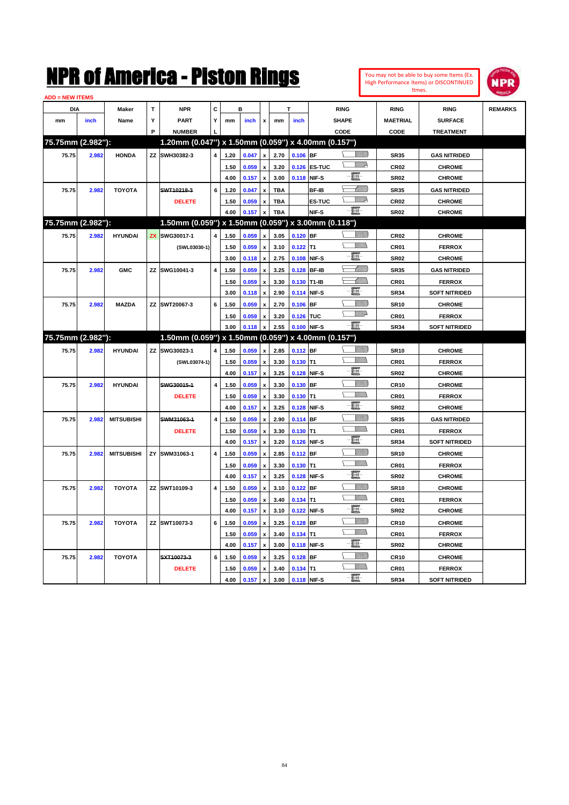| You may not be able to buy some Items (Ex. |
|--------------------------------------------|
| High Performance Items) or DISCONTINUED    |
| Itmes.                                     |



| <b>DIA</b><br>mm  | inch  | <b>Maker</b>      | T | <b>NPR</b>                                          | C                       |      | в     |                           |            |                        |               | <b>RING</b>        | <b>RING</b>     | <b>RING</b>          | <b>REMARKS</b> |
|-------------------|-------|-------------------|---|-----------------------------------------------------|-------------------------|------|-------|---------------------------|------------|------------------------|---------------|--------------------|-----------------|----------------------|----------------|
|                   |       |                   |   |                                                     |                         |      |       |                           |            |                        |               |                    |                 |                      |                |
|                   |       | Name              | Υ | <b>PART</b>                                         | Y                       | mm   | inch  | x                         | mm         | inch                   |               | <b>SHAPE</b>       | <b>MAETRIAL</b> | <b>SURFACE</b>       |                |
|                   |       |                   | P | <b>NUMBER</b>                                       |                         |      |       |                           |            |                        |               | CODE               | CODE            | <b>TREATMENT</b>     |                |
| 75.75mm (2.982"): |       |                   |   | 1.20mm (0.047") x 1.50mm (0.059") x 4.00mm (0.157") |                         |      |       |                           |            |                        |               |                    |                 |                      |                |
| 75.75             | 2.982 | <b>HONDA</b>      |   | ZZ SWH30382-3                                       | 4                       | 1.20 | 0.047 | $\mathbf{x}$              | 2.70       | $0.106$ BF             |               | <u>Villida</u>     | <b>SR35</b>     | <b>GAS NITRIDED</b>  |                |
|                   |       |                   |   |                                                     |                         | 1.50 | 0.059 | $\pmb{\mathsf{x}}$        | 3.20       |                        | 0.126 ES-TUC  | <u>VM</u> D        | <b>CR02</b>     | <b>CHROME</b>        |                |
|                   |       |                   |   |                                                     |                         | 4.00 | 0.157 | $\boldsymbol{\mathsf{x}}$ | 3.00       |                        | 0.118 NIF-S   | E                  | <b>SR02</b>     | <b>CHROME</b>        |                |
| 75.75             | 2.982 | <b>TOYOTA</b>     |   | SWT10218-3                                          | 6                       | 1.20 | 0.047 | $\boldsymbol{\mathsf{x}}$ | <b>TBA</b> |                        | BF-IB         | <u> Millitt</u>    | <b>SR35</b>     | <b>GAS NITRIDED</b>  |                |
|                   |       |                   |   | <b>DELETE</b>                                       |                         | 1.50 | 0.059 | $\pmb{\mathsf{x}}$        | <b>TBA</b> |                        | <b>ES-TUC</b> | $\sqrt{2}$         | <b>CR02</b>     | <b>CHROME</b>        |                |
|                   |       |                   |   |                                                     |                         | 4.00 | 0.157 | $\boldsymbol{\mathsf{x}}$ | <b>TBA</b> |                        | NIF-S         | - 8                | <b>SR02</b>     | <b>CHROME</b>        |                |
| 75.75mm (2.982"): |       |                   |   | 1.50mm (0.059") x 1.50mm (0.059") x 3.00mm (0.118") |                         |      |       |                           |            |                        |               |                    |                 |                      |                |
| 75.75             | 2.982 | <b>HYUNDAI</b>    |   | ZX SWG30017-1                                       | $\overline{\mathbf{4}}$ | 1.50 | 0.059 | $\pmb{\mathsf{x}}$        | 3.05       | $0.120$ BF             |               | <u>Sillita</u>     | <b>CR02</b>     | <b>CHROME</b>        |                |
|                   |       |                   |   | (SWL03030-1)                                        |                         | 1.50 | 0.059 | $\boldsymbol{\mathsf{x}}$ | 3.10       | $0.122$ T1             |               | .<br>VMDo<br>Υ     | CR01            | <b>FERROX</b>        |                |
|                   |       |                   |   |                                                     |                         | 3.00 | 0.118 | $\pmb{\mathsf{x}}$        | 2.75       | 0.108 NIF-S            |               | e.                 | <b>SR02</b>     | <b>CHROME</b>        |                |
| 75.75             | 2.982 | <b>GMC</b>        |   | ZZ SWG10041-3                                       | $\overline{\mathbf{4}}$ | 1.50 | 0.059 | $\boldsymbol{\mathsf{x}}$ | 3.25       | 0.128 BF-IB            |               | <u> MM)</u>        | <b>SR35</b>     | <b>GAS NITRIDED</b>  |                |
|                   |       |                   |   |                                                     |                         | 1.50 | 0.059 | $\pmb{\mathsf{x}}$        | 3.30       | 0.130 T1-IB            |               | :WWW               | CR01            | <b>FERROX</b>        |                |
|                   |       |                   |   |                                                     |                         | 3.00 | 0.118 | $\pmb{\mathsf{x}}$        | 2.90       |                        | 0.114 NIF-S   | E.                 | <b>SR34</b>     | <b>SOFT NITRIDED</b> |                |
| 75.75             | 2.982 | <b>MAZDA</b>      |   | ZZ SWT20067-3                                       | 6                       | 1.50 | 0.059 | $\pmb{\mathsf{x}}$        | 2.70       | $0.106$ BF             |               | VIIII)             | <b>SR10</b>     | <b>CHROME</b>        |                |
|                   |       |                   |   |                                                     |                         | 1.50 | 0.059 | $\pmb{\mathsf{x}}$        | 3.20       | 0.126 TUC              |               | <u>Willia</u><br>Σ | CR01            | <b>FERROX</b>        |                |
|                   |       |                   |   |                                                     |                         | 3.00 | 0.118 | $\mathbf{x}$              | 2.55       |                        | 0.100 NIF-S   | -日-                | <b>SR34</b>     | <b>SOFT NITRIDED</b> |                |
| 75.75mm (2.982"): |       |                   |   | 1.50mm (0.059") x 1.50mm (0.059") x 4.00mm (0.157") |                         |      |       |                           |            |                        |               |                    |                 |                      |                |
| 75.75             | 2.982 | <b>HYUNDAI</b>    |   | ZZ SWG30023-1                                       | 4                       | 1.50 | 0.059 | x                         | 2.85       | $0.112$ BF             |               | <u>Villitti</u>    | <b>SR10</b>     | <b>CHROME</b>        |                |
|                   |       |                   |   | (SWL03074-1)                                        |                         | 1.50 | 0.059 | $\pmb{\mathsf{x}}$        | 3.30       | $0.130$ T <sub>1</sub> |               | VM)<br>Σ           | CR01            | <b>FERROX</b>        |                |
|                   |       |                   |   |                                                     |                         | 4.00 | 0.157 | $\boldsymbol{\mathsf{x}}$ | 3.25       |                        | 0.128 NIF-S   | E                  | <b>SR02</b>     | <b>CHROME</b>        |                |
| 75.75             | 2.982 | <b>HYUNDAI</b>    |   | SWG30015-1                                          | 4                       | 1.50 | 0.059 | $\pmb{\mathsf{x}}$        | 3.30       | 0.130 BF               |               |                    | <b>CR10</b>     | <b>CHROME</b>        |                |
|                   |       |                   |   | <b>DELETE</b>                                       |                         | 1.50 | 0.059 | $\boldsymbol{x}$          | 3.30       | $0.130$ T1             |               | VM))               | CR01            | <b>FERROX</b>        |                |
|                   |       |                   |   |                                                     |                         | 4.00 | 0.157 | $\mathbf{x}$              | 3.25       |                        | 0.128 NIF-S   | E.                 | <b>SR02</b>     | <b>CHROME</b>        |                |
| 75.75             | 2.982 | <b>MITSUBISHI</b> |   | SWM31063-1                                          | $\overline{\mathbf{4}}$ | 1.50 | 0.059 | $\boldsymbol{\mathsf{x}}$ | 2.90       | 0.114 BF               |               | <u>Villitti</u>    | <b>SR35</b>     | <b>GAS NITRIDED</b>  |                |
|                   |       |                   |   | <b>DELETE</b>                                       |                         | 1.50 | 0.059 | $\pmb{\mathsf{x}}$        | 3.30       | $0.130$ T1             |               | VM))               | CR01            | <b>FERROX</b>        |                |
|                   |       |                   |   |                                                     |                         | 4.00 | 0.157 | $\pmb{\mathsf{x}}$        | 3.20       | 0.126 NIF-S            |               | E                  | <b>SR34</b>     | <b>SOFT NITRIDED</b> |                |
| 75.75             | 2.982 | <b>MITSUBISHI</b> |   | ZY SWM31063-1                                       | $\overline{\mathbf{4}}$ | 1.50 | 0.059 | $\pmb{\mathsf{x}}$        | 2.85       | $0.112$ BF             |               |                    | <b>SR10</b>     | <b>CHROME</b>        |                |
|                   |       |                   |   |                                                     |                         | 1.50 | 0.059 | $\pmb{\mathsf{x}}$        | 3.30       | $0.130$ T1             |               | <u>WMW</u><br>Σ    | CR01            | <b>FERROX</b>        |                |
|                   |       |                   |   |                                                     |                         | 4.00 | 0.157 | $\boldsymbol{\mathsf{x}}$ | 3.25       |                        | 0.128 NIF-S   | E                  | <b>SR02</b>     | <b>CHROME</b>        |                |
| 75.75             | 2.982 | <b>TOYOTA</b>     |   | ZZ SWT10109-3                                       | 4                       | 1.50 | 0.059 | $\pmb{\mathsf{x}}$        | 3.10       | $0.122$ BF             |               | <u>Millil</u>      | <b>SR10</b>     | <b>CHROME</b>        |                |
|                   |       |                   |   |                                                     |                         | 1.50 | 0.059 | $\boldsymbol{\mathsf{x}}$ | 3.40       | $0.134$ T1             |               | .<br>VMD<br>⊆      | <b>CR01</b>     | <b>FERROX</b>        |                |
|                   |       |                   |   |                                                     |                         | 4.00 | 0.157 | $\pmb{\mathsf{x}}$        | 3.10       |                        | 0.122 NIF-S   | 圓                  | <b>SR02</b>     | <b>CHROME</b>        |                |
| 75.75             | 2.982 | <b>TOYOTA</b>     |   | ZZ SWT10073-3                                       | 6                       | 1.50 | 0.059 | $\pmb{\mathsf{x}}$        | 3.25       | $0.128$ BF             |               | VMM)               | <b>CR10</b>     | <b>CHROME</b>        |                |
|                   |       |                   |   |                                                     |                         | 1.50 | 0.059 | $\pmb{\mathsf{x}}$        | 3.40       | $0.134$ T1             |               | <u>VMM)</u><br>Σ   | <b>CR01</b>     | <b>FERROX</b>        |                |
|                   |       |                   |   |                                                     |                         | 4.00 | 0.157 | $\mathbf{x}$              | 3.00       | 0.118 NIF-S            |               | E-                 | <b>SR02</b>     | <b>CHROME</b>        |                |
| 75.75             | 2.982 | <b>TOYOTA</b>     |   | SXT10073-3                                          | 6                       | 1.50 | 0.059 | x                         | 3.25       | $0.128$ BF             |               | VIIII)             | <b>CR10</b>     | <b>CHROME</b>        |                |
|                   |       |                   |   | <b>DELETE</b>                                       |                         | 1.50 | 0.059 | x                         | 3.40       | $0.134$ T1             |               | <u>Willib</u><br>V | CR01            | <b>FERROX</b>        |                |
|                   |       |                   |   |                                                     |                         | 4.00 | 0.157 | $\pmb{\mathsf{x}}$        | 3.00       |                        | 0.118 NIF-S   | E                  | <b>SR34</b>     | <b>SOFT NITRIDED</b> |                |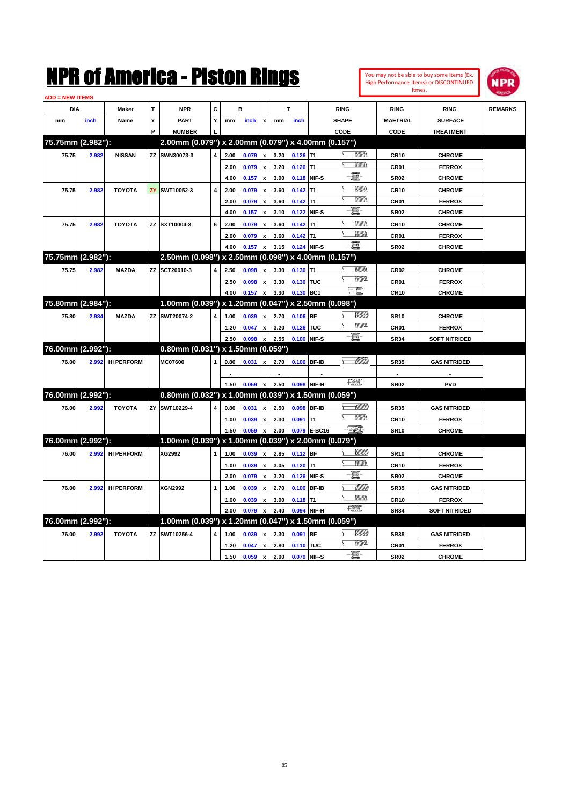| <b>ADD = NEW ITEMS</b> |       |                   |   |                                                     |                         |      |                     |                           |      |             |              |                  |                 |                      |                |
|------------------------|-------|-------------------|---|-----------------------------------------------------|-------------------------|------|---------------------|---------------------------|------|-------------|--------------|------------------|-----------------|----------------------|----------------|
| <b>DIA</b>             |       | Maker             | т | <b>NPR</b>                                          | C                       |      | в                   |                           |      |             |              | <b>RING</b>      | <b>RING</b>     | <b>RING</b>          | <b>REMARKS</b> |
| mm                     | inch  | Name              | Υ | <b>PART</b>                                         | Υ                       | mm   | inch                | $\mathbf{x}$              | mm   | inch        |              | <b>SHAPE</b>     | <b>MAETRIAL</b> | <b>SURFACE</b>       |                |
|                        |       |                   | P | <b>NUMBER</b>                                       |                         |      |                     |                           |      |             |              | CODE             | CODE            | <b>TREATMENT</b>     |                |
| 75.75mm (2.982"):      |       |                   |   | 2.00mm (0.079") x 2.00mm (0.079") x 4.00mm (0.157") |                         |      |                     |                           |      |             |              |                  |                 |                      |                |
| 75.75                  | 2.982 | <b>NISSAN</b>     |   | ZZ SWN30073-3                                       | $\overline{\mathbf{4}}$ | 2.00 | 0.079               | $\mathbf{x}$              | 3.20 | $0.126$ T1  |              | .<br>Villid      | <b>CR10</b>     | <b>CHROME</b>        |                |
|                        |       |                   |   |                                                     |                         | 2.00 | 0.079               | $\boldsymbol{\mathsf{x}}$ | 3.20 | $0.126$ T1  |              | <u>MM)</u>       | CR01            | <b>FERROX</b>        |                |
|                        |       |                   |   |                                                     |                         | 4.00 | 0.157               | $\boldsymbol{\mathsf{x}}$ | 3.00 | 0.118 NIF-S |              | E                | <b>SR02</b>     | <b>CHROME</b>        |                |
| 75.75                  | 2.982 | <b>TOYOTA</b>     |   | ZY SWT10052-3                                       | $\overline{\mathbf{4}}$ | 2.00 | 0.079               | $\pmb{\mathsf{x}}$        | 3.60 | $0.142$ T1  |              | VMM)             | <b>CR10</b>     | <b>CHROME</b>        |                |
|                        |       |                   |   |                                                     |                         | 2.00 | 0.079               | $\pmb{\mathsf{x}}$        | 3.60 | $0.142$ T1  |              | VM)              | <b>CR01</b>     | <b>FERROX</b>        |                |
|                        |       |                   |   |                                                     |                         | 4.00 | 0.157               | $\pmb{\mathsf{x}}$        | 3.10 | 0.122 NIF-S |              | E.               | <b>SR02</b>     | <b>CHROME</b>        |                |
| 75.75                  | 2.982 | <b>TOYOTA</b>     |   | ZZ SXT10004-3                                       | 6                       | 2.00 | 0.079               | $\mathbf{x}$              | 3.60 | $0.142$ T1  |              | VMM)             | <b>CR10</b>     | <b>CHROME</b>        |                |
|                        |       |                   |   |                                                     |                         | 2.00 | 0.079               | $\pmb{\mathsf{x}}$        | 3.60 | $0.142$ T1  |              | <u>Willis</u>    | CR01            | <b>FERROX</b>        |                |
|                        |       |                   |   |                                                     |                         | 4.00 | 0.157               | $\pmb{\mathsf{x}}$        | 3.15 |             | 0.124 NIF-S  | $-\Xi$           | <b>SR02</b>     | <b>CHROME</b>        |                |
| 75.75mm (2.982"):      |       |                   |   | 2.50mm (0.098") x 2.50mm (0.098") x 4.00mm (0.157") |                         |      |                     |                           |      |             |              |                  |                 |                      |                |
| 75.75                  | 2.982 | <b>MAZDA</b>      |   | ZZ SCT20010-3                                       | 4                       | 2.50 | 0.098               | $\pmb{\mathsf{x}}$        | 3.30 | $0.130$ T1  |              | VMM)             | <b>CR02</b>     | <b>CHROME</b>        |                |
|                        |       |                   |   |                                                     |                         | 2.50 | 0.098               | x                         | 3.30 | 0.130 TUC   |              | <u>Willi</u> p   | <b>CR01</b>     | <b>FERROX</b>        |                |
|                        |       |                   |   |                                                     |                         | 4.00 | 0.157               | $\mathbf{x}$              | 3.30 | 0.130 BC1   |              | $P^{\mathbb{Z}}$ | <b>CR10</b>     | <b>CHROME</b>        |                |
| 75.80mm (2.984"):      |       |                   |   | 1.00mm (0.039") x 1.20mm (0.047") x 2.50mm (0.098") |                         |      |                     |                           |      |             |              |                  |                 |                      |                |
| 75.80                  | 2.984 | <b>MAZDA</b>      |   | ZZ SWT20074-2                                       | $\overline{\mathbf{4}}$ | 1.00 | 0.039               | x                         | 2.70 | $0.106$ BF  |              | <br>Viited       | <b>SR10</b>     | <b>CHROME</b>        |                |
|                        |       |                   |   |                                                     |                         | 1.20 | 0.047               | $\pmb{\mathsf{x}}$        | 3.20 | 0.126 TUC   |              | <u>WW</u> A      | CR01            | <b>FERROX</b>        |                |
|                        |       |                   |   |                                                     |                         | 2.50 | 0.098               | $\boldsymbol{\mathsf{x}}$ | 2.55 | 0.100 NIF-S |              | -8               | <b>SR34</b>     | <b>SOFT NITRIDED</b> |                |
| 76.00mm (2.992"):      |       |                   |   | 0.80mm (0.031") x 1.50mm (0.059")                   |                         |      |                     |                           |      |             |              |                  |                 |                      |                |
| 76.00                  | 2.992 | <b>HI PERFORM</b> |   | MC07600                                             |                         | 0.80 | 0.031               | $\boldsymbol{x}$          | 2.70 | 0.106 BF-IB |              |                  | <b>SR35</b>     | <b>GAS NITRIDED</b>  |                |
|                        |       |                   |   |                                                     |                         |      |                     |                           |      |             |              |                  | $\blacksquare$  |                      |                |
|                        |       |                   |   |                                                     |                         | 1.50 | 0.059               | $\boldsymbol{\mathsf{x}}$ | 2.50 | 0.098 NIF-H |              | 「黑               | <b>SR02</b>     | <b>PVD</b>           |                |
| 76.00mm (2.992"):      |       |                   |   | 0.80mm (0.032") x 1.00mm (0.039") x 1.50mm (0.059") |                         |      |                     |                           |      |             |              |                  |                 |                      |                |
| 76.00                  | 2.992 | <b>TOYOTA</b>     |   | ZY SWT10229-4                                       | 4                       | 0.80 | 0.031               | $\pmb{\mathsf{x}}$        | 2.50 | 0.098 BF-IB |              | <u> UMB</u>      | <b>SR35</b>     | <b>GAS NITRIDED</b>  |                |
|                        |       |                   |   |                                                     |                         | 1.00 | 0.039               | $\pmb{\mathsf{x}}$        | 2.30 | $0.091$ T1  |              | VM).             | <b>CR10</b>     | <b>FERROX</b>        |                |
|                        |       |                   |   |                                                     |                         | 1.50 | 0.059               | x                         | 2.00 |             | 0.079 E-BC16 | <u> 500 </u>     | <b>SR10</b>     | <b>CHROME</b>        |                |
| 76.00mm (2.992"):      |       |                   |   | 1.00mm (0.039") x 1.00mm (0.039") x 2.00mm (0.079") |                         |      |                     |                           |      |             |              |                  |                 |                      |                |
| 76.00                  | 2.992 | <b>HI PERFORM</b> |   | XG2992                                              | $\mathbf{1}$            | 1.00 | 0.039               | $\pmb{\mathsf{x}}$        | 2.85 | 0.112 BF    |              | <u>Villitti</u>  | <b>SR10</b>     | <b>CHROME</b>        |                |
|                        |       |                   |   |                                                     |                         | 1.00 | 0.039               | $\pmb{\mathsf{x}}$        | 3.05 | $0.120$ T1  |              | <u>Willib</u>    | <b>CR10</b>     | <b>FERROX</b>        |                |
|                        |       |                   |   |                                                     |                         | 2.00 | 0.079               | $\pmb{\mathsf{x}}$        | 3.20 | 0.126 NIF-S |              | E                | <b>SR02</b>     | <b>CHROME</b>        |                |
| 76.00                  | 2.992 | <b>HI PERFORM</b> |   | <b>XGN2992</b>                                      | $\mathbf{1}$            | 1.00 | 0.039               | $\pmb{\mathsf{x}}$        | 2.70 | 0.106 BF-IB |              | MMM              | <b>SR35</b>     | <b>GAS NITRIDED</b>  |                |
|                        |       |                   |   |                                                     |                         | 1.00 | 0.039               | x                         | 3.00 | $0.118$ T1  |              | VM).             | <b>CR10</b>     | <b>FERROX</b>        |                |
|                        |       |                   |   |                                                     |                         | 2.00 | 0.079               | $\mathbf{x}$              | 2.40 | 0.094 NIF-H |              | $\mathbb{R}^n$   | <b>SR34</b>     | <b>SOFT NITRIDED</b> |                |
| 76.00mm (2.992"):      |       |                   |   | 1.00mm (0.039") x 1.20mm (0.047") x 1.50mm (0.059") |                         |      |                     |                           |      |             |              |                  |                 |                      |                |
| 76.00                  | 2.992 | <b>TOYOTA</b>     |   | ZZ SWT10256-4                                       | $\overline{\mathbf{4}}$ | 1.00 | 0.039               | $\mathbf{x}$              | 2.30 | $0.091$ BF  |              | <u>Villida</u>   | <b>SR35</b>     | <b>GAS NITRIDED</b>  |                |
|                        |       |                   |   |                                                     |                         | 1.20 | 0.047               | $\pmb{\mathsf{x}}$        | 2.80 | 0.110 TUC   |              | <u>MMA</u>       | CR01            | <b>FERROX</b>        |                |
|                        |       |                   |   |                                                     |                         | 1.50 | $0.059 \mid x \mid$ |                           | 2.00 | 0.079 NIF-S |              | e.               | <b>SR02</b>     | <b>CHROME</b>        |                |

You may not be able to buy some Items (Ex. High Performance Items) or DISCONTINUED Itmes.

**NPR**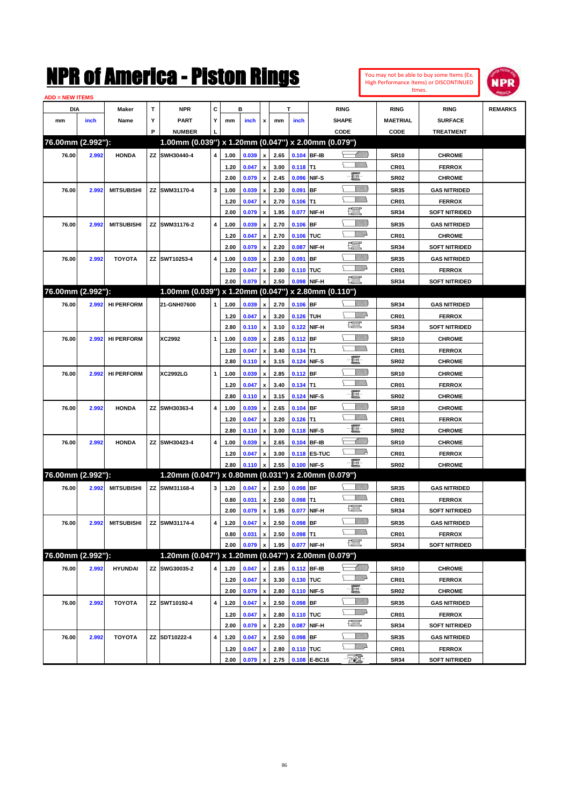

| <b>ADD = NEW ITEMS</b> |       |                   |   |                                                     |              |              |       |                           |              |            |                     |                                |                     |                                |                |
|------------------------|-------|-------------------|---|-----------------------------------------------------|--------------|--------------|-------|---------------------------|--------------|------------|---------------------|--------------------------------|---------------------|--------------------------------|----------------|
| DIA                    |       | Maker             | т | <b>NPR</b>                                          | С            |              | в     |                           |              | T          |                     | <b>RING</b>                    | <b>RING</b>         | <b>RING</b>                    | <b>REMARKS</b> |
| mm                     | inch  | Name              | Υ | <b>PART</b>                                         | Y            | mm           | inch  | x                         | mm           | inch       |                     | <b>SHAPE</b>                   | <b>MAETRIAL</b>     | <b>SURFACE</b>                 |                |
|                        |       |                   | P | <b>NUMBER</b>                                       |              |              |       |                           |              |            |                     | CODE                           | CODE                | <b>TREATMENT</b>               |                |
| 76.00mm (2.992"):      |       |                   |   | 1.00mm (0.039") x 1.20mm (0.047") x 2.00mm (0.079") |              |              |       |                           |              |            |                     |                                |                     |                                |                |
| 76.00                  | 2.992 | <b>HONDA</b>      |   | ZZ SWH30440-4                                       | 4            | 1.00         | 0.039 | $\pmb{\mathsf{x}}$        | 2.65         |            | 0.104 BF-IB         | <u> Millilli</u>               | <b>SR10</b>         | <b>CHROME</b>                  |                |
|                        |       |                   |   |                                                     |              | 1.20         | 0.047 | $\pmb{\mathsf{x}}$        | 3.00         | $0.118$ T1 |                     |                                | CR01                | <b>FERROX</b>                  |                |
|                        |       |                   |   |                                                     |              | 2.00         | 0.079 | $\pmb{\mathsf{x}}$        | 2.45         |            | 0.096 NIF-S         | E                              | <b>SR02</b>         | <b>CHROME</b>                  |                |
| 76.00                  | 2.992 | <b>MITSUBISHI</b> |   | ZZ SWM31170-4                                       | 3            | 1.00         | 0.039 | x                         | 2.30         | 0.091 BF   |                     | <u>VIIII)</u>                  | <b>SR35</b>         | <b>GAS NITRIDED</b>            |                |
|                        |       |                   |   |                                                     |              | 1.20         | 0.047 | x                         | 2.70         | $0.106$ T1 |                     |                                | CR01                | <b>FERROX</b>                  |                |
|                        |       |                   |   |                                                     |              | 2.00         | 0.079 | $\pmb{\mathsf{x}}$        | 1.95         | 0.077      | NIF-H               | 鱱                              | <b>SR34</b>         | <b>SOFT NITRIDED</b>           |                |
| 76.00                  | 2.992 | <b>MITSUBISHI</b> |   | ZZ SWM31176-2                                       | 4            | 1.00         | 0.039 | x                         | 2.70         | $0.106$ BF |                     | <u>Sillilli</u>                | <b>SR35</b>         | <b>GAS NITRIDED</b>            |                |
|                        |       |                   |   |                                                     |              | 1.20         | 0.047 | x                         | 2.70         | 0.106 TUC  |                     | <u>MMP</u>                     | CR01                | <b>CHROME</b>                  |                |
|                        |       |                   |   |                                                     |              | 2.00         | 0.079 | x                         | 2.20         | 0.087      | NIF-H               | 鱱                              | <b>SR34</b>         | <b>SOFT NITRIDED</b>           |                |
| 76.00                  | 2.992 | <b>TOYOTA</b>     |   | ZZ SWT10253-4                                       | 4            | 1.00         | 0.039 | x                         | 2.30         | 0.091 BF   |                     | <u>Sillilli</u>                | <b>SR35</b>         | <b>GAS NITRIDED</b>            |                |
|                        |       |                   |   |                                                     |              | 1.20         | 0.047 | x                         | 2.80         | 0.110 TUC  |                     | <u>VMD</u>                     | CR01                | <b>FERROX</b>                  |                |
|                        |       |                   |   |                                                     |              | 2.00         | 0.079 | x                         | 2.50         |            | 0.098 NIF-H         | $\frac{1}{\sqrt{2}}$           | <b>SR34</b>         | <b>SOFT NITRIDED</b>           |                |
| 76.00mm (2.992"):      |       |                   |   | 1.00mm (0.039") x 1.20mm (0.047") x 2.80mm (0.110") |              |              |       |                           |              |            |                     |                                |                     |                                |                |
| 76.00                  | 2.992 | <b>HI PERFORM</b> |   | 21-GNH07600                                         | $\mathbf{1}$ | 1.00         | 0.039 | $\pmb{\mathsf{x}}$        | 2.70         | $0.106$ BF |                     | <u>Sillilli</u>                | <b>SR34</b>         | <b>GAS NITRIDED</b>            |                |
|                        |       |                   |   |                                                     |              | 1.20         | 0.047 | $\pmb{\mathsf{x}}$        | 3.20         | 0.126 TUH  |                     | ₩₩                             | CR01                | <b>FERROX</b>                  |                |
|                        |       |                   |   |                                                     |              | 2.80         | 0.110 | $\pmb{\mathsf{x}}$        | 3.10         |            | 0.122 NIF-H         | <b>The Control</b>             | <b>SR34</b>         | <b>SOFT NITRIDED</b>           |                |
| 76.00                  | 2.992 | <b>HI PERFORM</b> |   | XC2992                                              | 1            | 1.00         | 0.039 | x                         | 2.85         | 0.112 BF   |                     | <u>Sillilli</u>                | <b>SR10</b>         | <b>CHROME</b>                  |                |
|                        |       |                   |   |                                                     |              | 1.20         | 0.047 | x                         | 3.40         | $0.134$ T1 |                     | <br>Mad                        | CR01                | <b>FERROX</b>                  |                |
|                        |       |                   |   |                                                     |              | 2.80         | 0.110 | $\pmb{\mathsf{x}}$        | 3.15         |            | 0.124 NIF-S         | E                              | <b>SR02</b>         | <b>CHROME</b>                  |                |
| 76.00                  | 2.992 | <b>HI PERFORM</b> |   | <b>XC2992LG</b>                                     | 1            | 1.00         | 0.039 |                           | 2.85         | 0.112 BF   |                     | <u>VIIII)</u>                  | <b>SR10</b>         | <b>CHROME</b>                  |                |
|                        |       |                   |   |                                                     |              |              |       | x                         |              |            |                     | <br>Mad                        |                     |                                |                |
|                        |       |                   |   |                                                     |              | 1.20<br>2.80 | 0.047 | x                         | 3.40<br>3.15 | $0.134$ T1 | 0.124 NIF-S         | e                              | CR01<br><b>SR02</b> | <b>FERROX</b><br><b>CHROME</b> |                |
|                        |       |                   |   |                                                     |              |              | 0.110 | $\pmb{\mathsf{x}}$        |              |            |                     | <u>VIIII)</u>                  |                     |                                |                |
| 76.00                  | 2.992 | <b>HONDA</b>      |   | ZZ SWH30363-4                                       | 4            | 1.00         | 0.039 | x                         | 2.65         | $0.104$ BF |                     | <br>Mar                        | <b>SR10</b>         | <b>CHROME</b>                  |                |
|                        |       |                   |   |                                                     |              | 1.20<br>2.80 | 0.047 | x                         | 3.20         | $0.126$ T1 | 0.118 NIF-S         | E                              | CR01                | <b>FERROX</b>                  |                |
|                        |       |                   |   |                                                     |              |              | 0.110 | $\pmb{\mathsf{x}}$        | 3.00         |            |                     | <u> UMM</u>                    | <b>SR02</b>         | <b>CHROME</b>                  |                |
| 76.00                  | 2.992 | <b>HONDA</b>      |   | ZZ SWH30423-4                                       | 4            | 1.00         | 0.039 | x                         | 2.65         |            | 0.104 BF-IB         | ₩₩                             | <b>SR10</b>         | <b>CHROME</b>                  |                |
|                        |       |                   |   |                                                     |              | 1.20         | 0.047 | x                         | 3.00         |            | <b>0.118 ES-TUC</b> | e                              | CR01                | <b>FERROX</b>                  |                |
| 76.00mm (2.992"):      |       |                   |   |                                                     |              | 2.80         | 0.110 | x                         | 2.55         |            | 0.100 NIF-S         |                                | <b>SR02</b>         | <b>CHROME</b>                  |                |
|                        |       |                   |   | 1.20mm (0.047") x 0.80mm (0.031") x 2.00mm (0.079") |              |              |       |                           |              |            |                     |                                |                     |                                |                |
| 76.00                  | 2.992 | <b>MITSUBISHI</b> |   | ZZ SWM31168-4                                       | 3            | 1.20         | 0.047 | $\pmb{\mathsf{x}}$        | 2.50         | $0.098$ BF |                     | <u>Sillilli</u>                | <b>SR35</b>         | <b>GAS NITRIDED</b>            |                |
|                        |       |                   |   |                                                     |              | 0.80         | 0.031 | x                         | 2.50         | $0.098$ T1 |                     | $\frac{1}{2}$                  | CR01                | <b>FERROX</b>                  |                |
|                        |       |                   |   |                                                     |              | 2.00         | 0.079 | $\pmb{\mathsf{x}}$        | 1.95         |            | 0.077 NIF-H         |                                | <b>SR34</b>         | <b>SOFT NITRIDED</b>           |                |
| 76.00                  | 2.992 | <b>MITSUBISHI</b> |   | ZZ SWM31174-4                                       | 4            | 1.20         | 0.047 | $\boldsymbol{\mathsf{x}}$ | 2.50         | $0.098$ BF |                     | <u>Sillilli</u><br><br>Villida | <b>SR35</b>         | <b>GAS NITRIDED</b>            |                |
|                        |       |                   |   |                                                     |              | 0.80         | 0.031 | x                         | 2.50         | $0.098$ T1 |                     | H                              | CR01                | <b>FERROX</b>                  |                |
|                        |       |                   |   |                                                     |              | 2.00         | 0.079 | $\pmb{\mathsf{x}}$        | 1.95         |            | 0.077 NIF-H         |                                | SR34                | <b>SOFT NITRIDED</b>           |                |
| 76.00mm (2.992"):      |       |                   |   | 1.20mm (0.047") x 1.20mm (0.047") x 2.00mm (0.079") |              |              |       |                           |              |            |                     |                                |                     |                                |                |
| 76.00                  | 2.992 | <b>HYUNDAI</b>    |   | ZZ SWG30035-2                                       | 4            | 1.20         | 0.047 | X                         | 2.85         |            | 0.112 BF-IB         |                                | <b>SR10</b>         | <b>CHROME</b>                  |                |
|                        |       |                   |   |                                                     |              | 1.20         | 0.047 | $\pmb{\mathsf{x}}$        | 3.30         | 0.130 TUC  |                     | WW                             | CR01                | <b>FERROX</b>                  |                |
|                        |       |                   |   |                                                     |              | 2.00         | 0.079 | $\pmb{\mathsf{x}}$        | 2.80         |            | 0.110 NIF-S         | e                              | <b>SR02</b>         | <b>CHROME</b>                  |                |
| 76.00                  | 2.992 | <b>TOYOTA</b>     |   | ZZ SWT10192-4                                       | 4            | 1.20         | 0.047 | X                         | 2.50         | $0.098$ BF |                     | <u>VIIII)</u>                  | <b>SR35</b>         | <b>GAS NITRIDED</b>            |                |
|                        |       |                   |   |                                                     |              | 1.20         | 0.047 | $\pmb{\mathsf{x}}$        | 2.80         | 0.110 TUC  |                     | <u>WW</u> A                    | CR01                | <b>FERROX</b>                  |                |
|                        |       |                   |   |                                                     |              | 2.00         | 0.079 | $\pmb{\mathsf{x}}$        | 2.20         |            | 0.087 NIF-H         | H                              | <b>SR34</b>         | <b>SOFT NITRIDED</b>           |                |
| 76.00                  | 2.992 | <b>TOYOTA</b>     |   | ZZ SDT10222-4                                       | 4            | 1.20         | 0.047 | X                         | 2.50         | $0.098$ BF |                     | <u> UMB</u>                    | <b>SR35</b>         | <b>GAS NITRIDED</b>            |                |
|                        |       |                   |   |                                                     |              | 1.20         | 0.047 | x                         | 2.80         | 0.110 TUC  |                     | <u>WW</u> A                    | CR01                | <b>FERROX</b>                  |                |
|                        |       |                   |   |                                                     |              | 2.00         | 0.079 | $\pmb{\mathsf{x}}$        | 2.75         |            | 0.108 E-BC16        | FØ.                            | <b>SR34</b>         | <b>SOFT NITRIDED</b>           |                |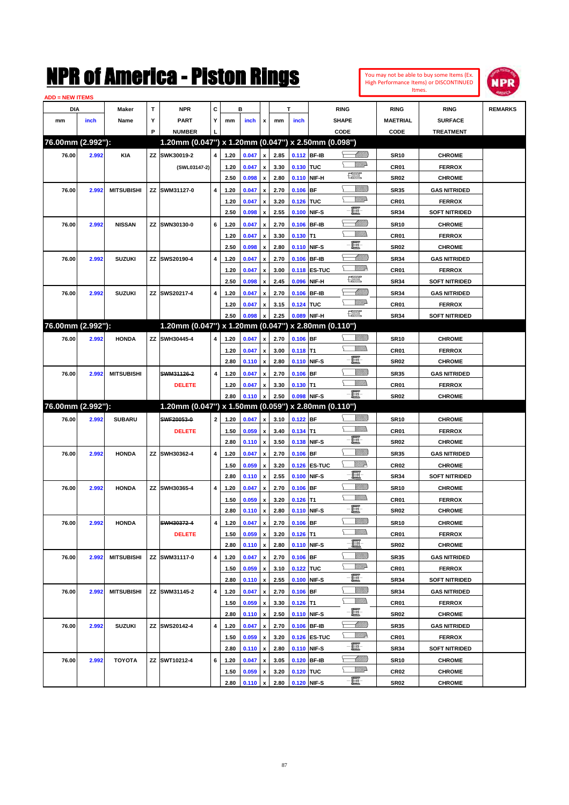

| <b>ADD = NEW ITEMS</b> |       |                   |   |                                                     |                         |              |                         |                    |              |                          |                             |                          |                                 |                                       |                |
|------------------------|-------|-------------------|---|-----------------------------------------------------|-------------------------|--------------|-------------------------|--------------------|--------------|--------------------------|-----------------------------|--------------------------|---------------------------------|---------------------------------------|----------------|
| DIA                    |       | Maker             | т | <b>NPR</b>                                          | C                       |              | в                       |                    |              | T                        |                             | <b>RING</b>              | <b>RING</b>                     | <b>RING</b>                           | <b>REMARKS</b> |
| mm                     | inch  | Name              | Υ | <b>PART</b>                                         | Y                       | mm           | inch                    | x                  | mm           | inch                     |                             | <b>SHAPE</b>             | <b>MAETRIAL</b>                 | <b>SURFACE</b>                        |                |
|                        |       |                   | P | <b>NUMBER</b>                                       |                         |              |                         |                    |              |                          |                             | CODE                     | CODE                            | <b>TREATMENT</b>                      |                |
| 76.00mm (2.992"):      |       |                   |   | 1.20mm (0.047") x 1.20mm (0.047") x 2.50mm (0.098") |                         |              |                         |                    |              |                          |                             |                          |                                 |                                       |                |
| 76.00                  | 2.992 | <b>KIA</b>        |   | ZZ SWK30019-2                                       | 4                       | 1.20         | 0.047                   | $\pmb{\mathsf{x}}$ | 2.85         | 0.112 BF-IB              |                             | <u> Millilli</u>         | <b>SR10</b>                     | <b>CHROME</b>                         |                |
|                        |       |                   |   | (SWL03147-2)                                        |                         | 1.20         | 0.047                   | $\pmb{\mathsf{x}}$ | 3.30         | 0.130 TUC                |                             | <u>MMP</u>               | CR01                            | <b>FERROX</b>                         |                |
|                        |       |                   |   |                                                     |                         | 2.50         | 0.098                   | $\pmb{\mathsf{x}}$ | 2.80         |                          | 0.110 NIF-H                 | <b>The Second Second</b> | <b>SR02</b>                     | <b>CHROME</b>                         |                |
| 76.00                  | 2.992 | <b>MITSUBISHI</b> |   | ZZ SWM31127-0                                       | 4                       | 1.20         | 0.047                   | $\pmb{\mathsf{x}}$ | 2.70         | $0.106$ BF               |                             | <u>Sillilli</u>          | <b>SR35</b>                     | <b>GAS NITRIDED</b>                   |                |
|                        |       |                   |   |                                                     |                         | 1.20         | 0.047                   | x                  | 3.20         | 0.126 TUC                |                             | <u>VMD</u>               | CR01                            | <b>FERROX</b>                         |                |
|                        |       |                   |   |                                                     |                         | 2.50         | 0.098                   | $\pmb{\mathsf{x}}$ | 2.55         | 0.100 NIF-S              |                             | E                        | <b>SR34</b>                     | <b>SOFT NITRIDED</b>                  |                |
| 76.00                  | 2.992 | <b>NISSAN</b>     |   | ZZ SWN30130-0                                       | 6                       | 1.20         | 0.047                   | x                  | 2.70         |                          | 0.106 BF-IB                 | <u> Millits</u>          | <b>SR10</b>                     | <b>CHROME</b>                         |                |
|                        |       |                   |   |                                                     |                         | 1.20         | 0.047                   | x                  | 3.30         | $0.130$ T1               |                             | <br>Mar                  | CR01                            | <b>FERROX</b>                         |                |
|                        |       |                   |   |                                                     |                         | 2.50         | 0.098                   | $\pmb{\mathsf{x}}$ | 2.80         | 0.110 NIF-S              |                             | E                        | <b>SR02</b>                     | <b>CHROME</b>                         |                |
| 76.00                  | 2.992 | <b>SUZUKI</b>     |   | ZZ SWS20190-4                                       | 4                       | 1.20         | 0.047                   | x                  | 2.70         |                          | 0.106 BF-IB                 | <u> UMM</u>              | <b>SR34</b>                     | <b>GAS NITRIDED</b>                   |                |
|                        |       |                   |   |                                                     |                         | 1.20         | 0.047                   | x                  | 3.00         |                          | 0.118 ES-TUC                | <u>MM</u>                | CR01                            | <b>FERROX</b>                         |                |
|                        |       |                   |   |                                                     |                         | 2.50         | 0.098                   | x                  | 2.45         | 0.096                    | NIF-H                       | H                        | <b>SR34</b>                     | <b>SOFT NITRIDED</b>                  |                |
| 76.00                  | 2.992 | <b>SUZUKI</b>     |   | ZZ SWS20217-4                                       | 4                       | 1.20         | 0.047                   | x                  | 2.70         |                          | 0.106 BF-IB                 | <u> UMM</u>              | <b>SR34</b>                     | <b>GAS NITRIDED</b>                   |                |
|                        |       |                   |   |                                                     |                         | 1.20         | 0.047                   | x                  | 3.15         | 0.124 TUC                |                             | <u>VMD</u>               | CR01                            | <b>FERROX</b>                         |                |
|                        |       |                   |   |                                                     |                         | 2.50         | 0.098                   | x                  | 2.25         |                          | 0.089 NIF-H                 | <b>The Control</b>       | <b>SR34</b>                     | <b>SOFT NITRIDED</b>                  |                |
| 76.00mm (2.992"):      |       |                   |   | 1.20mm (0.047") x 1.20mm (0.047") x 2.80mm (0.110") |                         |              |                         |                    |              |                          |                             |                          |                                 |                                       |                |
| 76.00                  | 2.992 | <b>HONDA</b>      |   | ZZ SWH30445-4                                       | 4                       | 1.20         | 0.047                   | $\pmb{\mathsf{x}}$ | 2.70         | $0.106$ BF               |                             | <u>Sillilli</u>          | <b>SR10</b>                     | <b>CHROME</b>                         |                |
|                        |       |                   |   |                                                     |                         | 1.20         | 0.047                   | $\pmb{\mathsf{x}}$ | 3.00         | $0.118$ T1               |                             |                          | CR01                            | <b>FERROX</b>                         |                |
|                        |       |                   |   |                                                     |                         | 2.80         | 0.110                   | $\pmb{\mathsf{x}}$ | 2.80         | 0.110 NIF-S              |                             | e                        | <b>SR02</b>                     | <b>CHROME</b>                         |                |
| 76.00                  | 2.992 | <b>MITSUBISHI</b> |   | SWM31126-2                                          | 4                       | 1.20         | 0.047                   | x                  | 2.70         | $0.106$ BF               |                             | <u>VIIII)</u>            | <b>SR35</b>                     | <b>GAS NITRIDED</b>                   |                |
|                        |       |                   |   | <b>DELETE</b>                                       |                         | 1.20         | 0.047                   | x                  | 3.30         | $0.130$ T1               |                             | UM)                      | CR01                            | <b>FERROX</b>                         |                |
|                        |       |                   |   |                                                     |                         | 2.80         | 0.110                   | $\pmb{\mathsf{x}}$ | 2.50         | 0.098 NIF-S              |                             | -8                       | <b>SR02</b>                     | <b>CHROME</b>                         |                |
| 76.00mm (2.992"):      |       |                   |   | 1.20mm (0.047") x 1.50mm (0.059") x 2.80mm (0.110") |                         |              |                         |                    |              |                          |                             |                          |                                 |                                       |                |
| 76.00                  | 2.992 | <b>SUBARU</b>     |   | SWF20053-0                                          | $\mathbf{2}$            | 1.20         | 0.047                   | $\pmb{\mathsf{x}}$ | 3.10         | $0.122$ BF               |                             | <u>Sillilli</u>          | <b>SR10</b>                     | <b>CHROME</b>                         |                |
|                        |       |                   |   | <b>DELETE</b>                                       |                         | 1.50         | 0.059                   | $\pmb{\mathsf{x}}$ | 3.40         | $0.134$ T1               |                             | UM)                      | CR01                            | <b>FERROX</b>                         |                |
|                        |       |                   |   |                                                     |                         | 2.80         | 0.110                   | $\pmb{\mathsf{x}}$ | 3.50         |                          | 0.138 NIF-S                 | E                        | <b>SR02</b>                     | <b>CHROME</b>                         |                |
| 76.00                  | 2.992 | <b>HONDA</b>      |   | ZZ SWH30362-4                                       | 4                       | 1.20         | 0.047                   | x                  | 2.70         | $0.106$ BF               |                             | <u>VIIII)</u>            | <b>SR35</b>                     | <b>GAS NITRIDED</b>                   |                |
|                        |       |                   |   |                                                     |                         | 1.50         | 0.059                   | x                  | 3.20         |                          | 0.126 ES-TUC                | ₩₩                       | CR <sub>02</sub>                | <b>CHROME</b>                         |                |
|                        |       |                   |   |                                                     |                         | 2.80         | 0.110                   | $\pmb{\mathsf{x}}$ | 2.55         |                          | 0.100 NIF-S                 | e.                       | <b>SR34</b>                     | <b>SOFT NITRIDED</b>                  |                |
| 76.00                  | 2.992 | <b>HONDA</b>      |   | ZZ SWH30365-4                                       | 4                       | 1.20         | 0.047                   | x                  | 2.70         | $0.106$ BF               |                             | <u>Sillilli</u>          | <b>SR10</b>                     | <b>CHROME</b>                         |                |
|                        |       |                   |   |                                                     |                         | 1.50         | 0.059                   | x                  | 3.20         | $0.126$ T1               |                             | VMM)                     | CR01                            | <b>FERROX</b>                         |                |
|                        |       |                   |   |                                                     |                         | 2.80         | 0.110                   | $\pmb{\mathsf{x}}$ | 2.80         | 0.110 NIF-S              |                             | e                        | <b>SR02</b>                     | <b>CHROME</b>                         |                |
| 76.00                  | 2.992 | <b>HONDA</b>      |   | SWH30372-4                                          | $\overline{\mathbf{4}}$ | 1.20         | 0.047                   | $\pmb{\mathsf{x}}$ | 2.70         | $0.106$ BF               |                             | <u>VIIII)</u>            | <b>SR10</b>                     | <b>CHROME</b>                         |                |
|                        |       |                   |   | <b>DELETE</b>                                       |                         | 1.50         | 0.059                   | x                  | 3.20         | $0.126$ T1               |                             | <u>Willib</u>            | CR01                            | <b>FERROX</b>                         |                |
|                        |       |                   |   |                                                     |                         | 2.80         | 0.110                   | $\pmb{\mathsf{x}}$ | 2.80         |                          | 0.110 NIF-S                 | e                        | SR02                            | <b>CHROME</b>                         |                |
| 76.00                  | 2.992 | <b>MITSUBISHI</b> |   | ZZ SWM31117-0                                       | 4                       | 1.20         | 0.047                   | $\pmb{\mathsf{x}}$ | 2.70         | $0.106$ BF               |                             | <u>Millit</u>            | SR35                            | <b>GAS NITRIDED</b>                   |                |
|                        |       |                   |   |                                                     |                         | 1.50         | 0.059                   | x                  | 3.10         | 0.122 TUC                |                             | <u>WW</u> A              | CR01                            | <b>FERROX</b>                         |                |
|                        |       |                   |   |                                                     |                         | 2.80         | 0.110                   | $\pmb{\mathsf{x}}$ | 2.55         |                          | 0.100 NIF-S                 | e.                       | SR34                            | <b>SOFT NITRIDED</b>                  |                |
| 76.00                  | 2.992 | <b>MITSUBISHI</b> |   | ZZ SWM31145-2                                       | 4                       | 1.20         | 0.047                   |                    | 2.70         | $0.106$ BF               |                             | <u>VIIII)</u>            | <b>SR34</b>                     | <b>GAS NITRIDED</b>                   |                |
|                        |       |                   |   |                                                     |                         |              |                         | x                  |              |                          |                             | <u>Willib</u>            |                                 |                                       |                |
|                        |       |                   |   |                                                     |                         | 1.50<br>2.80 | 0.059<br>0.110          | x                  | 3.30<br>2.50 | $0.126$ T1               | 0.110 NIF-S                 | e.                       | CR01<br>SR02                    | <b>FERROX</b><br><b>CHROME</b>        |                |
|                        |       |                   |   |                                                     | 4                       |              |                         | $\pmb{\mathsf{x}}$ |              |                          |                             | <u> MMB</u>              |                                 |                                       |                |
| 76.00                  | 2.992 | <b>SUZUKI</b>     |   | ZZ SWS20142-4                                       |                         | 1.20         | 0.047                   | x                  | 2.70         |                          | 0.106 BF-IB                 | <u>W//P</u>              | <b>SR35</b>                     | <b>GAS NITRIDED</b>                   |                |
|                        |       |                   |   |                                                     |                         | 1.50<br>2.80 | 0.059<br>0.110          | x                  | 3.20<br>2.80 |                          | 0.126 ES-TUC<br>0.110 NIF-S | e.                       | CR01<br>SR34                    | <b>FERROX</b><br><b>SOFT NITRIDED</b> |                |
|                        |       |                   |   |                                                     |                         |              |                         | $\pmb{\mathsf{x}}$ |              |                          |                             | <u> MMB</u>              |                                 |                                       |                |
| 76.00                  | 2.992 | <b>TOYOTA</b>     |   | ZZ SWT10212-4                                       | 6                       | 1.20         | 0.047                   | x                  | 3.05         |                          | 0.120 BF-IB                 | <u>WW</u> A              | <b>SR10</b>                     | <b>CHROME</b>                         |                |
|                        |       |                   |   |                                                     |                         | 1.50<br>2.80 | 0.059<br>$0.110 \times$ | x                  | 3.20<br>2.80 | 0.120 TUC<br>0.120 NIF-S |                             | -E-                      | CR <sub>02</sub><br><b>SR02</b> | <b>CHROME</b><br><b>CHROME</b>        |                |
|                        |       |                   |   |                                                     |                         |              |                         |                    |              |                          |                             |                          |                                 |                                       |                |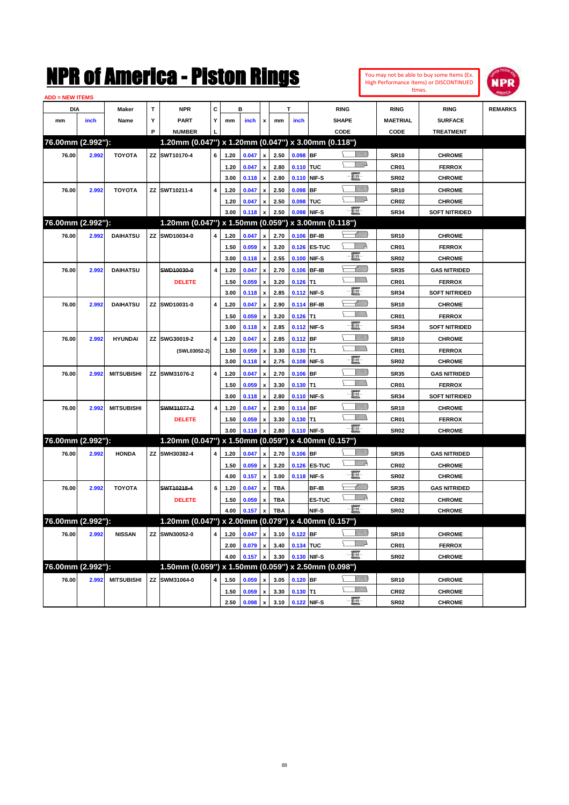| ADD = NEW ITEMS<br>T<br>c<br>в<br>Т<br>DIA<br><b>NPR</b><br><b>RING</b><br><b>RING</b><br><b>RING</b><br><b>REMARKS</b><br>Maker<br>Υ<br>Y<br><b>PART</b><br><b>SHAPE</b><br><b>MAETRIAL</b><br><b>SURFACE</b><br>mm<br>inch<br>Name<br>mm<br>inch<br>x<br>mm<br>inch<br>P<br><b>NUMBER</b><br>CODE<br>CODE<br><b>TREATMENT</b><br>76.00mm (2.992"):<br>1.20mm (0.047") x 1.20mm (0.047") x 3.00mm (0.118")<br><u>Sillilli</u><br>76.00<br>ZZ SWT10170-4<br>6<br>2.50<br>0.098<br><b>IBF</b><br>2.992<br><b>TOYOTA</b><br>1.20<br>0.047<br>$\mathbf{x}$<br><b>SR10</b><br><b>CHROME</b><br><u>MWA</u><br>0.110 TUC<br>1.20<br>0.047<br>$\pmb{\mathsf{x}}$<br>2.80<br>CR <sub>01</sub><br><b>FERROX</b><br>E<br>2.80<br>NIF-S<br>3.00<br>0.118<br>$\pmb{\mathsf{x}}$<br>0.110<br><b>SR02</b><br><b>CHROME</b><br>VIIII)<br>BF<br>76.00<br>2.992<br><b>TOYOTA</b><br>ZZ SWT10211-4<br>4<br>1.20<br>0.047<br>2.50<br>0.098<br><b>SR10</b><br><b>CHROME</b><br>$\boldsymbol{x}$<br>VMD-<br>2.50<br>ltuc<br>1.20<br>0.047<br>0.098<br>CR <sub>02</sub><br><b>CHROME</b><br>$\pmb{\mathsf{x}}$<br>E.<br>2.50<br>0.098<br>NIF-S<br>3.00<br>0.118<br>$\pmb{\mathsf{x}}$<br><b>SR34</b><br><b>SOFT NITRIDED</b><br>76.00mm (2.992"):<br>1.20mm (0.047") x 1.50mm (0.059") x 3.00mm (0.118")<br><u> UMM)</u><br>SWD10034-0<br>2.70<br>0.106<br><b>BF-IB</b><br>76.00<br>2.992<br><b>DAIHATSU</b><br>ΖZ<br>4<br>1.20<br>0.047<br><b>SR10</b><br><b>CHROME</b><br>x<br><u>VMR</u><br><b>ES-TUC</b><br>1.50<br>0.059<br>3.20<br>0.126<br>CR <sub>01</sub><br><b>FERROX</b><br>$\mathbf{x}$<br>E<br>2.55<br>NIF-S<br>3.00<br>0.118<br>$\pmb{\mathsf{x}}$<br>0.100<br><b>SR02</b><br><b>CHROME</b><br><u> UMM)</u><br>4<br><b>BF-IB</b><br>76.00<br>2.992<br><b>DAIHATSU</b><br>SWD10030-0<br>1.20<br>0.047<br>2.70<br>0.106<br><b>SR35</b><br><b>GAS NITRIDED</b><br>$\boldsymbol{x}$<br>VM)<br>lT1<br><b>DELETE</b><br>1.50<br>0.059<br>3.20<br>0.126<br>CR01<br><b>FERROX</b><br>$\boldsymbol{x}$<br>E<br>2.85<br>NIF-S<br>3.00<br>0.118<br>$\pmb{\mathsf{x}}$<br>0.112<br><b>SR34</b><br><b>SOFT NITRIDED</b><br><u> UMM)</u><br>4<br><b>BF-IB</b><br>76.00<br>2.992<br><b>DAIHATSU</b><br>ZZ SWD10031-0<br>1.20<br>0.047<br>2.90<br>0.114<br><b>SR10</b><br><b>CHROME</b><br>$\boldsymbol{x}$<br>VM)<br>lT1<br>1.50<br>0.059<br>3.20<br>0.126<br>CR01<br><b>FERROX</b><br>$\boldsymbol{x}$<br>E<br>2.85<br>3.00<br>0.112<br>NIF-S<br><b>SR34</b><br><b>SOFT NITRIDED</b><br>0.118<br>$\boldsymbol{\mathsf{x}}$<br><u>VIIII)</u><br>4<br><b>IBF</b><br>76.00<br>2.992<br><b>HYUNDAI</b><br>ΖZ<br>SWG30019-2<br>1.20<br>0.047<br>2.85<br>0.112<br><b>SR10</b><br><b>CHROME</b><br>$\boldsymbol{x}$<br>VMM)<br>lT1<br>1.50<br>0.059<br>3.30<br>0.130<br>CR01<br><b>FERROX</b><br>(SWL03052-2)<br>$\boldsymbol{x}$<br>E<br>2.75<br>NIF-S<br>3.00<br>0.118<br>0.108<br><b>SR02</b><br><b>CHROME</b><br>$\boldsymbol{\mathsf{x}}$<br><u>Villilli</u><br><b>BF</b><br>76.00<br>2.992<br><b>MITSUBISHI</b><br>ΖZ<br>SWM31076-2<br>4<br>1.20<br>0.047<br>2.70<br>0.106<br><b>SR35</b><br><b>GAS NITRIDED</b><br>$\boldsymbol{x}$<br>VMM)<br>lT1<br>1.50<br>0.059<br>3.30<br>0.130<br>CR01<br><b>FERROX</b><br>$\boldsymbol{x}$<br>E<br>2.80<br>NIF-S<br>3.00<br>0.118<br>0.110<br><b>SR34</b><br><b>SOFT NITRIDED</b><br>$\boldsymbol{\mathsf{x}}$<br><u>Villilli</u><br>4<br><b>BF</b><br>76.00<br>2.992<br><b>MITSUBISHI</b><br>SWM31077-2<br>1.20<br>0.047<br>2.90<br>0.114<br><b>SR10</b><br><b>CHROME</b><br>$\boldsymbol{x}$<br>VM)<br>$0.130$ T1<br><b>DELETE</b><br>1.50<br>0.059<br>3.30<br>CR01<br><b>FERROX</b><br>x<br>E<br>0.110 NIF-S<br>2.80<br>3.00<br>0.118<br>$\pmb{\mathsf{x}}$<br><b>SR02</b><br><b>CHROME</b><br>76.00mm (2.992"):<br>1.20mm (0.047") x 1.50mm (0.059") x 4.00mm (0.157")<br><u>VIIII)</u><br><b>BF</b><br>SWH30382-4<br>2.70<br>0.106<br>76.00<br>2.992<br><b>HONDA</b><br>ΖZ<br>4<br>1.20<br>0.047<br><b>SR35</b><br><b>GAS NITRIDED</b><br>$\boldsymbol{x}$<br><u>VM</u> D<br><b>ES-TUC</b><br>1.50<br>0.059<br>3.20<br>0.126<br>CR <sub>02</sub><br><b>CHROME</b><br>$\pmb{\mathsf{x}}$<br>E<br>3.00<br>NIF-S<br>4.00<br>0.157<br>0.118<br><b>SR02</b><br><b>CHROME</b><br>$\boldsymbol{\mathsf{x}}$<br><u> UMM</u><br>76.00<br>2.992<br><b>TOYOTA</b><br>SWT10218-4<br>6<br>1.20<br>0.047<br><b>TBA</b><br>BF-IB<br><b>SR35</b><br><b>GAS NITRIDED</b><br>$\pmb{\mathsf{x}}$<br><u>WW</u> A<br>0.059<br>$\pmb{\mathsf{x}}$<br><b>TBA</b><br><b>ES-TUC</b><br><b>CR02</b><br><b>DELETE</b><br>1.50<br><b>CHROME</b><br>- 8<br><b>TBA</b><br>NIF-S<br>0.157<br>$\boldsymbol{\mathsf{x}}$<br><b>SR02</b><br><b>CHROME</b><br>4.00<br>76.00mm (2.992"):<br>1.20mm (0.047") x 2.00mm (0.079") x 4.00mm (0.157")<br><u>Villida</u><br>0.122 BF<br>76.00<br>SWN30052-0<br>0.047<br>2.992<br><b>NISSAN</b><br>ZZ<br>4<br>1.20<br>3.10<br><b>SR10</b><br><b>CHROME</b><br>$\pmb{\mathsf{x}}$<br><u>VMP</u><br>0.134 TUC<br>0.079<br>$\pmb{\mathsf{x}}$<br>3.40<br>CR01<br><b>FERROX</b><br>2.00<br>E.<br>3.30<br>0.130 NIF-S<br>4.00<br>0.157<br><b>SR02</b><br><b>CHROME</b><br>$\pmb{\mathsf{x}}$<br>76.00mm (2.992"):<br>1.50mm (0.059") x 1.50mm (0.059") x 2.50mm (0.098")<br><u> UMB</u><br>$0.120$ BF<br>76.00<br><b>MITSUBISHI</b><br>ZZ SWM31064-0<br>2.992<br>4<br>0.059<br>3.05<br><b>CHROME</b><br>1.50<br><b>SR10</b><br>x<br><u>Willib</u><br>$0.130$ T1<br>0.059<br>3.30<br><b>CR02</b><br><b>CHROME</b><br>1.50<br>$\pmb{\mathsf{x}}$<br>·ii<br>0.122 NIF-S<br>0.098<br>3.10<br><b>SR02</b><br><b>CHROME</b><br>2.50<br>$\pmb{\mathsf{x}}$ |  |  | NMK OI AINCrica - Miston Kings |  |  |  |  | You may not be able to buy some Items (Ex.<br>High Performance Items) or DISCONTINUED<br>Itmes. | WPR |
|--------------------------------------------------------------------------------------------------------------------------------------------------------------------------------------------------------------------------------------------------------------------------------------------------------------------------------------------------------------------------------------------------------------------------------------------------------------------------------------------------------------------------------------------------------------------------------------------------------------------------------------------------------------------------------------------------------------------------------------------------------------------------------------------------------------------------------------------------------------------------------------------------------------------------------------------------------------------------------------------------------------------------------------------------------------------------------------------------------------------------------------------------------------------------------------------------------------------------------------------------------------------------------------------------------------------------------------------------------------------------------------------------------------------------------------------------------------------------------------------------------------------------------------------------------------------------------------------------------------------------------------------------------------------------------------------------------------------------------------------------------------------------------------------------------------------------------------------------------------------------------------------------------------------------------------------------------------------------------------------------------------------------------------------------------------------------------------------------------------------------------------------------------------------------------------------------------------------------------------------------------------------------------------------------------------------------------------------------------------------------------------------------------------------------------------------------------------------------------------------------------------------------------------------------------------------------------------------------------------------------------------------------------------------------------------------------------------------------------------------------------------------------------------------------------------------------------------------------------------------------------------------------------------------------------------------------------------------------------------------------------------------------------------------------------------------------------------------------------------------------------------------------------------------------------------------------------------------------------------------------------------------------------------------------------------------------------------------------------------------------------------------------------------------------------------------------------------------------------------------------------------------------------------------------------------------------------------------------------------------------------------------------------------------------------------------------------------------------------------------------------------------------------------------------------------------------------------------------------------------------------------------------------------------------------------------------------------------------------------------------------------------------------------------------------------------------------------------------------------------------------------------------------------------------------------------------------------------------------------------------------------------------------------------------------------------------------------------------------------------------------------------------------------------------------------------------------------------------------------------------------------------------------------------------------------------------------------------------------------------------------------------------------------------------------------------------------------------------------------------------------------------------------------------------------------------------------------------------------------------------------------------------------------------------------------------------------------------------------------------------------------------------------------------------------------------------------------------------------------------------------------------------------------------------------------------------------------------------------------------------------------------------------------------------------------------------------------------------------------------------------------------------------------------------------------------------------------------------------------------------------------------------------------------------------------------------|--|--|--------------------------------|--|--|--|--|-------------------------------------------------------------------------------------------------|-----|
|                                                                                                                                                                                                                                                                                                                                                                                                                                                                                                                                                                                                                                                                                                                                                                                                                                                                                                                                                                                                                                                                                                                                                                                                                                                                                                                                                                                                                                                                                                                                                                                                                                                                                                                                                                                                                                                                                                                                                                                                                                                                                                                                                                                                                                                                                                                                                                                                                                                                                                                                                                                                                                                                                                                                                                                                                                                                                                                                                                                                                                                                                                                                                                                                                                                                                                                                                                                                                                                                                                                                                                                                                                                                                                                                                                                                                                                                                                                                                                                                                                                                                                                                                                                                                                                                                                                                                                                                                                                                                                                                                                                                                                                                                                                                                                                                                                                                                                                                                                                                                                                                                                                                                                                                                                                                                                                                                                                                                                                                                                                                                                          |  |  |                                |  |  |  |  |                                                                                                 |     |
|                                                                                                                                                                                                                                                                                                                                                                                                                                                                                                                                                                                                                                                                                                                                                                                                                                                                                                                                                                                                                                                                                                                                                                                                                                                                                                                                                                                                                                                                                                                                                                                                                                                                                                                                                                                                                                                                                                                                                                                                                                                                                                                                                                                                                                                                                                                                                                                                                                                                                                                                                                                                                                                                                                                                                                                                                                                                                                                                                                                                                                                                                                                                                                                                                                                                                                                                                                                                                                                                                                                                                                                                                                                                                                                                                                                                                                                                                                                                                                                                                                                                                                                                                                                                                                                                                                                                                                                                                                                                                                                                                                                                                                                                                                                                                                                                                                                                                                                                                                                                                                                                                                                                                                                                                                                                                                                                                                                                                                                                                                                                                                          |  |  |                                |  |  |  |  |                                                                                                 |     |
|                                                                                                                                                                                                                                                                                                                                                                                                                                                                                                                                                                                                                                                                                                                                                                                                                                                                                                                                                                                                                                                                                                                                                                                                                                                                                                                                                                                                                                                                                                                                                                                                                                                                                                                                                                                                                                                                                                                                                                                                                                                                                                                                                                                                                                                                                                                                                                                                                                                                                                                                                                                                                                                                                                                                                                                                                                                                                                                                                                                                                                                                                                                                                                                                                                                                                                                                                                                                                                                                                                                                                                                                                                                                                                                                                                                                                                                                                                                                                                                                                                                                                                                                                                                                                                                                                                                                                                                                                                                                                                                                                                                                                                                                                                                                                                                                                                                                                                                                                                                                                                                                                                                                                                                                                                                                                                                                                                                                                                                                                                                                                                          |  |  |                                |  |  |  |  |                                                                                                 |     |
|                                                                                                                                                                                                                                                                                                                                                                                                                                                                                                                                                                                                                                                                                                                                                                                                                                                                                                                                                                                                                                                                                                                                                                                                                                                                                                                                                                                                                                                                                                                                                                                                                                                                                                                                                                                                                                                                                                                                                                                                                                                                                                                                                                                                                                                                                                                                                                                                                                                                                                                                                                                                                                                                                                                                                                                                                                                                                                                                                                                                                                                                                                                                                                                                                                                                                                                                                                                                                                                                                                                                                                                                                                                                                                                                                                                                                                                                                                                                                                                                                                                                                                                                                                                                                                                                                                                                                                                                                                                                                                                                                                                                                                                                                                                                                                                                                                                                                                                                                                                                                                                                                                                                                                                                                                                                                                                                                                                                                                                                                                                                                                          |  |  |                                |  |  |  |  |                                                                                                 |     |
|                                                                                                                                                                                                                                                                                                                                                                                                                                                                                                                                                                                                                                                                                                                                                                                                                                                                                                                                                                                                                                                                                                                                                                                                                                                                                                                                                                                                                                                                                                                                                                                                                                                                                                                                                                                                                                                                                                                                                                                                                                                                                                                                                                                                                                                                                                                                                                                                                                                                                                                                                                                                                                                                                                                                                                                                                                                                                                                                                                                                                                                                                                                                                                                                                                                                                                                                                                                                                                                                                                                                                                                                                                                                                                                                                                                                                                                                                                                                                                                                                                                                                                                                                                                                                                                                                                                                                                                                                                                                                                                                                                                                                                                                                                                                                                                                                                                                                                                                                                                                                                                                                                                                                                                                                                                                                                                                                                                                                                                                                                                                                                          |  |  |                                |  |  |  |  |                                                                                                 |     |
|                                                                                                                                                                                                                                                                                                                                                                                                                                                                                                                                                                                                                                                                                                                                                                                                                                                                                                                                                                                                                                                                                                                                                                                                                                                                                                                                                                                                                                                                                                                                                                                                                                                                                                                                                                                                                                                                                                                                                                                                                                                                                                                                                                                                                                                                                                                                                                                                                                                                                                                                                                                                                                                                                                                                                                                                                                                                                                                                                                                                                                                                                                                                                                                                                                                                                                                                                                                                                                                                                                                                                                                                                                                                                                                                                                                                                                                                                                                                                                                                                                                                                                                                                                                                                                                                                                                                                                                                                                                                                                                                                                                                                                                                                                                                                                                                                                                                                                                                                                                                                                                                                                                                                                                                                                                                                                                                                                                                                                                                                                                                                                          |  |  |                                |  |  |  |  |                                                                                                 |     |
|                                                                                                                                                                                                                                                                                                                                                                                                                                                                                                                                                                                                                                                                                                                                                                                                                                                                                                                                                                                                                                                                                                                                                                                                                                                                                                                                                                                                                                                                                                                                                                                                                                                                                                                                                                                                                                                                                                                                                                                                                                                                                                                                                                                                                                                                                                                                                                                                                                                                                                                                                                                                                                                                                                                                                                                                                                                                                                                                                                                                                                                                                                                                                                                                                                                                                                                                                                                                                                                                                                                                                                                                                                                                                                                                                                                                                                                                                                                                                                                                                                                                                                                                                                                                                                                                                                                                                                                                                                                                                                                                                                                                                                                                                                                                                                                                                                                                                                                                                                                                                                                                                                                                                                                                                                                                                                                                                                                                                                                                                                                                                                          |  |  |                                |  |  |  |  |                                                                                                 |     |
|                                                                                                                                                                                                                                                                                                                                                                                                                                                                                                                                                                                                                                                                                                                                                                                                                                                                                                                                                                                                                                                                                                                                                                                                                                                                                                                                                                                                                                                                                                                                                                                                                                                                                                                                                                                                                                                                                                                                                                                                                                                                                                                                                                                                                                                                                                                                                                                                                                                                                                                                                                                                                                                                                                                                                                                                                                                                                                                                                                                                                                                                                                                                                                                                                                                                                                                                                                                                                                                                                                                                                                                                                                                                                                                                                                                                                                                                                                                                                                                                                                                                                                                                                                                                                                                                                                                                                                                                                                                                                                                                                                                                                                                                                                                                                                                                                                                                                                                                                                                                                                                                                                                                                                                                                                                                                                                                                                                                                                                                                                                                                                          |  |  |                                |  |  |  |  |                                                                                                 |     |
|                                                                                                                                                                                                                                                                                                                                                                                                                                                                                                                                                                                                                                                                                                                                                                                                                                                                                                                                                                                                                                                                                                                                                                                                                                                                                                                                                                                                                                                                                                                                                                                                                                                                                                                                                                                                                                                                                                                                                                                                                                                                                                                                                                                                                                                                                                                                                                                                                                                                                                                                                                                                                                                                                                                                                                                                                                                                                                                                                                                                                                                                                                                                                                                                                                                                                                                                                                                                                                                                                                                                                                                                                                                                                                                                                                                                                                                                                                                                                                                                                                                                                                                                                                                                                                                                                                                                                                                                                                                                                                                                                                                                                                                                                                                                                                                                                                                                                                                                                                                                                                                                                                                                                                                                                                                                                                                                                                                                                                                                                                                                                                          |  |  |                                |  |  |  |  |                                                                                                 |     |
|                                                                                                                                                                                                                                                                                                                                                                                                                                                                                                                                                                                                                                                                                                                                                                                                                                                                                                                                                                                                                                                                                                                                                                                                                                                                                                                                                                                                                                                                                                                                                                                                                                                                                                                                                                                                                                                                                                                                                                                                                                                                                                                                                                                                                                                                                                                                                                                                                                                                                                                                                                                                                                                                                                                                                                                                                                                                                                                                                                                                                                                                                                                                                                                                                                                                                                                                                                                                                                                                                                                                                                                                                                                                                                                                                                                                                                                                                                                                                                                                                                                                                                                                                                                                                                                                                                                                                                                                                                                                                                                                                                                                                                                                                                                                                                                                                                                                                                                                                                                                                                                                                                                                                                                                                                                                                                                                                                                                                                                                                                                                                                          |  |  |                                |  |  |  |  |                                                                                                 |     |
|                                                                                                                                                                                                                                                                                                                                                                                                                                                                                                                                                                                                                                                                                                                                                                                                                                                                                                                                                                                                                                                                                                                                                                                                                                                                                                                                                                                                                                                                                                                                                                                                                                                                                                                                                                                                                                                                                                                                                                                                                                                                                                                                                                                                                                                                                                                                                                                                                                                                                                                                                                                                                                                                                                                                                                                                                                                                                                                                                                                                                                                                                                                                                                                                                                                                                                                                                                                                                                                                                                                                                                                                                                                                                                                                                                                                                                                                                                                                                                                                                                                                                                                                                                                                                                                                                                                                                                                                                                                                                                                                                                                                                                                                                                                                                                                                                                                                                                                                                                                                                                                                                                                                                                                                                                                                                                                                                                                                                                                                                                                                                                          |  |  |                                |  |  |  |  |                                                                                                 |     |
|                                                                                                                                                                                                                                                                                                                                                                                                                                                                                                                                                                                                                                                                                                                                                                                                                                                                                                                                                                                                                                                                                                                                                                                                                                                                                                                                                                                                                                                                                                                                                                                                                                                                                                                                                                                                                                                                                                                                                                                                                                                                                                                                                                                                                                                                                                                                                                                                                                                                                                                                                                                                                                                                                                                                                                                                                                                                                                                                                                                                                                                                                                                                                                                                                                                                                                                                                                                                                                                                                                                                                                                                                                                                                                                                                                                                                                                                                                                                                                                                                                                                                                                                                                                                                                                                                                                                                                                                                                                                                                                                                                                                                                                                                                                                                                                                                                                                                                                                                                                                                                                                                                                                                                                                                                                                                                                                                                                                                                                                                                                                                                          |  |  |                                |  |  |  |  |                                                                                                 |     |
|                                                                                                                                                                                                                                                                                                                                                                                                                                                                                                                                                                                                                                                                                                                                                                                                                                                                                                                                                                                                                                                                                                                                                                                                                                                                                                                                                                                                                                                                                                                                                                                                                                                                                                                                                                                                                                                                                                                                                                                                                                                                                                                                                                                                                                                                                                                                                                                                                                                                                                                                                                                                                                                                                                                                                                                                                                                                                                                                                                                                                                                                                                                                                                                                                                                                                                                                                                                                                                                                                                                                                                                                                                                                                                                                                                                                                                                                                                                                                                                                                                                                                                                                                                                                                                                                                                                                                                                                                                                                                                                                                                                                                                                                                                                                                                                                                                                                                                                                                                                                                                                                                                                                                                                                                                                                                                                                                                                                                                                                                                                                                                          |  |  |                                |  |  |  |  |                                                                                                 |     |
|                                                                                                                                                                                                                                                                                                                                                                                                                                                                                                                                                                                                                                                                                                                                                                                                                                                                                                                                                                                                                                                                                                                                                                                                                                                                                                                                                                                                                                                                                                                                                                                                                                                                                                                                                                                                                                                                                                                                                                                                                                                                                                                                                                                                                                                                                                                                                                                                                                                                                                                                                                                                                                                                                                                                                                                                                                                                                                                                                                                                                                                                                                                                                                                                                                                                                                                                                                                                                                                                                                                                                                                                                                                                                                                                                                                                                                                                                                                                                                                                                                                                                                                                                                                                                                                                                                                                                                                                                                                                                                                                                                                                                                                                                                                                                                                                                                                                                                                                                                                                                                                                                                                                                                                                                                                                                                                                                                                                                                                                                                                                                                          |  |  |                                |  |  |  |  |                                                                                                 |     |
|                                                                                                                                                                                                                                                                                                                                                                                                                                                                                                                                                                                                                                                                                                                                                                                                                                                                                                                                                                                                                                                                                                                                                                                                                                                                                                                                                                                                                                                                                                                                                                                                                                                                                                                                                                                                                                                                                                                                                                                                                                                                                                                                                                                                                                                                                                                                                                                                                                                                                                                                                                                                                                                                                                                                                                                                                                                                                                                                                                                                                                                                                                                                                                                                                                                                                                                                                                                                                                                                                                                                                                                                                                                                                                                                                                                                                                                                                                                                                                                                                                                                                                                                                                                                                                                                                                                                                                                                                                                                                                                                                                                                                                                                                                                                                                                                                                                                                                                                                                                                                                                                                                                                                                                                                                                                                                                                                                                                                                                                                                                                                                          |  |  |                                |  |  |  |  |                                                                                                 |     |
|                                                                                                                                                                                                                                                                                                                                                                                                                                                                                                                                                                                                                                                                                                                                                                                                                                                                                                                                                                                                                                                                                                                                                                                                                                                                                                                                                                                                                                                                                                                                                                                                                                                                                                                                                                                                                                                                                                                                                                                                                                                                                                                                                                                                                                                                                                                                                                                                                                                                                                                                                                                                                                                                                                                                                                                                                                                                                                                                                                                                                                                                                                                                                                                                                                                                                                                                                                                                                                                                                                                                                                                                                                                                                                                                                                                                                                                                                                                                                                                                                                                                                                                                                                                                                                                                                                                                                                                                                                                                                                                                                                                                                                                                                                                                                                                                                                                                                                                                                                                                                                                                                                                                                                                                                                                                                                                                                                                                                                                                                                                                                                          |  |  |                                |  |  |  |  |                                                                                                 |     |
|                                                                                                                                                                                                                                                                                                                                                                                                                                                                                                                                                                                                                                                                                                                                                                                                                                                                                                                                                                                                                                                                                                                                                                                                                                                                                                                                                                                                                                                                                                                                                                                                                                                                                                                                                                                                                                                                                                                                                                                                                                                                                                                                                                                                                                                                                                                                                                                                                                                                                                                                                                                                                                                                                                                                                                                                                                                                                                                                                                                                                                                                                                                                                                                                                                                                                                                                                                                                                                                                                                                                                                                                                                                                                                                                                                                                                                                                                                                                                                                                                                                                                                                                                                                                                                                                                                                                                                                                                                                                                                                                                                                                                                                                                                                                                                                                                                                                                                                                                                                                                                                                                                                                                                                                                                                                                                                                                                                                                                                                                                                                                                          |  |  |                                |  |  |  |  |                                                                                                 |     |
|                                                                                                                                                                                                                                                                                                                                                                                                                                                                                                                                                                                                                                                                                                                                                                                                                                                                                                                                                                                                                                                                                                                                                                                                                                                                                                                                                                                                                                                                                                                                                                                                                                                                                                                                                                                                                                                                                                                                                                                                                                                                                                                                                                                                                                                                                                                                                                                                                                                                                                                                                                                                                                                                                                                                                                                                                                                                                                                                                                                                                                                                                                                                                                                                                                                                                                                                                                                                                                                                                                                                                                                                                                                                                                                                                                                                                                                                                                                                                                                                                                                                                                                                                                                                                                                                                                                                                                                                                                                                                                                                                                                                                                                                                                                                                                                                                                                                                                                                                                                                                                                                                                                                                                                                                                                                                                                                                                                                                                                                                                                                                                          |  |  |                                |  |  |  |  |                                                                                                 |     |
|                                                                                                                                                                                                                                                                                                                                                                                                                                                                                                                                                                                                                                                                                                                                                                                                                                                                                                                                                                                                                                                                                                                                                                                                                                                                                                                                                                                                                                                                                                                                                                                                                                                                                                                                                                                                                                                                                                                                                                                                                                                                                                                                                                                                                                                                                                                                                                                                                                                                                                                                                                                                                                                                                                                                                                                                                                                                                                                                                                                                                                                                                                                                                                                                                                                                                                                                                                                                                                                                                                                                                                                                                                                                                                                                                                                                                                                                                                                                                                                                                                                                                                                                                                                                                                                                                                                                                                                                                                                                                                                                                                                                                                                                                                                                                                                                                                                                                                                                                                                                                                                                                                                                                                                                                                                                                                                                                                                                                                                                                                                                                                          |  |  |                                |  |  |  |  |                                                                                                 |     |
|                                                                                                                                                                                                                                                                                                                                                                                                                                                                                                                                                                                                                                                                                                                                                                                                                                                                                                                                                                                                                                                                                                                                                                                                                                                                                                                                                                                                                                                                                                                                                                                                                                                                                                                                                                                                                                                                                                                                                                                                                                                                                                                                                                                                                                                                                                                                                                                                                                                                                                                                                                                                                                                                                                                                                                                                                                                                                                                                                                                                                                                                                                                                                                                                                                                                                                                                                                                                                                                                                                                                                                                                                                                                                                                                                                                                                                                                                                                                                                                                                                                                                                                                                                                                                                                                                                                                                                                                                                                                                                                                                                                                                                                                                                                                                                                                                                                                                                                                                                                                                                                                                                                                                                                                                                                                                                                                                                                                                                                                                                                                                                          |  |  |                                |  |  |  |  |                                                                                                 |     |
|                                                                                                                                                                                                                                                                                                                                                                                                                                                                                                                                                                                                                                                                                                                                                                                                                                                                                                                                                                                                                                                                                                                                                                                                                                                                                                                                                                                                                                                                                                                                                                                                                                                                                                                                                                                                                                                                                                                                                                                                                                                                                                                                                                                                                                                                                                                                                                                                                                                                                                                                                                                                                                                                                                                                                                                                                                                                                                                                                                                                                                                                                                                                                                                                                                                                                                                                                                                                                                                                                                                                                                                                                                                                                                                                                                                                                                                                                                                                                                                                                                                                                                                                                                                                                                                                                                                                                                                                                                                                                                                                                                                                                                                                                                                                                                                                                                                                                                                                                                                                                                                                                                                                                                                                                                                                                                                                                                                                                                                                                                                                                                          |  |  |                                |  |  |  |  |                                                                                                 |     |
|                                                                                                                                                                                                                                                                                                                                                                                                                                                                                                                                                                                                                                                                                                                                                                                                                                                                                                                                                                                                                                                                                                                                                                                                                                                                                                                                                                                                                                                                                                                                                                                                                                                                                                                                                                                                                                                                                                                                                                                                                                                                                                                                                                                                                                                                                                                                                                                                                                                                                                                                                                                                                                                                                                                                                                                                                                                                                                                                                                                                                                                                                                                                                                                                                                                                                                                                                                                                                                                                                                                                                                                                                                                                                                                                                                                                                                                                                                                                                                                                                                                                                                                                                                                                                                                                                                                                                                                                                                                                                                                                                                                                                                                                                                                                                                                                                                                                                                                                                                                                                                                                                                                                                                                                                                                                                                                                                                                                                                                                                                                                                                          |  |  |                                |  |  |  |  |                                                                                                 |     |
|                                                                                                                                                                                                                                                                                                                                                                                                                                                                                                                                                                                                                                                                                                                                                                                                                                                                                                                                                                                                                                                                                                                                                                                                                                                                                                                                                                                                                                                                                                                                                                                                                                                                                                                                                                                                                                                                                                                                                                                                                                                                                                                                                                                                                                                                                                                                                                                                                                                                                                                                                                                                                                                                                                                                                                                                                                                                                                                                                                                                                                                                                                                                                                                                                                                                                                                                                                                                                                                                                                                                                                                                                                                                                                                                                                                                                                                                                                                                                                                                                                                                                                                                                                                                                                                                                                                                                                                                                                                                                                                                                                                                                                                                                                                                                                                                                                                                                                                                                                                                                                                                                                                                                                                                                                                                                                                                                                                                                                                                                                                                                                          |  |  |                                |  |  |  |  |                                                                                                 |     |
|                                                                                                                                                                                                                                                                                                                                                                                                                                                                                                                                                                                                                                                                                                                                                                                                                                                                                                                                                                                                                                                                                                                                                                                                                                                                                                                                                                                                                                                                                                                                                                                                                                                                                                                                                                                                                                                                                                                                                                                                                                                                                                                                                                                                                                                                                                                                                                                                                                                                                                                                                                                                                                                                                                                                                                                                                                                                                                                                                                                                                                                                                                                                                                                                                                                                                                                                                                                                                                                                                                                                                                                                                                                                                                                                                                                                                                                                                                                                                                                                                                                                                                                                                                                                                                                                                                                                                                                                                                                                                                                                                                                                                                                                                                                                                                                                                                                                                                                                                                                                                                                                                                                                                                                                                                                                                                                                                                                                                                                                                                                                                                          |  |  |                                |  |  |  |  |                                                                                                 |     |
|                                                                                                                                                                                                                                                                                                                                                                                                                                                                                                                                                                                                                                                                                                                                                                                                                                                                                                                                                                                                                                                                                                                                                                                                                                                                                                                                                                                                                                                                                                                                                                                                                                                                                                                                                                                                                                                                                                                                                                                                                                                                                                                                                                                                                                                                                                                                                                                                                                                                                                                                                                                                                                                                                                                                                                                                                                                                                                                                                                                                                                                                                                                                                                                                                                                                                                                                                                                                                                                                                                                                                                                                                                                                                                                                                                                                                                                                                                                                                                                                                                                                                                                                                                                                                                                                                                                                                                                                                                                                                                                                                                                                                                                                                                                                                                                                                                                                                                                                                                                                                                                                                                                                                                                                                                                                                                                                                                                                                                                                                                                                                                          |  |  |                                |  |  |  |  |                                                                                                 |     |
|                                                                                                                                                                                                                                                                                                                                                                                                                                                                                                                                                                                                                                                                                                                                                                                                                                                                                                                                                                                                                                                                                                                                                                                                                                                                                                                                                                                                                                                                                                                                                                                                                                                                                                                                                                                                                                                                                                                                                                                                                                                                                                                                                                                                                                                                                                                                                                                                                                                                                                                                                                                                                                                                                                                                                                                                                                                                                                                                                                                                                                                                                                                                                                                                                                                                                                                                                                                                                                                                                                                                                                                                                                                                                                                                                                                                                                                                                                                                                                                                                                                                                                                                                                                                                                                                                                                                                                                                                                                                                                                                                                                                                                                                                                                                                                                                                                                                                                                                                                                                                                                                                                                                                                                                                                                                                                                                                                                                                                                                                                                                                                          |  |  |                                |  |  |  |  |                                                                                                 |     |
|                                                                                                                                                                                                                                                                                                                                                                                                                                                                                                                                                                                                                                                                                                                                                                                                                                                                                                                                                                                                                                                                                                                                                                                                                                                                                                                                                                                                                                                                                                                                                                                                                                                                                                                                                                                                                                                                                                                                                                                                                                                                                                                                                                                                                                                                                                                                                                                                                                                                                                                                                                                                                                                                                                                                                                                                                                                                                                                                                                                                                                                                                                                                                                                                                                                                                                                                                                                                                                                                                                                                                                                                                                                                                                                                                                                                                                                                                                                                                                                                                                                                                                                                                                                                                                                                                                                                                                                                                                                                                                                                                                                                                                                                                                                                                                                                                                                                                                                                                                                                                                                                                                                                                                                                                                                                                                                                                                                                                                                                                                                                                                          |  |  |                                |  |  |  |  |                                                                                                 |     |
|                                                                                                                                                                                                                                                                                                                                                                                                                                                                                                                                                                                                                                                                                                                                                                                                                                                                                                                                                                                                                                                                                                                                                                                                                                                                                                                                                                                                                                                                                                                                                                                                                                                                                                                                                                                                                                                                                                                                                                                                                                                                                                                                                                                                                                                                                                                                                                                                                                                                                                                                                                                                                                                                                                                                                                                                                                                                                                                                                                                                                                                                                                                                                                                                                                                                                                                                                                                                                                                                                                                                                                                                                                                                                                                                                                                                                                                                                                                                                                                                                                                                                                                                                                                                                                                                                                                                                                                                                                                                                                                                                                                                                                                                                                                                                                                                                                                                                                                                                                                                                                                                                                                                                                                                                                                                                                                                                                                                                                                                                                                                                                          |  |  |                                |  |  |  |  |                                                                                                 |     |
|                                                                                                                                                                                                                                                                                                                                                                                                                                                                                                                                                                                                                                                                                                                                                                                                                                                                                                                                                                                                                                                                                                                                                                                                                                                                                                                                                                                                                                                                                                                                                                                                                                                                                                                                                                                                                                                                                                                                                                                                                                                                                                                                                                                                                                                                                                                                                                                                                                                                                                                                                                                                                                                                                                                                                                                                                                                                                                                                                                                                                                                                                                                                                                                                                                                                                                                                                                                                                                                                                                                                                                                                                                                                                                                                                                                                                                                                                                                                                                                                                                                                                                                                                                                                                                                                                                                                                                                                                                                                                                                                                                                                                                                                                                                                                                                                                                                                                                                                                                                                                                                                                                                                                                                                                                                                                                                                                                                                                                                                                                                                                                          |  |  |                                |  |  |  |  |                                                                                                 |     |
|                                                                                                                                                                                                                                                                                                                                                                                                                                                                                                                                                                                                                                                                                                                                                                                                                                                                                                                                                                                                                                                                                                                                                                                                                                                                                                                                                                                                                                                                                                                                                                                                                                                                                                                                                                                                                                                                                                                                                                                                                                                                                                                                                                                                                                                                                                                                                                                                                                                                                                                                                                                                                                                                                                                                                                                                                                                                                                                                                                                                                                                                                                                                                                                                                                                                                                                                                                                                                                                                                                                                                                                                                                                                                                                                                                                                                                                                                                                                                                                                                                                                                                                                                                                                                                                                                                                                                                                                                                                                                                                                                                                                                                                                                                                                                                                                                                                                                                                                                                                                                                                                                                                                                                                                                                                                                                                                                                                                                                                                                                                                                                          |  |  |                                |  |  |  |  |                                                                                                 |     |
|                                                                                                                                                                                                                                                                                                                                                                                                                                                                                                                                                                                                                                                                                                                                                                                                                                                                                                                                                                                                                                                                                                                                                                                                                                                                                                                                                                                                                                                                                                                                                                                                                                                                                                                                                                                                                                                                                                                                                                                                                                                                                                                                                                                                                                                                                                                                                                                                                                                                                                                                                                                                                                                                                                                                                                                                                                                                                                                                                                                                                                                                                                                                                                                                                                                                                                                                                                                                                                                                                                                                                                                                                                                                                                                                                                                                                                                                                                                                                                                                                                                                                                                                                                                                                                                                                                                                                                                                                                                                                                                                                                                                                                                                                                                                                                                                                                                                                                                                                                                                                                                                                                                                                                                                                                                                                                                                                                                                                                                                                                                                                                          |  |  |                                |  |  |  |  |                                                                                                 |     |
|                                                                                                                                                                                                                                                                                                                                                                                                                                                                                                                                                                                                                                                                                                                                                                                                                                                                                                                                                                                                                                                                                                                                                                                                                                                                                                                                                                                                                                                                                                                                                                                                                                                                                                                                                                                                                                                                                                                                                                                                                                                                                                                                                                                                                                                                                                                                                                                                                                                                                                                                                                                                                                                                                                                                                                                                                                                                                                                                                                                                                                                                                                                                                                                                                                                                                                                                                                                                                                                                                                                                                                                                                                                                                                                                                                                                                                                                                                                                                                                                                                                                                                                                                                                                                                                                                                                                                                                                                                                                                                                                                                                                                                                                                                                                                                                                                                                                                                                                                                                                                                                                                                                                                                                                                                                                                                                                                                                                                                                                                                                                                                          |  |  |                                |  |  |  |  |                                                                                                 |     |
|                                                                                                                                                                                                                                                                                                                                                                                                                                                                                                                                                                                                                                                                                                                                                                                                                                                                                                                                                                                                                                                                                                                                                                                                                                                                                                                                                                                                                                                                                                                                                                                                                                                                                                                                                                                                                                                                                                                                                                                                                                                                                                                                                                                                                                                                                                                                                                                                                                                                                                                                                                                                                                                                                                                                                                                                                                                                                                                                                                                                                                                                                                                                                                                                                                                                                                                                                                                                                                                                                                                                                                                                                                                                                                                                                                                                                                                                                                                                                                                                                                                                                                                                                                                                                                                                                                                                                                                                                                                                                                                                                                                                                                                                                                                                                                                                                                                                                                                                                                                                                                                                                                                                                                                                                                                                                                                                                                                                                                                                                                                                                                          |  |  |                                |  |  |  |  |                                                                                                 |     |
|                                                                                                                                                                                                                                                                                                                                                                                                                                                                                                                                                                                                                                                                                                                                                                                                                                                                                                                                                                                                                                                                                                                                                                                                                                                                                                                                                                                                                                                                                                                                                                                                                                                                                                                                                                                                                                                                                                                                                                                                                                                                                                                                                                                                                                                                                                                                                                                                                                                                                                                                                                                                                                                                                                                                                                                                                                                                                                                                                                                                                                                                                                                                                                                                                                                                                                                                                                                                                                                                                                                                                                                                                                                                                                                                                                                                                                                                                                                                                                                                                                                                                                                                                                                                                                                                                                                                                                                                                                                                                                                                                                                                                                                                                                                                                                                                                                                                                                                                                                                                                                                                                                                                                                                                                                                                                                                                                                                                                                                                                                                                                                          |  |  |                                |  |  |  |  |                                                                                                 |     |
|                                                                                                                                                                                                                                                                                                                                                                                                                                                                                                                                                                                                                                                                                                                                                                                                                                                                                                                                                                                                                                                                                                                                                                                                                                                                                                                                                                                                                                                                                                                                                                                                                                                                                                                                                                                                                                                                                                                                                                                                                                                                                                                                                                                                                                                                                                                                                                                                                                                                                                                                                                                                                                                                                                                                                                                                                                                                                                                                                                                                                                                                                                                                                                                                                                                                                                                                                                                                                                                                                                                                                                                                                                                                                                                                                                                                                                                                                                                                                                                                                                                                                                                                                                                                                                                                                                                                                                                                                                                                                                                                                                                                                                                                                                                                                                                                                                                                                                                                                                                                                                                                                                                                                                                                                                                                                                                                                                                                                                                                                                                                                                          |  |  |                                |  |  |  |  |                                                                                                 |     |
|                                                                                                                                                                                                                                                                                                                                                                                                                                                                                                                                                                                                                                                                                                                                                                                                                                                                                                                                                                                                                                                                                                                                                                                                                                                                                                                                                                                                                                                                                                                                                                                                                                                                                                                                                                                                                                                                                                                                                                                                                                                                                                                                                                                                                                                                                                                                                                                                                                                                                                                                                                                                                                                                                                                                                                                                                                                                                                                                                                                                                                                                                                                                                                                                                                                                                                                                                                                                                                                                                                                                                                                                                                                                                                                                                                                                                                                                                                                                                                                                                                                                                                                                                                                                                                                                                                                                                                                                                                                                                                                                                                                                                                                                                                                                                                                                                                                                                                                                                                                                                                                                                                                                                                                                                                                                                                                                                                                                                                                                                                                                                                          |  |  |                                |  |  |  |  |                                                                                                 |     |
|                                                                                                                                                                                                                                                                                                                                                                                                                                                                                                                                                                                                                                                                                                                                                                                                                                                                                                                                                                                                                                                                                                                                                                                                                                                                                                                                                                                                                                                                                                                                                                                                                                                                                                                                                                                                                                                                                                                                                                                                                                                                                                                                                                                                                                                                                                                                                                                                                                                                                                                                                                                                                                                                                                                                                                                                                                                                                                                                                                                                                                                                                                                                                                                                                                                                                                                                                                                                                                                                                                                                                                                                                                                                                                                                                                                                                                                                                                                                                                                                                                                                                                                                                                                                                                                                                                                                                                                                                                                                                                                                                                                                                                                                                                                                                                                                                                                                                                                                                                                                                                                                                                                                                                                                                                                                                                                                                                                                                                                                                                                                                                          |  |  |                                |  |  |  |  |                                                                                                 |     |
|                                                                                                                                                                                                                                                                                                                                                                                                                                                                                                                                                                                                                                                                                                                                                                                                                                                                                                                                                                                                                                                                                                                                                                                                                                                                                                                                                                                                                                                                                                                                                                                                                                                                                                                                                                                                                                                                                                                                                                                                                                                                                                                                                                                                                                                                                                                                                                                                                                                                                                                                                                                                                                                                                                                                                                                                                                                                                                                                                                                                                                                                                                                                                                                                                                                                                                                                                                                                                                                                                                                                                                                                                                                                                                                                                                                                                                                                                                                                                                                                                                                                                                                                                                                                                                                                                                                                                                                                                                                                                                                                                                                                                                                                                                                                                                                                                                                                                                                                                                                                                                                                                                                                                                                                                                                                                                                                                                                                                                                                                                                                                                          |  |  |                                |  |  |  |  |                                                                                                 |     |
|                                                                                                                                                                                                                                                                                                                                                                                                                                                                                                                                                                                                                                                                                                                                                                                                                                                                                                                                                                                                                                                                                                                                                                                                                                                                                                                                                                                                                                                                                                                                                                                                                                                                                                                                                                                                                                                                                                                                                                                                                                                                                                                                                                                                                                                                                                                                                                                                                                                                                                                                                                                                                                                                                                                                                                                                                                                                                                                                                                                                                                                                                                                                                                                                                                                                                                                                                                                                                                                                                                                                                                                                                                                                                                                                                                                                                                                                                                                                                                                                                                                                                                                                                                                                                                                                                                                                                                                                                                                                                                                                                                                                                                                                                                                                                                                                                                                                                                                                                                                                                                                                                                                                                                                                                                                                                                                                                                                                                                                                                                                                                                          |  |  |                                |  |  |  |  |                                                                                                 |     |
|                                                                                                                                                                                                                                                                                                                                                                                                                                                                                                                                                                                                                                                                                                                                                                                                                                                                                                                                                                                                                                                                                                                                                                                                                                                                                                                                                                                                                                                                                                                                                                                                                                                                                                                                                                                                                                                                                                                                                                                                                                                                                                                                                                                                                                                                                                                                                                                                                                                                                                                                                                                                                                                                                                                                                                                                                                                                                                                                                                                                                                                                                                                                                                                                                                                                                                                                                                                                                                                                                                                                                                                                                                                                                                                                                                                                                                                                                                                                                                                                                                                                                                                                                                                                                                                                                                                                                                                                                                                                                                                                                                                                                                                                                                                                                                                                                                                                                                                                                                                                                                                                                                                                                                                                                                                                                                                                                                                                                                                                                                                                                                          |  |  |                                |  |  |  |  |                                                                                                 |     |
|                                                                                                                                                                                                                                                                                                                                                                                                                                                                                                                                                                                                                                                                                                                                                                                                                                                                                                                                                                                                                                                                                                                                                                                                                                                                                                                                                                                                                                                                                                                                                                                                                                                                                                                                                                                                                                                                                                                                                                                                                                                                                                                                                                                                                                                                                                                                                                                                                                                                                                                                                                                                                                                                                                                                                                                                                                                                                                                                                                                                                                                                                                                                                                                                                                                                                                                                                                                                                                                                                                                                                                                                                                                                                                                                                                                                                                                                                                                                                                                                                                                                                                                                                                                                                                                                                                                                                                                                                                                                                                                                                                                                                                                                                                                                                                                                                                                                                                                                                                                                                                                                                                                                                                                                                                                                                                                                                                                                                                                                                                                                                                          |  |  |                                |  |  |  |  |                                                                                                 |     |
|                                                                                                                                                                                                                                                                                                                                                                                                                                                                                                                                                                                                                                                                                                                                                                                                                                                                                                                                                                                                                                                                                                                                                                                                                                                                                                                                                                                                                                                                                                                                                                                                                                                                                                                                                                                                                                                                                                                                                                                                                                                                                                                                                                                                                                                                                                                                                                                                                                                                                                                                                                                                                                                                                                                                                                                                                                                                                                                                                                                                                                                                                                                                                                                                                                                                                                                                                                                                                                                                                                                                                                                                                                                                                                                                                                                                                                                                                                                                                                                                                                                                                                                                                                                                                                                                                                                                                                                                                                                                                                                                                                                                                                                                                                                                                                                                                                                                                                                                                                                                                                                                                                                                                                                                                                                                                                                                                                                                                                                                                                                                                                          |  |  |                                |  |  |  |  |                                                                                                 |     |
|                                                                                                                                                                                                                                                                                                                                                                                                                                                                                                                                                                                                                                                                                                                                                                                                                                                                                                                                                                                                                                                                                                                                                                                                                                                                                                                                                                                                                                                                                                                                                                                                                                                                                                                                                                                                                                                                                                                                                                                                                                                                                                                                                                                                                                                                                                                                                                                                                                                                                                                                                                                                                                                                                                                                                                                                                                                                                                                                                                                                                                                                                                                                                                                                                                                                                                                                                                                                                                                                                                                                                                                                                                                                                                                                                                                                                                                                                                                                                                                                                                                                                                                                                                                                                                                                                                                                                                                                                                                                                                                                                                                                                                                                                                                                                                                                                                                                                                                                                                                                                                                                                                                                                                                                                                                                                                                                                                                                                                                                                                                                                                          |  |  |                                |  |  |  |  |                                                                                                 |     |
|                                                                                                                                                                                                                                                                                                                                                                                                                                                                                                                                                                                                                                                                                                                                                                                                                                                                                                                                                                                                                                                                                                                                                                                                                                                                                                                                                                                                                                                                                                                                                                                                                                                                                                                                                                                                                                                                                                                                                                                                                                                                                                                                                                                                                                                                                                                                                                                                                                                                                                                                                                                                                                                                                                                                                                                                                                                                                                                                                                                                                                                                                                                                                                                                                                                                                                                                                                                                                                                                                                                                                                                                                                                                                                                                                                                                                                                                                                                                                                                                                                                                                                                                                                                                                                                                                                                                                                                                                                                                                                                                                                                                                                                                                                                                                                                                                                                                                                                                                                                                                                                                                                                                                                                                                                                                                                                                                                                                                                                                                                                                                                          |  |  |                                |  |  |  |  |                                                                                                 |     |
|                                                                                                                                                                                                                                                                                                                                                                                                                                                                                                                                                                                                                                                                                                                                                                                                                                                                                                                                                                                                                                                                                                                                                                                                                                                                                                                                                                                                                                                                                                                                                                                                                                                                                                                                                                                                                                                                                                                                                                                                                                                                                                                                                                                                                                                                                                                                                                                                                                                                                                                                                                                                                                                                                                                                                                                                                                                                                                                                                                                                                                                                                                                                                                                                                                                                                                                                                                                                                                                                                                                                                                                                                                                                                                                                                                                                                                                                                                                                                                                                                                                                                                                                                                                                                                                                                                                                                                                                                                                                                                                                                                                                                                                                                                                                                                                                                                                                                                                                                                                                                                                                                                                                                                                                                                                                                                                                                                                                                                                                                                                                                                          |  |  |                                |  |  |  |  |                                                                                                 |     |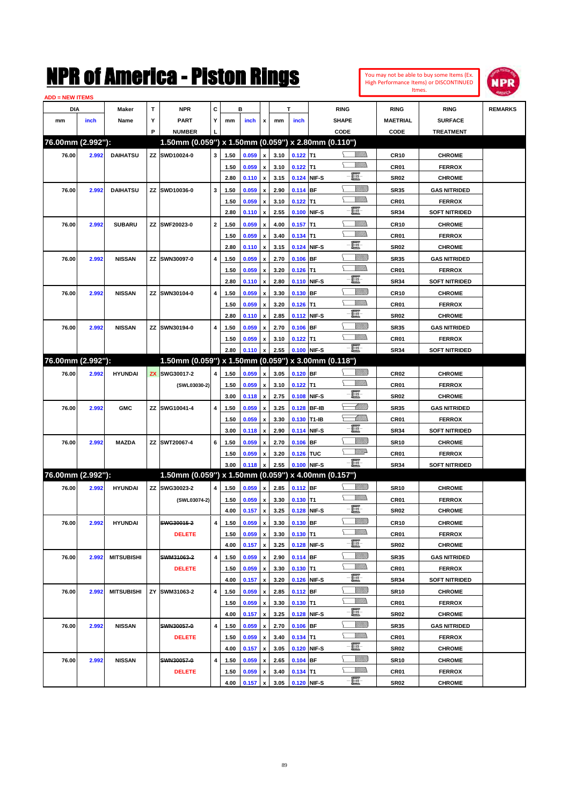

| <b>ADD = NEW ITEMS</b> |       |                   |   |                                                     |                         |      |       |                    |      |             |             |                 |                  |                      |                |
|------------------------|-------|-------------------|---|-----------------------------------------------------|-------------------------|------|-------|--------------------|------|-------------|-------------|-----------------|------------------|----------------------|----------------|
| DIA                    |       | Maker             | т | <b>NPR</b>                                          | C                       |      | в     |                    |      | T           |             | <b>RING</b>     | <b>RING</b>      | <b>RING</b>          | <b>REMARKS</b> |
| mm                     | inch  | Name              | Υ | <b>PART</b>                                         | Y                       | mm   | inch  | x                  | mm   | inch        |             | <b>SHAPE</b>    | <b>MAETRIAL</b>  | <b>SURFACE</b>       |                |
|                        |       |                   | P | <b>NUMBER</b>                                       |                         |      |       |                    |      |             |             | CODE            | CODE             | <b>TREATMENT</b>     |                |
| 76.00mm (2.992"):      |       |                   |   | 1.50mm (0.059") x 1.50mm (0.059") x 2.80mm (0.110") |                         |      |       |                    |      |             |             |                 |                  |                      |                |
| 76.00                  | 2.992 | <b>DAIHATSU</b>   |   | ZZ SWD10024-0                                       | 3                       | 1.50 | 0.059 | $\pmb{\mathsf{x}}$ | 3.10 | $0.122$ T1  |             | <u>MMs</u>      | <b>CR10</b>      | <b>CHROME</b>        |                |
|                        |       |                   |   |                                                     |                         | 1.50 | 0.059 | $\pmb{\mathsf{x}}$ | 3.10 | $0.122$ T1  |             | <br>Mad         | CR01             | <b>FERROX</b>        |                |
|                        |       |                   |   |                                                     |                         | 2.80 | 0.110 | $\pmb{\mathsf{x}}$ | 3.15 | 0.124 NIF-S |             | e               | <b>SR02</b>      | <b>CHROME</b>        |                |
| 76.00                  | 2.992 | <b>DAIHATSU</b>   |   | ZZ SWD10036-0                                       | 3                       | 1.50 | 0.059 | $\pmb{\mathsf{x}}$ | 2.90 | 0.114 BF    |             | <u>VIIII)</u>   | <b>SR35</b>      | <b>GAS NITRIDED</b>  |                |
|                        |       |                   |   |                                                     |                         | 1.50 | 0.059 | x                  | 3.10 | $0.122$ T1  |             | <br>Mad         | CR01             | <b>FERROX</b>        |                |
|                        |       |                   |   |                                                     |                         | 2.80 | 0.110 | $\pmb{\mathsf{x}}$ | 2.55 |             | 0.100 NIF-S | e               | <b>SR34</b>      | <b>SOFT NITRIDED</b> |                |
| 76.00                  | 2.992 | <b>SUBARU</b>     |   | ZZ SWF20023-0                                       | $\mathbf{2}$            | 1.50 | 0.059 | x                  | 4.00 | $0.157$ T1  |             | <u>UMM</u>      | <b>CR10</b>      | <b>CHROME</b>        |                |
|                        |       |                   |   |                                                     |                         | 1.50 | 0.059 | x                  | 3.40 | $0.134$ T1  |             | <br>Mar         | CR01             | <b>FERROX</b>        |                |
|                        |       |                   |   |                                                     |                         | 2.80 | 0.110 | $\pmb{\mathsf{x}}$ | 3.15 | 0.124 NIF-S |             | E               | <b>SR02</b>      | <b>CHROME</b>        |                |
| 76.00                  | 2.992 | <b>NISSAN</b>     |   | ZZ SWN30097-0                                       | 4                       | 1.50 | 0.059 | x                  | 2.70 | $0.106$ BF  |             | <u>VIIII)</u>   | <b>SR35</b>      | <b>GAS NITRIDED</b>  |                |
|                        |       |                   |   |                                                     |                         | 1.50 | 0.059 | x                  | 3.20 | $0.126$ T1  |             | <br>Mar         | CR01             | <b>FERROX</b>        |                |
|                        |       |                   |   |                                                     |                         | 2.80 | 0.110 | $\pmb{\mathsf{x}}$ | 2.80 | 0.110 NIF-S |             | E               | <b>SR34</b>      | <b>SOFT NITRIDED</b> |                |
| 76.00                  | 2.992 | <b>NISSAN</b>     |   | ZZ SWN30104-0                                       | 4                       | 1.50 | 0.059 | x                  | 3.30 | 0.130 BF    |             | <u>VIIII)</u>   | CR <sub>10</sub> | <b>CHROME</b>        |                |
|                        |       |                   |   |                                                     |                         | 1.50 | 0.059 | x                  | 3.20 | $0.126$ T1  |             | <br>Mar         | CR01             | <b>FERROX</b>        |                |
|                        |       |                   |   |                                                     |                         | 2.80 | 0.110 | $\pmb{\mathsf{x}}$ | 2.85 | 0.112 NIF-S |             | E               | <b>SR02</b>      | <b>CHROME</b>        |                |
| 76.00                  | 2.992 | <b>NISSAN</b>     |   | ZZ SWN30194-0                                       | 4                       | 1.50 | 0.059 | x                  | 2.70 | $0.106$ BF  |             | <u>VIIII)</u>   | <b>SR35</b>      | <b>GAS NITRIDED</b>  |                |
|                        |       |                   |   |                                                     |                         | 1.50 | 0.059 | x                  | 3.10 | $0.122$ T1  |             | .<br>VMD        | CR01             | <b>FERROX</b>        |                |
|                        |       |                   |   |                                                     |                         | 2.80 | 0.110 | $\pmb{\mathsf{x}}$ | 2.55 |             | 0.100 NIF-S | -E.             | <b>SR34</b>      | <b>SOFT NITRIDED</b> |                |
| 76.00mm (2.992"):      |       |                   |   | 1.50mm (0.059") x 1.50mm (0.059") x 3.00mm (0.118") |                         |      |       |                    |      |             |             |                 |                  |                      |                |
| 76.00                  | 2.992 | <b>HYUNDAI</b>    |   | <b>ZX SWG30017-2</b>                                | $\overline{\mathbf{4}}$ | 1.50 | 0.059 | $\pmb{\mathsf{x}}$ | 3.05 | $0.120$ BF  |             | <u>VIIII)</u>   | CR <sub>02</sub> | <b>CHROME</b>        |                |
|                        |       |                   |   | (SWL03030-2)                                        |                         | 1.50 | 0.059 | x                  | 3.10 | $0.122$ T1  |             | <br>Mad         | CR01             | <b>FERROX</b>        |                |
|                        |       |                   |   |                                                     |                         | 3.00 | 0.118 | $\pmb{\mathsf{x}}$ | 2.75 | 0.108 NIF-S |             | e               | <b>SR02</b>      | <b>CHROME</b>        |                |
| 76.00                  | 2.992 | <b>GMC</b>        |   | ZZ SWG10041-4                                       | 4                       | 1.50 | 0.059 | x                  | 3.25 |             | 0.128 BF-IB | <u> UMM</u>     | <b>SR35</b>      | <b>GAS NITRIDED</b>  |                |
|                        |       |                   |   |                                                     |                         | 1.50 | 0.059 | x                  | 3.30 | 0.130 T1-IB |             | <u>UMM</u>      | CR01             | <b>FERROX</b>        |                |
|                        |       |                   |   |                                                     |                         | 3.00 | 0.118 | $\pmb{\mathsf{x}}$ | 2.90 | 0.114 NIF-S |             | E               | <b>SR34</b>      | <b>SOFT NITRIDED</b> |                |
| 76.00                  | 2.992 | <b>MAZDA</b>      |   | ZZ SWT20067-4                                       | 6                       | 1.50 | 0.059 | x                  | 2.70 | $0.106$ BF  |             | <u>VIIII)</u>   | <b>SR10</b>      | <b>CHROME</b>        |                |
|                        |       |                   |   |                                                     |                         | 1.50 | 0.059 | x                  | 3.20 | 0.126 TUC   |             | <u>WW</u> A     | CR01             | <b>FERROX</b>        |                |
|                        |       |                   |   |                                                     |                         | 3.00 | 0.118 | x                  | 2.55 | 0.100 NIF-S |             | -E.             | <b>SR34</b>      | <b>SOFT NITRIDED</b> |                |
| 76.00mm (2.992"):      |       |                   |   | 1.50mm (0.059") x 1.50mm (0.059") x 4.00mm (0.157") |                         |      |       |                    |      |             |             |                 |                  |                      |                |
| 76.00                  | 2.992 | <b>HYUNDAI</b>    |   | ZZ SWG30023-2                                       | 4                       | 1.50 | 0.059 | $\pmb{\mathsf{x}}$ | 2.85 | $0.112$ BF  |             | <u>Sillilli</u> | <b>SR10</b>      | <b>CHROME</b>        |                |
|                        |       |                   |   | (SWL03074-2)                                        |                         | 1.50 | 0.059 | $\pmb{\mathsf{x}}$ | 3.30 | $0.130$ T1  |             | <br>Mad         | CR01             | <b>FERROX</b>        |                |
|                        |       |                   |   |                                                     |                         | 4.00 | 0.157 | $\pmb{\mathsf{x}}$ | 3.25 | 0.128 NIF-S |             | E               | <b>SR02</b>      | <b>CHROME</b>        |                |
| 76.00                  | 2.992 | <b>HYUNDAI</b>    |   | SWG30015-2                                          | $\overline{\mathbf{4}}$ | 1.50 | 0.059 | $\pmb{\mathsf{x}}$ | 3.30 | 0.130 BF    |             | <u>VIIII)</u>   | <b>CR10</b>      | <b>CHROME</b>        |                |
|                        |       |                   |   | <b>DELETE</b>                                       |                         | 1.50 | 0.059 | x                  | 3.30 | $0.130$ T1  |             | <u>Willib</u>   | CR01             | <b>FERROX</b>        |                |
|                        |       |                   |   |                                                     |                         | 4.00 | 0.157 | $\pmb{\mathsf{x}}$ | 3.25 |             | 0.128 NIF-S | e.              | SR02             | <b>CHROME</b>        |                |
| 76.00                  | 2.992 | <b>MITSUBISHI</b> |   | SWM31063-2                                          | $\overline{\mathbf{4}}$ | 1.50 | 0.059 | $\pmb{\mathsf{x}}$ | 2.90 | $0.114$ BF  |             | <u>VIIII)</u>   | <b>SR35</b>      | <b>GAS NITRIDED</b>  |                |
|                        |       |                   |   | <b>DELETE</b>                                       |                         | 1.50 | 0.059 | x                  | 3.30 | $0.130$ T1  |             | <u>Willib</u>   | CR01             | <b>FERROX</b>        |                |
|                        |       |                   |   |                                                     |                         | 4.00 | 0.157 | $\pmb{\mathsf{x}}$ | 3.20 |             | 0.126 NIF-S | e.              | SR34             | <b>SOFT NITRIDED</b> |                |
| 76.00                  | 2.992 | <b>MITSUBISHI</b> |   | ZY SWM31063-2                                       | 4                       | 1.50 | 0.059 | x                  | 2.85 | $0.112$ BF  |             | <u>Villitti</u> | <b>SR10</b>      | <b>CHROME</b>        |                |
|                        |       |                   |   |                                                     |                         | 1.50 | 0.059 | x                  | 3.30 | $0.130$ T1  |             | <u>Willib</u>   | CR01             | <b>FERROX</b>        |                |
|                        |       |                   |   |                                                     |                         | 4.00 | 0.157 | $\pmb{\mathsf{x}}$ | 3.25 |             | 0.128 NIF-S | e               | SR02             | <b>CHROME</b>        |                |
| 76.00                  | 2.992 | <b>NISSAN</b>     |   | SWN30057-0                                          | $\overline{\mathbf{4}}$ | 1.50 | 0.059 | x                  | 2.70 | $0.106$ BF  |             | <u>Millit</u>   | <b>SR35</b>      | <b>GAS NITRIDED</b>  |                |
|                        |       |                   |   | <b>DELETE</b>                                       |                         | 1.50 | 0.059 | x                  | 3.40 | $0.134$ T1  |             | <u>Willib</u>   | CR01             | <b>FERROX</b>        |                |
|                        |       |                   |   |                                                     |                         | 4.00 | 0.157 | $\pmb{\mathsf{x}}$ | 3.05 |             | 0.120 NIF-S | e               | SR02             | <b>CHROME</b>        |                |
| 76.00                  | 2.992 | <b>NISSAN</b>     |   | SWN30057-0                                          | 4                       | 1.50 | 0.059 | x                  | 2.65 | $0.104$ BF  |             | <u> UMB</u>     | <b>SR10</b>      | <b>CHROME</b>        |                |
|                        |       |                   |   | <b>DELETE</b>                                       |                         | 1.50 | 0.059 | x                  | 3.40 | $0.134$ T1  |             | <u>VMM)</u>     | CR01             | <b>FERROX</b>        |                |
|                        |       |                   |   |                                                     |                         | 4.00 | 0.157 | $\pmb{\mathsf{x}}$ | 3.05 | 0.120 NIF-S |             | $-\Xi$ -        | <b>SR02</b>      | <b>CHROME</b>        |                |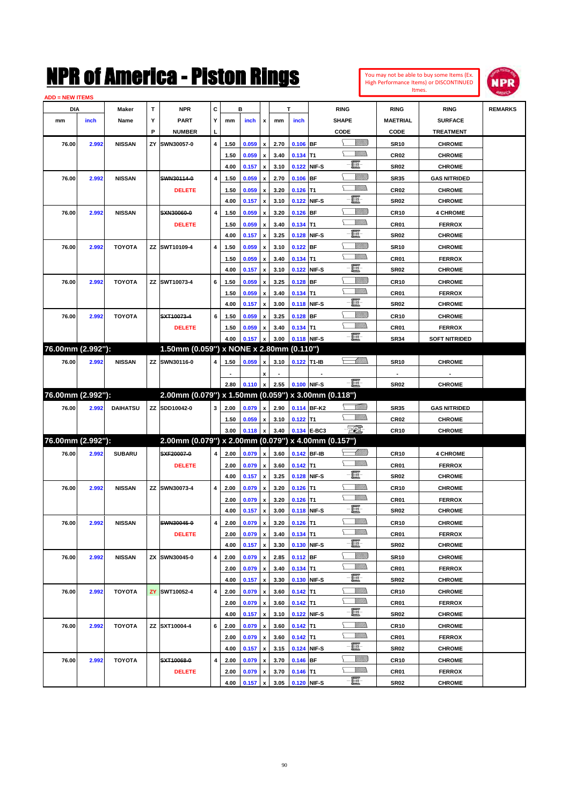

| <b>ADD = NEW ITEMS</b> |       |                 |    |                                                     |                         |      |       |                    |      |             |             |                 |                  |                      |                |
|------------------------|-------|-----------------|----|-----------------------------------------------------|-------------------------|------|-------|--------------------|------|-------------|-------------|-----------------|------------------|----------------------|----------------|
| DIA                    |       | Maker           | т  | <b>NPR</b>                                          | C                       |      | в     |                    |      | T.          |             | <b>RING</b>     | <b>RING</b>      | <b>RING</b>          | <b>REMARKS</b> |
| mm                     | inch  | Name            | Υ  | <b>PART</b>                                         | Y                       | mm   | inch  | x                  | mm   | inch        |             | <b>SHAPE</b>    | MAETRIAL         | <b>SURFACE</b>       |                |
|                        |       |                 | P  | <b>NUMBER</b>                                       | L                       |      |       |                    |      |             |             | CODE            | CODE             | <b>TREATMENT</b>     |                |
| 76.00                  | 2.992 | <b>NISSAN</b>   | ΖY | SWN30057-0                                          | 4                       | 1.50 | 0.059 | x                  | 2.70 | $0.106$ BF  |             | <u> UMB</u>     | <b>SR10</b>      | <b>CHROME</b>        |                |
|                        |       |                 |    |                                                     |                         | 1.50 | 0.059 | x                  | 3.40 | $0.134$ T1  |             | <br>Militar     | <b>CR02</b>      | <b>CHROME</b>        |                |
|                        |       |                 |    |                                                     |                         | 4.00 | 0.157 | $\pmb{\mathsf{x}}$ | 3.10 |             | 0.122 NIF-S | e               | <b>SR02</b>      | <b>CHROME</b>        |                |
| 76.00                  | 2.992 | <b>NISSAN</b>   |    | SWN30114-0                                          | 4                       | 1.50 | 0.059 | x                  | 2.70 | $0.106$ BF  |             | <u>Sillilli</u> | <b>SR35</b>      | <b>GAS NITRIDED</b>  |                |
|                        |       |                 |    | <b>DELETE</b>                                       |                         | 1.50 | 0.059 | x                  | 3.20 | $0.126$ T1  |             | <u>Willib</u>   | <b>CR02</b>      | <b>CHROME</b>        |                |
|                        |       |                 |    |                                                     |                         | 4.00 | 0.157 | $\pmb{\mathsf{x}}$ | 3.10 |             | 0.122 NIF-S | e.              | <b>SR02</b>      | <b>CHROME</b>        |                |
| 76.00                  | 2.992 | <b>NISSAN</b>   |    | SXN30060-0                                          | 4                       | 1.50 | 0.059 | x                  | 3.20 | $0.126$ BF  |             | <u>Sillilli</u> | <b>CR10</b>      | <b>4 CHROME</b>      |                |
|                        |       |                 |    | <b>DELETE</b>                                       |                         | 1.50 | 0.059 | x                  | 3.40 | $0.134$ T1  |             | <u>Willib</u>   | CR01             | <b>FERROX</b>        |                |
|                        |       |                 |    |                                                     |                         | 4.00 | 0.157 | $\pmb{\mathsf{x}}$ | 3.25 |             | 0.128 NIF-S | e               | <b>SR02</b>      | <b>CHROME</b>        |                |
| 76.00                  | 2.992 | <b>TOYOTA</b>   |    | ZZ SWT10109-4                                       | 4                       | 1.50 | 0.059 | x                  | 3.10 | $0.122$ BF  |             | <u>Villitti</u> | <b>SR10</b>      | <b>CHROME</b>        |                |
|                        |       |                 |    |                                                     |                         | 1.50 | 0.059 | x                  | 3.40 | $0.134$ T1  |             | <u>VMM)</u>     | CR01             | <b>FERROX</b>        |                |
|                        |       |                 |    |                                                     |                         | 4.00 | 0.157 | $\pmb{\mathsf{x}}$ | 3.10 |             | 0.122 NIF-S | e               | <b>SR02</b>      | <b>CHROME</b>        |                |
| 76.00                  | 2.992 | <b>TOYOTA</b>   |    | ZZ SWT10073-4                                       | 6                       | 1.50 | 0.059 | x                  | 3.25 | $0.128$ BF  |             | <u>VIIII)</u>   | <b>CR10</b>      | <b>CHROME</b>        |                |
|                        |       |                 |    |                                                     |                         | 1.50 | 0.059 | x                  | 3.40 | $0.134$ T1  |             | <u>VMM)</u>     | CR01             | <b>FERROX</b>        |                |
|                        |       |                 |    |                                                     |                         | 4.00 | 0.157 | $\pmb{\mathsf{x}}$ | 3.00 |             | 0.118 NIF-S | e               | <b>SR02</b>      | <b>CHROME</b>        |                |
| 76.00                  | 2.992 | <b>TOYOTA</b>   |    | SXT10073-4                                          | 6                       | 1.50 | 0.059 | x                  | 3.25 | $0.128$ BF  |             | <u>VIIII)</u>   | CR <sub>10</sub> | <b>CHROME</b>        |                |
|                        |       |                 |    | <b>DELETE</b>                                       |                         | 1.50 | 0.059 | x                  | 3.40 | $0.134$ T1  |             | <u>Willib</u>   | CR01             | <b>FERROX</b>        |                |
|                        |       |                 |    |                                                     |                         | 4.00 | 0.157 | $\pmb{\mathsf{x}}$ | 3.00 |             | 0.118 NIF-S | -日              | <b>SR34</b>      | <b>SOFT NITRIDED</b> |                |
| 76.00mm (2.992"):      |       |                 |    | 1.50mm (0.059") x NONE x 2.80mm (0.110")            |                         |      |       |                    |      |             |             |                 |                  |                      |                |
| 76.00                  | 2.992 | <b>NISSAN</b>   |    | ZZ SWN30116-0                                       | 4                       | 1.50 | 0.059 | x                  | 3.10 | 0.122 T1-IB |             | <u>-MM)</u>     | <b>SR10</b>      | <b>CHROME</b>        |                |
|                        |       |                 |    |                                                     |                         |      |       | x                  |      |             |             |                 |                  |                      |                |
|                        |       |                 |    |                                                     |                         | 2.80 | 0.110 | $\pmb{\mathsf{x}}$ | 2.55 |             | 0.100 NIF-S | $-\blacksquare$ | <b>SR02</b>      | <b>CHROME</b>        |                |
| 76.00mm (2.992"):      |       |                 |    | 2.00mm (0.079") x 1.50mm (0.059") x 3.00mm (0.118") |                         |      |       |                    |      |             |             |                 |                  |                      |                |
| 76.00                  | 2.992 | <b>DAIHATSU</b> |    | ZZ SDD10042-0                                       | 3                       | 2.00 | 0.079 | $\pmb{\mathsf{x}}$ | 2.90 |             | 0.114 BF-K2 | <u>Milli</u> b  | <b>SR35</b>      | <b>GAS NITRIDED</b>  |                |
|                        |       |                 |    |                                                     |                         | 1.50 | 0.059 | x                  | 3.10 | $0.122$ T1  |             | <u>Willib</u>   | CR <sub>02</sub> | <b>CHROME</b>        |                |
|                        |       |                 |    |                                                     |                         | 3.00 | 0.118 | $\pmb{\mathsf{x}}$ | 3.40 |             | 0.134 E-BC3 | - 501           | CR <sub>10</sub> | <b>CHROME</b>        |                |
| 76.00mm (2.992"):      |       |                 |    | 2.00mm (0.079") x 2.00mm (0.079") x 4.00mm (0.157") |                         |      |       |                    |      |             |             |                 |                  |                      |                |
| 76.00                  | 2.992 | <b>SUBARU</b>   |    | SXF20007-0                                          | 4                       | 2.00 | 0.079 | $\pmb{\mathsf{x}}$ | 3.60 |             | 0.142 BF-IB | <u>-Millito</u> | CR <sub>10</sub> | <b>4 CHROME</b>      |                |
|                        |       |                 |    | <b>DELETE</b>                                       |                         | 2.00 | 0.079 | $\pmb{\mathsf{x}}$ | 3.60 | $0.142$ T1  |             | <u>Willib</u>   | CR01             | <b>FERROX</b>        |                |
|                        |       |                 |    |                                                     |                         | 4.00 | 0.157 | $\pmb{\mathsf{x}}$ | 3.25 |             | 0.128 NIF-S | e               | <b>SR02</b>      | <b>CHROME</b>        |                |
| 76.00                  | 2.992 | <b>NISSAN</b>   |    | ZZ SWN30073-4                                       | 4                       | 2.00 | 0.079 | x                  | 3.20 | $0.126$ T1  |             | <u>MMs</u>      | CR <sub>10</sub> | <b>CHROME</b>        |                |
|                        |       |                 |    |                                                     |                         | 2.00 | 0.079 | x                  | 3.20 | $0.126$ T1  |             | VM)             | CR01             | <b>FERROX</b>        |                |
|                        |       |                 |    |                                                     |                         | 4.00 | 0.157 | $\pmb{\mathsf{x}}$ | 3.00 |             | 0.118 NIF-S | E               | <b>SR02</b>      | <b>CHROME</b>        |                |
| 76.00                  | 2.992 | <b>NISSAN</b>   |    | SWN30045-0                                          | $\overline{\mathbf{4}}$ | 2.00 | 0.079 | $\pmb{\mathsf{x}}$ | 3.20 | $0.126$ T1  |             | <u>MM)</u>      | <b>CR10</b>      | <b>CHROME</b>        |                |
|                        |       |                 |    | <b>DELETE</b>                                       |                         | 2.00 | 0.079 | $\, {\bf x}$       | 3.40 | $0.134$ T1  |             | <u>Willib</u>   | CR01             | <b>FERROX</b>        |                |
|                        |       |                 |    |                                                     |                         | 4.00 | 0.157 | $\pmb{\mathsf{x}}$ | 3.30 |             | 0.130 NIF-S | e.              | SR02             | <b>CHROME</b>        |                |
| 76.00                  | 2.992 | <b>NISSAN</b>   |    | ZX SWN30045-0                                       | 4                       | 2.00 | 0.079 | $\pmb{\mathsf{x}}$ | 2.85 | $0.112$ BF  |             | <u>VIIII)</u>   | <b>SR10</b>      | <b>CHROME</b>        |                |
|                        |       |                 |    |                                                     |                         | 2.00 | 0.079 | x                  | 3.40 | $0.134$ T1  |             | <u>Willib</u>   | CR01             | <b>FERROX</b>        |                |
|                        |       |                 |    |                                                     |                         | 4.00 | 0.157 | $\pmb{\mathsf{x}}$ | 3.30 |             | 0.130 NIF-S | e.              | SR02             | <b>CHROME</b>        |                |
| 76.00                  | 2.992 | <b>TOYOTA</b>   |    | ZY SWT10052-4                                       | $\pmb{4}$               | 2.00 | 0.079 | $\, {\bf x}$       | 3.60 | $0.142$ T1  |             | <u>MMs</u>      | <b>CR10</b>      | <b>CHROME</b>        |                |
|                        |       |                 |    |                                                     |                         | 2.00 | 0.079 | x                  | 3.60 | $0.142$ T1  |             | <u>Willib</u>   | CR01             | <b>FERROX</b>        |                |
|                        |       |                 |    |                                                     |                         | 4.00 | 0.157 | $\pmb{\mathsf{x}}$ | 3.10 |             | 0.122 NIF-S | e               | SR02             | <b>CHROME</b>        |                |
| 76.00                  | 2.992 | <b>TOYOTA</b>   |    | ZZ SXT10004-4                                       | 6                       | 2.00 | 0.079 | x                  | 3.60 | $0.142$ T1  |             | <u>MMs</u>      | <b>CR10</b>      | <b>CHROME</b>        |                |
|                        |       |                 |    |                                                     |                         | 2.00 | 0.079 | x                  | 3.60 | $0.142$ T1  |             | <u>Willib</u>   | CR01             | <b>FERROX</b>        |                |
|                        |       |                 |    |                                                     |                         | 4.00 | 0.157 | $\pmb{\mathsf{x}}$ | 3.15 |             | 0.124 NIF-S | e.              | SR02             | <b>CHROME</b>        |                |
| 76.00                  | 2.992 | <b>TOYOTA</b>   |    | SXT10068-0                                          | 4                       | 2.00 | 0.079 | x                  | 3.70 | $0.146$ BF  |             | <u> UMB</u>     | <b>CR10</b>      | <b>CHROME</b>        |                |
|                        |       |                 |    | <b>DELETE</b>                                       |                         | 2.00 | 0.079 | x                  | 3.70 | $0.146$ T1  |             | <u>VMM)</u>     | CR01             | <b>FERROX</b>        |                |
|                        |       |                 |    |                                                     |                         | 4.00 | 0.157 | x                  | 3.05 |             | 0.120 NIF-S | e               | SR02             | <b>CHROME</b>        |                |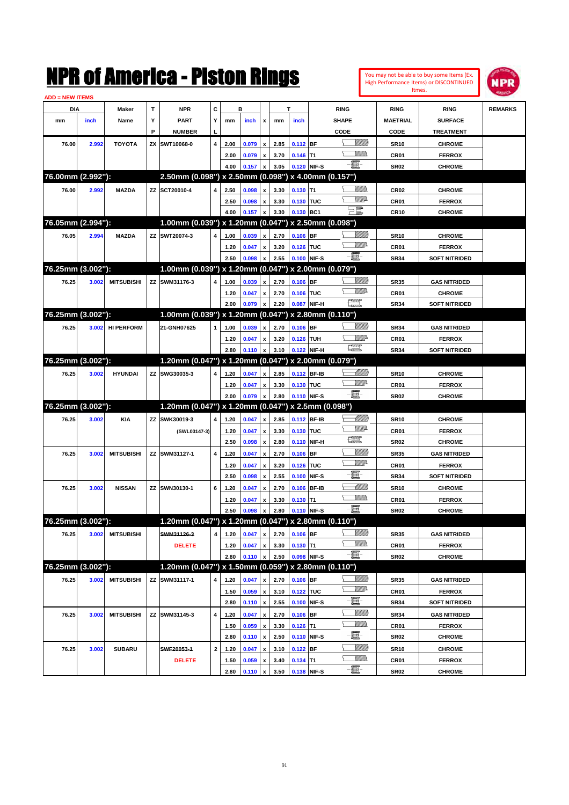|                        |       |                   |                   | NMK OI AMCMICA - MISTON KINGS                       |              |              |                |                                |      |                                 |              |                                                                                                                                                                                                                                                                                                                                                     |                |                         | You may not be able to buy some Items (Ex.<br>High Performance Items) or DISCONTINUED<br>Itmes. | IPR            |
|------------------------|-------|-------------------|-------------------|-----------------------------------------------------|--------------|--------------|----------------|--------------------------------|------|---------------------------------|--------------|-----------------------------------------------------------------------------------------------------------------------------------------------------------------------------------------------------------------------------------------------------------------------------------------------------------------------------------------------------|----------------|-------------------------|-------------------------------------------------------------------------------------------------|----------------|
| <b>ADD = NEW ITEMS</b> |       |                   |                   |                                                     | c            |              |                |                                |      | T                               |              |                                                                                                                                                                                                                                                                                                                                                     |                |                         |                                                                                                 |                |
| DIA                    |       | Maker             | $\mathbf{T}$<br>Υ | <b>NPR</b>                                          | Y            |              | в              |                                |      |                                 |              | <b>RING</b>                                                                                                                                                                                                                                                                                                                                         |                | <b>RING</b>             | <b>RING</b>                                                                                     | <b>REMARKS</b> |
| mm                     | inch  | Name              | P                 | <b>PART</b><br><b>NUMBER</b>                        |              | mm           | inch           | x                              | mm   | inch                            |              | <b>SHAPE</b><br>CODE                                                                                                                                                                                                                                                                                                                                |                | <b>MAETRIAL</b><br>CODE | <b>SURFACE</b><br><b>TREATMENT</b>                                                              |                |
|                        |       |                   | ZΧ                | SWT10068-0                                          | 4            |              |                |                                | 2.85 | $0.112$ BF                      |              |                                                                                                                                                                                                                                                                                                                                                     | <u>VIIII)</u>  |                         |                                                                                                 |                |
| 76.00                  | 2.992 | <b>TOYOTA</b>     |                   |                                                     |              | 2.00         | 0.079          | $\boldsymbol{\mathsf{x}}$      | 3.70 |                                 | lT1          |                                                                                                                                                                                                                                                                                                                                                     | <br>Villida    | <b>SR10</b>             | <b>CHROME</b><br><b>FERROX</b>                                                                  |                |
|                        |       |                   |                   |                                                     |              | 2.00<br>4.00 | 0.079<br>0.157 | $\boldsymbol{\mathsf{x}}$<br>x | 3.05 | 0.146                           | 0.120 NIF-S  | 買                                                                                                                                                                                                                                                                                                                                                   |                | CR01<br><b>SR02</b>     | <b>CHROME</b>                                                                                   |                |
| 76.00mm (2.992"):      |       |                   |                   | 2.50mm (0.098") x 2.50mm (0.098") x 4.00mm (0.157") |              |              |                |                                |      |                                 |              |                                                                                                                                                                                                                                                                                                                                                     |                |                         |                                                                                                 |                |
| 76.00                  | 2.992 | <b>MAZDA</b>      |                   | ZZ SCT20010-4                                       | 4            | 2.50         | 0.098          | x                              | 3.30 | 0.130                           | lT1          |                                                                                                                                                                                                                                                                                                                                                     | <u>MM</u>      | <b>CR02</b>             | <b>CHROME</b>                                                                                   |                |
|                        |       |                   |                   |                                                     |              | 2.50         | 0.098          | x                              | 3.30 | 0.130 TUC                       |              |                                                                                                                                                                                                                                                                                                                                                     | <u>Willia</u>  | CR01                    | <b>FERROX</b>                                                                                   |                |
|                        |       |                   |                   |                                                     |              | 4.00         | 0.157          | X                              | 3.30 | 0.130 BC1                       |              | $\Xi$                                                                                                                                                                                                                                                                                                                                               |                | <b>CR10</b>             | <b>CHROME</b>                                                                                   |                |
| 76.05mm (2.994"):      |       |                   |                   | 1.00mm (0.039") x 1.20mm (0.047") x 2.50mm (0.098") |              |              |                |                                |      |                                 |              |                                                                                                                                                                                                                                                                                                                                                     |                |                         |                                                                                                 |                |
| 76.05                  | 2.994 | <b>MAZDA</b>      |                   | ZZ SWT20074-3                                       | 4            | 1.00         | 0.039          | x                              | 2.70 | $0.106$ BF                      |              |                                                                                                                                                                                                                                                                                                                                                     | <u>Milli</u> k | <b>SR10</b>             | <b>CHROME</b>                                                                                   |                |
|                        |       |                   |                   |                                                     |              | 1.20         | 0.047          | x                              | 3.20 | 0.126                           | TUC          |                                                                                                                                                                                                                                                                                                                                                     | <u>Willia</u>  | CR01                    | <b>FERROX</b>                                                                                   |                |
|                        |       |                   |                   |                                                     |              | 2.50         | 0.098          | x                              | 2.55 |                                 | 0.100 NIF-S  | e et                                                                                                                                                                                                                                                                                                                                                |                | <b>SR34</b>             | <b>SOFT NITRIDED</b>                                                                            |                |
| 76.25mm (3.002"):      |       |                   |                   | 1.00mm (0.039") x 1.20mm (0.047") x 2.00mm (0.079") |              |              |                |                                |      |                                 |              |                                                                                                                                                                                                                                                                                                                                                     |                |                         |                                                                                                 |                |
| 76.25                  | 3.002 | <b>MITSUBISHI</b> |                   | ZZ SWM31176-3                                       | 4            | 1.00         | 0.039          | x                              | 2.70 | $0.106$ BF                      |              |                                                                                                                                                                                                                                                                                                                                                     | <u>VIIIIn</u>  | <b>SR35</b>             | <b>GAS NITRIDED</b>                                                                             |                |
|                        |       |                   |                   |                                                     |              | 1.20         | 0.047          | x                              | 2.70 | 0.106                           | TUC          |                                                                                                                                                                                                                                                                                                                                                     | <br>William    | CR01                    | <b>CHROME</b>                                                                                   |                |
|                        |       |                   |                   |                                                     |              | 2.00         | 0.079          | X                              | 2.20 | 0.087                           | NIF-H        | œ                                                                                                                                                                                                                                                                                                                                                   |                | <b>SR34</b>             | <b>SOFT NITRIDED</b>                                                                            |                |
| 76.25mm (3.002"):      |       |                   |                   | 1.00mm (0.039") x 1.20mm (0.047") x 2.80mm (0.110") |              |              |                |                                |      |                                 |              |                                                                                                                                                                                                                                                                                                                                                     |                |                         |                                                                                                 |                |
| 76.25                  | 3.002 | <b>HI PERFORM</b> |                   | 21-GNH07625                                         | 1            | 1.00         | 0.039          | X                              | 2.70 | $0.106$ BF                      |              |                                                                                                                                                                                                                                                                                                                                                     | <u>VIIIIn</u>  | <b>SR34</b>             | <b>GAS NITRIDED</b>                                                                             |                |
|                        |       |                   |                   |                                                     |              | 1.20         | 0.047          | x                              | 3.20 | 0.126                           | <b>TUH</b>   |                                                                                                                                                                                                                                                                                                                                                     | ₩₩             | CR01                    | <b>FERROX</b>                                                                                   |                |
|                        |       |                   |                   |                                                     |              | 2.80         | 0.110          | X                              | 3.10 | 0.122                           | NIF-H        | $\begin{picture}(20,20) \put(0,0){\line(1,0){10}} \put(15,0){\line(1,0){10}} \put(15,0){\line(1,0){10}} \put(15,0){\line(1,0){10}} \put(15,0){\line(1,0){10}} \put(15,0){\line(1,0){10}} \put(15,0){\line(1,0){10}} \put(15,0){\line(1,0){10}} \put(15,0){\line(1,0){10}} \put(15,0){\line(1,0){10}} \put(15,0){\line(1,0){10}} \put(15,0){\line(1$ |                | <b>SR34</b>             | <b>SOFT NITRIDED</b>                                                                            |                |
| 76.25mm (3.002"):      |       |                   |                   | 1.20mm (0.047") x 1.20mm (0.047")                   |              |              |                |                                |      |                                 |              | x 2.00mm (0.079")                                                                                                                                                                                                                                                                                                                                   |                |                         |                                                                                                 |                |
| 76.25                  | 3.002 | <b>HYUNDAI</b>    | ZZ                | SWG30035-3                                          | 4            | 1.20         | 0.047          | X                              | 2.85 |                                 | 0.112 BF-IB  |                                                                                                                                                                                                                                                                                                                                                     | MMB            | <b>SR10</b>             | <b>CHROME</b>                                                                                   |                |
|                        |       |                   |                   |                                                     |              | 1.20         | 0.047          | x                              | 3.30 | 0.130 TUC                       |              |                                                                                                                                                                                                                                                                                                                                                     | <u>VMD</u>     | CR01                    | <b>FERROX</b>                                                                                   |                |
|                        |       |                   |                   |                                                     |              | 2.00         | 0.079          | $\boldsymbol{x}$               | 2.80 |                                 | 0.110 NIF-S  | $-\mathbf{H}$ -                                                                                                                                                                                                                                                                                                                                     |                | <b>SR02</b>             | <b>CHROME</b>                                                                                   |                |
| 76.25mm (3.002"):      |       |                   |                   | 1.20mm (0.047") x 1.20mm (0.047") x 2.5mm (0.098")  |              |              |                |                                |      |                                 |              |                                                                                                                                                                                                                                                                                                                                                     |                |                         |                                                                                                 |                |
| 76.25                  | 3.002 | KIA               | ZZ                | SWK30019-3                                          | 4            | 1.20         | 0.047          | X                              | 2.85 |                                 | 0.112 BF-IB  |                                                                                                                                                                                                                                                                                                                                                     | <u> MMM</u>    | <b>SR10</b>             | <b>CHROME</b>                                                                                   |                |
|                        |       |                   |                   | (SWL03147-3)                                        |              | 1.20         | 0.047          | x                              | 3.30 | 0.130                           | TUC          |                                                                                                                                                                                                                                                                                                                                                     | <u>MM</u> D    | CR01                    | <b>FERROX</b>                                                                                   |                |
|                        |       |                   |                   |                                                     |              | 2.50         | 0.098          | $\boldsymbol{\mathsf{x}}$      | 2.80 | 0.110                           | NIF-H        | $f_{\text{max}}^{\text{max}}$                                                                                                                                                                                                                                                                                                                       |                | <b>SR02</b>             | <b>CHROME</b>                                                                                   |                |
| 76.25                  | 3.002 | <b>MITSUBISHI</b> |                   | ZZ SWM31127-1                                       | 4            | 1.20         | 0.047          | $\pmb{\mathsf{x}}$             | 2.70 | 0.106                           | <b>BF</b>    |                                                                                                                                                                                                                                                                                                                                                     | <u>VIIII)</u>  | <b>SR35</b>             | <b>GAS NITRIDED</b>                                                                             |                |
|                        |       |                   |                   |                                                     |              | 1.20         | 0.047          | $\pmb{\mathsf{x}}$             | 3.20 | 0.126                           | TUC          |                                                                                                                                                                                                                                                                                                                                                     | <u>Willia</u>  | CR01                    | <b>FERROX</b>                                                                                   |                |
|                        |       |                   |                   |                                                     |              | 2.50         | 0.098          | X                              | 2.55 | 0.100                           | NIF-S        | E                                                                                                                                                                                                                                                                                                                                                   |                | <b>SR34</b>             | <b>SOFT NITRIDED</b>                                                                            |                |
| 76.25                  | 3.002 | <b>NISSAN</b>     | ΖZ                | SWN30130-1                                          | 6            | 1.20         | 0.047          | $\pmb{\mathsf{x}}$             | 2.70 | 0.106                           | <b>BF-IB</b> |                                                                                                                                                                                                                                                                                                                                                     | <u>MM 1</u>    | <b>SR10</b>             | <b>CHROME</b>                                                                                   |                |
|                        |       |                   |                   |                                                     |              | 1.20         | 0.047          | $\pmb{\mathsf{x}}$             | 3.30 | $0.130$ T1                      |              |                                                                                                                                                                                                                                                                                                                                                     | <br>Mar        | CR01                    | <b>FERROX</b>                                                                                   |                |
|                        |       |                   |                   |                                                     |              | 2.50         | 0.098          | $\mathbf{x}$                   | 2.80 | 0.110 NIF-S                     |              | $-\mathbf{H}$                                                                                                                                                                                                                                                                                                                                       |                | <b>SR02</b>             | <b>CHROME</b>                                                                                   |                |
| 76.25mm (3.002"):      |       |                   |                   | 1.20mm (0.047") x 1.20mm (0.047") x 2.80mm (0.110") |              |              |                |                                |      |                                 |              |                                                                                                                                                                                                                                                                                                                                                     |                |                         |                                                                                                 |                |
| 76.25                  | 3.002 | <b>MITSUBISHI</b> |                   | SWM31126-3                                          | 4            | 1.20         | 0.047          | X                              | 2.70 | $0.106$ BF                      |              |                                                                                                                                                                                                                                                                                                                                                     | <u>VIIIIn</u>  | <b>SR35</b>             | <b>GAS NITRIDED</b>                                                                             |                |
|                        |       |                   |                   | <b>DELETE</b>                                       |              | 1.20         | 0.047          | $\pmb{\mathsf{x}}$             | 3.30 | $0.130$ T1                      |              |                                                                                                                                                                                                                                                                                                                                                     | <u>Willib</u>  | CR01                    | <b>FERROX</b>                                                                                   |                |
|                        |       |                   |                   |                                                     |              | 2.80         | 0.110          | x                              | 2.50 |                                 | 0.098 NIF-S  | E                                                                                                                                                                                                                                                                                                                                                   |                | <b>SR02</b>             | <b>CHROME</b>                                                                                   |                |
| 76.25mm (3.002"):      |       |                   |                   | 1.20mm (0.047") x 1.50mm (0.059") x 2.80mm (0.110") |              |              |                |                                |      |                                 |              |                                                                                                                                                                                                                                                                                                                                                     |                |                         |                                                                                                 |                |
| 76.25                  | 3.002 | <b>MITSUBISHI</b> |                   | ZZ SWM31117-1                                       | 4            | 1.20         | 0.047          | X                              | 2.70 | $0.106$ BF                      |              |                                                                                                                                                                                                                                                                                                                                                     | <u>VIIII</u> ) | <b>SR35</b>             | <b>GAS NITRIDED</b>                                                                             |                |
|                        |       |                   |                   |                                                     |              | 1.50         | 0.059          | $\pmb{\mathsf{x}}$             | 3.10 | 0.122 TUC                       |              |                                                                                                                                                                                                                                                                                                                                                     | <u>WW</u> A    | CR01                    | <b>FERROX</b>                                                                                   |                |
|                        |       |                   |                   |                                                     |              | 2.80         | 0.110          | $\pmb{\mathsf{x}}$             | 2.55 |                                 | 0.100 NIF-S  | E                                                                                                                                                                                                                                                                                                                                                   |                | <b>SR34</b>             | <b>SOFT NITRIDED</b>                                                                            |                |
| 76.25                  | 3.002 | <b>MITSUBISHI</b> |                   | ZZ SWM31145-3                                       | 4            | 1.20         | 0.047          | $\pmb{\mathsf{x}}$             | 2.70 | $0.106$ BF                      |              |                                                                                                                                                                                                                                                                                                                                                     | <u>VIIII)</u>  | <b>SR34</b>             | <b>GAS NITRIDED</b>                                                                             |                |
|                        |       |                   |                   |                                                     |              | 1.50         | 0.059          | $\pmb{\mathsf{x}}$             | 3.30 | $0.126$ T1                      |              |                                                                                                                                                                                                                                                                                                                                                     | <u>Willib</u>  | CR01                    | <b>FERROX</b>                                                                                   |                |
|                        |       |                   |                   |                                                     |              | 2.80         | 0.110          | $\pmb{\mathsf{x}}$             | 2.50 |                                 | 0.110 NIF-S  | $\blacksquare$                                                                                                                                                                                                                                                                                                                                      |                | <b>SR02</b>             | <b>CHROME</b>                                                                                   |                |
| 76.25                  | 3.002 | <b>SUBARU</b>     |                   | SWF20053-1                                          | $\mathbf{2}$ | 1.20         | 0.047          | $\pmb{\mathsf{x}}$             | 3.10 | $0.122$ BF                      |              |                                                                                                                                                                                                                                                                                                                                                     | <u>VIIII)</u>  | <b>SR10</b>             | <b>CHROME</b>                                                                                   |                |
|                        |       |                   |                   | <b>DELETE</b>                                       |              | 1.50         | 0.059          | $\pmb{\mathsf{x}}$             | 3.40 | $0.134$ T1                      |              |                                                                                                                                                                                                                                                                                                                                                     | <u>Willib</u>  | CR01                    | <b>FERROX</b>                                                                                   |                |
|                        |       |                   |                   |                                                     |              | 2.80         |                |                                |      | $0.110 \times 3.50$ 0.138 NIF-S |              | -8                                                                                                                                                                                                                                                                                                                                                  |                | <b>SR02</b>             | <b>CHROME</b>                                                                                   |                |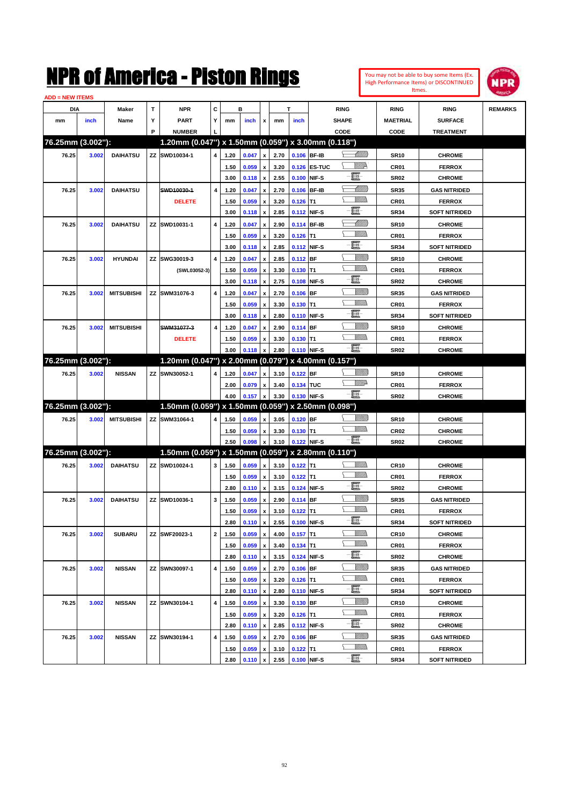

| <b>ADD = NEW ITEMS</b> |       |                   |   |                                                        |                         |              |                |                         |              |             |              |                  |                 |                      |                |
|------------------------|-------|-------------------|---|--------------------------------------------------------|-------------------------|--------------|----------------|-------------------------|--------------|-------------|--------------|------------------|-----------------|----------------------|----------------|
| DIA                    |       | <b>Maker</b>      | т | <b>NPR</b>                                             | C                       |              | в              |                         |              | T           |              | <b>RING</b>      | <b>RING</b>     | <b>RING</b>          | <b>REMARKS</b> |
| mm                     | inch  | Name              | Υ | <b>PART</b>                                            | Y                       | mm           | inch           | x                       | mm           | inch        |              | <b>SHAPE</b>     | <b>MAETRIAL</b> | <b>SURFACE</b>       |                |
|                        |       |                   | P | <b>NUMBER</b>                                          |                         |              |                |                         |              |             |              | CODE             | CODE            | <b>TREATMENT</b>     |                |
| 76.25mm (3.002"):      |       |                   |   | 1.20mm (0.047") x 1.50mm (0.059") x 3.00mm (0.118")    |                         |              |                |                         |              |             |              |                  |                 |                      |                |
| 76.25                  | 3.002 | <b>DAIHATSU</b>   |   | ZZ SWD10034-1                                          | $\overline{\mathbf{4}}$ | 1.20         | 0.047          | $\pmb{\mathsf{x}}$      | 2.70         |             | 0.106 BF-IB  | <u> Millitto</u> | <b>SR10</b>     | <b>CHROME</b>        |                |
|                        |       |                   |   |                                                        |                         | 1.50         | 0.059          | x                       | 3.20         |             | 0.126 ES-TUC | ₩₩               | CR01            | <b>FERROX</b>        |                |
|                        |       |                   |   |                                                        |                         | 3.00         | 0.118          | $\pmb{\mathsf{x}}$      | 2.55         |             | 0.100 NIF-S  | E                | <b>SR02</b>     | <b>CHROME</b>        |                |
| 76.25                  | 3.002 | <b>DAIHATSU</b>   |   | SWD10030-1                                             | $\overline{\mathbf{4}}$ | 1.20         | 0.047          | x                       | 2.70         |             | 0.106 BF-IB  | <u> Millitti</u> | <b>SR35</b>     | <b>GAS NITRIDED</b>  |                |
|                        |       |                   |   | <b>DELETE</b>                                          |                         | 1.50         | 0.059          | x                       | 3.20         | $0.126$ T1  |              | VMM)             | CR01            | <b>FERROX</b>        |                |
|                        |       |                   |   |                                                        |                         | 3.00         | 0.118          | $\pmb{\mathsf{x}}$      | 2.85         |             | 0.112 NIF-S  | E                | <b>SR34</b>     | <b>SOFT NITRIDED</b> |                |
| 76.25                  | 3.002 | <b>DAIHATSU</b>   |   | ZZ SWD10031-1                                          | 4                       | 1.20         | 0.047          | x                       | 2.90         |             | 0.114 BF-IB  | <u> UMM)</u>     | <b>SR10</b>     | <b>CHROME</b>        |                |
|                        |       |                   |   |                                                        |                         | 1.50         | 0.059          | x                       | 3.20         | $0.126$ T1  |              | <br>Mar          | CR01            | <b>FERROX</b>        |                |
|                        |       |                   |   |                                                        |                         | 3.00         | 0.118          | $\pmb{\mathsf{x}}$      | 2.85         |             | 0.112 NIF-S  | E                | <b>SR34</b>     | <b>SOFT NITRIDED</b> |                |
| 76.25                  | 3.002 | <b>HYUNDAI</b>    |   | ZZ SWG30019-3                                          | $\overline{\mathbf{4}}$ | 1.20         | 0.047          | x                       | 2.85         | 0.112 BF    |              | <u>VIIII)</u>    | <b>SR10</b>     | <b>CHROME</b>        |                |
|                        |       |                   |   | (SWL03052-3)                                           |                         | 1.50         | 0.059          | x                       | 3.30         | $0.130$ T1  |              | <br>Mar          | CR01            | <b>FERROX</b>        |                |
|                        |       |                   |   |                                                        |                         | 3.00         | 0.118          | $\pmb{\mathsf{x}}$      | 2.75         |             | 0.108 NIF-S  | E                | <b>SR02</b>     | <b>CHROME</b>        |                |
| 76.25                  | 3.002 | <b>MITSUBISHI</b> |   | ZZ SWM31076-3                                          | 4                       | 1.20         | 0.047          | x                       | 2.70         | $0.106$ BF  |              | <u>VIIII)</u>    | <b>SR35</b>     | <b>GAS NITRIDED</b>  |                |
|                        |       |                   |   |                                                        |                         | 1.50         | 0.059          | x                       | 3.30         | $0.130$ T1  |              | <br>Mar          | CR01            | <b>FERROX</b>        |                |
|                        |       |                   |   |                                                        |                         | 3.00         | 0.118          | $\pmb{\mathsf{x}}$      | 2.80         |             | 0.110 NIF-S  | E                | <b>SR34</b>     | <b>SOFT NITRIDED</b> |                |
| 76.25                  | 3.002 | <b>MITSUBISHI</b> |   | SWM31077-3                                             | 4                       | 1.20         | 0.047          | x                       | 2.90         | $0.114$ BF  |              | <u>VIIII)</u>    | <b>SR10</b>     | <b>CHROME</b>        |                |
|                        |       |                   |   | <b>DELETE</b>                                          |                         | 1.50         | 0.059          | x                       | 3.30         | $0.130$ T1  |              | <br>Militar      | CR01            | <b>FERROX</b>        |                |
|                        |       |                   |   |                                                        |                         | 3.00         | 0.118          | x                       | 2.80         | 0.110 NIF-S |              | -8               | <b>SR02</b>     | <b>CHROME</b>        |                |
| 76.25mm (3.002"):      |       |                   |   | 1.20mm (0.047") x 2.00mm (0.079") x 4.00mm (0.157")    |                         |              |                |                         |              |             |              |                  |                 |                      |                |
|                        |       |                   |   |                                                        | 4                       |              |                |                         |              |             |              | <u>VIIII)</u>    |                 |                      |                |
| 76.25                  | 3.002 | <b>NISSAN</b>     |   | ZZ SWN30052-1                                          |                         | 1.20         | 0.047          | x                       | 3.10         | $0.122$ BF  |              | <u>WW</u> A      | <b>SR10</b>     | <b>CHROME</b>        |                |
|                        |       |                   |   |                                                        |                         | 2.00<br>4.00 | 0.079<br>0.157 | x<br>$\pmb{\mathsf{x}}$ | 3.40<br>3.30 | 0.134 TUC   | 0.130 NIF-S  | -8               | CR01            | <b>FERROX</b>        |                |
| 76.25mm (3.002"):      |       |                   |   | 1.50mm (0.059") x 1.50mm (0.059") x 2.50mm (0.098")    |                         |              |                |                         |              |             |              |                  | <b>SR02</b>     | <b>CHROME</b>        |                |
|                        |       |                   |   |                                                        |                         |              |                |                         |              |             |              | <u>Sillilli</u>  |                 |                      |                |
| 76.25                  | 3.002 | <b>MITSUBISHI</b> |   | ZZ SWM31064-1                                          | 4                       | 1.50         | 0.059          | x                       | 3.05         | $0.120$ BF  |              | <br>Militar      | <b>SR10</b>     | <b>CHROME</b>        |                |
|                        |       |                   |   |                                                        |                         | 1.50         | 0.059          | x                       | 3.30         | $0.130$ T1  |              | -8               | <b>CR02</b>     | <b>CHROME</b>        |                |
| 76.25mm (3.002"):      |       |                   |   | $1.50$ mm (0.059") x 1.50mm (0.059") x 2.80mm (0.110") |                         | 2.50         | 0.098          | x                       | 3.10         |             | 0.122 NIF-S  |                  | <b>SR02</b>     | <b>CHROME</b>        |                |
|                        |       |                   |   |                                                        |                         |              |                |                         |              |             |              |                  |                 |                      |                |
| 76.25                  | 3.002 | <b>DAIHATSU</b>   |   | ZZ SWD10024-1                                          | 3                       | 1.50         | 0.059          | $\pmb{\mathsf{x}}$      | 3.10         | $0.122$ T1  |              | <br>Mad          | <b>CR10</b>     | <b>CHROME</b>        |                |
|                        |       |                   |   |                                                        |                         | 1.50         | 0.059          | x                       | 3.10         | $0.122$ T1  |              | e                | CR01            | <b>FERROX</b>        |                |
|                        |       |                   |   |                                                        |                         | 2.80         | 0.110          | $\pmb{\mathsf{x}}$      | 3.15         | 0.124 NIF-S |              |                  | <b>SR02</b>     | <b>CHROME</b>        |                |
| 76.25                  | 3.002 | <b>DAIHATSU</b>   |   | ZZ SWD10036-1                                          | 3                       | 1.50         | 0.059          | x                       | 2.90         | 0.114 BF    |              | <u>Villida</u>   | <b>SR35</b>     | <b>GAS NITRIDED</b>  |                |
|                        |       |                   |   |                                                        |                         | 1.50         | 0.059          | x                       | 3.10         | $0.122$ T1  |              | e.               | CR01            | <b>FERROX</b>        |                |
|                        |       |                   |   |                                                        |                         | 2.80         | 0.110          | $\pmb{\mathsf{x}}$      | 2.55         | 0.100 NIF-S |              |                  | SR34            | <b>SOFT NITRIDED</b> |                |
| 76.25                  | 3.002 | <b>SUBARU</b>     |   | ZZ SWF20023-1                                          | $\mathbf{2}$            | 1.50         | 0.059          | $\pmb{\mathsf{x}}$      | 4.00         | $0.157$ T1  |              | <br>Milita       | <b>CR10</b>     | <b>CHROME</b>        |                |
|                        |       |                   |   |                                                        |                         | 1.50         | 0.059          | $\pmb{\mathsf{x}}$      | 3.40         | $0.134$ T1  |              | <u>MMa</u>       | CR01            | <b>FERROX</b>        |                |
|                        |       |                   |   |                                                        |                         | 2.80         | 0.110          | $\pmb{\mathsf{x}}$      | 3.15         |             | 0.124 NIF-S  | E                | <b>SR02</b>     | <b>CHROME</b>        |                |
| 76.25                  | 3.002 | <b>NISSAN</b>     |   | ZZ SWN30097-1                                          | 4                       | 1.50         | 0.059          | x                       | 2.70         | $0.106$ BF  |              | <u>VIIII)</u>    | <b>SR35</b>     | <b>GAS NITRIDED</b>  |                |
|                        |       |                   |   |                                                        |                         | 1.50         | 0.059          | $\pmb{\mathsf{x}}$      | 3.20         | $0.126$ T1  |              | <u>MM)</u>       | CR01            | <b>FERROX</b>        |                |
|                        |       |                   |   |                                                        |                         | 2.80         | 0.110          | $\pmb{\mathsf{x}}$      | 2.80         |             | 0.110 NIF-S  | E                | <b>SR34</b>     | <b>SOFT NITRIDED</b> |                |
| 76.25                  | 3.002 | <b>NISSAN</b>     |   | ZZ SWN30104-1                                          | 4                       | 1.50         | 0.059          | x                       | 3.30         | 0.130 BF    |              | <u>VIIII)</u>    | <b>CR10</b>     | <b>CHROME</b>        |                |
|                        |       |                   |   |                                                        |                         | 1.50         | 0.059          | $\pmb{\mathsf{x}}$      | 3.20         | $0.126$ T1  |              | <u>MM)</u>       | CR01            | <b>FERROX</b>        |                |
|                        |       |                   |   |                                                        |                         | 2.80         | 0.110          | $\pmb{\mathsf{x}}$      | 2.85         |             | 0.112 NIF-S  | e.               | <b>SR02</b>     | <b>CHROME</b>        |                |
| 76.25                  | 3.002 | <b>NISSAN</b>     |   | ZZ SWN30194-1                                          | 4                       | 1.50         | 0.059          | x                       | 2.70         | $0.106$ BF  |              | <u>Villitti</u>  | <b>SR35</b>     | <b>GAS NITRIDED</b>  |                |
|                        |       |                   |   |                                                        |                         | 1.50         | 0.059          | x                       | 3.10         | $0.122$ T1  |              | <u>MM)</u>       | CR01            | <b>FERROX</b>        |                |
|                        |       |                   |   |                                                        |                         | 2.80         | 0.110 x        |                         | 2.55         | 0.100 NIF-S |              | e.               | <b>SR34</b>     | <b>SOFT NITRIDED</b> |                |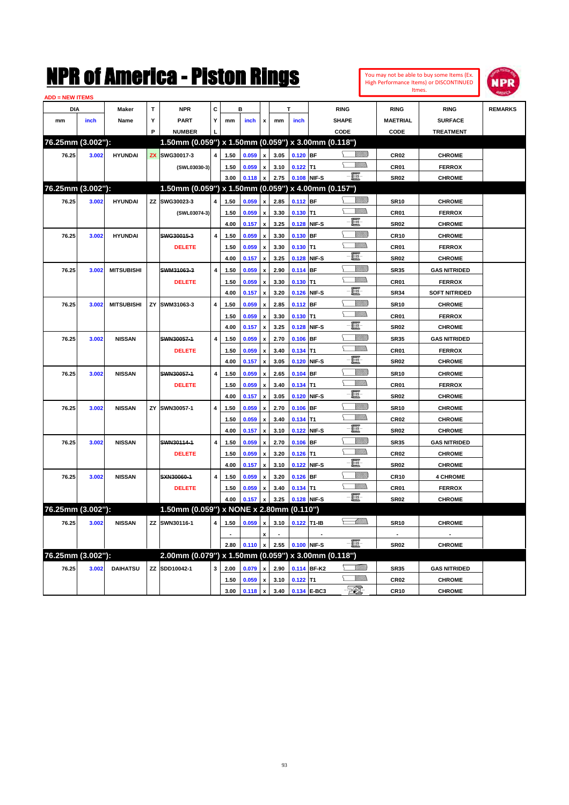| <b>ADD = NEW ITEMS</b> |       |                   |   |                                                     |                         |      |                  |                           |      |             |             |                     |                  |                      |                |
|------------------------|-------|-------------------|---|-----------------------------------------------------|-------------------------|------|------------------|---------------------------|------|-------------|-------------|---------------------|------------------|----------------------|----------------|
| <b>DIA</b>             |       | <b>Maker</b>      | T | <b>NPR</b>                                          | C                       |      | B                |                           |      |             |             | <b>RING</b>         | <b>RING</b>      | <b>RING</b>          | <b>REMARKS</b> |
| mm                     | inch  | Name              | Y | <b>PART</b>                                         | Y                       | mm   | inch             | X                         | mm   | inch        |             | <b>SHAPE</b>        | <b>MAETRIAL</b>  | <b>SURFACE</b>       |                |
|                        |       |                   | P | <b>NUMBER</b>                                       |                         |      |                  |                           |      |             |             | CODE                | CODE             | <b>TREATMENT</b>     |                |
| 76.25mm (3.002"):      |       |                   |   | 1.50mm (0.059") x 1.50mm (0.059") x 3.00mm (0.118") |                         |      |                  |                           |      |             |             |                     |                  |                      |                |
| 76.25                  | 3.002 | <b>HYUNDAI</b>    |   | ZX SWG30017-3                                       | 4                       | 1.50 | 0.059            | $\pmb{\mathsf{x}}$        | 3.05 | $0.120$ BF  |             | VM))                | CR <sub>02</sub> | <b>CHROME</b>        |                |
|                        |       |                   |   | (SWL03030-3)                                        |                         | 1.50 | 0.059            | x                         | 3.10 | $0.122$ T1  |             | <u>MMs</u><br>⊆     | CR01             | <b>FERROX</b>        |                |
|                        |       |                   |   |                                                     |                         | 3.00 | 0.118            | $\boldsymbol{\mathsf{x}}$ | 2.75 |             | 0.108 NIF-S | $-\Xi$              | <b>SR02</b>      | <b>CHROME</b>        |                |
| 76.25mm (3.002"):      |       |                   |   | 1.50mm (0.059") x 1.50mm (0.059") x 4.00mm (0.157") |                         |      |                  |                           |      |             |             |                     |                  |                      |                |
| 76.25                  | 3.002 | <b>HYUNDAI</b>    |   | ZZ SWG30023-3                                       | 4                       | 1.50 | 0.059            | $\pmb{\mathsf{x}}$        | 2.85 | $0.112$ BF  |             | <u>Millito</u><br>╰ | <b>SR10</b>      | <b>CHROME</b>        |                |
|                        |       |                   |   | (SWL03074-3)                                        |                         | 1.50 | 0.059            | $\mathbf{x}$              | 3.30 | $0.130$ T1  |             | <b>Willia</b>       | CR01             | <b>FERROX</b>        |                |
|                        |       |                   |   |                                                     |                         | 4.00 | 0.157            | X                         | 3.25 |             | 0.128 NIF-S | E                   | <b>SR02</b>      | <b>CHROME</b>        |                |
| 76.25                  | 3.002 | <b>HYUNDAI</b>    |   | SWG30015-3                                          | 4                       | 1.50 | 0.059            | $\pmb{\mathsf{x}}$        | 3.30 | $0.130$ BF  |             | <u>Sillilli</u>     | <b>CR10</b>      | <b>CHROME</b>        |                |
|                        |       |                   |   | <b>DELETE</b>                                       |                         | 1.50 | 0.059            | X                         | 3.30 | $0.130$ T1  |             | <u>Villida</u>      | <b>CR01</b>      | <b>FERROX</b>        |                |
|                        |       |                   |   |                                                     |                         | 4.00 | 0.157            | $\boldsymbol{x}$          | 3.25 |             | 0.128 NIF-S | e                   | <b>SR02</b>      | <b>CHROME</b>        |                |
| 76.25                  | 3.002 | <b>MITSUBISHI</b> |   | SWM31063-3                                          | 4                       | 1.50 | 0.059            | $\boldsymbol{\mathsf{x}}$ | 2.90 | 0.114 BF    |             | <u>Millil</u>       | <b>SR35</b>      | <b>GAS NITRIDED</b>  |                |
|                        |       |                   |   | <b>DELETE</b>                                       |                         | 1.50 | 0.059            | $\pmb{\mathsf{x}}$        | 3.30 | $0.130$ T1  |             | .<br>VMD            | CR01             | <b>FERROX</b>        |                |
|                        |       |                   |   |                                                     |                         | 4.00 | 0.157            | $\boldsymbol{\mathsf{x}}$ | 3.20 |             | 0.126 NIF-S | E.                  | <b>SR34</b>      | <b>SOFT NITRIDED</b> |                |
| 76.25                  | 3.002 | <b>MITSUBISHI</b> |   | ZY SWM31063-3                                       | 4                       | 1.50 | 0.059            | x                         | 2.85 | 0.112 BF    |             |                     | <b>SR10</b>      | <b>CHROME</b>        |                |
|                        |       |                   |   |                                                     |                         | 1.50 | 0.059            | $\boldsymbol{\mathsf{x}}$ | 3.30 | $0.130$ T1  |             | VM).                | CR01             | <b>FERROX</b>        |                |
|                        |       |                   |   |                                                     |                         | 4.00 | 0.157            | x                         | 3.25 |             | 0.128 NIF-S | E.                  | <b>SR02</b>      | <b>CHROME</b>        |                |
| 76.25                  | 3.002 | <b>NISSAN</b>     |   | SWN30057-1                                          | $\overline{\mathbf{4}}$ | 1.50 | 0.059            | x                         | 2.70 | $0.106$ BF  |             | <u>Villitti</u>     | <b>SR35</b>      | <b>GAS NITRIDED</b>  |                |
|                        |       |                   |   | <b>DELETE</b>                                       |                         | 1.50 | 0.059            | X                         | 3.40 | $0.134$ T1  |             | .<br>VMD            | <b>CR01</b>      | <b>FERROX</b>        |                |
|                        |       |                   |   |                                                     |                         | 4.00 | 0.157            | x                         | 3.05 |             | 0.120 NIF-S | E.                  | <b>SR02</b>      | <b>CHROME</b>        |                |
| 76.25                  | 3.002 | <b>NISSAN</b>     |   | SWN30057-1                                          | $\overline{\mathbf{4}}$ | 1.50 | 0.059            | $\mathbf{x}$              | 2.65 | $0.104$ BF  |             | <u>Sillilli</u>     | <b>SR10</b>      | <b>CHROME</b>        |                |
|                        |       |                   |   | <b>DELETE</b>                                       |                         | 1.50 | 0.059            | x                         | 3.40 | $0.134$ T1  |             | <br>Villida         | <b>CR01</b>      | <b>FERROX</b>        |                |
|                        |       |                   |   |                                                     |                         | 4.00 | 0.157            | x                         | 3.05 |             | 0.120 NIF-S | E                   | SR <sub>02</sub> | <b>CHROME</b>        |                |
| 76.25                  | 3.002 | <b>NISSAN</b>     |   | ZY SWN30057-1                                       | 4                       | 1.50 | 0.059            | x                         | 2.70 | $0.106$ BF  |             |                     | <b>SR10</b>      | <b>CHROME</b>        |                |
|                        |       |                   |   |                                                     |                         | 1.50 | 0.059            | X                         | 3.40 | $0.134$ T1  |             | <u>Willib</u><br>Δ. | <b>CR02</b>      | <b>CHROME</b>        |                |
|                        |       |                   |   |                                                     |                         | 4.00 | 0.157            | x                         | 3.10 |             | 0.122 NIF-S | E                   | <b>SR02</b>      | <b>CHROME</b>        |                |
| 76.25                  | 3.002 | <b>NISSAN</b>     |   | SWN30114-1                                          | 4                       | 1.50 | 0.059            | $\boldsymbol{\mathsf{x}}$ | 2.70 | $0.106$ BF  |             | <u>Villilli</u>     | <b>SR35</b>      | <b>GAS NITRIDED</b>  |                |
|                        |       |                   |   | <b>DELETE</b>                                       |                         | 1.50 | 0.059            | $\boldsymbol{\mathsf{x}}$ | 3.20 | $0.126$ T1  |             | VM))<br>Σ           | <b>CR02</b>      | <b>CHROME</b>        |                |
|                        |       |                   |   |                                                     |                         | 4.00 | 0.157            | $\boldsymbol{\mathsf{x}}$ | 3.10 |             | 0.122 NIF-S | e.                  | <b>SR02</b>      | <b>CHROME</b>        |                |
| 76.25                  | 3.002 | <b>NISSAN</b>     |   | SXN30060-1                                          | 4                       | 1.50 | 0.059            | $\boldsymbol{\mathsf{x}}$ | 3.20 | $0.126$ BF  |             | VMM)                | <b>CR10</b>      | <b>4 CHROME</b>      |                |
|                        |       |                   |   | <b>DELETE</b>                                       |                         | 1.50 | 0.059            | x                         | 3.40 | $0.134$ T1  |             | .<br>William        | CR01             | <b>FERROX</b>        |                |
|                        |       |                   |   |                                                     |                         | 4.00 | 0.157            | $\pmb{\mathsf{x}}$        | 3.25 |             | 0.128 NIF-S | $-\blacksquare$     | <b>SR02</b>      | <b>CHROME</b>        |                |
| 76.25mm (3.002"):      |       |                   |   | 1.50mm (0.059") x NONE x 2.80mm (0.110")            |                         |      |                  |                           |      |             |             |                     |                  |                      |                |
| 76.25                  | 3.002 | <b>NISSAN</b>     |   | ZZ SWN30116-1                                       | 4                       | 1.50 | 0.059 x          |                           | 3.10 | 0.122 T1-IB |             | <u>UMB</u>          | <b>SR10</b>      | <b>CHROME</b>        |                |
|                        |       |                   |   |                                                     |                         |      |                  |                           |      |             |             |                     |                  |                      |                |
|                        |       |                   |   |                                                     |                         |      | $2.80$ 0.110 $x$ |                           | 2.55 | 0.100 NIF-S |             | - 8                 | <b>SR02</b>      | <b>CHROME</b>        |                |
| 76.25mm (3.002"):      |       |                   |   | 2.00mm (0.079") x 1.50mm (0.059") x 3.00mm (0.118") |                         |      |                  |                           |      |             |             |                     |                  |                      |                |
| 76.25                  | 3.002 | <b>DAIHATSU</b>   |   | ZZ SDD10042-1                                       | 3                       | 2.00 | 0.079            | $\mathbf{x}$              | 2.90 |             | 0.114 BF-K2 | *MM))               | <b>SR35</b>      | <b>GAS NITRIDED</b>  |                |
|                        |       |                   |   |                                                     |                         |      |                  |                           |      |             |             | <u>Millis</u>       |                  |                      |                |
|                        |       |                   |   |                                                     |                         | 1.50 | 0.059            | $\pmb{\mathsf{x}}$        | 3.10 | $0.122$ T1  |             |                     | CR <sub>02</sub> | <b>CHROME</b>        |                |
|                        |       |                   |   |                                                     |                         | 3.00 | $0.118 \, x$     |                           | 3.40 |             | 0.134 E-BC3 | - 701               | <b>CR10</b>      | <b>CHROME</b>        |                |

You may not be able to buy some Items (Ex. High Performance Items) or DISCONTINUED Itmes.

**NPR**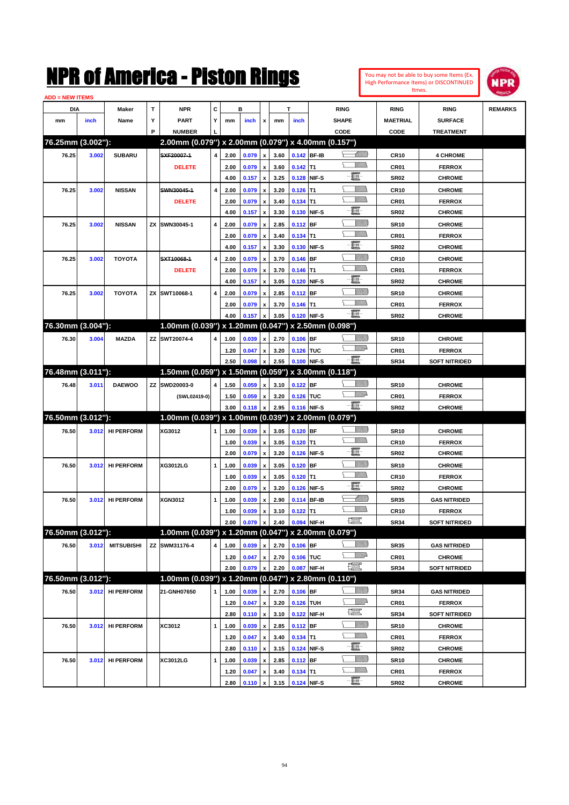

| <b>ADD = NEW ITEMS</b> |       |                   |   |                                                     |   |              |                |                           |              |             |             |                 |                 |                      |                |
|------------------------|-------|-------------------|---|-----------------------------------------------------|---|--------------|----------------|---------------------------|--------------|-------------|-------------|-----------------|-----------------|----------------------|----------------|
| DIA                    |       | Maker             | T | <b>NPR</b>                                          | C |              | в              |                           |              | т           |             | <b>RING</b>     | <b>RING</b>     | <b>RING</b>          | <b>REMARKS</b> |
| mm                     | inch  | Name              | Υ | <b>PART</b>                                         | Y | mm           | inch           | x                         | mm           | inch        |             | <b>SHAPE</b>    | <b>MAETRIAL</b> | <b>SURFACE</b>       |                |
|                        |       |                   | P | <b>NUMBER</b>                                       |   |              |                |                           |              |             |             | CODE            | CODE            | <b>TREATMENT</b>     |                |
| 76.25mm (3.002"):      |       |                   |   | 2.00mm (0.079") x 2.00mm (0.079") x 4.00mm (0.157") |   |              |                |                           |              |             |             |                 |                 |                      |                |
| 76.25                  | 3.002 | <b>SUBARU</b>     |   | SXF20007-1                                          | 4 | 2.00         | 0.079          | $\pmb{\mathsf{x}}$        | 3.60         |             | 0.142 BF-IB | <u> Millitt</u> | <b>CR10</b>     | <b>4 CHROME</b>      |                |
|                        |       |                   |   | <b>DELETE</b>                                       |   | 2.00         | 0.079          | x                         | 3.60         | $0.142$ T1  |             | VM))            | CR01            | <b>FERROX</b>        |                |
|                        |       |                   |   |                                                     |   | 4.00         | 0.157          | $\pmb{\mathsf{x}}$        | 3.25         |             | 0.128 NIF-S | 僵               | <b>SR02</b>     | <b>CHROME</b>        |                |
| 76.25                  | 3.002 | <b>NISSAN</b>     |   | SWN30045-1                                          | 4 | 2.00         | 0.079          |                           | 3.20         | $0.126$ T1  |             | 9777).          | <b>CR10</b>     | <b>CHROME</b>        |                |
|                        |       |                   |   | <b>DELETE</b>                                       |   | 2.00         | 0.079          | x                         | 3.40         | $0.134$ T1  |             | .<br>VMD        | CR01            | <b>FERROX</b>        |                |
|                        |       |                   |   |                                                     |   | 4.00         | 0.157          | x                         | 3.30         |             | 0.130 NIF-S | e               | <b>SR02</b>     | <b>CHROME</b>        |                |
| 76.25                  | 3.002 | <b>NISSAN</b>     |   | ZX SWN30045-1                                       | 4 | 2.00         | 0.079          | x                         | 2.85         | $0.112$ BF  |             | <u>Sillilli</u> | <b>SR10</b>     | <b>CHROME</b>        |                |
|                        |       |                   |   |                                                     |   | 2.00         | 0.079          | x                         | 3.40         | $0.134$ T1  |             | UM)             | CR01            | <b>FERROX</b>        |                |
|                        |       |                   |   |                                                     |   | 4.00         | 0.157          | x                         | 3.30         |             | 0.130 NIF-S | e               | <b>SR02</b>     | <b>CHROME</b>        |                |
| 76.25                  | 3.002 | <b>TOYOTA</b>     |   | SXT10068-1                                          | 4 | 2.00         | 0.079          | x                         | 3.70         | $0.146$ BF  |             | <u>Sillilli</u> | <b>CR10</b>     | <b>CHROME</b>        |                |
|                        |       |                   |   | <b>DELETE</b>                                       |   | 2.00         | 0.079          | x                         | 3.70         | $0.146$ T1  |             | UM)             | CR01            | <b>FERROX</b>        |                |
|                        |       |                   |   |                                                     |   | 4.00         | 0.157          | x                         | 3.05         |             | 0.120 NIF-S | E               | <b>SR02</b>     | <b>CHROME</b>        |                |
| 76.25                  | 3.002 | <b>TOYOTA</b>     |   | ZX SWT10068-1                                       | 4 | 2.00         | 0.079          | x                         | 2.85         | $0.112$ BF  |             | <u>Sillilli</u> | <b>SR10</b>     | <b>CHROME</b>        |                |
|                        |       |                   |   |                                                     |   | 2.00         | 0.079          | x                         | 3.70         | $0.146$ T1  |             | .<br>VMD        | CR01            | <b>FERROX</b>        |                |
|                        |       |                   |   |                                                     |   | 4.00         | 0.157          | x                         | 3.05         |             | 0.120 NIF-S | -8              | <b>SR02</b>     | <b>CHROME</b>        |                |
| 76.30mm (3.004"):      |       |                   |   | 1.00mm (0.039") x 1.20mm (0.047") x 2.50mm (0.098") |   |              |                |                           |              |             |             |                 |                 |                      |                |
| 76.30                  | 3.004 | <b>MAZDA</b>      |   | ZZ SWT20074-4                                       | 4 | 1.00         | 0.039          | x                         | 2.70         | $0.106$ BF  |             | <u>Milli</u>    | <b>SR10</b>     | <b>CHROME</b>        |                |
|                        |       |                   |   |                                                     |   | 1.20         | 0.047          | x                         | 3.20         | 0.126 TUC   |             | <u>WW</u> A     | CR01            | <b>FERROX</b>        |                |
|                        |       |                   |   |                                                     |   | 2.50         | 0.098          |                           | 2.55         |             | 0.100 NIF-S | -8              | <b>SR34</b>     | <b>SOFT NITRIDED</b> |                |
| 76.48mm (3.011"):      |       |                   |   | 1.50mm (0.059") x 1.50mm (0.059") x 3.00mm (0.118") |   |              |                |                           |              |             |             |                 |                 |                      |                |
| 76.48                  | 3.011 | <b>DAEWOO</b>     |   | ZZ SWD20003-0                                       | 4 | 1.50         | 0.059          |                           | 3.10         | $0.122$ BF  |             | <u> UMB</u>     | <b>SR10</b>     | <b>CHROME</b>        |                |
|                        |       |                   |   |                                                     |   |              |                | x                         |              |             |             | <u>VMD</u>      |                 |                      |                |
|                        |       |                   |   | (SWL02419-0)                                        |   | 1.50<br>3.00 | 0.059<br>0.118 | x                         | 3.20<br>2.95 | 0.126 TUC   | 0.116 NIF-S | -8              | CR01            | <b>FERROX</b>        |                |
| 76.50mm (3.012"):      |       |                   |   | 1.00mm (0.039") x 1.00mm (0.039") x 2.00mm (0.079") |   |              |                | $\boldsymbol{\mathsf{x}}$ |              |             |             |                 | <b>SR02</b>     | <b>CHROME</b>        |                |
|                        |       |                   |   | XG3012                                              |   |              |                |                           |              |             |             | <u> UMB</u>     |                 |                      |                |
| 76.50                  | 3.012 | <b>HI PERFORM</b> |   |                                                     | 1 | 1.00         | 0.039          | x                         | 3.05         | $0.120$ BF  |             | UM)             | <b>SR10</b>     | <b>CHROME</b>        |                |
|                        |       |                   |   |                                                     |   | 1.00         | 0.039          | x                         | 3.05         | $0.120$ T1  |             | E               | <b>CR10</b>     | <b>FERROX</b>        |                |
|                        |       |                   |   |                                                     |   | 2.00         | 0.079          | x                         | 3.20         |             | 0.126 NIF-S | <u>Sillilli</u> | <b>SR02</b>     | <b>CHROME</b>        |                |
| 76.50                  | 3.012 | <b>HI PERFORM</b> |   | XG3012LG                                            | 1 | 1.00         | 0.039          | x                         | 3.05         | $0.120$ BF  |             | VM)))           | <b>SR10</b>     | <b>CHROME</b>        |                |
|                        |       |                   |   |                                                     |   | 1.00         | 0.039          | x                         | 3.05         | $0.120$ T1  |             |                 | <b>CR10</b>     | <b>FERROX</b>        |                |
|                        |       |                   |   |                                                     |   | 2.00         | 0.079          | x                         | 3.20         |             | 0.126 NIF-S | E               | <b>SR02</b>     | <b>CHROME</b>        |                |
| 76.50                  | 3.012 | <b>HI PERFORM</b> |   | XGN3012                                             | 1 | 1.00         | 0.039          |                           | 2.90         |             | 0.114 BF-IB | <u> UMM)</u>    | <b>SR35</b>     | <b>GAS NITRIDED</b>  |                |
|                        |       |                   |   |                                                     |   | 1.00         | 0.039          |                           | 3.10         | $0.122$ T1  |             |                 | <b>CR10</b>     | <b>FERROX</b>        |                |
|                        |       |                   |   |                                                     |   | 2.00         | 0.079          | $\pmb{\mathsf{x}}$        | 2.40         |             | 0.094 NIF-H | <u>1999</u>     | <b>SR34</b>     | <b>SOFT NITRIDED</b> |                |
| 76.50mm (3.012"):      |       |                   |   | 1.00mm (0.039") x 1.20mm (0.047") x 2.00mm (0.079") |   |              |                |                           |              |             |             |                 |                 |                      |                |
| 76.50                  | 3.012 | <b>MITSUBISHI</b> |   | ZZ SWM31176-4                                       | 4 | 1.00         | 0.039          | x                         | 2.70         | $0.106$ BF  |             | <u>Sillilli</u> | <b>SR35</b>     | <b>GAS NITRIDED</b>  |                |
|                        |       |                   |   |                                                     |   | 1.20         | 0.047          | $\pmb{\mathsf{x}}$        | 2.70         | 0.106 TUC   |             | ₩₩              | CR01            | <b>CHROME</b>        |                |
|                        |       |                   |   |                                                     |   | 2.00         | 0.079          | x                         | 2.20         |             | 0.087 NIF-H | <b>RATIO</b>    | <b>SR34</b>     | <b>SOFT NITRIDED</b> |                |
| 76.50mm (3.012"):      |       |                   |   | 1.00mm (0.039") x 1.20mm (0.047") x 2.80mm (0.110") |   |              |                |                           |              |             |             |                 |                 |                      |                |
| 76.50                  | 3.012 | <b>HI PERFORM</b> |   | 21-GNH07650                                         | 1 | 1.00         | 0.039          | x                         | 2.70         | $0.106$ BF  |             | <u>VIIII)</u>   | SR34            | <b>GAS NITRIDED</b>  |                |
|                        |       |                   |   |                                                     |   | 1.20         | 0.047          | x                         | 3.20         | 0.126 TUH   |             | ₩₩              | CR01            | <b>FERROX</b>        |                |
|                        |       |                   |   |                                                     |   | 2.80         | 0.110          | $\pmb{\mathsf{x}}$        | 3.10         |             | 0.122 NIF-H | R               | SR34            | <b>SOFT NITRIDED</b> |                |
| 76.50                  | 3.012 | <b>HI PERFORM</b> |   | XC3012                                              | 1 | 1.00         | 0.039          | x                         | 2.85         | 0.112 BF    |             | <u>Villid</u>   | <b>SR10</b>     | <b>CHROME</b>        |                |
|                        |       |                   |   |                                                     |   | 1.20         | 0.047          | x                         | 3.40         | $0.134$ T1  |             | <u>VMMs</u>     | CR01            | <b>FERROX</b>        |                |
|                        |       |                   |   |                                                     |   | 2.80         | 0.110          | $\pmb{\mathsf{x}}$        | 3.15         |             | 0.124 NIF-S | ·E              | <b>SR02</b>     | <b>CHROME</b>        |                |
| 76.50                  | 3.012 | <b>HI PERFORM</b> |   | XC3012LG                                            | 1 | 1.00         | 0.039          | x                         | 2.85         | $0.112$ BF  |             | <u>Millit</u>   | <b>SR10</b>     | <b>CHROME</b>        |                |
|                        |       |                   |   |                                                     |   | 1.20         | 0.047          | x                         | 3.40         | $0.134$ T1  |             | <u>MMs</u>      | CR01            | <b>FERROX</b>        |                |
|                        |       |                   |   |                                                     |   | 2.80         | 0.110          | $\pmb{\mathsf{x}}$        | 3.15         | 0.124 NIF-S |             | $-\Xi$ -        | <b>SR02</b>     | <b>CHROME</b>        |                |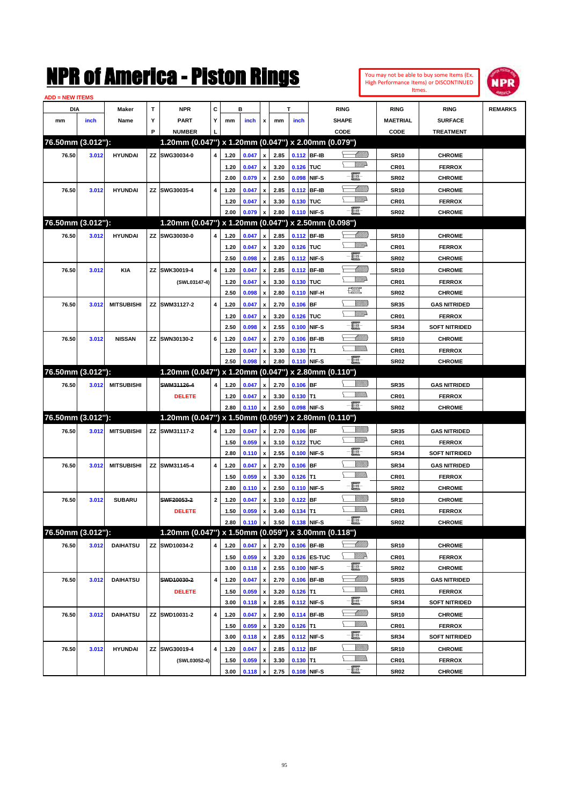| You may not be able to buy some Items (Ex. |
|--------------------------------------------|
| High Performance Items) or DISCONTINUED    |
| Itmes.                                     |



| <b>ADD = NEW ITEMS</b> |       |                   |   |                                                     |              |      |       |                                                 |      |             |              |                 |                  |                      |                |
|------------------------|-------|-------------------|---|-----------------------------------------------------|--------------|------|-------|-------------------------------------------------|------|-------------|--------------|-----------------|------------------|----------------------|----------------|
| DIA                    |       | Maker             | т | <b>NPR</b>                                          | С            |      | в     |                                                 |      | T           |              | <b>RING</b>     | <b>RING</b>      | <b>RING</b>          | <b>REMARKS</b> |
| mm                     | inch  | Name              | Υ | <b>PART</b>                                         | Y            | mm   | inch  | x                                               | mm   | inch        |              | <b>SHAPE</b>    | <b>MAETRIAL</b>  | <b>SURFACE</b>       |                |
|                        |       |                   | P | <b>NUMBER</b>                                       |              |      |       |                                                 |      |             |              | CODE            | CODE             | <b>TREATMENT</b>     |                |
| 76.50mm (3.012"):      |       |                   |   | 1.20mm (0.047") x 1.20mm (0.047") x 2.00mm (0.079") |              |      |       |                                                 |      |             |              |                 |                  |                      |                |
| 76.50                  | 3.012 | <b>HYUNDAI</b>    |   | ZZ SWG30034-0                                       | 4            | 1.20 | 0.047 | $\pmb{\mathsf{x}}$                              | 2.85 | 0.112 BF-IB |              |                 | <b>SR10</b>      | <b>CHROME</b>        |                |
|                        |       |                   |   |                                                     |              | 1.20 | 0.047 | x                                               | 3.20 | 0.126 TUC   |              | <u>VMD</u>      | <b>CR01</b>      | <b>FERROX</b>        |                |
|                        |       |                   |   |                                                     |              | 2.00 | 0.079 | $\pmb{\mathsf{x}}$                              | 2.50 | 0.098       | NIF-S        | e.              | <b>SR02</b>      | <b>CHROME</b>        |                |
| 76.50                  | 3.012 | <b>HYUNDAI</b>    |   | ZZ SWG30035-4                                       | 4            | 1.20 | 0.047 |                                                 | 2.85 | 0.112       | <b>BF-IB</b> | MMB             | <b>SR10</b>      | <b>CHROME</b>        |                |
|                        |       |                   |   |                                                     |              |      |       | x                                               |      |             |              | <u>WW</u> A     |                  |                      |                |
|                        |       |                   |   |                                                     |              | 1.20 | 0.047 | x                                               | 3.30 | 0.130 TUC   |              | $-\blacksquare$ | <b>CR01</b>      | <b>FERROX</b>        |                |
| 76.50mm (3.012"):      |       |                   |   |                                                     |              | 2.00 | 0.079 | $\boldsymbol{x}$                                | 2.80 | 0.110       | NIF-S        |                 | SR <sub>02</sub> | <b>CHROME</b>        |                |
|                        |       |                   |   | 1.20mm (0.047") x 1.20mm (0.047") x 2.50mm (0.098") |              |      |       |                                                 |      |             |              |                 |                  |                      |                |
| 76.50                  | 3.012 | <b>HYUNDAI</b>    |   | ZZ SWG30030-0                                       | 4            | 1.20 | 0.047 | x                                               | 2.85 | 0.112 BF-IB |              | <u> MM)</u>     | <b>SR10</b>      | <b>CHROME</b>        |                |
|                        |       |                   |   |                                                     |              | 1.20 | 0.047 | x                                               | 3.20 | 0.126 TUC   |              | <u>VMD</u>      | <b>CR01</b>      | <b>FERROX</b>        |                |
|                        |       |                   |   |                                                     |              | 2.50 | 0.098 | $\pmb{\mathsf{x}}$                              | 2.85 | 0.112       | NIF-S        | e.              | <b>SR02</b>      | <b>CHROME</b>        |                |
| 76.50                  | 3.012 | KIA               |   | ZZ SWK30019-4                                       | 4            | 1.20 | 0.047 | x                                               | 2.85 | 0.112       | <b>BF-IB</b> | MMB             | <b>SR10</b>      | <b>CHROME</b>        |                |
|                        |       |                   |   | (SWL03147-4)                                        |              | 1.20 | 0.047 | x                                               | 3.30 | 0.130       | <b>TUC</b>   | <u>VMD</u>      | <b>CR01</b>      | <b>FERROX</b>        |                |
|                        |       |                   |   |                                                     |              | 2.50 | 0.098 | $\pmb{\mathsf{x}}$                              | 2.80 | 0.110       | NIF-H        | R               | <b>SR02</b>      | <b>CHROME</b>        |                |
| 76.50                  | 3.012 | <b>MITSUBISHI</b> |   | ZZ SWM31127-2                                       | 4            | 1.20 | 0.047 | x                                               | 2.70 | 0.106       | <b>BF</b>    | <u>Sillilli</u> | <b>SR35</b>      | <b>GAS NITRIDED</b>  |                |
|                        |       |                   |   |                                                     |              | 1.20 | 0.047 | x                                               | 3.20 | 0.126       | <b>TUC</b>   | <u>VMD</u>      | <b>CR01</b>      | <b>FERROX</b>        |                |
|                        |       |                   |   |                                                     |              | 2.50 | 0.098 | $\pmb{\mathsf{x}}$                              | 2.55 | 0.100       | NIF-S        | e               | <b>SR34</b>      | <b>SOFT NITRIDED</b> |                |
| 76.50                  | 3.012 | <b>NISSAN</b>     |   | ZZ SWN30130-2                                       | 6            | 1.20 | 0.047 | x                                               | 2.70 | 0.106       | <b>BF-IB</b> | <u> Millil</u>  | <b>SR10</b>      | <b>CHROME</b>        |                |
|                        |       |                   |   |                                                     |              | 1.20 | 0.047 | x                                               | 3.30 | 0.130       | IT1          | <br>Milli       | <b>CR01</b>      | <b>FERROX</b>        |                |
|                        |       |                   |   |                                                     |              | 2.50 | 0.098 | $\boldsymbol{x}$                                | 2.80 | 0.110 NIF-S |              | -8              | SR <sub>02</sub> | <b>CHROME</b>        |                |
| 76.50mm (3.012"):      |       |                   |   | 1.20mm (0.047") x 1.20mm (0.047") x 2.80mm (0.110") |              |      |       |                                                 |      |             |              |                 |                  |                      |                |
| 76.50                  | 3.012 | <b>MITSUBISHI</b> |   | SWM31126-4                                          | 4            | 1.20 | 0.047 | x                                               | 2.70 | $0.106$ BF  |              | <u>Villida</u>  | <b>SR35</b>      | <b>GAS NITRIDED</b>  |                |
|                        |       |                   |   | <b>DELETE</b>                                       |              | 1.20 | 0.047 | x                                               | 3.30 | $0.130$ T1  |              | VMM)            | CR01             | <b>FERROX</b>        |                |
|                        |       |                   |   |                                                     |              | 2.80 | 0.110 | $\mathbf{x}$                                    | 2.50 | 0.098       | NIF-S        | $-\blacksquare$ | SR <sub>02</sub> | <b>CHROME</b>        |                |
| 76.50mm (3.012"):      |       |                   |   | 1.20mm (0.047") x 1.50mm (0.059") x 2.80mm (0.110") |              |      |       |                                                 |      |             |              |                 |                  |                      |                |
| 76.50                  | 3.012 | <b>MITSUBISHI</b> |   | ZZ SWM31117-2                                       | 4            | 1.20 | 0.047 | x                                               | 2.70 | $0.106$ BF  |              | <u>Villida</u>  | <b>SR35</b>      | <b>GAS NITRIDED</b>  |                |
|                        |       |                   |   |                                                     |              | 1.50 | 0.059 | x                                               | 3.10 | 0.122 TUC   |              | <u>VMD</u>      | <b>CR01</b>      | <b>FERROX</b>        |                |
|                        |       |                   |   |                                                     |              | 2.80 | 0.110 | $\pmb{\mathsf{x}}$                              | 2.55 | 0.100       | NIF-S        | -8              | <b>SR34</b>      | <b>SOFT NITRIDED</b> |                |
| 76.50                  | 3.012 | <b>MITSUBISHI</b> |   | ZZ SWM31145-4                                       | 4            | 1.20 | 0.047 | x                                               | 2.70 | 0.106       | <b>BF</b>    | <u>VIIII)</u>   | <b>SR34</b>      | <b>GAS NITRIDED</b>  |                |
|                        |       |                   |   |                                                     |              | 1.50 | 0.059 |                                                 | 3.30 | $0.126$ T1  |              | VMM)            | <b>CR01</b>      | <b>FERROX</b>        |                |
|                        |       |                   |   |                                                     |              | 2.80 |       | $\boldsymbol{\mathsf{x}}$<br>$\pmb{\mathsf{x}}$ | 2.50 |             | NIF-S        | ·ii             | <b>SR02</b>      | <b>CHROME</b>        |                |
|                        |       |                   |   |                                                     |              |      | 0.110 |                                                 |      | 0.110       |              | <u>VIIII)</u>   |                  |                      |                |
| 76.50                  | 3.012 | <b>SUBARU</b>     |   | SWF20053-2                                          | $\mathbf{2}$ | 1.20 | 0.047 | x                                               | 3.10 | 0.122       | <b>BF</b>    |                 | <b>SR10</b>      | <b>CHROME</b>        |                |
|                        |       |                   |   | <b>DELETE</b>                                       |              | 1.50 | 0.059 | $\boldsymbol{\mathsf{x}}$                       | 3.40 | $0.134$ T1  |              | ·bi             | <b>CR01</b>      | <b>FERROX</b>        |                |
|                        |       |                   |   |                                                     |              | 2.80 | 0.110 | $\pmb{\mathsf{x}}$                              | 3.50 | 0.138 NIF-S |              |                 | SR02             | <b>CHROME</b>        |                |
| 76.50mm (3.012"):      |       |                   |   | 1.20mm (0.047") x 1.50mm (0.059") x 3.00mm (0.118") |              |      |       |                                                 |      |             |              |                 |                  |                      |                |
| 76.50                  | 3.012 | <b>DAIHATSU</b>   |   | ZZ SWD10034-2                                       | 4            | 1.20 | 0.047 | $\pmb{\mathsf{x}}$                              | 2.70 | 0.106 BF-IB |              | <u> UMM</u>     | <b>SR10</b>      | <b>CHROME</b>        |                |
|                        |       |                   |   |                                                     |              | 1.50 | 0.059 | $\pmb{\mathsf{x}}$                              | 3.20 |             | 0.126 ES-TUC | <u>W//R</u>     | CR01             | <b>FERROX</b>        |                |
|                        |       |                   |   |                                                     |              | 3.00 | 0.118 | $\pmb{\mathsf{x}}$                              | 2.55 | 0.100       | NIF-S        | $-\frac{1}{2}$  | SR02             | <b>CHROME</b>        |                |
| 76.50                  | 3.012 | <b>DAIHATSU</b>   |   | SWD10030-2                                          | $\pmb{4}$    | 1.20 | 0.047 | $\pmb{\mathsf{x}}$                              | 2.70 | 0.106       | <b>BF-IB</b> | <u> UMM)</u>    | <b>SR35</b>      | <b>GAS NITRIDED</b>  |                |
|                        |       |                   |   | <b>DELETE</b>                                       |              | 1.50 | 0.059 | x                                               | 3.20 | $0.126$ T1  |              | <u>WMW</u>      | CR01             | <b>FERROX</b>        |                |
|                        |       |                   |   |                                                     |              | 3.00 | 0.118 | $\pmb{\mathsf{x}}$                              | 2.85 | 0.112       | NIF-S        | e.              | <b>SR34</b>      | <b>SOFT NITRIDED</b> |                |
| 76.50                  | 3.012 | <b>DAIHATSU</b>   |   | ZZ SWD10031-2                                       | 4            | 1.20 | 0.047 | $\pmb{\mathsf{x}}$                              | 2.90 | 0.114       | <b>BF-IB</b> | <u> Millitt</u> | <b>SR10</b>      | <b>CHROME</b>        |                |
|                        |       |                   |   |                                                     |              | 1.50 | 0.059 | x                                               | 3.20 | $0.126$ T1  |              | <u>WMW</u>      | CR01             | <b>FERROX</b>        |                |
|                        |       |                   |   |                                                     |              | 3.00 | 0.118 | $\pmb{\mathsf{x}}$                              | 2.85 | 0.112       | NIF-S        | -8              | <b>SR34</b>      | <b>SOFT NITRIDED</b> |                |
| 76.50                  | 3.012 | <b>HYUNDAI</b>    |   | ZZ SWG30019-4                                       | 4            | 1.20 | 0.047 | $\pmb{\mathsf{x}}$                              | 2.85 | $0.112$ BF  |              | <u>VIIII)</u>   | <b>SR10</b>      | <b>CHROME</b>        |                |
|                        |       |                   |   | (SWL03052-4)                                        |              | 1.50 | 0.059 | x                                               | 3.30 | $0.130$ T1  |              | <u>WMW</u>      | CR01             | <b>FERROX</b>        |                |
|                        |       |                   |   |                                                     |              | 3.00 | 0.118 | $\pmb{\mathsf{x}}$                              | 2.75 | 0.108 NIF-S |              | $-\Xi$ -        | <b>SR02</b>      | <b>CHROME</b>        |                |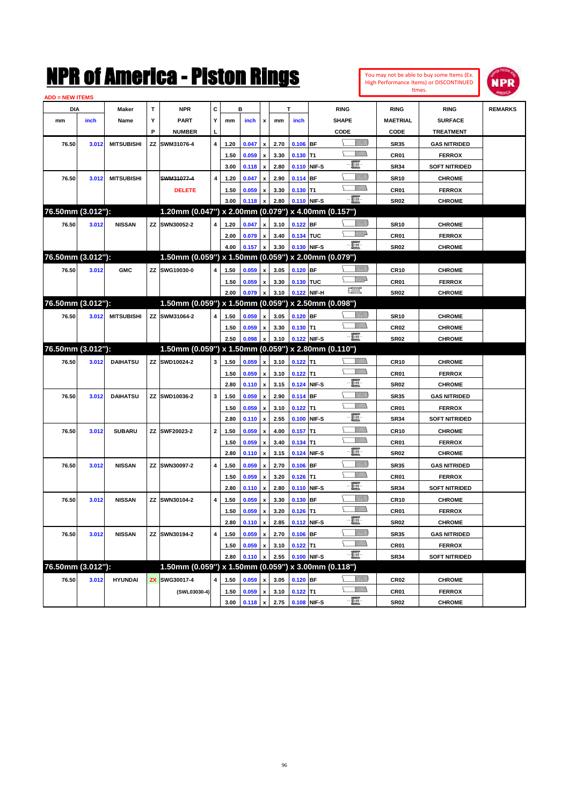| You may not be able to buy some Items (Ex. |
|--------------------------------------------|
| High Performance Items) or DISCONTINUED    |
| Itmes.                                     |



| <b>ADD = NEW ITEMS</b> |       |                   |    |                                                     |              |      |       |                           |      |             |             |                    |                  |                      |                |
|------------------------|-------|-------------------|----|-----------------------------------------------------|--------------|------|-------|---------------------------|------|-------------|-------------|--------------------|------------------|----------------------|----------------|
| <b>DIA</b>             |       | <b>Maker</b>      | T  | <b>NPR</b>                                          | C            |      | в     |                           |      | T           |             | <b>RING</b>        | <b>RING</b>      | <b>RING</b>          | <b>REMARKS</b> |
| mm                     | inch  | Name              | Υ  | <b>PART</b>                                         | Y            | mm   | inch  | x                         | mm   | inch        |             | <b>SHAPE</b>       | <b>MAETRIAL</b>  | <b>SURFACE</b>       |                |
|                        |       |                   | P  | <b>NUMBER</b>                                       | L            |      |       |                           |      |             |             | CODE               | CODE             | <b>TREATMENT</b>     |                |
| 76.50                  | 3.012 | <b>MITSUBISHI</b> | ΖZ | SWM31076-4                                          | 4            | 1.20 | 0.047 | $\pmb{\mathsf{x}}$        | 2.70 | $0.106$ BF  |             | <u>Villitti</u>    | <b>SR35</b>      | <b>GAS NITRIDED</b>  |                |
|                        |       |                   |    |                                                     |              | 1.50 | 0.059 | x                         | 3.30 | $0.130$ T1  |             | VM)                | CR01             | <b>FERROX</b>        |                |
|                        |       |                   |    |                                                     |              | 3.00 | 0.118 | $\pmb{\mathsf{x}}$        | 2.80 | 0.110 NIF-S |             | -8                 | <b>SR34</b>      | <b>SOFT NITRIDED</b> |                |
| 76.50                  | 3.012 | <b>MITSUBISHI</b> |    | SWM31077-4                                          | 4            | 1.20 | 0.047 | x                         | 2.90 | 0.114 BF    |             | <u>Sillilli</u>    | <b>SR10</b>      | <b>CHROME</b>        |                |
|                        |       |                   |    | <b>DELETE</b>                                       |              | 1.50 | 0.059 | x                         | 3.30 | $0.130$ T1  |             | <br>Milli          | CR01             | <b>FERROX</b>        |                |
|                        |       |                   |    |                                                     |              | 3.00 | 0.118 | x                         | 2.80 | 0.110 NIF-S |             | $-\Xi$ -           | SR <sub>02</sub> | <b>CHROME</b>        |                |
| 76.50mm (3.012"):      |       |                   |    | 1.20mm (0.047") x 2.00mm (0.079") x 4.00mm (0.157") |              |      |       |                           |      |             |             |                    |                  |                      |                |
| 76.50                  | 3.012 | <b>NISSAN</b>     |    | ZZ SWN30052-2                                       | 4            | 1.20 | 0.047 | $\pmb{\mathsf{x}}$        | 3.10 | $0.122$ BF  |             |                    | <b>SR10</b>      | <b>CHROME</b>        |                |
|                        |       |                   |    |                                                     |              | 2.00 | 0.079 | $\pmb{\mathsf{x}}$        | 3.40 | 0.134 TUC   |             | <u>WW</u> A        | CR01             | <b>FERROX</b>        |                |
|                        |       |                   |    |                                                     |              | 4.00 | 0.157 | $\pmb{\mathsf{x}}$        | 3.30 |             | 0.130 NIF-S | -日                 | SR <sub>02</sub> | <b>CHROME</b>        |                |
| 76.50mm (3.012"):      |       |                   |    | 1.50mm (0.059") x 1.50mm (0.059") x 2.00mm (0.079") |              |      |       |                           |      |             |             |                    |                  |                      |                |
| 76.50                  | 3.012 | <b>GMC</b>        |    | ZZ SWG10030-0                                       | 4            | 1.50 | 0.059 | $\pmb{\mathsf{x}}$        | 3.05 | $0.120$ BF  |             | <u>Sillilli</u>    | <b>CR10</b>      | <b>CHROME</b>        |                |
|                        |       |                   |    |                                                     |              | 1.50 | 0.059 | x                         | 3.30 | 0.130 TUC   |             | <u>WW</u> A        | CR01             | <b>FERROX</b>        |                |
|                        |       |                   |    |                                                     |              | 2.00 | 0.079 | $\pmb{\mathsf{x}}$        | 3.10 |             | 0.122 NIF-H | <b>The Control</b> | SR <sub>02</sub> | <b>CHROME</b>        |                |
| 76.50mm (3.012"):      |       |                   |    | 1.50mm (0.059") x 1.50mm (0.059") x 2.50mm (0.098") |              |      |       |                           |      |             |             |                    |                  |                      |                |
| 76.50                  | 3.012 | <b>MITSUBISHI</b> |    | ZZ SWM31064-2                                       | 4            | 1.50 | 0.059 | $\pmb{\mathsf{x}}$        | 3.05 | $0.120$ BF  |             | <u> UMB</u>        | <b>SR10</b>      | <b>CHROME</b>        |                |
|                        |       |                   |    |                                                     |              | 1.50 | 0.059 | x                         | 3.30 | $0.130$ T1  |             | <br>Milita         | <b>CR02</b>      | <b>CHROME</b>        |                |
|                        |       |                   |    |                                                     |              | 2.50 | 0.098 | $\pmb{\mathsf{x}}$        | 3.10 | 0.122 NIF-S |             | -日                 | SR <sub>02</sub> | <b>CHROME</b>        |                |
| 76.50mm (3.012"):      |       |                   |    | 1.50mm (0.059") x 1.50mm (0.059") x 2.80mm (0.110") |              |      |       |                           |      |             |             |                    |                  |                      |                |
| 76.50                  | 3.012 | <b>DAIHATSU</b>   |    | ZZ SWD10024-2                                       | 3            | 1.50 | 0.059 | $\pmb{\mathsf{x}}$        | 3.10 | $0.122$ T1  |             | <u>MMs</u>         | <b>CR10</b>      | <b>CHROME</b>        |                |
|                        |       |                   |    |                                                     |              | 1.50 | 0.059 | x                         | 3.10 | $0.122$ T1  |             | VM))               | CR01             | <b>FERROX</b>        |                |
|                        |       |                   |    |                                                     |              | 2.80 | 0.110 | $\boldsymbol{\mathsf{x}}$ | 3.15 | 0.124       | NIF-S       | -E                 | <b>SR02</b>      | <b>CHROME</b>        |                |
| 76.50                  | 3.012 | <b>DAIHATSU</b>   |    | ZZ SWD10036-2                                       | 3            | 1.50 | 0.059 | x                         | 2.90 | 0.114       | <b>BF</b>   | <u>VIIII)</u>      | <b>SR35</b>      | <b>GAS NITRIDED</b>  |                |
|                        |       |                   |    |                                                     |              | 1.50 | 0.059 | x                         | 3.10 | $0.122$ T1  |             | VM))               | CR01             | <b>FERROX</b>        |                |
|                        |       |                   |    |                                                     |              | 2.80 | 0.110 | $\pmb{\mathsf{x}}$        | 2.55 | 0.100       | NIF-S       | e Eli              | <b>SR34</b>      | <b>SOFT NITRIDED</b> |                |
| 76.50                  | 3.012 | <b>SUBARU</b>     |    | ZZ SWF20023-2                                       | $\mathbf{2}$ | 1.50 | 0.059 | x                         | 4.00 | 0.157       | T1          | <u>VMMs</u>        | <b>CR10</b>      | <b>CHROME</b>        |                |
|                        |       |                   |    |                                                     |              | 1.50 | 0.059 | x                         | 3.40 | $0.134$ T1  |             | VM))               | CR01             | <b>FERROX</b>        |                |
|                        |       |                   |    |                                                     |              | 2.80 | 0.110 | $\pmb{\mathsf{x}}$        | 3.15 | 0.124       | NIF-S       | E                  | <b>SR02</b>      | <b>CHROME</b>        |                |
| 76.50                  | 3.012 | <b>NISSAN</b>     |    | ZZ SWN30097-2                                       | 4            | 1.50 | 0.059 | x                         | 2.70 | 0.106       | <b>BF</b>   | <u>VIIII)</u>      | <b>SR35</b>      | <b>GAS NITRIDED</b>  |                |
|                        |       |                   |    |                                                     |              | 1.50 | 0.059 | х                         | 3.20 | $0.126$ T1  |             | VM))               | CR01             | <b>FERROX</b>        |                |
|                        |       |                   |    |                                                     |              | 2.80 | 0.110 | $\pmb{\mathsf{x}}$        | 2.80 | 0.110 NIF-S |             | e                  | <b>SR34</b>      | <b>SOFT NITRIDED</b> |                |
| 76.50                  | 3.012 | <b>NISSAN</b>     | ΖZ | SWN30104-2                                          | 4            | 1.50 | 0.059 | $\boldsymbol{\mathsf{x}}$ | 3.30 | 0.130 BF    |             | <u>VIIII)</u>      | <b>CR10</b>      | <b>CHROME</b>        |                |
|                        |       |                   |    |                                                     |              | 1.50 | 0.059 | х                         | 3.20 | $0.126$ T1  |             |                    | CR01             | <b>FERROX</b>        |                |
|                        |       |                   |    |                                                     |              | 2.80 | 0.110 | $\pmb{\mathsf{x}}$        | 2.85 | 0.112 NIF-S |             | -8                 | SR <sub>02</sub> | <b>CHROME</b>        |                |
| 76.50                  | 3.012 | <b>NISSAN</b>     | ΖZ | SWN30194-2                                          | 4            | 1.50 | 0.059 | $\pmb{\mathsf{x}}$        | 2.70 | $0.106$ BF  |             | <u>VIIII)</u>      | <b>SR35</b>      | <b>GAS NITRIDED</b>  |                |
|                        |       |                   |    |                                                     |              | 1.50 | 0.059 | $\pmb{\mathsf{x}}$        | 3.10 | $0.122$ T1  |             | <u>MM)</u>         | CR01             | <b>FERROX</b>        |                |
|                        |       |                   |    |                                                     |              | 2.80 | 0.110 | $\pmb{\mathsf{x}}$        | 2.55 |             | 0.100 NIF-S | $-\frac{1}{2}$     | <b>SR34</b>      | <b>SOFT NITRIDED</b> |                |
| 76.50mm (3.012"):      |       |                   |    | 1.50mm (0.059") x 1.50mm (0.059") x 3.00mm (0.118") |              |      |       |                           |      |             |             |                    |                  |                      |                |
| 76.50                  | 3.012 | <b>HYUNDAI</b>    | ZX | SWG30017-4                                          | 4            | 1.50 | 0.059 | $\pmb{\mathsf{x}}$        | 3.05 | $0.120$ BF  |             | <u>Willib</u>      | <b>CR02</b>      | <b>CHROME</b>        |                |
|                        |       |                   |    | (SWL03030-4)                                        |              | 1.50 | 0.059 | $\pmb{\mathsf{x}}$        | 3.10 | $0.122$ T1  |             | <u>Willib</u>      | CR01             | <b>FERROX</b>        |                |
|                        |       |                   |    |                                                     |              | 3.00 | 0.118 | $\mathbf{x}$              | 2.75 | 0.108 NIF-S |             | -8                 | <b>SR02</b>      | <b>CHROME</b>        |                |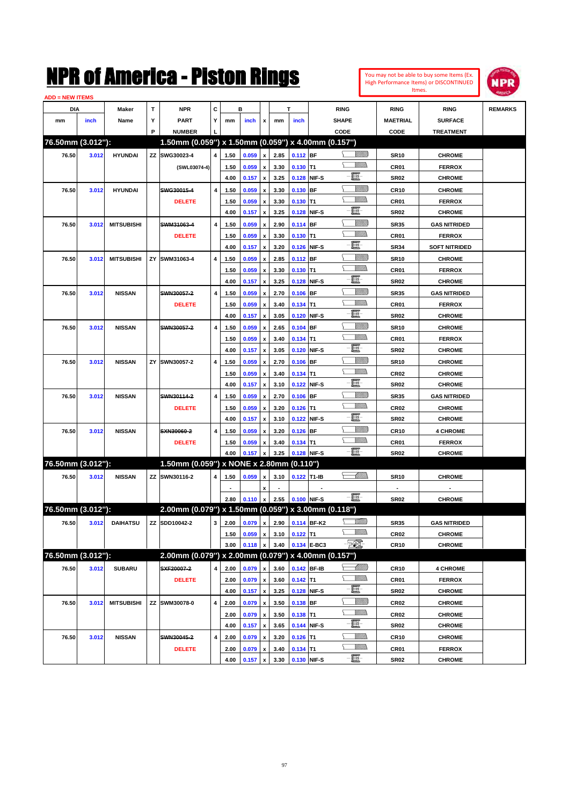

| <b>ADD = NEW ITEMS</b> |       |                   |   |                                                     |                         |      |                                   |                    |      |             |             |                 |                  |                      |                |
|------------------------|-------|-------------------|---|-----------------------------------------------------|-------------------------|------|-----------------------------------|--------------------|------|-------------|-------------|-----------------|------------------|----------------------|----------------|
| DIA                    |       | Maker             | T | <b>NPR</b>                                          | С                       |      | в                                 |                    |      | T           |             | <b>RING</b>     | <b>RING</b>      | <b>RING</b>          | <b>REMARKS</b> |
| mm                     | inch  | Name              | Υ | <b>PART</b>                                         | Υ                       | mm   | inch                              | x                  | mm   | inch        |             | <b>SHAPE</b>    | MAETRIAL         | <b>SURFACE</b>       |                |
|                        |       |                   | P | <b>NUMBER</b>                                       |                         |      |                                   |                    |      |             |             | <b>CODE</b>     | CODE             | <b>TREATMENT</b>     |                |
| 76.50mm (3.012"):      |       |                   |   | 1.50mm (0.059") x 1.50mm (0.059") x 4.00mm (0.157") |                         |      |                                   |                    |      |             |             |                 |                  |                      |                |
| 76.50                  | 3.012 | <b>HYUNDAI</b>    |   | ZZ SWG30023-4                                       | $\overline{\mathbf{4}}$ | 1.50 | 0.059                             | $\pmb{\mathsf{x}}$ | 2.85 | $0.112$ BF  |             | <u> UMB</u>     | <b>SR10</b>      | <b>CHROME</b>        |                |
|                        |       |                   |   | (SWL03074-4)                                        |                         | 1.50 | 0.059                             | $\pmb{\mathsf{x}}$ | 3.30 | $0.130$ T1  |             | 7777).          | CR <sub>01</sub> | <b>FERROX</b>        |                |
|                        |       |                   |   |                                                     |                         | 4.00 | 0.157                             | $\pmb{\mathsf{x}}$ | 3.25 |             | 0.128 NIF-S | e.              | <b>SR02</b>      | <b>CHROME</b>        |                |
| 76.50                  | 3.012 | <b>HYUNDAI</b>    |   | SWG30015-4                                          | 4                       | 1.50 | 0.059                             | x                  | 3.30 | $0.130$ BF  |             | <u>Villitti</u> | <b>CR10</b>      | <b>CHROME</b>        |                |
|                        |       |                   |   | <b>DELETE</b>                                       |                         | 1.50 | 0.059                             | x                  | 3.30 | $0.130$ T1  |             | <u>MMa</u>      | CR01             | <b>FERROX</b>        |                |
|                        |       |                   |   |                                                     |                         | 4.00 | 0.157                             | x                  | 3.25 |             | 0.128 NIF-S | e.              | <b>SR02</b>      | <b>CHROME</b>        |                |
| 76.50                  | 3.012 | <b>MITSUBISHI</b> |   | SWM31063-4                                          | 4                       | 1.50 | 0.059                             | x                  | 2.90 | $0.114$ BF  |             | <u>Villitti</u> | <b>SR35</b>      | <b>GAS NITRIDED</b>  |                |
|                        |       |                   |   | <b>DELETE</b>                                       |                         | 1.50 | 0.059                             | x                  | 3.30 | $0.130$ T1  |             | <u>MMa</u>      | CR01             | <b>FERROX</b>        |                |
|                        |       |                   |   |                                                     |                         | 4.00 | 0.157                             | x                  | 3.20 |             | 0.126 NIF-S | e.              | <b>SR34</b>      | <b>SOFT NITRIDED</b> |                |
| 76.50                  | 3.012 | <b>MITSUBISHI</b> |   | ZY SWM31063-4                                       | 4                       | 1.50 | 0.059                             | x                  | 2.85 | 0.112 BF    |             | <u>Villitti</u> | <b>SR10</b>      | <b>CHROME</b>        |                |
|                        |       |                   |   |                                                     |                         | 1.50 | 0.059                             | x                  | 3.30 | $0.130$ T1  |             | <u>MMa</u>      | CR01             | <b>FERROX</b>        |                |
|                        |       |                   |   |                                                     |                         | 4.00 | 0.157                             | x                  | 3.25 |             | 0.128 NIF-S | e.              | <b>SR02</b>      | <b>CHROME</b>        |                |
| 76.50                  | 3.012 | <b>NISSAN</b>     |   | SWN30057-2                                          | 4                       | 1.50 | 0.059                             | x                  | 2.70 | $0.106$ BF  |             | <u>Villitti</u> | <b>SR35</b>      | <b>GAS NITRIDED</b>  |                |
|                        |       |                   |   | <b>DELETE</b>                                       |                         | 1.50 | 0.059                             | x                  | 3.40 | $0.134$ T1  |             | <u>MMa</u>      | CR01             | <b>FERROX</b>        |                |
|                        |       |                   |   |                                                     |                         | 4.00 | 0.157                             | x                  | 3.05 |             | 0.120 NIF-S | e.              | <b>SR02</b>      | <b>CHROME</b>        |                |
| 76.50                  | 3.012 | <b>NISSAN</b>     |   | SWN30057-2                                          | 4                       | 1.50 | 0.059                             | x                  | 2.65 | $0.104$ BF  |             | <u>Villitti</u> | <b>SR10</b>      | <b>CHROME</b>        |                |
|                        |       |                   |   |                                                     |                         | 1.50 | 0.059                             | x                  | 3.40 | $0.134$ T1  |             | <u>MMa</u>      | CR <sub>01</sub> | <b>FERROX</b>        |                |
|                        |       |                   |   |                                                     |                         | 4.00 | 0.157                             | x                  | 3.05 |             | 0.120 NIF-S | E.              | <b>SR02</b>      | <b>CHROME</b>        |                |
| 76.50                  | 3.012 | <b>NISSAN</b>     |   | ZY SWN30057-2                                       | 4                       | 1.50 | 0.059                             | x                  | 2.70 | $0.106$ BF  |             | <u>Villitti</u> | <b>SR10</b>      | <b>CHROME</b>        |                |
|                        |       |                   |   |                                                     |                         | 1.50 | 0.059                             | x                  | 3.40 | $0.134$ T1  |             | <u>MMa</u>      | CR <sub>02</sub> | <b>CHROME</b>        |                |
|                        |       |                   |   |                                                     |                         | 4.00 | 0.157                             | x                  | 3.10 |             | 0.122 NIF-S | E.              | <b>SR02</b>      | <b>CHROME</b>        |                |
| 76.50                  | 3.012 | <b>NISSAN</b>     |   | SWN30114-2                                          | 4                       | 1.50 | 0.059                             | x                  | 2.70 | $0.106$ BF  |             | <u>Villitti</u> | <b>SR35</b>      | <b>GAS NITRIDED</b>  |                |
|                        |       |                   |   | <b>DELETE</b>                                       |                         | 1.50 | 0.059                             | x                  | 3.20 | $0.126$ T1  |             | .<br>VMD        | CR <sub>02</sub> | <b>CHROME</b>        |                |
|                        |       |                   |   |                                                     |                         | 4.00 | 0.157                             | x                  | 3.10 |             | 0.122 NIF-S | E.              | <b>SR02</b>      | <b>CHROME</b>        |                |
| 76.50                  | 3.012 | <b>NISSAN</b>     |   | SXN30060-2                                          | 4                       | 1.50 | 0.059                             | x                  | 3.20 | $0.126$ BF  |             | <u>Villitti</u> | <b>CR10</b>      | <b>4 CHROME</b>      |                |
|                        |       |                   |   | <b>DELETE</b>                                       |                         | 1.50 | 0.059                             | x                  | 3.40 | $0.134$ T1  |             | <u>MMa</u>      | CR01             | <b>FERROX</b>        |                |
|                        |       |                   |   |                                                     |                         | 4.00 | 0.157                             | $\pmb{\mathsf{x}}$ | 3.25 |             | 0.128 NIF-S | -夏-             | <b>SR02</b>      | <b>CHROME</b>        |                |
| 76.50mm (3.012"):      |       |                   |   | 1.50mm (0.059") x NONE x 2.80mm (0.110")            |                         |      |                                   |                    |      |             |             |                 |                  |                      |                |
| 76.50                  | 3.012 | <b>NISSAN</b>     |   | ZZ SWN30116-2                                       | 4                       | 1.50 | 0.059                             | x                  | 3.10 | 0.122 T1-IB |             | <u>UMM</u>      | <b>SR10</b>      | <b>CHROME</b>        |                |
|                        |       |                   |   |                                                     |                         |      |                                   | x                  |      |             |             |                 |                  |                      |                |
|                        |       |                   |   |                                                     |                         | 2.80 | 0.110                             | $\pmb{\mathsf{x}}$ | 2.55 | 0.100 NIF-S |             | $-\blacksquare$ | SR02             | <b>CHROME</b>        |                |
| 76.50mm (3.012"):      |       |                   |   | 2.00mm (0.079") x 1.50mm (0.059") x 3.00mm (0.118") |                         |      |                                   |                    |      |             |             |                 |                  |                      |                |
| 76.50                  |       | 3.012 DAIHATSU    |   | ZZ SDD10042-2                                       |                         |      | $3$ 2.00 0.079 x 2.90 0.114 BF-K2 |                    |      |             |             | <u>Milli</u> b  | SR35             | <b>GAS NITRIDED</b>  |                |
|                        |       |                   |   |                                                     |                         | 1.50 | 0.059                             | х                  | 3.10 | $0.122$ T1  |             | <u>MMs</u>      | CR <sub>02</sub> | <b>CHROME</b>        |                |
|                        |       |                   |   |                                                     |                         | 3.00 | 0.118                             | $\pmb{\mathsf{x}}$ | 3.40 |             | 0.134 E-BC3 | EO)             | <b>CR10</b>      | <b>CHROME</b>        |                |
| 76.50mm (3.012"):      |       |                   |   | 2.00mm (0.079") x 2.00mm (0.079") x 4.00mm (0.157") |                         |      |                                   |                    |      |             |             |                 |                  |                      |                |
| 76.50                  | 3.012 | <b>SUBARU</b>     |   | SXF20007-2                                          | 4                       | 2.00 | 0.079                             | X                  | 3.60 |             | 0.142 BF-IB | <u>UMB</u>      | CR10             | <b>4 CHROME</b>      |                |
|                        |       |                   |   | <b>DELETE</b>                                       |                         | 2.00 | 0.079                             | $\pmb{\mathsf{x}}$ | 3.60 | $0.142$ T1  |             | <u>VMM)</u>     | CR01             | <b>FERROX</b>        |                |
|                        |       |                   |   |                                                     |                         | 4.00 | 0.157                             | $\pmb{\mathsf{x}}$ | 3.25 |             | 0.128 NIF-S | E               | SR02             | <b>CHROME</b>        |                |
| 76.50                  | 3.012 | <b>MITSUBISHI</b> |   | ZZ SWM30078-0                                       | $\overline{\mathbf{4}}$ | 2.00 | 0.079                             | x                  | 3.50 | $0.138$ BF  |             | <u>Villitti</u> | CR <sub>02</sub> | <b>CHROME</b>        |                |
|                        |       |                   |   |                                                     |                         | 2.00 | 0.079                             | $\pmb{\mathsf{x}}$ | 3.50 | $0.138$ T1  |             | <u>Millib</u>   | CR <sub>02</sub> | <b>CHROME</b>        |                |
|                        |       |                   |   |                                                     |                         | 4.00 | 0.157                             | $\pmb{\mathsf{x}}$ | 3.65 |             | 0.144 NIF-S | E.              | SR02             | <b>CHROME</b>        |                |
| 76.50                  | 3.012 | <b>NISSAN</b>     |   | SWN30045-2                                          | $\pmb{4}$               | 2.00 | 0.079                             | x                  | 3.20 | $0.126$ T1  |             | <u>MM)</u>      | <b>CR10</b>      | <b>CHROME</b>        |                |
|                        |       |                   |   | <b>DELETE</b>                                       |                         | 2.00 | 0.079                             | x                  | 3.40 | $0.134$ T1  |             | <u>Millib</u>   | CR01             | <b>FERROX</b>        |                |
|                        |       |                   |   |                                                     |                         | 4.00 | 0.157                             | $\pmb{\mathsf{x}}$ | 3.30 | 0.130 NIF-S |             | E               | <b>SR02</b>      | <b>CHROME</b>        |                |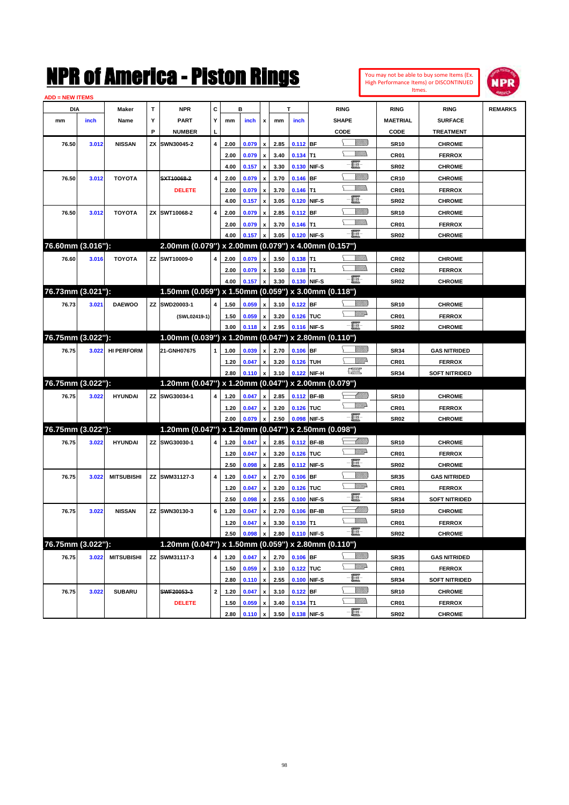| You may not be able to buy some Items (Ex. |
|--------------------------------------------|
| High Performance Items) or DISCONTINUED    |
| Itmes.                                     |



| <b>ADD = NEW ITEMS</b> |       |                   |    |                                                     |                |      |         |                           |      |                        |              |                         |                  |                      |                |
|------------------------|-------|-------------------|----|-----------------------------------------------------|----------------|------|---------|---------------------------|------|------------------------|--------------|-------------------------|------------------|----------------------|----------------|
| <b>DIA</b>             |       | Maker             | Т  | <b>NPR</b>                                          | С              |      | в       |                           |      | т                      |              | <b>RING</b>             | <b>RING</b>      | <b>RING</b>          | <b>REMARKS</b> |
| mm                     | inch  | Name              | Υ  | <b>PART</b>                                         | Υ              | mm   | inch    | x                         | mm   | inch                   |              | <b>SHAPE</b>            | <b>MAETRIAL</b>  | <b>SURFACE</b>       |                |
|                        |       |                   | P  | <b>NUMBER</b>                                       | п              |      |         |                           |      |                        |              | CODE                    | CODE             | <b>TREATMENT</b>     |                |
| 76.50                  | 3.012 | <b>NISSAN</b>     | ZΧ | SWN30045-2                                          | $\overline{4}$ | 2.00 | 0.079   | $\boldsymbol{\mathsf{x}}$ | 2.85 | 0.112                  | <b>BF</b>    | <u>UMB</u>              | <b>SR10</b>      | <b>CHROME</b>        |                |
|                        |       |                   |    |                                                     |                | 2.00 | 0.079   | $\boldsymbol{\mathsf{x}}$ | 3.40 | $0.134$ T1             |              | VM).                    | CR <sub>01</sub> | <b>FERROX</b>        |                |
|                        |       |                   |    |                                                     |                | 4.00 | 0.157   | $\boldsymbol{\mathsf{x}}$ | 3.30 | 0.130                  | NIF-S        | e.                      | <b>SR02</b>      | <b>CHROME</b>        |                |
| 76.50                  | 3.012 | <b>TOYOTA</b>     |    | SXT10068-2                                          | $\overline{4}$ | 2.00 | 0.079   | x                         | 3.70 | 0.146                  | BF           | <u>Villitti</u>         | <b>CR10</b>      | <b>CHROME</b>        |                |
|                        |       |                   |    | <b>DELETE</b>                                       |                | 2.00 | 0.079   | $\boldsymbol{\mathsf{x}}$ | 3.70 | 0.146                  | T1           | <br>Villida             | CR <sub>01</sub> | <b>FERROX</b>        |                |
|                        |       |                   |    |                                                     |                | 4.00 | 0.157   | x                         | 3.05 | 0.120                  | NIF-S        | e.                      | <b>SR02</b>      | <b>CHROME</b>        |                |
| 76.50                  | 3.012 | <b>TOYOTA</b>     |    | ZX SWT10068-2                                       | $\overline{4}$ | 2.00 | 0.079   | x                         | 2.85 | 0.112                  | <b>BF</b>    | <u>UMB</u>              | <b>SR10</b>      | <b>CHROME</b>        |                |
|                        |       |                   |    |                                                     |                | 2.00 | 0.079   | x                         | 3.70 | 0.146                  | T1           | <br>Villida             | CR <sub>01</sub> | <b>FERROX</b>        |                |
|                        |       |                   |    |                                                     |                | 4.00 | 0.157   | x                         | 3.05 | 0.120                  | NIF-S        | -8                      | <b>SR02</b>      | <b>CHROME</b>        |                |
| 76.60mm (3.016"):      |       |                   |    | 2.00mm (0.079") x 2.00mm (0.079") x 4.00mm (0.157") |                |      |         |                           |      |                        |              |                         |                  |                      |                |
| 76.60                  | 3.016 | <b>TOYOTA</b>     |    | ZZ SWT10009-0                                       | 4              | 2.00 | 0.079   | $\boldsymbol{\mathsf{x}}$ | 3.50 | 0.138                  | T1           |                         | <b>CR02</b>      | <b>CHROME</b>        |                |
|                        |       |                   |    |                                                     |                | 2.00 | 0.079   | x                         | 3.50 | 0.138                  | T1           | VM))).                  | CR <sub>02</sub> | <b>FERROX</b>        |                |
|                        |       |                   |    |                                                     |                | 4.00 | 0.157   | x                         | 3.30 | 0.130                  | NIF-S        | -8                      | <b>SR02</b>      | <b>CHROME</b>        |                |
| 76.73mm (3.021"):      |       |                   |    | 1.50mm (0.059") x 1.50mm (0.059") x 3.00mm (0.118") |                |      |         |                           |      |                        |              |                         |                  |                      |                |
| 76.73                  | 3.021 | <b>DAEWOO</b>     |    | ZZ SWD20003-1                                       | 4              | 1.50 | 0.059   | $\boldsymbol{\mathsf{x}}$ | 3.10 | 0.122                  | <b>BF</b>    | <u>Sillilli</u>         | <b>SR10</b>      | <b>CHROME</b>        |                |
|                        |       |                   |    | (SWL02419-1)                                        |                | 1.50 | 0.059   | x                         | 3.20 | 0.126 TUC              |              | <u>WW</u> A             | CR <sub>01</sub> | <b>FERROX</b>        |                |
|                        |       |                   |    |                                                     |                | 3.00 | 0.118   | x                         | 2.95 |                        | 0.116 NIF-S  | -日                      | <b>SR02</b>      | <b>CHROME</b>        |                |
| 76.75mm (3.022"):      |       |                   |    | 1.00mm (0.039") x 1.20mm (0.047") x 2.80mm (0.110") |                |      |         |                           |      |                        |              |                         |                  |                      |                |
| 76.75                  | 3.022 | <b>HI PERFORM</b> |    | 21-GNH07675                                         | $\mathbf{1}$   | 1.00 | 0.039   | $\boldsymbol{\mathsf{x}}$ | 2.70 | 0.106                  | <b>BF</b>    | <u>Sillilli</u>         | <b>SR34</b>      | <b>GAS NITRIDED</b>  |                |
|                        |       |                   |    |                                                     |                | 1.20 | 0.047   | x                         | 3.20 | 0.126                  | <b>TUH</b>   | <u>Willi</u>            | CR <sub>01</sub> | <b>FERROX</b>        |                |
|                        |       |                   |    |                                                     |                | 2.80 | 0.110   | x                         | 3.10 | 0.122                  | NIF-H        | $f_{\rm max}^{\rm exp}$ | <b>SR34</b>      | <b>SOFT NITRIDED</b> |                |
| 76.75mm (3.022"):      |       |                   |    | 1.20mm (0.047") x 1.20mm (0.047") x 2.00mm (0.079") |                |      |         |                           |      |                        |              |                         |                  |                      |                |
| 76.75                  | 3.022 | <b>HYUNDAI</b>    |    | ZZ SWG30034-1                                       | 4              | 1.20 | 0.047   | $\boldsymbol{\mathsf{x}}$ | 2.85 |                        | 0.112 BF-IB  | <u>-Millito</u>         | <b>SR10</b>      | <b>CHROME</b>        |                |
|                        |       |                   |    |                                                     |                | 1.20 | 0.047   | x                         | 3.20 | 0.126                  | <b>TUC</b>   | <u>MM</u> A             | CR <sub>01</sub> | <b>FERROX</b>        |                |
|                        |       |                   |    |                                                     |                | 2.00 | 0.079   | x                         | 2.50 | 0.098                  | NIF-S        | -8                      | <b>SR02</b>      | <b>CHROME</b>        |                |
| 76.75mm (3.022"):      |       |                   |    | 1.20mm (0.047") x 1.20mm (0.047") x 2.50mm (0.098") |                |      |         |                           |      |                        |              |                         |                  |                      |                |
| 76.75                  | 3.022 | <b>HYUNDAI</b>    |    | ZZ SWG30030-1                                       | 4              | 1.20 | 0.047   | $\boldsymbol{\mathsf{x}}$ | 2.85 |                        | 0.112 BF-IB  | <u> Millito</u>         | <b>SR10</b>      | <b>CHROME</b>        |                |
|                        |       |                   |    |                                                     |                | 1.20 | 0.047   | x                         | 3.20 | 0.126                  | <b>TUC</b>   | <u>WW</u> A             | CR <sub>01</sub> | <b>FERROX</b>        |                |
|                        |       |                   |    |                                                     |                | 2.50 | 0.098   | $\boldsymbol{\mathsf{x}}$ | 2.85 | 0.112                  | NIF-S        | e.                      | <b>SR02</b>      | <b>CHROME</b>        |                |
| 76.75                  | 3.022 | <b>MITSUBISHI</b> |    | ZZ SWM31127-3                                       | $\overline{4}$ | 1.20 | 0.047   | x                         | 2.70 | 0.106                  | <b>BF</b>    | <u>UMB</u>              | <b>SR35</b>      | <b>GAS NITRIDED</b>  |                |
|                        |       |                   |    |                                                     |                | 1.20 | 0.047   | x                         | 3.20 | 0.126                  | <b>TUC</b>   | <u>WW</u> A             | CR <sub>01</sub> | <b>FERROX</b>        |                |
|                        |       |                   |    |                                                     |                | 2.50 | 0.098   | $\boldsymbol{\mathsf{x}}$ | 2.55 | 0.100                  | NIF-S        | e.                      | <b>SR34</b>      | <b>SOFT NITRIDED</b> |                |
| 76.75                  | 3.022 | <b>NISSAN</b>     |    | ZZ SWN30130-3                                       | 6              | 1.20 | 0.047   | x                         | 2.70 | 0.106                  | <b>BF-IB</b> | <u> UMM</u>             | <b>SR10</b>      | <b>CHROME</b>        |                |
|                        |       |                   |    |                                                     |                | 1.20 | 0.047   | x                         | 3.30 | $0.130$ T <sub>1</sub> |              |                         | CR <sub>01</sub> | <b>FERROX</b>        |                |
|                        |       |                   |    |                                                     |                | 2.50 | 0.098 x |                           | 2.80 | 0.110 NIF-S            |              | $-\blacksquare$         | <b>SR02</b>      | <b>CHROME</b>        |                |
| 76.75mm (3.022"):      |       |                   |    | 1.20mm (0.047") x 1.50mm (0.059") x 2.80mm (0.110") |                |      |         |                           |      |                        |              |                         |                  |                      |                |
| 76.75                  | 3.022 | <b>MITSUBISHI</b> |    | ZZ SWM31117-3                                       | 4              | 1.20 | 0.047   | $\boldsymbol{x}$          | 2.70 | $0.106$ BF             |              | <u>Millito</u>          | <b>SR35</b>      | <b>GAS NITRIDED</b>  |                |
|                        |       |                   |    |                                                     |                | 1.50 | 0.059   | $\boldsymbol{\mathsf{x}}$ | 3.10 | 0.122 TUC              |              | WWA                     | CR <sub>01</sub> | <b>FERROX</b>        |                |
|                        |       |                   |    |                                                     |                | 2.80 | 0.110   | $\mathbf{x}$              | 2.55 | 0.100                  | NIF-S        | e                       | <b>SR34</b>      | <b>SOFT NITRIDED</b> |                |
| 76.75                  | 3.022 | <b>SUBARU</b>     |    | SWF20053-3                                          | $\mathbf 2$    | 1.20 | 0.047   | $\pmb{\mathsf{x}}$        | 3.10 | $0.122$ BF             |              | <u>MMB</u>              | <b>SR10</b>      | <b>CHROME</b>        |                |
|                        |       |                   |    | <b>DELETE</b>                                       |                | 1.50 | 0.059   | x                         | 3.40 | $0.134$ T1             |              | <u>Willis</u>           | CR01             | <b>FERROX</b>        |                |
|                        |       |                   |    |                                                     |                | 2.80 | 0.110   | $\boldsymbol{\mathsf{x}}$ | 3.50 |                        | 0.138 NIF-S  | $-\Xi$ -                | <b>SR02</b>      | <b>CHROME</b>        |                |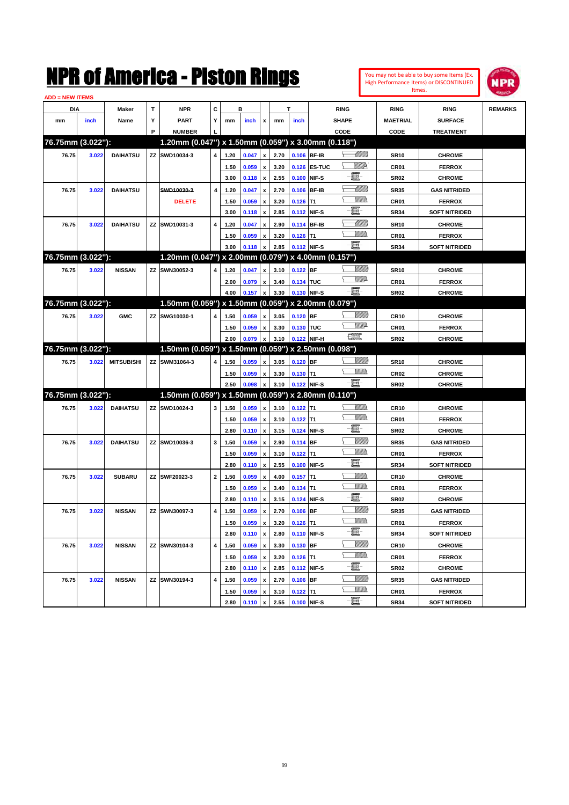| You may not be able to buy some Items (Ex.     |
|------------------------------------------------|
| <b>High Performance Items) or DISCONTINUED</b> |
| <b>Itmes</b>                                   |



| <b>ADD = NEW ITEMS</b> |       |                   |   |                                                     |              |      |       |                    |      |             |              |                               |                  |                      |                |
|------------------------|-------|-------------------|---|-----------------------------------------------------|--------------|------|-------|--------------------|------|-------------|--------------|-------------------------------|------------------|----------------------|----------------|
| DIA                    |       | Maker             | T | <b>NPR</b>                                          | С            |      | в     |                    |      | T           |              | <b>RING</b>                   | <b>RING</b>      | <b>RING</b>          | <b>REMARKS</b> |
| mm                     | inch  | Name              | Υ | <b>PART</b>                                         | Y            | mm   | inch  | x                  | mm   | inch        |              | <b>SHAPE</b>                  | <b>MAETRIAL</b>  | <b>SURFACE</b>       |                |
|                        |       |                   | P | <b>NUMBER</b>                                       |              |      |       |                    |      |             |              | CODE                          | CODE             | <b>TREATMENT</b>     |                |
| 76.75mm (3.022"):      |       |                   |   | 1.20mm (0.047") x 1.50mm (0.059") x 3.00mm (0.118") |              |      |       |                    |      |             |              |                               |                  |                      |                |
| 76.75                  | 3.022 | <b>DAIHATSU</b>   |   | ZZ SWD10034-3                                       | 4            | 1.20 | 0.047 | $\pmb{\mathsf{x}}$ | 2.70 | 0.106 BF-IB |              | <u>Millitt</u>                | <b>SR10</b>      | <b>CHROME</b>        |                |
|                        |       |                   |   |                                                     |              | 1.50 | 0.059 | $\pmb{\mathsf{x}}$ | 3.20 |             | 0.126 ES-TUC | <u>VIIID</u>                  | CR01             | <b>FERROX</b>        |                |
|                        |       |                   |   |                                                     |              | 3.00 | 0.118 | $\pmb{\mathsf{x}}$ | 2.55 | 0.100 NIF-S |              | e                             | <b>SR02</b>      | <b>CHROME</b>        |                |
| 76.75                  | 3.022 | <b>DAIHATSU</b>   |   | SWD10030-3                                          | 4            | 1.20 | 0.047 | x                  | 2.70 |             | 0.106 BF-IB  | <u> Milli</u>                 | <b>SR35</b>      | <b>GAS NITRIDED</b>  |                |
|                        |       |                   |   | <b>DELETE</b>                                       |              | 1.50 | 0.059 | x                  | 3.20 | $0.126$ T1  |              | UM)                           | CR01             | <b>FERROX</b>        |                |
|                        |       |                   |   |                                                     |              | 3.00 | 0.118 | $\pmb{\mathsf{x}}$ | 2.85 | 0.112 NIF-S |              | E                             | <b>SR34</b>      | <b>SOFT NITRIDED</b> |                |
| 76.75                  | 3.022 | <b>DAIHATSU</b>   |   | ZZ SWD10031-3                                       | 4            | 1.20 | 0.047 | x                  | 2.90 |             | 0.114 BF-IB  | <u> Millil</u>                | <b>SR10</b>      | <b>CHROME</b>        |                |
|                        |       |                   |   |                                                     |              | 1.50 | 0.059 | x                  | 3.20 | $0.126$ T1  |              | .<br>VMD                      | CR01             | <b>FERROX</b>        |                |
|                        |       |                   |   |                                                     |              | 3.00 | 0.118 | x                  | 2.85 | 0.112 NIF-S |              | -8                            | <b>SR34</b>      | <b>SOFT NITRIDED</b> |                |
| 76.75mm (3.022"):      |       |                   |   | 1.20mm (0.047") x 2.00mm (0.079") x 4.00mm (0.157") |              |      |       |                    |      |             |              |                               |                  |                      |                |
| 76.75                  | 3.022 | <b>NISSAN</b>     |   | ZZ SWN30052-3                                       | 4            | 1.20 | 0.047 | x                  | 3.10 | $0.122$ BF  |              | <u>UMB</u>                    | <b>SR10</b>      | <b>CHROME</b>        |                |
|                        |       |                   |   |                                                     |              | 2.00 | 0.079 | x                  | 3.40 | 0.134 TUC   |              | <u>WW</u> A                   | CR01             | <b>FERROX</b>        |                |
|                        |       |                   |   |                                                     |              | 4.00 | 0.157 | $\pmb{\mathsf{x}}$ | 3.30 | 0.130 NIF-S |              | -8                            | <b>SR02</b>      | <b>CHROME</b>        |                |
| 76.75mm (3.022"):      |       |                   |   | 1.50mm (0.059") x 1.50mm (0.059") x 2.00mm (0.079") |              |      |       |                    |      |             |              |                               |                  |                      |                |
| 76.75                  | 3.022 | <b>GMC</b>        |   | ZZ SWG10030-1                                       | 4            | 1.50 | 0.059 | x                  | 3.05 | $0.120$ BF  |              | <u>UMB</u>                    | <b>CR10</b>      | <b>CHROME</b>        |                |
|                        |       |                   |   |                                                     |              | 1.50 | 0.059 | x                  | 3.30 | 0.130 TUC   |              | <u>VMD</u>                    | CR01             | <b>FERROX</b>        |                |
|                        |       |                   |   |                                                     |              | 2.00 | 0.079 | $\pmb{\mathsf{x}}$ | 3.10 |             | 0.122 NIF-H  | $f_{\text{max}}^{\text{exp}}$ | <b>SR02</b>      | <b>CHROME</b>        |                |
| 76.75mm (3.022"):      |       |                   |   | 1.50mm (0.059") x 1.50mm (0.059") x 2.50mm (0.098") |              |      |       |                    |      |             |              |                               |                  |                      |                |
| 76.75                  | 3.022 | <b>MITSUBISHI</b> |   | ZZ SWM31064-3                                       | 4            | 1.50 | 0.059 | x                  | 3.05 | $0.120$ BF  |              | <u>Villida</u>                | <b>SR10</b>      | <b>CHROME</b>        |                |
|                        |       |                   |   |                                                     |              | 1.50 | 0.059 | x                  | 3.30 | $0.130$ T1  |              | <br>Militar                   | CR <sub>02</sub> | <b>CHROME</b>        |                |
|                        |       |                   |   |                                                     |              | 2.50 | 0.098 | $\pmb{\mathsf{x}}$ | 3.10 | 0.122 NIF-S |              | -8                            | <b>SR02</b>      | <b>CHROME</b>        |                |
| 76.75mm (3.022"):      |       |                   |   | 1.50mm (0.059") x 1.50mm (0.059") x 2.80mm (0.110") |              |      |       |                    |      |             |              |                               |                  |                      |                |
| 76.75                  | 3.022 | <b>DAIHATSU</b>   |   | ZZ SWD10024-3                                       | 3            | 1.50 | 0.059 | x                  | 3.10 | $0.122$ T1  |              | <u>MM)</u>                    | <b>CR10</b>      | <b>CHROME</b>        |                |
|                        |       |                   |   |                                                     |              | 1.50 | 0.059 | $\pmb{\mathsf{x}}$ | 3.10 | $0.122$ T1  |              | UM)                           | CR01             | <b>FERROX</b>        |                |
|                        |       |                   |   |                                                     |              | 2.80 | 0.110 | $\pmb{\mathsf{x}}$ | 3.15 |             | 0.124 NIF-S  | e.                            | <b>SR02</b>      | <b>CHROME</b>        |                |
| 76.75                  | 3.022 | <b>DAIHATSU</b>   |   | ZZ SWD10036-3                                       | 3            | 1.50 | 0.059 | x                  | 2.90 | $0.114$ BF  |              | <u>UMB</u>                    | <b>SR35</b>      | <b>GAS NITRIDED</b>  |                |
|                        |       |                   |   |                                                     |              | 1.50 | 0.059 | x                  | 3.10 | $0.122$ T1  |              | UM)                           | CR01             | <b>FERROX</b>        |                |
|                        |       |                   |   |                                                     |              | 2.80 | 0.110 | $\pmb{\mathsf{x}}$ | 2.55 |             | 0.100 NIF-S  | 圓                             | <b>SR34</b>      | <b>SOFT NITRIDED</b> |                |
| 76.75                  | 3.022 | <b>SUBARU</b>     |   | ZZ SWF20023-3                                       | $\mathbf{2}$ | 1.50 | 0.059 | x                  | 4.00 | $0.157$ T1  |              | <u>UMM</u>                    | <b>CR10</b>      | <b>CHROME</b>        |                |
|                        |       |                   |   |                                                     |              | 1.50 | 0.059 | x                  | 3.40 | $0.134$ T1  |              | <br>Militar                   | CR01             | <b>FERROX</b>        |                |
|                        |       |                   |   |                                                     |              | 2.80 | 0.110 | x                  | 3.15 |             | 0.124 NIF-S  | e                             | <b>SR02</b>      | <b>CHROME</b>        |                |
| 76.75                  | 3.022 | <b>NISSAN</b>     |   | ZZ SWN30097-3                                       | 4            | 1.50 | 0.059 | x                  | 2.70 | $0.106$ BF  |              | <u>UMB</u>                    | <b>SR35</b>      | <b>GAS NITRIDED</b>  |                |
|                        |       |                   |   |                                                     |              | 1.50 | 0.059 | $\pmb{\mathsf{x}}$ | 3.20 | $0.126$ T1  |              |                               | CR01             | <b>FERROX</b>        |                |
|                        |       |                   |   |                                                     |              | 2.80 | 0.110 | $\pmb{\mathsf{x}}$ | 2.80 | 0.110 NIF-S |              | e                             | <b>SR34</b>      | <b>SOFT NITRIDED</b> |                |
| 76.75                  | 3.022 | <b>NISSAN</b>     |   | ZZ SWN30104-3                                       | 4            | 1.50 | 0.059 | x                  | 3.30 | 0.130 BF    |              | <u>VIIII)</u>                 | <b>CR10</b>      | <b>CHROME</b>        |                |
|                        |       |                   |   |                                                     |              | 1.50 | 0.059 | $\pmb{\mathsf{x}}$ | 3.20 | $0.126$ T1  |              | <u>MM)</u>                    | CR01             | <b>FERROX</b>        |                |
|                        |       |                   |   |                                                     |              | 2.80 | 0.110 | $\pmb{\mathsf{x}}$ | 2.85 | 0.112 NIF-S |              | E                             | SR02             | <b>CHROME</b>        |                |
| 76.75                  | 3.022 | <b>NISSAN</b>     |   | ZZ SWN30194-3                                       | 4            | 1.50 | 0.059 | x                  | 2.70 | $0.106$ BF  |              | <u>Villida</u>                | SR35             | <b>GAS NITRIDED</b>  |                |
|                        |       |                   |   |                                                     |              | 1.50 | 0.059 | x                  | 3.10 | $0.122$ T1  |              | <u>Willib</u>                 | CR01             | <b>FERROX</b>        |                |
|                        |       |                   |   |                                                     |              | 2.80 | 0.110 | $\pmb{\mathsf{x}}$ | 2.55 | 0.100 NIF-S |              | -8                            | <b>SR34</b>      | <b>SOFT NITRIDED</b> |                |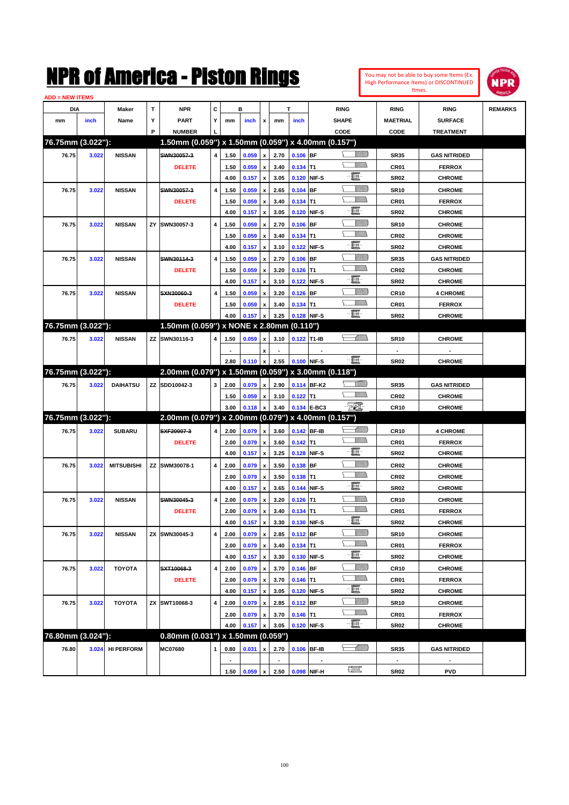

| <b>ADD = NEW ITEMS</b> |       |                   |    |                                                     |                         |              |       |                           |      |             |             |                                |                                 |                                |                |
|------------------------|-------|-------------------|----|-----------------------------------------------------|-------------------------|--------------|-------|---------------------------|------|-------------|-------------|--------------------------------|---------------------------------|--------------------------------|----------------|
| <b>DIA</b>             |       | Maker             | T  | <b>NPR</b>                                          | c                       |              | в     |                           |      | T.          |             | <b>RING</b>                    | <b>RING</b>                     | <b>RING</b>                    | <b>REMARKS</b> |
| mm                     | inch  | Name              | Υ  | <b>PART</b>                                         | Y                       | mm           | inch  | x                         | mm   | inch        |             | <b>SHAPE</b>                   | <b>MAETRIAL</b>                 | <b>SURFACE</b>                 |                |
|                        |       |                   | P  | <b>NUMBER</b>                                       |                         |              |       |                           |      |             |             | CODE                           | <b>CODE</b>                     | <b>TREATMENT</b>               |                |
| 76.75mm (3.022"):      |       |                   |    | 1.50mm (0.059") x 1.50mm (0.059") x 4.00mm (0.157") |                         |              |       |                           |      |             |             |                                |                                 |                                |                |
| 76.75                  | 3.022 | <b>NISSAN</b>     |    | SWN30057-3                                          | 4                       | 1.50         | 0.059 | $\pmb{\mathsf{x}}$        | 2.70 | $0.106$ BF  |             | <u>Villida</u>                 | <b>SR35</b>                     | <b>GAS NITRIDED</b>            |                |
|                        |       |                   |    | <b>DELETE</b>                                       |                         | 1.50         | 0.059 | x                         | 3.40 | $0.134$ T1  |             | VM))                           | CR <sub>01</sub>                | <b>FERROX</b>                  |                |
|                        |       |                   |    |                                                     |                         | 4.00         | 0.157 | $\pmb{\mathsf{x}}$        | 3.05 |             | 0.120 NIF-S | ti.                            | <b>SR02</b>                     | <b>CHROME</b>                  |                |
| 76.75                  | 3.022 | <b>NISSAN</b>     |    | SWN30057-3                                          | $\overline{\mathbf{4}}$ | 1.50         | 0.059 | x                         | 2.65 | $0.104$ BF  |             | <u>Villitti</u>                | <b>SR10</b>                     | <b>CHROME</b>                  |                |
|                        |       |                   |    | <b>DELETE</b>                                       |                         | 1.50         | 0.059 | x                         | 3.40 | $0.134$ T1  |             | .<br>VMD                       | CR <sub>01</sub>                | <b>FERROX</b>                  |                |
|                        |       |                   |    |                                                     |                         | 4.00         | 0.157 | x                         | 3.05 |             | 0.120 NIF-S | e                              | <b>SR02</b>                     | <b>CHROME</b>                  |                |
| 76.75                  | 3.022 | <b>NISSAN</b>     |    | ZY SWN30057-3                                       | 4                       | 1.50         | 0.059 | x                         | 2.70 | $0.106$ BF  |             | <u>Sillilli</u>                | <b>SR10</b>                     | <b>CHROME</b>                  |                |
|                        |       |                   |    |                                                     |                         | 1.50         | 0.059 | x                         | 3.40 | $0.134$ T1  |             | <br>Milita                     | <b>CR02</b>                     | <b>CHROME</b>                  |                |
|                        |       |                   |    |                                                     |                         | 4.00         | 0.157 | x                         | 3.10 |             | 0.122 NIF-S | 圓                              | <b>SR02</b>                     | <b>CHROME</b>                  |                |
| 76.75                  | 3.022 | <b>NISSAN</b>     |    | SWN30114-3                                          | 4                       | 1.50         | 0.059 | x                         | 2.70 | $0.106$ BF  |             | <u>Sillilli</u>                | <b>SR35</b>                     | <b>GAS NITRIDED</b>            |                |
|                        |       |                   |    | <b>DELETE</b>                                       |                         | 1.50         | 0.059 | x                         | 3.20 | $0.126$ T1  |             | <br>Milita                     | <b>CR02</b>                     | <b>CHROME</b>                  |                |
|                        |       |                   |    |                                                     |                         | 4.00         | 0.157 | x                         | 3.10 |             | 0.122 NIF-S | 圓                              | <b>SR02</b>                     | <b>CHROME</b>                  |                |
| 76.75                  | 3.022 | <b>NISSAN</b>     |    | SXN30060-3                                          | $\overline{\mathbf{4}}$ | 1.50         | 0.059 |                           | 3.20 | $0.126$ BF  |             | <u>Sillilli</u>                | <b>CR10</b>                     | <b>4 CHROME</b>                |                |
|                        |       |                   |    | <b>DELETE</b>                                       |                         | 1.50         | 0.059 | x                         | 3.40 | $0.134$ T1  |             | <br>Milita                     | CR <sub>01</sub>                | <b>FERROX</b>                  |                |
|                        |       |                   |    |                                                     |                         | 4.00         | 0.157 | x                         | 3.25 |             | 0.128 NIF-S | -日                             | <b>SR02</b>                     | <b>CHROME</b>                  |                |
| 76.75mm (3.022"):      |       |                   |    | 1.50mm (0.059") x NONE x 2.80mm (0.110")            |                         |              |       |                           |      |             |             |                                |                                 |                                |                |
| 76.75                  | 3.022 | <b>NISSAN</b>     |    | ZZ SWN30116-3                                       | 4                       | 1.50         | 0.059 | x                         | 3.10 | 0.122 T1-IB |             | s <i>Milli</i> b               | <b>SR10</b>                     | <b>CHROME</b>                  |                |
|                        |       |                   |    |                                                     |                         |              |       | x                         |      |             |             |                                |                                 |                                |                |
|                        |       |                   |    |                                                     |                         | 2.80         | 0.110 | $\pmb{\mathsf{x}}$        | 2.55 |             | 0.100 NIF-S | $-\blacksquare$                | SR02                            | <b>CHROME</b>                  |                |
| 76.75mm (3.022"):      |       |                   |    | 2.00mm (0.079") x 1.50mm (0.059") x 3.00mm (0.118") |                         |              |       |                           |      |             |             |                                |                                 |                                |                |
| 76.75                  | 3.022 | <b>DAIHATSU</b>   |    | ZZ SDD10042-3                                       | 3                       | 2.00         | 0.079 | $\boldsymbol{\mathsf{x}}$ | 2.90 |             | 0.114 BF-K2 | <u>Milli</u> b                 | <b>SR35</b>                     | <b>GAS NITRIDED</b>            |                |
|                        |       |                   |    |                                                     |                         | 1.50         | 0.059 |                           | 3.10 | $0.122$ T1  |             | <br>Milita                     | <b>CR02</b>                     | <b>CHROME</b>                  |                |
|                        |       |                   |    |                                                     |                         | 3.00         | 0.118 | x<br>x                    | 3.40 |             | 0.134 E-BC3 | - 501                          | <b>CR10</b>                     | <b>CHROME</b>                  |                |
| 76.75mm (3.022"):      |       |                   |    | 2.00mm (0.079") x 2.00mm (0.079") x 4.00mm (0.157") |                         |              |       |                           |      |             |             |                                |                                 |                                |                |
| 76.75                  | 3.022 | <b>SUBARU</b>     |    | SXF20007-3                                          | 4                       | 2.00         | 0.079 | $\pmb{\mathsf{x}}$        | 3.60 |             | 0.142 BF-IB | <u> Millitto</u>               | <b>CR10</b>                     | <b>4 CHROME</b>                |                |
|                        |       |                   |    | <b>DELETE</b>                                       |                         |              | 0.079 |                           | 3.60 | $0.142$ T1  |             | <br>Milita                     |                                 |                                |                |
|                        |       |                   |    |                                                     |                         | 2.00<br>4.00 | 0.157 | x<br>$\pmb{\mathsf{x}}$   | 3.25 |             | 0.128 NIF-S | -E                             | CR <sub>01</sub><br><b>SR02</b> | <b>FERROX</b><br><b>CHROME</b> |                |
| 76.75                  | 3.022 | <b>MITSUBISHI</b> |    | ZZ SWM30078-1                                       | 4                       | 2.00         | 0.079 |                           | 3.50 | $0.138$ BF  |             | <u>Villitti</u>                | CR <sub>02</sub>                | <b>CHROME</b>                  |                |
|                        |       |                   |    |                                                     |                         |              | 0.079 | x                         | 3.50 |             |             | .<br>VMD                       | <b>CR02</b>                     |                                |                |
|                        |       |                   |    |                                                     |                         | 2.00<br>4.00 | 0.157 | x<br>x                    | 3.65 | $0.138$ T1  | 0.144 NIF-S | -日                             | <b>SR02</b>                     | <b>CHROME</b><br><b>CHROME</b> |                |
|                        |       | <b>NISSAN</b>     |    | SWN30045-3                                          | 4                       | 2.00         | 0.079 |                           | 3.20 | $0.126$ T1  |             | <u>VMMs</u>                    | <b>CR10</b>                     | <b>CHROME</b>                  |                |
| 76.75                  | 3.022 |                   |    |                                                     |                         |              |       | x                         |      |             |             | UM)                            |                                 |                                |                |
|                        |       |                   |    | <b>DELETE</b>                                       |                         | 2.00         | 0.079 | x                         | 3.40 | $0.134$ T1  |             | $-\Xi$ -                       | CR01                            | <b>FERROX</b>                  |                |
|                        |       |                   |    |                                                     |                         | 4.00         | 0.157 | $\pmb{\mathsf{x}}$        | 3.30 |             | 0.130 NIF-S | <u>VIIII)</u>                  | SR02                            | <b>CHROME</b>                  |                |
| 76.75                  | 3.022 | <b>NISSAN</b>     | ZΧ | SWN30045-3                                          | 4                       | 2.00         | 0.079 | $\pmb{\mathsf{x}}$        | 2.85 | $0.112$ BF  |             | <u>Millib</u>                  | <b>SR10</b>                     | <b>CHROME</b>                  |                |
|                        |       |                   |    |                                                     |                         | 2.00         | 0.079 | x                         | 3.40 | $0.134$ T1  |             | E                              | CR01                            | <b>FERROX</b>                  |                |
|                        |       |                   |    |                                                     |                         | 4.00         | 0.157 | $\pmb{\mathsf{x}}$        | 3.30 |             | 0.130 NIF-S | <u>VIIII)</u>                  | SR02                            | <b>CHROME</b>                  |                |
| 76.75                  | 3.022 | <b>TOYOTA</b>     |    | SXT10068-3                                          | $\pmb{4}$               | 2.00         | 0.079 | x                         | 3.70 | $0.146$ BF  |             | <u>Millib</u>                  | <b>CR10</b>                     | <b>CHROME</b>                  |                |
|                        |       |                   |    | <b>DELETE</b>                                       |                         | 2.00         | 0.079 | x                         | 3.70 | $0.146$ T1  |             | E                              | CR01                            | <b>FERROX</b>                  |                |
|                        |       |                   |    |                                                     |                         | 4.00         | 0.157 | $\pmb{\mathsf{x}}$        | 3.05 |             | 0.120 NIF-S |                                | SR02                            | <b>CHROME</b>                  |                |
| 76.75                  | 3.022 | <b>TOYOTA</b>     |    | ZX SWT10068-3                                       | 4                       | 2.00         | 0.079 | x                         | 2.85 | $0.112$ BF  |             | <u>Millit</u><br><u>Millib</u> | <b>SR10</b>                     | <b>CHROME</b>                  |                |
|                        |       |                   |    |                                                     |                         | 2.00         | 0.079 | x                         | 3.70 | $0.146$ T1  |             | -E-                            | CR01                            | <b>FERROX</b>                  |                |
|                        |       |                   |    |                                                     |                         | 4.00         | 0.157 | x                         | 3.05 |             | 0.120 NIF-S |                                | SR02                            | <b>CHROME</b>                  |                |
| 76.80mm (3.024"):      |       |                   |    | 0.80mm (0.031") x 1.50mm (0.059")                   |                         |              |       |                           |      |             |             |                                |                                 |                                |                |
| 76.80                  | 3.024 | <b>HI PERFORM</b> |    | MC07680                                             | 1                       | 0.80         | 0.031 | x                         | 2.70 |             | 0.106 BF-IB | <u> MM)</u>                    | SR35                            | <b>GAS NITRIDED</b>            |                |
|                        |       |                   |    |                                                     |                         |              |       |                           |      |             |             |                                | $\overline{\phantom{a}}$        | $\overline{\phantom{a}}$       |                |
|                        |       |                   |    |                                                     |                         | 1.50         | 0.059 | $\pmb{\mathsf{x}}$        | 2.50 |             | 0.098 NIF-H | R                              | <b>SR02</b>                     | PVD                            |                |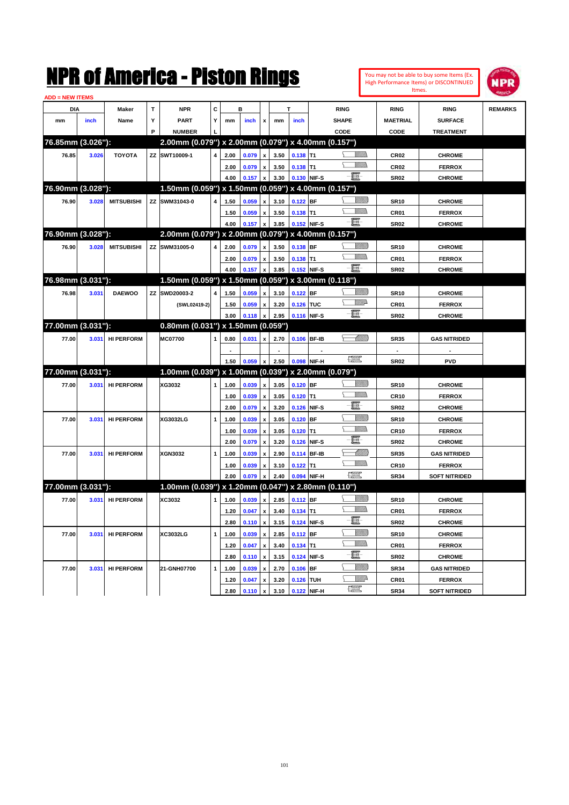|                               |       |                   |    | NMK OI AINCrica - Miston Kings                      |                |      |                 |                           |      |               |              |                                                                                                                                                                                                                                                                                                                                                                                             |               |                  | You may not be able to buy some Items (Ex.<br>High Performance Items) or DISCONTINUED<br>Itmes. | NPR            |
|-------------------------------|-------|-------------------|----|-----------------------------------------------------|----------------|------|-----------------|---------------------------|------|---------------|--------------|---------------------------------------------------------------------------------------------------------------------------------------------------------------------------------------------------------------------------------------------------------------------------------------------------------------------------------------------------------------------------------------------|---------------|------------------|-------------------------------------------------------------------------------------------------|----------------|
| <b>ADD = NEW ITEMS</b><br>DIA |       | Maker             | T  | <b>NPR</b>                                          | C              |      | в               |                           |      | т             |              | <b>RING</b>                                                                                                                                                                                                                                                                                                                                                                                 |               | <b>RING</b>      | <b>RING</b>                                                                                     | <b>REMARKS</b> |
|                               |       |                   | Υ  | <b>PART</b>                                         | Υ              |      |                 |                           |      |               |              | <b>SHAPE</b>                                                                                                                                                                                                                                                                                                                                                                                |               | <b>MAETRIAL</b>  | <b>SURFACE</b>                                                                                  |                |
| mm                            | inch  | Name              | P  | <b>NUMBER</b>                                       |                | mm   | inch            | x                         | mm   | inch          |              |                                                                                                                                                                                                                                                                                                                                                                                             |               |                  |                                                                                                 |                |
| 76.85mm (3.026"):             |       |                   |    | 2.00mm (0.079") x 2.00mm (0.079") x 4.00mm (0.157") |                |      |                 |                           |      |               |              | CODE                                                                                                                                                                                                                                                                                                                                                                                        |               | CODE             | <b>TREATMENT</b>                                                                                |                |
|                               |       |                   |    |                                                     |                |      |                 |                           |      |               |              |                                                                                                                                                                                                                                                                                                                                                                                             |               |                  |                                                                                                 |                |
| 76.85                         | 3.026 | <b>TOYOTA</b>     |    | ZZ SWT10009-1                                       | 4              | 2.00 | 0.079           | $\boldsymbol{\mathsf{x}}$ | 3.50 | $0.138$ T1    |              |                                                                                                                                                                                                                                                                                                                                                                                             | <u>MMS</u>    | CR <sub>02</sub> | <b>CHROME</b>                                                                                   |                |
|                               |       |                   |    |                                                     |                | 2.00 | 0.079           | $\pmb{\mathsf{x}}$        | 3.50 | $0.138$ T1    |              | e et                                                                                                                                                                                                                                                                                                                                                                                        | <br>Mar       | <b>CR02</b>      | <b>FERROX</b>                                                                                   |                |
|                               |       |                   |    |                                                     |                | 4.00 | 0.157           | x                         | 3.30 | 0.130 NIF-S   |              |                                                                                                                                                                                                                                                                                                                                                                                             |               | <b>SR02</b>      | <b>CHROME</b>                                                                                   |                |
| 76.90mm (3.028"):             |       |                   |    | 1.50mm (0.059") x 1.50mm (0.059") x 4.00mm (0.157") |                |      |                 |                           |      |               |              |                                                                                                                                                                                                                                                                                                                                                                                             |               |                  |                                                                                                 |                |
| 76.90                         | 3.028 | <b>MITSUBISHI</b> |    | ZZ SWM31043-0                                       | 4              | 1.50 | 0.059           | x                         | 3.10 | $0.122$ BF    |              |                                                                                                                                                                                                                                                                                                                                                                                             | <u>UMB</u>    | <b>SR10</b>      | <b>CHROME</b>                                                                                   |                |
|                               |       |                   |    |                                                     |                | 1.50 | 0.059           | $\pmb{\mathsf{x}}$        | 3.50 | 0.138         | lT1          |                                                                                                                                                                                                                                                                                                                                                                                             | <br>Mar       | CR01             | <b>FERROX</b>                                                                                   |                |
|                               |       |                   |    |                                                     |                | 4.00 | 0.157           | x                         | 3.85 | 0.152 NIF-S   |              | E.                                                                                                                                                                                                                                                                                                                                                                                          |               | <b>SR02</b>      | <b>CHROME</b>                                                                                   |                |
| 76.90mm (3.028"):             |       |                   |    | 2.00mm (0.079") x 2.00mm (0.079") x 4.00mm (0.157") |                |      |                 |                           |      |               |              |                                                                                                                                                                                                                                                                                                                                                                                             |               |                  |                                                                                                 |                |
| 76.90                         | 3.028 | <b>MITSUBISHI</b> |    | ZZ SWM31005-0                                       | 4              | 2.00 | 0.079           | x                         | 3.50 | 0.138 BF      |              |                                                                                                                                                                                                                                                                                                                                                                                             | <u>VIIIIn</u> | <b>SR10</b>      | <b>CHROME</b>                                                                                   |                |
|                               |       |                   |    |                                                     |                | 2.00 | 0.079           | $\pmb{\mathsf{x}}$        | 3.50 | $0.138$ T1    |              |                                                                                                                                                                                                                                                                                                                                                                                             | <br>Mar       | CR01             | <b>FERROX</b>                                                                                   |                |
|                               |       |                   |    |                                                     |                | 4.00 | 0.157           | x                         | 3.85 | 0.152 NIF-S   |              | $-\mathbf{H}$                                                                                                                                                                                                                                                                                                                                                                               |               | <b>SR02</b>      | <b>CHROME</b>                                                                                   |                |
| 76.98mm (3.031"):             |       |                   |    | 1.50mm (0.059") x 1.50mm (0.059") x 3.00mm (0.118") |                |      |                 |                           |      |               |              |                                                                                                                                                                                                                                                                                                                                                                                             |               |                  |                                                                                                 |                |
| 76.98                         | 3.031 | <b>DAEWOO</b>     | ΖZ | SWD20003-2                                          | 4              | 1.50 | 0.059           | $\boldsymbol{\mathsf{x}}$ | 3.10 | 0.122         | <b>BF</b>    |                                                                                                                                                                                                                                                                                                                                                                                             | <u>VIIIIn</u> | <b>SR10</b>      | <b>CHROME</b>                                                                                   |                |
|                               |       |                   |    | (SWL02419-2)                                        |                | 1.50 | 0.059           | $\pmb{\mathsf{x}}$        | 3.20 | 0.126         | <b>TUC</b>   |                                                                                                                                                                                                                                                                                                                                                                                             | <u>MM</u>     | CR01             | <b>FERROX</b>                                                                                   |                |
|                               |       |                   |    |                                                     |                | 3.00 | 0.118           | x                         | 2.95 |               | 0.116 NIF-S  | E.                                                                                                                                                                                                                                                                                                                                                                                          |               | <b>SR02</b>      | <b>CHROME</b>                                                                                   |                |
| 77.00mm (3.031"):             |       |                   |    | 0.80mm (0.031") x 1.50mm (0.059")                   |                |      |                 |                           |      |               |              |                                                                                                                                                                                                                                                                                                                                                                                             |               |                  |                                                                                                 |                |
| 77.00                         | 3.031 | <b>HI PERFORM</b> |    | <b>MC07700</b>                                      | 1              | 0.80 | 0.031           | x                         | 2.70 | 0.106         | <b>BF-IB</b> |                                                                                                                                                                                                                                                                                                                                                                                             | <u>UMB</u>    | <b>SR35</b>      | <b>GAS NITRIDED</b>                                                                             |                |
|                               |       |                   |    |                                                     |                |      |                 |                           |      |               |              |                                                                                                                                                                                                                                                                                                                                                                                             |               |                  |                                                                                                 |                |
|                               |       |                   |    |                                                     |                | 1.50 | 0.059           | x                         | 2.50 | 0.098         | NIF-H        | $\begin{picture}(20,20) \put(0,0){\dashbox{0.5}(20,0){ }} \put(15,0){\circle{10}} \put(25,0){\circle{10}} \put(25,0){\circle{10}} \put(25,0){\circle{10}} \put(25,0){\circle{10}} \put(25,0){\circle{10}} \put(25,0){\circle{10}} \put(25,0){\circle{10}} \put(25,0){\circle{10}} \put(25,0){\circle{10}} \put(25,0){\circle{10}} \put(25,0){\circle{10}} \put(25,0){\circle{10}} \put(25,$ |               | <b>SR02</b>      | <b>PVD</b>                                                                                      |                |
| 77.00mm (3.031"):             |       |                   |    | 1.00mm (0.039") x 1.00mm (0.039") x 2.00mm (0.079") |                |      |                 |                           |      |               |              |                                                                                                                                                                                                                                                                                                                                                                                             |               |                  |                                                                                                 |                |
| 77.00                         | 3.031 | <b>HI PERFORM</b> |    | XG3032                                              | 1              | 1.00 | 0.039           | $\boldsymbol{\mathsf{x}}$ | 3.05 | $0.120$ BF    |              |                                                                                                                                                                                                                                                                                                                                                                                             | <u>UMB</u>    | <b>SR10</b>      | <b>CHROME</b>                                                                                   |                |
|                               |       |                   |    |                                                     |                | 1.00 | 0.039           | $\pmb{\mathsf{x}}$        | 3.05 | 0.120         | lT1          |                                                                                                                                                                                                                                                                                                                                                                                             | <br>Mar       | <b>CR10</b>      | <b>FERROX</b>                                                                                   |                |
|                               |       |                   |    |                                                     |                | 2.00 | 0.079           | x                         | 3.20 | 0.126         | NIF-S        | E                                                                                                                                                                                                                                                                                                                                                                                           |               | <b>SR02</b>      | <b>CHROME</b>                                                                                   |                |
| 77.00                         | 3.031 | <b>HI PERFORM</b> |    | <b>XG3032LG</b>                                     | 1              | 1.00 | 0.039           | $\boldsymbol{\mathsf{x}}$ | 3.05 | 0.120         | <b>BF</b>    |                                                                                                                                                                                                                                                                                                                                                                                             | <u>VIIII)</u> | <b>SR10</b>      | <b>CHROME</b>                                                                                   |                |
|                               |       |                   |    |                                                     |                | 1.00 | 0.039           | $\boldsymbol{\mathsf{x}}$ | 3.05 | 0.120         | lT1          |                                                                                                                                                                                                                                                                                                                                                                                             | <br>Mar       | CR <sub>10</sub> | <b>FERROX</b>                                                                                   |                |
|                               |       |                   |    |                                                     |                | 2.00 | 0.079           | x                         | 3.20 | 0.126         | NIF-S        | E                                                                                                                                                                                                                                                                                                                                                                                           |               | <b>SR02</b>      | <b>CHROME</b>                                                                                   |                |
| 77.00                         | 3.031 | <b>HI PERFORM</b> |    | XGN3032                                             | 1              | 1.00 | 0.039           | x                         | 2.90 | 0.114         | <b>BF-IB</b> |                                                                                                                                                                                                                                                                                                                                                                                             | <u> UMM</u>   | <b>SR35</b>      | <b>GAS NITRIDED</b>                                                                             |                |
|                               |       |                   |    |                                                     |                | 1.00 | 0.039           | x                         | 3.10 | 0.122         | T1           |                                                                                                                                                                                                                                                                                                                                                                                             | .<br>VMD      | <b>CR10</b>      | <b>FERROX</b>                                                                                   |                |
|                               |       |                   |    |                                                     |                | 2.00 | 0.079           | x                         | 2.40 | 0.094         | NIF-H        | $\begin{picture}(20,20) \put(0,0){\dashbox{0.5}(20,0){ }} \put(15,0){\circle{10}} \put(25,0){\circle{10}} \put(25,0){\circle{10}} \put(25,0){\circle{10}} \put(25,0){\circle{10}} \put(25,0){\circle{10}} \put(25,0){\circle{10}} \put(25,0){\circle{10}} \put(25,0){\circle{10}} \put(25,0){\circle{10}} \put(25,0){\circle{10}} \put(25,0){\circle{10}} \put(25,0){\circle{10}} \put(25,$ |               | <b>SR34</b>      | <b>SOFT NITRIDED</b>                                                                            |                |
| 77.00mm (3.031"):             |       |                   |    | 1.00mm (0.039") x 1.20mm (0.047") x 2.80mm (0.110") |                |      |                 |                           |      |               |              |                                                                                                                                                                                                                                                                                                                                                                                             |               |                  |                                                                                                 |                |
| 77.00                         |       |                   |    |                                                     | 1 <sup>1</sup> |      |                 | $\mathbf{x}$              |      | 2.85 0.112 BF |              |                                                                                                                                                                                                                                                                                                                                                                                             | <u>VIIIIn</u> |                  |                                                                                                 |                |
|                               |       | 3.031 HI PERFORM  |    | XC3032                                              |                |      | $1.00 \t 0.039$ |                           |      |               |              |                                                                                                                                                                                                                                                                                                                                                                                             | <u>Willia</u> | <b>SR10</b>      | <b>CHROME</b>                                                                                   |                |
|                               |       |                   |    |                                                     |                | 1.20 | 0.047           | x                         | 3.40 | 0.134         | T1           | E                                                                                                                                                                                                                                                                                                                                                                                           |               | CR01             | <b>FERROX</b>                                                                                   |                |
|                               |       |                   |    |                                                     |                | 2.80 | 0.110           | $\pmb{\mathsf{x}}$        | 3.15 | 0.124 NIF-S   |              |                                                                                                                                                                                                                                                                                                                                                                                             | <u>VIIII)</u> | <b>SR02</b>      | <b>CHROME</b>                                                                                   |                |
| 77.00                         | 3.031 | <b>HI PERFORM</b> |    | XC3032LG                                            | 1              | 1.00 | 0.039           | $\pmb{\mathsf{x}}$        | 2.85 | $0.112$ BF    |              |                                                                                                                                                                                                                                                                                                                                                                                             | <u>Willib</u> | <b>SR10</b>      | <b>CHROME</b>                                                                                   |                |
|                               |       |                   |    |                                                     |                | 1.20 | 0.047           | $\pmb{\mathsf{x}}$        | 3.40 | $0.134$ T1    |              | E                                                                                                                                                                                                                                                                                                                                                                                           |               | CR01             | <b>FERROX</b>                                                                                   |                |
|                               |       |                   |    |                                                     |                | 2.80 | 0.110           | $\pmb{\mathsf{x}}$        | 3.15 | 0.124         | NIF-S        |                                                                                                                                                                                                                                                                                                                                                                                             |               | SR02             | <b>CHROME</b>                                                                                   |                |
| 77.00                         | 3.031 | <b>HI PERFORM</b> |    | 21-GNH07700                                         | 1              | 1.00 | 0.039           | $\pmb{\mathsf{x}}$        | 2.70 | 0.106         | <b>BF</b>    |                                                                                                                                                                                                                                                                                                                                                                                             | <u>VIIII)</u> | <b>SR34</b>      | <b>GAS NITRIDED</b>                                                                             |                |
|                               |       |                   |    |                                                     |                | 1.20 | 0.047           | $\pmb{\mathsf{x}}$        | 3.20 | 0.126         | <b>TUH</b>   |                                                                                                                                                                                                                                                                                                                                                                                             | <u>WW</u> A   | CR01             | <b>FERROX</b>                                                                                   |                |
|                               |       |                   |    |                                                     |                | 2.80 | 0.110           | x                         | 3.10 |               | 0.122 NIF-H  | $\frac{1}{2}$                                                                                                                                                                                                                                                                                                                                                                               |               | SR34             | <b>SOFT NITRIDED</b>                                                                            |                |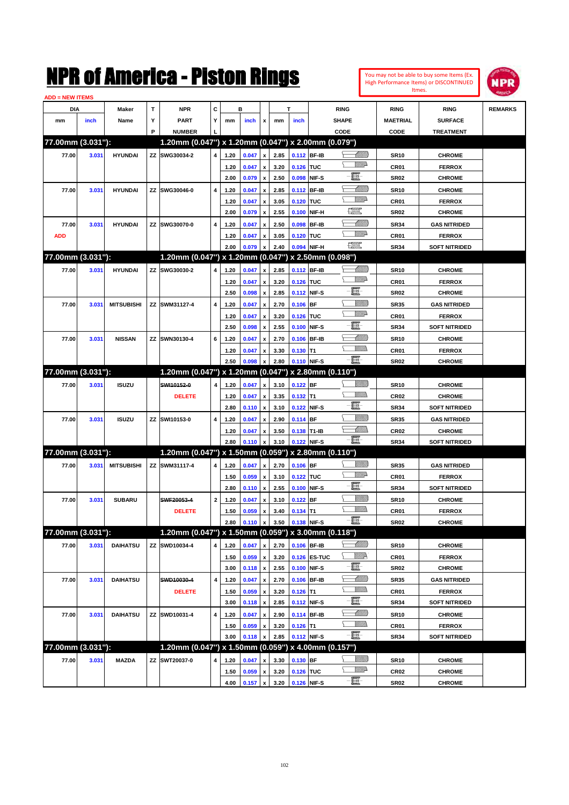| You may not be able to buy some Items (Ex. |
|--------------------------------------------|
| High Performance Items) or DISCONTINUED    |
| Itmes.                                     |



| <b>ADD = NEW ITEMS</b> |       |                   |   |                                                     |              |      |       |                    |      |             |              |                               |                  |                      |                |
|------------------------|-------|-------------------|---|-----------------------------------------------------|--------------|------|-------|--------------------|------|-------------|--------------|-------------------------------|------------------|----------------------|----------------|
| <b>DIA</b>             |       | <b>Maker</b>      | T | <b>NPR</b>                                          | С            |      | в     |                    |      | т           |              | <b>RING</b>                   | <b>RING</b>      | <b>RING</b>          | <b>REMARKS</b> |
| mm                     | inch  | Name              | Υ | <b>PART</b>                                         | Y            | mm   | inch  | x                  | mm   | inch        |              | <b>SHAPE</b>                  | <b>MAETRIAL</b>  | <b>SURFACE</b>       |                |
|                        |       |                   | P | <b>NUMBER</b>                                       |              |      |       |                    |      |             |              | CODE                          | <b>CODE</b>      | <b>TREATMENT</b>     |                |
| 77.00mm (3.031"):      |       |                   |   | 1.20mm (0.047") x 1.20mm (0.047") x 2.00mm (0.079") |              |      |       |                    |      |             |              |                               |                  |                      |                |
| 77.00                  | 3.031 | <b>HYUNDAI</b>    |   | ZZ SWG30034-2                                       | 4            | 1.20 | 0.047 | x                  | 2.85 | 0.112 BF-IB |              | <u> Millilli</u>              | <b>SR10</b>      | <b>CHROME</b>        |                |
|                        |       |                   |   |                                                     |              | 1.20 | 0.047 | x                  | 3.20 | 0.126 TUC   |              | <u>VMD</u>                    | CR <sub>01</sub> | <b>FERROX</b>        |                |
|                        |       |                   |   |                                                     |              | 2.00 | 0.079 | x                  | 2.50 |             | 0.098 NIF-S  | e                             | <b>SR02</b>      | <b>CHROME</b>        |                |
| 77.00                  | 3.031 | <b>HYUNDAI</b>    |   | ZZ SWG30046-0                                       | 4            | 1.20 | 0.047 | x                  | 2.85 |             | 0.112 BF-IB  | <u>UMB</u>                    | <b>SR10</b>      | <b>CHROME</b>        |                |
|                        |       |                   |   |                                                     |              | 1.20 | 0.047 | x                  | 3.05 | 0.120 TUC   |              | <u>VMD</u>                    | CR <sub>01</sub> | <b>FERROX</b>        |                |
|                        |       |                   |   |                                                     |              | 2.00 | 0.079 | $\pmb{\mathsf{x}}$ | 2.55 |             | 0.100 NIF-H  | $f_{\text{max}}^{\text{opp}}$ | <b>SR02</b>      | <b>CHROME</b>        |                |
| 77.00                  | 3.031 | <b>HYUNDAI</b>    |   | ZZ SWG30070-0                                       | 4            | 1.20 | 0.047 |                    | 2.50 |             | 0.098 BF-IB  | MMB                           | <b>SR34</b>      | <b>GAS NITRIDED</b>  |                |
| <b>ADD</b>             |       |                   |   |                                                     |              | 1.20 | 0.047 | x                  | 3.05 | 0.120 TUC   |              | <u>MM</u> D                   | CR <sub>01</sub> | <b>FERROX</b>        |                |
|                        |       |                   |   |                                                     |              | 2.00 | 0.079 |                    | 2.40 |             | 0.094 NIF-H  | $f_{\text{max}}^{\text{opp}}$ | <b>SR34</b>      | <b>SOFT NITRIDED</b> |                |
| 77.00mm (3.031"):      |       |                   |   | 1.20mm (0.047") x 1.20mm (0.047") x 2.50mm (0.098") |              |      |       |                    |      |             |              |                               |                  |                      |                |
| 77.00                  | 3.031 | <b>HYUNDAI</b>    |   | ZZ SWG30030-2                                       | 4            | 1.20 | 0.047 | x                  | 2.85 | 0.112 BF-IB |              | <u>UMB</u>                    | <b>SR10</b>      | <b>CHROME</b>        |                |
|                        |       |                   |   |                                                     |              | 1.20 | 0.047 | x                  | 3.20 | 0.126 TUC   |              | <u>VMD</u>                    | CR <sub>01</sub> | <b>FERROX</b>        |                |
|                        |       |                   |   |                                                     |              | 2.50 | 0.098 | $\pmb{\mathsf{x}}$ | 2.85 |             | 0.112 NIF-S  | e.                            | <b>SR02</b>      | <b>CHROME</b>        |                |
| 77.00                  | 3.031 | <b>MITSUBISHI</b> |   | ZZ SWM31127-4                                       | 4            | 1.20 | 0.047 | x                  | 2.70 | $0.106$ BF  |              |                               | <b>SR35</b>      | <b>GAS NITRIDED</b>  |                |
|                        |       |                   |   |                                                     |              | 1.20 | 0.047 | x                  | 3.20 | 0.126 TUC   |              | <u>VMD</u>                    | CR <sub>01</sub> | <b>FERROX</b>        |                |
|                        |       |                   |   |                                                     |              | 2.50 | 0.098 | x                  | 2.55 |             | 0.100 NIF-S  | e.                            | <b>SR34</b>      | <b>SOFT NITRIDED</b> |                |
| 77.00                  | 3.031 | <b>NISSAN</b>     |   | ZZ SWN30130-4                                       | 6            | 1.20 | 0.047 | x                  | 2.70 |             | 0.106 BF-IB  | <u> Millil</u>                | <b>SR10</b>      | <b>CHROME</b>        |                |
|                        |       |                   |   |                                                     |              | 1.20 | 0.047 |                    | 3.30 | $0.130$ T1  |              | .<br>VMD                      | CR <sub>01</sub> | <b>FERROX</b>        |                |
|                        |       |                   |   |                                                     |              | 2.50 | 0.098 |                    | 2.80 | 0.110 NIF-S |              | -日                            | <b>SR02</b>      | <b>CHROME</b>        |                |
| 77.00mm (3.031"):      |       |                   |   | 1.20mm (0.047") x 1.20mm (0.047") x 2.80mm (0.110") |              |      |       |                    |      |             |              |                               |                  |                      |                |
| 77.00                  | 3.031 | <b>ISUZU</b>      |   | SWI10152-0                                          | 4            | 1.20 | 0.047 | x                  | 3.10 | 0.122 BF    |              |                               | <b>SR10</b>      | <b>CHROME</b>        |                |
|                        |       |                   |   | <b>DELETE</b>                                       |              | 1.20 | 0.047 | x                  | 3.35 | $0.132$ T1  |              | <br>Militar                   | <b>CR02</b>      | <b>CHROME</b>        |                |
|                        |       |                   |   |                                                     |              | 2.80 | 0.110 | $\pmb{\mathsf{x}}$ | 3.10 |             | 0.122 NIF-S  | e.                            | <b>SR34</b>      | <b>SOFT NITRIDED</b> |                |
| 77.00                  | 3.031 | <b>ISUZU</b>      |   | ZZ SWI10153-0                                       | 4            | 1.20 | 0.047 |                    | 2.90 | $0.114$ BF  |              | <u>VIIII)</u>                 | <b>SR35</b>      | <b>GAS NITRIDED</b>  |                |
|                        |       |                   |   |                                                     |              | 1.20 | 0.047 | x                  | 3.50 | 0.138 T1-IB |              | <u> Millitt</u>               | <b>CR02</b>      | <b>CHROME</b>        |                |
|                        |       |                   |   |                                                     |              | 2.80 | 0.110 |                    | 3.10 |             | 0.122 NIF-S  | -E.                           | <b>SR34</b>      | <b>SOFT NITRIDED</b> |                |
| 77.00mm (3.031"):      |       |                   |   | 1.20mm (0.047") x 1.50mm (0.059") x 2.80mm (0.110") |              |      |       |                    |      |             |              |                               |                  |                      |                |
| 77.00                  | 3.031 | <b>MITSUBISHI</b> |   | ZZ SWM31117-4                                       | 4            | 1.20 | 0.047 | $\pmb{\mathsf{x}}$ | 2.70 | $0.106$ BF  |              | <u>Villida</u>                | <b>SR35</b>      | <b>GAS NITRIDED</b>  |                |
|                        |       |                   |   |                                                     |              | 1.50 | 0.059 | x                  | 3.10 | 0.122 TUC   |              | <u>VMD</u>                    | CR <sub>01</sub> | <b>FERROX</b>        |                |
|                        |       |                   |   |                                                     |              | 2.80 | 0.110 | $\pmb{\mathsf{x}}$ | 2.55 |             | 0.100 NIF-S  | e.                            | <b>SR34</b>      | <b>SOFT NITRIDED</b> |                |
| 77.00                  | 3.031 | <b>SUBARU</b>     |   | SWF20053-4                                          | $\mathbf{2}$ | 1.20 | 0.047 | x                  | 3.10 | $0.122$ BF  |              | <u>VIIII)</u>                 | <b>SR10</b>      | <b>CHROME</b>        |                |
|                        |       |                   |   | <b>DELETE</b>                                       |              | 1.50 | 0.059 | x                  | 3.40 | $0.134$ T1  |              |                               | CR01             | <b>FERROX</b>        |                |
|                        |       |                   |   |                                                     |              | 2.80 | 0.110 | $\pmb{\mathsf{x}}$ | 3.50 | 0.138 NIF-S |              | - 1                           | SR02             | <b>CHROME</b>        |                |
| 77.00mm (3.031"):      |       |                   |   | 1.20mm (0.047") x 1.50mm (0.059") x 3.00mm (0.118") |              |      |       |                    |      |             |              |                               |                  |                      |                |
| 77.00                  | 3.031 | <b>DAIHATSU</b>   |   | ZZ SWD10034-4                                       | 4            | 1.20 | 0.047 | x                  | 2.70 |             | 0.106 BF-IB  | <u>UMB</u>                    | <b>SR10</b>      | <b>CHROME</b>        |                |
|                        |       |                   |   |                                                     |              | 1.50 | 0.059 | $\pmb{\mathsf{x}}$ | 3.20 |             | 0.126 ES-TUC | <u>WW</u>                     | CR01             | <b>FERROX</b>        |                |
|                        |       |                   |   |                                                     |              | 3.00 | 0.118 | $\pmb{\mathsf{x}}$ | 2.55 |             | 0.100 NIF-S  | E                             | SR02             | <b>CHROME</b>        |                |
| 77.00                  | 3.031 | <b>DAIHATSU</b>   |   | SWD10030-4                                          | 4            | 1.20 | 0.047 | x                  | 2.70 |             | 0.106 BF-IB  | <u> Milli</u>                 | SR35             | <b>GAS NITRIDED</b>  |                |
|                        |       |                   |   | <b>DELETE</b>                                       |              | 1.50 | 0.059 | x                  | 3.20 | $0.126$ T1  |              | <u>WMWs</u>                   | CR01             | <b>FERROX</b>        |                |
|                        |       |                   |   |                                                     |              | 3.00 | 0.118 | $\pmb{\mathsf{x}}$ | 2.85 |             | 0.112 NIF-S  | e.                            | SR34             | <b>SOFT NITRIDED</b> |                |
| 77.00                  | 3.031 | <b>DAIHATSU</b>   |   | ZZ SWD10031-4                                       | 4            | 1.20 | 0.047 | x                  | 2.90 |             | 0.114 BF-IB  | <u>- Milli</u>                | <b>SR10</b>      | <b>CHROME</b>        |                |
|                        |       |                   |   |                                                     |              | 1.50 | 0.059 | x                  | 3.20 | $0.126$ T1  |              | <u>Willib</u>                 | CR01             | <b>FERROX</b>        |                |
|                        |       |                   |   |                                                     |              | 3.00 | 0.118 | x                  | 2.85 |             | 0.112 NIF-S  | $-\Xi$ -                      | SR34             | <b>SOFT NITRIDED</b> |                |
| 77.00mm (3.031"):      |       |                   |   | 1.20mm (0.047") x 1.50mm (0.059") x 4.00mm (0.157") |              |      |       |                    |      |             |              |                               |                  |                      |                |
| 77.00                  | 3.031 | <b>MAZDA</b>      |   | ZZ SWT20037-0                                       | 4            | 1.20 | 0.047 |                    | 3.30 | $0.130$ BF  |              | <u>UMB</u>                    | <b>SR10</b>      | <b>CHROME</b>        |                |
|                        |       |                   |   |                                                     |              | 1.50 | 0.059 | x                  | 3.20 | 0.126 TUC   |              | <u>WW</u> A                   | CR02             | <b>CHROME</b>        |                |
|                        |       |                   |   |                                                     |              | 4.00 | 0.157 | $\pmb{\mathsf{x}}$ | 3.20 |             | 0.126 NIF-S  |                               | SR02             | <b>CHROME</b>        |                |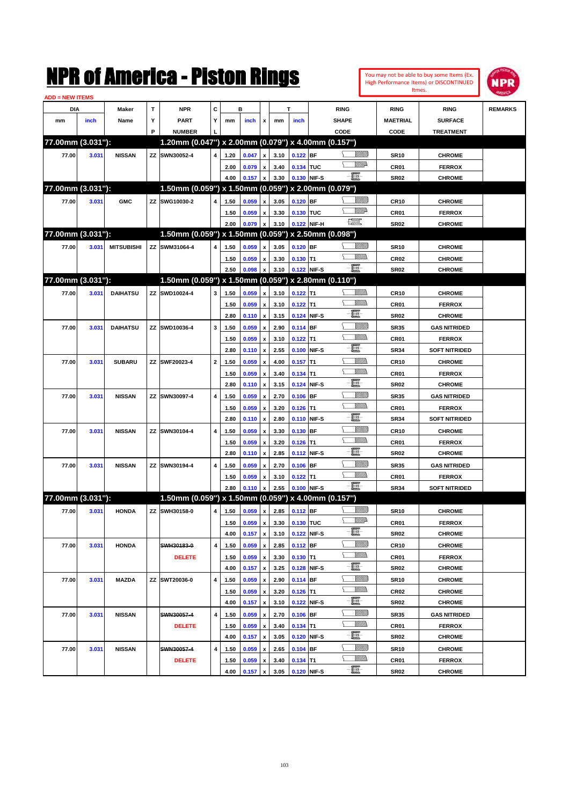|                        |       |                   |   | NMK OT AINCrica - Miston Kings                      |              |      |       |                           |      |             |             |                                                                                                                                                                                                                                                                                                                                                     |                 |                  | You may not be able to buy some Items (Ex.<br>High Performance Items) or DISCONTINUED | <b>NPR</b>     |
|------------------------|-------|-------------------|---|-----------------------------------------------------|--------------|------|-------|---------------------------|------|-------------|-------------|-----------------------------------------------------------------------------------------------------------------------------------------------------------------------------------------------------------------------------------------------------------------------------------------------------------------------------------------------------|-----------------|------------------|---------------------------------------------------------------------------------------|----------------|
| <b>ADD = NEW ITEMS</b> |       |                   |   |                                                     |              |      |       |                           |      |             |             |                                                                                                                                                                                                                                                                                                                                                     |                 |                  | Itmes.                                                                                |                |
| DIA                    |       | Maker             | T | <b>NPR</b>                                          | C            |      | в     |                           |      | т           |             | <b>RING</b>                                                                                                                                                                                                                                                                                                                                         |                 | <b>RING</b>      | <b>RING</b>                                                                           | <b>REMARKS</b> |
| mm                     | inch  | Name              | Υ | <b>PART</b>                                         | Y            | mm   | inch  | x                         | mm   | inch        |             | <b>SHAPE</b>                                                                                                                                                                                                                                                                                                                                        |                 | <b>MAETRIAL</b>  | <b>SURFACE</b>                                                                        |                |
|                        |       |                   | P | <b>NUMBER</b>                                       |              |      |       |                           |      |             |             | CODE                                                                                                                                                                                                                                                                                                                                                |                 | CODE             | <b>TREATMENT</b>                                                                      |                |
| 77.00mm (3.031"):      |       |                   |   | 1.20mm (0.047") x 2.00mm (0.079") x 4.00mm (0.157") |              |      |       |                           |      |             |             |                                                                                                                                                                                                                                                                                                                                                     |                 |                  |                                                                                       |                |
| 77.00                  | 3.031 | <b>NISSAN</b>     |   | ZZ SWN30052-4                                       | 4            | 1.20 | 0.047 | $\mathbf{x}$              | 3.10 | $0.122$ BF  |             |                                                                                                                                                                                                                                                                                                                                                     | <u>Millitt</u>  | <b>SR10</b>      | <b>CHROME</b>                                                                         |                |
|                        |       |                   |   |                                                     |              | 2.00 | 0.079 | $\boldsymbol{\mathsf{x}}$ | 3.40 | 0.134 TUC   |             |                                                                                                                                                                                                                                                                                                                                                     | <u>MWA</u>      | CR01             | <b>FERROX</b>                                                                         |                |
|                        |       |                   |   |                                                     |              | 4.00 | 0.157 | $\boldsymbol{\mathsf{x}}$ | 3.30 | 0.130 NIF-S |             | -8                                                                                                                                                                                                                                                                                                                                                  |                 | <b>SR02</b>      | <b>CHROME</b>                                                                         |                |
| 77.00mm (3.031"):      |       |                   |   | 1.50mm (0.059") x 1.50mm (0.059") x 2.00mm (0.079") |              |      |       |                           |      |             |             |                                                                                                                                                                                                                                                                                                                                                     |                 |                  |                                                                                       |                |
| 77.00                  | 3.031 | <b>GMC</b>        |   | ZZ SWG10030-2                                       | 4            | 1.50 | 0.059 | x                         | 3.05 | $0.120$ BF  |             |                                                                                                                                                                                                                                                                                                                                                     | <u>Millitt</u>  | <b>CR10</b>      | <b>CHROME</b>                                                                         |                |
|                        |       |                   |   |                                                     |              | 1.50 | 0.059 | x                         | 3.30 | 0.130 TUC   |             |                                                                                                                                                                                                                                                                                                                                                     | <u>MWA</u>      | CR01             | <b>FERROX</b>                                                                         |                |
|                        |       |                   |   |                                                     |              | 2.00 | 0.079 | $\boldsymbol{\mathsf{x}}$ | 3.10 |             | 0.122 NIF-H | $\begin{picture}(20,20) \put(0,0){\line(1,0){10}} \put(15,0){\line(1,0){10}} \put(15,0){\line(1,0){10}} \put(15,0){\line(1,0){10}} \put(15,0){\line(1,0){10}} \put(15,0){\line(1,0){10}} \put(15,0){\line(1,0){10}} \put(15,0){\line(1,0){10}} \put(15,0){\line(1,0){10}} \put(15,0){\line(1,0){10}} \put(15,0){\line(1,0){10}} \put(15,0){\line(1$ |                 | <b>SR02</b>      | <b>CHROME</b>                                                                         |                |
| 77.00mm (3.031"):      |       |                   |   | 1.50mm (0.059") x 1.50mm (0.059") x 2.50mm (0.098") |              |      |       |                           |      |             |             |                                                                                                                                                                                                                                                                                                                                                     |                 |                  |                                                                                       |                |
| 77.00                  | 3.031 | <b>MITSUBISHI</b> |   | ZZ SWM31064-4                                       | 4            | 1.50 | 0.059 | x                         | 3.05 | $0.120$ BF  |             |                                                                                                                                                                                                                                                                                                                                                     | <u>Millitti</u> | <b>SR10</b>      | <b>CHROME</b>                                                                         |                |
|                        |       |                   |   |                                                     |              | 1.50 | 0.059 | x                         | 3.30 | $0.130$ T1  |             |                                                                                                                                                                                                                                                                                                                                                     | 9777)           | CR <sub>02</sub> | <b>CHROME</b>                                                                         |                |
|                        |       |                   |   |                                                     |              | 2.50 | 0.098 | x                         | 3.10 | 0.122 NIF-S |             | -8                                                                                                                                                                                                                                                                                                                                                  |                 | <b>SR02</b>      | <b>CHROME</b>                                                                         |                |
| 77.00mm (3.031"):      |       |                   |   | 1.50mm (0.059") x 1.50mm (0.059") x 2.80mm (0.110") |              |      |       |                           |      |             |             |                                                                                                                                                                                                                                                                                                                                                     |                 |                  |                                                                                       |                |
| 77.00                  | 3.031 | <b>DAIHATSU</b>   |   | ZZ SWD10024-4                                       | 3            | 1.50 | 0.059 | x                         | 3.10 | $0.122$ T1  |             |                                                                                                                                                                                                                                                                                                                                                     | <u>MM</u>       | <b>CR10</b>      | <b>CHROME</b>                                                                         |                |
|                        |       |                   |   |                                                     |              | 1.50 | 0.059 | $\boldsymbol{\mathsf{x}}$ | 3.10 | $0.122$ T1  |             |                                                                                                                                                                                                                                                                                                                                                     | VIII)           | CR01             | <b>FERROX</b>                                                                         |                |
|                        |       |                   |   |                                                     |              | 2.80 | 0.110 | $\boldsymbol{\mathsf{x}}$ | 3.15 |             | 0.124 NIF-S | E                                                                                                                                                                                                                                                                                                                                                   |                 | <b>SR02</b>      | <b>CHROME</b>                                                                         |                |
| 77.00                  | 3.031 | <b>DAIHATSU</b>   |   | ZZ SWD10036-4                                       | 3            | 1.50 | 0.059 | x                         | 2.90 | $0.114$ BF  |             |                                                                                                                                                                                                                                                                                                                                                     | <u>Millil</u>   | <b>SR35</b>      | <b>GAS NITRIDED</b>                                                                   |                |
|                        |       |                   |   |                                                     |              | 1.50 | 0.059 | $\boldsymbol{\mathsf{x}}$ | 3.10 | $0.122$ T1  |             |                                                                                                                                                                                                                                                                                                                                                     | 9777)           | CR01             | <b>FERROX</b>                                                                         |                |
|                        |       |                   |   |                                                     |              | 2.80 | 0.110 | $\boldsymbol{\mathsf{x}}$ | 2.55 |             | 0.100 NIF-S | E                                                                                                                                                                                                                                                                                                                                                   |                 | <b>SR34</b>      | <b>SOFT NITRIDED</b>                                                                  |                |
| 77.00                  | 3.031 | <b>SUBARU</b>     |   | ZZ SWF20023-4                                       | $\mathbf{2}$ | 1.50 | 0.059 | X                         | 4.00 | $0.157$ T1  |             |                                                                                                                                                                                                                                                                                                                                                     | <u>Milli</u>    | <b>CR10</b>      | <b>CHROME</b>                                                                         |                |
|                        |       |                   |   |                                                     |              | 1.50 | 0.059 | $\pmb{\mathsf{x}}$        | 3.40 | $0.134$ T1  |             |                                                                                                                                                                                                                                                                                                                                                     | .<br>Milli      | CR01             | <b>FERROX</b>                                                                         |                |
|                        |       |                   |   |                                                     |              | 2.80 | 0.110 | $\boldsymbol{\mathsf{x}}$ | 3.15 |             | 0.124 NIF-S | E                                                                                                                                                                                                                                                                                                                                                   |                 | <b>SR02</b>      | <b>CHROME</b>                                                                         |                |
| 77.00                  | 3.031 | <b>NISSAN</b>     |   | ZZ SWN30097-4                                       | 4            | 1.50 | 0.059 | x                         | 2.70 | $0.106$ BF  |             |                                                                                                                                                                                                                                                                                                                                                     | <u>Milli</u>    | <b>SR35</b>      | <b>GAS NITRIDED</b>                                                                   |                |
|                        |       |                   |   |                                                     |              | 1.50 | 0.059 | x                         | 3.20 | $0.126$ T1  |             |                                                                                                                                                                                                                                                                                                                                                     | CM)             | CR01             | <b>FERROX</b>                                                                         |                |
|                        |       |                   |   |                                                     |              | 2.80 | 0.110 | $\boldsymbol{\mathsf{x}}$ | 2.80 |             | 0.110 NIF-S | E                                                                                                                                                                                                                                                                                                                                                   |                 | <b>SR34</b>      | <b>SOFT NITRIDED</b>                                                                  |                |
| 77.00                  | 3.031 | <b>NISSAN</b>     |   | ZZ SWN30104-4                                       | 4            | 1.50 | 0.059 | x                         | 3.30 | 0.130 BF    |             |                                                                                                                                                                                                                                                                                                                                                     | <u>Millil</u>   | <b>CR10</b>      | <b>CHROME</b>                                                                         |                |
|                        |       |                   |   |                                                     |              | 1.50 | 0.059 | $\pmb{\mathsf{x}}$        | 3.20 | $0.126$ T1  |             |                                                                                                                                                                                                                                                                                                                                                     | <br>Milli       | CR <sub>01</sub> | <b>FERROX</b>                                                                         |                |
|                        |       |                   |   |                                                     |              | 2.80 | 0.110 | $\boldsymbol{\mathsf{x}}$ | 2.85 |             | 0.112 NIF-S | E                                                                                                                                                                                                                                                                                                                                                   |                 | <b>SR02</b>      | <b>CHROME</b>                                                                         |                |
| 77.00                  | 3.031 | <b>NISSAN</b>     |   | ZZ SWN30194-4                                       | 4            | 1.50 | 0.059 | x                         | 2.70 | $0.106$ BF  |             |                                                                                                                                                                                                                                                                                                                                                     | <u>Milli</u>    | <b>SR35</b>      | <b>GAS NITRIDED</b>                                                                   |                |
|                        |       |                   |   |                                                     |              | 1.50 | 0.059 | x                         | 3.10 | $0.122$ T1  |             |                                                                                                                                                                                                                                                                                                                                                     | .<br>Villid     | CR01             | <b>FERROX</b>                                                                         |                |
|                        |       |                   |   |                                                     |              | 2.80 | 0.110 | $\pmb{\mathsf{x}}$        | 2.55 | 0.100 NIF-S |             | - 1                                                                                                                                                                                                                                                                                                                                                 |                 | <b>SR34</b>      | <b>SOFT NITRIDED</b>                                                                  |                |
| 77.00mm (3.031"):      |       |                   |   | 1.50mm (0.059") x 1.50mm (0.059") x 4.00mm (0.157") |              |      |       |                           |      |             |             |                                                                                                                                                                                                                                                                                                                                                     |                 |                  |                                                                                       |                |
| 77.00                  | 3.031 | <b>HONDA</b>      |   | ZZ SWH30158-0                                       | 4            | 1.50 | 0.059 | $\pmb{\mathsf{x}}$        | 2.85 | 0.112 BF    |             |                                                                                                                                                                                                                                                                                                                                                     | <u>VIIIIn</u>   | <b>SR10</b>      | <b>CHROME</b>                                                                         |                |
|                        |       |                   |   |                                                     |              | 1.50 | 0.059 | $\pmb{\mathsf{x}}$        | 3.30 | 0.130 TUC   |             |                                                                                                                                                                                                                                                                                                                                                     | <u>Willia</u>   | CR01             | <b>FERROX</b>                                                                         |                |
|                        |       |                   |   |                                                     |              | 4.00 | 0.157 | $\boldsymbol{\mathsf{x}}$ | 3.10 |             | 0.122 NIF-S | E.                                                                                                                                                                                                                                                                                                                                                  |                 | <b>SR02</b>      | <b>CHROME</b>                                                                         |                |
| 77.00                  | 3.031 | <b>HONDA</b>      |   | SWH30183-0                                          | 4            | 1.50 | 0.059 | $\pmb{\mathsf{x}}$        | 2.85 | $0.112$ BF  |             |                                                                                                                                                                                                                                                                                                                                                     | <u>VIIII)</u>   | CR <sub>10</sub> | <b>CHROME</b>                                                                         |                |
|                        |       |                   |   | <b>DELETE</b>                                       |              | 1.50 | 0.059 | $\pmb{\mathsf{x}}$        | 3.30 | $0.130$ T1  |             |                                                                                                                                                                                                                                                                                                                                                     | <u>Willib</u>   | CR01             | <b>FERROX</b>                                                                         |                |
|                        |       |                   |   |                                                     |              | 4.00 | 0.157 | $\pmb{\mathsf{x}}$        | 3.25 |             | 0.128 NIF-S | E.                                                                                                                                                                                                                                                                                                                                                  |                 | SR02             | <b>CHROME</b>                                                                         |                |
| 77.00                  | 3.031 | <b>MAZDA</b>      |   | ZZ SWT20036-0                                       | 4            | 1.50 | 0.059 | $\pmb{\mathsf{x}}$        | 2.90 | $0.114$ BF  |             |                                                                                                                                                                                                                                                                                                                                                     | <u>VIIII</u> )  | <b>SR10</b>      | <b>CHROME</b>                                                                         |                |
|                        |       |                   |   |                                                     |              | 1.50 | 0.059 | $\pmb{\mathsf{x}}$        | 3.20 | $0.126$ T1  |             |                                                                                                                                                                                                                                                                                                                                                     | <u>Willib</u>   | CR02             | <b>CHROME</b>                                                                         |                |
|                        |       |                   |   |                                                     |              | 4.00 | 0.157 | $\pmb{\mathsf{x}}$        | 3.10 |             | 0.122 NIF-S | E                                                                                                                                                                                                                                                                                                                                                   |                 | SR02             | <b>CHROME</b>                                                                         |                |
| 77.00                  | 3.031 | <b>NISSAN</b>     |   | SWN30057-4                                          | 4            | 1.50 | 0.059 | x                         | 2.70 | $0.106$ BF  |             |                                                                                                                                                                                                                                                                                                                                                     | <u>VIIII)</u>   | <b>SR35</b>      | <b>GAS NITRIDED</b>                                                                   |                |
|                        |       |                   |   | <b>DELETE</b>                                       |              | 1.50 | 0.059 | $\pmb{\mathsf{x}}$        | 3.40 | $0.134$ T1  |             |                                                                                                                                                                                                                                                                                                                                                     | <u>VMMs</u>     | CR01             | <b>FERROX</b>                                                                         |                |
|                        |       |                   |   |                                                     |              | 4.00 | 0.157 | $\pmb{\mathsf{x}}$        | 3.05 |             | 0.120 NIF-S | E.                                                                                                                                                                                                                                                                                                                                                  |                 | <b>SR02</b>      | <b>CHROME</b>                                                                         |                |
| 77.00                  | 3.031 | <b>NISSAN</b>     |   | SWN30057-4                                          | 4            | 1.50 | 0.059 | x                         | 2.65 | $0.104$ BF  |             |                                                                                                                                                                                                                                                                                                                                                     | <u>VIIII)</u>   | <b>SR10</b>      | <b>CHROME</b>                                                                         |                |
|                        |       |                   |   | <b>DELETE</b>                                       |              | 1.50 | 0.059 | x                         | 3.40 | $0.134$ T1  |             |                                                                                                                                                                                                                                                                                                                                                     | <u>Willib</u>   | CR01             | <b>FERROX</b>                                                                         |                |
|                        |       |                   |   |                                                     |              | 4.00 | 0.157 | $\boldsymbol{\mathsf{x}}$ | 3.05 |             | 0.120 NIF-S | e.                                                                                                                                                                                                                                                                                                                                                  |                 | <b>SR02</b>      | <b>CHROME</b>                                                                         |                |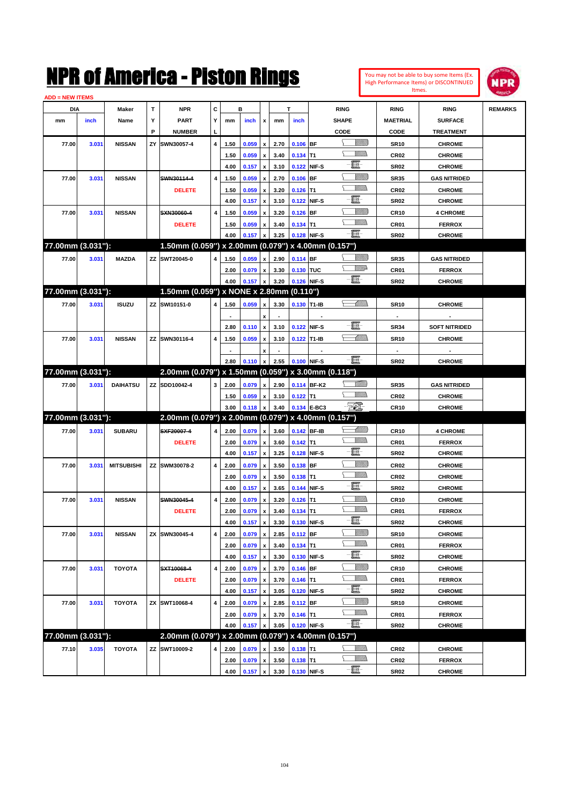| You may not be able to buy some Items (Ex.     |
|------------------------------------------------|
| <b>High Performance Items) or DISCONTINUED</b> |
| Itmes.                                         |



| <b>ADD = NEW ITEMS</b> |       |                   |    |                                                     |           |      |       |                           |              |             |                          |                             |                  |                      |                |
|------------------------|-------|-------------------|----|-----------------------------------------------------|-----------|------|-------|---------------------------|--------------|-------------|--------------------------|-----------------------------|------------------|----------------------|----------------|
| DIA                    |       | Maker             | т  | <b>NPR</b>                                          | С         |      | в     |                           |              | T.          |                          | <b>RING</b>                 | <b>RING</b>      | <b>RING</b>          | <b>REMARKS</b> |
| mm                     | inch  | Name              | Υ  | <b>PART</b>                                         | Y         | mm   | inch  | x                         | mm           | inch        |                          | <b>SHAPE</b>                | <b>MAETRIAL</b>  | <b>SURFACE</b>       |                |
|                        |       |                   | P  | <b>NUMBER</b>                                       | L,        |      |       |                           |              |             |                          | CODE                        | CODE             | <b>TREATMENT</b>     |                |
| 77.00                  | 3.031 | <b>NISSAN</b>     | ΖY | SWN30057-4                                          | 4         | 1.50 | 0.059 | x                         | 2.70         | $0.106$ BF  |                          | <u>Sillilli</u>             | <b>SR10</b>      | <b>CHROME</b>        |                |
|                        |       |                   |    |                                                     |           | 1.50 | 0.059 | x                         | 3.40         | $0.134$ T1  |                          | VM)                         | CR <sub>02</sub> | <b>CHROME</b>        |                |
|                        |       |                   |    |                                                     |           | 4.00 | 0.157 | $\pmb{\mathsf{x}}$        | 3.10         | 0.122 NIF-S |                          | -E-                         | SR <sub>02</sub> | <b>CHROME</b>        |                |
| 77.00                  | 3.031 | <b>NISSAN</b>     |    | SWN30114-4                                          | 4         | 1.50 | 0.059 | x                         | 2.70         | 0.106 BF    |                          | <u>Sillilli</u>             | <b>SR35</b>      | <b>GAS NITRIDED</b>  |                |
|                        |       |                   |    | <b>DELETE</b>                                       |           | 1.50 | 0.059 | $\boldsymbol{\mathsf{x}}$ | 3.20         | $0.126$ T1  |                          |                             | CR <sub>02</sub> | <b>CHROME</b>        |                |
|                        |       |                   |    |                                                     |           | 4.00 | 0.157 | $\pmb{\mathsf{x}}$        | 3.10         | 0.122 NIF-S |                          | -E-                         | SR <sub>02</sub> | <b>CHROME</b>        |                |
| 77.00                  | 3.031 | <b>NISSAN</b>     |    | SXN30060-4                                          | 4         | 1.50 | 0.059 | $\boldsymbol{\mathsf{x}}$ | 3.20         | $0.126$ BF  |                          | <u>Sillilli</u>             | <b>CR10</b>      | <b>4 CHROME</b>      |                |
|                        |       |                   |    | <b>DELETE</b>                                       |           | 1.50 | 0.059 | $\boldsymbol{\mathsf{x}}$ | 3.40         | $0.134$ T1  |                          | .<br>Millio                 | CR01             | <b>FERROX</b>        |                |
|                        |       |                   |    |                                                     |           | 4.00 | 0.157 | $\pmb{\mathsf{x}}$        | 3.25         | 0.128 NIF-S |                          | $-\blacksquare$             | SR <sub>02</sub> | <b>CHROME</b>        |                |
| 77.00mm (3.031"):      |       |                   |    | 1.50mm (0.059") x 2.00mm (0.079") x 4.00mm (0.157") |           |      |       |                           |              |             |                          |                             |                  |                      |                |
| 77.00                  | 3.031 | <b>MAZDA</b>      |    | ZZ SWT20045-0                                       | 4         | 1.50 | 0.059 | $\pmb{\mathsf{x}}$        | 2.90         | 0.114 BF    |                          | <u>UMB</u>                  | <b>SR35</b>      | <b>GAS NITRIDED</b>  |                |
|                        |       |                   |    |                                                     |           | 2.00 | 0.079 | x                         | 3.30         | 0.130 TUC   |                          | WW                          | CR01             | <b>FERROX</b>        |                |
|                        |       |                   |    |                                                     |           | 4.00 | 0.157 | $\pmb{\mathsf{x}}$        | 3.20         | 0.126 NIF-S |                          | $-\blacksquare$             | SR <sub>02</sub> | <b>CHROME</b>        |                |
| 77.00mm (3.031"):      |       |                   |    | 1.50mm (0.059") x NONE x 2.80mm (0.110")            |           |      |       |                           |              |             |                          |                             |                  |                      |                |
|                        |       |                   |    |                                                     |           |      |       |                           |              |             |                          | <del>r - M</del> illida     |                  |                      |                |
| 77.00                  | 3.031 | <b>ISUZU</b>      |    | ZZ SWI10151-0                                       | 4         | 1.50 | 0.059 | x                         | 3.30         | 0.130 T1-IB |                          |                             | <b>SR10</b>      | <b>CHROME</b>        |                |
|                        |       |                   |    |                                                     |           |      |       | x                         |              |             | $\overline{\phantom{a}}$ | -買-                         | $\blacksquare$   |                      |                |
|                        |       |                   |    |                                                     |           | 2.80 | 0.110 | $\pmb{\chi}$              | 3.10         | 0.122       | NIF-S                    |                             | <b>SR34</b>      | <b>SOFT NITRIDED</b> |                |
| 77.00                  | 3.031 | <b>NISSAN</b>     |    | ZZ SWN30116-4                                       | 4         | 1.50 | 0.059 | x                         | 3.10         | 0.122 T1-IB |                          | <u>-Millin</u>              | <b>SR10</b>      | <b>CHROME</b>        |                |
|                        |       |                   |    |                                                     |           |      |       | x                         |              |             |                          |                             | $\blacksquare$   |                      |                |
|                        |       |                   |    |                                                     |           | 2.80 | 0.110 | $\pmb{\mathsf{x}}$        | 2.55         | 0.100 NIF-S |                          | $-\blacksquare$ -           | SR <sub>02</sub> | <b>CHROME</b>        |                |
| 77.00mm (3.031"):      |       |                   |    | 2.00mm (0.079") x 1.50mm (0.059") x 3.00mm (0.118") |           |      |       |                           |              |             |                          |                             |                  |                      |                |
| 77.00                  | 3.031 | <b>DAIHATSU</b>   |    | ZZ SDD10042-4                                       | 3         | 2.00 | 0.079 | $\pmb{\mathsf{x}}$        | 2.90         |             | 0.114 BF-K2              | <u>Millid</u>               | <b>SR35</b>      | <b>GAS NITRIDED</b>  |                |
|                        |       |                   |    |                                                     |           | 1.50 | 0.059 | x                         | 3.10         | $0.122$ T1  |                          | <u>Millid</u>               | CR <sub>02</sub> | <b>CHROME</b>        |                |
|                        |       |                   |    |                                                     |           | 3.00 | 0.118 | $\pmb{\mathsf{x}}$        | 3.40         |             | 0.134 E-BC3              | - 70).                      | <b>CR10</b>      | <b>CHROME</b>        |                |
| 77.00mm (3.031"):      |       |                   |    | 2.00mm (0.079") x 2.00mm (0.079") x 4.00mm (0.157") |           |      |       |                           |              |             |                          |                             |                  |                      |                |
| 77.00                  | 3.031 | <b>SUBARU</b>     |    | SXF20007-4                                          | 4         | 2.00 | 0.079 | $\pmb{\mathsf{x}}$        | 3.60         | 0.142 BF-IB |                          | — William                   | <b>CR10</b>      | <b>4 CHROME</b>      |                |
|                        |       |                   |    | <b>DELETE</b>                                       |           | 2.00 | 0.079 | $\, {\bf x}$              | 3.60         | $0.142$ T1  |                          | <u>Millid</u>               | CR01             | <b>FERROX</b>        |                |
|                        |       |                   |    |                                                     |           | 4.00 | 0.157 | $\pmb{\mathsf{x}}$        | 3.25         | 0.128 NIF-S |                          | -E-                         | SR <sub>02</sub> | <b>CHROME</b>        |                |
| 77.00                  | 3.031 | <b>MITSUBISHI</b> |    | ZZ SWM30078-2                                       | 4         | 2.00 | 0.079 | x                         | 3.50         | 0.138 BF    |                          | <u>Sillilli</u>             | CR <sub>02</sub> | <b>CHROME</b>        |                |
|                        |       |                   |    |                                                     |           | 2.00 | 0.079 | x                         | 3.50         | $0.138$ T1  |                          | <u>Millid</u>               | CR <sub>02</sub> | <b>CHROME</b>        |                |
|                        |       |                   |    |                                                     |           | 4.00 | 0.157 | $\pmb{\mathsf{x}}$        | 3.65         | 0.144 NIF-S |                          | $-\blacksquare$             | SR <sub>02</sub> | <b>CHROME</b>        |                |
| 77.00                  | 3.031 | <b>NISSAN</b>     |    | SWN30045-4                                          | 4         | 2.00 | 0.079 | x                         | 3.20         | $0.126$ T1  |                          | <u>MMs</u>                  | <b>CR10</b>      | <b>CHROME</b>        |                |
|                        |       |                   |    | <b>DELETE</b>                                       |           | 2.00 | 0.079 | x                         | 3.40         | $0.134$ T1  |                          | <br>Milita                  | CR01             | <b>FERROX</b>        |                |
|                        |       |                   |    |                                                     |           | 4.00 | 0.157 | $\pmb{\mathsf{x}}$        | 3.30         | 0.130 NIF-S |                          | $-\blacksquare$             | SR <sub>02</sub> | <b>CHROME</b>        |                |
| 77.00                  | 3.031 | <b>NISSAN</b>     |    | ZX SWN30045-4                                       | 4         | 2.00 | 0.079 | $\pmb{\mathsf{x}}$        | 2.85         | $0.112$ BF  |                          | <u>VIIIIn</u>               | <b>SR10</b>      | <b>CHROME</b>        |                |
|                        |       |                   |    |                                                     |           | 2.00 | 0.079 | $\pmb{\mathsf{x}}$        | 3.40         | $0.134$ T1  |                          | <u>Villida</u>              | CR01             | <b>FERROX</b>        |                |
|                        |       |                   |    |                                                     |           | 4.00 | 0.157 | $\boldsymbol{\mathsf{x}}$ | 3.30         | 0.130       | NIF-S                    | e.                          | SR <sub>02</sub> | <b>CHROME</b>        |                |
| 77.00                  | 3.031 | <b>TOYOTA</b>     |    | SXT10068-4                                          | $\pmb{4}$ | 2.00 | 0.079 | $\pmb{\mathsf{x}}$        | 3.70         | $0.146$ BF  |                          | <u>VIIII)</u>               | <b>CR10</b>      | <b>CHROME</b>        |                |
|                        |       |                   |    | <b>DELETE</b>                                       |           | 2.00 | 0.079 | x                         | 3.70         | $0.146$ T1  |                          | <u>Willib</u>               | CR01             | <b>FERROX</b>        |                |
|                        |       |                   |    |                                                     |           | 4.00 | 0.157 | $\pmb{\mathsf{x}}$        | 3.05         | 0.120       | NIF-S                    | e.                          | SR <sub>02</sub> | <b>CHROME</b>        |                |
| 77.00                  | 3.031 | <b>TOYOTA</b>     |    | ZX SWT10068-4                                       | 4         | 2.00 | 0.079 | $\pmb{\mathsf{x}}$        | 2.85         | 0.112 BF    |                          | <u>Villitti</u>             | <b>SR10</b>      | <b>CHROME</b>        |                |
|                        |       |                   |    |                                                     |           |      |       |                           |              | $0.146$ T1  |                          | <u>Willib</u>               |                  | <b>FERROX</b>        |                |
|                        |       |                   |    |                                                     |           | 2.00 | 0.079 | x                         | 3.70<br>3.05 | 0.120 NIF-S |                          | -買-                         | CR01             |                      |                |
| 77.00mm (3.031"):      |       |                   |    | 2.00mm (0.079") x 2.00mm (0.079") x 4.00mm (0.157") |           | 4.00 | 0.157 | $\pmb{\mathsf{x}}$        |              |             |                          |                             | SR <sub>02</sub> | <b>CHROME</b>        |                |
|                        |       |                   |    |                                                     |           |      |       |                           |              |             |                          |                             |                  |                      |                |
| 77.10                  | 3.035 | <b>TOYOTA</b>     |    | ZZ SWT10009-2                                       | 4         | 2.00 | 0.079 | $\pmb{\mathsf{x}}$        | 3.50         | $0.138$ T1  |                          | <u>MM)</u><br><u>Willib</u> | CR <sub>02</sub> | <b>CHROME</b>        |                |
|                        |       |                   |    |                                                     |           | 2.00 | 0.079 | x                         | 3.50         | $0.138$ T1  |                          |                             | CR <sub>02</sub> | <b>FERROX</b>        |                |
|                        |       |                   |    |                                                     |           | 4.00 | 0.157 | $\pmb{\mathsf{x}}$        | 3.30         | 0.130 NIF-S |                          | $-\Xi$ -                    | <b>SR02</b>      | <b>CHROME</b>        |                |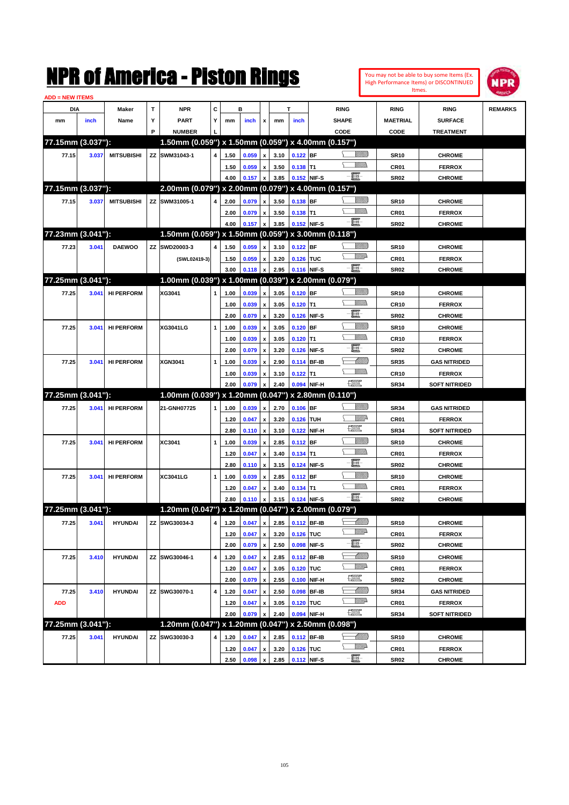|                               |       |                   |             | NMK OI AMCMICA - MISTON KINGS                       |   |              |                |                           |      |                  |             |                                                           |                               |                  | You may not be able to buy some Items (Ex.<br>High Performance Items) or DISCONTINUED<br>Itmes. | IPR            |
|-------------------------------|-------|-------------------|-------------|-----------------------------------------------------|---|--------------|----------------|---------------------------|------|------------------|-------------|-----------------------------------------------------------|-------------------------------|------------------|-------------------------------------------------------------------------------------------------|----------------|
| <b>ADD = NEW ITEMS</b><br>DIA |       | Maker             | $\mathbf T$ | <b>NPR</b>                                          | C |              | в              |                           |      | T                |             | <b>RING</b>                                               |                               | <b>RING</b>      | <b>RING</b>                                                                                     | <b>REMARKS</b> |
| mm                            | inch  | Name              | Υ           | <b>PART</b>                                         | Υ | mm           | inch           | x                         | mm   | inch             |             | <b>SHAPE</b>                                              |                               | <b>MAETRIAL</b>  | <b>SURFACE</b>                                                                                  |                |
|                               |       |                   | P           | <b>NUMBER</b>                                       |   |              |                |                           |      |                  |             | CODE                                                      |                               | CODE             | <b>TREATMENT</b>                                                                                |                |
| 77.15mm (3.037"):             |       |                   |             | 1.50mm (0.059") x 1.50mm (0.059") x 4.00mm (0.157") |   |              |                |                           |      |                  |             |                                                           |                               |                  |                                                                                                 |                |
| 77.15                         | 3.037 | <b>MITSUBISHI</b> |             | ZZ SWM31043-1                                       | 4 | 1.50         | 0.059          | $\pmb{\mathsf{x}}$        | 3.10 | $0.122$ BF       |             |                                                           | <u>Millitti</u>               | <b>SR10</b>      | <b>CHROME</b>                                                                                   |                |
|                               |       |                   |             |                                                     |   | 1.50         | 0.059          | $\pmb{\mathsf{x}}$        | 3.50 | $0.138$ T1       |             |                                                           | .<br>VMD                      | CR01             | <b>FERROX</b>                                                                                   |                |
|                               |       |                   |             |                                                     |   | 4.00         | 0.157          | $\pmb{\mathsf{x}}$        | 3.85 | 0.152 NIF-S      |             | e.                                                        |                               | <b>SR02</b>      | <b>CHROME</b>                                                                                   |                |
| 77.15mm (3.037"):             |       |                   |             | 2.00mm (0.079") x 2.00mm (0.079") x 4.00mm (0.157") |   |              |                |                           |      |                  |             |                                                           |                               |                  |                                                                                                 |                |
| 77.15                         | 3.037 | <b>MITSUBISHI</b> |             | ZZ SWM31005-1                                       | 4 | 2.00         | 0.079          | $\pmb{\mathsf{x}}$        | 3.50 | $0.138$ BF       |             |                                                           | <u>Millitti</u>               | <b>SR10</b>      | <b>CHROME</b>                                                                                   |                |
|                               |       |                   |             |                                                     |   | 2.00         | 0.079          | $\pmb{\mathsf{x}}$        | 3.50 | $0.138$ T1       |             |                                                           | .<br>VMD                      | CR01             | <b>FERROX</b>                                                                                   |                |
|                               |       |                   |             |                                                     |   | 4.00         | 0.157          | $\pmb{\mathsf{x}}$        | 3.85 | 0.152 NIF-S      |             | e.                                                        |                               | <b>SR02</b>      | <b>CHROME</b>                                                                                   |                |
| 77.23mm (3.041"):             |       |                   |             | 1.50mm (0.059") x 1.50mm (0.059") x 3.00mm (0.118") |   |              |                |                           |      |                  |             |                                                           |                               |                  |                                                                                                 |                |
| 77.23                         | 3.041 | <b>DAEWOO</b>     |             | ZZ SWD20003-3                                       | 4 | 1.50         | 0.059          | $\pmb{\mathsf{x}}$        | 3.10 | $0.122$ BF       |             |                                                           | <u>Millitti</u>               | <b>SR10</b>      | <b>CHROME</b>                                                                                   |                |
|                               |       |                   |             | (SWL02419-3)                                        |   | 1.50         | 0.059          | $\pmb{\mathsf{x}}$        | 3.20 | 0.126 TUC        |             |                                                           | <u>MMD</u>                    | CR01             | <b>FERROX</b>                                                                                   |                |
|                               |       |                   |             |                                                     |   | 3.00         | 0.118          | $\pmb{\mathsf{x}}$        | 2.95 | 0.116 NIF-S      |             | $-\mathbf{H}$                                             |                               | <b>SR02</b>      | <b>CHROME</b>                                                                                   |                |
| 77.25mm (3.041"):             |       |                   |             | 1.00mm (0.039") x 1.00mm (0.039") x 2.00mm (0.079") |   |              |                |                           |      |                  |             |                                                           |                               |                  |                                                                                                 |                |
| 77.25                         | 3.041 | <b>HI PERFORM</b> |             | XG3041                                              | 1 | 1.00         | 0.039          | $\pmb{\mathsf{x}}$        | 3.05 | $0.120$ BF       |             |                                                           | <u>Millitti</u>               | <b>SR10</b>      | <b>CHROME</b>                                                                                   |                |
|                               |       |                   |             |                                                     |   |              |                | $\pmb{\mathsf{x}}$        | 3.05 | $0.120$ T1       |             |                                                           | CM)                           | <b>CR10</b>      |                                                                                                 |                |
|                               |       |                   |             |                                                     |   | 1.00<br>2.00 | 0.039<br>0.079 | $\boldsymbol{\mathsf{x}}$ | 3.20 |                  | 0.126 NIF-S | E.                                                        |                               | <b>SR02</b>      | <b>FERROX</b><br><b>CHROME</b>                                                                  |                |
| 77.25                         | 3.041 | <b>HI PERFORM</b> |             | XG3041LG                                            | 1 | 1.00         | 0.039          | $\pmb{\mathsf{x}}$        | 3.05 | $0.120$ BF       |             |                                                           | <u>MMM</u>                    | <b>SR10</b>      | <b>CHROME</b>                                                                                   |                |
|                               |       |                   |             |                                                     |   | 1.00         | 0.039          | $\pmb{\mathsf{x}}$        | 3.05 | $0.120$ T1       |             |                                                           | .<br>VMD                      | <b>CR10</b>      | <b>FERROX</b>                                                                                   |                |
|                               |       |                   |             |                                                     |   | 2.00         | 0.079          | $\boldsymbol{\mathsf{x}}$ | 3.20 |                  | 0.126 NIF-S | E.                                                        |                               | <b>SR02</b>      | <b>CHROME</b>                                                                                   |                |
|                               |       |                   |             | <b>XGN3041</b>                                      |   |              |                |                           |      |                  | 0.114 BF-IB |                                                           | <u> UMM</u>                   |                  | <b>GAS NITRIDED</b>                                                                             |                |
| 77.25                         | 3.041 | <b>HI PERFORM</b> |             |                                                     | 1 | 1.00         | 0.039          | $\pmb{\mathsf{x}}$        | 2.90 |                  |             |                                                           | CM)                           | <b>SR35</b>      |                                                                                                 |                |
|                               |       |                   |             |                                                     |   | 1.00         | 0.039          | $\pmb{\mathsf{x}}$        | 3.10 | $0.122$ T1       |             | $f_{\text{max}}^{\text{comp}}$                            |                               | <b>CR10</b>      | <b>FERROX</b>                                                                                   |                |
| 77.25mm (3.041"):             |       |                   |             | 1.00mm (0.039") x 1.20mm (0.047") x 2.80mm (0.110") |   | 2.00         | 0.079          | $\boldsymbol{\mathsf{x}}$ | 2.40 |                  | 0.094 NIF-H |                                                           |                               | <b>SR34</b>      | <b>SOFT NITRIDED</b>                                                                            |                |
|                               |       |                   |             |                                                     |   |              |                |                           |      |                  |             |                                                           | <u>Millitti</u>               |                  |                                                                                                 |                |
| 77.25                         | 3.041 | <b>HI PERFORM</b> |             | 21-GNH07725                                         | 1 | 1.00         | 0.039          | $\pmb{\mathsf{x}}$        | 2.70 | $0.106$ BF       |             |                                                           | <u>Mille</u>                  | <b>SR34</b>      | <b>GAS NITRIDED</b>                                                                             |                |
|                               |       |                   |             |                                                     |   | 1.20         | 0.047          | $\pmb{\mathsf{x}}$        | 3.20 | 0.126 TUH        |             | 鱱                                                         |                               | CR01             | <b>FERROX</b>                                                                                   |                |
|                               |       |                   |             |                                                     |   | 2.80         | 0.110          | $\boldsymbol{\mathsf{x}}$ | 3.10 |                  | 0.122 NIF-H |                                                           | <u>Millil</u>                 | <b>SR34</b>      | <b>SOFT NITRIDED</b>                                                                            |                |
| 77.25                         | 3.041 | <b>HI PERFORM</b> |             | XC3041                                              | 1 | 1.00         | 0.039          | $\pmb{\mathsf{x}}$        | 2.85 | $0.112$ BF       |             |                                                           | .<br>VMD                      | <b>SR10</b>      | <b>CHROME</b>                                                                                   |                |
|                               |       |                   |             |                                                     |   | 1.20<br>2.80 | 0.047          | $\pmb{\mathsf{x}}$        | 3.40 | $0.134$ T1       |             | E                                                         |                               | CR01             | <b>FERROX</b>                                                                                   |                |
|                               |       | <b>HI PERFORM</b> |             | XC3041LG                                            |   |              | 0.110          | $\pmb{\mathsf{x}}$        | 3.15 | $0.112$ BF       | 0.124 NIF-S |                                                           | <u>VMM)</u>                   | <b>SR02</b>      | <b>CHROME</b>                                                                                   |                |
| 77.25                         | 3.041 |                   |             |                                                     | 1 | 1.00         | 0.039          | $\pmb{\mathsf{x}}$        | 2.85 |                  |             |                                                           | MM)                           | <b>SR10</b>      | <b>CHROME</b>                                                                                   |                |
|                               |       |                   |             |                                                     |   | 1.20         | 0.047          | $\pmb{\mathsf{x}}$        | 3.40 | $0.134$ T1       |             | E.                                                        |                               | CR01             | <b>FERROX</b>                                                                                   |                |
| 77.25mm (3.041"):             |       |                   |             | 1.20mm (0.047") x 1.20mm (0.047") x 2.00mm (0.079") |   | 2.80         | $0.110 \times$ |                           |      | 3.15 0.124 NIF-S |             |                                                           |                               | <b>SR02</b>      | <b>CHROME</b>                                                                                   |                |
|                               |       |                   |             | ZZ SWG30034-3                                       |   |              |                |                           |      |                  |             |                                                           |                               |                  |                                                                                                 |                |
| 77.25                         | 3.041 | <b>HYUNDAI</b>    |             |                                                     | 4 | 1.20         | 0.047          | $\pmb{\mathsf{x}}$        | 2.85 | 0.112 BF-IB      |             |                                                           | <u> UMB</u><br><u>Willi</u> b | <b>SR10</b>      | <b>CHROME</b>                                                                                   |                |
|                               |       |                   |             |                                                     |   | 1.20         | 0.047          | $\pmb{\mathsf{x}}$        | 3.20 | 0.126 TUC        |             | e-                                                        |                               | CR01             | <b>FERROX</b>                                                                                   |                |
|                               |       |                   |             |                                                     |   | 2.00         | 0.079          | $\pmb{\mathsf{x}}$        | 2.50 |                  | 0.098 NIF-S |                                                           |                               | SR <sub>02</sub> | <b>CHROME</b>                                                                                   |                |
| 77.25                         | 3.410 | <b>HYUNDAI</b>    |             | ZZ SWG30046-1                                       | 4 | 1.20         | 0.047          | $\pmb{\mathsf{x}}$        | 2.85 |                  | 0.112 BF-IB |                                                           | <u> UMB</u><br>₩₩             | <b>SR10</b>      | <b>CHROME</b>                                                                                   |                |
|                               |       |                   |             |                                                     |   | 1.20         | 0.047          | $\pmb{\mathsf{x}}$        | 3.05 | 0.120 TUC        |             |                                                           |                               | CR01             | <b>FERROX</b>                                                                                   |                |
|                               |       |                   |             |                                                     |   | 2.00         | 0.079          | $\pmb{\mathsf{x}}$        | 2.55 |                  | 0.100 NIF-H | $\frac{\text{const}}{\text{const}}$                       |                               | SR <sub>02</sub> | <b>CHROME</b>                                                                                   |                |
| 77.25                         | 3.410 | <b>HYUNDAI</b>    |             | ZZ SWG30070-1                                       | 4 | 1.20         | 0.047          | $\pmb{\mathsf{x}}$        | 2.50 |                  | 0.098 BF-IB |                                                           | <u>-MM)</u>                   | <b>SR34</b>      | <b>GAS NITRIDED</b>                                                                             |                |
| <b>ADD</b>                    |       |                   |             |                                                     |   | 1.20         | 0.047          | $\pmb{\mathsf{x}}$        | 3.05 | 0.120 TUC        |             |                                                           | <u>VMP</u>                    | CR01             | <b>FERROX</b>                                                                                   |                |
|                               |       |                   |             |                                                     |   | 2.00         | 0.079          | $\pmb{\mathsf{x}}$        | 2.40 |                  | 0.094 NIF-H | $\frac{1}{2}$                                             |                               | <b>SR34</b>      | <b>SOFT NITRIDED</b>                                                                            |                |
| 77.25mm (3.041"):             |       |                   |             | 1.20mm (0.047") x 1.20mm (0.047") x 2.50mm (0.098") |   |              |                |                           |      |                  |             |                                                           |                               |                  |                                                                                                 |                |
| 77.25                         | 3.041 | <b>HYUNDAI</b>    |             | ZZ SWG30030-3                                       | 4 | 1.20         | 0.047          | $\pmb{\mathsf{x}}$        | 2.85 |                  | 0.112 BF-IB | $\begin{matrix} \begin{matrix} \end{matrix} \end{matrix}$ |                               | <b>SR10</b>      | <b>CHROME</b>                                                                                   |                |
|                               |       |                   |             |                                                     |   | 1.20         | 0.047          | $\pmb{\mathsf{x}}$        | 3.20 | 0.126 TUC        |             |                                                           | <u>VM</u> A                   | CR01             | <b>FERROX</b>                                                                                   |                |
|                               |       |                   |             |                                                     |   | 2.50         | 0.098 x        |                           | 2.85 | 0.112 NIF-S      |             | $-\Xi$                                                    |                               | <b>SR02</b>      | <b>CHROME</b>                                                                                   |                |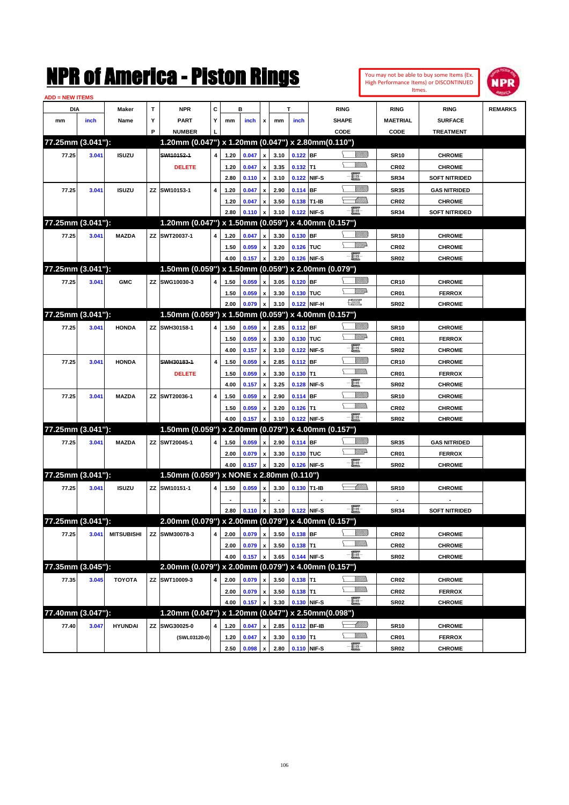

| <b>ADD = NEW ITEMS</b> |       |                   |   |                                                     |   |              |       |                           |      |             |             |                                |                  |                                       |                |
|------------------------|-------|-------------------|---|-----------------------------------------------------|---|--------------|-------|---------------------------|------|-------------|-------------|--------------------------------|------------------|---------------------------------------|----------------|
| DIA                    |       | Maker             | Т | <b>NPR</b>                                          | С |              | в     |                           |      | T           |             | <b>RING</b>                    | <b>RING</b>      | <b>RING</b>                           | <b>REMARKS</b> |
| mm                     | inch  | Name              | Y | <b>PART</b>                                         | Y | mm           | inch  | x                         | mm   | inch        |             | <b>SHAPE</b>                   | <b>MAETRIAL</b>  | <b>SURFACE</b>                        |                |
|                        |       |                   | P | <b>NUMBER</b>                                       |   |              |       |                           |      |             |             | CODE                           | CODE             | <b>TREATMENT</b>                      |                |
| 77.25mm (3.041"):      |       |                   |   | 1.20mm (0.047") x 1.20mm (0.047") x 2.80mm (0.110") |   |              |       |                           |      |             |             |                                |                  |                                       |                |
| 77.25                  | 3.041 | <b>ISUZU</b>      |   | SWI10152-1                                          | 4 | 1.20         | 0.047 | $\pmb{\mathsf{x}}$        | 3.10 | $0.122$ BF  |             | <u>Sillilli</u>                | <b>SR10</b>      | <b>CHROME</b>                         |                |
|                        |       |                   |   | <b>DELETE</b>                                       |   | 1.20         | 0.047 | x                         | 3.35 | $0.132$ T1  |             | <br>Militar                    | <b>CR02</b>      | <b>CHROME</b>                         |                |
|                        |       |                   |   |                                                     |   | 2.80         | 0.110 | $\pmb{\mathsf{x}}$        | 3.10 |             | 0.122 NIF-S | E                              | <b>SR34</b>      | <b>SOFT NITRIDED</b>                  |                |
| 77.25                  | 3.041 | <b>ISUZU</b>      |   | ZZ SWI10153-1                                       | 4 | 1.20         | 0.047 | x                         | 2.90 | $0.114$ BF  |             | <u>Sillilli</u>                | <b>SR35</b>      | <b>GAS NITRIDED</b>                   |                |
|                        |       |                   |   |                                                     |   |              | 0.047 |                           | 3.50 | 0.138 T1-IB |             | <u>UMB</u>                     |                  |                                       |                |
|                        |       |                   |   |                                                     |   | 1.20<br>2.80 | 0.110 | x                         | 3.10 | 0.122 NIF-S |             | -E.                            | CR <sub>02</sub> | <b>CHROME</b><br><b>SOFT NITRIDED</b> |                |
| 77.25mm (3.041"):      |       |                   |   | 1.20mm (0.047") x 1.50mm (0.059") x 4.00mm (0.157") |   |              |       | x                         |      |             |             |                                | <b>SR34</b>      |                                       |                |
|                        |       |                   |   |                                                     |   |              |       |                           |      |             |             | <u>Sillilli</u>                |                  |                                       |                |
| 77.25                  | 3.041 | <b>MAZDA</b>      |   | ZZ SWT20037-1                                       | 4 | 1.20         | 0.047 | x                         | 3.30 | 0.130 BF    |             | WW                             | <b>SR10</b>      | <b>CHROME</b>                         |                |
|                        |       |                   |   |                                                     |   | 1.50         | 0.059 | x                         | 3.20 | 0.126 TUC   |             | -8                             | CR <sub>02</sub> | <b>CHROME</b>                         |                |
| 77.25mm (3.041"):      |       |                   |   | 1.50mm (0.059") x 1.50mm (0.059") x 2.00mm (0.079") |   | 4.00         | 0.157 | x                         | 3.20 | 0.126 NIF-S |             |                                | SR <sub>02</sub> | <b>CHROME</b>                         |                |
|                        |       |                   |   |                                                     |   |              |       |                           |      |             |             |                                |                  |                                       |                |
| 77.25                  | 3.041 | <b>GMC</b>        |   | ZZ SWG10030-3                                       | 4 | 1.50         | 0.059 | x                         | 3.05 | 0.120 BF    |             | <u>Sillilli</u><br><u>WW</u> A | <b>CR10</b>      | <b>CHROME</b>                         |                |
|                        |       |                   |   |                                                     |   | 1.50         | 0.059 | x                         | 3.30 | 0.130 TUC   |             | H                              | CR01             | <b>FERROX</b>                         |                |
|                        |       |                   |   |                                                     |   | 2.00         | 0.079 | x                         | 3.10 | 0.122 NIF-H |             |                                | SR <sub>02</sub> | <b>CHROME</b>                         |                |
| 77.25mm (3.041"):      |       |                   |   | 1.50mm (0.059") x 1.50mm (0.059") x 4.00mm (0.157") |   |              |       |                           |      |             |             |                                |                  |                                       |                |
| 77.25                  | 3.041 | <b>HONDA</b>      |   | ZZ SWH30158-1                                       | 4 | 1.50         | 0.059 | x                         | 2.85 | 0.112 BF    |             | <u> UMB</u>                    | <b>SR10</b>      | <b>CHROME</b>                         |                |
|                        |       |                   |   |                                                     |   | 1.50         | 0.059 | x                         | 3.30 | 0.130 TUC   |             | ₩₩                             | CR01             | <b>FERROX</b>                         |                |
|                        |       |                   |   |                                                     |   | 4.00         | 0.157 | $\pmb{\mathsf{x}}$        | 3.10 |             | 0.122 NIF-S | E                              | <b>SR02</b>      | <b>CHROME</b>                         |                |
| 77.25                  | 3.041 | <b>HONDA</b>      |   | SWH30183-1                                          | 4 | 1.50         | 0.059 | x                         | 2.85 | $0.112$ BF  |             | <u>Sillilli</u>                | <b>CR10</b>      | <b>CHROME</b>                         |                |
|                        |       |                   |   | <b>DELETE</b>                                       |   | 1.50         | 0.059 | x                         | 3.30 | $0.130$ T1  |             | <br>Milio                      | CR01             | <b>FERROX</b>                         |                |
|                        |       |                   |   |                                                     |   | 4.00         | 0.157 | $\pmb{\mathsf{x}}$        | 3.25 |             | 0.128 NIF-S | E                              | <b>SR02</b>      | <b>CHROME</b>                         |                |
| 77.25                  | 3.041 | <b>MAZDA</b>      |   | ZZ SWT20036-1                                       | 4 | 1.50         | 0.059 | x                         | 2.90 | $0.114$ BF  |             | <u>Villitti</u>                | <b>SR10</b>      | <b>CHROME</b>                         |                |
|                        |       |                   |   |                                                     |   | 1.50         | 0.059 | x                         | 3.20 | $0.126$ T1  |             | <br>Villida                    | CR <sub>02</sub> | <b>CHROME</b>                         |                |
|                        |       |                   |   |                                                     |   | 4.00         | 0.157 | x                         | 3.10 | 0.122 NIF-S |             | -日                             | <b>SR02</b>      | <b>CHROME</b>                         |                |
| 77.25mm (3.041"):      |       |                   |   | 1.50mm (0.059") x 2.00mm (0.079") x 4.00mm (0.157") |   |              |       |                           |      |             |             |                                |                  |                                       |                |
| 77.25                  | 3.041 | <b>MAZDA</b>      |   | ZZ SWT20045-1                                       | 4 | 1.50         | 0.059 | x                         | 2.90 | 0.114 BF    |             | <u>Villitti</u>                | <b>SR35</b>      | <b>GAS NITRIDED</b>                   |                |
|                        |       |                   |   |                                                     |   | 2.00         | 0.079 | x                         | 3.30 | 0.130 TUC   |             | WW                             | CR01             | <b>FERROX</b>                         |                |
|                        |       |                   |   |                                                     |   | 4.00         | 0.157 | $\pmb{\mathsf{x}}$        | 3.20 | 0.126 NIF-S |             | -E-                            | <b>SR02</b>      | <b>CHROME</b>                         |                |
| 77.25mm (3.041"):      |       |                   |   | 1.50mm (0.059") x NONE x 2.80mm (0.110")            |   |              |       |                           |      |             |             |                                |                  |                                       |                |
| 77.25                  | 3.041 | <b>ISUZU</b>      |   | ZZ SWI10151-1                                       | 4 | 1.50         | 0.059 | $\boldsymbol{\mathsf{x}}$ | 3.30 | 0.130 T1-IB |             | s - Millida                    | <b>SR10</b>      | <b>CHROME</b>                         |                |
|                        |       |                   |   |                                                     |   |              |       |                           |      |             |             |                                |                  |                                       |                |
|                        |       |                   |   |                                                     |   | 2.80         | 0.110 | $\pmb{\mathsf{x}}$        | 3.10 | 0.122 NIF-S |             | -日                             | <b>SR34</b>      | <b>SOFT NITRIDED</b>                  |                |
| 77.25mm (3.041"):      |       |                   |   | 2.00mm (0.079") x 2.00mm (0.079") x 4.00mm (0.157") |   |              |       |                           |      |             |             |                                |                  |                                       |                |
| 77.25                  | 3.041 | <b>MITSUBISHI</b> |   | ZZ SWM30078-3                                       | 4 | 2.00         | 0.079 | $\pmb{\mathsf{x}}$        | 3.50 | 0.138 BF    |             | <u>VIIII)</u>                  | <b>CR02</b>      | <b>CHROME</b>                         |                |
|                        |       |                   |   |                                                     |   | 2.00         | 0.079 | x                         | 3.50 | $0.138$ T1  |             | <br>Villida                    | CR <sub>02</sub> | <b>CHROME</b>                         |                |
|                        |       |                   |   |                                                     |   | 4.00         | 0.157 | x                         | 3.65 | 0.144 NIF-S |             | $-\blacksquare$                | SR <sub>02</sub> | <b>CHROME</b>                         |                |
| 77.35mm (3.045"):      |       |                   |   | 2.00mm (0.079") x 2.00mm (0.079") x 4.00mm (0.157") |   |              |       |                           |      |             |             |                                |                  |                                       |                |
| 77.35                  | 3.045 | <b>TOYOTA</b>     |   | ZZ SWT10009-3                                       | 4 | 2.00         | 0.079 | x                         | 3.50 | $0.138$ T1  |             | <u>Willib</u>                  | CR <sub>02</sub> | <b>CHROME</b>                         |                |
|                        |       |                   |   |                                                     |   | 2.00         | 0.079 | $\pmb{\mathsf{x}}$        | 3.50 | $0.138$ T1  |             | <u>Villida</u>                 | CR02             | <b>FERROX</b>                         |                |
|                        |       |                   |   |                                                     |   | 4.00         | 0.157 | x                         | 3.30 | 0.130 NIF-S |             | $-\Xi$ -                       | SR <sub>02</sub> | <b>CHROME</b>                         |                |
| 77.40mm (3.047"):      |       |                   |   | 1.20mm (0.047") x 1.20mm (0.047") x 2.50mm (0.098") |   |              |       |                           |      |             |             |                                |                  |                                       |                |
| 77.40                  | 3.047 | <b>HYUNDAI</b>    |   | ZZ SWG30025-0                                       | 4 | 1.20         | 0.047 | X                         | 2.85 |             | 0.112 BF-IB | <u> MMB</u>                    | <b>SR10</b>      | <b>CHROME</b>                         |                |
|                        |       |                   |   | (SWL03120-0)                                        |   | 1.20         | 0.047 | x                         | 3.30 | $0.130$ T1  |             | <u>VMMs</u>                    | CR01             | <b>FERROX</b>                         |                |
|                        |       |                   |   |                                                     |   | 2.50         | 0.098 | x                         | 2.80 | 0.110 NIF-S |             | $-\Xi$ -                       | <b>SR02</b>      | <b>CHROME</b>                         |                |
|                        |       |                   |   |                                                     |   |              |       |                           |      |             |             |                                |                  |                                       |                |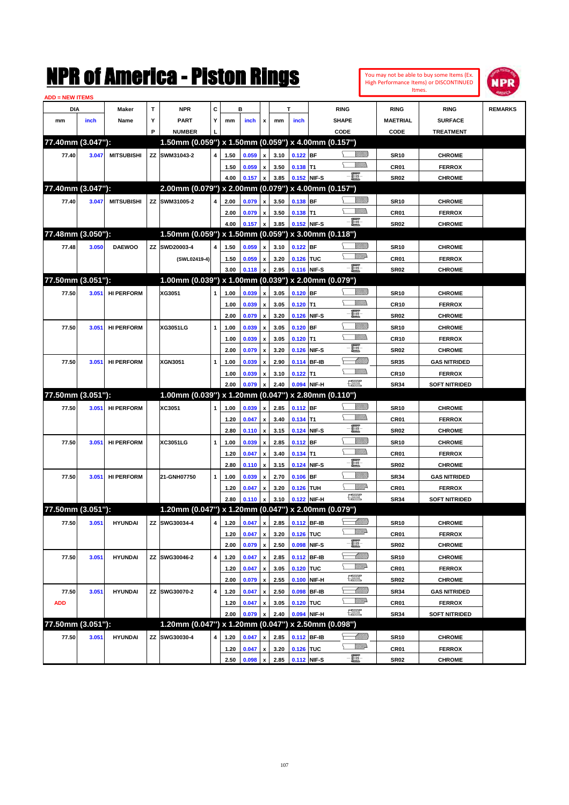| <b>ADD = NEW ITEMS</b> |       |                   |    | NMK OI AMCMICA - MISTON KINGS                       |   |      |       |                           |      |            |             |                                   |                  |                  | You may not be able to buy some Items (Ex.<br>High Performance Items) or DISCONTINUED<br>Itmes. | IPR            |
|------------------------|-------|-------------------|----|-----------------------------------------------------|---|------|-------|---------------------------|------|------------|-------------|-----------------------------------|------------------|------------------|-------------------------------------------------------------------------------------------------|----------------|
| DIA                    |       | Maker             | T  | <b>NPR</b>                                          | C |      | в     |                           |      | T          |             | <b>RING</b>                       |                  | <b>RING</b>      | <b>RING</b>                                                                                     | <b>REMARKS</b> |
| mm                     | inch  | Name              | Υ  | PART                                                | Y | mm   | inch  | x                         | mm   | inch       |             | <b>SHAPE</b>                      |                  | <b>MAETRIAL</b>  | <b>SURFACE</b>                                                                                  |                |
|                        |       |                   | P  | <b>NUMBER</b>                                       |   |      |       |                           |      |            |             | CODE                              |                  | CODE             | <b>TREATMENT</b>                                                                                |                |
| 77.40mm (3.047"):      |       |                   |    | 1.50mm (0.059") x 1.50mm (0.059") x 4.00mm (0.157") |   |      |       |                           |      |            |             |                                   |                  |                  |                                                                                                 |                |
| 77.40                  | 3.047 | <b>MITSUBISHI</b> | ZZ | SWM31043-2                                          | 4 | 1.50 | 0.059 | x                         | 3.10 | $0.122$ BF |             |                                   |                  | <b>SR10</b>      | <b>CHROME</b>                                                                                   |                |
|                        |       |                   |    |                                                     |   | 1.50 | 0.059 | x                         | 3.50 | $0.138$ T1 |             |                                   | VM))             | CR01             | <b>FERROX</b>                                                                                   |                |
|                        |       |                   |    |                                                     |   | 4.00 | 0.157 | x                         | 3.85 |            | 0.152 NIF-S | - 1                               |                  | <b>SR02</b>      | <b>CHROME</b>                                                                                   |                |
| 77.40mm (3.047"):      |       |                   |    | 2.00mm (0.079") x 2.00mm (0.079") x 4.00mm (0.157") |   |      |       |                           |      |            |             |                                   |                  |                  |                                                                                                 |                |
| 77.40                  | 3.047 | <b>MITSUBISHI</b> | ZZ | SWM31005-2                                          | 4 | 2.00 | 0.079 | $\mathbf{x}$              | 3.50 | $0.138$ BF |             |                                   | <u>Millill</u>   | <b>SR10</b>      | <b>CHROME</b>                                                                                   |                |
|                        |       |                   |    |                                                     |   | 2.00 | 0.079 | x                         | 3.50 | $0.138$ T1 |             |                                   | 7777).           | CR01             | <b>FERROX</b>                                                                                   |                |
|                        |       |                   |    |                                                     |   | 4.00 | 0.157 | x                         | 3.85 |            | 0.152 NIF-S | - 1                               |                  | <b>SR02</b>      | <b>CHROME</b>                                                                                   |                |
| 77.48mm (3.050"):      |       |                   |    | 1.50mm (0.059") x 1.50mm (0.059") x 3.00mm (0.118") |   |      |       |                           |      |            |             |                                   |                  |                  |                                                                                                 |                |
| 77.48                  | 3.050 | <b>DAEWOO</b>     | ZZ | SWD20003-4                                          | 4 | 1.50 | 0.059 | $\mathbf{x}$              | 3.10 | $0.122$ BF |             |                                   | <u>Sillilli</u>  | <b>SR10</b>      | <b>CHROME</b>                                                                                   |                |
|                        |       |                   |    | (SWL02419-4)                                        |   | 1.50 | 0.059 | x                         | 3.20 | 0.126 TUC  |             |                                   | <u>Willia</u>    | CR01             | <b>FERROX</b>                                                                                   |                |
|                        |       |                   |    |                                                     |   | 3.00 | 0.118 | x                         | 2.95 |            | 0.116 NIF-S | -8                                |                  | <b>SR02</b>      | <b>CHROME</b>                                                                                   |                |
| 77.50mm (3.051"):      |       |                   |    | 1.00mm (0.039") x 1.00mm (0.039") x 2.00mm (0.079") |   |      |       |                           |      |            |             |                                   |                  |                  |                                                                                                 |                |
| 77.50                  |       | <b>HI PERFORM</b> |    | XG3051                                              | 1 |      | 0.039 |                           | 3.05 | $0.120$ BF |             |                                   | <u>Sillilli</u>  |                  | <b>CHROME</b>                                                                                   |                |
|                        | 3.051 |                   |    |                                                     |   | 1.00 |       | x                         |      |            |             |                                   | VM))             | <b>SR10</b>      |                                                                                                 |                |
|                        |       |                   |    |                                                     |   | 1.00 | 0.039 | x                         | 3.05 | $0.120$ T1 |             | E                                 |                  | <b>CR10</b>      | <b>FERROX</b>                                                                                   |                |
|                        |       |                   |    |                                                     |   | 2.00 | 0.079 | $\boldsymbol{\mathsf{x}}$ | 3.20 |            | 0.126 NIF-S |                                   | <u>Milli</u>     | <b>SR02</b>      | <b>CHROME</b>                                                                                   |                |
| 77.50                  | 3.051 | <b>HI PERFORM</b> |    | XG3051LG                                            | 1 | 1.00 | 0.039 | x                         | 3.05 | $0.120$ BF |             |                                   | .<br>MM          | <b>SR10</b>      | <b>CHROME</b>                                                                                   |                |
|                        |       |                   |    |                                                     |   | 1.00 | 0.039 | $\boldsymbol{\mathsf{x}}$ | 3.05 | $0.120$ T1 |             | E                                 |                  | <b>CR10</b>      | <b>FERROX</b>                                                                                   |                |
|                        |       |                   |    |                                                     |   | 2.00 | 0.079 | X                         | 3.20 |            | 0.126 NIF-S |                                   |                  | <b>SR02</b>      | <b>CHROME</b>                                                                                   |                |
| 77.50                  | 3.051 | <b>HI PERFORM</b> |    | XGN3051                                             | 1 | 1.00 | 0.039 | x                         | 2.90 |            | 0.114 BF-IB |                                   | <u> UMM</u>      | <b>SR35</b>      | <b>GAS NITRIDED</b>                                                                             |                |
|                        |       |                   |    |                                                     |   | 1.00 | 0.039 | x                         | 3.10 | $0.122$ T1 |             |                                   | CM)              | <b>CR10</b>      | <b>FERROX</b>                                                                                   |                |
|                        |       |                   |    |                                                     |   | 2.00 | 0.079 | X                         | 2.40 |            | 0.094 NIF-H | <u>1999</u>                       |                  | <b>SR34</b>      | <b>SOFT NITRIDED</b>                                                                            |                |
| 77.50mm (3.051"):      |       |                   |    | 1.00mm (0.039") x 1.20mm (0.047") x 2.80mm (0.110") |   |      |       |                           |      |            |             |                                   |                  |                  |                                                                                                 |                |
| 77.50                  | 3.051 | <b>HI PERFORM</b> |    | XC3051                                              | 1 | 1.00 | 0.039 | x                         | 2.85 | $0.112$ BF |             |                                   | <u>Sillilli</u>  | <b>SR10</b>      | <b>CHROME</b>                                                                                   |                |
|                        |       |                   |    |                                                     |   | 1.20 | 0.047 | x                         | 3.40 | $0.134$ T1 |             |                                   | VM))             | CR01             | <b>FERROX</b>                                                                                   |                |
|                        |       |                   |    |                                                     |   | 2.80 | 0.110 | $\boldsymbol{\mathsf{x}}$ | 3.15 |            | 0.124 NIF-S | E                                 |                  | <b>SR02</b>      | <b>CHROME</b>                                                                                   |                |
| 77.50                  | 3.051 | <b>HI PERFORM</b> |    | XC3051LG                                            | 1 | 1.00 | 0.039 | x                         | 2.85 | 0.112 BF   |             |                                   | <u>Milli</u>     | <b>SR10</b>      | <b>CHROME</b>                                                                                   |                |
|                        |       |                   |    |                                                     |   | 1.20 | 0.047 | x                         | 3.40 | $0.134$ T1 |             |                                   | VMM)             | CR <sub>01</sub> | <b>FERROX</b>                                                                                   |                |
|                        |       |                   |    |                                                     |   | 2.80 | 0.110 | $\boldsymbol{\mathsf{x}}$ | 3.15 |            | 0.124 NIF-S | E                                 |                  | <b>SR02</b>      | <b>CHROME</b>                                                                                   |                |
| 77.50                  | 3.051 | <b>HI PERFORM</b> |    | 21-GNH07750                                         | 1 | 1.00 | 0.039 | x                         | 2.70 | $0.106$ BF |             |                                   | <u>Milli</u>     | <b>SR34</b>      | <b>GAS NITRIDED</b>                                                                             |                |
|                        |       |                   |    |                                                     |   | 1.20 | 0.047 | x                         | 3.20 | 0.126 TUH  |             |                                   | <u>Mille</u>     | CR01             | <b>FERROX</b>                                                                                   |                |
|                        |       |                   |    |                                                     |   | 2.80 | 0.110 | $\mathbf{x}$              | 3.10 |            | 0.122 NIF-H | R                                 |                  | <b>SR34</b>      | <b>SOFT NITRIDED</b>                                                                            |                |
| 77.50mm (3.051"):      |       |                   |    | 1.20mm (0.047") x 1.20mm (0.047") x 2.00mm (0.079") |   |      |       |                           |      |            |             |                                   |                  |                  |                                                                                                 |                |
| 77.50                  | 3.051 | <b>HYUNDAI</b>    |    | ZZ SWG30034-4                                       | 4 | 1.20 | 0.047 | $\pmb{\mathsf{x}}$        | 2.85 |            | 0.112 BF-IB |                                   | <u> UMB</u>      | <b>SR10</b>      | <b>CHROME</b>                                                                                   |                |
|                        |       |                   |    |                                                     |   | 1.20 | 0.047 | $\pmb{\mathsf{x}}$        | 3.20 | 0.126 TUC  |             |                                   | <u>VMP</u>       | CR01             | <b>FERROX</b>                                                                                   |                |
|                        |       |                   |    |                                                     |   | 2.00 | 0.079 | $\boldsymbol{\mathsf{x}}$ | 2.50 |            | 0.098 NIF-S | e.                                |                  | SR <sub>02</sub> | <b>CHROME</b>                                                                                   |                |
| 77.50                  | 3.051 | <b>HYUNDAI</b>    | ΖZ | SWG30046-2                                          | 4 | 1.20 | 0.047 | X                         | 2.85 |            | 0.112 BF-IB |                                   | <u> Milli</u> ll | <b>SR10</b>      | <b>CHROME</b>                                                                                   |                |
|                        |       |                   |    |                                                     |   | 1.20 | 0.047 | $\pmb{\mathsf{x}}$        | 3.05 | 0.120 TUC  |             |                                   | ₩₩               | CR01             | <b>FERROX</b>                                                                                   |                |
|                        |       |                   |    |                                                     |   | 2.00 | 0.079 | $\pmb{\mathsf{x}}$        | 2.55 |            | 0.100 NIF-H | $\frac{\text{comp}}{\text{temp}}$ |                  | <b>SR02</b>      | <b>CHROME</b>                                                                                   |                |
| 77.50                  | 3.051 | <b>HYUNDAI</b>    |    | ZZ SWG30070-2                                       | 4 | 1.20 | 0.047 | $\pmb{\mathsf{x}}$        | 2.50 |            | 0.098 BF-IB | — Milliddə                        |                  | <b>SR34</b>      | <b>GAS NITRIDED</b>                                                                             |                |
| <b>ADD</b>             |       |                   |    |                                                     |   | 1.20 | 0.047 | $\pmb{\mathsf{x}}$        | 3.05 | 0.120 TUC  |             |                                   | <u>VMP</u>       | CR01             | <b>FERROX</b>                                                                                   |                |
|                        |       |                   |    |                                                     |   | 2.00 | 0.079 | X                         | 2.40 |            | 0.094 NIF-H | $\frac{1}{2}$                     |                  | <b>SR34</b>      | <b>SOFT NITRIDED</b>                                                                            |                |
| 77.50mm (3.051"):      |       |                   |    | 1.20mm (0.047") x 1.20mm (0.047") x 2.50mm (0.098") |   |      |       |                           |      |            |             |                                   |                  |                  |                                                                                                 |                |
| 77.50                  | 3.051 | <b>HYUNDAI</b>    |    | ZZ SWG30030-4                                       | 4 | 1.20 | 0.047 | $\pmb{\mathsf{x}}$        | 2.85 |            | 0.112 BF-IB | — Milliddə                        |                  | <b>SR10</b>      | <b>CHROME</b>                                                                                   |                |
|                        |       |                   |    |                                                     |   |      |       |                           |      |            |             |                                   | <u>WW</u> A      |                  |                                                                                                 |                |
|                        |       |                   |    |                                                     |   | 1.20 | 0.047 | $\pmb{\mathsf{x}}$        | 3.20 | 0.126 TUC  |             | $-\Xi$                            |                  | CR01             | <b>FERROX</b>                                                                                   |                |
|                        |       |                   |    |                                                     |   | 2.50 | 0.098 | $\pmb{\mathsf{x}}$        | 2.85 |            | 0.112 NIF-S |                                   |                  | SR <sub>02</sub> | <b>CHROME</b>                                                                                   |                |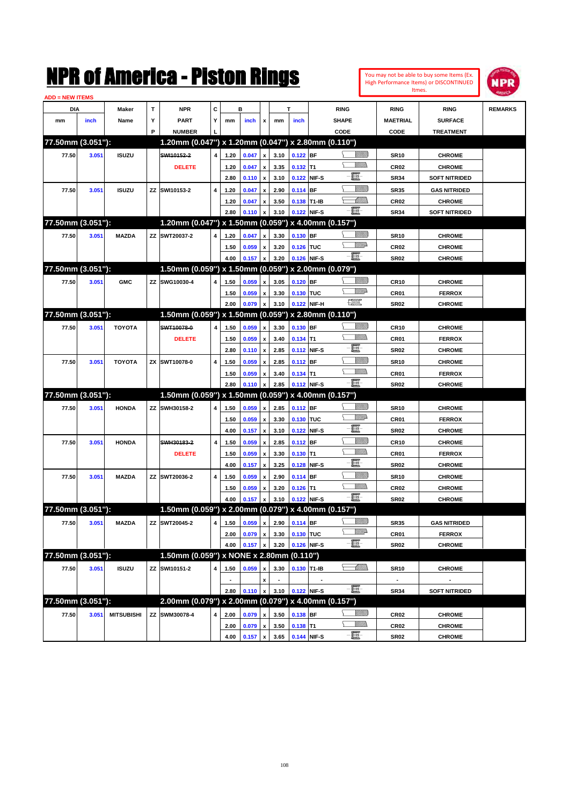

| <b>ADD = NEW ITEMS</b> |       |                   |   |                                                     |                |                |                              |                    |                          |             |             |                    |                  |                      |                |
|------------------------|-------|-------------------|---|-----------------------------------------------------|----------------|----------------|------------------------------|--------------------|--------------------------|-------------|-------------|--------------------|------------------|----------------------|----------------|
| DIA                    |       | Maker             | Т | <b>NPR</b>                                          | С              |                | в                            |                    |                          | T           |             | <b>RING</b>        | <b>RING</b>      | <b>RING</b>          | <b>REMARKS</b> |
| mm                     | inch  | Name              | Υ | <b>PART</b>                                         | Y              | mm             | inch                         | x                  | mm                       | inch        |             | <b>SHAPE</b>       | <b>MAETRIAL</b>  | <b>SURFACE</b>       |                |
|                        |       |                   | P | <b>NUMBER</b>                                       |                |                |                              |                    |                          |             |             | CODE               | CODE             | <b>TREATMENT</b>     |                |
| 77.50mm (3.051"):      |       |                   |   | 1.20mm (0.047") x 1.20mm (0.047") x 2.80mm (0.110") |                |                |                              |                    |                          |             |             |                    |                  |                      |                |
| 77.50                  | 3.051 | <b>ISUZU</b>      |   | SWI10152-2                                          | $\overline{4}$ | 1.20           | 0.047                        | x                  | 3.10                     | $0.122$ BF  |             | <u>Sillilli</u>    | <b>SR10</b>      | <b>CHROME</b>        |                |
|                        |       |                   |   | <b>DELETE</b>                                       |                | 1.20           | 0.047                        | x                  | 3.35                     | $0.132$ T1  |             |                    | <b>CR02</b>      | <b>CHROME</b>        |                |
|                        |       |                   |   |                                                     |                | 2.80           | 0.110                        | $\pmb{\mathsf{x}}$ | 3.10                     |             | 0.122 NIF-S | E                  | <b>SR34</b>      | <b>SOFT NITRIDED</b> |                |
| 77.50                  | 3.051 | <b>ISUZU</b>      |   | ZZ SWI10153-2                                       | 4              | 1.20           | 0.047                        | x                  | 2.90                     | $0.114$ BF  |             | <u>Sillilli</u>    | <b>SR35</b>      | <b>GAS NITRIDED</b>  |                |
|                        |       |                   |   |                                                     |                | 1.20           | 0.047                        | x                  | 3.50                     | 0.138 T1-IB |             | <u>UMB</u>         | CR <sub>02</sub> | <b>CHROME</b>        |                |
|                        |       |                   |   |                                                     |                | 2.80           | 0.110                        | x                  | 3.10                     | 0.122 NIF-S |             | -6                 | <b>SR34</b>      | <b>SOFT NITRIDED</b> |                |
| 77.50mm (3.051"):      |       |                   |   | 1.20mm (0.047") x 1.50mm (0.059") x 4.00mm (0.157") |                |                |                              |                    |                          |             |             |                    |                  |                      |                |
| 77.50                  | 3.051 | <b>MAZDA</b>      |   | ZZ SWT20037-2                                       | 4              | 1.20           | 0.047                        | x                  | 3.30                     | 0.130 BF    |             | <u>Sillilli</u>    | <b>SR10</b>      | <b>CHROME</b>        |                |
|                        |       |                   |   |                                                     |                | 1.50           | 0.059                        | x                  | 3.20                     | 0.126 TUC   |             | <u>WW</u> A        | CR <sub>02</sub> | <b>CHROME</b>        |                |
|                        |       |                   |   |                                                     |                | 4.00           | 0.157                        | x                  | 3.20                     | 0.126 NIF-S |             | -8                 | <b>SR02</b>      | <b>CHROME</b>        |                |
| 77.50mm (3.051"):      |       |                   |   | 1.50mm (0.059") x 1.50mm (0.059") x 2.00mm (0.079") |                |                |                              |                    |                          |             |             |                    |                  |                      |                |
| 77.50                  | 3.051 | <b>GMC</b>        |   | ZZ SWG10030-4                                       | 4              | 1.50           | 0.059                        | x                  | 3.05                     | 0.120 BF    |             | <u>Sillilli</u>    | <b>CR10</b>      | <b>CHROME</b>        |                |
|                        |       |                   |   |                                                     |                | 1.50           | 0.059                        | x                  | 3.30                     | 0.130 TUC   |             | <u>VMD</u>         | CR01             | <b>FERROX</b>        |                |
|                        |       |                   |   |                                                     |                | 2.00           | 0.079                        | x                  | 3.10                     |             | 0.122 NIF-H | <b>The Control</b> | <b>SR02</b>      | <b>CHROME</b>        |                |
| 77.50mm (3.051"):      |       |                   |   | 1.50mm (0.059") x 1.50mm (0.059") x 2.80mm (0.110") |                |                |                              |                    |                          |             |             |                    |                  |                      |                |
| 77.50                  | 3.051 | <b>TOYOTA</b>     |   | SWT10078-0                                          | 4              | 1.50           | 0.059                        | x                  | 3.30                     | 0.130 BF    |             | <u>Sillilli</u>    | <b>CR10</b>      | <b>CHROME</b>        |                |
|                        |       |                   |   | <b>DELETE</b>                                       |                | 1.50           | 0.059                        | x                  | 3.40                     | $0.134$ T1  |             | <br>Militar        | CR01             | <b>FERROX</b>        |                |
|                        |       |                   |   |                                                     |                | 2.80           | 0.110                        | $\pmb{\mathsf{x}}$ | 2.85                     |             | 0.112 NIF-S | E                  | <b>SR02</b>      | <b>CHROME</b>        |                |
| 77.50                  | 3.051 | <b>TOYOTA</b>     |   | ZX SWT10078-0                                       | 4              | 1.50           | 0.059                        | x                  | 2.85                     | $0.112$ BF  |             | <u>VIIII)</u>      | <b>SR10</b>      | <b>CHROME</b>        |                |
|                        |       |                   |   |                                                     |                | 1.50           | 0.059                        | x                  | 3.40                     | $0.134$ T1  |             |                    | CR01             | <b>FERROX</b>        |                |
|                        |       |                   |   |                                                     |                | 2.80           | 0.110                        | x                  | 2.85                     | 0.112 NIF-S |             | -8                 | <b>SR02</b>      | <b>CHROME</b>        |                |
| 77.50mm (3.051"):      |       |                   |   | 1.50mm (0.059") x 1.50mm (0.059") x 4.00mm (0.157") |                |                |                              |                    |                          |             |             |                    |                  |                      |                |
| 77.50                  | 3.051 | <b>HONDA</b>      |   | ZZ SWH30158-2                                       | 4              | 1.50           | 0.059                        | x                  | 2.85                     | 0.112 BF    |             | <u>Sillilli</u>    | <b>SR10</b>      | <b>CHROME</b>        |                |
|                        |       |                   |   |                                                     |                | 1.50           | 0.059                        | x                  | 3.30                     | 0.130 TUC   |             | <u>WW</u> A        | CR01             | <b>FERROX</b>        |                |
|                        |       |                   |   |                                                     |                | 4.00           | 0.157                        | x                  | 3.10                     |             | 0.122 NIF-S | e                  | <b>SR02</b>      | <b>CHROME</b>        |                |
| 77.50                  | 3.051 | <b>HONDA</b>      |   | SWH30183-2                                          | 4              | 1.50           | 0.059                        | x                  | 2.85                     | $0.112$ BF  |             | <u>Sillilli</u>    | <b>CR10</b>      | <b>CHROME</b>        |                |
|                        |       |                   |   | <b>DELETE</b>                                       |                | 1.50           | 0.059                        | x                  | 3.30                     | $0.130$ T1  |             |                    | CR <sub>01</sub> | <b>FERROX</b>        |                |
|                        |       |                   |   |                                                     |                | 4.00           | 0.157                        | x                  | 3.25                     |             | 0.128 NIF-S | e                  | <b>SR02</b>      | <b>CHROME</b>        |                |
| 77.50                  | 3.051 | <b>MAZDA</b>      |   | ZZ SWT20036-2                                       | 4              | 1.50           | 0.059                        | x                  | 2.90                     | 0.114 BF    |             | <u>VIIII)</u>      | <b>SR10</b>      | <b>CHROME</b>        |                |
|                        |       |                   |   |                                                     |                | 1.50           | 0.059                        | x                  | 3.20                     | $0.126$ T1  |             | <br>Militar        | <b>CR02</b>      | <b>CHROME</b>        |                |
|                        |       |                   |   |                                                     |                | 4.00           | 0.157                        | x                  | 3.10                     | 0.122 NIF-S |             | -8                 | <b>SR02</b>      | <b>CHROME</b>        |                |
| 77.50mm (3.051"):      |       |                   |   | 1.50mm (0.059") x 2.00mm (0.079") x 4.00mm (0.157") |                |                |                              |                    |                          |             |             |                    |                  |                      |                |
| 77.50                  | 3.051 | <b>MAZDA</b>      |   | ZZ SWT20045-2                                       |                |                | 4 1.50 0.059 x 2.90 0.114 BF |                    |                          |             |             | <u>VIIII)</u>      | <b>SR35</b>      | <b>GAS NITRIDED</b>  |                |
|                        |       |                   |   |                                                     |                | 2.00           | 0.079                        | $\pmb{\mathsf{x}}$ | 3.30                     | 0.130 TUC   |             | <u>WW</u> A        | CR01             | <b>FERROX</b>        |                |
|                        |       |                   |   |                                                     |                | 4.00           | 0.157                        | x                  | 3.20                     | 0.126 NIF-S |             | -E-                | <b>SR02</b>      | <b>CHROME</b>        |                |
| 77.50mm (3.051"):      |       |                   |   | 1.50mm (0.059") x NONE x 2.80mm (0.110")            |                |                |                              |                    |                          |             |             |                    |                  |                      |                |
| 77.50                  | 3.051 | <b>ISUZU</b>      |   | ZZ SWI10151-2                                       | 4              | 1.50           | 0.059                        | x                  | 3.30                     | 0.130 T1-IB |             | <u>— Milli</u> m   | <b>SR10</b>      | <b>CHROME</b>        |                |
|                        |       |                   |   |                                                     |                | $\blacksquare$ |                              | x                  | $\overline{\phantom{a}}$ |             |             |                    | $\blacksquare$   | $\blacksquare$       |                |
|                        |       |                   |   |                                                     |                | 2.80           | 0.110                        | $\pmb{\mathsf{x}}$ | 3.10                     | 0.122 NIF-S |             | -8                 | <b>SR34</b>      | <b>SOFT NITRIDED</b> |                |
| 77.50mm (3.051"):      |       |                   |   | 2.00mm (0.079") x 2.00mm (0.079") x 4.00mm (0.157") |                |                |                              |                    |                          |             |             |                    |                  |                      |                |
| 77.50                  | 3.051 | <b>MITSUBISHI</b> |   | ZZ SWM30078-4                                       | 4              | 2.00           | 0.079                        | $\pmb{\mathsf{x}}$ | 3.50                     | 0.138 BF    |             | <u>Willib</u>      | CR <sub>02</sub> | <b>CHROME</b>        |                |
|                        |       |                   |   |                                                     |                | 2.00           | 0.079                        | x                  | 3.50                     | $0.138$ T1  |             | <u>Willib</u>      | CR <sub>02</sub> | <b>CHROME</b>        |                |
|                        |       |                   |   |                                                     |                | 4.00           | 0.157                        | $\pmb{\mathsf{x}}$ | 3.65                     | 0.144 NIF-S |             | $-\Xi$ -           | <b>SR02</b>      | <b>CHROME</b>        |                |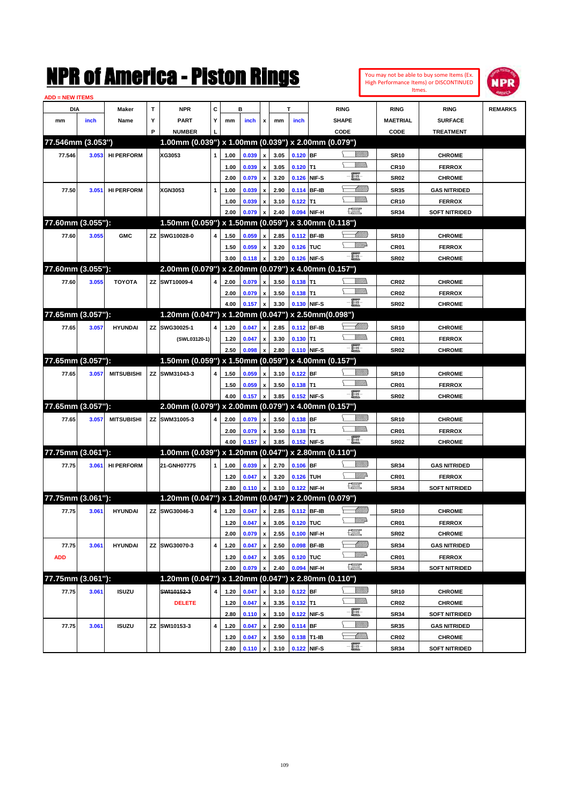

| <b>ADD = NEW ITEMS</b> |       |                   |   |                                                     |              |      |       |                    |      |             |              |                               |                 |                      |                |
|------------------------|-------|-------------------|---|-----------------------------------------------------|--------------|------|-------|--------------------|------|-------------|--------------|-------------------------------|-----------------|----------------------|----------------|
| DIA                    |       | Maker             | T | <b>NPR</b>                                          | c            |      | B     |                    |      | т           |              | <b>RING</b>                   | <b>RING</b>     | <b>RING</b>          | <b>REMARKS</b> |
| mm                     | inch  | Name              | Υ | <b>PART</b>                                         | Y            | mm   | inch  | x                  | mm   | inch        |              | <b>SHAPE</b>                  | <b>MAETRIAL</b> | <b>SURFACE</b>       |                |
|                        |       |                   | P | <b>NUMBER</b>                                       |              |      |       |                    |      |             |              | CODE                          | CODE            | <b>TREATMENT</b>     |                |
| 77.546mm (3.053")      |       |                   |   | 1.00mm (0.039") x 1.00mm (0.039") x 2.00mm (0.079") |              |      |       |                    |      |             |              |                               |                 |                      |                |
| 77.546                 | 3.053 | <b>HI PERFORM</b> |   | XG3053                                              | 1            | 1.00 | 0.039 | x                  | 3.05 | $0.120$ BF  |              | <u>Sillilli</u>               | <b>SR10</b>     | <b>CHROME</b>        |                |
|                        |       |                   |   |                                                     |              | 1.00 | 0.039 | x                  | 3.05 | $0.120$ T1  |              |                               | <b>CR10</b>     | <b>FERROX</b>        |                |
|                        |       |                   |   |                                                     |              | 2.00 | 0.079 | x                  | 3.20 |             | 0.126 NIF-S  | E                             | <b>SR02</b>     | <b>CHROME</b>        |                |
| 77.50                  | 3.051 | <b>HI PERFORM</b> |   | XGN3053                                             | 1            | 1.00 | 0.039 | x                  | 2.90 |             | 0.114 BF-IB  | <u>UMB</u>                    | <b>SR35</b>     | <b>GAS NITRIDED</b>  |                |
|                        |       |                   |   |                                                     |              | 1.00 | 0.039 | x                  | 3.10 | $0.122$ T1  |              |                               | <b>CR10</b>     | <b>FERROX</b>        |                |
|                        |       |                   |   |                                                     |              | 2.00 | 0.079 |                    | 2.40 |             | 0.094 NIF-H  | $\frac{1}{2}$                 | <b>SR34</b>     | <b>SOFT NITRIDED</b> |                |
| 77.60mm (3.055"):      |       |                   |   | 1.50mm (0.059") x 1.50mm (0.059") x 3.00mm (0.118") |              |      |       |                    |      |             |              |                               |                 |                      |                |
| 77.60                  | 3.055 | <b>GMC</b>        |   | ZZ SWG10028-0                                       | 4            | 1.50 | 0.059 | x                  | 2.85 |             | 0.112 BF-IB  | <u> UMB</u>                   | <b>SR10</b>     | <b>CHROME</b>        |                |
|                        |       |                   |   |                                                     |              | 1.50 | 0.059 | x                  | 3.20 | 0.126 TUC   |              | <u>WW</u> A                   | CR01            | <b>FERROX</b>        |                |
|                        |       |                   |   |                                                     |              | 3.00 | 0.118 | x                  | 3.20 |             | 0.126 NIF-S  | -8                            | <b>SR02</b>     | <b>CHROME</b>        |                |
| 77.60mm (3.055"):      |       |                   |   | 2.00mm (0.079") x 2.00mm (0.079") x 4.00mm (0.157") |              |      |       |                    |      |             |              |                               |                 |                      |                |
|                        |       |                   |   |                                                     | 4            |      |       |                    |      | $0.138$ T1  |              | 9777).                        |                 |                      |                |
| 77.60                  | 3.055 | <b>TOYOTA</b>     |   | ZZ SWT10009-4                                       |              | 2.00 | 0.079 | x                  | 3.50 |             |              |                               | <b>CR02</b>     | <b>CHROME</b>        |                |
|                        |       |                   |   |                                                     |              | 2.00 | 0.079 | x                  | 3.50 | $0.138$ T1  |              | -8                            | <b>CR02</b>     | <b>FERROX</b>        |                |
|                        |       |                   |   |                                                     |              | 4.00 | 0.157 | x                  | 3.30 |             | 0.130 NIF-S  |                               | <b>SR02</b>     | <b>CHROME</b>        |                |
| 77.65mm (3.057"):      |       |                   |   | 1.20mm (0.047") x 1.20mm (0.047") x 2.50mm(0.098")  |              |      |       |                    |      |             |              |                               |                 |                      |                |
| 77.65                  | 3.057 | <b>HYUNDAI</b>    |   | ZZ SWG30025-1                                       | 4            | 1.20 | 0.047 | x                  | 2.85 |             | 0.112 BF-IB  | <u> UMB</u>                   | <b>SR10</b>     | <b>CHROME</b>        |                |
|                        |       |                   |   | (SWL03120-1)                                        |              | 1.20 | 0.047 | x                  | 3.30 | $0.130$ T1  |              |                               | CR01            | <b>FERROX</b>        |                |
|                        |       |                   |   |                                                     |              | 2.50 | 0.098 |                    | 2.80 |             | 0.110 NIF-S  | -8                            | <b>SR02</b>     | <b>CHROME</b>        |                |
| 77.65mm (3.057"):      |       |                   |   | 1.50mm (0.059") x 1.50mm (0.059") x 4.00mm (0.157") |              |      |       |                    |      |             |              |                               |                 |                      |                |
| 77.65                  | 3.057 | <b>MITSUBISHI</b> |   | ZZ SWM31043-3                                       | 4            | 1.50 | 0.059 | x                  | 3.10 | $0.122$ BF  |              | <u>Sillilli</u>               | <b>SR10</b>     | <b>CHROME</b>        |                |
|                        |       |                   |   |                                                     |              | 1.50 | 0.059 | x                  | 3.50 | $0.138$ T1  |              |                               | CR01            | <b>FERROX</b>        |                |
|                        |       |                   |   |                                                     |              | 4.00 | 0.157 | x                  | 3.85 |             | 0.152 NIF-S  | -8                            | <b>SR02</b>     | <b>CHROME</b>        |                |
| 77.65mm (3.057"):      |       |                   |   | 2.00mm (0.079") x 2.00mm (0.079") x 4.00mm (0.157") |              |      |       |                    |      |             |              |                               |                 |                      |                |
| 77.65                  | 3.057 | <b>MITSUBISHI</b> |   | ZZ SWM31005-3                                       | 4            | 2.00 | 0.079 | x                  | 3.50 | 0.138 BF    |              | <u>Sillilli</u>               | <b>SR10</b>     | <b>CHROME</b>        |                |
|                        |       |                   |   |                                                     |              | 2.00 | 0.079 | x                  | 3.50 | $0.138$ T1  |              | VM))                          | CR01            | <b>FERROX</b>        |                |
|                        |       |                   |   |                                                     |              | 4.00 | 0.157 |                    | 3.85 |             | 0.152 NIF-S  | -8                            | <b>SR02</b>     | <b>CHROME</b>        |                |
| 77.75mm (3.061"):      |       |                   |   | 1.00mm (0.039") x 1.20mm (0.047") x 2.80mm (0.110") |              |      |       |                    |      |             |              |                               |                 |                      |                |
| 77.75                  | 3.061 | <b>HI PERFORM</b> |   | 21-GNH07775                                         | $\mathbf{1}$ | 1.00 | 0.039 | x                  | 2.70 | $0.106$ BF  |              | <u>MMW</u>                    | <b>SR34</b>     | <b>GAS NITRIDED</b>  |                |
|                        |       |                   |   |                                                     |              | 1.20 | 0.047 | x                  | 3.20 | 0.126 TUH   |              | <u>Willi</u> r                | <b>CR01</b>     | <b>FERROX</b>        |                |
|                        |       |                   |   |                                                     |              | 2.80 | 0.110 | x                  | 3.10 |             | 0.122 NIF-H  | <b>The Control</b>            | <b>SR34</b>     | <b>SOFT NITRIDED</b> |                |
| 77.75mm (3.061"):      |       |                   |   | 1.20mm (0.047") x 1.20mm (0.047") x 2.00mm (0.079") |              |      |       |                    |      |             |              |                               |                 |                      |                |
| 77.75                  | 3.061 | <b>HYUNDAI</b>    |   | ZZ SWG30046-3                                       | 4            | 1.20 | 0.047 | x                  | 2.85 | 0.112 BF-IB |              | <u>UMB</u>                    | <b>SR10</b>     | <b>CHROME</b>        |                |
|                        |       |                   |   |                                                     |              | 1.20 | 0.047 | $\pmb{\mathsf{x}}$ | 3.05 | 0.120 TUC   |              | <u>VMD</u>                    | CR01            | <b>FERROX</b>        |                |
|                        |       |                   |   |                                                     |              | 2.00 | 0.079 | $\pmb{\mathsf{x}}$ | 2.55 |             | 0.100 NIF-H  | $f_{\text{max}}^{\text{opp}}$ | <b>SR02</b>     | <b>CHROME</b>        |                |
| 77.75                  | 3.061 | <b>HYUNDAI</b>    |   | ZZ SWG30070-3                                       | 4            | 1.20 | 0.047 | x                  | 2.50 | 0.098       | <b>BF-IB</b> | <u> MMM</u>                   | <b>SR34</b>     | <b>GAS NITRIDED</b>  |                |
| <b>ADD</b>             |       |                   |   |                                                     |              | 1.20 | 0.047 | x                  | 3.05 | 0.120 TUC   |              | ₩₩                            | CR01            | <b>FERROX</b>        |                |
|                        |       |                   |   |                                                     |              | 2.00 | 0.079 | x                  | 2.40 |             | 0.094 NIF-H  | $\frac{1}{2}$                 | <b>SR34</b>     | <b>SOFT NITRIDED</b> |                |
| 77.75mm (3.061"):      |       |                   |   | 1.20mm (0.047") x 1.20mm (0.047") x 2.80mm (0.110") |              |      |       |                    |      |             |              |                               |                 |                      |                |
| 77.75                  | 3.061 | <b>ISUZU</b>      |   | SWI10152-3                                          | 4            | 1.20 | 0.047 | x                  | 3.10 | $0.122$ BF  |              | 8/1/11)                       | <b>SR10</b>     | <b>CHROME</b>        |                |
|                        |       |                   |   | <b>DELETE</b>                                       |              | 1.20 | 0.047 | $\pmb{\mathsf{x}}$ | 3.35 | $0.132$ T1  |              | <u>VMM)</u>                   | <b>CR02</b>     | <b>CHROME</b>        |                |
|                        |       |                   |   |                                                     |              | 2.80 | 0.110 | $\pmb{\mathsf{x}}$ | 3.10 |             | 0.122 NIF-S  | E                             | <b>SR34</b>     | <b>SOFT NITRIDED</b> |                |
| 77.75                  | 3.061 | <b>ISUZU</b>      |   | ZZ SWI10153-3                                       | 4            | 1.20 | 0.047 | x                  | 2.90 | 0.114 BF    |              | <u>Milli</u>                  | <b>SR35</b>     | <b>GAS NITRIDED</b>  |                |
|                        |       |                   |   |                                                     |              | 1.20 | 0.047 | x                  | 3.50 | 0.138 T1-IB |              | <u> MM)</u>                   | <b>CR02</b>     | <b>CHROME</b>        |                |
|                        |       |                   |   |                                                     |              | 2.80 | 0.110 | $\pmb{\mathsf{x}}$ | 3.10 |             | 0.122 NIF-S  | e                             | <b>SR34</b>     | <b>SOFT NITRIDED</b> |                |
|                        |       |                   |   |                                                     |              |      |       |                    |      |             |              |                               |                 |                      |                |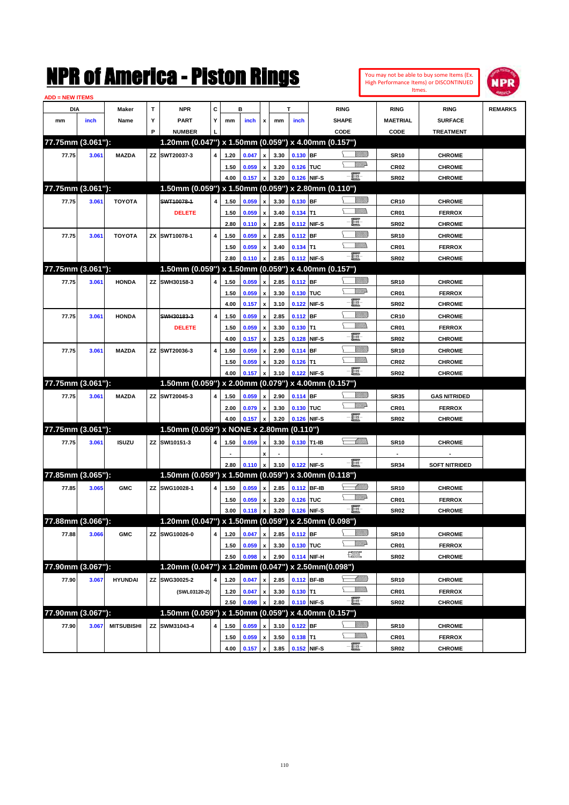|                        |       |                   |   | NMK OI AINCrica - Miston Kings                      |   |      |           |                           |      |            |             |                   |                |                  | You may not be able to buy some Items (Ex.<br>High Performance Items) or DISCONTINUED | IPR            |
|------------------------|-------|-------------------|---|-----------------------------------------------------|---|------|-----------|---------------------------|------|------------|-------------|-------------------|----------------|------------------|---------------------------------------------------------------------------------------|----------------|
| <b>ADD = NEW ITEMS</b> |       |                   |   |                                                     |   |      |           |                           |      |            |             |                   |                |                  | Itmes.                                                                                |                |
| DIA                    |       | Maker             | T | <b>NPR</b>                                          | c |      | в         |                           |      | т          |             | <b>RING</b>       |                | <b>RING</b>      | <b>RING</b>                                                                           | <b>REMARKS</b> |
| mm                     | inch  | Name              | Υ | <b>PART</b>                                         | Y | mm   | inch      | x                         | mm   | inch       |             | <b>SHAPE</b>      |                | <b>MAETRIAL</b>  | <b>SURFACE</b>                                                                        |                |
|                        |       |                   | P | <b>NUMBER</b>                                       |   |      |           |                           |      |            |             | CODE              |                | CODE             | <b>TREATMENT</b>                                                                      |                |
| 77.75mm (3.061"):      |       |                   |   | 1.20mm (0.047") x 1.50mm (0.059") x 4.00mm (0.157") |   |      |           |                           |      |            |             |                   |                |                  |                                                                                       |                |
| 77.75                  | 3.061 | <b>MAZDA</b>      |   | ZZ SWT20037-3                                       | 4 | 1.20 | 0.047     | x                         | 3.30 | $0.130$ BF |             |                   | <u>Millil</u>  | <b>SR10</b>      | <b>CHROME</b>                                                                         |                |
|                        |       |                   |   |                                                     |   | 1.50 | 0.059     | x                         | 3.20 | 0.126 TUC  |             |                   | <u>MM</u> D    | CR <sub>02</sub> | <b>CHROME</b>                                                                         |                |
|                        |       |                   |   |                                                     |   | 4.00 | 0.157     | x                         | 3.20 |            | 0.126 NIF-S | $-\mathbf{H}$     |                | <b>SR02</b>      | <b>CHROME</b>                                                                         |                |
| 77.75mm (3.061"):      |       |                   |   | 1.50mm (0.059") x 1.50mm (0.059") x 2.80mm (0.110") |   |      |           |                           |      |            |             |                   |                |                  |                                                                                       |                |
| 77.75                  | 3.061 | <b>TOYOTA</b>     |   | SWT10078-1                                          | 4 | 1.50 | 0.059     | x                         | 3.30 | $0.130$ BF |             |                   | <u>Millil</u>  | <b>CR10</b>      | <b>CHROME</b>                                                                         |                |
|                        |       |                   |   | <b>DELETE</b>                                       |   | 1.50 | 0.059     | $\boldsymbol{\mathsf{x}}$ | 3.40 | $0.134$ T1 |             |                   | CM)            | CR01             | <b>FERROX</b>                                                                         |                |
|                        |       |                   |   |                                                     |   | 2.80 | 0.110     | $\pmb{\mathsf{x}}$        | 2.85 |            | 0.112 NIF-S | E-                |                | <b>SR02</b>      | <b>CHROME</b>                                                                         |                |
| 77.75                  | 3.061 | <b>TOYOTA</b>     |   | ZX SWT10078-1                                       | 4 | 1.50 | 0.059     | x                         | 2.85 | $0.112$ BF |             |                   | <u>MMM</u>     | <b>SR10</b>      | <b>CHROME</b>                                                                         |                |
|                        |       |                   |   |                                                     |   | 1.50 | 0.059     | x                         | 3.40 | $0.134$ T1 |             |                   | .<br>VMD       | CR01             | <b>FERROX</b>                                                                         |                |
|                        |       |                   |   |                                                     |   | 2.80 | 0.110     | x                         | 2.85 |            | 0.112 NIF-S | - 1               |                | <b>SR02</b>      | <b>CHROME</b>                                                                         |                |
| 77.75mm (3.061"):      |       |                   |   | 1.50mm (0.059") x 1.50mm (0.059")                   |   |      |           |                           |      |            |             | x 4.00mm (0.157") |                |                  |                                                                                       |                |
| 77.75                  | 3.061 | <b>HONDA</b>      |   | ZZ SWH30158-3                                       | 4 | 1.50 | 0.059     | x                         | 2.85 | 0.112 BF   |             |                   | <u>Villida</u> | <b>SR10</b>      | <b>CHROME</b>                                                                         |                |
|                        |       |                   |   |                                                     |   | 1.50 | 0.059     | $\boldsymbol{\mathsf{x}}$ | 3.30 | 0.130 TUC  |             |                   | <u>MM</u> D    | CR01             | <b>FERROX</b>                                                                         |                |
|                        |       |                   |   |                                                     |   | 4.00 | 0.157     | $\pmb{\mathsf{x}}$        | 3.10 |            | 0.122 NIF-S | e.                |                | <b>SR02</b>      | <b>CHROME</b>                                                                         |                |
| 77.75                  | 3.061 | <b>HONDA</b>      |   | SWH30183-3                                          | 4 | 1.50 | 0.059     | x                         | 2.85 | $0.112$ BF |             |                   | <u>Millil</u>  | <b>CR10</b>      | <b>CHROME</b>                                                                         |                |
|                        |       |                   |   | <b>DELETE</b>                                       |   | 1.50 | 0.059     | $\boldsymbol{\mathsf{x}}$ | 3.30 | $0.130$ T1 |             |                   | CM)            | CR01             | <b>FERROX</b>                                                                         |                |
|                        |       |                   |   |                                                     |   | 4.00 | 0.157     | $\boldsymbol{\mathsf{x}}$ | 3.25 |            | 0.128 NIF-S | E-                |                | <b>SR02</b>      | <b>CHROME</b>                                                                         |                |
| 77.75                  | 3.061 | <b>MAZDA</b>      |   | ZZ SWT20036-3                                       | 4 | 1.50 | 0.059     | x                         | 2.90 | $0.114$ BF |             |                   | <u>Millil</u>  | <b>SR10</b>      | <b>CHROME</b>                                                                         |                |
|                        |       |                   |   |                                                     |   | 1.50 | 0.059     | x                         | 3.20 | $0.126$ T1 |             |                   | .<br>VMD       | CR <sub>02</sub> | <b>CHROME</b>                                                                         |                |
|                        |       |                   |   |                                                     |   | 4.00 | 0.157     | x                         | 3.10 |            | 0.122 NIF-S | -00               |                | <b>SR02</b>      | <b>CHROME</b>                                                                         |                |
| 77.75mm (3.061"):      |       |                   |   | 1.50mm (0.059") x 2.00mm (0.079") x 4.00mm (0.157") |   |      |           |                           |      |            |             |                   |                |                  |                                                                                       |                |
| 77.75                  | 3.061 | <b>MAZDA</b>      |   | ZZ SWT20045-3                                       | 4 | 1.50 | 0.059     | x                         | 2.90 | 0.114 BF   |             |                   | <u> UMB</u>    | <b>SR35</b>      | <b>GAS NITRIDED</b>                                                                   |                |
|                        |       |                   |   |                                                     |   | 2.00 | 0.079     | x                         | 3.30 | 0.130 TUC  |             |                   | <u>MM</u> D    | CR01             | <b>FERROX</b>                                                                         |                |
|                        |       |                   |   |                                                     |   | 4.00 | 0.157     | $\pmb{\mathsf{x}}$        | 3.20 |            | 0.126 NIF-S | -II -             |                | <b>SR02</b>      | <b>CHROME</b>                                                                         |                |
| 77.75mm (3.061"):      |       |                   |   | 1.50mm (0.059") x NONE x 2.80mm (0.110")            |   |      |           |                           |      |            |             |                   |                |                  |                                                                                       |                |
| 77.75                  | 3.061 | <b>ISUZU</b>      |   | ZZ SWI10151-3                                       | 4 | 1.50 | 0.059     | x                         | 3.30 |            | 0.130 T1-IB |                   | <u>UMM</u>     | <b>SR10</b>      | <b>CHROME</b>                                                                         |                |
|                        |       |                   |   |                                                     |   |      |           | x                         |      |            |             |                   |                |                  |                                                                                       |                |
|                        |       |                   |   |                                                     |   | 2.80 | 0.110     | $\pmb{\mathsf{x}}$        | 3.10 |            | 0.122 NIF-S | - 8               |                | <b>SR34</b>      | <b>SOFT NITRIDED</b>                                                                  |                |
| 77.85mm (3.065"):      |       |                   |   | 1.50mm (0.059") x 1.50mm (0.059") x 3.00mm (0.118") |   |      |           |                           |      |            |             |                   |                |                  |                                                                                       |                |
| 77.85                  | 3.065 | <b>GMC</b>        |   | ZZ SWG10028-1                                       | 4 | 1.50 | 0.059     | $\pmb{\mathsf{x}}$        | 2.85 |            | 0.112 BF-IB |                   | <u> UMM</u>    | <b>SR10</b>      | <b>CHROME</b>                                                                         |                |
|                        |       |                   |   |                                                     |   | 1.50 | 0.059 x   |                           | 3.20 | 0.126 TUC  |             |                   | <u>Willia</u>  | CR01             | <b>FERROX</b>                                                                         |                |
|                        |       |                   |   |                                                     |   | 3.00 | $0.118$ x |                           | 3.20 |            | 0.126 NIF-S | - 1               |                | <b>SR02</b>      | <b>CHROME</b>                                                                         |                |
| 77.88mm (3.066"):      |       |                   |   | 1.20mm (0.047") x 1.50mm (0.059") x 2.50mm (0.098") |   |      |           |                           |      |            |             |                   |                |                  |                                                                                       |                |
| 77.88                  | 3.066 | <b>GMC</b>        |   | ZZ SWG10026-0                                       | 4 | 1.20 | 0.047     | $\pmb{\mathsf{x}}$        | 2.85 | $0.112$ BF |             |                   | <u>Villida</u> | <b>SR10</b>      | <b>CHROME</b>                                                                         |                |
|                        |       |                   |   |                                                     |   | 1.50 | 0.059     | $\pmb{\mathsf{x}}$        | 3.30 | 0.130 TUC  |             |                   | <u>VMP</u>     | CR01             | <b>FERROX</b>                                                                         |                |
|                        |       |                   |   |                                                     |   | 2.50 | 0.098     | $\pmb{\mathsf{x}}$        | 2.90 |            | 0.114 NIF-H | æ                 |                | <b>SR02</b>      | <b>CHROME</b>                                                                         |                |
| 77.90mm (3.067"):      |       |                   |   | 1.20mm (0.047") x 1.20mm (0.047")                   |   |      |           |                           |      |            |             | ∨ 2.50mm(0.098")  |                |                  |                                                                                       |                |
| 77.90                  | 3.067 | <b>HYUNDAI</b>    |   | ZZ SWG30025-2                                       | 4 | 1.20 | 0.047     | x                         | 2.85 |            | 0.112 BF-IB |                   |                | <b>SR10</b>      | <b>CHROME</b>                                                                         |                |
|                        |       |                   |   | (SWL03120-2)                                        |   | 1.20 | 0.047     | $\pmb{\mathsf{x}}$        | 3.30 | $0.130$ T1 |             |                   | <u>Willib</u>  | CR01             | <b>FERROX</b>                                                                         |                |
|                        |       |                   |   |                                                     |   | 2.50 | 0.098     | $\pmb{\mathsf{x}}$        | 2.80 |            | 0.110 NIF-S | -8                |                | <b>SR02</b>      | <b>CHROME</b>                                                                         |                |
| 77.90mm (3.067"):      |       |                   |   | 1.50mm (0.059") x 1.50mm (0.059") x 4.00mm (0.157") |   |      |           |                           |      |            |             |                   |                |                  |                                                                                       |                |
| 77.90                  | 3.067 | <b>MITSUBISHI</b> |   | ZZ SWM31043-4                                       | 4 | 1.50 | 0.059     | x                         | 3.10 | $0.122$ BF |             |                   | <u>UMB</u>     | <b>SR10</b>      | <b>CHROME</b>                                                                         |                |
|                        |       |                   |   |                                                     |   | 1.50 | 0.059     | $\pmb{\mathsf{x}}$        | 3.50 | $0.138$ T1 |             |                   | <u>Willib</u>  | CR01             | <b>FERROX</b>                                                                         |                |
|                        |       |                   |   |                                                     |   | 4.00 | 0.157     | $\pmb{\mathsf{x}}$        | 3.85 |            | 0.152 NIF-S | -8                |                | <b>SR02</b>      | <b>CHROME</b>                                                                         |                |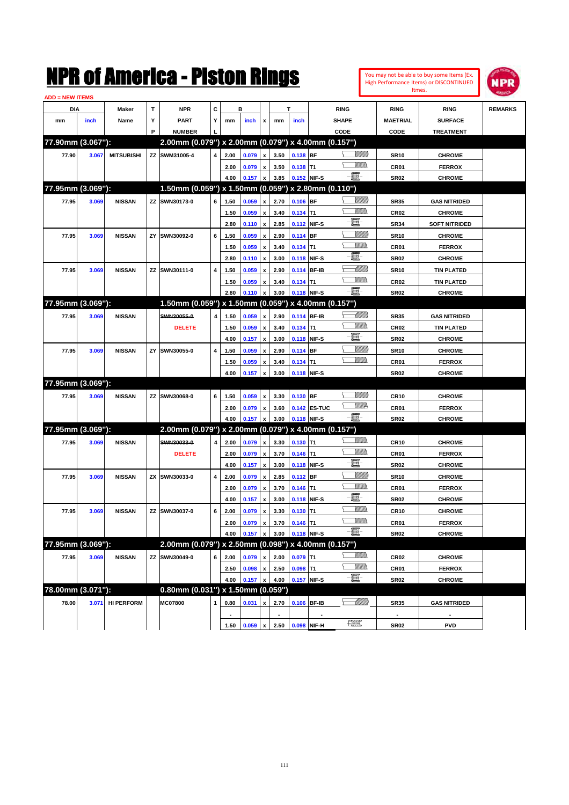|                        |       |                   |    | NMK OI AMCMICA - MISTON KINGS                       |   |      |         |                           |      |             |              |                          |                |                  | You may not be able to buy some Items (Ex.<br>High Performance Items) or DISCONTINUED | IPR            |
|------------------------|-------|-------------------|----|-----------------------------------------------------|---|------|---------|---------------------------|------|-------------|--------------|--------------------------|----------------|------------------|---------------------------------------------------------------------------------------|----------------|
| <b>ADD = NEW ITEMS</b> |       |                   |    |                                                     |   |      |         |                           |      |             |              |                          |                |                  | Itmes.                                                                                |                |
| DIA                    |       | Maker             | T  | <b>NPR</b>                                          | c |      | в       |                           |      | T           |              | <b>RING</b>              |                | <b>RING</b>      | <b>RING</b>                                                                           | <b>REMARKS</b> |
| mm                     | inch  | Name              | Υ  | <b>PART</b>                                         | Y | mm   | inch    | x                         | mm   | inch        |              | <b>SHAPE</b>             |                | <b>MAETRIAL</b>  | <b>SURFACE</b>                                                                        |                |
|                        |       |                   | P  | <b>NUMBER</b>                                       |   |      |         |                           |      |             |              | CODE                     |                | CODE             | <b>TREATMENT</b>                                                                      |                |
| 77.90mm (3.067"):      |       |                   |    | 2.00mm (0.079") x 2.00mm (0.079") x 4.00mm (0.157") |   |      |         |                           |      |             |              |                          |                |                  |                                                                                       |                |
| 77.90                  | 3.067 | <b>MITSUBISHI</b> |    | ZZ SWM31005-4                                       | 4 | 2.00 | 0.079   | $\boldsymbol{\mathsf{x}}$ | 3.50 | 0.138 BF    |              |                          | <u>UMB</u>     | <b>SR10</b>      | <b>CHROME</b>                                                                         |                |
|                        |       |                   |    |                                                     |   | 2.00 | 0.079   | $\pmb{\mathsf{x}}$        | 3.50 | $0.138$ T1  |              |                          | <br>Mar        | CR01             | <b>FERROX</b>                                                                         |                |
|                        |       |                   |    |                                                     |   | 4.00 | 0.157   | $\boldsymbol{\mathsf{x}}$ | 3.85 |             | 0.152 NIF-S  | $-\mathbf{E}$            |                | <b>SR02</b>      | <b>CHROME</b>                                                                         |                |
| 77.95mm (3.069"):      |       |                   |    | 1.50mm (0.059") x 1.50mm (0.059") x 2.80mm (0.110") |   |      |         |                           |      |             |              |                          |                |                  |                                                                                       |                |
| 77.95                  | 3.069 | <b>NISSAN</b>     | ΖZ | SWN30173-0                                          | 6 | 1.50 | 0.059   | X                         | 2.70 | $0.106$ BF  |              |                          | <u>VIIIIn</u>  | <b>SR35</b>      | <b>GAS NITRIDED</b>                                                                   |                |
|                        |       |                   |    |                                                     |   | 1.50 | 0.059   | $\pmb{\mathsf{x}}$        | 3.40 | $0.134$ T1  |              |                          | .<br>Milita    | <b>CR02</b>      | <b>CHROME</b>                                                                         |                |
|                        |       |                   |    |                                                     |   | 2.80 | 0.110   | $\boldsymbol{\mathsf{x}}$ | 2.85 |             | 0.112 NIF-S  | E                        |                | <b>SR34</b>      | <b>SOFT NITRIDED</b>                                                                  |                |
| 77.95                  | 3.069 | <b>NISSAN</b>     | ΖY | SWN30092-0                                          | 6 | 1.50 | 0.059   | $\boldsymbol{\mathsf{x}}$ | 2.90 | $0.114$ BF  |              |                          | <u>VIIII)</u>  | <b>SR10</b>      | <b>CHROME</b>                                                                         |                |
|                        |       |                   |    |                                                     |   | 1.50 | 0.059   | $\boldsymbol{\mathsf{x}}$ | 3.40 | 0.134       | T1           |                          | .<br>Milita    | CR01             | <b>FERROX</b>                                                                         |                |
|                        |       |                   |    |                                                     |   | 2.80 | 0.110   | $\boldsymbol{\mathsf{x}}$ | 3.00 |             | 0.118 NIF-S  | E.                       |                | <b>SR02</b>      | <b>CHROME</b>                                                                         |                |
| 77.95                  | 3.069 | <b>NISSAN</b>     | ΖZ | SWN30111-0                                          | 4 | 1.50 | 0.059   | $\boldsymbol{\mathsf{x}}$ | 2.90 |             | 0.114 BF-IB  |                          | <u>MM</u>      | <b>SR10</b>      | <b>TIN PLATED</b>                                                                     |                |
|                        |       |                   |    |                                                     |   | 1.50 | 0.059   | $\boldsymbol{\mathsf{x}}$ | 3.40 | $0.134$ T1  |              |                          | <br>Villida    | CR <sub>02</sub> | <b>TIN PLATED</b>                                                                     |                |
|                        |       |                   |    |                                                     |   | 2.80 | 0.110   | x                         | 3.00 |             | 0.118 NIF-S  | e et                     |                | <b>SR02</b>      | <b>CHROME</b>                                                                         |                |
| 77.95mm (3.069"):      |       |                   |    | 1.50mm (0.059") x 1.50mm (0.059") x 4.00mm (0.157") |   |      |         |                           |      |             |              |                          |                |                  |                                                                                       |                |
| 77.95                  | 3.069 | <b>NISSAN</b>     |    | SWN30055-0                                          | 4 | 1.50 | 0.059   | X                         | 2.90 |             | 0.114 BF-IB  |                          | <u> UMM</u>    | <b>SR35</b>      | <b>GAS NITRIDED</b>                                                                   |                |
|                        |       |                   |    | <b>DELETE</b>                                       |   | 1.50 | 0.059   | $\boldsymbol{\mathsf{x}}$ | 3.40 | 0.134       | lT1          |                          | <br>Villida    | <b>CR02</b>      | <b>TIN PLATED</b>                                                                     |                |
|                        |       |                   |    |                                                     |   | 4.00 | 0.157   | $\boldsymbol{\mathsf{x}}$ | 3.00 |             | 0.118 NIF-S  | E                        |                | <b>SR02</b>      | <b>CHROME</b>                                                                         |                |
| 77.95                  | 3.069 | <b>NISSAN</b>     | ΖY | SWN30055-0                                          | 4 | 1.50 | 0.059   | $\boldsymbol{\mathsf{x}}$ | 2.90 | 0.114 BF    |              |                          | <u>VIIII)</u>  | <b>SR10</b>      | <b>CHROME</b>                                                                         |                |
|                        |       |                   |    |                                                     |   | 1.50 | 0.059   | x                         | 3.40 | 0.134       | T1           |                          | <u>MMW</u>     | CR01             | <b>FERROX</b>                                                                         |                |
|                        |       |                   |    |                                                     |   | 4.00 | 0.157   | $\pmb{\mathsf{x}}$        | 3.00 |             | 0.118 NIF-S  |                          |                | <b>SR02</b>      | <b>CHROME</b>                                                                         |                |
| 77.95mm (3.069"):      |       |                   |    |                                                     |   |      |         |                           |      |             |              |                          |                |                  |                                                                                       |                |
| 77.95                  | 3.069 | <b>NISSAN</b>     | ΖZ | SWN30068-0                                          | 6 | 1.50 | 0.059   | $\boldsymbol{\mathsf{x}}$ | 3.30 | 0.130 BF    |              |                          |                | <b>CR10</b>      | <b>CHROME</b>                                                                         |                |
|                        |       |                   |    |                                                     |   | 2.00 | 0.079   | $\pmb{\mathsf{x}}$        | 3.60 |             | 0.142 ES-TUC |                          | <u>WW</u> A    | CR01             | <b>FERROX</b>                                                                         |                |
|                        |       |                   |    |                                                     |   | 4.00 | 0.157   | $\boldsymbol{\mathsf{x}}$ | 3.00 |             | 0.118 NIF-S  | $-\mathbf{H}$ -          |                | <b>SR02</b>      | <b>CHROME</b>                                                                         |                |
| 77.95mm (3.069"):      |       |                   |    | 2.00mm (0.079") x 2.00mm (0.079") x 4.00mm (0.157") |   |      |         |                           |      |             |              |                          |                |                  |                                                                                       |                |
| 77.95                  | 3.069 | <b>NISSAN</b>     |    | SWN30033-0                                          | 4 | 2.00 | 0.079   | $\boldsymbol{\mathsf{x}}$ | 3.30 | $0.130$ T1  |              |                          | WM).           | <b>CR10</b>      | <b>CHROME</b>                                                                         |                |
|                        |       |                   |    | <b>DELETE</b>                                       |   | 2.00 | 0.079   | $\pmb{\mathsf{x}}$        | 3.70 | 0.146       | T1           |                          | <br>Mar        | CR01             | <b>FERROX</b>                                                                         |                |
|                        |       |                   |    |                                                     |   | 4.00 | 0.157   | $\boldsymbol{\mathsf{x}}$ | 3.00 |             | 0.118 NIF-S  | E                        |                | <b>SR02</b>      | <b>CHROME</b>                                                                         |                |
| 77.95                  | 3.069 | <b>NISSAN</b>     | ZΧ | SWN30033-0                                          | 4 | 2.00 | 0.079   | $\boldsymbol{\mathsf{x}}$ | 2.85 | $0.112$ BF  |              |                          | <u>Villida</u> | <b>SR10</b>      | <b>CHROME</b>                                                                         |                |
|                        |       |                   |    |                                                     |   | 2.00 | 0.079   | $\pmb{\mathsf{x}}$        | 3.70 | $0.146$ T1  |              |                          | <br>Mar        | CR01             | <b>FERROX</b>                                                                         |                |
|                        |       |                   |    |                                                     |   | 4.00 | 0.157 x |                           | 3.00 | 0.118 NIF-S |              | 買                        |                | <b>SR02</b>      | <b>CHROME</b>                                                                         |                |
| 77.95                  | 3.069 | <b>NISSAN</b>     |    | ZZ SWN30037-0                                       | 6 | 2.00 | 0.079   | $\pmb{\mathsf{x}}$        | 3.30 | $0.130$ T1  |              |                          | <u>Willib</u>  | <b>CR10</b>      | <b>CHROME</b>                                                                         |                |
|                        |       |                   |    |                                                     |   | 2.00 | 0.079   | $\pmb{\mathsf{x}}$        | 3.70 | $0.146$ T1  |              |                          | <u>Willib</u>  | CR01             | <b>FERROX</b>                                                                         |                |
|                        |       |                   |    |                                                     |   | 4.00 | 0.157   | x                         | 3.00 |             | 0.118 NIF-S  | $-\Xi$                   |                | <b>SR02</b>      | <b>CHROME</b>                                                                         |                |
| 77.95mm (3.069"):      |       |                   |    | 2.00mm (0.079") x 2.50mm (0.098") x 4.00mm (0.157") |   |      |         |                           |      |             |              |                          |                |                  |                                                                                       |                |
| 77.95                  | 3.069 | <b>NISSAN</b>     |    | ZZ SWN30049-0                                       | 6 | 2.00 | 0.079   | x                         | 2.00 | $0.079$ T1  |              |                          | <u>Willib</u>  | CR02             | <b>CHROME</b>                                                                         |                |
|                        |       |                   |    |                                                     |   | 2.50 | 0.098   | $\pmb{\mathsf{x}}$        | 2.50 | $0.098$ T1  |              |                          | <u>Willib</u>  | CR01             | <b>FERROX</b>                                                                         |                |
|                        |       |                   |    |                                                     |   | 4.00 | 0.157   | x                         | 4.00 |             | 0.157 NIF-S  | $-\Xi$                   |                | <b>SR02</b>      | <b>CHROME</b>                                                                         |                |
| 78.00mm (3.071"):      |       |                   |    | 0.80mm (0.031") x 1.50mm (0.059")                   |   |      |         |                           |      |             |              |                          |                |                  |                                                                                       |                |
| 78.00                  |       | 3.071 HI PERFORM  |    | MC07800                                             | 1 | 0.80 | 0.031   | x                         | 2.70 |             | 0.106 BF-IB  |                          | <u>-1777)</u>  | <b>SR35</b>      | <b>GAS NITRIDED</b>                                                                   |                |
|                        |       |                   |    |                                                     |   |      |         |                           |      |             |              |                          |                | $\blacksquare$   |                                                                                       |                |
|                        |       |                   |    |                                                     |   | 1.50 | 0.059   | $\pmb{\mathsf{x}}$        | 2.50 |             | 0.098 NIF-H  | <b>The Second Second</b> |                | <b>SR02</b>      | <b>PVD</b>                                                                            |                |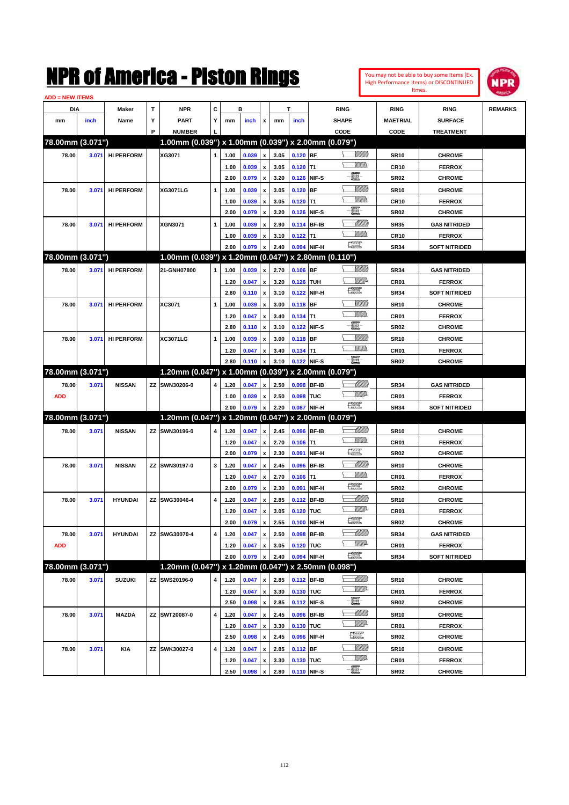| You may not be able to buy some Items (Ex. |
|--------------------------------------------|
| High Performance Items) or DISCONTINUED    |
| Itmes.                                     |



| <b>ADD = NEW ITEMS</b> |       |                   |   |                                                     |              |      |       |                    |      |            |             |                          |                 |                      |                |
|------------------------|-------|-------------------|---|-----------------------------------------------------|--------------|------|-------|--------------------|------|------------|-------------|--------------------------|-----------------|----------------------|----------------|
| DIA                    |       | Maker             | T | <b>NPR</b>                                          | C            |      | в     |                    |      | T          |             | <b>RING</b>              | <b>RING</b>     | <b>RING</b>          | <b>REMARKS</b> |
| mm                     | inch  | Name              | Υ | <b>PART</b>                                         | Y            | mm   | inch  | x                  | mm   | inch       |             | <b>SHAPE</b>             | <b>MAETRIAL</b> | <b>SURFACE</b>       |                |
|                        |       |                   | P | <b>NUMBER</b>                                       |              |      |       |                    |      |            |             | CODE                     | CODE            | <b>TREATMENT</b>     |                |
| 78.00mm (3.071")       |       |                   |   | 1.00mm (0.039") x 1.00mm (0.039") x 2.00mm (0.079") |              |      |       |                    |      |            |             |                          |                 |                      |                |
| 78.00                  | 3.071 | <b>HI PERFORM</b> |   | XG3071                                              | $\mathbf{1}$ | 1.00 | 0.039 | $\pmb{\mathsf{x}}$ | 3.05 | $0.120$ BF |             | <u>Villida</u>           | <b>SR10</b>     | <b>CHROME</b>        |                |
|                        |       |                   |   |                                                     |              | 1.00 | 0.039 | $\pmb{\mathsf{x}}$ | 3.05 | $0.120$ T1 |             |                          | <b>CR10</b>     | <b>FERROX</b>        |                |
|                        |       |                   |   |                                                     |              | 2.00 | 0.079 | $\pmb{\mathsf{x}}$ | 3.20 |            | 0.126 NIF-S | e                        | <b>SR02</b>     | <b>CHROME</b>        |                |
| 78.00                  | 3.071 | <b>HI PERFORM</b> |   | <b>XG3071LG</b>                                     | 1            | 1.00 | 0.039 |                    | 3.05 | $0.120$ BF |             | <u>Sillilli</u>          | <b>SR10</b>     | <b>CHROME</b>        |                |
|                        |       |                   |   |                                                     |              |      |       | $\pmb{\mathsf{x}}$ |      |            |             | <br>VM)                  |                 |                      |                |
|                        |       |                   |   |                                                     |              | 1.00 | 0.039 | x                  | 3.05 | $0.120$ T1 |             | 圓                        | <b>CR10</b>     | <b>FERROX</b>        |                |
|                        |       |                   |   |                                                     |              | 2.00 | 0.079 | $\pmb{\mathsf{x}}$ | 3.20 |            | 0.126 NIF-S |                          | <b>SR02</b>     | <b>CHROME</b>        |                |
| 78.00                  | 3.071 | <b>HI PERFORM</b> |   | <b>XGN3071</b>                                      | 1            | 1.00 | 0.039 | x                  | 2.90 |            | 0.114 BF-IB | MMB<br>VM))              | <b>SR35</b>     | <b>GAS NITRIDED</b>  |                |
|                        |       |                   |   |                                                     |              | 1.00 | 0.039 | x                  | 3.10 | $0.122$ T1 |             | 鱱                        | <b>CR10</b>     | <b>FERROX</b>        |                |
|                        |       |                   |   |                                                     |              | 2.00 | 0.079 | x                  | 2.40 |            | 0.094 NIF-H |                          | <b>SR34</b>     | <b>SOFT NITRIDED</b> |                |
| 78.00mm (3.071")       |       |                   |   | 1.00mm (0.039") x 1.20mm (0.047") x 2.80mm (0.110") |              |      |       |                    |      |            |             |                          |                 |                      |                |
| 78.00                  | 3.071 | <b>HI PERFORM</b> |   | 21-GNH07800                                         | $\mathbf{1}$ | 1.00 | 0.039 | x                  | 2.70 | $0.106$ BF |             | <u>Villida</u>           | <b>SR34</b>     | <b>GAS NITRIDED</b>  |                |
|                        |       |                   |   |                                                     |              | 1.20 | 0.047 | $\pmb{\mathsf{x}}$ | 3.20 | 0.126 TUH  |             | ₩₩                       | CR01            | <b>FERROX</b>        |                |
|                        |       |                   |   |                                                     |              | 2.80 | 0.110 | $\pmb{\mathsf{x}}$ | 3.10 |            | 0.122 NIF-H | 鱱                        | <b>SR34</b>     | <b>SOFT NITRIDED</b> |                |
| 78.00                  | 3.071 | <b>HI PERFORM</b> |   | XC3071                                              | 1            | 1.00 | 0.039 | x                  | 3.00 | $0.118$ BF |             | <u>UMB</u>               | <b>SR10</b>     | <b>CHROME</b>        |                |
|                        |       |                   |   |                                                     |              | 1.20 | 0.047 | x                  | 3.40 | $0.134$ T1 |             | UM)                      | CR01            | <b>FERROX</b>        |                |
|                        |       |                   |   |                                                     |              | 2.80 | 0.110 | $\pmb{\mathsf{x}}$ | 3.10 |            | 0.122 NIF-S | e                        | <b>SR02</b>     | <b>CHROME</b>        |                |
| 78.00                  | 3.071 | <b>HI PERFORM</b> |   | XC3071LG                                            | 1            | 1.00 | 0.039 | x                  | 3.00 | $0.118$ BF |             | <u>UMB</u>               | <b>SR10</b>     | <b>CHROME</b>        |                |
|                        |       |                   |   |                                                     |              | 1.20 | 0.047 | x                  | 3.40 | $0.134$ T1 |             | <br>Militar              | CR01            | <b>FERROX</b>        |                |
|                        |       |                   |   |                                                     |              | 2.80 | 0.110 | x                  | 3.10 |            | 0.122 NIF-S | -8                       | <b>SR02</b>     | <b>CHROME</b>        |                |
| 78.00mm (3.071")       |       |                   |   | 1.20mm (0.047") x 1.00mm (0.039") x 2.00mm (0.079") |              |      |       |                    |      |            |             |                          |                 |                      |                |
| 78.00                  | 3.071 | <b>NISSAN</b>     |   | ZZ SWN30206-0                                       | 4            | 1.20 | 0.047 | x                  | 2.50 |            | 0.098 BF-IB | <u>UMB</u>               | <b>SR34</b>     | <b>GAS NITRIDED</b>  |                |
| <b>ADD</b>             |       |                   |   |                                                     |              | 1.00 | 0.039 | x                  | 2.50 | 0.098 TUC  |             | <u>VMD</u>               | CR01            | <b>FERROX</b>        |                |
|                        |       |                   |   |                                                     |              | 2.00 | 0.079 | $\pmb{\mathsf{x}}$ | 2.20 |            | 0.087 NIF-H | <b>FOR</b>               | <b>SR34</b>     | <b>SOFT NITRIDED</b> |                |
| 78.00mm (3.071")       |       |                   |   | 1.20mm (0.047") x 1.20mm (0.047") x 2.00mm (0.079") |              |      |       |                    |      |            |             |                          |                 |                      |                |
| 78.00                  | 3.071 | <b>NISSAN</b>     |   | ZZ SWN30196-0                                       | 4            | 1.20 | 0.047 | $\pmb{\mathsf{x}}$ | 2.45 |            | 0.096 BF-IB | <u>UMB</u>               | <b>SR10</b>     | <b>CHROME</b>        |                |
|                        |       |                   |   |                                                     |              | 1.20 | 0.047 | x                  | 2.70 | $0.106$ T1 |             |                          | CR01            | <b>FERROX</b>        |                |
|                        |       |                   |   |                                                     |              | 2.00 | 0.079 | $\pmb{\mathsf{x}}$ | 2.30 | 0.091      | NIF-H       | <u>1999</u>              | <b>SR02</b>     | <b>CHROME</b>        |                |
| 78.00                  | 3.071 | <b>NISSAN</b>     |   | ZZ SWN30197-0                                       | 3            | 1.20 | 0.047 |                    | 2.45 |            | 0.096 BF-IB | MMB                      | <b>SR10</b>     | <b>CHROME</b>        |                |
|                        |       |                   |   |                                                     |              |      |       | x                  |      |            |             | <br>Mad                  |                 |                      |                |
|                        |       |                   |   |                                                     |              | 1.20 | 0.047 | x                  | 2.70 | $0.106$ T1 |             | <u>1999</u>              | CR01            | <b>FERROX</b>        |                |
|                        |       |                   |   |                                                     |              | 2.00 | 0.079 | x                  | 2.30 | 0.091      | NIF-H       | MMB                      | <b>SR02</b>     | <b>CHROME</b>        |                |
| 78.00                  | 3.071 | <b>HYUNDAI</b>    |   | ZZ SWG30046-4                                       | 4            | 1.20 | 0.047 | x                  | 2.85 |            | 0.112 BF-IB | <u>MMP</u>               | <b>SR10</b>     | <b>CHROME</b>        |                |
|                        |       |                   |   |                                                     |              | 1.20 | 0.047 | x                  | 3.05 | 0.120 TUC  |             | <u>1999</u>              | CR01            | <b>FERROX</b>        |                |
|                        |       |                   |   |                                                     |              | 2.00 | 0.079 | $\pmb{\mathsf{x}}$ | 2.55 |            | 0.100 NIF-H |                          | SR02            | <b>CHROME</b>        |                |
| 78.00                  | 3.071 | <b>HYUNDAI</b>    |   | ZZ SWG30070-4                                       | 4            | 1.20 | 0.047 | $\pmb{\mathsf{x}}$ | 2.50 |            | 0.098 BF-IB | <u> UMM</u>              | <b>SR34</b>     | <b>GAS NITRIDED</b>  |                |
| <b>ADD</b>             |       |                   |   |                                                     |              | 1.20 | 0.047 | x                  | 3.05 | 0.120 TUC  |             | <u>VMD</u>               | CR01            | <b>FERROX</b>        |                |
|                        |       |                   |   |                                                     |              | 2.00 | 0.079 | x                  | 2.40 |            | 0.094 NIF-H | $f_{\rm max}^{\rm comp}$ | <b>SR34</b>     | <b>SOFT NITRIDED</b> |                |
| 78.00mm (3.071")       |       |                   |   | 1.20mm (0.047") x 1.20mm (0.047")                   |              |      |       |                    |      |            |             | x 2.50mm (0.098")        |                 |                      |                |
| 78.00                  | 3.071 | <b>SUZUKI</b>     |   | ZZ SWS20196-0                                       | 4            | 1.20 | 0.047 | X                  | 2.85 |            | 0.112 BF-IB | <u>- MMB</u>             | <b>SR10</b>     | <b>CHROME</b>        |                |
|                        |       |                   |   |                                                     |              | 1.20 | 0.047 | $\pmb{\mathsf{x}}$ | 3.30 | 0.130 TUC  |             | <u>VM</u> A              | CR01            | <b>FERROX</b>        |                |
|                        |       |                   |   |                                                     |              | 2.50 | 0.098 | $\pmb{\mathsf{x}}$ | 2.85 |            | 0.112 NIF-S | E                        | SR02            | <b>CHROME</b>        |                |
| 78.00                  | 3.071 | MAZDA             |   | ZZ SWT20087-0                                       | 4            | 1.20 | 0.047 | X                  | 2.45 |            | 0.096 BF-IB | <u> Millil</u>           | <b>SR10</b>     | <b>CHROME</b>        |                |
|                        |       |                   |   |                                                     |              | 1.20 | 0.047 | x                  | 3.30 | 0.130 TUC  |             | ₩₩                       | CR01            | <b>FERROX</b>        |                |
|                        |       |                   |   |                                                     |              | 2.50 | 0.098 | $\pmb{\mathsf{x}}$ | 2.45 |            | 0.096 NIF-H | $\frac{1}{2}$            | <b>SR02</b>     | <b>CHROME</b>        |                |
| 78.00                  | 3.071 | KIA               |   | ZZ SWK30027-0                                       | 4            | 1.20 | 0.047 | X                  | 2.85 | 0.112 BF   |             | <u>VIIII)</u>            | SR10            | <b>CHROME</b>        |                |
|                        |       |                   |   |                                                     |              | 1.20 | 0.047 | x                  | 3.30 | 0.130 TUC  |             | <u>VM</u> A              | CR01            | <b>FERROX</b>        |                |
|                        |       |                   |   |                                                     |              | 2.50 | 0.098 | $\pmb{\mathsf{x}}$ | 2.80 |            | 0.110 NIF-S | $-\Xi$ -                 | <b>SR02</b>     | <b>CHROME</b>        |                |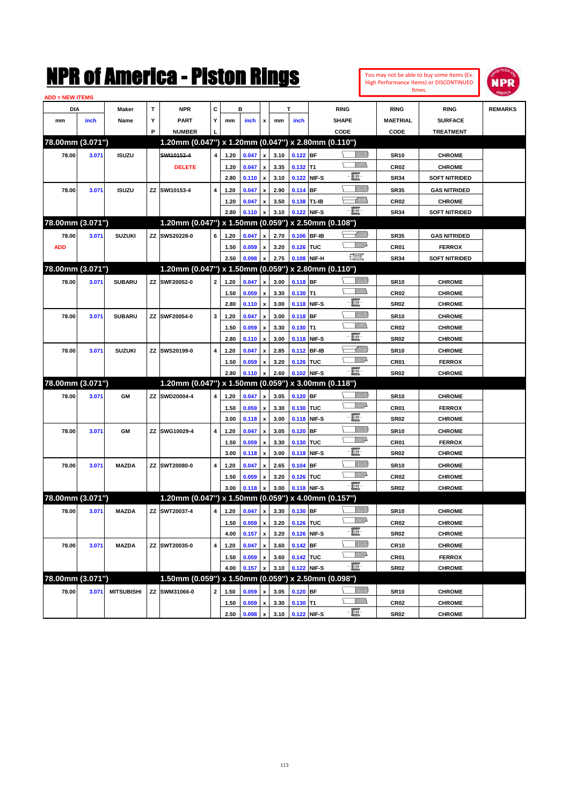

| <b>ADD = NEW ITEMS</b> |       |                   |   |                                                     |                |      |       |                    |      |             |             |                   |                  |                      |                |
|------------------------|-------|-------------------|---|-----------------------------------------------------|----------------|------|-------|--------------------|------|-------------|-------------|-------------------|------------------|----------------------|----------------|
| DIA                    |       | Maker             | T | <b>NPR</b>                                          | С              |      | в     |                    |      | T           |             | <b>RING</b>       | <b>RING</b>      | <b>RING</b>          | <b>REMARKS</b> |
| mm                     | inch  | Name              | Υ | <b>PART</b>                                         | Y              | mm   | inch  | x                  | mm   | inch        |             | <b>SHAPE</b>      | <b>MAETRIAL</b>  | <b>SURFACE</b>       |                |
|                        |       |                   | P | <b>NUMBER</b>                                       |                |      |       |                    |      |             |             | CODE              | CODE             | <b>TREATMENT</b>     |                |
| 78.00mm (3.071")       |       |                   |   | 1.20mm (0.047") x 1.20mm (0.047") x 2.80mm (0.110") |                |      |       |                    |      |             |             |                   |                  |                      |                |
| 78.00                  | 3.071 | <b>ISUZU</b>      |   | SWI10152-4                                          | $\overline{4}$ | 1.20 | 0.047 | $\pmb{\mathsf{x}}$ | 3.10 | $0.122$ BF  |             | <u>Sillilli</u>   | <b>SR10</b>      | <b>CHROME</b>        |                |
|                        |       |                   |   | <b>DELETE</b>                                       |                | 1.20 | 0.047 | x                  | 3.35 | $0.132$ T1  |             | VM))              | <b>CR02</b>      | <b>CHROME</b>        |                |
|                        |       |                   |   |                                                     |                | 2.80 | 0.110 | $\pmb{\mathsf{x}}$ | 3.10 |             | 0.122 NIF-S | e                 | <b>SR34</b>      | <b>SOFT NITRIDED</b> |                |
| 78.00                  | 3.071 | <b>ISUZU</b>      |   | ZZ SWI10153-4                                       | 4              | 1.20 | 0.047 | x                  | 2.90 | $0.114$ BF  |             | <u>Sillilli</u>   | <b>SR35</b>      | <b>GAS NITRIDED</b>  |                |
|                        |       |                   |   |                                                     |                | 1.20 | 0.047 | x                  | 3.50 | 0.138 T1-IB |             | <u>UMB</u>        | <b>CR02</b>      | <b>CHROME</b>        |                |
|                        |       |                   |   |                                                     |                | 2.80 | 0.110 | x                  | 3.10 | 0.122 NIF-S |             | -E.               | <b>SR34</b>      | <b>SOFT NITRIDED</b> |                |
| 78.00mm (3.071")       |       |                   |   | 1.20mm (0.047") x 1.50mm (0.059") x 2.50mm (0.108") |                |      |       |                    |      |             |             |                   |                  |                      |                |
| 78.00                  | 3.071 | <b>SUZUKI</b>     |   | ZZ SWS20228-0                                       | 6              | 1.20 | 0.047 | x                  | 2.70 | 0.106 BF-IB |             | <u> UMB</u>       | <b>SR35</b>      | <b>GAS NITRIDED</b>  |                |
| <b>ADD</b>             |       |                   |   |                                                     |                | 1.50 | 0.059 | x                  | 3.20 | 0.126 TUC   |             | <u>WW</u> A       | CR01             | <b>FERROX</b>        |                |
|                        |       |                   |   |                                                     |                | 2.50 | 0.098 | x                  | 2.75 |             | 0.108 NIF-H | $\mathbb{R}^n$    | <b>SR34</b>      | <b>SOFT NITRIDED</b> |                |
| 78.00mm (3.071")       |       |                   |   | 1.20mm (0.047") x 1.50mm (0.059") x 2.80mm (0.110") |                |      |       |                    |      |             |             |                   |                  |                      |                |
|                        |       |                   |   |                                                     |                |      |       |                    |      |             |             | <u>Sillilli</u>   |                  |                      |                |
| 78.00                  | 3.071 | <b>SUBARU</b>     |   | ZZ SWF20052-0                                       | $\mathbf{2}$   | 1.20 | 0.047 | x                  | 3.00 | 0.118 BF    |             |                   | <b>SR10</b>      | <b>CHROME</b>        |                |
|                        |       |                   |   |                                                     |                | 1.50 | 0.059 | x                  | 3.30 | $0.130$ T1  |             | e                 | CR <sub>02</sub> | <b>CHROME</b>        |                |
|                        |       |                   |   |                                                     |                | 2.80 | 0.110 | $\pmb{\mathsf{x}}$ | 3.00 |             | 0.118 NIF-S |                   | <b>SR02</b>      | <b>CHROME</b>        |                |
| 78.00                  | 3.071 | <b>SUBARU</b>     |   | ZZ SWF20054-0                                       | 3              | 1.20 | 0.047 | x                  | 3.00 | $0.118$ BF  |             | <u>Sillilli</u>   | <b>SR10</b>      | <b>CHROME</b>        |                |
|                        |       |                   |   |                                                     |                | 1.50 | 0.059 | x                  | 3.30 | $0.130$ T1  |             | VM))              | <b>CR02</b>      | <b>CHROME</b>        |                |
|                        |       |                   |   |                                                     |                | 2.80 | 0.110 | x                  | 3.00 | 0.118 NIF-S |             | e                 | <b>SR02</b>      | <b>CHROME</b>        |                |
| 78.00                  | 3.071 | <b>SUZUKI</b>     |   | ZZ SWS20199-0                                       | 4              | 1.20 | 0.047 | x                  | 2.85 | 0.112 BF-IB |             | <u> UMM</u>       | <b>SR10</b>      | <b>CHROME</b>        |                |
|                        |       |                   |   |                                                     |                | 1.50 | 0.059 | x                  | 3.20 | 0.126 TUC   |             | <u>WW</u> A       | CR01             | <b>FERROX</b>        |                |
|                        |       |                   |   |                                                     |                | 2.80 | 0.110 | x                  | 2.60 | 0.102 NIF-S |             | -8                | <b>SR02</b>      | <b>CHROME</b>        |                |
| 78.00mm (3.071")       |       |                   |   | 1.20mm (0.047") x 1.50mm (0.059") x 3.00mm (0.118") |                |      |       |                    |      |             |             |                   |                  |                      |                |
| 78.00                  | 3.071 | <b>GM</b>         |   | ZZ SWD20004-4                                       | 4              | 1.20 | 0.047 | x                  | 3.05 | $0.120$ BF  |             | <u> UMB</u>       | <b>SR10</b>      | <b>CHROME</b>        |                |
|                        |       |                   |   |                                                     |                | 1.50 | 0.059 | x                  | 3.30 | 0.130 TUC   |             | <u>WW</u> A       | CR01             | <b>FERROX</b>        |                |
|                        |       |                   |   |                                                     |                | 3.00 | 0.118 | $\pmb{\mathsf{x}}$ | 3.00 |             | 0.118 NIF-S | e                 | <b>SR02</b>      | <b>CHROME</b>        |                |
| 78.00                  | 3.071 | <b>GM</b>         |   | ZZ SWG10029-4                                       | 4              | 1.20 | 0.047 | x                  | 3.05 | $0.120$ BF  |             | <u>Sillilli</u>   | <b>SR10</b>      | <b>CHROME</b>        |                |
|                        |       |                   |   |                                                     |                | 1.50 | 0.059 | x                  | 3.30 | 0.130 TUC   |             | <u>WW</u> A       | CR01             | <b>FERROX</b>        |                |
|                        |       |                   |   |                                                     |                | 3.00 | 0.118 | x                  | 3.00 | 0.118 NIF-S |             | E                 | <b>SR02</b>      | <b>CHROME</b>        |                |
| 78.00                  | 3.071 | <b>MAZDA</b>      |   | ZZ SWT20080-0                                       | 4              | 1.20 | 0.047 | x                  | 2.65 | $0.104$ BF  |             | <u>VIIII)</u>     | <b>SR10</b>      | <b>CHROME</b>        |                |
|                        |       |                   |   |                                                     |                | 1.50 | 0.059 | x                  | 3.20 | 0.126 TUC   |             | <u>WW</u> A       | <b>CR02</b>      | <b>CHROME</b>        |                |
|                        |       |                   |   |                                                     |                | 3.00 | 0.118 |                    | 3.00 | 0.118 NIF-S |             | -8                | <b>SR02</b>      | <b>CHROME</b>        |                |
| 78.00mm (3.071")       |       |                   |   | 1.20mm (0.047") x 1.50mm (0.059") x 4.00mm (0.157") |                |      |       |                    |      |             |             |                   |                  |                      |                |
| 78.00                  | 3.071 | <b>MAZDA</b>      |   | ZZ SWT20037-4                                       | 4              | 1.20 | 0.047 | x                  | 3.30 | 0.130 BF    |             | <u>Sillilli</u>   | <b>SR10</b>      | <b>CHROME</b>        |                |
|                        |       |                   |   |                                                     |                | 1.50 | 0.059 | $\pmb{\mathsf{x}}$ | 3.20 | 0.126 TUC   |             | <u>VMD</u>        | <b>CR02</b>      | <b>CHROME</b>        |                |
|                        |       |                   |   |                                                     |                | 4.00 | 0.157 | $\pmb{\mathsf{x}}$ | 3.20 |             | 0.126 NIF-S | e                 | <b>SR02</b>      | <b>CHROME</b>        |                |
| 78.00                  | 3.071 | <b>MAZDA</b>      |   | ZZ SWT20035-0                                       | 4              | 1.20 | 0.047 | x                  | 3.60 | $0.142$ BF  |             | <u>Milli</u>      | <b>CR10</b>      | <b>CHROME</b>        |                |
|                        |       |                   |   |                                                     |                | 1.50 | 0.059 | x                  | 3.60 | 0.142 TUC   |             | <u>VMP</u>        | CR01             | <b>FERROX</b>        |                |
|                        |       |                   |   |                                                     |                | 4.00 | 0.157 | x                  | 3.10 |             | 0.122 NIF-S | $-\Xi$ -          |                  |                      |                |
| 78.00mm (3.071")       |       |                   |   | 1.50mm (0.059") x 1.50mm (0.059")                   |                |      |       |                    |      |             |             | x 2.50mm (0.098") | <b>SR02</b>      | <b>CHROME</b>        |                |
|                        |       |                   |   |                                                     |                |      |       |                    |      |             |             | <u>Millit</u>     |                  |                      |                |
| 78.00                  | 3.071 | <b>MITSUBISHI</b> |   | ZZ SWM31066-0                                       | $\mathbf{2}$   | 1.50 | 0.059 | x                  | 3.05 | $0.120$ BF  |             | <u>WMW</u>        | <b>SR10</b>      | <b>CHROME</b>        |                |
|                        |       |                   |   |                                                     |                | 1.50 | 0.059 | x                  | 3.30 | $0.130$ T1  |             |                   | <b>CR02</b>      | <b>CHROME</b>        |                |
|                        |       |                   |   |                                                     |                | 2.50 | 0.098 | $\pmb{\mathsf{x}}$ | 3.10 | 0.122 NIF-S |             | $-\frac{1}{2}$    | <b>SR02</b>      | <b>CHROME</b>        |                |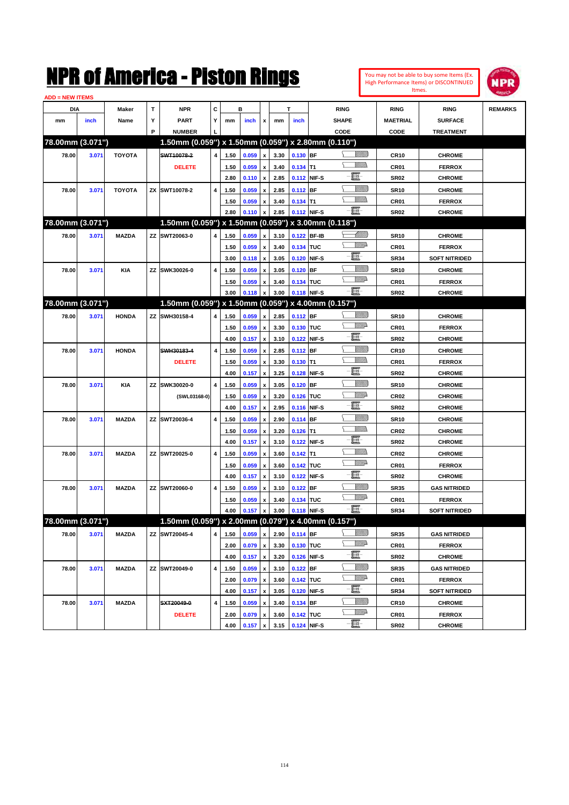| You may not be able to buy some Items (Ex. |
|--------------------------------------------|
| High Performance Items) or DISCONTINUED    |
| Itmes.                                     |



| <b>ADD = NEW ITEMS</b> |       |               |   |                                                     |   |      |       |                           |      |            |             |                            |                  |                      |                |
|------------------------|-------|---------------|---|-----------------------------------------------------|---|------|-------|---------------------------|------|------------|-------------|----------------------------|------------------|----------------------|----------------|
| DIA                    |       | Maker         | T | <b>NPR</b>                                          | C |      | в     |                           |      | T          |             | <b>RING</b>                | <b>RING</b>      | <b>RING</b>          | <b>REMARKS</b> |
| mm                     | inch  | Name          | Υ | <b>PART</b>                                         | Y | mm   | inch  | x                         | mm   | inch       |             | <b>SHAPE</b>               | <b>MAETRIAL</b>  | <b>SURFACE</b>       |                |
|                        |       |               | P | <b>NUMBER</b>                                       |   |      |       |                           |      |            |             | CODE                       | CODE             | <b>TREATMENT</b>     |                |
| 78.00mm (3.071")       |       |               |   | 1.50mm (0.059") x 1.50mm (0.059") x 2.80mm (0.110") |   |      |       |                           |      |            |             |                            |                  |                      |                |
| 78.00                  | 3.071 | <b>TOYOTA</b> |   | SWT10078-2                                          | 4 | 1.50 | 0.059 | x                         | 3.30 | 0.130 BF   |             | <u>Sillilli</u>            | <b>CR10</b>      | <b>CHROME</b>        |                |
|                        |       |               |   | <b>DELETE</b>                                       |   | 1.50 | 0.059 | $\boldsymbol{\mathsf{x}}$ | 3.40 | $0.134$ T1 |             |                            | CR01             | <b>FERROX</b>        |                |
|                        |       |               |   |                                                     |   | 2.80 | 0.110 | $\pmb{\mathsf{x}}$        | 2.85 |            | 0.112 NIF-S | e                          | <b>SR02</b>      | <b>CHROME</b>        |                |
| 78.00                  | 3.071 | <b>TOYOTA</b> |   | ZX SWT10078-2                                       | 4 | 1.50 | 0.059 | x                         | 2.85 | $0.112$ BF |             | <u>VIIII)</u>              | <b>SR10</b>      | <b>CHROME</b>        |                |
|                        |       |               |   |                                                     |   | 1.50 | 0.059 | x                         | 3.40 | $0.134$ T1 |             | <br>Militar                | CR01             | <b>FERROX</b>        |                |
|                        |       |               |   |                                                     |   | 2.80 | 0.110 | x                         | 2.85 |            | 0.112 NIF-S | -8                         | <b>SR02</b>      | <b>CHROME</b>        |                |
| 78.00mm (3.071")       |       |               |   | 1.50mm (0.059") x 1.50mm (0.059") x 3.00mm (0.118") |   |      |       |                           |      |            |             |                            |                  |                      |                |
| 78.00                  | 3.071 | <b>MAZDA</b>  |   | ZZ SWT20063-0                                       | 4 | 1.50 | 0.059 | x                         | 3.10 |            | 0.122 BF-IB | <u> UMB</u>                | <b>SR10</b>      | <b>CHROME</b>        |                |
|                        |       |               |   |                                                     |   | 1.50 | 0.059 | $\boldsymbol{\mathsf{x}}$ | 3.40 | 0.134 TUC  |             | <u>WW</u> A                | CR01             | <b>FERROX</b>        |                |
|                        |       |               |   |                                                     |   | 3.00 | 0.118 | $\pmb{\mathsf{x}}$        | 3.05 |            | 0.120 NIF-S | e                          | <b>SR34</b>      | <b>SOFT NITRIDED</b> |                |
| 78.00                  | 3.071 | <b>KIA</b>    |   | ZZ SWK30026-0                                       | 4 | 1.50 | 0.059 | x                         | 3.05 | $0.120$ BF |             | <u>VIIII)</u>              | <b>SR10</b>      | <b>CHROME</b>        |                |
|                        |       |               |   |                                                     |   | 1.50 | 0.059 | x                         | 3.40 | 0.134 TUC  |             | <u>WW</u> A                | CR01             | <b>FERROX</b>        |                |
|                        |       |               |   |                                                     |   | 3.00 | 0.118 | x                         | 3.00 |            | 0.118 NIF-S | -8                         | <b>SR02</b>      | <b>CHROME</b>        |                |
| 78.00mm (3.071")       |       |               |   | 1.50mm (0.059") x 1.50mm (0.059") x 4.00mm (0.157") |   |      |       |                           |      |            |             |                            |                  |                      |                |
| 78.00                  | 3.071 | <b>HONDA</b>  |   | ZZ SWH30158-4                                       | 4 | 1.50 | 0.059 | x                         | 2.85 | 0.112 BF   |             | <u> UMB</u>                | <b>SR10</b>      | <b>CHROME</b>        |                |
|                        |       |               |   |                                                     |   | 1.50 | 0.059 | x                         | 3.30 | 0.130 TUC  |             | <u>WW</u> A                | CR01             | <b>FERROX</b>        |                |
|                        |       |               |   |                                                     |   | 4.00 | 0.157 | $\pmb{\mathsf{x}}$        | 3.10 |            | 0.122 NIF-S | e                          | <b>SR02</b>      | <b>CHROME</b>        |                |
| 78.00                  | 3.071 | <b>HONDA</b>  |   | SWH30183-4                                          | 4 | 1.50 | 0.059 | x                         | 2.85 | 0.112 BF   |             | <u>Sillilli</u>            | <b>CR10</b>      | <b>CHROME</b>        |                |
|                        |       |               |   | <b>DELETE</b>                                       |   | 1.50 | 0.059 | x                         | 3.30 | $0.130$ T1 |             | .<br>VMD                   | CR01             | <b>FERROX</b>        |                |
|                        |       |               |   |                                                     |   | 4.00 | 0.157 | x                         | 3.25 |            | 0.128 NIF-S | e                          | <b>SR02</b>      | <b>CHROME</b>        |                |
| 78.00                  | 3.071 | <b>KIA</b>    |   | ZZ SWK30020-0                                       | 4 | 1.50 | 0.059 | x                         | 3.05 | $0.120$ BF |             | <u>Sillilli</u>            | <b>SR10</b>      | <b>CHROME</b>        |                |
|                        |       |               |   | (SWL03168-0)                                        |   | 1.50 | 0.059 | x                         | 3.20 | 0.126 TUC  |             | <u>Willi</u> a             | <b>CR02</b>      | <b>CHROME</b>        |                |
|                        |       |               |   |                                                     |   | 4.00 | 0.157 | x                         | 2.95 |            | 0.116 NIF-S | E                          | <b>SR02</b>      | <b>CHROME</b>        |                |
| 78.00                  | 3.071 | <b>MAZDA</b>  |   | ZZ SWT20036-4                                       | 4 | 1.50 | 0.059 | x                         | 2.90 | $0.114$ BF |             | <u>VIIII)</u>              | <b>SR10</b>      | <b>CHROME</b>        |                |
|                        |       |               |   |                                                     |   | 1.50 | 0.059 | x                         | 3.20 | $0.126$ T1 |             |                            | <b>CR02</b>      | <b>CHROME</b>        |                |
|                        |       |               |   |                                                     |   | 4.00 | 0.157 | $\pmb{\mathsf{x}}$        | 3.10 |            | 0.122 NIF-S | e                          | <b>SR02</b>      | <b>CHROME</b>        |                |
| 78.00                  | 3.071 | <b>MAZDA</b>  |   | ZZ SWT20025-0                                       | 4 | 1.50 | 0.059 | x                         | 3.60 | $0.142$ T1 |             | <br>Villida                | <b>CR02</b>      | <b>CHROME</b>        |                |
|                        |       |               |   |                                                     |   | 1.50 | 0.059 | x                         | 3.60 | 0.142 TUC  |             | <u>WW</u> A                | CR01             | <b>FERROX</b>        |                |
|                        |       |               |   |                                                     |   | 4.00 | 0.157 | x                         | 3.10 |            | 0.122 NIF-S | e                          | <b>SR02</b>      | <b>CHROME</b>        |                |
| 78.00                  | 3.071 | <b>MAZDA</b>  |   | ZZ SWT20060-0                                       | 4 | 1.50 | 0.059 | x                         | 3.10 | $0.122$ BF |             | <u>VIIII)</u>              | <b>SR35</b>      | <b>GAS NITRIDED</b>  |                |
|                        |       |               |   |                                                     |   | 1.50 | 0.059 | x                         | 3.40 | 0.134 TUC  |             | <u>WW</u> A                | CR01             | <b>FERROX</b>        |                |
|                        |       |               |   |                                                     |   | 4.00 | 0.157 | x                         | 3.00 |            | 0.118 NIF-S | -日                         | <b>SR34</b>      | <b>SOFT NITRIDED</b> |                |
| 78.00mm (3.071")       |       |               |   | 1.50mm (0.059") x 2.00mm (0.079") x 4.00mm (0.157") |   |      |       |                           |      |            |             |                            |                  |                      |                |
|                        |       |               |   |                                                     |   |      |       |                           |      |            |             | <u>Sillilli</u>            |                  |                      |                |
| 78.00                  | 3.071 | <b>MAZDA</b>  |   | ZZ SWT20045-4                                       | 4 | 1.50 | 0.059 | $\pmb{\mathsf{x}}$        | 2.90 | $0.114$ BF |             | ₩₩                         | <b>SR35</b>      | <b>GAS NITRIDED</b>  |                |
|                        |       |               |   |                                                     |   | 2.00 | 0.079 | x                         | 3.30 | 0.130 TUC  |             | e.                         | CR01             | <b>FERROX</b>        |                |
|                        |       |               |   |                                                     |   | 4.00 | 0.157 | $\pmb{\mathsf{x}}$        | 3.20 |            | 0.126 NIF-S | <u>Villitti</u>            | <b>SR02</b>      | <b>CHROME</b>        |                |
| 78.00                  | 3.071 | <b>MAZDA</b>  |   | ZZ SWT20049-0                                       | 4 | 1.50 | 0.059 | x                         | 3.10 | $0.122$ BF |             | <u>WW</u> A                | <b>SR35</b>      | <b>GAS NITRIDED</b>  |                |
|                        |       |               |   |                                                     |   | 2.00 | 0.079 | x                         | 3.60 | 0.142 TUC  |             | e                          | CR01             | <b>FERROX</b>        |                |
|                        |       |               |   |                                                     |   | 4.00 | 0.157 | $\pmb{\mathsf{x}}$        | 3.05 |            | 0.120 NIF-S |                            | <b>SR34</b>      | <b>SOFT NITRIDED</b> |                |
| 78.00                  | 3.071 | <b>MAZDA</b>  |   | SXT20049-0                                          | 4 | 1.50 | 0.059 | x                         | 3.40 | 0.134 BF   |             | <u> UMB</u><br><u>WW</u> A | CR <sub>10</sub> | <b>CHROME</b>        |                |
|                        |       |               |   | <b>DELETE</b>                                       |   | 2.00 | 0.079 | x                         | 3.60 | 0.142 TUC  |             |                            | CR01             | <b>FERROX</b>        |                |
|                        |       |               |   |                                                     |   | 4.00 | 0.157 | X                         | 3.15 |            | 0.124 NIF-S | $-\Xi$ -                   | SR02             | <b>CHROME</b>        |                |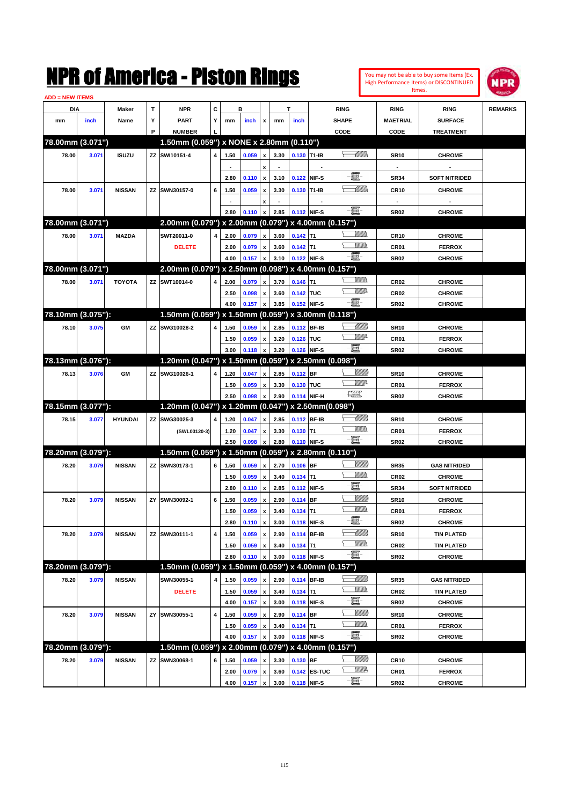|                        |       |                |        | NMK OI AINCrica - Miston Kings                            |   |      |       |                           |      |             |                          |                                                                                                                                                                                                                                                                                                                                                                                             |                             |                          | You may not be able to buy some Items (Ex.<br>High Performance Items) or DISCONTINUED<br>Itmes. | IPR            |
|------------------------|-------|----------------|--------|-----------------------------------------------------------|---|------|-------|---------------------------|------|-------------|--------------------------|---------------------------------------------------------------------------------------------------------------------------------------------------------------------------------------------------------------------------------------------------------------------------------------------------------------------------------------------------------------------------------------------|-----------------------------|--------------------------|-------------------------------------------------------------------------------------------------|----------------|
| <b>ADD = NEW ITEMS</b> |       |                |        |                                                           |   |      |       |                           |      |             |                          |                                                                                                                                                                                                                                                                                                                                                                                             |                             |                          |                                                                                                 |                |
| DIA                    |       | Maker          | T      | <b>NPR</b>                                                | C |      | в     |                           |      | т           |                          | <b>RING</b>                                                                                                                                                                                                                                                                                                                                                                                 |                             | <b>RING</b>              | <b>RING</b>                                                                                     | <b>REMARKS</b> |
| mm                     | inch  | Name           | Υ<br>P | <b>PART</b>                                               | Y | mm   | inch  | x                         | mm   | inch        |                          | <b>SHAPE</b>                                                                                                                                                                                                                                                                                                                                                                                |                             | <b>MAETRIAL</b>          | <b>SURFACE</b>                                                                                  |                |
| 78.00mm (3.071")       |       |                |        | <b>NUMBER</b><br>1.50mm (0.059") x NONE x 2.80mm (0.110") |   |      |       |                           |      |             |                          | CODE                                                                                                                                                                                                                                                                                                                                                                                        |                             | CODE                     | <b>TREATMENT</b>                                                                                |                |
|                        |       |                |        |                                                           |   |      |       |                           |      |             |                          |                                                                                                                                                                                                                                                                                                                                                                                             |                             |                          |                                                                                                 |                |
| 78.00                  | 3.071 | <b>ISUZU</b>   |        | ZZ SWI10151-4                                             | 4 | 1.50 | 0.059 | x                         | 3.30 | 0.130 T1-IB |                          |                                                                                                                                                                                                                                                                                                                                                                                             | <u>UMM</u>                  | <b>SR10</b>              | <b>CHROME</b>                                                                                   |                |
|                        |       |                |        |                                                           |   |      |       | $\pmb{\mathsf{x}}$        |      |             | $\overline{\phantom{a}}$ | E                                                                                                                                                                                                                                                                                                                                                                                           |                             | $\overline{\phantom{a}}$ |                                                                                                 |                |
|                        |       |                |        |                                                           |   | 2.80 | 0.110 | $\boldsymbol{\mathsf{x}}$ | 3.10 |             | 0.122 NIF-S              |                                                                                                                                                                                                                                                                                                                                                                                             |                             | <b>SR34</b>              | <b>SOFT NITRIDED</b>                                                                            |                |
| 78.00                  | 3.071 | <b>NISSAN</b>  | ZZ     | SWN30157-0                                                | 6 | 1.50 | 0.059 | x                         | 3.30 |             | 0.130 T1-IB              |                                                                                                                                                                                                                                                                                                                                                                                             | <u> UMB</u>                 | <b>CR10</b>              | <b>CHROME</b>                                                                                   |                |
|                        |       |                |        |                                                           |   |      |       | x                         |      |             |                          | $-\Xi$ -                                                                                                                                                                                                                                                                                                                                                                                    |                             | $\overline{\phantom{a}}$ |                                                                                                 |                |
|                        |       |                |        |                                                           |   | 2.80 | 0.110 | $\boldsymbol{\mathsf{x}}$ | 2.85 | 0.112 NIF-S |                          |                                                                                                                                                                                                                                                                                                                                                                                             |                             | <b>SR02</b>              | <b>CHROME</b>                                                                                   |                |
| 78.00mm (3.071")       |       |                |        | 2.00mm (0.079") x 2.00mm (0.079") x 4.00mm (0.157")       |   |      |       |                           |      |             |                          |                                                                                                                                                                                                                                                                                                                                                                                             |                             |                          |                                                                                                 |                |
| 78.00                  | 3.071 | <b>MAZDA</b>   |        | SWT20011-0                                                | 4 | 2.00 | 0.079 | $\boldsymbol{x}$          | 3.60 | $0.142$ T1  |                          | <br>Militar                                                                                                                                                                                                                                                                                                                                                                                 |                             | <b>CR10</b>              | <b>CHROME</b>                                                                                   |                |
|                        |       |                |        | <b>DELETE</b>                                             |   | 2.00 | 0.079 | $\boldsymbol{\mathsf{x}}$ | 3.60 | $0.142$ T1  |                          | .<br>VMD                                                                                                                                                                                                                                                                                                                                                                                    |                             | CR01                     | <b>FERROX</b>                                                                                   |                |
|                        |       |                |        |                                                           |   | 4.00 | 0.157 | x                         | 3.10 | 0.122 NIF-S |                          |                                                                                                                                                                                                                                                                                                                                                                                             |                             | <b>SR02</b>              | <b>CHROME</b>                                                                                   |                |
| 78.00mm (3.071")       |       |                |        | 2.00mm (0.079") x 2.50mm (0.098") x 4.00mm (0.157")       |   |      |       |                           |      |             |                          |                                                                                                                                                                                                                                                                                                                                                                                             |                             |                          |                                                                                                 |                |
| 78.00                  | 3.071 | <b>TOYOTA</b>  |        | ZZ SWT10014-0                                             | 4 | 2.00 | 0.079 | $\mathbf{x}$              | 3.70 | $0.146$ T1  |                          | .<br>VMD                                                                                                                                                                                                                                                                                                                                                                                    |                             | CR <sub>02</sub>         | <b>CHROME</b>                                                                                   |                |
|                        |       |                |        |                                                           |   | 2.50 | 0.098 | x                         | 3.60 | 0.142 TUC   |                          |                                                                                                                                                                                                                                                                                                                                                                                             | <u>VM</u> D                 | CR <sub>02</sub>         | <b>CHROME</b>                                                                                   |                |
|                        |       |                |        |                                                           |   | 4.00 | 0.157 | x                         | 3.85 |             | 0.152 NIF-S              | $-\Xi$ -                                                                                                                                                                                                                                                                                                                                                                                    |                             | <b>SR02</b>              | <b>CHROME</b>                                                                                   |                |
| 78.10mm (3.075"):      |       |                |        | 1.50mm (0.059") x 1.50mm (0.059") x 3.00mm (0.118")       |   |      |       |                           |      |             |                          |                                                                                                                                                                                                                                                                                                                                                                                             |                             |                          |                                                                                                 |                |
| 78.10                  | 3.075 | GМ             | ZZ     | SWG10028-2                                                | 4 | 1.50 | 0.059 | $\mathbf{x}$              | 2.85 |             | 0.112 BF-IB              |                                                                                                                                                                                                                                                                                                                                                                                             | <u> UMB</u>                 | <b>SR10</b>              | <b>CHROME</b>                                                                                   |                |
|                        |       |                |        |                                                           |   | 1.50 | 0.059 | x                         | 3.20 | 0.126 TUC   |                          |                                                                                                                                                                                                                                                                                                                                                                                             | <u>Willia</u>               | CR01                     | <b>FERROX</b>                                                                                   |                |
|                        |       |                |        |                                                           |   | 3.00 | 0.118 | x                         | 3.20 |             | 0.126 NIF-S              | $-\Xi$ -                                                                                                                                                                                                                                                                                                                                                                                    |                             | <b>SR02</b>              | <b>CHROME</b>                                                                                   |                |
| 78.13mm (3.076"):      |       |                |        | 1.20mm (0.047") x 1.50mm (0.059") x 2.50mm (0.098")       |   |      |       |                           |      |             |                          |                                                                                                                                                                                                                                                                                                                                                                                             |                             |                          |                                                                                                 |                |
| 78.13                  | 3.076 | GМ             | ΖZ     | SWG10026-1                                                | 4 | 1.20 | 0.047 | $\mathbf{x}$              | 2.85 | 0.112 BF    |                          |                                                                                                                                                                                                                                                                                                                                                                                             | <u>Sillilli</u>             | <b>SR10</b>              | <b>CHROME</b>                                                                                   |                |
|                        |       |                |        |                                                           |   | 1.50 | 0.059 | x                         | 3.30 | 0.130 TUC   |                          |                                                                                                                                                                                                                                                                                                                                                                                             | VM)                         | CR01                     | <b>FERROX</b>                                                                                   |                |
|                        |       |                |        |                                                           |   | 2.50 | 0.098 | x                         | 2.90 |             | 0.114 NIF-H              | $\begin{picture}(20,20) \put(0,0){\dashbox{0.5}(20,0){ }} \put(15,0){\circle{10}} \put(25,0){\circle{10}} \put(25,0){\circle{10}} \put(25,0){\circle{10}} \put(25,0){\circle{10}} \put(25,0){\circle{10}} \put(25,0){\circle{10}} \put(25,0){\circle{10}} \put(25,0){\circle{10}} \put(25,0){\circle{10}} \put(25,0){\circle{10}} \put(25,0){\circle{10}} \put(25,0){\circle{10}} \put(25,$ |                             | <b>SR02</b>              | <b>CHROME</b>                                                                                   |                |
| 78.15mm (3.077"):      |       |                |        | 1.20mm (0.047") x 1.20mm (0.047") x 2.50mm(0.098")        |   |      |       |                           |      |             |                          |                                                                                                                                                                                                                                                                                                                                                                                             |                             |                          |                                                                                                 |                |
| 78.15                  | 3.077 | <b>HYUNDAI</b> | ZZ     | SWG30025-3                                                | 4 | 1.20 | 0.047 | $\mathbf{x}$              | 2.85 |             | 0.112 BF-IB              |                                                                                                                                                                                                                                                                                                                                                                                             | <u> UMB</u>                 | <b>SR10</b>              | <b>CHROME</b>                                                                                   |                |
|                        |       |                |        | (SWL03120-3)                                              |   | 1.20 | 0.047 | x                         | 3.30 | $0.130$ T1  |                          | <u>Villida</u>                                                                                                                                                                                                                                                                                                                                                                              |                             | CR01                     | <b>FERROX</b>                                                                                   |                |
|                        |       |                |        |                                                           |   | 2.50 | 0.098 | x                         | 2.80 | 0.110 NIF-S |                          | $-\Xi$ -                                                                                                                                                                                                                                                                                                                                                                                    |                             | <b>SR02</b>              | <b>CHROME</b>                                                                                   |                |
| 78.20mm (3.079"):      |       |                |        | 1.50mm (0.059") x 1.50mm (0.059") x 2.80mm (0.110")       |   |      |       |                           |      |             |                          |                                                                                                                                                                                                                                                                                                                                                                                             |                             |                          |                                                                                                 |                |
| 78.20                  | 3.079 | <b>NISSAN</b>  |        | ZZ SWN30173-1                                             | 6 | 1.50 | 0.059 | x                         | 2.70 | $0.106$ BF  |                          |                                                                                                                                                                                                                                                                                                                                                                                             | <u>Sillilli</u>             | <b>SR35</b>              | <b>GAS NITRIDED</b>                                                                             |                |
|                        |       |                |        |                                                           |   | 1.50 | 0.059 | $\boldsymbol{\mathsf{x}}$ | 3.40 | $0.134$ T1  |                          | .<br>VMD                                                                                                                                                                                                                                                                                                                                                                                    |                             | CR <sub>02</sub>         | <b>CHROME</b>                                                                                   |                |
|                        |       |                |        |                                                           |   | 2.80 | 0.110 | $\pmb{\mathsf{x}}$        | 2.85 |             | 0.112 NIF-S              | e.                                                                                                                                                                                                                                                                                                                                                                                          |                             | <b>SR34</b>              | <b>SOFT NITRIDED</b>                                                                            |                |
| 78.20                  | 3.079 | <b>NISSAN</b>  |        | ZY SWN30092-1                                             | 6 | 1.50 | 0.059 | $\pmb{\mathsf{x}}$        | 2.90 | 0.114 BF    |                          |                                                                                                                                                                                                                                                                                                                                                                                             |                             | <b>SR10</b>              | <b>CHROME</b>                                                                                   |                |
|                        |       |                |        |                                                           |   | 1.50 | 0.059 | $\pmb{\mathsf{x}}$        | 3.40 | $0.134$ T1  |                          | <u>Willib</u>                                                                                                                                                                                                                                                                                                                                                                               |                             | CR01                     | <b>FERROX</b>                                                                                   |                |
|                        |       |                |        |                                                           |   | 2.80 | 0.110 | $\boldsymbol{\mathsf{x}}$ | 3.00 |             | 0.118 NIF-S              | E.                                                                                                                                                                                                                                                                                                                                                                                          |                             | <b>SR02</b>              | <b>CHROME</b>                                                                                   |                |
| 78.20                  | 3.079 | <b>NISSAN</b>  |        | ZZ SWN30111-1                                             | 4 | 1.50 | 0.059 | $\pmb{\mathsf{x}}$        | 2.90 |             | 0.114 BF-IB              |                                                                                                                                                                                                                                                                                                                                                                                             | <u> Millitt</u>             | <b>SR10</b>              | <b>TIN PLATED</b>                                                                               |                |
|                        |       |                |        |                                                           |   | 1.50 | 0.059 | $\pmb{\mathsf{x}}$        | 3.40 | $0.134$ T1  |                          | <u>WMW</u>                                                                                                                                                                                                                                                                                                                                                                                  |                             | CR02                     | <b>TIN PLATED</b>                                                                               |                |
|                        |       |                |        |                                                           |   | 2.80 | 0.110 | x                         | 3.00 |             | 0.118 NIF-S              | $-\Xi$                                                                                                                                                                                                                                                                                                                                                                                      |                             | <b>SR02</b>              | <b>CHROME</b>                                                                                   |                |
| 78.20mm (3.079"):      |       |                |        | 1.50mm (0.059") x 1.50mm (0.059") x 4.00mm (0.157")       |   |      |       |                           |      |             |                          |                                                                                                                                                                                                                                                                                                                                                                                             |                             |                          |                                                                                                 |                |
| 78.20                  | 3.079 | <b>NISSAN</b>  |        | SWN30055-1                                                | 4 | 1.50 | 0.059 | X                         | 2.90 |             | 0.114 BF-IB              |                                                                                                                                                                                                                                                                                                                                                                                             | <u> UMB</u>                 | <b>SR35</b>              | <b>GAS NITRIDED</b>                                                                             |                |
|                        |       |                |        | <b>DELETE</b>                                             |   | 1.50 | 0.059 | $\pmb{\mathsf{x}}$        | 3.40 | $0.134$ T1  |                          | <u>WMW</u>                                                                                                                                                                                                                                                                                                                                                                                  |                             | CR <sub>02</sub>         | <b>TIN PLATED</b>                                                                               |                |
|                        |       |                |        |                                                           |   | 4.00 | 0.157 | $\boldsymbol{\mathsf{x}}$ | 3.00 |             | 0.118 NIF-S              | e-                                                                                                                                                                                                                                                                                                                                                                                          |                             | SR <sub>02</sub>         | <b>CHROME</b>                                                                                   |                |
|                        |       |                |        |                                                           |   |      |       |                           |      |             |                          |                                                                                                                                                                                                                                                                                                                                                                                             | <u>Sillilli</u>             |                          |                                                                                                 |                |
| 78.20                  | 3.079 | <b>NISSAN</b>  | ΖY     | SWN30055-1                                                | 4 | 1.50 | 0.059 | $\pmb{\mathsf{x}}$        | 2.90 | $0.114$ BF  |                          |                                                                                                                                                                                                                                                                                                                                                                                             | <u>Willib</u>               | <b>SR10</b>              | <b>CHROME</b>                                                                                   |                |
|                        |       |                |        |                                                           |   | 1.50 | 0.059 | $\pmb{\mathsf{x}}$        | 3.40 | $0.134$ T1  |                          | -8                                                                                                                                                                                                                                                                                                                                                                                          |                             | CR01                     | <b>FERROX</b>                                                                                   |                |
| 78.20mm (3.079"):      |       |                |        | 1.50mm (0.059") x 2.00mm (0.079") x 4.00mm (0.157")       |   | 4.00 | 0.157 | X                         | 3.00 |             | 0.118 NIF-S              |                                                                                                                                                                                                                                                                                                                                                                                             |                             | <b>SR02</b>              | <b>CHROME</b>                                                                                   |                |
|                        |       |                |        |                                                           |   |      |       |                           |      |             |                          |                                                                                                                                                                                                                                                                                                                                                                                             |                             |                          |                                                                                                 |                |
| 78.20                  | 3.079 | <b>NISSAN</b>  | ΖZ     | SWN30068-1                                                | 6 | 1.50 | 0.059 | x                         | 3.30 | $0.130$ BF  |                          |                                                                                                                                                                                                                                                                                                                                                                                             | <u>Milli</u><br><u>VM</u> D | CR <sub>10</sub>         | <b>CHROME</b>                                                                                   |                |
|                        |       |                |        |                                                           |   | 2.00 | 0.079 | $\pmb{\mathsf{x}}$        | 3.60 |             | 0.142 ES-TUC             | $-\Xi$                                                                                                                                                                                                                                                                                                                                                                                      |                             | CR01                     | <b>FERROX</b>                                                                                   |                |
|                        |       |                |        |                                                           |   | 4.00 | 0.157 | $\boldsymbol{x}$          | 3.00 |             | 0.118 NIF-S              |                                                                                                                                                                                                                                                                                                                                                                                             |                             | <b>SR02</b>              | <b>CHROME</b>                                                                                   |                |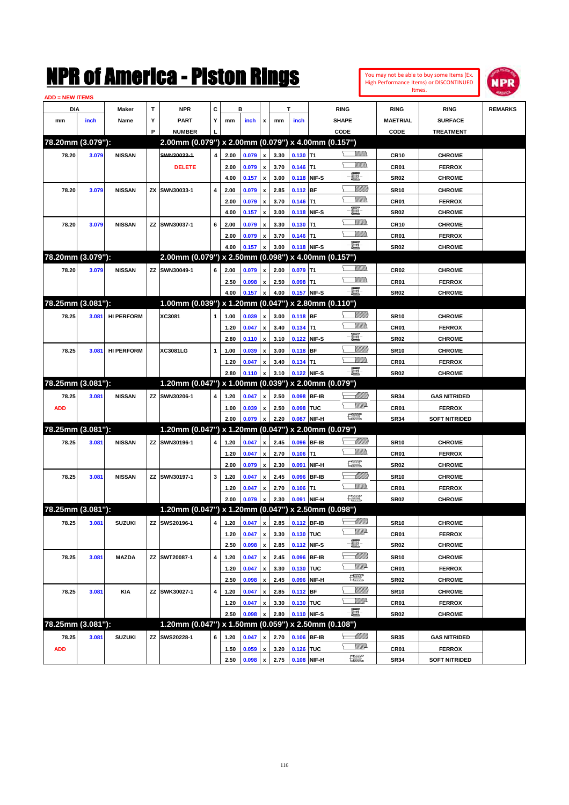| You may not be able to buy some Items (Ex. |
|--------------------------------------------|
| High Performance Items) or DISCONTINUED    |
| Itmes.                                     |



| <b>ADD = NEW ITEMS</b> |       |                   |    |                                                     |   |              |                |                    |                                 |                           |              |                                                                                                                                                                                                                                                                                                                                                     |                  |                      |                |
|------------------------|-------|-------------------|----|-----------------------------------------------------|---|--------------|----------------|--------------------|---------------------------------|---------------------------|--------------|-----------------------------------------------------------------------------------------------------------------------------------------------------------------------------------------------------------------------------------------------------------------------------------------------------------------------------------------------------|------------------|----------------------|----------------|
| DIA                    |       | Maker             | т  | NPR                                                 | С |              | в              |                    |                                 | т                         |              | <b>RING</b>                                                                                                                                                                                                                                                                                                                                         | <b>RING</b>      | <b>RING</b>          | <b>REMARKS</b> |
| mm                     | inch  | Name              | Y  | <b>PART</b>                                         | Y | mm           | inch           | x                  | mm                              | inch                      |              | <b>SHAPE</b>                                                                                                                                                                                                                                                                                                                                        | <b>MAETRIAL</b>  | <b>SURFACE</b>       |                |
|                        |       |                   | P  | <b>NUMBER</b>                                       |   |              |                |                    |                                 |                           |              | CODE                                                                                                                                                                                                                                                                                                                                                | CODE             | <b>TREATMENT</b>     |                |
| 78.20mm (3.079"):      |       |                   |    | 2.00mm (0.079") x 2.00mm (0.079") x 4.00mm (0.157") |   |              |                |                    |                                 |                           |              |                                                                                                                                                                                                                                                                                                                                                     |                  |                      |                |
| 78.20                  | 3.079 | <b>NISSAN</b>     |    | SWN30033-1                                          | 4 | 2.00         | 0.079          | $\pmb{\mathsf{x}}$ | 3.30                            | $0.130$ T1                |              | <br>Militar                                                                                                                                                                                                                                                                                                                                         | <b>CR10</b>      | <b>CHROME</b>        |                |
|                        |       |                   |    | <b>DELETE</b>                                       |   | 2.00         | 0.079          | x                  | 3.70                            | $0.146$ T1                |              |                                                                                                                                                                                                                                                                                                                                                     | CR01             | <b>FERROX</b>        |                |
|                        |       |                   |    |                                                     |   | 4.00         | 0.157          | x                  | 3.00                            |                           | 0.118 NIF-S  | e                                                                                                                                                                                                                                                                                                                                                   | <b>SR02</b>      | <b>CHROME</b>        |                |
| 78.20                  | 3.079 | <b>NISSAN</b>     | ZΧ | SWN30033-1                                          | 4 | 2.00         | 0.079          | x                  | 2.85                            | $0.112$ BF                |              | <u>VIIII)</u>                                                                                                                                                                                                                                                                                                                                       | <b>SR10</b>      | <b>CHROME</b>        |                |
|                        |       |                   |    |                                                     |   | 2.00         | 0.079          | x                  | 3.70                            | $0.146$ T1                |              | .<br>VMD                                                                                                                                                                                                                                                                                                                                            | CR <sub>01</sub> | <b>FERROX</b>        |                |
|                        |       |                   |    |                                                     |   | 4.00         | 0.157          | x                  | 3.00                            | 0.118 NIF-S               |              | E                                                                                                                                                                                                                                                                                                                                                   | <b>SR02</b>      | <b>CHROME</b>        |                |
| 78.20                  | 3.079 | <b>NISSAN</b>     |    | ZZ SWN30037-1                                       | 6 | 2.00         | 0.079          |                    | 3.30                            | $0.130$ T1                |              | .<br>VMD                                                                                                                                                                                                                                                                                                                                            | CR10             | <b>CHROME</b>        |                |
|                        |       |                   |    |                                                     |   | 2.00         | 0.079          | x                  | 3.70                            | $0.146$ T1                |              | <br>Milita                                                                                                                                                                                                                                                                                                                                          | CR <sub>01</sub> | <b>FERROX</b>        |                |
|                        |       |                   |    |                                                     |   | 4.00         | 0.157          |                    | 3.00                            | 0.118 NIF-S               |              | -日                                                                                                                                                                                                                                                                                                                                                  | <b>SR02</b>      | <b>CHROME</b>        |                |
| 78.20mm (3.079"):      |       |                   |    | 2.00mm (0.079") x 2.50mm (0.098") x 4.00mm (0.157") |   |              |                |                    |                                 |                           |              |                                                                                                                                                                                                                                                                                                                                                     |                  |                      |                |
| 78.20                  | 3.079 | <b>NISSAN</b>     |    | ZZ SWN30049-1                                       | 6 | 2.00         | 0.079          | x                  | 2.00                            | $0.079$ T1                |              | .<br>VMD                                                                                                                                                                                                                                                                                                                                            | <b>CR02</b>      | <b>CHROME</b>        |                |
|                        |       |                   |    |                                                     |   | 2.50         | 0.098          | x                  | 2.50                            | $0.098$ T1                |              | <br>Militar                                                                                                                                                                                                                                                                                                                                         | CR01             | <b>FERROX</b>        |                |
|                        |       |                   |    |                                                     |   | 4.00         | 0.157          | x                  | 4.00                            | 0.157 NIF-S               |              | -日                                                                                                                                                                                                                                                                                                                                                  | <b>SR02</b>      | <b>CHROME</b>        |                |
| 78.25mm (3.081"):      |       |                   |    | 1.00mm (0.039") x 1.20mm (0.047") x 2.80mm (0.110") |   |              |                |                    |                                 |                           |              |                                                                                                                                                                                                                                                                                                                                                     |                  |                      |                |
| 78.25                  | 3.081 | <b>HI PERFORM</b> |    | XC3081                                              | 1 | 1.00         | 0.039          | x                  | 3.00                            | $0.118$ BF                |              | <u> UMB</u>                                                                                                                                                                                                                                                                                                                                         | <b>SR10</b>      | <b>CHROME</b>        |                |
|                        |       |                   |    |                                                     |   | 1.20         | 0.047          | x                  | 3.40                            | $0.134$ T1                |              | UM)                                                                                                                                                                                                                                                                                                                                                 | CR01             | <b>FERROX</b>        |                |
|                        |       |                   |    |                                                     |   | 2.80         | 0.110          | x                  | 3.10                            | 0.122 NIF-S               |              | E                                                                                                                                                                                                                                                                                                                                                   | <b>SR02</b>      | <b>CHROME</b>        |                |
|                        |       | <b>HI PERFORM</b> |    | XC3081LG                                            | 1 |              | 0.039          |                    | 3.00                            | $0.118$ BF                |              | <u>VIIII)</u>                                                                                                                                                                                                                                                                                                                                       |                  | <b>CHROME</b>        |                |
| 78.25                  | 3.081 |                   |    |                                                     |   | 1.00         |                |                    |                                 |                           |              | <br>Militar                                                                                                                                                                                                                                                                                                                                         | <b>SR10</b>      |                      |                |
|                        |       |                   |    |                                                     |   | 1.20<br>2.80 | 0.047<br>0.110 | x                  | 3.40<br>3.10                    | $0.134$ T1<br>0.122 NIF-S |              | -8                                                                                                                                                                                                                                                                                                                                                  | CR <sub>01</sub> | <b>FERROX</b>        |                |
| 78.25mm (3.081"):      |       |                   |    | 1.20mm (0.047") x 1.00mm (0.039") x 2.00mm (0.079") |   |              |                |                    |                                 |                           |              |                                                                                                                                                                                                                                                                                                                                                     | <b>SR02</b>      | <b>CHROME</b>        |                |
|                        |       |                   |    |                                                     |   |              |                |                    |                                 |                           |              | <u>UMB</u>                                                                                                                                                                                                                                                                                                                                          |                  |                      |                |
| 78.25                  | 3.081 | <b>NISSAN</b>     |    | ZZ SWN30206-1                                       | 4 | 1.20         | 0.047          | x                  | 2.50                            | 0.098 BF-IB               |              | <u>VMD</u>                                                                                                                                                                                                                                                                                                                                          | <b>SR34</b>      | <b>GAS NITRIDED</b>  |                |
| <b>ADD</b>             |       |                   |    |                                                     |   | 1.00         | 0.039          | x                  | 2.50<br>2.20                    | 0.098 TUC                 |              | 鱱                                                                                                                                                                                                                                                                                                                                                   | CR <sub>01</sub> | <b>FERROX</b>        |                |
| 78.25mm (3.081"):      |       |                   |    | 1.20mm (0.047") x 1.20mm (0.047") x 2.00mm (0.079") |   | 2.00         | 0.079          |                    |                                 |                           | 0.087 NIF-H  |                                                                                                                                                                                                                                                                                                                                                     | <b>SR34</b>      | <b>SOFT NITRIDED</b> |                |
|                        |       |                   |    |                                                     |   |              |                |                    |                                 |                           |              |                                                                                                                                                                                                                                                                                                                                                     |                  |                      |                |
| 78.25                  | 3.081 | <b>NISSAN</b>     |    | ZZ SWN30196-1                                       | 4 | 1.20         | 0.047          | x                  | 2.45                            | 0.096 BF-IB               |              | <u> UMB</u><br>UM)                                                                                                                                                                                                                                                                                                                                  | <b>SR10</b>      | <b>CHROME</b>        |                |
|                        |       |                   |    |                                                     |   | 1.20         | 0.047          | x                  | 2.70                            | $0.106$ T1                |              | $f_{\text{max}}^{\text{opp}}$                                                                                                                                                                                                                                                                                                                       | CR01             | <b>FERROX</b>        |                |
|                        |       |                   |    |                                                     |   | 2.00         | 0.079          | x                  | 2.30                            | 0.091                     | NIF-H        |                                                                                                                                                                                                                                                                                                                                                     | <b>SR02</b>      | <b>CHROME</b>        |                |
| 78.25                  | 3.081 | <b>NISSAN</b>     |    | ZZ SWN30197-1                                       | 3 | 1.20         | 0.047          |                    | 2.45                            | 0.096                     | <b>BF-IB</b> | MMB<br>.<br>VMD                                                                                                                                                                                                                                                                                                                                     | <b>SR10</b>      | <b>CHROME</b>        |                |
|                        |       |                   |    |                                                     |   | 1.20         | 0.047          | x                  | 2.70                            | $0.106$ T1                |              | $f_{\text{max}}^{\text{opp}}$                                                                                                                                                                                                                                                                                                                       | CR <sub>01</sub> | <b>FERROX</b>        |                |
|                        |       |                   |    |                                                     |   | 2.00         | 0.079          |                    | 2.30                            | 0.091                     | NIF-H        |                                                                                                                                                                                                                                                                                                                                                     | SR02             | <b>CHROME</b>        |                |
| 78.25mm (3.081"):      |       |                   |    | 1.20mm (0.047") x 1.20mm (0.047") x 2.50mm (0.098") |   |              |                |                    |                                 |                           |              |                                                                                                                                                                                                                                                                                                                                                     |                  |                      |                |
| 78.25                  | 3.081 | <b>SUZUKI</b>     |    | ZZ SWS20196-1                                       |   |              |                |                    | 4 1.20 0.047 x 2.85 0.112 BF-IB |                           |              | <u> Millito</u>                                                                                                                                                                                                                                                                                                                                     | <b>SR10</b>      | <b>CHROME</b>        |                |
|                        |       |                   |    |                                                     |   | 1.20         | 0.047          | $\pmb{\mathsf{x}}$ | 3.30                            | 0.130 TUC                 |              | <u>VMP</u>                                                                                                                                                                                                                                                                                                                                          | CR01             | <b>FERROX</b>        |                |
|                        |       |                   |    |                                                     |   | 2.50         | 0.098          | $\pmb{\mathsf{x}}$ | 2.85                            | 0.112 NIF-S               |              | E.                                                                                                                                                                                                                                                                                                                                                  | <b>SR02</b>      | <b>CHROME</b>        |                |
| 78.25                  | 3.081 | <b>MAZDA</b>      |    | ZZ SWT20087-1                                       | 4 | 1.20         | 0.047          | $\pmb{\mathsf{x}}$ | 2.45                            | 0.096 BF-IB               |              | <u> MMN</u>                                                                                                                                                                                                                                                                                                                                         | <b>SR10</b>      | <b>CHROME</b>        |                |
|                        |       |                   |    |                                                     |   | 1.20         | 0.047          | x                  | 3.30                            | 0.130 TUC                 |              | <u>VMP</u>                                                                                                                                                                                                                                                                                                                                          | CR01             | <b>FERROX</b>        |                |
|                        |       |                   |    |                                                     |   | 2.50         | 0.098          | $\pmb{\mathsf{x}}$ | 2.45                            |                           | 0.096 NIF-H  | $\frac{1}{2}$                                                                                                                                                                                                                                                                                                                                       | <b>SR02</b>      | <b>CHROME</b>        |                |
| 78.25                  | 3.081 | <b>KIA</b>        |    | ZZ SWK30027-1                                       | 4 | 1.20         | 0.047          | x                  | 2.85                            | $0.112$ BF                |              | <u>VIIII)</u>                                                                                                                                                                                                                                                                                                                                       | <b>SR10</b>      | <b>CHROME</b>        |                |
|                        |       |                   |    |                                                     |   | 1.20         | 0.047          | x                  | 3.30                            | 0.130 TUC                 |              | <u>VMP</u>                                                                                                                                                                                                                                                                                                                                          | CR01             | <b>FERROX</b>        |                |
|                        |       |                   |    |                                                     |   | 2.50         | 0.098          | x                  | 2.80                            | 0.110 NIF-S               |              | -8                                                                                                                                                                                                                                                                                                                                                  | SR02             | <b>CHROME</b>        |                |
| 78.25mm (3.081"):      |       |                   |    | 1.20mm (0.047") x 1.50mm (0.059") x 2.50mm (0.108") |   |              |                |                    |                                 |                           |              |                                                                                                                                                                                                                                                                                                                                                     |                  |                      |                |
| 78.25                  | 3.081 | <b>SUZUKI</b>     |    | ZZ SWS20228-1                                       | 6 | 1.20         | 0.047          |                    | 2.70                            | 0.106 BF-IB               |              | <u> Milli</u>                                                                                                                                                                                                                                                                                                                                       | <b>SR35</b>      | <b>GAS NITRIDED</b>  |                |
| <b>ADD</b>             |       |                   |    |                                                     |   | 1.50         | 0.059          | x                  | 3.20                            | 0.126 TUC                 |              | <u>Willid</u> h                                                                                                                                                                                                                                                                                                                                     | CR01             | <b>FERROX</b>        |                |
|                        |       |                   |    |                                                     |   | 2.50         | 0.098          | $\pmb{\mathsf{x}}$ | 2.75                            |                           | 0.108 NIF-H  | $\begin{picture}(20,20) \put(0,0){\line(1,0){10}} \put(15,0){\line(1,0){10}} \put(15,0){\line(1,0){10}} \put(15,0){\line(1,0){10}} \put(15,0){\line(1,0){10}} \put(15,0){\line(1,0){10}} \put(15,0){\line(1,0){10}} \put(15,0){\line(1,0){10}} \put(15,0){\line(1,0){10}} \put(15,0){\line(1,0){10}} \put(15,0){\line(1,0){10}} \put(15,0){\line(1$ | <b>SR34</b>      | <b>SOFT NITRIDED</b> |                |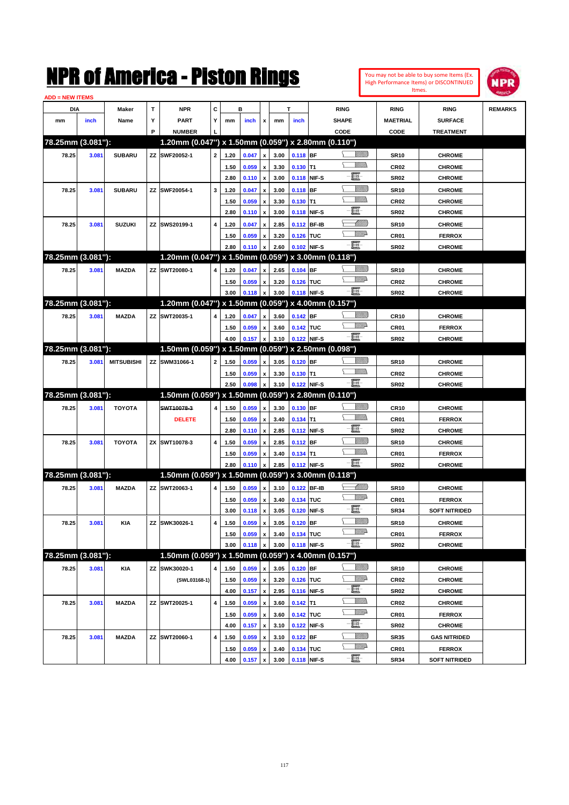|                        |       |                   |   | K OI AMerica - Piston Kings                            |              |      |                |                           |      |             |                   |                      |                 |                                | You may not be able to buy some Items (Ex.<br>High Performance Items) or DISCONTINUED | <b>NPR</b>     |
|------------------------|-------|-------------------|---|--------------------------------------------------------|--------------|------|----------------|---------------------------|------|-------------|-------------------|----------------------|-----------------|--------------------------------|---------------------------------------------------------------------------------------|----------------|
|                        |       |                   |   |                                                        |              |      |                |                           |      |             |                   |                      |                 |                                | Itmes.                                                                                |                |
| ADD = NEW ITEMS<br>DIA |       |                   | T | <b>NPR</b>                                             | C            |      | в              |                           |      | т           |                   |                      |                 |                                |                                                                                       |                |
| mm                     | inch  | Maker<br>Name     | Υ | <b>PART</b>                                            | Y            | mm   | inch           |                           | mm   | inch        |                   | <b>RING</b><br>SHAPE |                 | <b>RING</b><br><b>MAETRIAL</b> | <b>RING</b><br><b>SURFACE</b>                                                         | <b>REMARKS</b> |
|                        |       |                   | P | <b>NUMBER</b>                                          |              |      |                | x                         |      |             |                   | CODE                 |                 | CODE                           |                                                                                       |                |
| 78.25mm (3.081"):      |       |                   |   | 1.20mm (0.047") x 1.50mm (0.059") x 2.80mm (0.110")    |              |      |                |                           |      |             |                   |                      |                 |                                | <b>TREATMENT</b>                                                                      |                |
| 78.25                  | 3.081 | <b>SUBARU</b>     |   | ZZ SWF20052-1                                          | $\mathbf{2}$ | 1.20 | 0.047          | $\pmb{\mathsf{x}}$        | 3.00 | 0.118 BF    |                   |                      | <u>Sillilli</u> | <b>SR10</b>                    | <b>CHROME</b>                                                                         |                |
|                        |       |                   |   |                                                        |              | 1.50 | 0.059          | $\pmb{\mathsf{x}}$        | 3.30 | 0.130       | T1                |                      | <br>Mar         | CR <sub>02</sub>               | <b>CHROME</b>                                                                         |                |
|                        |       |                   |   |                                                        |              | 2.80 | 0.110          | $\boldsymbol{\mathsf{x}}$ | 3.00 | 0.118       | NIF-S             | E                    |                 | <b>SR02</b>                    | <b>CHROME</b>                                                                         |                |
| 78.25                  | 3.081 | <b>SUBARU</b>     |   | ZZ SWF20054-1                                          | 3            | 1.20 | 0.047          | $\pmb{\mathsf{x}}$        | 3.00 | 0.118       | <b>BF</b>         |                      | <u>Milli</u>    | <b>SR10</b>                    | <b>CHROME</b>                                                                         |                |
|                        |       |                   |   |                                                        |              | 1.50 | 0.059          | $\pmb{\mathsf{x}}$        | 3.30 | 0.130       | T1                |                      | <br>Mar         | CR <sub>02</sub>               | <b>CHROME</b>                                                                         |                |
|                        |       |                   |   |                                                        |              | 2.80 | 0.110          | $\boldsymbol{\mathsf{x}}$ | 3.00 | 0.118       | NIF-S             | E                    |                 | <b>SR02</b>                    | <b>CHROME</b>                                                                         |                |
| 78.25                  | 3.081 | <b>SUZUKI</b>     |   | ZZ SWS20199-1                                          | 4            | 1.20 | 0.047          | $\pmb{\mathsf{x}}$        | 2.85 | 0.112       | <b>BF-IB</b>      |                      | <u>UMM</u>      | <b>SR10</b>                    | <b>CHROME</b>                                                                         |                |
|                        |       |                   |   |                                                        |              | 1.50 | 0.059          | $\boldsymbol{\mathsf{x}}$ | 3.20 | 0.126       | <b>TUC</b>        |                      | <u>VMD</u>      | CR01                           | <b>FERROX</b>                                                                         |                |
|                        |       |                   |   |                                                        |              | 2.80 | 0.110          | x                         | 2.60 | 0.102 NIF-S |                   | ·ii                  |                 | <b>SR02</b>                    | <b>CHROME</b>                                                                         |                |
| 78.25mm (3.081"):      |       |                   |   | 1.20mm (0.047") x 1.50mm (0.059")                      |              |      |                |                           |      |             | x 3.00mm (0.118") |                      |                 |                                |                                                                                       |                |
| 78.25                  | 3.081 | <b>MAZDA</b>      |   | ZZ SWT20080-1                                          | 4            | 1.20 | 0.047          | x                         | 2.65 | 0.104       | <b>BF</b>         |                      | <u>Sillilli</u> | <b>SR10</b>                    | <b>CHROME</b>                                                                         |                |
|                        |       |                   |   |                                                        |              | 1.50 | 0.059          | $\boldsymbol{\mathsf{x}}$ | 3.20 | 0.126 TUC   |                   |                      | <u>VMD</u>      | CR <sub>02</sub>               | <b>CHROME</b>                                                                         |                |
|                        |       |                   |   |                                                        |              | 3.00 | 0.118          | $\boldsymbol{\mathsf{x}}$ | 3.00 | 0.118       | NIF-S             | Ð.                   |                 | <b>SR02</b>                    | <b>CHROME</b>                                                                         |                |
| 78.25mm (3.081"):      |       |                   |   | 1.20mm (0.047") x 1.50mm (0.059")                      |              |      |                |                           |      |             | x 4.00mm (0.157") |                      |                 |                                |                                                                                       |                |
| 78.25                  | 3.081 | <b>MAZDA</b>      |   | ZZ SWT20035-1                                          | 4            | 1.20 | 0.047          | x                         | 3.60 | 0.142 BF    |                   |                      | <u>Sillilli</u> | <b>CR10</b>                    | <b>CHROME</b>                                                                         |                |
|                        |       |                   |   |                                                        |              | 1.50 | 0.059          | $\boldsymbol{\mathsf{x}}$ | 3.60 | 0.142 TUC   |                   |                      | <u>VMD</u>      | CR01                           | <b>FERROX</b>                                                                         |                |
|                        |       |                   |   |                                                        |              | 4.00 | 0.157          | $\boldsymbol{\mathsf{x}}$ | 3.10 | 0.122       | NIF-S             | $-\Xi$ -             |                 | <b>SR02</b>                    | <b>CHROME</b>                                                                         |                |
| 78.25mm (3.081"):      |       |                   |   | 1.50mm (0.059") x 1.50mm (0.059")                      |              |      |                |                           |      |             | x 2.50mm (0.098") |                      |                 |                                |                                                                                       |                |
| 78.25                  | 3.081 | <b>MITSUBISHI</b> |   | ZZ SWM31066-1                                          | 2            | 1.50 | 0.059          | x                         | 3.05 | 0.120       | <b>BF</b>         |                      | <u>Sillilli</u> | <b>SR10</b>                    | <b>CHROME</b>                                                                         |                |
|                        |       |                   |   |                                                        |              | 1.50 | 0.059          | $\boldsymbol{\mathsf{x}}$ | 3.30 | 0.130       | lT1               |                      | <br>Mar         | CR <sub>02</sub>               | <b>CHROME</b>                                                                         |                |
|                        |       |                   |   |                                                        |              | 2.50 | 0.098          | $\boldsymbol{\mathsf{x}}$ | 3.10 | 0.122 NIF-S |                   | -8                   |                 | <b>SR02</b>                    | <b>CHROME</b>                                                                         |                |
| 78.25mm (3.081"):      |       |                   |   | 1.50mm (0.059") x 1.50mm (0.059")                      |              |      |                |                           |      |             | x 2.80mm (0.110") |                      |                 |                                |                                                                                       |                |
| 78.25                  | 3.081 | <b>TOYOTA</b>     |   | SWT10078-3                                             | 4            | 1.50 | 0.059          | $\boldsymbol{\mathsf{x}}$ | 3.30 | 0.130       | <b>BF</b>         |                      | <u>Sillilli</u> | <b>CR10</b>                    | <b>CHROME</b>                                                                         |                |
|                        |       |                   |   | <b>DELETE</b>                                          |              | 1.50 | 0.059          | $\pmb{\mathsf{x}}$        | 3.40 | 0.134       | T1                |                      | <br>Mar         | CR01                           | <b>FERROX</b>                                                                         |                |
|                        |       |                   |   |                                                        |              | 2.80 | 0.110          | $\boldsymbol{\mathsf{x}}$ | 2.85 | 0.112       | NIF-S             | e.                   |                 | <b>SR02</b>                    | <b>CHROME</b>                                                                         |                |
| 78.25                  | 3.081 | <b>TOYOTA</b>     |   | ZX SWT10078-3                                          | 4            | 1.50 | 0.059          | $\boldsymbol{\mathsf{x}}$ | 2.85 | 0.112       | <b>BF</b>         |                      | <u>Milli</u>    | <b>SR10</b>                    | <b>CHROME</b>                                                                         |                |
|                        |       |                   |   |                                                        |              | 1.50 | 0.059          | x                         | 3.40 | $0.134$ T1  |                   |                      | <br>Mar         | CR01                           | <b>FERROX</b>                                                                         |                |
|                        |       |                   |   |                                                        |              | 2.80 | 0.110          | x                         | 2.85 | 0.112 NIF-S |                   | $-\mathbf{H}$ -      |                 | <b>SR02</b>                    | <b>CHROME</b>                                                                         |                |
| 78.25mm (3.081"):      |       |                   |   | $1.50$ mm (0.059") x 1.50mm (0.059") x 3.00mm (0.118") |              |      |                |                           |      |             |                   |                      |                 |                                |                                                                                       |                |
| 78.25                  | 3.081 | <b>MAZDA</b>      |   | ZZ SWT20063-1                                          | 4            | 1.50 | 0.059          | x                         | 3.10 | 0.122 BF-IB |                   |                      | <u>UMM</u>      | <b>SR10</b>                    | <b>CHROME</b>                                                                         |                |
|                        |       |                   |   |                                                        |              | 1.50 | 0.059          | $\pmb{\mathsf{x}}$        | 3.40 | 0.134 TUC   |                   |                      | <u>MM</u>       | <b>CR01</b>                    | <b>FERROX</b>                                                                         |                |
|                        |       |                   |   |                                                        |              | 3.00 | $0.118 \times$ |                           | 3.05 | 0.120       | NIF-S             | e.                   |                 | <b>SR34</b>                    | <b>SOFT NITRIDED</b>                                                                  |                |
| 78.25                  | 3.081 | KIA               |   | ZZ SWK30026-1                                          | 4            | 1.50 | 0.059          | $\pmb{\mathsf{x}}$        | 3.05 | $0.120$ BF  |                   |                      | <u>Millil</u>   | <b>SR10</b>                    | <b>CHROME</b>                                                                         |                |
|                        |       |                   |   |                                                        |              | 1.50 | 0.059          | $\pmb{\mathsf{x}}$        | 3.40 | 0.134 TUC   |                   |                      | WW              | CR01                           | <b>FERROX</b>                                                                         |                |
|                        |       |                   |   |                                                        |              | 3.00 | 0.118          | x                         | 3.00 | 0.118 NIF-S |                   | -8                   |                 | <b>SR02</b>                    | <b>CHROME</b>                                                                         |                |
| 78.25mm (3.081"):      |       |                   |   | 1.50mm (0.059") x 1.50mm (0.059") x 4.00mm (0.157")    |              |      |                |                           |      |             |                   |                      |                 |                                |                                                                                       |                |
| 78.25                  | 3.081 | <b>KIA</b>        |   | ZZ SWK30020-1                                          | 4            | 1.50 | 0.059          | $\pmb{\mathsf{x}}$        | 3.05 | 0.120 BF    |                   |                      | <u>VIIII)</u>   | <b>SR10</b>                    | <b>CHROME</b>                                                                         |                |
|                        |       |                   |   | (SWL03168-1)                                           |              | 1.50 | 0.059          | $\pmb{\mathsf{x}}$        | 3.20 | 0.126 TUC   |                   |                      | Willia          | CR <sub>02</sub>               | <b>CHROME</b>                                                                         |                |
|                        |       |                   |   |                                                        |              | 4.00 | 0.157          | $\pmb{\mathsf{x}}$        | 2.95 | 0.116 NIF-S |                   | E                    |                 | <b>SR02</b>                    | <b>CHROME</b>                                                                         |                |
| 78.25                  | 3.081 | <b>MAZDA</b>      |   | ZZ SWT20025-1                                          | 4            | 1.50 | 0.059          | $\pmb{\mathsf{x}}$        | 3.60 | $0.142$ T1  |                   |                      | <u>Willib</u>   | CR <sub>02</sub>               | <b>CHROME</b>                                                                         |                |
|                        |       |                   |   |                                                        |              | 1.50 | 0.059          | $\pmb{\mathsf{x}}$        | 3.60 | 0.142 TUC   |                   |                      | <u>Willia</u>   | CR01                           | <b>FERROX</b>                                                                         |                |
|                        |       |                   |   |                                                        |              | 4.00 | 0.157          | $\pmb{\mathsf{x}}$        | 3.10 | 0.122       | NIF-S             | $\blacksquare$       |                 | <b>SR02</b>                    | <b>CHROME</b>                                                                         |                |
| 78.25                  | 3.081 | <b>MAZDA</b>      |   | ZZ SWT20060-1                                          | 4            | 1.50 | 0.059          | x                         | 3.10 | $0.122$ BF  |                   |                      | <u>VIIII)</u>   | <b>SR35</b>                    | <b>GAS NITRIDED</b>                                                                   |                |
|                        |       |                   |   |                                                        |              | 1.50 | 0.059          | x                         | 3.40 | 0.134 TUC   |                   |                      | <u>Willia</u>   | CR01                           | <b>FERROX</b>                                                                         |                |

**4.00 0.157 x 3.00 0.118 NIF-S SR34 SOFT NITRIDED**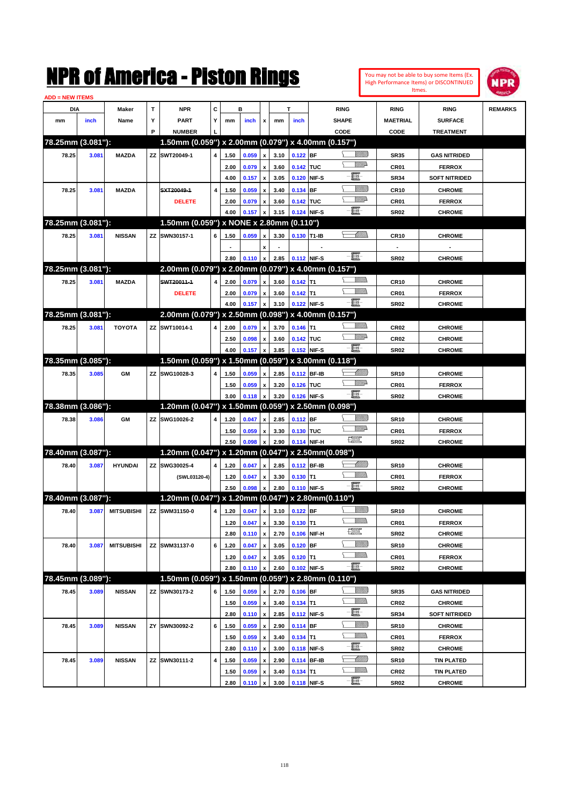| You may not be able to buy some Items (Ex. |
|--------------------------------------------|
| High Performance Items) or DISCONTINUED    |
| Itmes.                                     |



| <b>ADD = NEW ITEMS</b> |       |                   |   |                                                       |                         |              |                |                           |              |                           |             |                                         |                     |                                    |                |
|------------------------|-------|-------------------|---|-------------------------------------------------------|-------------------------|--------------|----------------|---------------------------|--------------|---------------------------|-------------|-----------------------------------------|---------------------|------------------------------------|----------------|
| DIA                    |       | Maker             | T | <b>NPR</b>                                            | c                       |              | в              |                           |              | T                         |             | <b>RING</b>                             | <b>RING</b>         | <b>RING</b>                        | <b>REMARKS</b> |
| mm                     | inch  | Name              | Υ | <b>PART</b>                                           | Y                       | mm           | inch           | x                         | mm           | inch                      |             | <b>SHAPE</b>                            | <b>MAETRIAL</b>     | <b>SURFACE</b>                     |                |
|                        |       |                   | P | <b>NUMBER</b>                                         |                         |              |                |                           |              |                           |             | CODE                                    | CODE                | <b>TREATMENT</b>                   |                |
| 78.25mm (3.081"):      |       |                   |   | 1.50mm (0.059") x 2.00mm (0.079") x 4.00mm (0.157")   |                         |              |                |                           |              |                           |             |                                         |                     |                                    |                |
| 78.25                  | 3.081 | <b>MAZDA</b>      |   | ZZ SWT20049-1                                         | 4                       | 1.50         | 0.059          | $\boldsymbol{\mathsf{x}}$ | 3.10         | $0.122$ BF                |             | <u>Sillilli</u>                         | <b>SR35</b>         | <b>GAS NITRIDED</b>                |                |
|                        |       |                   |   |                                                       |                         | 2.00         | 0.079          | x                         | 3.60         | 0.142 TUC                 |             | <u>WW</u> A                             | CR01                | <b>FERROX</b>                      |                |
|                        |       |                   |   |                                                       |                         | 4.00         | 0.157          | $\pmb{\mathsf{x}}$        | 3.05         | 0.120 NIF-S               |             | e                                       | <b>SR34</b>         | <b>SOFT NITRIDED</b>               |                |
| 78.25                  | 3.081 | <b>MAZDA</b>      |   | SXT20049-1                                            | $\overline{\mathbf{4}}$ | 1.50         | 0.059          | x                         | 3.40         | 0.134 BF                  |             | <u>Milli</u> lli                        | <b>CR10</b>         | <b>CHROME</b>                      |                |
|                        |       |                   |   | <b>DELETE</b>                                         |                         | 2.00         | 0.079          | x                         | 3.60         | 0.142 TUC                 |             | <u>WW</u> A                             | CR01                | <b>FERROX</b>                      |                |
|                        |       |                   |   |                                                       |                         | 4.00         | 0.157          | x                         | 3.15         | 0.124 NIF-S               |             | -8                                      | <b>SR02</b>         | <b>CHROME</b>                      |                |
| 78.25mm (3.081"):      |       |                   |   | 1.50mm (0.059") x NONE x 2.80mm (0.110")              |                         |              |                |                           |              |                           |             |                                         |                     |                                    |                |
| 78.25                  | 3.081 | <b>NISSAN</b>     |   | ZZ SWN30157-1                                         | 6                       | 1.50         | 0.059          | x                         | 3.30         | 0.130 T1-IB               |             | <u>UMB</u>                              | <b>CR10</b>         | <b>CHROME</b>                      |                |
|                        |       |                   |   |                                                       |                         |              |                |                           |              |                           |             |                                         |                     |                                    |                |
|                        |       |                   |   |                                                       |                         | 2.80         | 0.110          | x                         | 2.85         | 0.112 NIF-S               |             | -8                                      | <b>SR02</b>         | <b>CHROME</b>                      |                |
| 78.25mm (3.081"):      |       |                   |   | 2.00mm (0.079") x 2.00mm (0.079") x 4.00mm (0.157")   |                         |              |                |                           |              |                           |             |                                         |                     |                                    |                |
| 78.25                  | 3.081 | <b>MAZDA</b>      |   | SWT20011-1                                            | $\overline{4}$          | 2.00         | 0.079          | x                         | 3.60         | $0.142$ T1                |             |                                         | <b>CR10</b>         | <b>CHROME</b>                      |                |
|                        |       |                   |   | <b>DELETE</b>                                         |                         | 2.00         | 0.079          | x                         | 3.60         | $0.142$ T1                |             |                                         | CR01                | <b>FERROX</b>                      |                |
|                        |       |                   |   |                                                       |                         | 4.00         | 0.157          | $\mathbf{x}$              | 3.10         | 0.122 NIF-S               |             | -8                                      | <b>SR02</b>         | <b>CHROME</b>                      |                |
| 78.25mm (3.081"):      |       |                   |   | 2.00mm (0.079") x 2.50mm (0.098") x 4.00mm (0.157")   |                         |              |                |                           |              |                           |             |                                         |                     |                                    |                |
| 78.25                  | 3.081 | <b>TOYOTA</b>     |   | ZZ SWT10014-1                                         | 4                       | 2.00         | 0.079          | x                         | 3.70         | $0.146$ T1                |             |                                         | <b>CR02</b>         | <b>CHROME</b>                      |                |
|                        |       |                   |   |                                                       |                         | 2.50         | 0.098          | x                         | 3.60         | 0.142 TUC                 |             | <u>WW</u> A                             | <b>CR02</b>         | <b>CHROME</b>                      |                |
|                        |       |                   |   |                                                       |                         | 4.00         | 0.157          | x                         | 3.85         | 0.152 NIF-S               |             | -8                                      | <b>SR02</b>         | <b>CHROME</b>                      |                |
| 78.35mm (3.085"):      |       |                   |   | 1.50mm (0.059") x 1.50mm (0.059") x 3.00mm (0.118")   |                         |              |                |                           |              |                           |             |                                         |                     |                                    |                |
| 78.35                  | 3.085 | GM                |   | ZZ SWG10028-3                                         | 4                       | 1.50         | 0.059          | x                         | 2.85         | 0.112 BF-IB               |             | <u> UMB</u>                             | <b>SR10</b>         | <b>CHROME</b>                      |                |
|                        |       |                   |   |                                                       |                         | 1.50         | 0.059          | x                         | 3.20         | 0.126 TUC                 |             | <u>WW</u> A                             | CR01                | <b>FERROX</b>                      |                |
|                        |       |                   |   |                                                       |                         | 3.00         | 0.118          |                           | 3.20         | 0.126 NIF-S               |             | -8                                      | <b>SR02</b>         | <b>CHROME</b>                      |                |
| 78.38mm (3.086"):      |       |                   |   | 1.20mm (0.047") x 1.50mm (0.059") x 2.50mm (0.098")   |                         |              |                |                           |              |                           |             |                                         |                     |                                    |                |
| 78.38                  | 3.086 | <b>GM</b>         |   | ZZ SWG10026-2                                         | 4                       | 1.20         | 0.047          | x                         | 2.85         | 0.112 BF                  |             | <u>Sillilli</u>                         | <b>SR10</b>         | <b>CHROME</b>                      |                |
|                        |       |                   |   |                                                       |                         | 1.50         | 0.059          | x                         | 3.30         | 0.130 TUC                 |             | <u>WW</u> A<br><b>The Second Second</b> | CR01                | <b>FERROX</b>                      |                |
|                        |       |                   |   |                                                       |                         | 2.50         | 0.098          |                           | 2.90         |                           | 0.114 NIF-H |                                         | <b>SR02</b>         | <b>CHROME</b>                      |                |
| 78.40mm (3.087"):      |       |                   |   | $1.20$ mm (0.047") x 1.20mm (0.047") x 2.50mm(0.098") |                         |              |                |                           |              |                           |             |                                         |                     |                                    |                |
| 78.40                  | 3.087 | <b>HYUNDAI</b>    |   | ZZ SWG30025-4                                         | 4                       | 1.20         | 0.047          | x                         | 2.85         | 0.112 BF-IB               |             | <u> Millitt</u><br><br>Milita           | <b>SR10</b>         | <b>CHROME</b>                      |                |
|                        |       |                   |   | (SWL03120-4)                                          |                         | 1.20         | 0.047          | x                         | 3.30         | $0.130$ T1                |             | -8                                      | CR01                | <b>FERROX</b>                      |                |
| 78.40mm (3.087"):      |       |                   |   |                                                       |                         | 2.50         | 0.098          |                           | 2.80         | 0.110 NIF-S               |             |                                         | <b>SR02</b>         | <b>CHROME</b>                      |                |
|                        |       |                   |   | 1.20mm (0.047") x 1.20mm (0.047") x 2.80mm (0.110")   |                         |              |                |                           |              |                           |             |                                         |                     |                                    |                |
| 78.40                  | 3.087 | <b>MITSUBISHI</b> |   | ZZ SWM31150-0                                         | 4                       | 1.20         | 0.047          | x                         | 3.10         | $0.122$ BF                |             | <u>Sillilli</u>                         | <b>SR10</b>         | <b>CHROME</b>                      |                |
|                        |       |                   |   |                                                       |                         | 1.20         | 0.047          | $\pmb{\mathsf{x}}$        | 3.30         | $0.130$ T1                |             | H                                       | CR01                | <b>FERROX</b>                      |                |
|                        |       |                   |   |                                                       |                         | 2.80         | 0.110          | $\pmb{\mathsf{x}}$        | 2.70         |                           | 0.106 NIF-H |                                         | <b>SR02</b>         | <b>CHROME</b>                      |                |
| 78.40                  | 3.087 | <b>MITSUBISHI</b> |   | ZZ SWM31137-0                                         | 6                       | 1.20         | 0.047          | x                         | 3.05         | $0.120$ BF                |             | <u>Sillilli</u><br><u>MM)</u>           | <b>SR10</b>         | <b>CHROME</b>                      |                |
|                        |       |                   |   |                                                       |                         | 1.20         | 0.047          | x                         | 3.05         | $0.120$ T1                |             | $-\Xi$ -                                | CR01                | <b>FERROX</b>                      |                |
| 78.45mm (3.089"):      |       |                   |   | 1.50mm (0.059") x 1.50mm (0.059") x 2.80mm (0.110")   |                         | 2.80         | 0.110          | x                         | 2.60         | 0.102 NIF-S               |             |                                         | <b>SR02</b>         | <b>CHROME</b>                      |                |
|                        |       |                   |   |                                                       |                         |              |                |                           |              |                           |             |                                         |                     |                                    |                |
| 78.45                  | 3.089 | <b>NISSAN</b>     |   | ZZ SWN30173-2                                         | 6                       | 1.50         | 0.059          | x                         | 2.70         | $0.106$ BF                |             | <u>Millit</u><br><u>Willib</u>          | <b>SR35</b>         | <b>GAS NITRIDED</b>                |                |
|                        |       |                   |   |                                                       |                         | 1.50         | 0.059          | x                         | 3.40         | $0.134$ T1                |             | E                                       | <b>CR02</b>         | <b>CHROME</b>                      |                |
|                        |       |                   |   |                                                       |                         | 2.80         | 0.110          | $\pmb{\mathsf{x}}$        | 2.85         | 0.112 NIF-S               |             | <u>Millit</u>                           | <b>SR34</b>         | <b>SOFT NITRIDED</b>               |                |
| 78.45                  | 3.089 | <b>NISSAN</b>     |   | ZY SWN30092-2                                         | 6                       | 1.50         | 0.059          | x                         | 2.90         | $0.114$ BF                |             | <u>MM)</u>                              | <b>SR10</b>         | <b>CHROME</b>                      |                |
|                        |       |                   |   |                                                       |                         | 1.50<br>2.80 | 0.059          | x                         | 3.40<br>3.00 | $0.134$ T1<br>0.118 NIF-S |             | e                                       | CR01<br><b>SR02</b> | <b>FERROX</b><br><b>CHROME</b>     |                |
|                        |       |                   |   |                                                       | 4                       |              | 0.110          | $\pmb{\mathsf{x}}$        |              |                           |             | <u> UMM</u>                             |                     |                                    |                |
| 78.45                  | 3.089 | <b>NISSAN</b>     |   | ZZ SWN30111-2                                         |                         | 1.50         | 0.059          | x                         | 2.90         | 0.114 BF-IB               |             | <u>Willib</u>                           | <b>SR10</b>         | <b>TIN PLATED</b>                  |                |
|                        |       |                   |   |                                                       |                         | 1.50<br>2.80 | 0.059<br>0.110 | x                         | 3.40<br>3.00 | $0.134$ T1<br>0.118 NIF-S |             | $-\blacksquare$                         | CR02<br><b>SR02</b> | <b>TIN PLATED</b><br><b>CHROME</b> |                |
|                        |       |                   |   |                                                       |                         |              |                | $\pmb{\mathsf{x}}$        |              |                           |             |                                         |                     |                                    |                |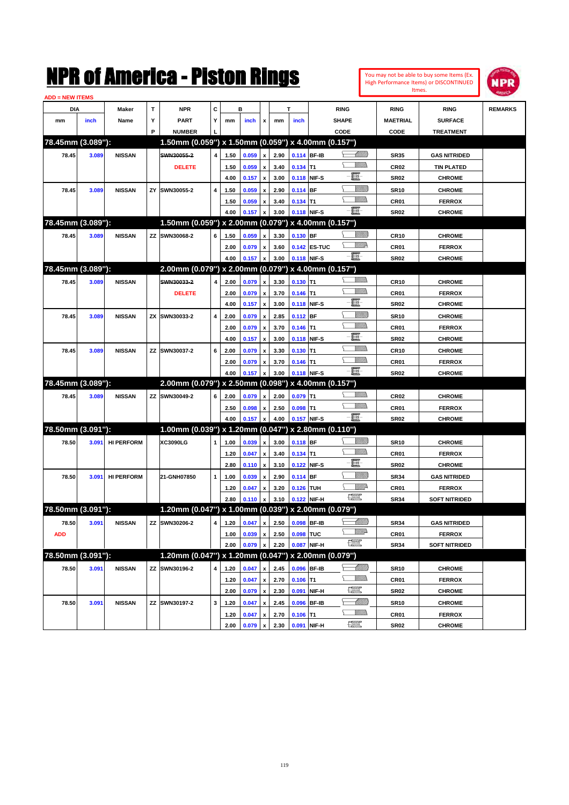

| DIA<br>mm           |       |                   |   |                                                     |                         |                                 |                |                         |              |                     |              |                                    |                     |                                      |                |
|---------------------|-------|-------------------|---|-----------------------------------------------------|-------------------------|---------------------------------|----------------|-------------------------|--------------|---------------------|--------------|------------------------------------|---------------------|--------------------------------------|----------------|
|                     |       | Maker             | Т | <b>NPR</b>                                          | С                       |                                 | в              |                         |              | T                   |              | <b>RING</b>                        | <b>RING</b>         | <b>RING</b>                          | <b>REMARKS</b> |
|                     | inch  | Name              | Υ | <b>PART</b>                                         | Y                       | mm                              | inch           | x                       | mm           | inch                |              | <b>SHAPE</b>                       | <b>MAETRIAL</b>     | <b>SURFACE</b>                       |                |
|                     |       |                   | P | <b>NUMBER</b>                                       |                         |                                 |                |                         |              |                     |              | CODE                               | CODE                | <b>TREATMENT</b>                     |                |
| 78.45mm (3.089"):   |       |                   |   | 1.50mm (0.059") x 1.50mm (0.059") x 4.00mm (0.157") |                         |                                 |                |                         |              |                     |              |                                    |                     |                                      |                |
| 78.45               | 3.089 | <b>NISSAN</b>     |   | SWN30055-2                                          | $\overline{\mathbf{4}}$ | 1.50                            | 0.059          | x                       | 2.90         | 0.114 BF-IB         |              | <u> UMB</u>                        | <b>SR35</b>         | <b>GAS NITRIDED</b>                  |                |
|                     |       |                   |   | <b>DELETE</b>                                       |                         | 1.50                            | 0.059          | x                       | 3.40         | $0.134$ T1          |              | UM)                                | <b>CR02</b>         | <b>TIN PLATED</b>                    |                |
|                     |       |                   |   |                                                     |                         | 4.00                            | 0.157          | x                       | 3.00         | 0.118 NIF-S         |              | E                                  | <b>SR02</b>         | <b>CHROME</b>                        |                |
| 78.45               | 3.089 | <b>NISSAN</b>     |   | ZY SWN30055-2                                       | 4                       | 1.50                            | 0.059          | x                       | 2.90         | 0.114 BF            |              | <u>Sillilli</u>                    | <b>SR10</b>         | <b>CHROME</b>                        |                |
|                     |       |                   |   |                                                     |                         | 1.50                            | 0.059          | x                       | 3.40         | $0.134$ T1          |              |                                    | CR01                | <b>FERROX</b>                        |                |
|                     |       |                   |   |                                                     |                         | 4.00                            | 0.157          | x                       | 3.00         | 0.118 NIF-S         |              | -8                                 | <b>SR02</b>         | <b>CHROME</b>                        |                |
| 78.45mm (3.089"):   |       |                   |   | 1.50mm (0.059") x 2.00mm (0.079") x 4.00mm (0.157") |                         |                                 |                |                         |              |                     |              |                                    |                     |                                      |                |
| 78.45               | 3.089 | <b>NISSAN</b>     |   | ZZ SWN30068-2                                       | 6                       | 1.50                            | 0.059          | x                       | 3.30         | 0.130 BF            |              | <u>Sillilli</u>                    | <b>CR10</b>         | <b>CHROME</b>                        |                |
|                     |       |                   |   |                                                     |                         | 2.00                            | 0.079          | x                       | 3.60         |                     | 0.142 ES-TUC | <u>W//A</u>                        | CR01                | <b>FERROX</b>                        |                |
|                     |       |                   |   |                                                     |                         | 4.00                            | 0.157          | x                       | 3.00         | 0.118 NIF-S         |              | -8                                 | <b>SR02</b>         | <b>CHROME</b>                        |                |
| 78.45mm (3.089"):   |       |                   |   | 2.00mm (0.079") x 2.00mm (0.079") x 4.00mm (0.157") |                         |                                 |                |                         |              |                     |              |                                    |                     |                                      |                |
| 78.45               | 3.089 | <b>NISSAN</b>     |   | SWN30033-2                                          | 4                       | 2.00                            | 0.079          | x                       | 3.30         | $0.130$ T1          |              |                                    | <b>CR10</b>         | <b>CHROME</b>                        |                |
|                     |       |                   |   | <b>DELETE</b>                                       |                         | 2.00                            | 0.079          | x                       | 3.70         | $0.146$ T1          |              |                                    | CR01                | <b>FERROX</b>                        |                |
|                     |       |                   |   |                                                     |                         | 4.00                            | 0.157          | x                       | 3.00         | 0.118 NIF-S         |              | e                                  | <b>SR02</b>         | <b>CHROME</b>                        |                |
| 78.45               | 3.089 | <b>NISSAN</b>     |   | ZX SWN30033-2                                       | 4                       | 2.00                            | 0.079          | x                       | 2.85         | 0.112 BF            |              | <u>Sillilli</u>                    | <b>SR10</b>         | <b>CHROME</b>                        |                |
|                     |       |                   |   |                                                     |                         | 2.00                            | 0.079          | x                       | 3.70         | $0.146$ T1          |              | VM))                               | CR <sub>01</sub>    | <b>FERROX</b>                        |                |
|                     |       |                   |   |                                                     |                         | 4.00                            | 0.157          | x                       | 3.00         | 0.118 NIF-S         |              | e                                  | <b>SR02</b>         | <b>CHROME</b>                        |                |
| 78.45               | 3.089 | <b>NISSAN</b>     |   | ZZ SWN30037-2                                       | 6                       | 2.00                            | 0.079          | x                       | 3.30         | $0.130$ T1          |              | <br>Milita                         | <b>CR10</b>         | <b>CHROME</b>                        |                |
|                     |       |                   |   |                                                     |                         | 2.00                            | 0.079          | x                       | 3.70         | $0.146$ T1          |              | <br>Villida                        | CR01                | <b>FERROX</b>                        |                |
|                     |       |                   |   |                                                     |                         | 4.00                            | 0.157          |                         | 3.00         | 0.118 NIF-S         |              | -8                                 | <b>SR02</b>         | <b>CHROME</b>                        |                |
| 78.45mm (3.089"):   |       |                   |   | 2.00mm (0.079") x 2.50mm (0.098") x 4.00mm (0.157") |                         |                                 |                |                         |              |                     |              |                                    |                     |                                      |                |
| 78.45               | 3.089 | <b>NISSAN</b>     |   | ZZ SWN30049-2                                       | 6                       | 2.00                            | 0.079          | x                       | 2.00         | $0.079$ T1          |              | <br>Villida                        | <b>CR02</b>         | <b>CHROME</b>                        |                |
|                     |       |                   |   |                                                     |                         | 2.50                            | 0.098          | x                       | 2.50         | $0.098$ T1          |              | <br>Villida                        | CR01                | <b>FERROX</b>                        |                |
|                     |       |                   |   |                                                     |                         | 4.00                            | 0.157          | x                       | 4.00         | 0.157 NIF-S         |              | -8                                 | SR <sub>02</sub>    | <b>CHROME</b>                        |                |
| 78.50mm (3.091"):   |       |                   |   | 1.00mm (0.039") x 1.20mm (0.047") x 2.80mm (0.110") |                         |                                 |                |                         |              |                     |              |                                    |                     |                                      |                |
| 78.50               | 3.091 | <b>HI PERFORM</b> |   | XC3090LG                                            | 1                       | 1.00                            | 0.039          | x                       | 3.00         | 0.118 BF            |              | <u>Sillilli</u>                    | <b>SR10</b>         | <b>CHROME</b>                        |                |
|                     |       |                   |   |                                                     |                         | 1.20                            | 0.047          | x                       | 3.40         | $0.134$ T1          |              |                                    | CR <sub>01</sub>    | <b>FERROX</b>                        |                |
|                     |       |                   |   |                                                     |                         |                                 | 0.110          | x                       | 3.10         |                     | 0.122 NIF-S  | e                                  |                     |                                      |                |
|                     |       |                   |   |                                                     |                         | 2.80                            |                |                         |              |                     |              |                                    | SR <sub>02</sub>    | <b>CHROME</b>                        |                |
| 78.50               | 3.091 | <b>HI PERFORM</b> |   | 21-GNH07850                                         | 1                       | 1.00                            | 0.039          | x                       | 2.90         | $0.114$ BF          |              | <u>Sillilli</u>                    | <b>SR34</b>         | <b>GAS NITRIDED</b>                  |                |
|                     |       |                   |   |                                                     |                         | 1.20                            | 0.047          | x                       | 3.20         | 0.126 TUH           |              | <u>WW</u> A                        | CR01                | <b>FERROX</b>                        |                |
|                     |       |                   |   |                                                     |                         | 2.80                            | 0.110          | x                       | 3.10         | 0.122 NIF-H         |              | <b>The Control</b>                 | <b>SR34</b>         | <b>SOFT NITRIDED</b>                 |                |
|                     |       |                   |   | 1.20mm (0.047") x 1.00mm (0.039") x 2.00mm (0.079") |                         |                                 |                |                         |              |                     |              |                                    |                     |                                      |                |
| 78.50mm (3.091"):   |       |                   |   |                                                     |                         |                                 |                |                         |              |                     |              |                                    |                     |                                      |                |
| 78.50<br><b>ADD</b> | 3.091 | <b>NISSAN</b>     |   | ZZ SWN30206-2                                       |                         | 4 1.20 0.047 x 2.50 0.098 BF-IB |                |                         |              |                     |              | <u> MM))</u><br><u>WW</u> A        | <b>SR34</b>         | <b>GAS NITRIDED</b><br><b>FERROX</b> |                |
|                     |       |                   |   |                                                     |                         | 1.00                            | 0.039          | x<br>x                  | 2.50         | 0.098 TUC           |              | <b>The Second</b>                  | CR01                | <b>SOFT NITRIDED</b>                 |                |
|                     |       |                   |   |                                                     |                         | 2.00                            | 0.079          |                         | 2.20         |                     | 0.087 NIF-H  |                                    | <b>SR34</b>         |                                      |                |
| 78.50mm (3.091"):   |       |                   |   | 1.20mm (0.047") x 1.20mm (0.047") x 2.00mm (0.079") |                         |                                 |                |                         |              |                     |              |                                    |                     |                                      |                |
| 78.50               | 3.091 | <b>NISSAN</b>     |   | ZZ SWN30196-2                                       | 4                       | 1.20                            | 0.047          | x                       | 2.45         | 0.096 BF-IB         |              | <u>- Millito</u><br><u>Villida</u> | <b>SR10</b>         | <b>CHROME</b>                        |                |
|                     |       |                   |   |                                                     |                         | 1.20<br>2.00                    | 0.047          | x<br>$\pmb{\mathsf{x}}$ | 2.70         | $0.106$ T1<br>0.091 | NIF-H        | $\frac{1}{2}$                      | CR01<br><b>SR02</b> | <b>FERROX</b><br><b>CHROME</b>       |                |
|                     |       |                   |   |                                                     |                         |                                 | 0.079          |                         | 2.30         |                     |              | <u> MMB</u>                        |                     |                                      |                |
| 78.50               | 3.091 | <b>NISSAN</b>     |   | ZZ SWN30197-2                                       | 3                       | 1.20<br>1.20                    | 0.047<br>0.047 | x<br>x                  | 2.45<br>2.70 | 0.096<br>$0.106$ T1 | <b>BF-IB</b> | <u>Willib</u>                      | <b>SR10</b><br>CR01 | <b>CHROME</b><br><b>FERROX</b>       |                |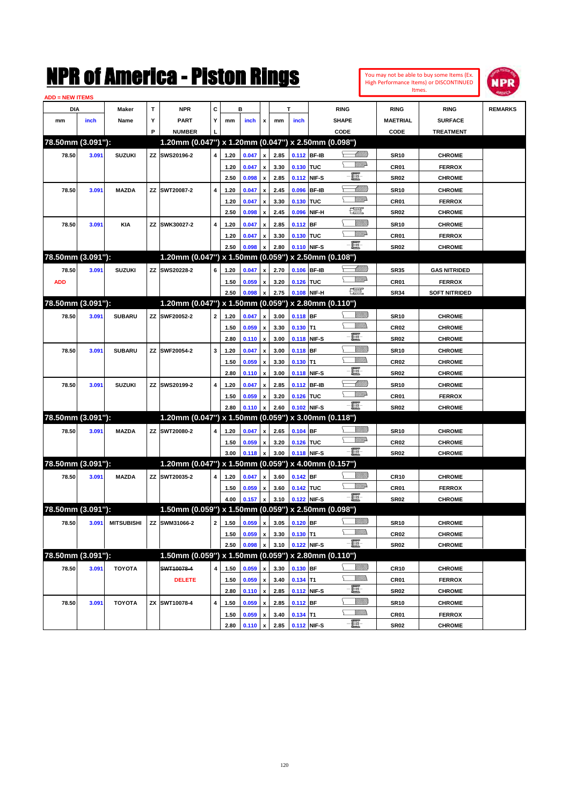| You may not be able to buy some Items (Ex. |
|--------------------------------------------|
| High Performance Items) or DISCONTINUED    |
| Itmes.                                     |



| <b>ADD = NEW ITEMS</b> |       |                                |    |                                                     |              |              |                |                           |              |                              |              |                           |                            |                                |                |
|------------------------|-------|--------------------------------|----|-----------------------------------------------------|--------------|--------------|----------------|---------------------------|--------------|------------------------------|--------------|---------------------------|----------------------------|--------------------------------|----------------|
| DIA                    |       | Maker                          | т  | <b>NPR</b>                                          | С            |              | в              |                           |              | т                            |              | <b>RING</b>               | <b>RING</b>                | <b>RING</b>                    | <b>REMARKS</b> |
| mm                     | inch  | Name                           | Υ  | <b>PART</b>                                         | Y            | mm           | inch           | x                         | mm           | inch                         |              | <b>SHAPE</b>              | <b>MAETRIAL</b>            | <b>SURFACE</b>                 |                |
|                        |       |                                | P  | <b>NUMBER</b>                                       |              |              |                |                           |              |                              |              | CODE                      | CODE                       | <b>TREATMENT</b>               |                |
| 78.50mm (3.091"):      |       |                                |    | 1.20mm (0.047") x 1.20mm (0.047") x 2.50mm (0.098") |              |              |                |                           |              |                              |              |                           |                            |                                |                |
| 78.50                  | 3.091 | <b>SUZUKI</b>                  |    | ZZ SWS20196-2                                       | 4            | 1.20         | 0.047          | $\pmb{\mathsf{x}}$        | 2.85         | 0.112 BF-IB                  |              | <u> Millitt</u>           | <b>SR10</b>                | <b>CHROME</b>                  |                |
|                        |       |                                |    |                                                     |              | 1.20         | 0.047          | x                         | 3.30         | 0.130 TUC                    |              | <u>WW</u> A               | CR01                       | <b>FERROX</b>                  |                |
|                        |       |                                |    |                                                     |              | 2.50         | 0.098          | x                         | 2.85         | 0.112                        | NIF-S        | e                         | <b>SR02</b>                | <b>CHROME</b>                  |                |
| 78.50                  | 3.091 | <b>MAZDA</b>                   | ZZ | SWT20087-2                                          | 4            | 1.20         | 0.047          | x                         | 2.45         | 0.096                        | <b>BF-IB</b> | <u> Milli</u>             | <b>SR10</b>                | <b>CHROME</b>                  |                |
|                        |       |                                |    |                                                     |              | 1.20         | 0.047          | х                         | 3.30         | 0.130                        | <b>TUC</b>   | <u>VMD</u>                | CR01                       | <b>FERROX</b>                  |                |
|                        |       |                                |    |                                                     |              | 2.50         | 0.098          | x                         | 2.45         | 0.096                        | NIF-H        | æ                         | <b>SR02</b>                | <b>CHROME</b>                  |                |
| 78.50                  | 3.091 | <b>KIA</b>                     | ΖZ | SWK30027-2                                          | 4            | 1.20         | 0.047          | x                         | 2.85         | 0.112                        | <b>BF</b>    | <u>Sillilli</u>           | <b>SR10</b>                | <b>CHROME</b>                  |                |
|                        |       |                                |    |                                                     |              | 1.20         | 0.047          | x                         | 3.30         | 0.130 TUC                    |              | <u>WW</u> A               | CR01                       | <b>FERROX</b>                  |                |
|                        |       |                                |    |                                                     |              | 2.50         | 0.098          | x                         | 2.80         | 0.110 NIF-S                  |              | -8                        | SR <sub>02</sub>           | <b>CHROME</b>                  |                |
| 78.50mm (3.091"):      |       |                                |    | 1.20mm (0.047") x 1.50mm (0.059") x 2.50mm (0.108") |              |              |                |                           |              |                              |              |                           |                            |                                |                |
| 78.50                  | 3.091 | <b>SUZUKI</b>                  | ΖZ | SWS20228-2                                          | 6            | 1.20         | 0.047          | x                         | 2.70         | 0.106 BF-IB                  |              | <u> UMB</u>               | <b>SR35</b>                | <b>GAS NITRIDED</b>            |                |
| <b>ADD</b>             |       |                                |    |                                                     |              | 1.50         | 0.059          | x                         | 3.20         | 0.126 TUC                    |              | <u>VMD</u>                | CR01                       | <b>FERROX</b>                  |                |
|                        |       |                                |    |                                                     |              | 2.50         | 0.098          | $\pmb{\mathsf{x}}$        | 2.75         | 0.108                        | NIF-H        | æ                         | <b>SR34</b>                | <b>SOFT NITRIDED</b>           |                |
| 78.50mm (3.091"):      |       |                                |    | 1.20mm (0.047") x 1.50mm (0.059") x 2.80mm (0.110") |              |              |                |                           |              |                              |              |                           |                            |                                |                |
| 78.50                  | 3.091 | <b>SUBARU</b>                  | ΖZ | SWF20052-2                                          | $\mathbf{2}$ | 1.20         | 0.047          |                           | 3.00         | 0.118 BF                     |              | <u>Sillilli</u>           | <b>SR10</b>                | <b>CHROME</b>                  |                |
|                        |       |                                |    |                                                     |              | 1.50         | 0.059          | $\pmb{\mathsf{x}}$        | 3.30         | $0.130$ T1                   |              | <br>Militar               | <b>CR02</b>                | <b>CHROME</b>                  |                |
|                        |       |                                |    |                                                     |              | 2.80         | 0.110          | x<br>$\pmb{\mathsf{x}}$   | 3.00         | 0.118                        | NIF-S        | E                         | <b>SR02</b>                | <b>CHROME</b>                  |                |
|                        |       | <b>SUBARU</b>                  | ΖZ | SWF20054-2                                          | 3            | 1.20         | 0.047          |                           | 3.00         | 0.118 BF                     |              | <u>Sillilli</u>           | <b>SR10</b>                | <b>CHROME</b>                  |                |
| 78.50                  | 3.091 |                                |    |                                                     |              |              |                | $\boldsymbol{\mathsf{x}}$ |              |                              |              | <br>Militar               |                            |                                |                |
|                        |       |                                |    |                                                     |              | 1.50<br>2.80 | 0.059<br>0.110 | x<br>x                    | 3.30<br>3.00 | $0.130$ T1<br>0.118          | NIF-S        | E                         | <b>CR02</b><br><b>SR02</b> | <b>CHROME</b><br><b>CHROME</b> |                |
|                        |       |                                |    | SWS20199-2                                          | 4            |              |                |                           |              |                              |              | <u> UMB</u>               |                            |                                |                |
| 78.50                  | 3.091 | <b>SUZUKI</b>                  | ΖZ |                                                     |              | 1.20         | 0.047          | x                         | 2.85         | 0.126 TUC                    | 0.112 BF-IB  | <u>WW</u> A               | <b>SR10</b>                | <b>CHROME</b>                  |                |
|                        |       |                                |    |                                                     |              | 1.50<br>2.80 | 0.059<br>0.110 | x<br>$\mathbf{x}$         | 3.20<br>2.60 | 0.102                        | NIF-S        | -8                        | CR01<br><b>SR02</b>        | <b>FERROX</b><br><b>CHROME</b> |                |
| 78.50mm (3.091"):      |       |                                |    | 1.20mm (0.047") x 1.50mm (0.059") x 3.00mm (0.118") |              |              |                |                           |              |                              |              |                           |                            |                                |                |
|                        |       |                                |    |                                                     |              |              |                |                           |              | $0.104$ BF                   |              | <u>Sillilli</u>           |                            |                                |                |
| 78.50                  | 3.091 | <b>MAZDA</b>                   |    | ZZ SWT20080-2                                       | 4            | 1.20         | 0.047          | x                         | 2.65         |                              |              | <u>WW</u> A               | <b>SR10</b>                | <b>CHROME</b>                  |                |
|                        |       |                                |    |                                                     |              | 1.50         | 0.059          | x                         | 3.20         | 0.126 TUC<br>0.118 NIF-S     |              | -8                        | CR <sub>02</sub>           | <b>CHROME</b>                  |                |
| 78.50mm (3.091"):      |       |                                |    | 1.20mm (0.047") x 1.50mm (0.059") x 4.00mm (0.157") |              | 3.00         | 0.118          | $\pmb{\mathsf{x}}$        | 3.00         |                              |              |                           | <b>SR02</b>                | <b>CHROME</b>                  |                |
|                        |       |                                |    |                                                     |              |              |                |                           |              |                              |              | <u>Sillilli</u>           |                            |                                |                |
| 78.50                  | 3.091 | <b>MAZDA</b>                   | ΖZ | SWT20035-2                                          | 4            | 1.20         | 0.047          | x                         | 3.60         | $0.142$ BF                   |              | <u>WW</u> A               | <b>CR10</b>                | <b>CHROME</b>                  |                |
|                        |       |                                |    |                                                     |              | 1.50         | 0.059          | x                         | 3.60         | 0.142 TUC                    |              | -8                        | CR01                       | <b>FERROX</b>                  |                |
|                        |       |                                |    | 1.50mm (0.059") x 1.50mm (0.059") x 2.50mm (0.098") |              | 4.00         | 0.157          | $\pmb{\mathsf{x}}$        | 3.10         | 0.122                        | NIF-S        |                           | <b>SR02</b>                | <b>CHROME</b>                  |                |
| 78.50mm (3.091"):      |       |                                |    |                                                     |              |              |                |                           |              |                              |              |                           |                            |                                |                |
| 78.50                  |       | 3.091 MITSUBISHI ZZ SWM31066-2 |    |                                                     |              |              |                |                           |              | 2 1.50 0.059 x 3.05 0.120 BF |              | <u>UMB</u><br>.<br>Willia | <b>SR10</b>                | <b>CHROME</b>                  |                |
|                        |       |                                |    |                                                     |              | 1.50         | 0.059          | $\pmb{\mathsf{x}}$        | 3.30         | $0.130$ T1                   |              | -8                        | <b>CR02</b>                | <b>CHROME</b>                  |                |
|                        |       |                                |    |                                                     |              | 2.50         | 0.098          | $\pmb{\mathsf{x}}$        | 3.10         | 0.122 NIF-S                  |              |                           | <b>SR02</b>                | <b>CHROME</b>                  |                |
| 78.50mm (3.091"):      |       |                                |    | 1.50mm (0.059") x 1.50mm (0.059") x 2.80mm (0.110") |              |              |                |                           |              |                              |              |                           |                            |                                |                |
| 78.50                  | 3.091 | <b>TOYOTA</b>                  |    | SWT10078-4                                          | 4            | 1.50         | 0.059          | $\pmb{\mathsf{x}}$        | 3.30         | 0.130 BF                     |              | <u>Villida</u>            | <b>CR10</b>                | <b>CHROME</b>                  |                |
|                        |       |                                |    | <b>DELETE</b>                                       |              | 1.50         | 0.059          | $\pmb{\mathsf{x}}$        | 3.40         | $0.134$ T1                   |              | <u>Villida</u>            | CR01                       | <b>FERROX</b>                  |                |
|                        |       |                                |    |                                                     |              | 2.80         | 0.110          | $\pmb{\mathsf{x}}$        | 2.85         | 0.112 NIF-S                  |              | E                         | <b>SR02</b>                | <b>CHROME</b>                  |                |
| 78.50                  | 3.091 | <b>TOYOTA</b>                  | ΖX | SWT10078-4                                          | 4            | 1.50         | 0.059          | $\pmb{\mathsf{x}}$        | 2.85         | 0.112                        | <b>BF</b>    | <u>Villitti</u>           | <b>SR10</b>                | <b>CHROME</b>                  |                |
|                        |       |                                |    |                                                     |              | 1.50         | 0.059          | x                         | 3.40         | $0.134$ T1                   |              | <u>Willib</u>             | CR01                       | <b>FERROX</b>                  |                |
|                        |       |                                |    |                                                     |              | 2.80         | 0.110          | $\pmb{\mathsf{x}}$        | 2.85         | 0.112 NIF-S                  |              | E                         | SR <sub>02</sub>           | <b>CHROME</b>                  |                |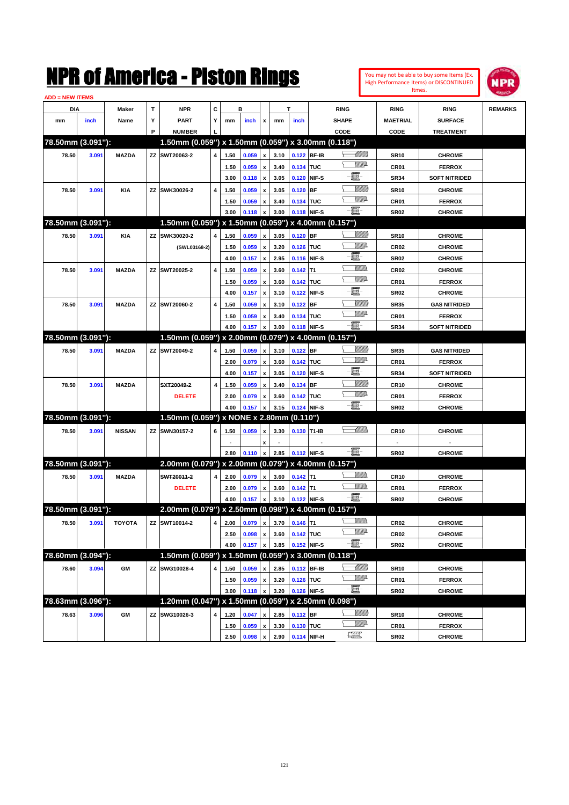| You may not be able to buy some Items (Ex. |
|--------------------------------------------|
| High Performance Items) or DISCONTINUED    |
| Itmes.                                     |



| <b>ADD = NEW ITEMS</b> |       |               |    |                                                     |   |      |       |                           |      |             |             |                 |                  |                      |                |
|------------------------|-------|---------------|----|-----------------------------------------------------|---|------|-------|---------------------------|------|-------------|-------------|-----------------|------------------|----------------------|----------------|
| DIA                    |       | Maker         | Τ  | <b>NPR</b>                                          | С |      | в     |                           |      | т           |             | <b>RING</b>     | <b>RING</b>      | <b>RING</b>          | <b>REMARKS</b> |
| mm                     | inch  | Name          | Y  | <b>PART</b>                                         | Y | mm   | inch  | x                         | mm   | inch        |             | <b>SHAPE</b>    | <b>MAETRIAL</b>  | <b>SURFACE</b>       |                |
|                        |       |               | P  | <b>NUMBER</b>                                       |   |      |       |                           |      |             |             | CODE            | CODE             | <b>TREATMENT</b>     |                |
| 78.50mm (3.091"):      |       |               |    | 1.50mm (0.059") x 1.50mm (0.059") x 3.00mm (0.118") |   |      |       |                           |      |             |             |                 |                  |                      |                |
| 78.50                  | 3.091 | <b>MAZDA</b>  |    | ZZ SWT20063-2                                       | 4 | 1.50 | 0.059 | $\pmb{\mathsf{x}}$        | 3.10 | 0.122 BF-IB |             | <u> Millitt</u> | <b>SR10</b>      | <b>CHROME</b>        |                |
|                        |       |               |    |                                                     |   | 1.50 | 0.059 | x                         | 3.40 | 0.134 TUC   |             | <u>WW</u> A     | <b>CR01</b>      | <b>FERROX</b>        |                |
|                        |       |               |    |                                                     |   | 3.00 | 0.118 | $\pmb{\mathsf{x}}$        | 3.05 | 0.120       | NIF-S       | e               | <b>SR34</b>      | <b>SOFT NITRIDED</b> |                |
| 78.50                  | 3.091 | <b>KIA</b>    | ΖZ | SWK30026-2                                          | 4 | 1.50 | 0.059 | x                         | 3.05 | 0.120       | <b>BF</b>   | <u>Villilli</u> | <b>SR10</b>      | <b>CHROME</b>        |                |
|                        |       |               |    |                                                     |   | 1.50 | 0.059 | x                         | 3.40 | 0.134 TUC   |             | <u>WW</u> A     | CR01             | <b>FERROX</b>        |                |
|                        |       |               |    |                                                     |   | 3.00 | 0.118 | x                         | 3.00 | 0.118 NIF-S |             | -日              | <b>SR02</b>      | <b>CHROME</b>        |                |
| 78.50mm (3.091"):      |       |               |    | 1.50mm (0.059") x 1.50mm (0.059") x 4.00mm (0.157") |   |      |       |                           |      |             |             |                 |                  |                      |                |
| 78.50                  | 3.091 | <b>KIA</b>    | ΖZ | SWK30020-2                                          | 4 | 1.50 | 0.059 | $\pmb{\mathsf{x}}$        | 3.05 | $0.120$ BF  |             | <u>Villitti</u> | <b>SR10</b>      | <b>CHROME</b>        |                |
|                        |       |               |    | (SWL03168-2)                                        |   | 1.50 | 0.059 |                           | 3.20 | 0.126 TUC   |             | <u>Willi</u> a  | CR <sub>02</sub> | <b>CHROME</b>        |                |
|                        |       |               |    |                                                     |   | 4.00 | 0.157 | x<br>$\pmb{\mathsf{x}}$   | 2.95 | 0.116       | NIF-S       | e               | <b>SR02</b>      | <b>CHROME</b>        |                |
|                        |       |               |    |                                                     |   |      |       |                           |      |             |             |                 |                  |                      |                |
| 78.50                  | 3.091 | <b>MAZDA</b>  | ΖZ | SWT20025-2                                          | 4 | 1.50 | 0.059 | x                         | 3.60 | 0.142       | T1          | <u>WW</u> A     | CR <sub>02</sub> | <b>CHROME</b>        |                |
|                        |       |               |    |                                                     |   | 1.50 | 0.059 | х                         | 3.60 | 0.142 TUC   | NIF-S       | ·b              | CR01             | <b>FERROX</b>        |                |
|                        |       |               |    |                                                     |   | 4.00 | 0.157 | $\pmb{\mathsf{x}}$        | 3.10 | 0.122       |             | <u>Villitti</u> | <b>SR02</b>      | <b>CHROME</b>        |                |
| 78.50                  | 3.091 | <b>MAZDA</b>  |    | ZZ SWT20060-2                                       | 4 | 1.50 | 0.059 | x                         | 3.10 | 0.122       | <b>BF</b>   | <u>WW</u> A     | <b>SR35</b>      | <b>GAS NITRIDED</b>  |                |
|                        |       |               |    |                                                     |   | 1.50 | 0.059 | $\boldsymbol{\mathsf{x}}$ | 3.40 | 0.134 TUC   |             | -8              | CR01             | <b>FERROX</b>        |                |
|                        |       |               |    |                                                     |   | 4.00 | 0.157 | $\mathbf{x}$              | 3.00 | 0.118       | NIF-S       |                 | <b>SR34</b>      | <b>SOFT NITRIDED</b> |                |
| 78.50mm (3.091"):      |       |               |    | 1.50mm (0.059") x 2.00mm (0.079") x 4.00mm (0.157") |   |      |       |                           |      |             |             |                 |                  |                      |                |
| 78.50                  | 3.091 | <b>MAZDA</b>  |    | ZZ SWT20049-2                                       | 4 | 1.50 | 0.059 | $\pmb{\mathsf{x}}$        | 3.10 | $0.122$ BF  |             | <u> UMB</u>     | <b>SR35</b>      | <b>GAS NITRIDED</b>  |                |
|                        |       |               |    |                                                     |   | 2.00 | 0.079 | $\pmb{\mathsf{x}}$        | 3.60 | 0.142 TUC   |             | <u>WW</u> A     | CR01             | <b>FERROX</b>        |                |
|                        |       |               |    |                                                     |   | 4.00 | 0.157 | $\pmb{\mathsf{x}}$        | 3.05 | 0.120       | NIF-S       | e               | <b>SR34</b>      | <b>SOFT NITRIDED</b> |                |
| 78.50                  | 3.091 | <b>MAZDA</b>  |    | SXT20049-2                                          | 4 | 1.50 | 0.059 | $\boldsymbol{\mathsf{x}}$ | 3.40 | 0.134       | BF          | <u>Villitti</u> | <b>CR10</b>      | <b>CHROME</b>        |                |
|                        |       |               |    | <b>DELETE</b>                                       |   | 2.00 | 0.079 | x                         | 3.60 | 0.142 TUC   |             | <u>WW</u> A     | CR01             | <b>FERROX</b>        |                |
|                        |       |               |    |                                                     |   | 4.00 | 0.157 | $\pmb{\mathsf{x}}$        | 3.15 | 0.124       | NIF-S       | -E-             | <b>SR02</b>      | <b>CHROME</b>        |                |
| 78.50mm (3.091"):      |       |               |    | 1.50mm (0.059") x NONE x 2.80mm (0.110")            |   |      |       |                           |      |             |             |                 |                  |                      |                |
| 78.50                  | 3.091 | <b>NISSAN</b> |    | ZZ SWN30157-2                                       | 6 | 1.50 | 0.059 | х                         | 3.30 | 0.130 T1-IB |             | <u>— Millin</u> | <b>CR10</b>      | <b>CHROME</b>        |                |
|                        |       |               |    |                                                     |   |      |       | x                         |      |             |             |                 |                  |                      |                |
|                        |       |               |    |                                                     |   | 2.80 | 0.110 | $\pmb{\mathsf{x}}$        | 2.85 | 0.112 NIF-S |             | -8              | <b>SR02</b>      | <b>CHROME</b>        |                |
| 78.50mm (3.091"):      |       |               |    | 2.00mm (0.079") x 2.00mm (0.079") x 4.00mm (0.157") |   |      |       |                           |      |             |             |                 |                  |                      |                |
| 78.50                  | 3.091 | <b>MAZDA</b>  |    | SWT20011-2                                          | 4 | 2.00 | 0.079 | $\pmb{\mathsf{x}}$        | 3.60 | $0.142$ T1  |             | VM).            | <b>CR10</b>      | <b>CHROME</b>        |                |
|                        |       |               |    | <b>DELETE</b>                                       |   | 2.00 | 0.079 | x                         | 3.60 | $0.142$ T1  |             | .<br>Militar    | CR01             | <b>FERROX</b>        |                |
|                        |       |               |    |                                                     |   | 4.00 | 0.157 | $\pmb{\mathsf{x}}$        | 3.10 |             | 0.122 NIF-S | -日              | SR <sub>02</sub> | <b>CHROME</b>        |                |
| 78.50mm (3.091"):      |       |               |    | 2.00mm (0.079") x 2.50mm (0.098") x 4.00mm (0.157") |   |      |       |                           |      |             |             |                 |                  |                      |                |
| 78.50                  | 3.091 | TOYOTA        |    | ZZ SWT10014-2                                       |   |      |       |                           |      |             |             | <u>Willis</u>   | <b>CR02</b>      | <b>CHROME</b>        |                |
|                        |       |               |    |                                                     |   | 2.50 | 0.098 | $\pmb{\mathsf{x}}$        | 3.60 | 0.142 TUC   |             | <u>WW</u> A     | <b>CR02</b>      | <b>CHROME</b>        |                |
|                        |       |               |    |                                                     |   | 4.00 | 0.157 | $\pmb{\mathsf{x}}$        | 3.85 | 0.152 NIF-S |             | -8              | <b>SR02</b>      | <b>CHROME</b>        |                |
| 78.60mm (3.094"):      |       |               |    | 1.50mm (0.059") x 1.50mm (0.059") x 3.00mm (0.118") |   |      |       |                           |      |             |             |                 |                  |                      |                |
| 78.60                  | 3.094 | GM            | ZZ | SWG10028-4                                          | 4 | 1.50 | 0.059 | $\pmb{\mathsf{x}}$        | 2.85 | 0.112 BF-IB |             | <u> MMM</u>     | <b>SR10</b>      | <b>CHROME</b>        |                |
|                        |       |               |    |                                                     |   | 1.50 | 0.059 | $\pmb{\mathsf{x}}$        | 3.20 | 0.126 TUC   |             | <u>VMP</u>      | CR01             | <b>FERROX</b>        |                |
|                        |       |               |    |                                                     |   | 3.00 | 0.118 | x                         | 3.20 | 0.126 NIF-S |             | $-\Xi$ -        | <b>SR02</b>      | <b>CHROME</b>        |                |
| 78.63mm (3.096"):      |       |               |    | 1.20mm (0.047") x 1.50mm (0.059") x 2.50mm (0.098") |   |      |       |                           |      |             |             |                 |                  |                      |                |
| 78.63                  | 3.096 | GM            | ΖZ | SWG10026-3                                          | 4 | 1.20 | 0.047 | x                         | 2.85 | $0.112$ BF  |             | <u>Willib</u>   | <b>SR10</b>      | <b>CHROME</b>        |                |
|                        |       |               |    |                                                     |   | 1.50 | 0.059 | $\pmb{\chi}$              | 3.30 | 0.130 TUC   |             | <u>VMP</u>      | CR01             | <b>FERROX</b>        |                |
|                        |       |               |    |                                                     |   | 2.50 | 0.098 | $\pmb{\mathsf{x}}$        | 2.90 | 0.114 NIF-H |             | H               | <b>SR02</b>      | <b>CHROME</b>        |                |
|                        |       |               |    |                                                     |   |      |       |                           |      |             |             |                 |                  |                      |                |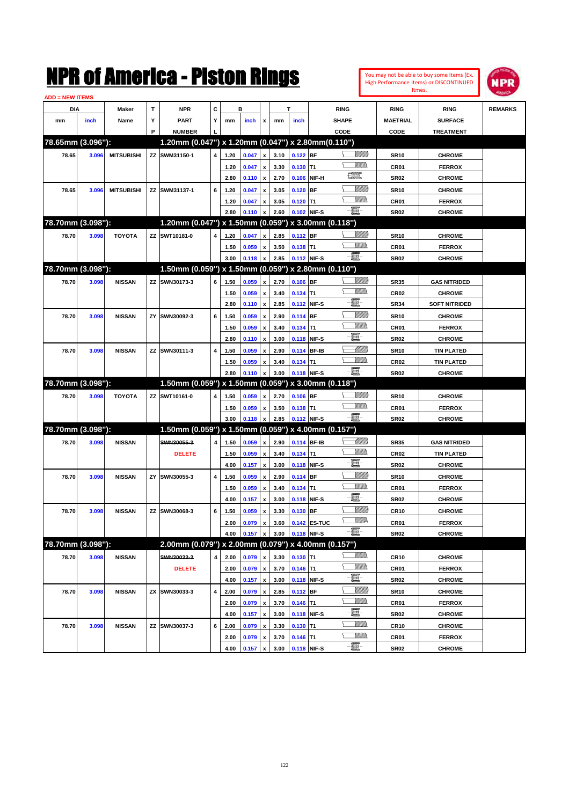|                        |       |                   |    | NMK OI AMCMICA - MISTON KINGS                       |   |      |         |                           |      |            |              |                                |                |                  | You may not be able to buy some Items (Ex.<br>High Performance Items) or DISCONTINUED | IPR            |
|------------------------|-------|-------------------|----|-----------------------------------------------------|---|------|---------|---------------------------|------|------------|--------------|--------------------------------|----------------|------------------|---------------------------------------------------------------------------------------|----------------|
| <b>ADD = NEW ITEMS</b> |       |                   |    |                                                     |   |      |         |                           |      |            |              |                                |                |                  | Itmes.                                                                                |                |
| DIA                    |       | Maker             | T  | <b>NPR</b>                                          | c |      | в       |                           |      | T          |              | <b>RING</b>                    |                | <b>RING</b>      | <b>RING</b>                                                                           | <b>REMARKS</b> |
| mm                     | inch  | Name              | Υ  | <b>PART</b>                                         | Y | mm   | inch    | x                         | mm   | inch       |              | <b>SHAPE</b>                   |                | <b>MAETRIAL</b>  | <b>SURFACE</b>                                                                        |                |
|                        |       |                   | P  | <b>NUMBER</b>                                       |   |      |         |                           |      |            |              | CODE                           |                | CODE             | <b>TREATMENT</b>                                                                      |                |
| 78.65mm (3.096"):      |       |                   |    | 1.20mm (0.047") x 1.20mm (0.047") x 2.80mm (0.110") |   |      |         |                           |      |            |              |                                |                |                  |                                                                                       |                |
| 78.65                  | 3.096 | <b>MITSUBISHI</b> |    | ZZ SWM31150-1                                       | 4 | 1.20 | 0.047   | $\boldsymbol{\mathsf{x}}$ | 3.10 | 0.122 BF   |              |                                | <u>VIIIIn</u>  | <b>SR10</b>      | <b>CHROME</b>                                                                         |                |
|                        |       |                   |    |                                                     |   | 1.20 | 0.047   | $\pmb{\mathsf{x}}$        | 3.30 | 0.130      | lT1          |                                | <br>Mar        | CR01             | <b>FERROX</b>                                                                         |                |
|                        |       |                   |    |                                                     |   | 2.80 | 0.110   | $\boldsymbol{\mathsf{x}}$ | 2.70 | 0.106      | NIF-H        | $f_{\text{max}}^{\text{comp}}$ |                | <b>SR02</b>      | <b>CHROME</b>                                                                         |                |
| 78.65                  | 3.096 | <b>MITSUBISHI</b> |    | ZZ SWM31137-1                                       | 6 | 1.20 | 0.047   | $\boldsymbol{\mathsf{x}}$ | 3.05 | 0.120      | <b>BF</b>    |                                | <u>VIIII)</u>  | <b>SR10</b>      | <b>CHROME</b>                                                                         |                |
|                        |       |                   |    |                                                     |   | 1.20 | 0.047   | $\boldsymbol{\mathsf{x}}$ | 3.05 | $0.120$ T1 |              |                                | <br>Mar        | CR01             | <b>FERROX</b>                                                                         |                |
|                        |       |                   |    |                                                     |   | 2.80 | 0.110   | x                         | 2.60 | 0.102      | NIF-S        | E-                             |                | <b>SR02</b>      | <b>CHROME</b>                                                                         |                |
| 78.70mm (3.098"):      |       |                   |    | 1.20mm (0.047") x 1.50mm (0.059") x 3.00mm (0.118") |   |      |         |                           |      |            |              |                                |                |                  |                                                                                       |                |
| 78.70                  | 3.098 | <b>TOYOTA</b>     |    | ZZ SWT10181-0                                       | 4 | 1.20 | 0.047   | x                         | 2.85 | 0.112 BF   |              |                                | <u>VIIIIn</u>  | <b>SR10</b>      | <b>CHROME</b>                                                                         |                |
|                        |       |                   |    |                                                     |   | 1.50 | 0.059   | x                         | 3.50 | $0.138$ T1 |              |                                | <br>Mar        | CR01             | <b>FERROX</b>                                                                         |                |
|                        |       |                   |    |                                                     |   | 3.00 | 0.118   | $\boldsymbol{\mathsf{x}}$ | 2.85 |            | 0.112 NIF-S  | E                              |                | <b>SR02</b>      | <b>CHROME</b>                                                                         |                |
| 78.70mm (3.098"):      |       |                   |    | 1.50mm (0.059") x 1.50mm (0.059") x 2.80mm (0.110") |   |      |         |                           |      |            |              |                                |                |                  |                                                                                       |                |
| 78.70                  | 3.098 | <b>NISSAN</b>     |    | ZZ SWN30173-3                                       | 6 | 1.50 | 0.059   | $\boldsymbol{\mathsf{x}}$ | 2.70 | $0.106$ BF |              |                                | <u>VIIIIn</u>  | <b>SR35</b>      | <b>GAS NITRIDED</b>                                                                   |                |
|                        |       |                   |    |                                                     |   | 1.50 | 0.059   | $\boldsymbol{\mathsf{x}}$ | 3.40 | 0.134      | T1           |                                | .<br>MMDo      | <b>CR02</b>      | <b>CHROME</b>                                                                         |                |
|                        |       |                   |    |                                                     |   | 2.80 | 0.110   | $\boldsymbol{\mathsf{x}}$ | 2.85 |            | 0.112 NIF-S  | E                              |                | <b>SR34</b>      | <b>SOFT NITRIDED</b>                                                                  |                |
| 78.70                  | 3.098 | <b>NISSAN</b>     | ΖY | SWN30092-3                                          | 6 | 1.50 | 0.059   | $\boldsymbol{\mathsf{x}}$ | 2.90 | 0.114      | BF           |                                | <u>VIIII)</u>  | <b>SR10</b>      | <b>CHROME</b>                                                                         |                |
|                        |       |                   |    |                                                     |   | 1.50 | 0.059   | $\boldsymbol{\mathsf{x}}$ | 3.40 | 0.134      | T1           |                                | <br>Villida    | CR01             | <b>FERROX</b>                                                                         |                |
|                        |       |                   |    |                                                     |   | 2.80 | 0.110   | $\boldsymbol{\mathsf{x}}$ | 3.00 |            | 0.118 NIF-S  | E.                             |                | <b>SR02</b>      | <b>CHROME</b>                                                                         |                |
| 78.70                  | 3.098 | <b>NISSAN</b>     |    | ZZ SWN30111-3                                       | 4 | 1.50 | 0.059   | $\boldsymbol{\mathsf{x}}$ | 2.90 |            | 0.114 BF-IB  |                                | Millill        | <b>SR10</b>      | <b>TIN PLATED</b>                                                                     |                |
|                        |       |                   |    |                                                     |   | 1.50 | 0.059   | x                         | 3.40 | 0.134      | lT1          |                                | <br>Mar        | CR <sub>02</sub> | <b>TIN PLATED</b>                                                                     |                |
|                        |       |                   |    |                                                     |   | 2.80 | 0.110   | x                         | 3.00 |            | 0.118 NIF-S  | E                              |                | <b>SR02</b>      | <b>CHROME</b>                                                                         |                |
| 78.70mm (3.098"):      |       |                   |    | 1.50mm (0.059") x 1.50mm (0.059") x 3.00mm (0.118") |   |      |         |                           |      |            |              |                                |                |                  |                                                                                       |                |
| 78.70                  | 3.098 | <b>TOYOTA</b>     |    | ZZ SWT10161-0                                       | 4 | 1.50 | 0.059   | X                         | 2.70 | $0.106$ BF |              |                                | <u>VIIIIn</u>  | <b>SR10</b>      | <b>CHROME</b>                                                                         |                |
|                        |       |                   |    |                                                     |   | 1.50 | 0.059   | x                         | 3.50 | $0.138$ T1 |              |                                | <br>Mar        | CR01             | <b>FERROX</b>                                                                         |                |
|                        |       |                   |    |                                                     |   | 3.00 | 0.118   | x                         | 2.85 |            | 0.112 NIF-S  | $-\mathbf{H}$ -                |                | <b>SR02</b>      | <b>CHROME</b>                                                                         |                |
| 78.70mm (3.098"):      |       |                   |    | 1.50mm (0.059") x 1.50mm (0.059") x 4.00mm (0.157") |   |      |         |                           |      |            |              |                                |                |                  |                                                                                       |                |
| 78.70                  | 3.098 | <b>NISSAN</b>     |    | SWN30055-3                                          | 4 | 1.50 | 0.059   | X                         | 2.90 |            | 0.114 BF-IB  |                                | <u>UMM</u>     | <b>SR35</b>      | <b>GAS NITRIDED</b>                                                                   |                |
|                        |       |                   |    | <b>DELETE</b>                                       |   | 1.50 | 0.059   | $\boldsymbol{\mathsf{x}}$ | 3.40 | 0.134      | T1           |                                | <br>Mar        | CR <sub>02</sub> | <b>TIN PLATED</b>                                                                     |                |
|                        |       |                   |    |                                                     |   | 4.00 | 0.157   | $\boldsymbol{\mathsf{x}}$ | 3.00 |            | 0.118 NIF-S  | E                              |                | <b>SR02</b>      | <b>CHROME</b>                                                                         |                |
| 78.70                  | 3.098 | <b>NISSAN</b>     | ZY | SWN30055-3                                          | 4 | 1.50 | 0.059   | $\boldsymbol{\mathsf{x}}$ | 2.90 | $0.114$ BF |              |                                | <u>Villida</u> | <b>SR10</b>      | <b>CHROME</b>                                                                         |                |
|                        |       |                   |    |                                                     |   | 1.50 | 0.059   | $\pmb{\mathsf{x}}$        | 3.40 | $0.134$ T1 |              |                                | <br>Mar        | CR01             | <b>FERROX</b>                                                                         |                |
|                        |       |                   |    |                                                     |   | 4.00 | 0.157 x |                           | 3.00 |            | 0.118 NIF-S  | 買                              |                | <b>SR02</b>      | <b>CHROME</b>                                                                         |                |
| 78.70                  | 3.098 | <b>NISSAN</b>     |    | ZZ SWN30068-3                                       | 6 | 1.50 | 0.059   | $\pmb{\mathsf{x}}$        | 3.30 | 0.130 BF   |              |                                | <u>VIIIIn</u>  | <b>CR10</b>      | <b>CHROME</b>                                                                         |                |
|                        |       |                   |    |                                                     |   | 2.00 | 0.079   | $\pmb{\mathsf{x}}$        | 3.60 |            | 0.142 ES-TUC |                                | <u>MM</u> D    | CR01             | <b>FERROX</b>                                                                         |                |
|                        |       |                   |    |                                                     |   | 4.00 | 0.157   | x                         | 3.00 |            | 0.118 NIF-S  | e.                             |                | <b>SR02</b>      | <b>CHROME</b>                                                                         |                |
| 78.70mm (3.098"):      |       |                   |    | 2.00mm (0.079") x 2.00mm (0.079") x 4.00mm (0.157") |   |      |         |                           |      |            |              |                                |                |                  |                                                                                       |                |
| 78.70                  | 3.098 | <b>NISSAN</b>     |    | SWN30033-3                                          | 4 | 2.00 | 0.079   | X                         | 3.30 | $0.130$ T1 |              |                                | <u>Willibs</u> | <b>CR10</b>      | <b>CHROME</b>                                                                         |                |
|                        |       |                   |    | <b>DELETE</b>                                       |   | 2.00 | 0.079   | $\pmb{\mathsf{x}}$        | 3.70 | $0.146$ T1 |              |                                | <u>Willib</u>  | CR01             | <b>FERROX</b>                                                                         |                |
|                        |       |                   |    |                                                     |   | 4.00 | 0.157   | $\boldsymbol{x}$          | 3.00 |            | 0.118 NIF-S  | e.                             |                | SR02             | <b>CHROME</b>                                                                         |                |
| 78.70                  | 3.098 | <b>NISSAN</b>     |    | ZX SWN30033-3                                       | 4 | 2.00 | 0.079   | X                         | 2.85 | $0.112$ BF |              |                                | <u>VIIII)</u>  | <b>SR10</b>      | <b>CHROME</b>                                                                         |                |
|                        |       |                   |    |                                                     |   | 2.00 | 0.079   | $\pmb{\mathsf{x}}$        | 3.70 | $0.146$ T1 |              |                                | <u>Willib</u>  | CR01             | <b>FERROX</b>                                                                         |                |
|                        |       |                   |    |                                                     |   | 4.00 | 0.157   | X                         | 3.00 |            | 0.118 NIF-S  | e.                             |                | <b>SR02</b>      | <b>CHROME</b>                                                                         |                |
| 78.70                  | 3.098 | <b>NISSAN</b>     |    | ZZ SWN30037-3                                       | 6 | 2.00 | 0.079   | $\pmb{\mathsf{x}}$        | 3.30 | $0.130$ T1 |              |                                | <u>MM)</u>     | CR10             | <b>CHROME</b>                                                                         |                |
|                        |       |                   |    |                                                     |   | 2.00 | 0.079   | $\pmb{\mathsf{x}}$        | 3.70 | $0.146$ T1 |              |                                | <u>VMMs</u>    | CR01             | <b>FERROX</b>                                                                         |                |
|                        |       |                   |    |                                                     |   | 4.00 | 0.157   | $\pmb{\mathsf{x}}$        | 3.00 |            | 0.118 NIF-S  | e.                             |                | <b>SR02</b>      | <b>CHROME</b>                                                                         |                |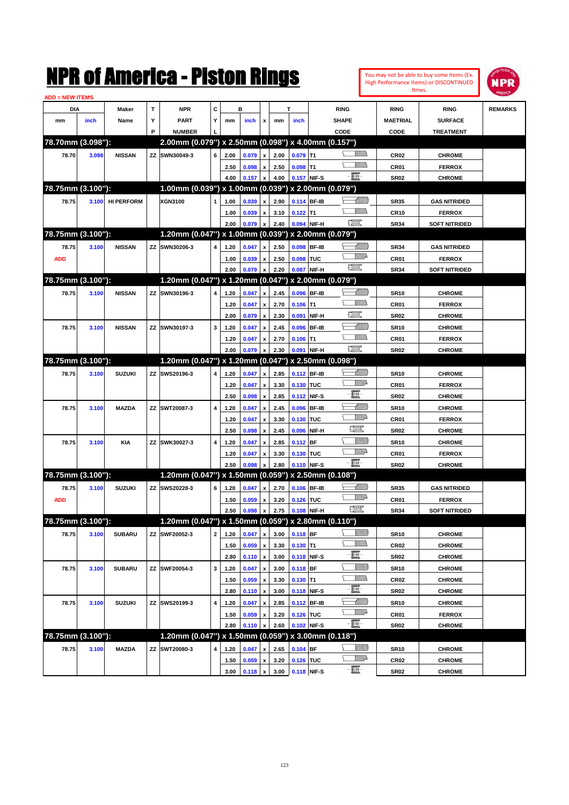|                        |       |                   |    | NMK OI AINCrica - Miston Kings                                       |              |              |                |                           |              |            |              |                                                                                                                                                                                                                                      |                |                     | You may not be able to buy some Items (Ex.<br>High Performance Items) or DISCONTINUED<br>Itmes. | IPR            |
|------------------------|-------|-------------------|----|----------------------------------------------------------------------|--------------|--------------|----------------|---------------------------|--------------|------------|--------------|--------------------------------------------------------------------------------------------------------------------------------------------------------------------------------------------------------------------------------------|----------------|---------------------|-------------------------------------------------------------------------------------------------|----------------|
| <b>ADD = NEW ITEMS</b> |       |                   | T  | <b>NPR</b>                                                           | C            |              | в              |                           |              | т          |              |                                                                                                                                                                                                                                      |                |                     |                                                                                                 |                |
| DIA                    |       | Maker             | Υ  |                                                                      | Y            |              |                |                           |              |            |              | <b>RING</b>                                                                                                                                                                                                                          |                | RING                | <b>RING</b>                                                                                     | <b>REMARKS</b> |
| mm                     | inch  | Name              | P  | PART                                                                 |              | mm           | inch           | x                         | mm           | inch       |              | <b>SHAPE</b>                                                                                                                                                                                                                         |                | <b>MAETRIAL</b>     | <b>SURFACE</b>                                                                                  |                |
| 78.70mm (3.098"):      |       |                   |    | <b>NUMBER</b><br>2.00mm (0.079") x 2.50mm (0.098") x 4.00mm (0.157") |              |              |                |                           |              |            |              | CODE                                                                                                                                                                                                                                 |                | CODE                | <b>TREATMENT</b>                                                                                |                |
| 78.70                  |       | <b>NISSAN</b>     | ZZ | SWN30049-3                                                           | 6            | 2.00         | 0.079          |                           | 2.00         | $0.079$ T1 |              |                                                                                                                                                                                                                                      | <br>Militar    |                     |                                                                                                 |                |
|                        | 3.098 |                   |    |                                                                      |              |              |                | x                         |              |            |              |                                                                                                                                                                                                                                      | VMM)           | <b>CR02</b>         | <b>CHROME</b>                                                                                   |                |
|                        |       |                   |    |                                                                      |              | 2.50<br>4.00 | 0.098<br>0.157 | x<br>x                    | 2.50<br>4.00 | $0.098$ T1 | 0.157 NIF-S  | <b>-買-</b>                                                                                                                                                                                                                           |                | CR01<br><b>SR02</b> | <b>FERROX</b><br><b>CHROME</b>                                                                  |                |
| 78.75mm (3.100"):      |       |                   |    | 1.00mm (0.039") x 1.00mm (0.039") x 2.00mm (0.079")                  |              |              |                |                           |              |            |              |                                                                                                                                                                                                                                      |                |                     |                                                                                                 |                |
| 78.75                  | 3.100 | <b>HI PERFORM</b> |    | <b>XGN3100</b>                                                       | 1            | 1.00         | 0.039          | x                         | 2.90         |            | 0.114 BF-IB  |                                                                                                                                                                                                                                      | <u> MMW</u>    | <b>SR35</b>         | <b>GAS NITRIDED</b>                                                                             |                |
|                        |       |                   |    |                                                                      |              | 1.00         | 0.039          | x                         | 3.10         | $0.122$ T1 |              |                                                                                                                                                                                                                                      | <br>Militar    | <b>CR10</b>         | <b>FERROX</b>                                                                                   |                |
|                        |       |                   |    |                                                                      |              | 2.00         | 0.079          | $\boldsymbol{\mathsf{x}}$ | 2.40         |            | 0.094 NIF-H  | <u> 1999</u>                                                                                                                                                                                                                         |                | <b>SR34</b>         | <b>SOFT NITRIDED</b>                                                                            |                |
| 78.75mm (3.100"):      |       |                   |    | 1.20mm (0.047") x 1.00mm (0.039") x 2.00mm (0.079")                  |              |              |                |                           |              |            |              |                                                                                                                                                                                                                                      |                |                     |                                                                                                 |                |
| 78.75                  | 3.100 | <b>NISSAN</b>     | ZZ | SWN30206-3                                                           | 4            | 1.20         | 0.047          | x                         | 2.50         | 0.098      | <b>BF-IB</b> |                                                                                                                                                                                                                                      | <u> MMW</u>    | <b>SR34</b>         | <b>GAS NITRIDED</b>                                                                             |                |
| <b>ADD</b>             |       |                   |    |                                                                      |              | 1.00         | 0.039          | x                         | 2.50         | 0.098      | TUC          |                                                                                                                                                                                                                                      | <u>MMP</u>     | CR01                | <b>FERROX</b>                                                                                   |                |
|                        |       |                   |    |                                                                      |              | 2.00         | 0.079          | X                         | 2.20         | 0.087      | NIF-H        | $\frac{1}{2}$                                                                                                                                                                                                                        |                | <b>SR34</b>         | <b>SOFT NITRIDED</b>                                                                            |                |
| 78.75mm (3.100"):      |       |                   |    | 1.20mm (0.047") x 1.20mm (0.047") x 2.00mm (0.079")                  |              |              |                |                           |              |            |              |                                                                                                                                                                                                                                      |                |                     |                                                                                                 |                |
| 78.75                  | 3.100 | <b>NISSAN</b>     | ZZ | SWN30196-3                                                           | 4            | 1.20         | 0.047          | X                         | 2.45         | 0.096      | <b>BF-IB</b> |                                                                                                                                                                                                                                      |                | <b>SR10</b>         | <b>CHROME</b>                                                                                   |                |
|                        |       |                   |    |                                                                      |              | 1.20         | 0.047          | x                         | 2.70         | $0.106$ T1 |              |                                                                                                                                                                                                                                      | <br>Militar    | CR <sub>01</sub>    | <b>FERROX</b>                                                                                   |                |
|                        |       |                   |    |                                                                      |              | 2.00         | 0.079          | $\boldsymbol{\mathsf{x}}$ | 2.30         | 0.091      | NIF-H        | <u>rees</u>                                                                                                                                                                                                                          |                | <b>SR02</b>         | <b>CHROME</b>                                                                                   |                |
| 78.75                  | 3.100 | <b>NISSAN</b>     | ΖZ | SWN30197-3                                                           | 3            | 1.20         | 0.047          | x                         | 2.45         | 0.096      | <b>BF-IB</b> |                                                                                                                                                                                                                                      | <u> Millil</u> | <b>SR10</b>         | <b>CHROME</b>                                                                                   |                |
|                        |       |                   |    |                                                                      |              | 1.20         | 0.047          | X                         | 2.70         | $0.106$ T1 |              |                                                                                                                                                                                                                                      |                | CR <sub>01</sub>    | <b>FERROX</b>                                                                                   |                |
|                        |       |                   |    |                                                                      |              | 2.00         | 0.079          | X                         | 2.30         |            | 0.091 NIF-H  | <u> 1999</u>                                                                                                                                                                                                                         |                | <b>SR02</b>         | <b>CHROME</b>                                                                                   |                |
| 78.75mm (3.100"):      |       |                   |    | 1.20mm (0.047") x 1.20mm (0.047") x 2.50mm (0.098")                  |              |              |                |                           |              |            |              |                                                                                                                                                                                                                                      |                |                     |                                                                                                 |                |
| 78.75                  | 3.100 | <b>SUZUKI</b>     | ZZ | SWS20196-3                                                           | 4            | 1.20         | 0.047          | x                         | 2.85         |            | 0.112 BF-IB  |                                                                                                                                                                                                                                      | <u> UMM</u>    | <b>SR10</b>         | <b>CHROME</b>                                                                                   |                |
|                        |       |                   |    |                                                                      |              | 1.20         | 0.047          | x                         | 3.30         | 0.130 TUC  |              |                                                                                                                                                                                                                                      | <u>MM</u> D    | CR <sub>01</sub>    | <b>FERROX</b>                                                                                   |                |
|                        |       |                   |    |                                                                      |              | 2.50         | 0.098          | x                         | 2.85         |            | 0.112 NIF-S  | E                                                                                                                                                                                                                                    |                | <b>SR02</b>         | <b>CHROME</b>                                                                                   |                |
| 78.75                  | 3.100 | <b>MAZDA</b>      | ZZ | SWT20087-3                                                           | 4            | 1.20         | 0.047          | x                         | 2.45         | 0.096      | <b>BF-IB</b> |                                                                                                                                                                                                                                      | <u> UMM</u>    | <b>SR10</b>         | <b>CHROME</b>                                                                                   |                |
|                        |       |                   |    |                                                                      |              | 1.20         | 0.047          | x                         | 3.30         | 0.130      | TUC          |                                                                                                                                                                                                                                      | <u>MM</u> D    | CR01                | <b>FERROX</b>                                                                                   |                |
|                        |       |                   |    |                                                                      |              | 2.50         | 0.098          | x                         | 2.45         | 0.096      | NIF-H        | <b>The Contract of the Contract of the Contract of the Contract of the Contract of the Contract of the Contract of the Contract of The Contract of The Contract of The Contract of The Contract of The Contract of The Contract </b> |                | <b>SR02</b>         | <b>CHROME</b>                                                                                   |                |
| 78.75                  | 3.100 | KIA               | ZZ | SWK30027-3                                                           | 4            | 1.20         | 0.047          | x                         | 2.85         | $0.112$ BF |              |                                                                                                                                                                                                                                      | <u>Milli</u>   | <b>SR10</b>         | <b>CHROME</b>                                                                                   |                |
|                        |       |                   |    |                                                                      |              | 1.20         | 0.047          | X                         | 3.30         | 0.130 TUC  |              |                                                                                                                                                                                                                                      | <u>MM</u> D    | CR <sub>01</sub>    | <b>FERROX</b>                                                                                   |                |
|                        |       |                   |    |                                                                      |              | 2.50         | 0.098          | X                         | 2.80         |            | 0.110 NIF-S  | -8                                                                                                                                                                                                                                   |                | <b>SR02</b>         | <b>CHROME</b>                                                                                   |                |
| 78.75mm (3.100"):      |       |                   |    | 1.20mm (0.047") x 1.50mm (0.059") x 2.50mm (0.108")                  |              |              |                |                           |              |            |              |                                                                                                                                                                                                                                      |                |                     |                                                                                                 |                |
| 78.75                  | 3.100 | <b>SUZUKI</b>     | ZZ | SWS20228-3                                                           | 6            | 1.20         | 0.047          | x                         | 2.70         |            | 0.106 BF-IB  |                                                                                                                                                                                                                                      | <u> UMM</u>    | <b>SR35</b>         | <b>GAS NITRIDED</b>                                                                             |                |
| <b>ADD</b>             |       |                   |    |                                                                      |              | 1.50         | 0.059          | $\pmb{\mathsf{x}}$        | 3.20         | 0.126 TUC  |              |                                                                                                                                                                                                                                      | <u>MMA</u>     | CR01                | <b>FERROX</b>                                                                                   |                |
|                        |       |                   |    |                                                                      |              | 2.50         | 0.098          | $\pmb{\mathsf{x}}$        | 2.75         |            | 0.108 NIF-H  | $\mathbb{R}$                                                                                                                                                                                                                         |                | <b>SR34</b>         | <b>SOFT NITRIDED</b>                                                                            |                |
| 78.75mm (3.100"):      |       |                   |    | 1.20mm (0.047") x 1.50mm (0.059") x 2.80mm (0.110")                  |              |              |                |                           |              |            |              |                                                                                                                                                                                                                                      |                |                     |                                                                                                 |                |
| 78.75                  | 3.100 | <b>SUBARU</b>     | ΖZ | SWF20052-3                                                           | $\mathbf{2}$ | 1.20         | 0.047          | X                         | 3.00         | 0.118 BF   |              |                                                                                                                                                                                                                                      | <u>VIIII</u> ) | <b>SR10</b>         | <b>CHROME</b>                                                                                   |                |
|                        |       |                   |    |                                                                      |              | 1.50         | 0.059          | $\pmb{\mathsf{x}}$        | 3.30         | $0.130$ T1 |              |                                                                                                                                                                                                                                      | <u>WMW</u>     | CR <sub>02</sub>    | <b>CHROME</b>                                                                                   |                |
|                        |       |                   |    |                                                                      |              | 2.80         | 0.110          | $\boldsymbol{\mathsf{x}}$ | 3.00         |            | 0.118 NIF-S  | e-                                                                                                                                                                                                                                   |                | SR <sub>02</sub>    | <b>CHROME</b>                                                                                   |                |
| 78.75                  | 3.100 | <b>SUBARU</b>     |    | ZZ SWF20054-3                                                        | 3            | 1.20         | 0.047          | $\pmb{\mathsf{x}}$        | 3.00         | 0.118 BF   |              |                                                                                                                                                                                                                                      | <u>VIIII)</u>  | <b>SR10</b>         | <b>CHROME</b>                                                                                   |                |
|                        |       |                   |    |                                                                      |              | 1.50         | 0.059          | $\pmb{\mathsf{x}}$        | 3.30         | $0.130$ T1 |              |                                                                                                                                                                                                                                      | <u>Willib</u>  | CR02                | <b>CHROME</b>                                                                                   |                |
|                        |       |                   |    |                                                                      |              | 2.80         | 0.110          | $\pmb{\mathsf{x}}$        | 3.00         |            | 0.118 NIF-S  | E                                                                                                                                                                                                                                    |                | SR <sub>02</sub>    | <b>CHROME</b>                                                                                   |                |
| 78.75                  | 3.100 | <b>SUZUKI</b>     |    | ZZ SWS20199-3                                                        | 4            | 1.20         | 0.047          | $\pmb{\mathsf{x}}$        | 2.85         |            | 0.112 BF-IB  |                                                                                                                                                                                                                                      | <u> UMM</u>    | <b>SR10</b>         | <b>CHROME</b>                                                                                   |                |
|                        |       |                   |    |                                                                      |              | 1.50         | 0.059          | $\pmb{\mathsf{x}}$        | 3.20         | 0.126 TUC  |              |                                                                                                                                                                                                                                      | <b>W///A</b>   | CR01                | <b>FERROX</b>                                                                                   |                |
|                        |       |                   |    |                                                                      |              | 2.80         | 0.110          | x                         | 2.60         |            | 0.102 NIF-S  | $-\Xi$                                                                                                                                                                                                                               |                | <b>SR02</b>         | <b>CHROME</b>                                                                                   |                |
| 78.75mm (3.100"):      |       |                   |    | 1.20mm (0.047") x 1.50mm (0.059") x 3.00mm (0.118")                  |              |              |                |                           |              |            |              |                                                                                                                                                                                                                                      |                |                     |                                                                                                 |                |
| 78.75                  | 3.100 | <b>MAZDA</b>      | ΖZ | SWT20080-3                                                           | 4            | 1.20         | 0.047          | x                         | 2.65         | $0.104$ BF |              |                                                                                                                                                                                                                                      | <u>Millit</u>  | <b>SR10</b>         | <b>CHROME</b>                                                                                   |                |
|                        |       |                   |    |                                                                      |              | 1.50         | 0.059          | $\pmb{\mathsf{x}}$        | 3.20         | 0.126 TUC  |              |                                                                                                                                                                                                                                      | <u>VMP</u>     | CR02                | <b>CHROME</b>                                                                                   |                |
|                        |       |                   |    |                                                                      |              | 3.00         | 0.118          | $\mathbf{x}$              | 3.00         |            | 0.118 NIF-S  | -8                                                                                                                                                                                                                                   |                | <b>SR02</b>         | <b>CHROME</b>                                                                                   |                |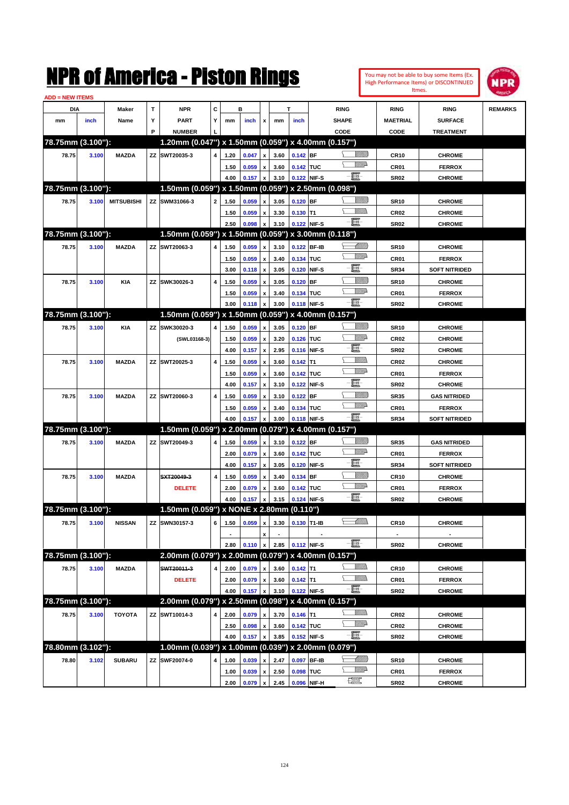|                        |       |                   |             | NMK OI AMCMICA - MISTON KINGS                                        |              |              |                  |                                                 |                     |                          |             |                                                                                     |                 |                               | You may not be able to buy some Items (Ex.<br>High Performance Items) or DISCONTINUED<br>Itmes. | IPR            |
|------------------------|-------|-------------------|-------------|----------------------------------------------------------------------|--------------|--------------|------------------|-------------------------------------------------|---------------------|--------------------------|-------------|-------------------------------------------------------------------------------------|-----------------|-------------------------------|-------------------------------------------------------------------------------------------------|----------------|
| <b>ADD = NEW ITEMS</b> |       |                   |             |                                                                      |              |              |                  |                                                 |                     |                          |             |                                                                                     |                 |                               |                                                                                                 |                |
| DIA                    |       | Maker             | $\mathbf T$ | <b>NPR</b>                                                           | C            |              | в                |                                                 |                     | T                        |             | <b>RING</b>                                                                         |                 | <b>RING</b>                   | <b>RING</b>                                                                                     | <b>REMARKS</b> |
| mm                     | inch  | Name              | Υ<br>P      | <b>PART</b>                                                          | Y            | mm           | inch             | x                                               | mm                  | inch                     |             | <b>SHAPE</b>                                                                        |                 | <b>MAETRIAL</b>               | <b>SURFACE</b>                                                                                  |                |
| 78.75mm (3.100"):      |       |                   |             | <b>NUMBER</b><br>1.20mm (0.047") x 1.50mm (0.059") x 4.00mm (0.157") |              |              |                  |                                                 |                     |                          |             | CODE                                                                                |                 | CODE                          | <b>TREATMENT</b>                                                                                |                |
|                        |       |                   |             | ZZ SWT20035-3                                                        |              |              |                  |                                                 |                     |                          |             |                                                                                     | <u>Millitti</u> |                               |                                                                                                 |                |
| 78.75                  | 3.100 | <b>MAZDA</b>      |             |                                                                      | 4            | 1.20         | 0.047            | $\pmb{\mathsf{x}}$                              | 3.60                | $0.142$ BF               |             |                                                                                     | <u>MMD</u>      | <b>CR10</b>                   | <b>CHROME</b>                                                                                   |                |
|                        |       |                   |             |                                                                      |              | 1.50<br>4.00 | 0.059<br>0.157   | $\pmb{\mathsf{x}}$<br>$\pmb{\mathsf{x}}$        | 3.60<br>3.10        | 0.142 TUC<br>0.122 NIF-S |             | e.                                                                                  |                 | CR01<br><b>SR02</b>           | <b>FERROX</b><br><b>CHROME</b>                                                                  |                |
| 78.75mm (3.100"):      |       |                   |             | 1.50mm (0.059") x 1.50mm (0.059") x 2.50mm (0.098")                  |              |              |                  |                                                 |                     |                          |             |                                                                                     |                 |                               |                                                                                                 |                |
| 78.75                  | 3.100 | <b>MITSUBISHI</b> |             | ZZ SWM31066-3                                                        | $\mathbf{2}$ | 1.50         | 0.059            | $\pmb{\mathsf{x}}$                              | 3.05                | $0.120$ BF               |             |                                                                                     | <u>Millitti</u> | <b>SR10</b>                   | <b>CHROME</b>                                                                                   |                |
|                        |       |                   |             |                                                                      |              | 1.50         | 0.059            | $\pmb{\mathsf{x}}$                              | 3.30                | $0.130$ T1               |             |                                                                                     | .<br>VMD        | CR <sub>02</sub>              | <b>CHROME</b>                                                                                   |                |
|                        |       |                   |             |                                                                      |              | 2.50         | 0.098            | $\pmb{\mathsf{x}}$                              | 3.10                | 0.122 NIF-S              |             | e.                                                                                  |                 | <b>SR02</b>                   | <b>CHROME</b>                                                                                   |                |
| 78.75mm (3.100"):      |       |                   |             | 1.50mm (0.059") x 1.50mm (0.059") x 3.00mm (0.118")                  |              |              |                  |                                                 |                     |                          |             |                                                                                     |                 |                               |                                                                                                 |                |
| 78.75                  | 3.100 | <b>MAZDA</b>      |             | ZZ SWT20063-3                                                        | 4            | 1.50         | 0.059            | $\pmb{\mathsf{x}}$                              | 3.10                | 0.122 BF-IB              |             |                                                                                     | <u> UMM</u>     | <b>SR10</b>                   | <b>CHROME</b>                                                                                   |                |
|                        |       |                   |             |                                                                      |              | 1.50         | 0.059            | $\pmb{\mathsf{x}}$                              | 3.40                | 0.134 TUC                |             |                                                                                     | <u>MM</u> D     | CR01                          | <b>FERROX</b>                                                                                   |                |
|                        |       |                   |             |                                                                      |              | 3.00         | 0.118            | $\pmb{\mathsf{x}}$                              | 3.05                |                          | 0.120 NIF-S | E                                                                                   |                 | <b>SR34</b>                   | <b>SOFT NITRIDED</b>                                                                            |                |
| 78.75                  | 3.100 | <b>KIA</b>        |             | ZZ SWK30026-3                                                        | 4            | 1.50         | 0.059            | $\pmb{\mathsf{x}}$                              | 3.05                | $0.120$ BF               |             |                                                                                     | <u>MMW</u>      | <b>SR10</b>                   | <b>CHROME</b>                                                                                   |                |
|                        |       |                   |             |                                                                      |              | 1.50         | 0.059            | $\pmb{\mathsf{x}}$                              | 3.40                | 0.134 TUC                |             |                                                                                     | <u>MM</u> D     | CR01                          | <b>FERROX</b>                                                                                   |                |
|                        |       |                   |             |                                                                      |              | 3.00         | 0.118            | $\boldsymbol{\mathsf{x}}$                       | 3.00                | 0.118 NIF-S              |             | e.                                                                                  |                 | <b>SR02</b>                   | <b>CHROME</b>                                                                                   |                |
| 78.75mm (3.100"):      |       |                   |             | 1.50mm (0.059") x 1.50mm (0.059") x 4.00mm (0.157")                  |              |              |                  |                                                 |                     |                          |             |                                                                                     |                 |                               |                                                                                                 |                |
| 78.75                  | 3.100 | KIA               | ZZ          | SWK30020-3                                                           | 4            | 1.50         | 0.059            | $\pmb{\mathsf{x}}$                              | 3.05                | $0.120$ BF               |             |                                                                                     | <u>Millitti</u> | <b>SR10</b>                   | <b>CHROME</b>                                                                                   |                |
|                        |       |                   |             |                                                                      |              | 1.50         |                  |                                                 | 3.20                | 0.126 TUC                |             |                                                                                     | <u>VIIItä</u>   | CR <sub>02</sub>              | <b>CHROME</b>                                                                                   |                |
|                        |       |                   |             | (SWL03168-3)                                                         |              | 4.00         | 0.059<br>0.157   | $\pmb{\mathsf{x}}$<br>$\boldsymbol{\mathsf{x}}$ | 2.95                |                          | 0.116 NIF-S | E-                                                                                  |                 | <b>SR02</b>                   | <b>CHROME</b>                                                                                   |                |
|                        |       |                   |             | ZZ SWT20025-3                                                        | 4            |              |                  |                                                 |                     |                          |             |                                                                                     | CM)             | CR <sub>02</sub>              |                                                                                                 |                |
| 78.75                  | 3.100 | <b>MAZDA</b>      |             |                                                                      |              | 1.50         | 0.059            | $\pmb{\mathsf{x}}$                              | 3.60                | $0.142$ T1<br>0.142 TUC  |             |                                                                                     | <u>MM</u> D     | CR01                          | <b>CHROME</b>                                                                                   |                |
|                        |       |                   |             |                                                                      |              | 1.50<br>4.00 | 0.059            | $\pmb{\mathsf{x}}$<br>$\boldsymbol{\mathsf{x}}$ | 3.60<br>3.10        | 0.122 NIF-S              |             | E                                                                                   |                 |                               | <b>FERROX</b><br><b>CHROME</b>                                                                  |                |
|                        |       |                   |             |                                                                      |              |              | 0.157            |                                                 |                     |                          |             |                                                                                     | <u>VMM)</u>     | <b>SR02</b>                   |                                                                                                 |                |
| 78.75                  | 3.100 | <b>MAZDA</b>      |             | ZZ SWT20060-3                                                        | 4            | 1.50         | 0.059            | $\pmb{\mathsf{x}}$                              | 3.10                | $0.122$ BF               |             |                                                                                     | <u>MM</u> D     | <b>SR35</b>                   | <b>GAS NITRIDED</b>                                                                             |                |
|                        |       |                   |             |                                                                      |              | 1.50<br>4.00 | 0.059            | $\pmb{\mathsf{x}}$                              | 3.40<br>3.00        | 0.134 TUC<br>0.118 NIF-S |             | $-\mathbf{H}$                                                                       |                 | CR01                          | <b>FERROX</b>                                                                                   |                |
| 78.75mm (3.100"):      |       |                   |             | 1.50mm (0.059") x 2.00mm (0.079") x 4.00mm (0.157")                  |              |              | 0.157            | x                                               |                     |                          |             |                                                                                     |                 | <b>SR34</b>                   | <b>SOFT NITRIDED</b>                                                                            |                |
| 78.75                  | 3.100 | <b>MAZDA</b>      |             | ZZ SWT20049-3                                                        | 4            | 1.50         | 0.059            | $\pmb{\mathsf{x}}$                              | 3.10                | $0.122$ BF               |             |                                                                                     | <u>Millitti</u> |                               | <b>GAS NITRIDED</b>                                                                             |                |
|                        |       |                   |             |                                                                      |              | 2.00         | 0.079            | $\pmb{\mathsf{x}}$                              | 3.60                | 0.142 TUC                |             |                                                                                     | <u>MM</u> D     | <b>SR35</b><br>CR01           | <b>FERROX</b>                                                                                   |                |
|                        |       |                   |             |                                                                      |              | 4.00         | 0.157            | $\boldsymbol{\mathsf{x}}$                       | 3.05                | 0.120 NIF-S              |             | E                                                                                   |                 | <b>SR34</b>                   | <b>SOFT NITRIDED</b>                                                                            |                |
| 78.75                  | 3.100 | <b>MAZDA</b>      |             | SXT20049-3                                                           | 4            | 1.50         | 0.059            | $\pmb{\mathsf{x}}$                              | 3.40                | 0.134 BF                 |             |                                                                                     | <u>VMM)</u>     | <b>CR10</b>                   | <b>CHROME</b>                                                                                   |                |
|                        |       |                   |             | <b>DELETE</b>                                                        |              | 2.00         |                  |                                                 | 3.60                | 0.142 TUC                |             |                                                                                     | <u>MM</u> D     | CR01                          | <b>FERROX</b>                                                                                   |                |
|                        |       |                   |             |                                                                      |              | 4.00         | 0.079<br>0.157 x | $\pmb{\mathsf{x}}$                              | 3.15                | 0.124 NIF-S              |             | E.                                                                                  |                 | <b>SR02</b>                   | <b>CHROME</b>                                                                                   |                |
| 78.75mm (3.100"):      |       |                   |             | 1.50mm (0.059") x NONE x 2.80mm (0.110")                             |              |              |                  |                                                 |                     |                          |             |                                                                                     |                 |                               |                                                                                                 |                |
| 78.75                  | 3.100 | <b>NISSAN</b>     |             | ZZ SWN30157-3                                                        | 6            | 1.50         | 0.059            | $\pmb{\mathsf{x}}$                              | 3.30                | 0.130 T1-IB              |             | $\begin{matrix} \begin{matrix} \mathcal{N} \end{matrix} & \mathcal{N} \end{matrix}$ |                 | CR <sub>10</sub>              | <b>CHROME</b>                                                                                   |                |
|                        |       |                   |             |                                                                      |              |              |                  | $\pmb{\mathsf{x}}$                              |                     |                          |             |                                                                                     |                 |                               |                                                                                                 |                |
|                        |       |                   |             |                                                                      |              | 2.80         | 0.110            | $\boldsymbol{x}$                                | 2.85                | 0.112 NIF-S              |             | e.                                                                                  |                 | $\blacksquare$<br><b>SR02</b> | <b>CHROME</b>                                                                                   |                |
| 78.75mm (3.100"):      |       |                   |             | 2.00mm (0.079") x 2.00mm (0.079") x 4.00mm (0.157")                  |              |              |                  |                                                 |                     |                          |             |                                                                                     |                 |                               |                                                                                                 |                |
| 78.75                  | 3.100 | <b>MAZDA</b>      |             | SWT20011-3                                                           | 4            | 2.00         | 0.079            | $\pmb{\mathsf{x}}$                              | 3.60                | $0.142$ T1               |             |                                                                                     | <u>MMs</u>      |                               | <b>CHROME</b>                                                                                   |                |
|                        |       |                   |             |                                                                      |              |              |                  | $\pmb{\mathsf{x}}$                              |                     | $0.142$ T1               |             |                                                                                     | <u>MMs</u>      | CR <sub>10</sub><br>CR01      | <b>FERROX</b>                                                                                   |                |
|                        |       |                   |             | <b>DELETE</b>                                                        |              | 2.00         | 0.079            |                                                 | 3.60                | 0.122 NIF-S              |             | - H                                                                                 |                 |                               |                                                                                                 |                |
| 78.75mm (3.100"):      |       |                   |             | 2.00mm (0.079") x 2.50mm (0.098") x 4.00mm (0.157")                  |              | 4.00         | 0.157            | $\pmb{\mathsf{x}}$                              | 3.10                |                          |             |                                                                                     |                 | <b>SR02</b>                   | <b>CHROME</b>                                                                                   |                |
|                        |       |                   |             |                                                                      |              |              |                  |                                                 |                     |                          |             |                                                                                     | <u>Willib</u>   |                               |                                                                                                 |                |
| 78.75                  | 3.100 | <b>TOYOTA</b>     |             | ZZ SWT10014-3                                                        | 4            | 2.00         | 0.079            | $\pmb{\mathsf{x}}$                              | 3.70                | $0.146$ T1               |             |                                                                                     | <u>Willi</u> da | CR02                          | <b>CHROME</b>                                                                                   |                |
|                        |       |                   |             |                                                                      |              | 2.50         | 0.098            | $\boldsymbol{\mathsf{x}}$                       | 3.60                | 0.142 TUC                |             | -8                                                                                  |                 | CR <sub>02</sub>              | <b>CHROME</b>                                                                                   |                |
| 78.80mm (3.102"):      |       |                   |             | 1.00mm (0.039") x 1.00mm (0.039") x 2.00mm (0.079")                  |              | 4.00         | 0.157            | $\pmb{\mathsf{x}}$                              | 3.85                | 0.152 NIF-S              |             |                                                                                     |                 | SR02                          | <b>CHROME</b>                                                                                   |                |
|                        |       |                   |             |                                                                      |              |              |                  |                                                 |                     |                          |             |                                                                                     | <u> UMM</u>     |                               |                                                                                                 |                |
| 78.80                  | 3.102 | <b>SUBARU</b>     |             | ZZ SWF20074-0                                                        | 4            | 1.00         | 0.039            | $\pmb{\mathsf{x}}$                              | 2.47                | 0.097 BF-IB              |             |                                                                                     | <u>VMD</u>      | <b>SR10</b>                   | <b>CHROME</b>                                                                                   |                |
|                        |       |                   |             |                                                                      |              | 1.00         | 0.039            | $\boldsymbol{x}$                                | 2.50                | 0.098 TUC                |             | R                                                                                   |                 | CR01                          | <b>FERROX</b>                                                                                   |                |
|                        |       |                   |             |                                                                      |              | 2.00         |                  |                                                 | $0.079 \times 2.45$ | 0.096 NIF-H              |             |                                                                                     |                 | <b>SR02</b>                   | <b>CHROME</b>                                                                                   |                |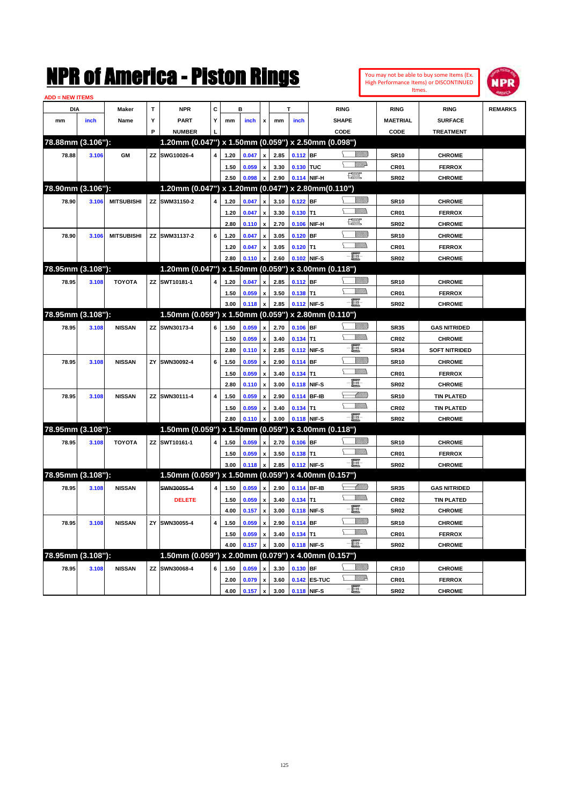|                        |       |                   |    | NMK OI AINCrica - Miston Kings                      |   |      |       |                           |      |             |              |               |                 |                  | You may not be able to buy some Items (Ex.<br>High Performance Items) or DISCONTINUED<br>Itmes. | IPR            |
|------------------------|-------|-------------------|----|-----------------------------------------------------|---|------|-------|---------------------------|------|-------------|--------------|---------------|-----------------|------------------|-------------------------------------------------------------------------------------------------|----------------|
| <b>ADD = NEW ITEMS</b> |       |                   |    |                                                     |   |      |       |                           |      |             |              |               |                 |                  |                                                                                                 |                |
| DIA                    |       | Maker             | T  | <b>NPR</b>                                          | C |      | в     |                           |      | т           |              | <b>RING</b>   |                 | <b>RING</b>      | <b>RING</b>                                                                                     | <b>REMARKS</b> |
| mm                     | inch  | Name              | Υ  | PART                                                | Y | mm   | inch  | x                         | mm   | inch        |              | <b>SHAPE</b>  |                 | <b>MAETRIAL</b>  | <b>SURFACE</b>                                                                                  |                |
|                        |       |                   | P  | <b>NUMBER</b>                                       |   |      |       |                           |      |             |              | CODE          |                 | CODE             | <b>TREATMENT</b>                                                                                |                |
| 78.88mm (3.106"):      |       |                   |    | 1.20mm (0.047") x 1.50mm (0.059") x 2.50mm (0.098") |   |      |       |                           |      |             |              |               |                 |                  |                                                                                                 |                |
| 78.88                  | 3.106 | GM                | ZZ | SWG10026-4                                          | 4 | 1.20 | 0.047 | x                         | 2.85 | $0.112$ BF  |              |               | <u>Sillilli</u> | <b>SR10</b>      | <b>CHROME</b>                                                                                   |                |
|                        |       |                   |    |                                                     |   | 1.50 | 0.059 | X                         | 3.30 | 0.130 TUC   |              |               | <u>MMD</u>      | CR01             | <b>FERROX</b>                                                                                   |                |
|                        |       |                   |    |                                                     |   | 2.50 | 0.098 | $\boldsymbol{\mathsf{x}}$ | 2.90 |             | 0.114 NIF-H  | $\frac{1}{2}$ |                 | <b>SR02</b>      | <b>CHROME</b>                                                                                   |                |
| 78.90mm (3.106"):      |       |                   |    | 1.20mm (0.047") x 1.20mm (0.047") x 2.80mm (0.110") |   |      |       |                           |      |             |              |               |                 |                  |                                                                                                 |                |
| 78.90                  | 3.106 | <b>MITSUBISHI</b> | ZZ | SWM31150-2                                          | 4 | 1.20 | 0.047 | X                         | 3.10 | $0.122$ BF  |              |               | <u>Sillilli</u> | <b>SR10</b>      | <b>CHROME</b>                                                                                   |                |
|                        |       |                   |    |                                                     |   | 1.20 | 0.047 | x                         | 3.30 | $0.130$ T1  |              |               | VM))            | CR <sub>01</sub> | <b>FERROX</b>                                                                                   |                |
|                        |       |                   |    |                                                     |   | 2.80 | 0.110 | $\boldsymbol{\mathsf{x}}$ | 2.70 |             | 0.106 NIF-H  | œ             |                 | <b>SR02</b>      | <b>CHROME</b>                                                                                   |                |
| 78.90                  | 3.106 | <b>MITSUBISHI</b> | ΖZ | SWM31137-2                                          | 6 | 1.20 | 0.047 | x                         | 3.05 | $0.120$ BF  |              |               | <u>Milli</u>    | <b>SR10</b>      | <b>CHROME</b>                                                                                   |                |
|                        |       |                   |    |                                                     |   | 1.20 | 0.047 | x                         | 3.05 | $0.120$ T1  |              |               | .<br>VMD        | CR <sub>01</sub> | <b>FERROX</b>                                                                                   |                |
|                        |       |                   |    |                                                     |   | 2.80 | 0.110 | X                         | 2.60 |             | 0.102 NIF-S  | -00           |                 | <b>SR02</b>      | <b>CHROME</b>                                                                                   |                |
| 78.95mm (3.108"):      |       |                   |    | 1.20mm (0.047") x 1.50mm (0.059") x 3.00mm (0.118") |   |      |       |                           |      |             |              |               |                 |                  |                                                                                                 |                |
| 78.95                  | 3.108 | <b>TOYOTA</b>     | ΖZ | SWT10181-1                                          | 4 | 1.20 | 0.047 | x                         | 2.85 | $0.112$ BF  |              |               | <u>Sillilli</u> | <b>SR10</b>      | <b>CHROME</b>                                                                                   |                |
|                        |       |                   |    |                                                     |   | 1.50 | 0.059 | x                         | 3.50 | $0.138$ T1  |              |               | .<br>VMD        | CR <sub>01</sub> | <b>FERROX</b>                                                                                   |                |
|                        |       |                   |    |                                                     |   | 3.00 | 0.118 | x                         | 2.85 | 0.112 NIF-S |              | - 1           |                 | <b>SR02</b>      | <b>CHROME</b>                                                                                   |                |
| 78.95mm (3.108"):      |       |                   |    | 1.50mm (0.059") x 1.50mm (0.059") x 2.80mm (0.110") |   |      |       |                           |      |             |              |               |                 |                  |                                                                                                 |                |
| 78.95                  | 3.108 | <b>NISSAN</b>     | ZZ | SWN30173-4                                          | 6 | 1.50 | 0.059 | x                         | 2.70 | $0.106$ BF  |              |               | <u>Sillilli</u> | <b>SR35</b>      | <b>GAS NITRIDED</b>                                                                             |                |
|                        |       |                   |    |                                                     |   | 1.50 | 0.059 | $\boldsymbol{\mathsf{x}}$ | 3.40 | $0.134$ T1  |              |               | CM)             | <b>CR02</b>      | <b>CHROME</b>                                                                                   |                |
|                        |       |                   |    |                                                     |   | 2.80 | 0.110 | $\boldsymbol{\mathsf{x}}$ | 2.85 |             | 0.112 NIF-S  | e             |                 | <b>SR34</b>      | <b>SOFT NITRIDED</b>                                                                            |                |
| 78.95                  | 3.108 | <b>NISSAN</b>     | ZY | SWN30092-4                                          | 6 | 1.50 | 0.059 | x                         | 2.90 | 0.114 BF    |              |               | <u>Milli</u>    | <b>SR10</b>      | <b>CHROME</b>                                                                                   |                |
|                        |       |                   |    |                                                     |   | 1.50 | 0.059 | x                         | 3.40 | $0.134$ T1  |              |               | .<br>VMD        | CR01             | <b>FERROX</b>                                                                                   |                |
|                        |       |                   |    |                                                     |   | 2.80 | 0.110 | x                         | 3.00 |             | 0.118 NIF-S  | E             |                 | <b>SR02</b>      | <b>CHROME</b>                                                                                   |                |
| 78.95                  | 3.108 | <b>NISSAN</b>     | ZZ | SWN30111-4                                          | 4 | 1.50 | 0.059 | X                         | 2.90 |             | 0.114 BF-IB  |               | <u> UMM</u>     | <b>SR10</b>      | <b>TIN PLATED</b>                                                                               |                |
|                        |       |                   |    |                                                     |   | 1.50 | 0.059 | x                         | 3.40 | $0.134$ T1  |              |               | .<br>VMD        | CR <sub>02</sub> | <b>TIN PLATED</b>                                                                               |                |
|                        |       |                   |    |                                                     |   | 2.80 | 0.110 | X                         | 3.00 | 0.118 NIF-S |              | -00           |                 | <b>SR02</b>      | <b>CHROME</b>                                                                                   |                |
| 78.95mm (3.108"):      |       |                   |    | 1.50mm (0.059") x 1.50mm (0.059") x 3.00mm (0.118") |   |      |       |                           |      |             |              |               |                 |                  |                                                                                                 |                |
| 78.95                  | 3.108 | <b>TOYOTA</b>     | ΖZ | SWT10161-1                                          | 4 | 1.50 | 0.059 | x                         | 2.70 | $0.106$ BF  |              |               | <u>VIIII)</u>   | <b>SR10</b>      | <b>CHROME</b>                                                                                   |                |
|                        |       |                   |    |                                                     |   | 1.50 | 0.059 | x                         | 3.50 | $0.138$ T1  |              |               | .<br>VMD        | CR <sub>01</sub> | <b>FERROX</b>                                                                                   |                |
|                        |       |                   |    |                                                     |   | 3.00 | 0.118 | x                         | 2.85 | 0.112 NIF-S |              | - 1           |                 | <b>SR02</b>      | <b>CHROME</b>                                                                                   |                |
| 78.95mm (3.108"):      |       |                   |    | 1.50mm (0.059") x 1.50mm (0.059") x 4.00mm (0.157") |   |      |       |                           |      |             |              |               |                 |                  |                                                                                                 |                |
| 78.95                  | 3.108 | <b>NISSAN</b>     |    | SWN30055-4                                          | 4 | 1.50 | 0.059 | x                         | 2.90 |             | 0.114 BF-IB  |               | <u> UMM</u>     | <b>SR35</b>      | <b>GAS NITRIDED</b>                                                                             |                |
|                        |       |                   |    | <b>DELETE</b>                                       |   | 1.50 | 0.059 | $\pmb{\mathsf{x}}$        | 3.40 | $0.134$ T1  |              |               | .<br>VMD        | CR <sub>02</sub> | <b>TIN PLATED</b>                                                                               |                |
|                        |       |                   |    |                                                     |   | 4.00 | 0.157 | $\boldsymbol{\mathsf{x}}$ | 3.00 |             | 0.118 NIF-S  | E-            |                 | <b>SR02</b>      | <b>CHROME</b>                                                                                   |                |
| 78.95                  | 3.108 | <b>NISSAN</b>     | ΖY | SWN30055-4                                          | 4 | 1.50 | 0.059 | $\pmb{\mathsf{x}}$        | 2.90 | 0.114 BF    |              |               | <u>Milli</u>    | <b>SR10</b>      | <b>CHROME</b>                                                                                   |                |
|                        |       |                   |    |                                                     |   | 1.50 | 0.059 | X                         | 3.40 | $0.134$ T1  |              |               | <u>Willib</u>   | CR01             | <b>FERROX</b>                                                                                   |                |
|                        |       |                   |    |                                                     |   | 4.00 | 0.157 | X                         | 3.00 |             | 0.118 NIF-S  | e.            |                 | <b>SR02</b>      | <b>CHROME</b>                                                                                   |                |
| 78.95mm (3.108"):      |       |                   |    | 1.50mm (0.059") x 2.00mm (0.079") x 4.00mm (0.157") |   |      |       |                           |      |             |              |               |                 |                  |                                                                                                 |                |
| 78.95                  | 3.108 | <b>NISSAN</b>     | ZZ | SWN30068-4                                          | 6 | 1.50 | 0.059 | X                         | 3.30 | $0.130$ BF  |              |               | <u>Milli</u>    | CR <sub>10</sub> | <b>CHROME</b>                                                                                   |                |
|                        |       |                   |    |                                                     |   | 2.00 | 0.079 | $\pmb{\mathsf{x}}$        | 3.60 |             | 0.142 ES-TUC |               | <u>W//R</u>     | CR01             | <b>FERROX</b>                                                                                   |                |
|                        |       |                   |    |                                                     |   | 4.00 | 0.157 | $\pmb{\mathsf{x}}$        | 3.00 |             | 0.118 NIF-S  | $-\Xi$        |                 | <b>SR02</b>      | <b>CHROME</b>                                                                                   |                |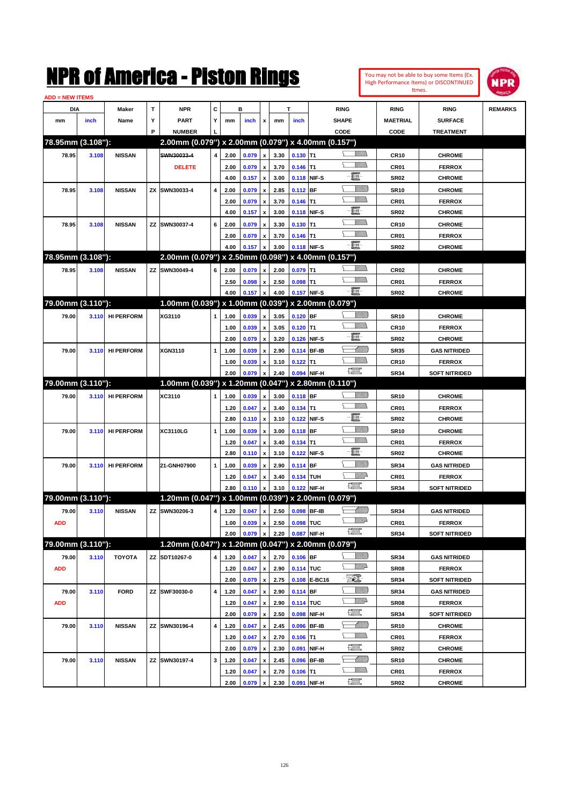| You may not be able to buy some Items (Ex. |
|--------------------------------------------|
| High Performance Items) or DISCONTINUED    |
| Itmes.                                     |



| <b>ADD = NEW ITEMS</b> |       |                   |   |                                                     |              |      |         |                           |      |             |              |                                                                                                                                                                                                                                                                                                                                                                                             |                 |                      |                |
|------------------------|-------|-------------------|---|-----------------------------------------------------|--------------|------|---------|---------------------------|------|-------------|--------------|---------------------------------------------------------------------------------------------------------------------------------------------------------------------------------------------------------------------------------------------------------------------------------------------------------------------------------------------------------------------------------------------|-----------------|----------------------|----------------|
| DIA                    |       | Maker             | т | <b>NPR</b>                                          | С            |      | в       |                           |      | T           |              | <b>RING</b>                                                                                                                                                                                                                                                                                                                                                                                 | <b>RING</b>     | <b>RING</b>          | <b>REMARKS</b> |
| mm                     | inch  | Name              | Υ | <b>PART</b>                                         | Y            | mm   | inch    | x                         | mm   | inch        |              | <b>SHAPE</b>                                                                                                                                                                                                                                                                                                                                                                                | <b>MAETRIAL</b> | <b>SURFACE</b>       |                |
|                        |       |                   | P | <b>NUMBER</b>                                       |              |      |         |                           |      |             |              | CODE                                                                                                                                                                                                                                                                                                                                                                                        | CODE            | <b>TREATMENT</b>     |                |
| 78.95mm (3.108"):      |       |                   |   | 2.00mm (0.079") x 2.00mm (0.079") x 4.00mm (0.157") |              |      |         |                           |      |             |              |                                                                                                                                                                                                                                                                                                                                                                                             |                 |                      |                |
| 78.95                  | 3.108 | <b>NISSAN</b>     |   | SWN30033-4                                          | 4            | 2.00 | 0.079   | $\pmb{\mathsf{x}}$        | 3.30 | $0.130$ T1  |              | UM)                                                                                                                                                                                                                                                                                                                                                                                         | <b>CR10</b>     | <b>CHROME</b>        |                |
|                        |       |                   |   | <b>DELETE</b>                                       |              | 2.00 | 0.079   | $\pmb{\mathsf{x}}$        | 3.70 | $0.146$ T1  |              |                                                                                                                                                                                                                                                                                                                                                                                             | CR01            | <b>FERROX</b>        |                |
|                        |       |                   |   |                                                     |              | 4.00 | 0.157   | $\pmb{\mathsf{x}}$        | 3.00 | 0.118 NIF-S |              | e                                                                                                                                                                                                                                                                                                                                                                                           | <b>SR02</b>     | <b>CHROME</b>        |                |
| 78.95                  | 3.108 | <b>NISSAN</b>     |   | ZX SWN30033-4                                       | 4            | 2.00 | 0.079   | x                         | 2.85 | $0.112$ BF  |              | <u>Sillilli</u>                                                                                                                                                                                                                                                                                                                                                                             | <b>SR10</b>     | <b>CHROME</b>        |                |
|                        |       |                   |   |                                                     |              | 2.00 | 0.079   | x                         | 3.70 | $0.146$ T1  |              | VMM)                                                                                                                                                                                                                                                                                                                                                                                        | CR01            | <b>FERROX</b>        |                |
|                        |       |                   |   |                                                     |              | 4.00 | 0.157   | $\pmb{\mathsf{x}}$        | 3.00 | 0.118 NIF-S |              | E                                                                                                                                                                                                                                                                                                                                                                                           | <b>SR02</b>     | <b>CHROME</b>        |                |
| 78.95                  | 3.108 | <b>NISSAN</b>     |   | ZZ SWN30037-4                                       | 6            | 2.00 | 0.079   | x                         | 3.30 | $0.130$ T1  |              |                                                                                                                                                                                                                                                                                                                                                                                             | <b>CR10</b>     | <b>CHROME</b>        |                |
|                        |       |                   |   |                                                     |              | 2.00 | 0.079   | x                         | 3.70 | $0.146$ T1  |              | UM)                                                                                                                                                                                                                                                                                                                                                                                         | CR01            | <b>FERROX</b>        |                |
|                        |       |                   |   |                                                     |              | 4.00 | 0.157   | x                         | 3.00 | 0.118 NIF-S |              | -8                                                                                                                                                                                                                                                                                                                                                                                          | <b>SR02</b>     | <b>CHROME</b>        |                |
| 78.95mm (3.108"):      |       |                   |   | 2.00mm (0.079") x 2.50mm (0.098") x 4.00mm (0.157") |              |      |         |                           |      |             |              |                                                                                                                                                                                                                                                                                                                                                                                             |                 |                      |                |
| 78.95                  | 3.108 | <b>NISSAN</b>     |   | ZZ SWN30049-4                                       | 6            | 2.00 | 0.079   | x                         | 2.00 | $0.079$ T1  |              | <br>Mar                                                                                                                                                                                                                                                                                                                                                                                     | <b>CR02</b>     | <b>CHROME</b>        |                |
|                        |       |                   |   |                                                     |              | 2.50 | 0.098   | x                         | 2.50 | $0.098$ T1  |              | <br>Militar                                                                                                                                                                                                                                                                                                                                                                                 | CR01            | <b>FERROX</b>        |                |
|                        |       |                   |   |                                                     |              | 4.00 | 0.157   | $\pmb{\mathsf{x}}$        | 4.00 | 0.157 NIF-S |              | -E.                                                                                                                                                                                                                                                                                                                                                                                         | <b>SR02</b>     | <b>CHROME</b>        |                |
| 79.00mm (3.110"):      |       |                   |   | 1.00mm (0.039") x 1.00mm (0.039") x 2.00mm (0.079") |              |      |         |                           |      |             |              |                                                                                                                                                                                                                                                                                                                                                                                             |                 |                      |                |
| 79.00                  | 3.110 | <b>HI PERFORM</b> |   | XG3110                                              | 1            | 1.00 | 0.039   | $\pmb{\mathsf{x}}$        | 3.05 | $0.120$ BF  |              | <u>VIIII)</u>                                                                                                                                                                                                                                                                                                                                                                               | <b>SR10</b>     | <b>CHROME</b>        |                |
|                        |       |                   |   |                                                     |              | 1.00 | 0.039   | x                         | 3.05 | $0.120$ T1  |              | UM)                                                                                                                                                                                                                                                                                                                                                                                         | CR10            | <b>FERROX</b>        |                |
|                        |       |                   |   |                                                     |              | 2.00 | 0.079   | $\boldsymbol{\mathsf{x}}$ | 3.20 | 0.126 NIF-S |              | e                                                                                                                                                                                                                                                                                                                                                                                           | <b>SR02</b>     | <b>CHROME</b>        |                |
| 79.00                  | 3.110 | <b>HI PERFORM</b> |   | XGN3110                                             | 1            | 1.00 | 0.039   | x                         | 2.90 |             | 0.114 BF-IB  | <u> UMM</u>                                                                                                                                                                                                                                                                                                                                                                                 | <b>SR35</b>     | <b>GAS NITRIDED</b>  |                |
|                        |       |                   |   |                                                     |              | 1.00 | 0.039   | x                         | 3.10 | $0.122$ T1  |              |                                                                                                                                                                                                                                                                                                                                                                                             | <b>CR10</b>     | <b>FERROX</b>        |                |
|                        |       |                   |   |                                                     |              | 2.00 | 0.079   | x                         | 2.40 |             | 0.094 NIF-H  | $\begin{picture}(20,20) \put(0,0){\dashbox{0.5}(20,0){ }} \put(15,0){\circle{10}} \put(25,0){\circle{10}} \put(25,0){\circle{10}} \put(25,0){\circle{10}} \put(25,0){\circle{10}} \put(25,0){\circle{10}} \put(25,0){\circle{10}} \put(25,0){\circle{10}} \put(25,0){\circle{10}} \put(25,0){\circle{10}} \put(25,0){\circle{10}} \put(25,0){\circle{10}} \put(25,0){\circle{10}} \put(25,$ | <b>SR34</b>     | <b>SOFT NITRIDED</b> |                |
| 79.00mm (3.110"):      |       |                   |   | 1.00mm (0.039") x 1.20mm (0.047") x 2.80mm (0.110") |              |      |         |                           |      |             |              |                                                                                                                                                                                                                                                                                                                                                                                             |                 |                      |                |
| 79.00                  | 3.110 | <b>HI PERFORM</b> |   | XC3110                                              | 1            | 1.00 | 0.039   | $\pmb{\mathsf{x}}$        | 3.00 | $0.118$ BF  |              | <u>Sillilli</u>                                                                                                                                                                                                                                                                                                                                                                             | <b>SR10</b>     | <b>CHROME</b>        |                |
|                        |       |                   |   |                                                     |              | 1.20 | 0.047   | $\pmb{\mathsf{x}}$        | 3.40 | $0.134$ T1  |              |                                                                                                                                                                                                                                                                                                                                                                                             | CR01            | <b>FERROX</b>        |                |
|                        |       |                   |   |                                                     |              | 2.80 | 0.110   | $\pmb{\mathsf{x}}$        | 3.10 | 0.122 NIF-S |              | E                                                                                                                                                                                                                                                                                                                                                                                           | <b>SR02</b>     | <b>CHROME</b>        |                |
| 79.00                  | 3.110 | <b>HI PERFORM</b> |   | XC3110LG                                            | 1            | 1.00 | 0.039   | x                         | 3.00 | 0.118 BF    |              | <u>Sillilli</u>                                                                                                                                                                                                                                                                                                                                                                             | <b>SR10</b>     | <b>CHROME</b>        |                |
|                        |       |                   |   |                                                     |              | 1.20 | 0.047   | x                         | 3.40 | $0.134$ T1  |              |                                                                                                                                                                                                                                                                                                                                                                                             | CR01            | <b>FERROX</b>        |                |
|                        |       |                   |   |                                                     |              | 2.80 | 0.110   | x                         | 3.10 | 0.122 NIF-S |              | E                                                                                                                                                                                                                                                                                                                                                                                           | <b>SR02</b>     | <b>CHROME</b>        |                |
| 79.00                  | 3.110 | <b>HI PERFORM</b> |   | 21-GNH07900                                         | $\mathbf{1}$ | 1.00 | 0.039   | x                         | 2.90 | 0.114 BF    |              | <u>VIIII)</u>                                                                                                                                                                                                                                                                                                                                                                               | <b>SR34</b>     | <b>GAS NITRIDED</b>  |                |
|                        |       |                   |   |                                                     |              | 1.20 | 0.047   | x                         | 3.40 | 0.134 TUH   |              | ₩₩                                                                                                                                                                                                                                                                                                                                                                                          | CR01            | <b>FERROX</b>        |                |
|                        |       |                   |   |                                                     |              | 2.80 | 0.110   | x                         | 3.10 | 0.122 NIF-H |              | <b>The Second Second</b>                                                                                                                                                                                                                                                                                                                                                                    | <b>SR34</b>     | <b>SOFT NITRIDED</b> |                |
| 79.00mm (3.110"):      |       |                   |   | 1.20mm (0.047") x 1.00mm (0.039") x 2.00mm (0.079") |              |      |         |                           |      |             |              |                                                                                                                                                                                                                                                                                                                                                                                             |                 |                      |                |
| 79.00                  | 3.110 | <b>NISSAN</b>     |   | ZZ SWN30206-3                                       | 4            | 1.20 | 0.047   | x                         | 2.50 | 0.098 BF-IB |              | <u> UMB</u>                                                                                                                                                                                                                                                                                                                                                                                 | <b>SR34</b>     | <b>GAS NITRIDED</b>  |                |
| <b>ADD</b>             |       |                   |   |                                                     |              | 1.00 | 0.039 x |                           | 2.50 | 0.098 TUC   |              | <u>VMD</u>                                                                                                                                                                                                                                                                                                                                                                                  | CR01            | <b>FERROX</b>        |                |
|                        |       |                   |   |                                                     |              | 2.00 | 0.079   | $\pmb{\mathsf{x}}$        | 2.20 | 0.087 NIF-H |              | $\begin{picture}(20,20) \put(0,0){\dashbox{0.5}(20,0){ }} \put(15,0){\circle{10}} \put(25,0){\circle{10}} \put(25,0){\circle{10}} \put(25,0){\circle{10}} \put(25,0){\circle{10}} \put(25,0){\circle{10}} \put(25,0){\circle{10}} \put(25,0){\circle{10}} \put(25,0){\circle{10}} \put(25,0){\circle{10}} \put(25,0){\circle{10}} \put(25,0){\circle{10}} \put(25,0){\circle{10}} \put(25,$ | <b>SR34</b>     | <b>SOFT NITRIDED</b> |                |
| 79.00mm (3.110"):      |       |                   |   | 1.20mm (0.047") x 1.20mm (0.047") x 2.00mm (0.079") |              |      |         |                           |      |             |              |                                                                                                                                                                                                                                                                                                                                                                                             |                 |                      |                |
| 79.00                  | 3.110 | <b>TOYOTA</b>     |   | ZZ SDT10267-0                                       | 4            | 1.20 | 0.047   | $\pmb{\mathsf{x}}$        | 2.70 | $0.106$ BF  |              | <u> UMB</u>                                                                                                                                                                                                                                                                                                                                                                                 | SR34            | <b>GAS NITRIDED</b>  |                |
| <b>ADD</b>             |       |                   |   |                                                     |              | 1.20 | 0.047   | x                         | 2.90 | 0.114 TUC   |              | <u>VM</u> D                                                                                                                                                                                                                                                                                                                                                                                 | <b>SR08</b>     | <b>FERROX</b>        |                |
|                        |       |                   |   |                                                     |              | 2.00 | 0.079   | $\pmb{\mathsf{x}}$        | 2.75 |             | 0.108 E-BC16 | EQ)                                                                                                                                                                                                                                                                                                                                                                                         | <b>SR34</b>     | <b>SOFT NITRIDED</b> |                |
| 79.00                  | 3.110 | <b>FORD</b>       |   | ZZ SWF30030-0                                       | 4            | 1.20 | 0.047   | $\pmb{\mathsf{x}}$        | 2.90 | $0.114$ BF  |              | <u>VIIII)</u>                                                                                                                                                                                                                                                                                                                                                                               | <b>SR34</b>     | <b>GAS NITRIDED</b>  |                |
| <b>ADD</b>             |       |                   |   |                                                     |              | 1.20 | 0.047   | x                         | 2.90 | 0.114 TUC   |              | <u>VM</u> A                                                                                                                                                                                                                                                                                                                                                                                 | <b>SR08</b>     | <b>FERROX</b>        |                |
|                        |       |                   |   |                                                     |              | 2.00 | 0.079   | $\pmb{\mathsf{x}}$        | 2.50 |             | 0.098 NIF-H  | $\frac{1}{2}$                                                                                                                                                                                                                                                                                                                                                                               | <b>SR34</b>     | <b>SOFT NITRIDED</b> |                |
| 79.00                  | 3.110 | <b>NISSAN</b>     |   | ZZ SWN30196-4                                       | 4            | 1.20 | 0.047   | x                         | 2.45 | 0.096 BF-IB |              | <u> MMM</u>                                                                                                                                                                                                                                                                                                                                                                                 | <b>SR10</b>     | <b>CHROME</b>        |                |
|                        |       |                   |   |                                                     |              | 1.20 | 0.047   | x                         | 2.70 | $0.106$ T1  |              | <u>VMM)</u>                                                                                                                                                                                                                                                                                                                                                                                 | CR01            | <b>FERROX</b>        |                |
|                        |       |                   |   |                                                     |              | 2.00 | 0.079   | $\pmb{\mathsf{x}}$        | 2.30 | 0.091       | NIF-H        | $\frac{1}{2}$                                                                                                                                                                                                                                                                                                                                                                               | <b>SR02</b>     | <b>CHROME</b>        |                |
| 79.00                  | 3.110 | <b>NISSAN</b>     |   | ZZ SWN30197-4                                       | 3            | 1.20 | 0.047   | x                         | 2.45 | 0.096 BF-IB |              |                                                                                                                                                                                                                                                                                                                                                                                             | SR10            | <b>CHROME</b>        |                |
|                        |       |                   |   |                                                     |              | 1.20 | 0.047   | x                         | 2.70 | $0.106$ T1  |              | <u>VMM)</u>                                                                                                                                                                                                                                                                                                                                                                                 | CR01            | <b>FERROX</b>        |                |
|                        |       |                   |   |                                                     |              | 2.00 | 0.079   | $\pmb{\mathsf{x}}$        | 2.30 | 0.091 NIF-H |              | $\frac{1}{2}$                                                                                                                                                                                                                                                                                                                                                                               | <b>SR02</b>     | <b>CHROME</b>        |                |
|                        |       |                   |   |                                                     |              |      |         |                           |      |             |              |                                                                                                                                                                                                                                                                                                                                                                                             |                 |                      |                |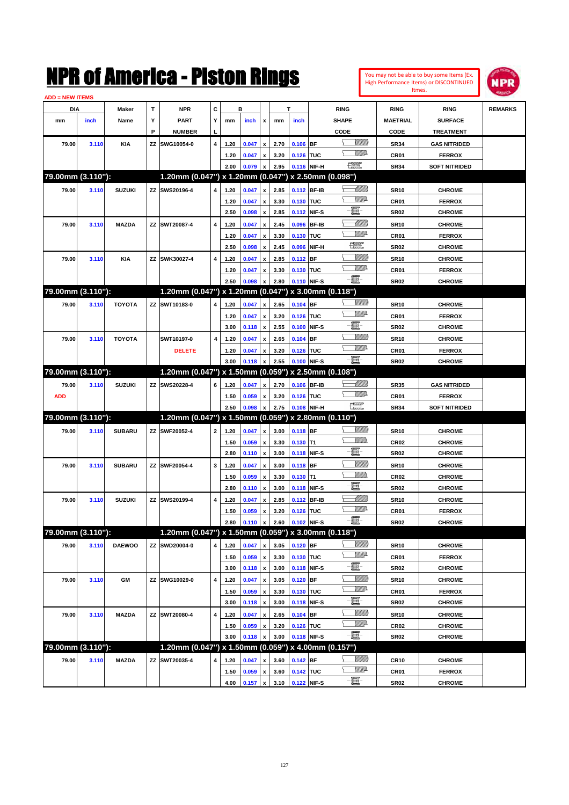|                        |       |               |    | NMK OT AINCrica - Miston Kings                      |                         |      |       |                    |      |            |              |                                                                                                                                                                                                                                      |                |                  | You may not be able to buy some Items (Ex.<br>High Performance Items) or DISCONTINUED | <b>NPR</b>     |
|------------------------|-------|---------------|----|-----------------------------------------------------|-------------------------|------|-------|--------------------|------|------------|--------------|--------------------------------------------------------------------------------------------------------------------------------------------------------------------------------------------------------------------------------------|----------------|------------------|---------------------------------------------------------------------------------------|----------------|
| <b>ADD = NEW ITEMS</b> |       |               |    |                                                     |                         |      |       |                    |      |            |              |                                                                                                                                                                                                                                      |                |                  | Itmes.                                                                                |                |
| DIA                    |       | Maker         | T  | <b>NPR</b>                                          | C                       |      | в     |                    |      | T          |              | <b>RING</b>                                                                                                                                                                                                                          |                | <b>RING</b>      | <b>RING</b>                                                                           | <b>REMARKS</b> |
| mm                     | inch  | Name          | Υ  | <b>PART</b>                                         | Υ                       | mm   | inch  | x                  | mm   | inch       |              | <b>SHAPE</b>                                                                                                                                                                                                                         |                | <b>MAETRIAL</b>  | <b>SURFACE</b>                                                                        |                |
|                        |       |               | P  | <b>NUMBER</b>                                       |                         |      |       |                    |      |            |              | CODE                                                                                                                                                                                                                                 |                | CODE             | <b>TREATMENT</b>                                                                      |                |
| 79.00                  | 3.110 | KIA           | ZZ | SWG10054-0                                          | $\overline{4}$          | 1.20 | 0.047 | $\pmb{\mathsf{x}}$ | 2.70 | $0.106$ BF |              |                                                                                                                                                                                                                                      | WM)            | <b>SR34</b>      | <b>GAS NITRIDED</b>                                                                   |                |
|                        |       |               |    |                                                     |                         | 1.20 | 0.047 | x                  | 3.20 | 0.126 TUC  |              |                                                                                                                                                                                                                                      | <u>MMD</u>     | CR01             | <b>FERROX</b>                                                                         |                |
|                        |       |               |    |                                                     |                         | 2.00 | 0.079 | $\pmb{\mathsf{x}}$ | 2.95 |            | 0.116 NIF-H  | <u>resp</u>                                                                                                                                                                                                                          |                | <b>SR34</b>      | <b>SOFT NITRIDED</b>                                                                  |                |
| 79.00mm (3.110"):      |       |               |    | 1.20mm (0.047") x 1.20mm (0.047") x 2.50mm (0.098") |                         |      |       |                    |      |            |              |                                                                                                                                                                                                                                      |                |                  |                                                                                       |                |
| 79.00                  | 3.110 | <b>SUZUKI</b> |    | ZZ SWS20196-4                                       | 4                       | 1.20 | 0.047 | $\pmb{\mathsf{x}}$ | 2.85 |            | 0.112 BF-IB  |                                                                                                                                                                                                                                      | <u> UMM</u>    | <b>SR10</b>      | <b>CHROME</b>                                                                         |                |
|                        |       |               |    |                                                     |                         | 1.20 | 0.047 | $\pmb{\mathsf{x}}$ | 3.30 | 0.130 TUC  |              |                                                                                                                                                                                                                                      | <u>VM</u> D    | CR01             | <b>FERROX</b>                                                                         |                |
|                        |       |               |    |                                                     |                         | 2.50 | 0.098 | $\pmb{\mathsf{x}}$ | 2.85 |            | 0.112 NIF-S  | E                                                                                                                                                                                                                                    |                | <b>SR02</b>      | <b>CHROME</b>                                                                         |                |
| 79.00                  | 3.110 | <b>MAZDA</b>  |    | ZZ SWT20087-4                                       | 4                       | 1.20 | 0.047 | $\pmb{\mathsf{x}}$ | 2.45 | 0.096      | <b>BF-IB</b> |                                                                                                                                                                                                                                      | <u>MM</u>      | <b>SR10</b>      | <b>CHROME</b>                                                                         |                |
|                        |       |               |    |                                                     |                         | 1.20 | 0.047 | $\pmb{\mathsf{x}}$ | 3.30 | 0.130      | <b>TUC</b>   |                                                                                                                                                                                                                                      | <u>Willia</u>  | CR01             | <b>FERROX</b>                                                                         |                |
|                        |       |               |    |                                                     |                         | 2.50 | 0.098 | $\pmb{\mathsf{x}}$ | 2.45 | 0.096      | NIF-H        | <u>tet</u>                                                                                                                                                                                                                           |                | <b>SR02</b>      | <b>CHROME</b>                                                                         |                |
| 79.00                  | 3.110 | KIA           |    | ZZ SWK30027-4                                       | 4                       | 1.20 | 0.047 | $\pmb{\mathsf{x}}$ | 2.85 | $0.112$ BF |              |                                                                                                                                                                                                                                      | <u>VIIII)</u>  | <b>SR10</b>      | <b>CHROME</b>                                                                         |                |
|                        |       |               |    |                                                     |                         | 1.20 | 0.047 | $\pmb{\mathsf{x}}$ | 3.30 | 0.130 TUC  |              |                                                                                                                                                                                                                                      | <u>Willia</u>  | CR01             | <b>FERROX</b>                                                                         |                |
|                        |       |               |    |                                                     |                         | 2.50 | 0.098 | x                  | 2.80 |            | 0.110 NIF-S  | $-\mathbf{E}$                                                                                                                                                                                                                        |                | <b>SR02</b>      | <b>CHROME</b>                                                                         |                |
| 79.00mm (3.110"):      |       |               |    | 1.20mm (0.047") x 1.20mm (0.047") x 3.00mm (0.118") |                         |      |       |                    |      |            |              |                                                                                                                                                                                                                                      |                |                  |                                                                                       |                |
| 79.00                  | 3.110 | <b>TOYOTA</b> |    | ZZ SWT10183-0                                       | 4                       | 1.20 | 0.047 | $\pmb{\mathsf{x}}$ | 2.65 | $0.104$ BF |              |                                                                                                                                                                                                                                      | <u>Villida</u> | <b>SR10</b>      | <b>CHROME</b>                                                                         |                |
|                        |       |               |    |                                                     |                         | 1.20 | 0.047 | $\pmb{\mathsf{x}}$ | 3.20 | 0.126 TUC  |              |                                                                                                                                                                                                                                      | <u>Willia</u>  | CR01             | <b>FERROX</b>                                                                         |                |
|                        |       |               |    |                                                     |                         | 3.00 | 0.118 | $\pmb{\mathsf{x}}$ | 2.55 | 0.100      | NIF-S        | 買                                                                                                                                                                                                                                    |                | SR02             | <b>CHROME</b>                                                                         |                |
| 79.00                  | 3.110 | <b>TOYOTA</b> |    | SWT10197-0                                          | 4                       | 1.20 | 0.047 | $\pmb{\mathsf{x}}$ | 2.65 | $0.104$ BF |              |                                                                                                                                                                                                                                      | <u>Villida</u> | <b>SR10</b>      | <b>CHROME</b>                                                                         |                |
|                        |       |               |    | <b>DELETE</b>                                       |                         | 1.20 | 0.047 | x                  | 3.20 | 0.126 TUC  |              |                                                                                                                                                                                                                                      | <u>VM</u> D    | CR01             | <b>FERROX</b>                                                                         |                |
|                        |       |               |    |                                                     |                         | 3.00 | 0.118 | x                  | 2.55 |            | 0.100 NIF-S  | $-\mathbf{E}$                                                                                                                                                                                                                        |                | <b>SR02</b>      | <b>CHROME</b>                                                                         |                |
| 79.00mm (3.110"):      |       |               |    | 1.20mm (0.047") x 1.50mm (0.059") x 2.50mm (0.108") |                         |      |       |                    |      |            |              |                                                                                                                                                                                                                                      |                |                  |                                                                                       |                |
| 79.00                  | 3.110 | <b>SUZUKI</b> |    | ZZ SWS20228-4                                       | 6                       | 1.20 | 0.047 | $\pmb{\mathsf{x}}$ | 2.70 |            | 0.106 BF-IB  |                                                                                                                                                                                                                                      | <u> UMM</u>    | <b>SR35</b>      | <b>GAS NITRIDED</b>                                                                   |                |
| <b>ADD</b>             |       |               |    |                                                     |                         | 1.50 | 0.059 | $\pmb{\mathsf{x}}$ | 3.20 | 0.126 TUC  |              |                                                                                                                                                                                                                                      | <u>MMD</u>     | CR01             | <b>FERROX</b>                                                                         |                |
|                        |       |               |    |                                                     |                         | 2.50 | 0.098 | $\pmb{\mathsf{x}}$ | 2.75 |            | 0.108 NIF-H  | <b>Tell</b>                                                                                                                                                                                                                          |                | <b>SR34</b>      | <b>SOFT NITRIDED</b>                                                                  |                |
| 79.00mm (3.110"):      |       |               |    | 1.20mm (0.047") x 1.50mm (0.059") x 2.80mm (0.110") |                         |      |       |                    |      |            |              |                                                                                                                                                                                                                                      |                |                  |                                                                                       |                |
| 79.00                  | 3.110 | <b>SUBARU</b> |    | ZZ SWF20052-4                                       | $\overline{\mathbf{2}}$ | 1.20 | 0.047 | $\pmb{\mathsf{x}}$ | 3.00 | $0.118$ BF |              |                                                                                                                                                                                                                                      | <u>VIIIIn</u>  | <b>SR10</b>      | <b>CHROME</b>                                                                         |                |
|                        |       |               |    |                                                     |                         | 1.50 | 0.059 | $\pmb{\mathsf{x}}$ | 3.30 | $0.130$ T1 |              |                                                                                                                                                                                                                                      | .<br>Milita    | <b>CR02</b>      | <b>CHROME</b>                                                                         |                |
|                        |       |               |    |                                                     |                         | 2.80 | 0.110 | $\pmb{\mathsf{x}}$ | 3.00 |            | 0.118 NIF-S  | E                                                                                                                                                                                                                                    |                | <b>SR02</b>      | <b>CHROME</b>                                                                         |                |
| 79.00                  | 3.110 | <b>SUBARU</b> |    | ZZ SWF20054-4                                       | 3                       | 1.20 | 0.047 | $\pmb{\mathsf{x}}$ | 3.00 | $0.118$ BF |              |                                                                                                                                                                                                                                      | <u>Villida</u> | <b>SR10</b>      | <b>CHROME</b>                                                                         |                |
|                        |       |               |    |                                                     |                         | 1.50 | 0.059 | $\pmb{\mathsf{x}}$ | 3.30 | $0.130$ T1 |              |                                                                                                                                                                                                                                      | 7777).         | CR <sub>02</sub> | <b>CHROME</b>                                                                         |                |
|                        |       |               |    |                                                     |                         | 2.80 | 0.110 | x                  | 3.00 |            | 0.118 NIF-S  | E                                                                                                                                                                                                                                    |                | SR02             | <b>CHROME</b>                                                                         |                |
| 79.00                  | 3.110 | <b>SUZUKI</b> |    | ZZ SWS20199-4                                       | 4                       | 1.20 | 0.047 | $\pmb{\mathsf{x}}$ | 2.85 |            | 0.112 BF-IB  |                                                                                                                                                                                                                                      | Willib         | <b>SR10</b>      | <b>CHROME</b>                                                                         |                |
|                        |       |               |    |                                                     |                         | 1.50 | 0.059 | $\pmb{\mathsf{x}}$ | 3.20 | 0.126 TUC  |              |                                                                                                                                                                                                                                      | <u>WW</u> A    | CR01             | <b>FERROX</b>                                                                         |                |
|                        |       |               |    |                                                     |                         | 2.80 | 0.110 |                    | 2.60 |            | 0.102 NIF-S  | e de la contrada de la contrada de la contrada de la contrada de la contrada de la contrada de la contrada de<br>Del contrada de la contrada de la contrada de la contrada de la contrada de la contrada de la contrada de la c<br>D |                | <b>SR02</b>      | <b>CHROME</b>                                                                         |                |
| 79.00mm (3.110"):      |       |               |    | 1.20mm (0.047") x 1.50mm (0.059") x 3.00mm (0.118") |                         |      |       |                    |      |            |              |                                                                                                                                                                                                                                      |                |                  |                                                                                       |                |
| 79.00                  | 3.110 | <b>DAEWOO</b> |    | ZZ SWD20004-0                                       | 4                       | 1.20 | 0.047 | $\pmb{\mathsf{x}}$ | 3.05 | $0.120$ BF |              |                                                                                                                                                                                                                                      | <u>VIIIIn</u>  | SR10             | <b>CHROME</b>                                                                         |                |
|                        |       |               |    |                                                     |                         | 1.50 | 0.059 | $\pmb{\mathsf{x}}$ | 3.30 | 0.130 TUC  |              |                                                                                                                                                                                                                                      | <u>WW</u> A    | CR01             | <b>FERROX</b>                                                                         |                |
|                        |       |               |    |                                                     |                         | 3.00 | 0.118 | $\pmb{\mathsf{x}}$ | 3.00 |            | 0.118 NIF-S  | E                                                                                                                                                                                                                                    |                | SR02             | <b>CHROME</b>                                                                         |                |
| 79.00                  | 3.110 | GМ            |    | ZZ SWG10029-0                                       | 4                       | 1.20 | 0.047 | $\pmb{\mathsf{x}}$ | 3.05 | $0.120$ BF |              |                                                                                                                                                                                                                                      | <u>VIIII)</u>  | <b>SR10</b>      | <b>CHROME</b>                                                                         |                |
|                        |       |               |    |                                                     |                         | 1.50 | 0.059 | $\pmb{\mathsf{x}}$ | 3.30 | 0.130 TUC  |              |                                                                                                                                                                                                                                      | ₩₩             | CR01             | <b>FERROX</b>                                                                         |                |
|                        |       |               |    |                                                     |                         | 3.00 | 0.118 | $\pmb{\mathsf{x}}$ | 3.00 |            | 0.118 NIF-S  | E                                                                                                                                                                                                                                    |                | SR02             | <b>CHROME</b>                                                                         |                |
| 79.00                  | 3.110 | <b>MAZDA</b>  |    | ZZ SWT20080-4                                       | 4                       | 1.20 | 0.047 | $\pmb{\mathsf{x}}$ | 2.65 | $0.104$ BF |              |                                                                                                                                                                                                                                      | <u>VIIII)</u>  | <b>SR10</b>      | <b>CHROME</b>                                                                         |                |
|                        |       |               |    |                                                     |                         | 1.50 | 0.059 | $\pmb{\mathsf{x}}$ | 3.20 | 0.126 TUC  |              |                                                                                                                                                                                                                                      | <u>VM</u> D    | CR <sub>02</sub> | <b>CHROME</b>                                                                         |                |
|                        |       |               |    |                                                     |                         | 3.00 | 0.118 | x                  | 3.00 |            | 0.118 NIF-S  | e.                                                                                                                                                                                                                                   |                | <b>SR02</b>      | <b>CHROME</b>                                                                         |                |
| 79.00mm (3.110"):      |       |               |    | 1.20mm (0.047") x 1.50mm (0.059") x 4.00mm (0.157") |                         |      |       |                    |      |            |              |                                                                                                                                                                                                                                      |                |                  |                                                                                       |                |
| 79.00                  | 3.110 | <b>MAZDA</b>  |    | ZZ SWT20035-4                                       | 4                       | 1.20 | 0.047 | $\pmb{\mathsf{x}}$ | 3.60 | $0.142$ BF |              |                                                                                                                                                                                                                                      | <u>Villida</u> | <b>CR10</b>      | <b>CHROME</b>                                                                         |                |
|                        |       |               |    |                                                     |                         | 1.50 | 0.059 | $\pmb{\mathsf{x}}$ | 3.60 | 0.142 TUC  |              |                                                                                                                                                                                                                                      | <u>VMD</u>     | CR01             | <b>FERROX</b>                                                                         |                |
|                        |       |               |    |                                                     |                         | 4.00 | 0.157 | $\pmb{\mathsf{x}}$ | 3.10 |            | 0.122 NIF-S  | e.                                                                                                                                                                                                                                   |                | SR02             | <b>CHROME</b>                                                                         |                |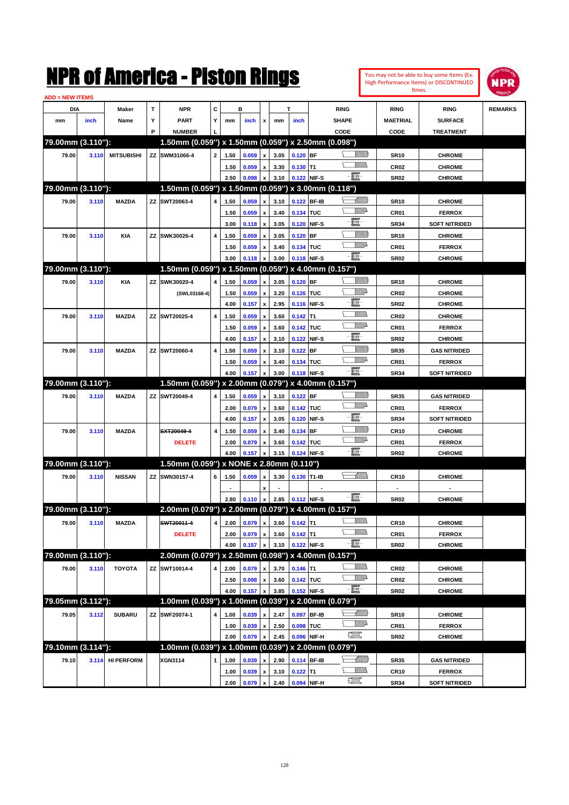|                        |       |                   |    | NMK OI AINCrica - Miston Kings                      |              |              |                |                                                        |              |                       |             |                  |                |                     | You may not be able to buy some Items (Ex.<br>High Performance Items) or DISCONTINUED<br>Itmes. | NPR            |
|------------------------|-------|-------------------|----|-----------------------------------------------------|--------------|--------------|----------------|--------------------------------------------------------|--------------|-----------------------|-------------|------------------|----------------|---------------------|-------------------------------------------------------------------------------------------------|----------------|
| <b>ADD = NEW ITEMS</b> |       |                   |    |                                                     |              |              |                |                                                        |              |                       |             |                  |                |                     |                                                                                                 |                |
| DIA                    |       | Maker             | T  | <b>NPR</b>                                          | C            |              | в              |                                                        |              | т                     |             | <b>RING</b>      |                | <b>RING</b>         | <b>RING</b>                                                                                     | <b>REMARKS</b> |
| mm                     | inch  | Name              | Υ  | <b>PART</b>                                         | Y            | mm           | inch           | x                                                      | mm           | inch                  |             | <b>SHAPE</b>     |                | <b>MAETRIAL</b>     | <b>SURFACE</b>                                                                                  |                |
|                        |       |                   | P  | <b>NUMBER</b>                                       |              |              |                |                                                        |              |                       |             | CODE             |                | CODE                | <b>TREATMENT</b>                                                                                |                |
| 79.00mm (3.110"):      |       |                   |    | 1.50mm (0.059") x 1.50mm (0.059") x 2.50mm (0.098") |              |              |                |                                                        |              |                       |             |                  |                |                     |                                                                                                 |                |
| 79.00                  | 3.110 | <b>MITSUBISHI</b> |    | ZZ SWM31066-4                                       | $\mathbf{2}$ | 1.50         | 0.059          | x                                                      | 3.05         | $0.120$ BF            |             |                  | <u>Millitt</u> | <b>SR10</b>         | <b>CHROME</b>                                                                                   |                |
|                        |       |                   |    |                                                     |              | 1.50         | 0.059          | x                                                      | 3.30         | $0.130$ T1            |             |                  | .<br>MM        | CR <sub>02</sub>    | <b>CHROME</b>                                                                                   |                |
|                        |       |                   |    |                                                     |              | 2.50         | 0.098          | x                                                      | 3.10         | 0.122 NIF-S           |             | -8               |                | <b>SR02</b>         | <b>CHROME</b>                                                                                   |                |
| 79.00mm (3.110"):      |       |                   |    | 1.50mm (0.059") x 1.50mm (0.059") x 3.00mm (0.118") |              |              |                |                                                        |              |                       |             |                  |                |                     |                                                                                                 |                |
| 79.00                  | 3.110 | <b>MAZDA</b>      |    | ZZ SWT20063-4                                       | 4            | 1.50         | 0.059          | X                                                      | 3.10         |                       | 0.122 BF-IB |                  | <u> UMM</u>    | <b>SR10</b>         | <b>CHROME</b>                                                                                   |                |
|                        |       |                   |    |                                                     |              | 1.50         | 0.059          | $\boldsymbol{\mathsf{x}}$                              | 3.40         | 0.134 TUC             |             |                  | <u>Willia</u>  | CR <sub>01</sub>    | <b>FERROX</b>                                                                                   |                |
|                        |       |                   |    |                                                     |              | 3.00         | 0.118          | $\boldsymbol{\mathsf{x}}$                              | 3.05         |                       | 0.120 NIF-S | E                |                | <b>SR34</b>         | <b>SOFT NITRIDED</b>                                                                            |                |
| 79.00                  | 3.110 | <b>KIA</b>        | ZZ | SWK30026-4                                          | 4            | 1.50         | 0.059          | x                                                      | 3.05         | $0.120$ BF            |             |                  | <u>Millil</u>  | <b>SR10</b>         | <b>CHROME</b>                                                                                   |                |
|                        |       |                   |    |                                                     |              | 1.50         | 0.059          | x                                                      | 3.40         | 0.134 TUC             |             | $-\mathbf{E}$    | <u>Willia</u>  | CR01                | <b>FERROX</b>                                                                                   |                |
|                        |       |                   |    |                                                     |              | 3.00         | 0.118          | X                                                      | 3.00         |                       | 0.118 NIF-S |                  |                | <b>SR02</b>         | <b>CHROME</b>                                                                                   |                |
| 79.00mm (3.110"):      |       |                   |    | 1.50mm (0.059") x 1.50mm (0.059") x 4.00mm (0.157") |              |              |                |                                                        |              |                       |             |                  |                |                     |                                                                                                 |                |
| 79.00                  | 3.110 | KIA               | ZZ | SWK30020-4                                          | 4            | 1.50         | 0.059          | X                                                      | 3.05         | $0.120$ BF            |             |                  | <u>Millitt</u> | <b>SR10</b>         | <b>CHROME</b>                                                                                   |                |
|                        |       |                   |    | (SWL03168-4)                                        |              | 1.50         | 0.059          | $\boldsymbol{\mathsf{x}}$                              | 3.20         | 0.126 TUC             |             | E                | <u>Willia</u>  | CR <sub>02</sub>    | <b>CHROME</b>                                                                                   |                |
|                        |       |                   |    |                                                     |              | 4.00         | 0.157          | $\boldsymbol{\mathsf{x}}$                              | 2.95         |                       | 0.116 NIF-S |                  | VMM)           | <b>SR02</b>         | <b>CHROME</b>                                                                                   |                |
| 79.00                  | 3.110 | <b>MAZDA</b>      |    | ZZ SWT20025-4                                       | 4            | 1.50         | 0.059          | x                                                      | 3.60         | $0.142$ T1            |             |                  | <u>Willia</u>  | CR <sub>02</sub>    | <b>CHROME</b>                                                                                   |                |
|                        |       |                   |    |                                                     |              | 1.50         | 0.059          | $\boldsymbol{\mathsf{x}}$                              | 3.60         | 0.142 TUC             |             | E                |                | CR01                | <b>FERROX</b>                                                                                   |                |
|                        |       |                   |    |                                                     |              | 4.00         | 0.157          | x                                                      | 3.10         |                       | 0.122 NIF-S |                  | <u>Millil</u>  | <b>SR02</b>         | <b>CHROME</b>                                                                                   |                |
| 79.00                  | 3.110 | <b>MAZDA</b>      |    | ZZ SWT20060-4                                       | 4            | 1.50         | 0.059          | x                                                      | 3.10         | $0.122$ BF            |             |                  | <u>Willia</u>  | <b>SR35</b>         | <b>GAS NITRIDED</b>                                                                             |                |
|                        |       |                   |    |                                                     |              | 1.50         | 0.059          | x                                                      | 3.40         | 0.134 TUC             |             | $-\mathbf{H}$    |                | CR01                | <b>FERROX</b>                                                                                   |                |
| 79.00mm (3.110"):      |       |                   |    | 1.50mm (0.059") x 2.00mm (0.079") x 4.00mm (0.157") |              | 4.00         | 0.157          | X                                                      | 3.00         |                       | 0.118 NIF-S |                  |                | <b>SR34</b>         | <b>SOFT NITRIDED</b>                                                                            |                |
|                        |       |                   |    |                                                     |              |              |                |                                                        |              |                       |             |                  | <u>Millitt</u> |                     |                                                                                                 |                |
| 79.00                  | 3.110 | <b>MAZDA</b>      |    | ZZ SWT20049-4                                       | 4            | 1.50         | 0.059          | x                                                      | 3.10         | 0.122 BF<br>0.142 TUC |             |                  | <u>Willia</u>  | <b>SR35</b>         | <b>GAS NITRIDED</b>                                                                             |                |
|                        |       |                   |    |                                                     |              | 2.00<br>4.00 | 0.079<br>0.157 | $\boldsymbol{\mathsf{x}}$<br>$\boldsymbol{\mathsf{x}}$ | 3.60<br>3.05 |                       | 0.120 NIF-S | E                |                | CR01<br><b>SR34</b> | <b>FERROX</b><br><b>SOFT NITRIDED</b>                                                           |                |
| 79.00                  | 3.110 | <b>MAZDA</b>      |    | SXT20049-4                                          | 4            | 1.50         | 0.059          | x                                                      | 3.40         | 0.134 BF              |             |                  | <u>Millil</u>  | <b>CR10</b>         | <b>CHROME</b>                                                                                   |                |
|                        |       |                   |    | <b>DELETE</b>                                       |              | 2.00         | 0.079          | x                                                      | 3.60         | 0.142 TUC             |             |                  | <u>Willia</u>  | CR01                | <b>FERROX</b>                                                                                   |                |
|                        |       |                   |    |                                                     |              | 4.00         | 0.157          | x                                                      | 3.15         |                       | 0.124 NIF-S | -8               |                | <b>SR02</b>         | <b>CHROME</b>                                                                                   |                |
| 79.00mm (3.110"):      |       |                   |    | 1.50mm (0.059") x NONE x 2.80mm (0.110")            |              |              |                |                                                        |              |                       |             |                  |                |                     |                                                                                                 |                |
| 79.00                  | 3.110 | <b>NISSAN</b>     |    | ZZ SWN30157-4                                       | 6            | 1.50         | 0.059          | x                                                      | 3.30         | 0.130 T1-IB           |             |                  | <u>UMM)</u>    | <b>CR10</b>         | <b>CHROME</b>                                                                                   |                |
|                        |       |                   |    |                                                     |              |              |                | x                                                      |              |                       |             |                  |                |                     |                                                                                                 |                |
|                        |       |                   |    |                                                     |              | 2.80         | 0.110          | $\mathbf{x}$                                           | 2.85         | 0.112 NIF-S           |             | e.               |                | SR02                | <b>CHROME</b>                                                                                   |                |
| 79.00mm (3.110"):      |       |                   |    | 2.00mm (0.079") x 2.00mm (0.079") x 4.00mm (0.157") |              |              |                |                                                        |              |                       |             |                  |                |                     |                                                                                                 |                |
| 79.00                  | 3.110 | <b>MAZDA</b>      |    | SWT20011-4                                          | 4            | 2.00         | 0.079          | $\mathbf{x}$                                           | 3.60         | $0.142$ T1            |             |                  | <u>Willib</u>  | <b>CR10</b>         | <b>CHROME</b>                                                                                   |                |
|                        |       |                   |    | <b>DELETE</b>                                       |              | 2.00         | 0.079          | $\pmb{\mathsf{x}}$                                     | 3.60         | $0.142$ T1            |             |                  | <u>VMMs</u>    | CR01                | <b>FERROX</b>                                                                                   |                |
|                        |       |                   |    |                                                     |              | 4.00         | 0.157          | x                                                      | 3.10         | 0.122 NIF-S           |             | $-\blacksquare$  |                | <b>SR02</b>         | <b>CHROME</b>                                                                                   |                |
| 79.00mm (3.110"):      |       |                   |    | 2.00mm (0.079") x 2.50mm (0.098") x 4.00mm (0.157") |              |              |                |                                                        |              |                       |             |                  |                |                     |                                                                                                 |                |
| 79.00                  | 3.110 | <b>TOYOTA</b>     |    | ZZ SWT10014-4                                       | 4            | 2.00         | 0.079          | $\mathbf{x}$                                           | 3.70         | $0.146$ T1            |             |                  | <u>Villida</u> | CR02                | <b>CHROME</b>                                                                                   |                |
|                        |       |                   |    |                                                     |              | 2.50         | 0.098          | $\pmb{\mathsf{x}}$                                     | 3.60         | 0.142 TUC             |             |                  | WWA            | <b>CR02</b>         | <b>CHROME</b>                                                                                   |                |
|                        |       |                   |    |                                                     |              | 4.00         | 0.157          | $\boldsymbol{\mathsf{x}}$                              | 3.85         | 0.152 NIF-S           |             | $-\blacksquare$  |                | SR <sub>02</sub>    | <b>CHROME</b>                                                                                   |                |
| 79.05mm (3.112"):      |       |                   |    | 1.00mm (0.039") x 1.00mm (0.039") x 2.00mm (0.079") |              |              |                |                                                        |              |                       |             |                  |                |                     |                                                                                                 |                |
| 79.05                  | 3.112 | <b>SUBARU</b>     |    | ZZ SWF20074-1                                       | 4            | 1.00         | 0.039          | x                                                      | 2.47         |                       | 0.097 BF-IB |                  | <u> UMB</u>    | <b>SR10</b>         | <b>CHROME</b>                                                                                   |                |
|                        |       |                   |    |                                                     |              | 1.00         | 0.039          | $\pmb{\mathsf{x}}$                                     | 2.50         | 0.098 TUC             |             |                  | <u>WW</u> A    | CR01                | <b>FERROX</b>                                                                                   |                |
|                        |       |                   |    |                                                     |              | 2.00         | 0.079          | x                                                      | 2.45         |                       | 0.096 NIF-H | $\frac{1}{2}$    |                | <b>SR02</b>         | <b>CHROME</b>                                                                                   |                |
| 79.10mm (3.114"):      |       |                   |    | 1.00mm (0.039") x 1.00mm (0.039") x 2.00mm (0.079") |              |              |                |                                                        |              |                       |             |                  |                |                     |                                                                                                 |                |
| 79.10                  | 3.114 | <b>HI PERFORM</b> |    | XGN3114                                             | $\mathbf{1}$ | 1.00         | 0.039          | x                                                      | 2.90         |                       | 0.114 BF-IB | <u>— Milli</u> b |                | <b>SR35</b>         | <b>GAS NITRIDED</b>                                                                             |                |
|                        |       |                   |    |                                                     |              | 1.00         | 0.039          | $\pmb{\mathsf{x}}$                                     | 3.10         | $0.122$ T1            |             |                  | <u>Willi</u> b | <b>CR10</b>         | <b>FERROX</b>                                                                                   |                |
|                        |       |                   |    |                                                     |              | 2.00         | 0.079          | $\mathbf{x}$                                           | 2.40         | 0.094 NIF-H           |             | $\frac{1}{2}$    |                | <b>SR34</b>         | <b>SOFT NITRIDED</b>                                                                            |                |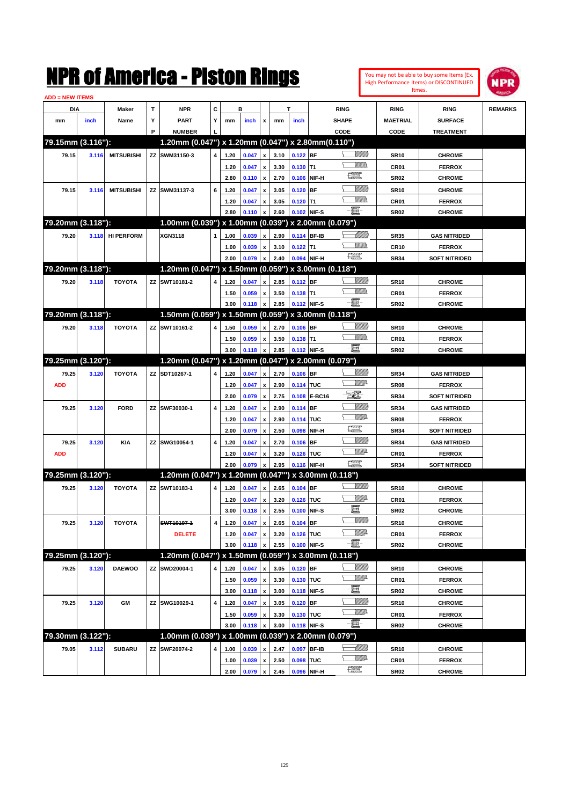

| <b>ADD = NEW ITEMS</b> |       |                   |   |                                                     |   |      |       |                           |      |             |               |                                |                  |                      |                |
|------------------------|-------|-------------------|---|-----------------------------------------------------|---|------|-------|---------------------------|------|-------------|---------------|--------------------------------|------------------|----------------------|----------------|
| DIA                    |       | Maker             | т | <b>NPR</b>                                          | С |      | в     |                           |      | т           |               | <b>RING</b>                    | <b>RING</b>      | <b>RING</b>          | <b>REMARKS</b> |
| mm                     | inch  | Name              | Υ | <b>PART</b>                                         | Y | mm   | inch  | x                         | mm   | inch        |               | <b>SHAPE</b>                   | <b>MAETRIAL</b>  | <b>SURFACE</b>       |                |
|                        |       |                   | P | <b>NUMBER</b>                                       |   |      |       |                           |      |             |               | CODE                           | CODE             | <b>TREATMENT</b>     |                |
| 79.15mm (3.116"):      |       |                   |   | 1.20mm (0.047") x 1.20mm (0.047") x 2.80mm(0.110")  |   |      |       |                           |      |             |               |                                |                  |                      |                |
| 79.15                  | 3.116 | <b>MITSUBISHI</b> |   | ZZ SWM31150-3                                       | 4 | 1.20 | 0.047 | $\pmb{\mathsf{x}}$        | 3.10 | $0.122$ BF  |               | <u>Villida</u>                 | <b>SR10</b>      | <b>CHROME</b>        |                |
|                        |       |                   |   |                                                     |   | 1.20 | 0.047 | x                         | 3.30 | $0.130$ T1  |               |                                | CR <sub>01</sub> | <b>FERROX</b>        |                |
|                        |       |                   |   |                                                     |   | 2.80 | 0.110 | $\pmb{\mathsf{x}}$        | 2.70 | 0.106       | NIF-H         | 鱱                              | <b>SR02</b>      | <b>CHROME</b>        |                |
| 79.15                  | 3.116 | <b>MITSUBISHI</b> |   | ZZ SWM31137-3                                       | 6 | 1.20 | 0.047 |                           | 3.05 | 0.120       | <b>BF</b>     | <u>UMB</u>                     | <b>SR10</b>      | <b>CHROME</b>        |                |
|                        |       |                   |   |                                                     |   | 1.20 | 0.047 | x                         | 3.05 | $0.120$ T1  |               | <br>Milli                      | <b>CR01</b>      | <b>FERROX</b>        |                |
|                        |       |                   |   |                                                     |   | 2.80 | 0.110 | $\boldsymbol{\mathsf{x}}$ | 2.60 | 0.102       | NIF-S         | $-\blacksquare$                | SR <sub>02</sub> | <b>CHROME</b>        |                |
| 79.20mm (3.118"):      |       |                   |   | 1.00mm (0.039") x 1.00mm (0.039") x 2.00mm (0.079") |   |      |       |                           |      |             |               |                                |                  |                      |                |
|                        |       |                   |   | XGN3118                                             |   |      |       |                           |      | 0.114 BF-IB |               | <u>UMB</u>                     |                  |                      |                |
| 79.20                  | 3.118 | <b>HI PERFORM</b> |   |                                                     | 1 | 1.00 | 0.039 | x                         | 2.90 |             |               |                                | <b>SR35</b>      | <b>GAS NITRIDED</b>  |                |
|                        |       |                   |   |                                                     |   | 1.00 | 0.039 | x                         | 3.10 | $0.122$ T1  |               | 鱱                              | <b>CR10</b>      | <b>FERROX</b>        |                |
| 79.20mm (3.118"):      |       |                   |   | 1.20mm (0.047") x 1.50mm (0.059") x 3.00mm (0.118") |   | 2.00 | 0.079 | $\mathbf{x}$              | 2.40 | 0.094       | NIF-H         |                                | <b>SR34</b>      | <b>SOFT NITRIDED</b> |                |
|                        |       |                   |   |                                                     |   |      |       |                           |      |             |               |                                |                  |                      |                |
| 79.20                  | 3.118 | <b>TOYOTA</b>     |   | ZZ SWT10181-2                                       | 4 | 1.20 | 0.047 | x                         | 2.85 | 0.112 BF    |               | VIII T                         | <b>SR10</b>      | <b>CHROME</b>        |                |
|                        |       |                   |   |                                                     |   | 1.50 | 0.059 | x                         | 3.50 | $0.138$ T1  |               | $ \Box$                        | <b>CR01</b>      | <b>FERROX</b>        |                |
|                        |       |                   |   |                                                     |   | 3.00 | 0.118 | $\pmb{\mathsf{x}}$        | 2.85 | 0.112 NIF-S |               |                                | SR <sub>02</sub> | <b>CHROME</b>        |                |
| 79.20mm (3.118"):      |       |                   |   | 1.50mm (0.059") x 1.50mm (0.059") x 3.00mm (0.118") |   |      |       |                           |      |             |               |                                |                  |                      |                |
| 79.20                  | 3.118 | <b>TOYOTA</b>     |   | ZZ SWT10161-2                                       | 4 | 1.50 | 0.059 | $\pmb{\mathsf{x}}$        | 2.70 | $0.106$ BF  |               | VIII T                         | <b>SR10</b>      | <b>CHROME</b>        |                |
|                        |       |                   |   |                                                     |   | 1.50 | 0.059 | x                         | 3.50 | $0.138$ T1  |               | VM))                           | <b>CR01</b>      | <b>FERROX</b>        |                |
|                        |       |                   |   |                                                     |   | 3.00 | 0.118 | $\pmb{\mathsf{x}}$        | 2.85 | 0.112 NIF-S |               | -8                             | SR <sub>02</sub> | <b>CHROME</b>        |                |
| 79.25mm (3.120"):      |       |                   |   | 1.20mm (0.047") x 1.20mm (0.047") x 2.00mm (0.079") |   |      |       |                           |      |             |               |                                |                  |                      |                |
| 79.25                  | 3.120 | <b>TOYOTA</b>     |   | ZZ SDT10267-1                                       | 4 | 1.20 | 0.047 | $\pmb{\mathsf{x}}$        | 2.70 | $0.106$ BF  |               | <u> UMB</u>                    | <b>SR34</b>      | <b>GAS NITRIDED</b>  |                |
| <b>ADD</b>             |       |                   |   |                                                     |   | 1.20 | 0.047 | x                         | 2.90 | 0.114 TUC   |               | <u>VMD</u>                     | <b>SR08</b>      | <b>FERROX</b>        |                |
|                        |       |                   |   |                                                     |   | 2.00 | 0.079 | $\pmb{\mathsf{x}}$        | 2.75 | 0.108       | <b>E-BC16</b> | EI.                            | <b>SR34</b>      | <b>SOFT NITRIDED</b> |                |
| 79.25                  | 3.120 | <b>FORD</b>       |   | ZZ SWF30030-1                                       | 4 | 1.20 | 0.047 | x                         | 2.90 | 0.114       | <b>BF</b>     | VIIII)                         | <b>SR34</b>      | <b>GAS NITRIDED</b>  |                |
|                        |       |                   |   |                                                     |   | 1.20 | 0.047 | x                         | 2.90 | 0.114 TUC   |               | <u>VMD</u>                     | <b>SR08</b>      | <b>FERROX</b>        |                |
|                        |       |                   |   |                                                     |   | 2.00 | 0.079 | x                         | 2.50 | 0.098       | NIF-H         | $f_{\text{max}}^{\text{opp}}$  | <b>SR34</b>      | <b>SOFT NITRIDED</b> |                |
| 79.25                  | 3.120 | <b>KIA</b>        |   | ZZ SWG10054-1                                       | 4 | 1.20 | 0.047 | x                         | 2.70 | 0.106       | <b>BF</b>     | <u>VIIII</u> )                 | <b>SR34</b>      | <b>GAS NITRIDED</b>  |                |
| <b>ADD</b>             |       |                   |   |                                                     |   | 1.20 | 0.047 | x                         | 3.20 | 0.126       | <b>TUC</b>    | <u>WW</u> A                    | <b>CR01</b>      | <b>FERROX</b>        |                |
|                        |       |                   |   |                                                     |   | 2.00 | 0.079 |                           | 2.95 | 0.116       | NIF-H         | $f_{\text{max}}^{\text{comp}}$ | <b>SR34</b>      | <b>SOFT NITRIDED</b> |                |
| 79.25mm (3.120"):      |       |                   |   | 1.20mm (0.047") x 1.20mm (0.047"")                  |   |      |       |                           |      |             |               | x 3.00mm (0.118")              |                  |                      |                |
| 79.25                  | 3.120 | <b>TOYOTA</b>     |   | ZZ SWT10183-1                                       | 4 | 1.20 | 0.047 | $\pmb{\mathsf{x}}$        | 2.65 | $0.104$ BF  |               | <u>Villida</u>                 | <b>SR10</b>      | <b>CHROME</b>        |                |
|                        |       |                   |   |                                                     |   | 1.20 | 0.047 | x                         | 3.20 | 0.126       | <b>TUC</b>    | <u>MMP</u>                     | CR <sub>01</sub> | <b>FERROX</b>        |                |
|                        |       |                   |   |                                                     |   | 3.00 | 0.118 | $\pmb{\mathsf{x}}$        | 2.55 | 0.100       | NIF-S         | E                              | SR <sub>02</sub> | <b>CHROME</b>        |                |
| 79.25                  | 3.120 | <b>TOYOTA</b>     |   | SWT10197-1                                          | 4 | 1.20 | 0.047 | $\pmb{\mathsf{x}}$        | 2.65 | $0.104$ BF  |               | <u>Willib</u>                  | <b>SR10</b>      | <b>CHROME</b>        |                |
|                        |       |                   |   | <b>DELETE</b>                                       |   | 1.20 | 0.047 | $\pmb{\mathsf{x}}$        | 3.20 | 0.126 TUC   |               | <u>Willi</u> a                 | CR01             | <b>FERROX</b>        |                |
|                        |       |                   |   |                                                     |   | 3.00 | 0.118 | $\pmb{\mathsf{x}}$        | 2.55 | 0.100       | NIF-S         | -日                             | SR <sub>02</sub> | <b>CHROME</b>        |                |
| 79.25mm (3.120"):      |       |                   |   | 1.20mm (0.047") x 1.50mm (0.059"")                  |   |      |       |                           |      |             |               | x 3.00mm (0.118")              |                  |                      |                |
| 79.25                  | 3.120 | <b>DAEWOO</b>     |   | ZZ SWD20004-1                                       | 4 | 1.20 | 0.047 | x                         | 3.05 | $0.120$ BF  |               | <u>Villida</u>                 | <b>SR10</b>      | <b>CHROME</b>        |                |
|                        |       |                   |   |                                                     |   | 1.50 | 0.059 | $\pmb{\mathsf{x}}$        | 3.30 | 0.130 TUC   |               | <u>VMP</u>                     | CR01             | <b>FERROX</b>        |                |
|                        |       |                   |   |                                                     |   | 3.00 | 0.118 | $\pmb{\mathsf{x}}$        | 3.00 | 0.118 NIF-S |               | e.                             | SR <sub>02</sub> | <b>CHROME</b>        |                |
| 79.25                  | 3.120 | GM                |   | ZZ SWG10029-1                                       | 4 | 1.20 | 0.047 | $\pmb{\mathsf{x}}$        | 3.05 | 0.120       | <b>BF</b>     | <u>UMB</u>                     | <b>SR10</b>      | <b>CHROME</b>        |                |
|                        |       |                   |   |                                                     |   | 1.50 | 0.059 | x                         | 3.30 | 0.130 TUC   |               | ₩₩                             | CR01             | <b>FERROX</b>        |                |
|                        |       |                   |   |                                                     |   | 3.00 | 0.118 | $\pmb{\mathsf{x}}$        | 3.00 | 0.118 NIF-S |               | $-\Xi$ -                       | SR <sub>02</sub> | <b>CHROME</b>        |                |
| 79.30mm (3.122"):      |       |                   |   | 1.00mm (0.039") x 1.00mm (0.039") x 2.00mm (0.079") |   |      |       |                           |      |             |               |                                |                  |                      |                |
| 79.05                  | 3.112 | <b>SUBARU</b>     |   | ZZ SWF20074-2                                       | 4 | 1.00 | 0.039 | x                         | 2.47 | 0.097       | BF-IB         | <u> Millitt</u>                | <b>SR10</b>      | <b>CHROME</b>        |                |
|                        |       |                   |   |                                                     |   | 1.00 | 0.039 | x                         | 2.50 | 0.098       | <b>TUC</b>    | <u>VMP</u>                     | CR01             | <b>FERROX</b>        |                |
|                        |       |                   |   |                                                     |   | 2.00 | 0.079 | l x                       | 2.45 |             | 0.096 NIF-H   | R                              | SR <sub>02</sub> | <b>CHROME</b>        |                |
|                        |       |                   |   |                                                     |   |      |       |                           |      |             |               |                                |                  |                      |                |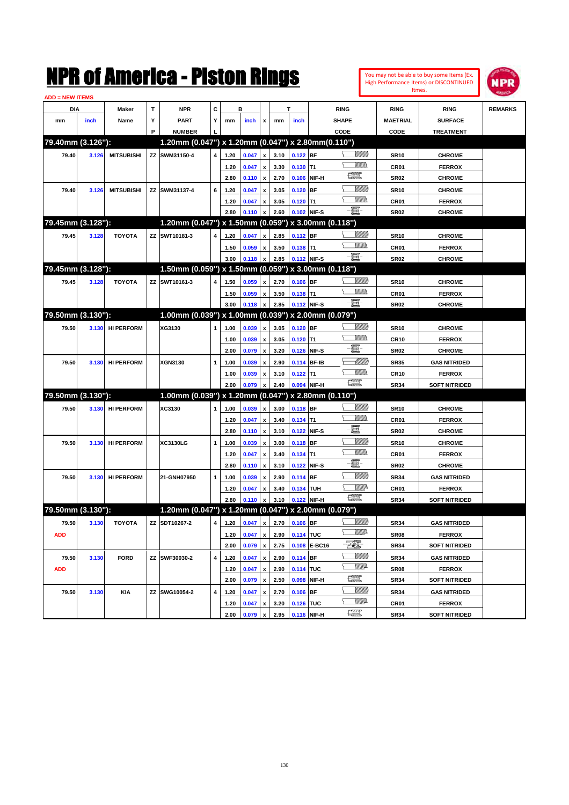|                        |       |                   |              | NMK OI AINCrica - Miston Kings                         |              |      |                  |                    |      |                               |              |                               |                 |                     | You may not be able to buy some Items (Ex.<br>High Performance Items) or DISCONTINUED<br>Itmes. | NPR            |
|------------------------|-------|-------------------|--------------|--------------------------------------------------------|--------------|------|------------------|--------------------|------|-------------------------------|--------------|-------------------------------|-----------------|---------------------|-------------------------------------------------------------------------------------------------|----------------|
| <b>ADD = NEW ITEMS</b> |       |                   |              |                                                        |              |      |                  |                    |      |                               |              |                               |                 |                     |                                                                                                 |                |
| <b>DIA</b>             |       | Maker             | $\mathbf{T}$ | <b>NPR</b>                                             | C            |      | в                |                    |      | T                             |              | <b>RING</b>                   |                 | <b>RING</b>         | <b>RING</b>                                                                                     | <b>REMARKS</b> |
| mm                     | inch  | Name              | Υ            | <b>PART</b>                                            | Y            | mm   | inch             | x                  | mm   | inch                          |              | <b>SHAPE</b>                  |                 | <b>MAETRIAL</b>     | <b>SURFACE</b>                                                                                  |                |
|                        |       |                   | P            | <b>NUMBER</b>                                          |              |      |                  |                    |      |                               |              | CODE                          |                 | CODE                | <b>TREATMENT</b>                                                                                |                |
| 79.40mm (3.126"):      |       |                   |              | 1.20mm (0.047") x 1.20mm (0.047") x 2.80mm (0.110")    |              |      |                  |                    |      |                               |              |                               |                 |                     |                                                                                                 |                |
| 79.40                  | 3.126 | <b>MITSUBISHI</b> |              | ZZ SWM31150-4                                          | 4            | 1.20 | 0.047            | $\pmb{\mathsf{x}}$ | 3.10 | $0.122$ BF                    |              |                               | <u>Villilli</u> | <b>SR10</b>         | <b>CHROME</b>                                                                                   |                |
|                        |       |                   |              |                                                        |              | 1.20 | 0.047            | $\pmb{\mathsf{x}}$ | 3.30 | $0.130$ T1                    |              |                               | <br>VMD         | CR01                | <b>FERROX</b>                                                                                   |                |
|                        |       |                   |              |                                                        |              | 2.80 | 0.110            | $\pmb{\mathsf{x}}$ | 2.70 | 0.106                         | NIF-H        | $f_{\rm max}^{\rm exp}$       |                 | <b>SR02</b>         | <b>CHROME</b>                                                                                   |                |
| 79.40                  | 3.126 | <b>MITSUBISHI</b> |              | ZZ SWM31137-4                                          | 6            | 1.20 | 0.047            | $\pmb{\mathsf{x}}$ | 3.05 | $0.120$ BF                    |              |                               | <u>Villilli</u> | <b>SR10</b>         | <b>CHROME</b>                                                                                   |                |
|                        |       |                   |              |                                                        |              | 1.20 | 0.047            | $\pmb{\mathsf{x}}$ | 3.05 | $0.120$ T1                    |              |                               | VM))            | CR01                | <b>FERROX</b>                                                                                   |                |
|                        |       |                   |              |                                                        |              | 2.80 | 0.110            | $\pmb{\mathsf{x}}$ | 2.60 | 0.102 NIF-S                   |              | E                             |                 | <b>SR02</b>         | <b>CHROME</b>                                                                                   |                |
| 79.45mm (3.128"):      |       |                   |              | 1.20mm (0.047") x 1.50mm (0.059") x 3.00mm (0.118")    |              |      |                  |                    |      |                               |              |                               |                 |                     |                                                                                                 |                |
| 79.45                  | 3.128 | <b>TOYOTA</b>     |              | ZZ SWT10181-3                                          | 4            | 1.20 | 0.047            | $\mathbf{x}$       | 2.85 | $0.112$ BF                    |              |                               | <u>Villida</u>  | <b>SR10</b>         | <b>CHROME</b>                                                                                   |                |
|                        |       |                   |              |                                                        |              | 1.50 | 0.059            | $\pmb{\mathsf{x}}$ | 3.50 | $0.138$ T1                    |              |                               | 7777).          | CR01                | <b>FERROX</b>                                                                                   |                |
|                        |       |                   |              |                                                        |              | 3.00 | 0.118            | $\pmb{\mathsf{x}}$ | 2.85 | 0.112 NIF-S                   |              | 買                             |                 | <b>SR02</b>         | <b>CHROME</b>                                                                                   |                |
| 79.45mm (3.128"):      |       |                   |              | 1.50mm (0.059") x 1.50mm (0.059") x 3.00mm (0.118")    |              |      |                  |                    |      |                               |              |                               |                 |                     |                                                                                                 |                |
| 79.45                  | 3.128 | <b>TOYOTA</b>     |              | ZZ SWT10161-3                                          | 4            | 1.50 | 0.059            | x                  | 2.70 | $0.106$ BF                    |              |                               | <u>VIIIIn</u>   | <b>SR10</b>         | <b>CHROME</b>                                                                                   |                |
|                        |       |                   |              |                                                        |              | 1.50 | 0.059            | x                  | 3.50 | $0.138$ T1                    |              |                               | <br>Mar         | CR <sub>01</sub>    | <b>FERROX</b>                                                                                   |                |
|                        |       |                   |              |                                                        |              | 3.00 | 0.118            | $\pmb{\mathsf{x}}$ | 2.85 | 0.112 NIF-S                   |              | 買                             |                 | <b>SR02</b>         | <b>CHROME</b>                                                                                   |                |
| 79.50mm (3.130"):      |       |                   |              | $1.00$ mm (0.039") x 1.00mm (0.039") x 2.00mm (0.079") |              |      |                  |                    |      |                               |              |                               |                 |                     |                                                                                                 |                |
| 79.50                  | 3.130 | <b>HI PERFORM</b> |              | XG3130                                                 | 1            | 1.00 | 0.039            | $\pmb{\mathsf{x}}$ | 3.05 | $0.120$ BF                    |              |                               | <u>VIIIIn</u>   | <b>SR10</b>         | <b>CHROME</b>                                                                                   |                |
|                        |       |                   |              |                                                        |              | 1.00 | 0.039            | $\pmb{\mathsf{x}}$ | 3.05 | $0.120$ T1                    |              |                               | <br>Milita      | <b>CR10</b>         | <b>FERROX</b>                                                                                   |                |
|                        |       |                   |              |                                                        |              | 2.00 | 0.079            | $\pmb{\mathsf{x}}$ | 3.20 | 0.126                         | NIF-S        | E                             |                 | <b>SR02</b>         | <b>CHROME</b>                                                                                   |                |
| 79.50                  | 3.130 | <b>HI PERFORM</b> |              | XGN3130                                                | 1            | 1.00 | 0.039            | $\pmb{\mathsf{x}}$ | 2.90 | 0.114                         | <b>BF-IB</b> |                               | MMs             | <b>SR35</b>         | <b>GAS NITRIDED</b>                                                                             |                |
|                        |       |                   |              |                                                        |              | 1.00 | 0.039            | x                  | 3.10 | 0.122                         | T1           |                               | 9777).          | <b>CR10</b>         | <b>FERROX</b>                                                                                   |                |
|                        |       |                   |              |                                                        |              | 2.00 | 0.079            | $\pmb{\mathsf{x}}$ | 2.40 | 0.094 NIF-H                   |              | <b>The Control</b>            |                 | <b>SR34</b>         | <b>SOFT NITRIDED</b>                                                                            |                |
| 79.50mm (3.130"):      |       |                   |              | 1.00mm (0.039") x 1.20mm (0.047") x 2.80mm (0.110")    |              |      |                  |                    |      |                               |              |                               |                 |                     |                                                                                                 |                |
| 79.50                  | 3.130 | <b>HI PERFORM</b> |              | XC3130                                                 | 1            | 1.00 | 0.039            | $\pmb{\mathsf{x}}$ | 3.00 | 0.118 BF                      |              |                               |                 | <b>SR10</b>         | <b>CHROME</b>                                                                                   |                |
|                        |       |                   |              |                                                        |              | 1.20 | 0.047            | $\pmb{\mathsf{x}}$ | 3.40 | 0.134                         | T1           |                               | 9777).          | CR <sub>01</sub>    | <b>FERROX</b>                                                                                   |                |
|                        |       |                   |              |                                                        |              | 2.80 | 0.110            | $\pmb{\mathsf{x}}$ | 3.10 | 0.122                         | NIF-S        | E                             |                 | <b>SR02</b>         | <b>CHROME</b>                                                                                   |                |
| 79.50                  | 3.130 | <b>HI PERFORM</b> |              | XC3130LG                                               | 1            | 1.00 | 0.039            | $\pmb{\mathsf{x}}$ | 3.00 | 0.118                         | BF           |                               | <u>Sillilli</u> | <b>SR10</b>         | <b>CHROME</b>                                                                                   |                |
|                        |       |                   |              |                                                        |              | 1.20 | 0.047            | $\pmb{\mathsf{x}}$ | 3.40 | 0.134                         | T1           |                               | 9777).          | CR <sub>01</sub>    | <b>FERROX</b>                                                                                   |                |
|                        |       |                   |              |                                                        |              | 2.80 | 0.110            | $\pmb{\mathsf{x}}$ | 3.10 | 0.122                         | NIF-S        | E                             |                 | <b>SR02</b>         | <b>CHROME</b>                                                                                   |                |
| 79.50                  | 3.130 | <b>HI PERFORM</b> |              | 21-GNH07950                                            | $\mathbf{1}$ | 1.00 | 0.039            | $\pmb{\mathsf{x}}$ | 2.90 | 0.114                         | BF           |                               | 777778          | <b>SR34</b>         | <b>GAS NITRIDED</b>                                                                             |                |
|                        |       |                   |              |                                                        |              | 1.20 | 0.047            | x                  | 3.40 | 0.134 TUH                     |              |                               | <u>Willi</u> r  | CR01                | <b>FERROX</b>                                                                                   |                |
|                        |       |                   |              |                                                        |              | 2.80 | 0.110            | $\mathbf{x}$       | 3.10 | 0.122 NIF-H                   |              | <b>DEED</b>                   |                 | <b>SR34</b>         | <b>SOFT NITRIDED</b>                                                                            |                |
| 79.50mm (3.130"):      |       |                   |              | 1.20mm (0.047") x 1.20mm (0.047") x 2.00mm (0.079")    |              |      |                  |                    |      |                               |              |                               |                 |                     |                                                                                                 |                |
| 79.50                  | 3.130 | ΤΟΥΟΤΑ            |              | ZZ SDT10267-2                                          | 4            | 1.20 | 0.047            | $\pmb{\mathsf{x}}$ | 2.70 | $0.106$ BF                    |              |                               | <u>VMMs</u>     | <b>SR34</b>         | <b>GAS NITRIDED</b>                                                                             |                |
| <b>ADD</b>             |       |                   |              |                                                        |              | 1.20 | 0.047            | $\pmb{\mathsf{x}}$ | 2.90 | 0.114 TUC                     |              |                               | <u>VMD</u>      | SR08                | <b>FERROX</b>                                                                                   |                |
|                        |       |                   |              |                                                        |              | 2.00 | 0.079            | $\pmb{\mathsf{x}}$ | 2.75 |                               | 0.108 E-BC16 | E.                            |                 | SR34                | SOFT NITRIDED                                                                                   |                |
| 79.50                  | 3.130 | <b>FORD</b>       | ΖZ           | SWF30030-2                                             | 4            | 1.20 | 0.047            | $\pmb{\mathsf{x}}$ | 2.90 | $0.114$ BF                    |              |                               | <u>VIIII</u> )  | <b>SR34</b>         | <b>GAS NITRIDED</b>                                                                             |                |
| <b>ADD</b>             |       |                   |              |                                                        |              | 1.20 | 0.047            | $\pmb{\mathsf{x}}$ | 2.90 | 0.114 TUC                     |              |                               | <u>MM</u> D     | <b>SR08</b>         | <b>FERROX</b>                                                                                   |                |
|                        |       |                   |              |                                                        |              | 2.00 | 0.079            | $\pmb{\mathsf{x}}$ | 2.50 | 0.098                         | NIF-H        | æ                             |                 | SR34                | SOFT NITRIDED                                                                                   |                |
|                        |       |                   |              |                                                        | 4            |      |                  |                    |      |                               |              |                               | <u>MMB</u>      |                     |                                                                                                 |                |
| 79.50                  | 3.130 | <b>KIA</b>        |              | ZZ SWG10054-2                                          |              | 1.20 | 0.047            | $\pmb{\mathsf{x}}$ | 2.70 | $0.106$ BF                    |              |                               | ₩₩              | <b>SR34</b>         | <b>GAS NITRIDED</b>                                                                             |                |
|                        |       |                   |              |                                                        |              | 1.20 | 0.047<br>0.079 x | x                  | 3.20 | 0.126 TUC<br>2.95 0.116 NIF-H |              | $f_{\text{max}}^{\text{max}}$ |                 | CR01<br><b>SR34</b> | <b>FERROX</b><br><b>SOFT NITRIDED</b>                                                           |                |
|                        |       |                   |              |                                                        |              | 2.00 |                  |                    |      |                               |              |                               |                 |                     |                                                                                                 |                |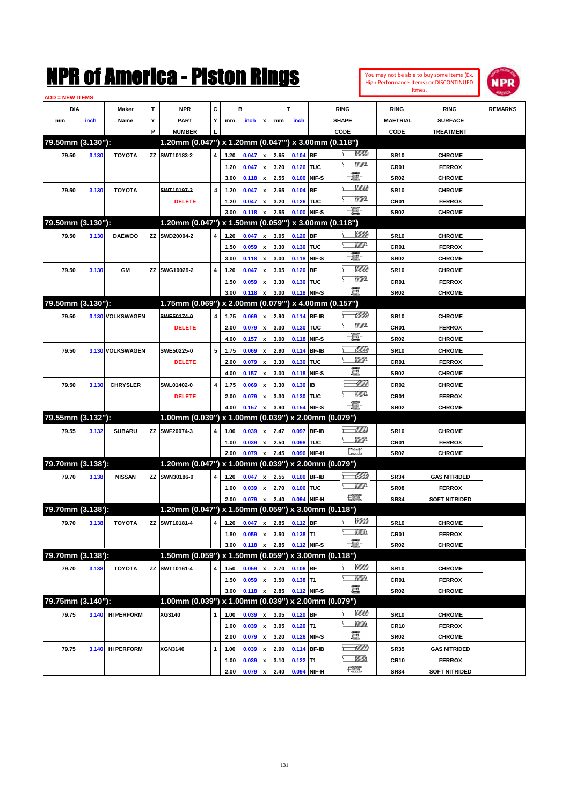|                        |       |                   |             | NMK OT AINCFICA - MISTON KINGS                       |   |      |       |                           |      |             |              |                    |                 |                  | You may not be able to buy some Items (Ex.<br><b>High Performance Items) or DISCONTINUED</b><br>Itmes. | <b>NPR</b>     |
|------------------------|-------|-------------------|-------------|------------------------------------------------------|---|------|-------|---------------------------|------|-------------|--------------|--------------------|-----------------|------------------|--------------------------------------------------------------------------------------------------------|----------------|
| <b>ADD = NEW ITEMS</b> |       |                   |             |                                                      |   |      |       |                           |      |             |              |                    |                 |                  |                                                                                                        |                |
| DIA                    |       | Maker             | $\mathbf T$ | <b>NPR</b>                                           | c |      | в     |                           |      | Т           |              | <b>RING</b>        |                 | <b>RING</b>      | <b>RING</b>                                                                                            | <b>REMARKS</b> |
| mm                     | inch  | Name              | Υ<br>P      | <b>PART</b><br><b>NUMBER</b>                         | Y | mm   | inch  | x                         | mm   | inch        |              | SHAPE              |                 | <b>MAETRIAL</b>  | <b>SURFACE</b>                                                                                         |                |
| 79.50mm (3.130"):      |       |                   |             | 1.20mm (0.047") x 1.20mm (0.047"') x 3.00mm (0.118") |   |      |       |                           |      |             |              | CODE               |                 | CODE             | <b>TREATMENT</b>                                                                                       |                |
| 79.50                  | 3.130 | <b>TOYOTA</b>     |             | ZZ SWT10183-2                                        | 4 | 1.20 | 0.047 | $\pmb{\mathsf{x}}$        | 2.65 | 0.104       | <b>BF</b>    |                    |                 | <b>SR10</b>      | <b>CHROME</b>                                                                                          |                |
|                        |       |                   |             |                                                      |   | 1.20 | 0.047 | $\pmb{\mathsf{x}}$        | 3.20 | 0.126       | <b>TUC</b>   |                    | <u>WW</u> A     | CR <sub>01</sub> | <b>FERROX</b>                                                                                          |                |
|                        |       |                   |             |                                                      |   | 3.00 | 0.118 | $\pmb{\mathsf{x}}$        | 2.55 | 0.100       | NIF-S        | E.                 |                 | <b>SR02</b>      | <b>CHROME</b>                                                                                          |                |
| 79.50                  | 3.130 | <b>TOYOTA</b>     |             | SWT10197-2                                           | 4 | 1.20 | 0.047 | $\pmb{\mathsf{x}}$        | 2.65 | 0.104       | <b>BF</b>    |                    | VIII TA         | <b>SR10</b>      | <b>CHROME</b>                                                                                          |                |
|                        |       |                   |             | <b>DELETE</b>                                        |   | 1.20 | 0.047 | $\pmb{\mathsf{x}}$        | 3.20 | 0.126       | <b>ITUC</b>  |                    | <u>VM</u> D     | CR <sub>01</sub> | <b>FERROX</b>                                                                                          |                |
|                        |       |                   |             |                                                      |   | 3.00 | 0.118 | $\pmb{\mathsf{x}}$        | 2.55 | 0.100       | NIF-S        | -8                 |                 | <b>SR02</b>      | <b>CHROME</b>                                                                                          |                |
| 79.50mm (3.130"):      |       |                   |             | 1.20mm (0.047") x 1.50mm (0.059"') x 3.00mm (0.118") |   |      |       |                           |      |             |              |                    |                 |                  |                                                                                                        |                |
| 79.50                  | 3.130 | <b>DAEWOO</b>     |             | ZZ SWD20004-2                                        | 4 | 1.20 | 0.047 | $\boldsymbol{\mathsf{x}}$ | 3.05 | 0.120       | <b>BF</b>    |                    | <u>Sillilli</u> | <b>SR10</b>      | <b>CHROME</b>                                                                                          |                |
|                        |       |                   |             |                                                      |   | 1.50 | 0.059 | x                         | 3.30 | 0.130       | <b>TUC</b>   |                    | <u>VM</u> D     | CR <sub>01</sub> | <b>FERROX</b>                                                                                          |                |
|                        |       |                   |             |                                                      |   | 3.00 | 0.118 | x                         | 3.00 | 0.118       | NIF-S        | E.                 |                 | <b>SR02</b>      | <b>CHROME</b>                                                                                          |                |
| 79.50                  | 3.130 | GM                | ΖZ          | SWG10029-2                                           | 4 | 1.20 | 0.047 | $\pmb{\mathsf{x}}$        | 3.05 | 0.120       | <b>BF</b>    |                    | <u>Villilli</u> | <b>SR10</b>      | <b>CHROME</b>                                                                                          |                |
|                        |       |                   |             |                                                      |   | 1.50 | 0.059 | $\pmb{\mathsf{x}}$        | 3.30 | 0.130       | <b>TUC</b>   |                    | <u>VIII</u> D   | CR <sub>01</sub> | <b>FERROX</b>                                                                                          |                |
|                        |       |                   |             |                                                      |   | 3.00 | 0.118 | $\boldsymbol{\mathsf{x}}$ | 3.00 | 0.118       | NIF-S        | E                  |                 | <b>SR02</b>      | <b>CHROME</b>                                                                                          |                |
| 79.50mm (3.130"):      |       |                   |             | 1.75mm (0.069") x 2.00mm (0.079"") x 4.00mm (0.157") |   |      |       |                           |      |             |              |                    |                 |                  |                                                                                                        |                |
| 79.50                  |       | 3.130 VOLKSWAGEN  |             | SWE50174-0                                           | 4 | 1.75 | 0.069 | $\boldsymbol{\mathsf{x}}$ | 2.90 | 0.114 BF-IB |              |                    | <u> Millitt</u> | <b>SR10</b>      | <b>CHROME</b>                                                                                          |                |
|                        |       |                   |             | <b>DELETE</b>                                        |   | 2.00 | 0.079 | $\pmb{\mathsf{x}}$        | 3.30 | 0.130       | <b>TUC</b>   |                    | <u>VIII</u> D   | CR <sub>01</sub> | <b>FERROX</b>                                                                                          |                |
|                        |       |                   |             |                                                      |   | 4.00 | 0.157 | x                         | 3.00 | 0.118       | NIF-S        | E.                 |                 | <b>SR02</b>      | <b>CHROME</b>                                                                                          |                |
| 79.50                  |       | 3.130 VOLKSWAGEN  |             | SWE50225-0                                           | 5 | 1.75 | 0.069 | x                         | 2.90 | 0.114       | <b>BF-IB</b> |                    | <u>UMM</u>      | <b>SR10</b>      | <b>CHROME</b>                                                                                          |                |
|                        |       |                   |             | <b>DELETE</b>                                        |   | 2.00 | 0.079 | $\pmb{\mathsf{x}}$        | 3.30 | 0.130       | <b>TUC</b>   |                    | <u>VIII</u> D   | CR <sub>01</sub> | <b>FERROX</b>                                                                                          |                |
|                        |       |                   |             |                                                      |   | 4.00 | 0.157 | $\boldsymbol{\mathsf{x}}$ | 3.00 | 0.118       | NIF-S        | E                  |                 | <b>SR02</b>      | <b>CHROME</b>                                                                                          |                |
| 79.50                  | 3.130 | <b>CHRYSLER</b>   |             | SWL01402-0                                           | 4 | 1.75 | 0.069 | x                         | 3.30 | 0.130       | İB           |                    | <u> Millil</u>  | CR <sub>02</sub> | <b>CHROME</b>                                                                                          |                |
|                        |       |                   |             | <b>DELETE</b>                                        |   | 2.00 | 0.079 | $\pmb{\mathsf{x}}$        | 3.30 | 0.130       | <b>TUC</b>   |                    | <u>VM</u> D     | CR01             | <b>FERROX</b>                                                                                          |                |
|                        |       |                   |             |                                                      |   | 4.00 | 0.157 | $\boldsymbol{\mathsf{x}}$ | 3.90 | 0.154       | NIF-S        | -8                 |                 | <b>SR02</b>      | <b>CHROME</b>                                                                                          |                |
| 79.55mm (3.132"):      |       |                   |             | 1.00mm (0.039") x 1.00mm (0.039") x 2.00mm (0.079")  |   |      |       |                           |      |             |              |                    |                 |                  |                                                                                                        |                |
| 79.55                  | 3.132 | <b>SUBARU</b>     |             | ZZ SWF20074-3                                        | 4 | 1.00 | 0.039 | x                         | 2.47 | 0.097       | <b>BF-IB</b> |                    | <u> UMM</u>     | <b>SR10</b>      | <b>CHROME</b>                                                                                          |                |
|                        |       |                   |             |                                                      |   | 1.00 | 0.039 | $\pmb{\mathsf{x}}$        | 2.50 | 0.098       | TUC          |                    | <u>VIII</u> D   | CR <sub>01</sub> | <b>FERROX</b>                                                                                          |                |
|                        |       |                   |             |                                                      |   | 2.00 | 0.079 | x                         | 2.45 | 0.096       | NIF-H        | 理                  |                 | <b>SR02</b>      | <b>CHROME</b>                                                                                          |                |
| 79.70mm (3.138'):      |       |                   |             | 1.20mm (0.047") x 1.00mm (0.039") x 2.00mm (0.079")  |   |      |       |                           |      |             |              |                    |                 |                  |                                                                                                        |                |
| 79.70                  | 3.138 | <b>NISSAN</b>     |             | ZZ SWN30186-0                                        | 4 | 1.20 | 0.047 | $\mathbf{x}$              | 2.55 | 0.100       | <b>BF-IB</b> |                    | <u> Millitt</u> | <b>SR34</b>      | <b>GAS NITRIDED</b>                                                                                    |                |
|                        |       |                   |             |                                                      |   | 1.00 | 0.039 | $\pmb{\mathsf{x}}$        | 2.70 | 0.106       | <b>TUC</b>   |                    | <u>MMD</u>      | <b>SR08</b>      | <b>FERROX</b>                                                                                          |                |
|                        |       |                   |             |                                                      |   | 2.00 | 0.079 | $\mathbf{x}$              | 2.40 | 0.094 NIF-H |              | $\frac{1}{2}$      |                 | <b>SR34</b>      | <b>SOFT NITRIDED</b>                                                                                   |                |
| 79.70mm (3.138'):      |       |                   |             | 1.20mm (0.047") x 1.50mm (0.059") x 3.00mm (0.118")  |   |      |       |                           |      |             |              |                    |                 |                  |                                                                                                        |                |
| 79.70                  | 3.138 | <b>TOYOTA</b>     |             | ZZ SWT10181-4                                        | 4 | 1.20 | 0.047 | $\pmb{\mathsf{x}}$        | 2.85 | 0.112 BF    |              |                    | <u>VIIII)</u>   | <b>SR10</b>      | <b>CHROME</b>                                                                                          |                |
|                        |       |                   |             |                                                      |   | 1.50 | 0.059 | $\pmb{\mathsf{x}}$        | 3.50 | $0.138$ T1  |              | <u>VMM</u>         |                 | CR01             | <b>FERROX</b>                                                                                          |                |
|                        |       |                   |             |                                                      |   | 3.00 | 0.118 | $\mathbf{x}$              | 2.85 | 0.112 NIF-S |              | -8                 |                 | <b>SR02</b>      | <b>CHROME</b>                                                                                          |                |
| 79.70mm (3.138'):      |       |                   |             | 1.50mm (0.059") x 1.50mm (0.059") x 3.00mm (0.118")  |   |      |       |                           |      |             |              |                    |                 |                  |                                                                                                        |                |
| 79.70                  | 3.138 | <b>TOYOTA</b>     |             | ZZ SWT10161-4                                        | 4 | 1.50 | 0.059 | X                         | 2.70 | $0.106$ BF  |              |                    | <u>Milli</u> b  | <b>SR10</b>      | <b>CHROME</b>                                                                                          |                |
|                        |       |                   |             |                                                      |   | 1.50 | 0.059 | $\pmb{\mathsf{x}}$        | 3.50 | $0.138$ T1  |              | <u>MMs</u><br>╰    |                 | CR01             | <b>FERROX</b>                                                                                          |                |
|                        |       |                   |             |                                                      |   | 3.00 | 0.118 | $\boldsymbol{\mathsf{x}}$ | 2.85 | 0.112 NIF-S |              | $-\blacksquare$    |                 | <b>SR02</b>      | <b>CHROME</b>                                                                                          |                |
| 79.75mm (3.140"):      |       |                   |             | 1.00mm (0.039") x 1.00mm (0.039") x 2.00mm (0.079")  |   |      |       |                           |      |             |              |                    |                 |                  |                                                                                                        |                |
| 79.75                  |       | 3.140 HI PERFORM  |             | XG3140                                               | 1 | 1.00 | 0.039 |                           | 3.05 | 0.120 BF    |              |                    | <u>VIIII</u> )  | <b>SR10</b>      | <b>CHROME</b>                                                                                          |                |
| 79.75                  |       |                   |             |                                                      |   | 1.00 | 0.039 | $\pmb{\mathsf{x}}$        | 3.05 | $0.120$ T1  |              | <u>Willib</u><br>ኒ |                 | <b>CR10</b>      | <b>FERROX</b>                                                                                          |                |
|                        |       |                   |             |                                                      |   | 2.00 | 0.079 | x                         | 3.20 | 0.126 NIF-S |              | e.                 |                 | <b>SR02</b>      | <b>CHROME</b>                                                                                          |                |
|                        | 3.140 | <b>HI PERFORM</b> |             | XGN3140                                              | 1 | 1.00 | 0.039 | x                         | 2.90 |             | 0.114 BF-IB  |                    | <u>-MMM)</u>    | <b>SR35</b>      | <b>GAS NITRIDED</b>                                                                                    |                |
|                        |       |                   |             |                                                      |   | 1.00 | 0.039 | x                         | 3.10 | $0.122$ T1  |              | .<br>William       |                 | <b>CR10</b>      | <b>FERROX</b>                                                                                          |                |
|                        |       |                   |             |                                                      |   | 2.00 | 0.079 | $\mathbf{x}$              | 2.40 | 0.094 NIF-H |              | R                  |                 | <b>SR34</b>      | <b>SOFT NITRIDED</b>                                                                                   |                |

**2.00 0.079 x 2.40 0.094 NIF-H SR34 SOFT NITRIDED**